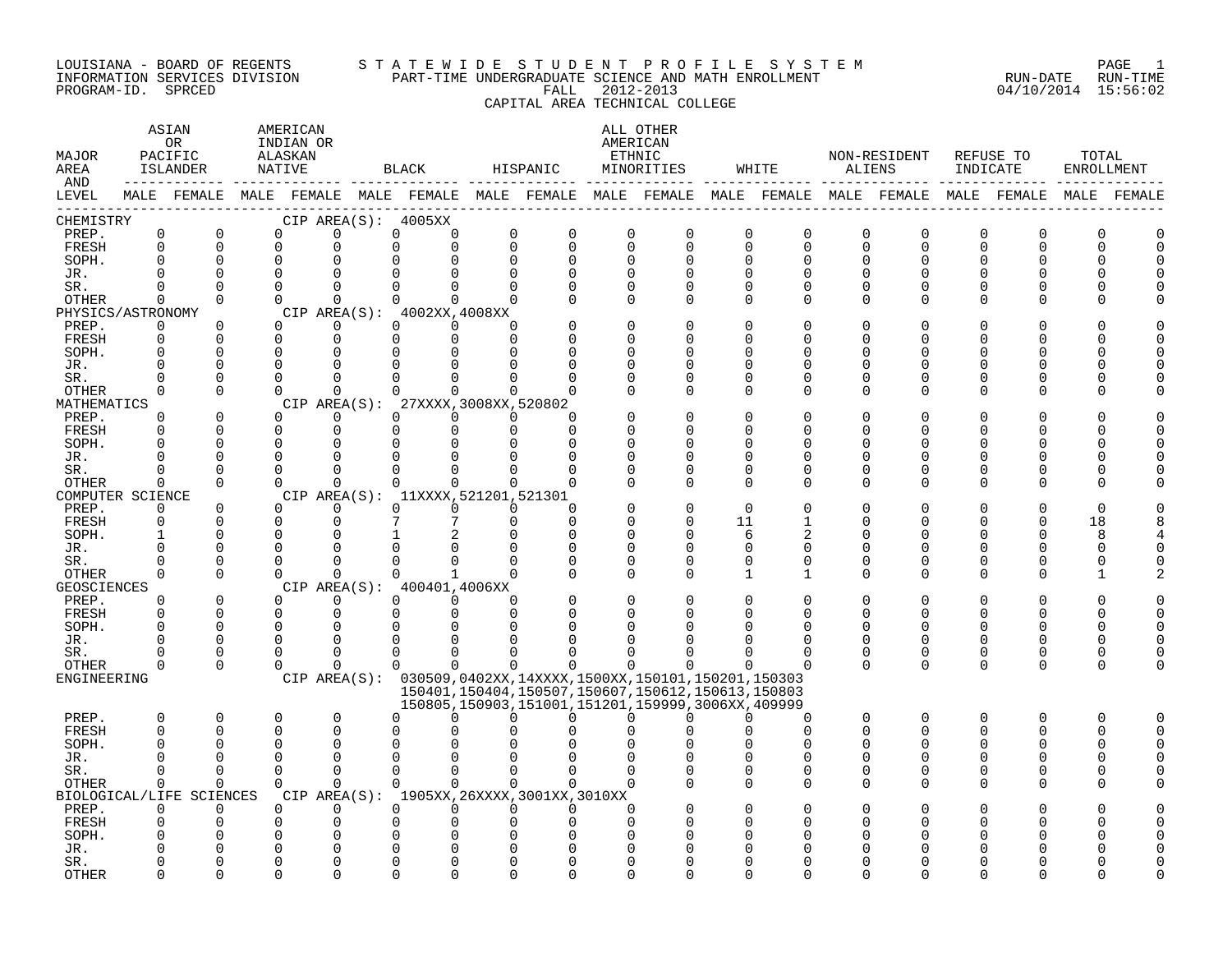#### LOUISIANA - BOARD OF REGENTS S T A T E W I D E S T U D E N T P R O F I L E S Y S T E M PAGE 1 INFORMATION SERVICES DIVISION PART-TIME UNDERGRADUATE SCIENCE AND MATH ENROLLMENT RUN-DATE RUN-TIME PROGRAM-ID. SPRCED FALL 2012-2013 04/10/2014 15:56:02 CAPITAL AREA TECHNICAL COLLEGE

### ASTAN AMERICAN ANG ANG ANG ASTANG ASTANG ALL OTHER OR INDIAN OR **INDIAN OR** AMERICAN MAJOR PACIFIC ALASKAN ETHNIC NON-RESIDENT REFUSE TO TOTAL AREA ISLANDER NATIVE BLACK HISPANIC MINORITIES WHITE ALIENS INDICATE ENROLLMENT AND ------------ ------------- ------------- ------------- ------------- ------------- ------------- ------------- ------------- LEVEL MALE FEMALE MALE FEMALE MALE FEMALE MALE FEMALE MALE FEMALE MALE FEMALE MALE FEMALE MALE FEMALE MALE FEMALE ------------------------------------------------------------------------------------------------------------------------------------ CHEMISTRY CIP AREA(S): 4005XX PREP. 0 0 0 0 0 0 0 0 0 0 0 0 0 0 0 0 0 0 FRESH 0 0 0 0 0 0 0 0 0 0 0 0 0 0 0 0 0 0 SOPH. 0 0 0 0 0 0 0 0 0 0 0 0 0 0 0 0 0 0 JR. 0 0 0 0 0 0 0 0 0 0 0 0 0 0 0 0 0 0 SR. 0 0 0 0 0 0 0 0 0 0 0 0 0 0 0 0 0 0 OTHER 0 0 0 0 0 0 0 0 0 0 0 0 0 0 0 0 0 0 PHYSICS/ASTRONOMY CIP AREA(S): 4002XX,4008XX<br>
PREP. 0 0 0 0 0 0 0 PREP. 0 0 0 0 0 0 0 0 0 0 0 0 0 0 0 0 0 0 FRESH 0 0 0 0 0 0 0 0 0 0 0 0 0 0 0 0 0 0 SOPH. 0 0 0 0 0 0 0 0 0 0 0 0 0 0 0 0 0 0 JR. 0 0 0 0 0 0 0 0 0 0 0 0 0 0 0 0 0 0 SR. 0 0 0 0 0 0 0 0 0 0 0 0 0 0 0 0 0 0 OTHER 0 0 0 0 0 0 0 0 0 0 0 0 0 0 0 0 0 0 MATHEMATICS CIP AREA(S): 27XXXX,3008XX,520802<br>
PREP. 0 0 0 0 0 0 0 PREP. 0 0 0 0 0 0 0 0 0 0 0 0 0 0 0 0 0 0 FRESH 0 0 0 0 0 0 0 0 0 0 0 0 0 0 0 0 0 0 SOPH. 0 0 0 0 0 0 0 0 0 0 0 0 0 0 0 0 0 0 JR. 0 0 0 0 0 0 0 0 0 0 0 0 0 0 0 0 0 0 SR. 0 0 0 0 0 0 0 0 0 0 0 0 0 0 0 0 0 0 OTHER 0 0 0 0 0 0 0 0 0 0 0 0 0 0 0 0 0 0 COMPUTER SCIENCE CIP AREA(S): 11XXXX,521201,521301<br>
PREP. 0 0 0 0 0 0 0 PREP. 0 0 0 0 0 0 0 0 0 0 0 0 0 0 0 0 0 0 FRESH 0 0 0 0 7 7 0 0 0 0 11 1 0 0 0 0 18 8 SOPH. 1 0 0 0 1 2 0 0 0 0 6 2 0 0 0 0 8 4 JR. 0 0 0 0 0 0 0 0 0 0 0 0 0 0 0 0 0 0 SR. 0 0 0 0 0 0 0 0 0 0 0 0 0 0 0 0 0 0 OTHER 0 0 0 0 0 1 0 0 0 0 1 1 0 0 0 0 1 2 GEOSCIENCES CIPAREA(S): 400401,4006XX<br>
PREP. 0 0 0 0 0 0 PREP. 0 0 0 0 0 0 0 0 0 0 0 0 0 0 0 0 0 0 FRESH 0 0 0 0 0 0 0 0 0 0 0 0 0 0 0 0 0 0 SOPH. 0 0 0 0 0 0 0 0 0 0 0 0 0 0 0 0 0 0 JR. 0 0 0 0 0 0 0 0 0 0 0 0 0 0 0 0 0 0 SR. 0 0 0 0 0 0 0 0 0 0 0 0 0 0 0 0 0 0 OTHER 0 0 0 0 0 0 0 0 0 0 0 0 0 0 0 0 0 0 ENGINEERING CIP AREA(S): 030509,0402XX,14XXXX,1500XX,150101,150201,150303 150401,150404,150507,150607,150612,150613,150803 150805,150903,151001,151201,159999,3006XX,409999 PREP. 0 0 0 0 0 0 0 0 0 0 0 0 0 0 0 0 0 0 FRESH 0 0 0 0 0 0 0 0 0 0 0 0 0 0 0 0 0 0 SOPH. 0 0 0 0 0 0 0 0 0 0 0 0 0 0 0 0 0 0 JR. 0 0 0 0 0 0 0 0 0 0 0 0 0 0 0 0 0 0 SR. 0 0 0 0 0 0 0 0 0 0 0 0 0 0 0 0 0 0 OTHER 0 0 0 0 0 0 0 0 0 0 0 0 0 0 0 0 0 0 BIOLOGICAL/LIFE SCIENCES CIP AREA(S): 1905XX,26XXXX,3001XX,3010XX PREP. 0 0 0 0 0 0 0 0 0 0 0 0 0 0 0 0 0 0 FRESH 0 0 0 0 0 0 0 0 0 0 0 0 0 0 0 0 0 0 SOPH. 0 0 0 0 0 0 0 0 0 0 0 0 0 0 0 0 0 0 JR. 0 0 0 0 0 0 0 0 0 0 0 0 0 0 0 0 0 0 SR. 0 0 0 0 0 0 0 0 0 0 0 0 0 0 0 0 0 0

OTHER 0 0 0 0 0 0 0 0 0 0 0 0 0 0 0 0 0 0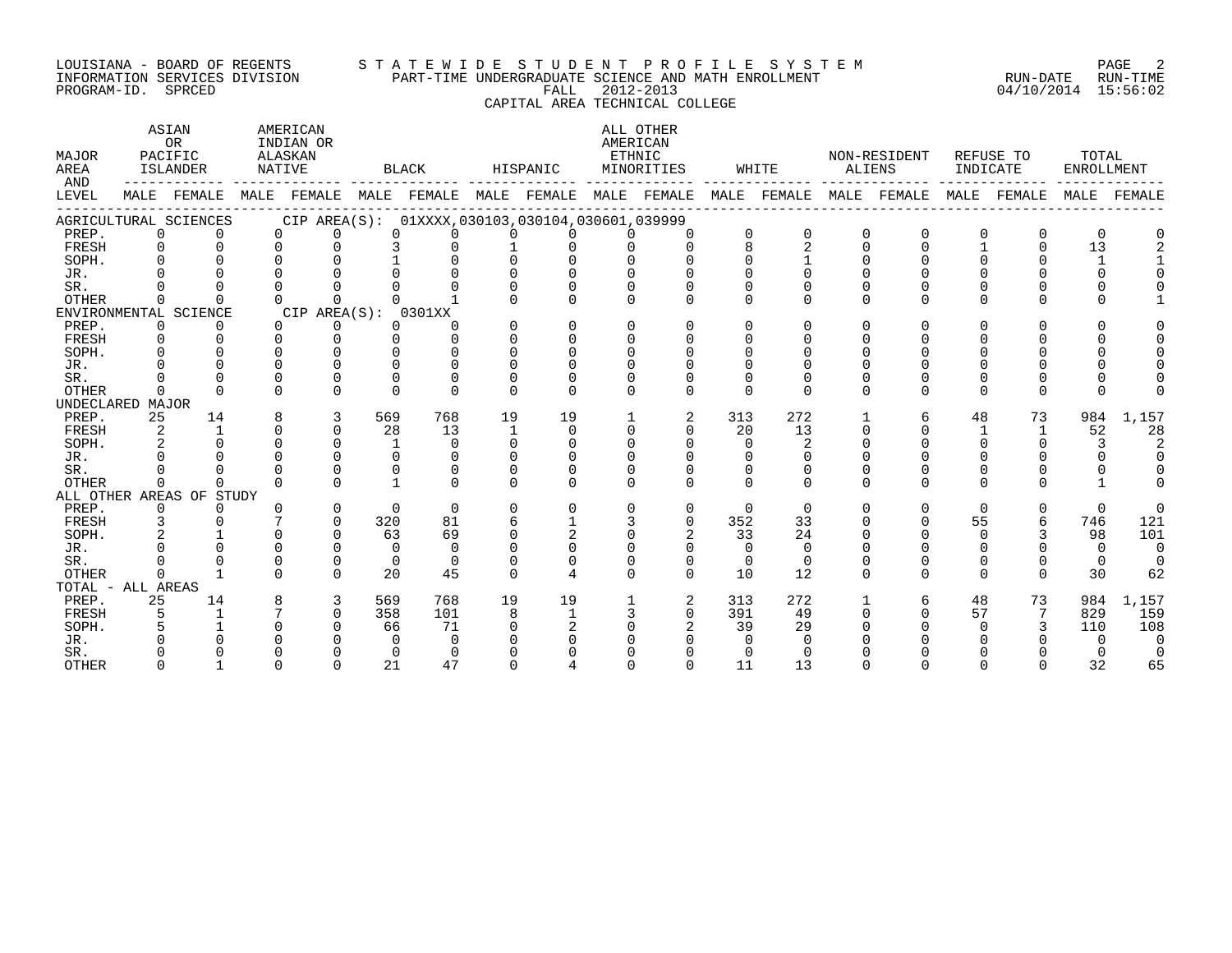#### LOUISIANA - BOARD OF REGENTS S T A T E W I D E S T U D E N T P R O F I L E S Y S T E M PAGE 2 INFORMATION SERVICES DIVISION PART-TIME UNDERGRADUATE SCIENCE AND MATH ENROLLMENT RUN-DATE RUN-TIME PROGRAM-ID. SPRCED FALL 2012-2013 04/10/2014 15:56:02

CAPITAL AREA TECHNICAL COLLEGE

| MAJOR<br>AREA<br>AND |             | ASIAN<br>OR<br>PACIFIC<br>ISLANDER |          | AMERICAN<br>INDIAN OR<br>ALASKAN<br>NATIVE |              | <b>BLACK</b>                                        |              | HISPANIC     |          | ALL OTHER<br>AMERICAN<br>ETHNIC<br>MINORITIES |              | WHITE    | ALIENS       | NON-RESIDENT            | INDICATE     | REFUSE TO    | TOTAL<br>ENROLLMENT |          |
|----------------------|-------------|------------------------------------|----------|--------------------------------------------|--------------|-----------------------------------------------------|--------------|--------------|----------|-----------------------------------------------|--------------|----------|--------------|-------------------------|--------------|--------------|---------------------|----------|
| LEVEL                |             | MALE FEMALE                        |          |                                            |              | MALE FEMALE MALE FEMALE MALE FEMALE MALE FEMALE     |              |              |          |                                               |              |          |              | MALE FEMALE MALE FEMALE |              | MALE FEMALE  | MALE                | FEMALE   |
|                      |             | AGRICULTURAL SCIENCES              |          |                                            |              | CIP AREA(S): 01XXXX, 030103, 030104, 030601, 039999 |              |              |          |                                               |              |          |              |                         |              |              |                     |          |
| PREP.                | 0           | $\Omega$                           | $\Omega$ | 0                                          | $\Omega$     | 0                                                   | 0            |              |          | $\Omega$                                      | 0            | $\Omega$ | $\Omega$     | $\Omega$                | O            | $\Omega$     | $\Omega$            |          |
| FRESH                | $\Omega$    | $\cap$                             | $\Omega$ | $\Omega$                                   | 3            | 0                                                   |              |              | $\Omega$ | $\Omega$                                      | 8            | 2        | $\Omega$     | $\cap$                  | $\mathbf{1}$ | $\Omega$     | 13                  |          |
| SOPH.                |             |                                    |          |                                            |              | $\Omega$                                            | $\Omega$     |              |          |                                               |              |          | $\Omega$     |                         |              |              | $\mathbf{1}$        |          |
| JR.                  |             |                                    |          |                                            |              |                                                     |              |              |          |                                               |              |          | $\cap$       |                         |              |              | 0                   |          |
| SR.                  |             |                                    |          |                                            |              |                                                     |              |              |          | U                                             |              |          | $\Omega$     |                         |              |              |                     |          |
| <b>OTHER</b>         | $\Omega$    |                                    |          | $\cap$                                     |              |                                                     |              |              |          | <sup>n</sup>                                  | ∩            | $\Omega$ | $\Omega$     | $\cap$                  | ∩            | U            |                     |          |
|                      |             | ENVIRONMENTAL SCIENCE              |          | CIP AREA(S):                               |              | 0301XX                                              |              |              |          |                                               |              |          |              |                         |              |              |                     |          |
| PREP.                | $\mathbf 0$ | 0                                  | $\Omega$ | 0                                          | 0            | U                                                   | $\Omega$     | $\Omega$     | $\Omega$ | $\Omega$                                      | $\cap$       | $\Omega$ | $\Omega$     | $\Omega$                | $\Omega$     | <sup>0</sup> |                     |          |
| FRESH                | $\Omega$    | ∩                                  | $\Omega$ | $\Omega$                                   | $\Omega$     | 0                                                   | $\Omega$     | ∩            | $\Omega$ | 0                                             | <sup>n</sup> | $\Omega$ | $\Omega$     |                         | ∩            |              |                     |          |
| SOPH.                | ∩           |                                    | $\cap$   | ∩                                          |              | $\Omega$                                            | $\Omega$     |              | $\cap$   | <sup>n</sup>                                  | <sup>n</sup> | ∩        | <sup>n</sup> |                         |              |              |                     |          |
| JR.                  |             |                                    | $\cap$   | ∩                                          | U            | $\Omega$                                            | <sup>n</sup> |              |          |                                               |              | ∩        | $\cap$       |                         |              |              |                     |          |
| SR.                  |             |                                    |          | $\Omega$                                   | U            | $\Omega$                                            | $\Omega$     |              |          | U                                             |              | $\Omega$ | $\Omega$     |                         |              |              |                     |          |
| <b>OTHER</b>         | $\cap$      | $\Omega$                           | $\Omega$ | $\cap$                                     | $\Omega$     | $\Omega$                                            | $\Omega$     | $\cap$       | $\cap$   | $\cap$                                        | $\cap$       | $\Omega$ | $\Omega$     | $\Omega$                | $\cap$       | $\Omega$     | U                   |          |
| UNDECLARED MAJOR     |             |                                    |          |                                            |              |                                                     |              |              |          |                                               |              |          |              |                         |              |              |                     |          |
| PREP.                | 25          | 14                                 | 8        | 3                                          | 569          | 768                                                 | 19           | 19           |          | 2                                             | 313          | 272      |              | 6                       | 48           | 73           | 984                 | 1,157    |
| FRESH                | 2           | $\mathbf{1}$                       | $\Omega$ | $\Omega$                                   | 28           | 13                                                  | 1            | $\Omega$     | $\Omega$ | 0                                             | 20           | 13       | $\Omega$     |                         | $\mathbf{1}$ | 1            | 52                  | 28       |
| SOPH.                |             |                                    |          | $\Omega$                                   | $\mathbf{1}$ | $\Omega$                                            | $\Omega$     | ∩            |          | $\Omega$                                      | $\Omega$     | 2        | $\Omega$     |                         | $\Omega$     | 0            | 3                   |          |
| JR.                  |             |                                    |          | ∩                                          | $\Omega$     | 0                                                   | 0            |              |          |                                               |              | $\Omega$ |              |                         |              |              |                     | $\Omega$ |
| SR.                  |             |                                    |          | $\cap$                                     |              | <sup>0</sup>                                        |              |              |          |                                               |              | $\Omega$ |              |                         | $\Omega$     |              |                     |          |
| <b>OTHER</b>         | $\Omega$    | <sup>n</sup>                       | $\Omega$ | $\cap$                                     |              | $\cap$                                              | $\cap$       | ∩            | $\cap$   | $\cap$                                        | $\cap$       | $\cap$   | $\Omega$     | $\cap$                  | $\cap$       | <sup>n</sup> |                     |          |
|                      |             | ALL OTHER AREAS OF STUDY           |          |                                            |              |                                                     |              |              |          |                                               |              |          |              |                         |              |              |                     |          |
| PREP.                | 0           | ∩                                  | $\Omega$ | $\Omega$                                   | $\Omega$     | $\Omega$                                            | $\Omega$     | $\cap$       | $\Omega$ | 0                                             | $\Omega$     | $\Omega$ | $\Omega$     | $\Omega$                | $\Omega$     | $\Omega$     | $\Omega$            | $\Omega$ |
| FRESH                | 3           |                                    |          | $\Omega$                                   | 320          | 81                                                  | 6            |              | 3        | 0                                             | 352          | 33       | $\Omega$     |                         | 55           | 6            | 746                 | 121      |
| SOPH.                |             |                                    |          | $\cap$                                     | 63           | 69                                                  | $\cap$       | 2            |          | 2                                             | 33           | 24       |              |                         | ∩            | 3            | 98                  | 101      |
| JR.                  |             |                                    |          | ∩                                          | $\Omega$     | $\Omega$                                            | $\Omega$     |              |          | $\Omega$                                      | $\Omega$     | $\Omega$ | $\cap$       |                         |              |              | $\Omega$            | $\Omega$ |
| SR.                  |             |                                    | $\Omega$ | $\Omega$                                   | $\Omega$     | $\Omega$                                            | $\Omega$     |              |          | $\Omega$                                      | $\Omega$     | $\Omega$ |              |                         | $\Omega$     | 0            | $\Omega$            | $\Omega$ |
| OTHER                | $\cap$      |                                    | $\cap$   | $\cap$                                     | 20           | 45                                                  | $\Omega$     |              | $\Omega$ | $\Omega$                                      | 10           | 12       | $\Omega$     | ∩                       | $\Omega$     | $\Omega$     | 30                  | 62       |
| TOTAL - ALL AREAS    |             |                                    |          |                                            |              |                                                     |              |              |          |                                               |              |          |              |                         |              |              |                     |          |
| PREP.                | 25          | 14                                 | 8        | 3                                          | 569          | 768                                                 | 19           | 19           |          | 2                                             | 313          | 272      | 1            | 6                       | 48           | 73           | 984                 | 1,157    |
| FRESH                | 5           | $\mathbf{1}$                       |          | $\Omega$                                   | 358          | 101                                                 | 8            | $\mathbf{1}$ | 3        | $\Omega$                                      | 391          | 49       | $\Omega$     | $\Omega$                | 57           | 7            | 829                 | 159      |
| SOPH.                |             |                                    |          | $\cap$                                     | 66           | 71                                                  | $\cap$       |              |          |                                               | 39           | 29       |              |                         |              | 3            | 110                 | 108      |
| JR.                  |             |                                    |          |                                            | 0            | $\Omega$                                            |              |              |          |                                               |              |          |              |                         |              |              | $\Omega$            | $\Omega$ |
| SR.                  |             |                                    |          |                                            | $\Omega$     | $\Omega$                                            |              |              |          |                                               |              |          |              |                         |              |              |                     | $\Omega$ |
| <b>OTHER</b>         | $\Omega$    |                                    |          | $\cap$                                     | 21           | 47                                                  | $\Omega$     |              |          | $\cap$                                        | 11           | 13       |              |                         | ∩            |              | 32                  | 65       |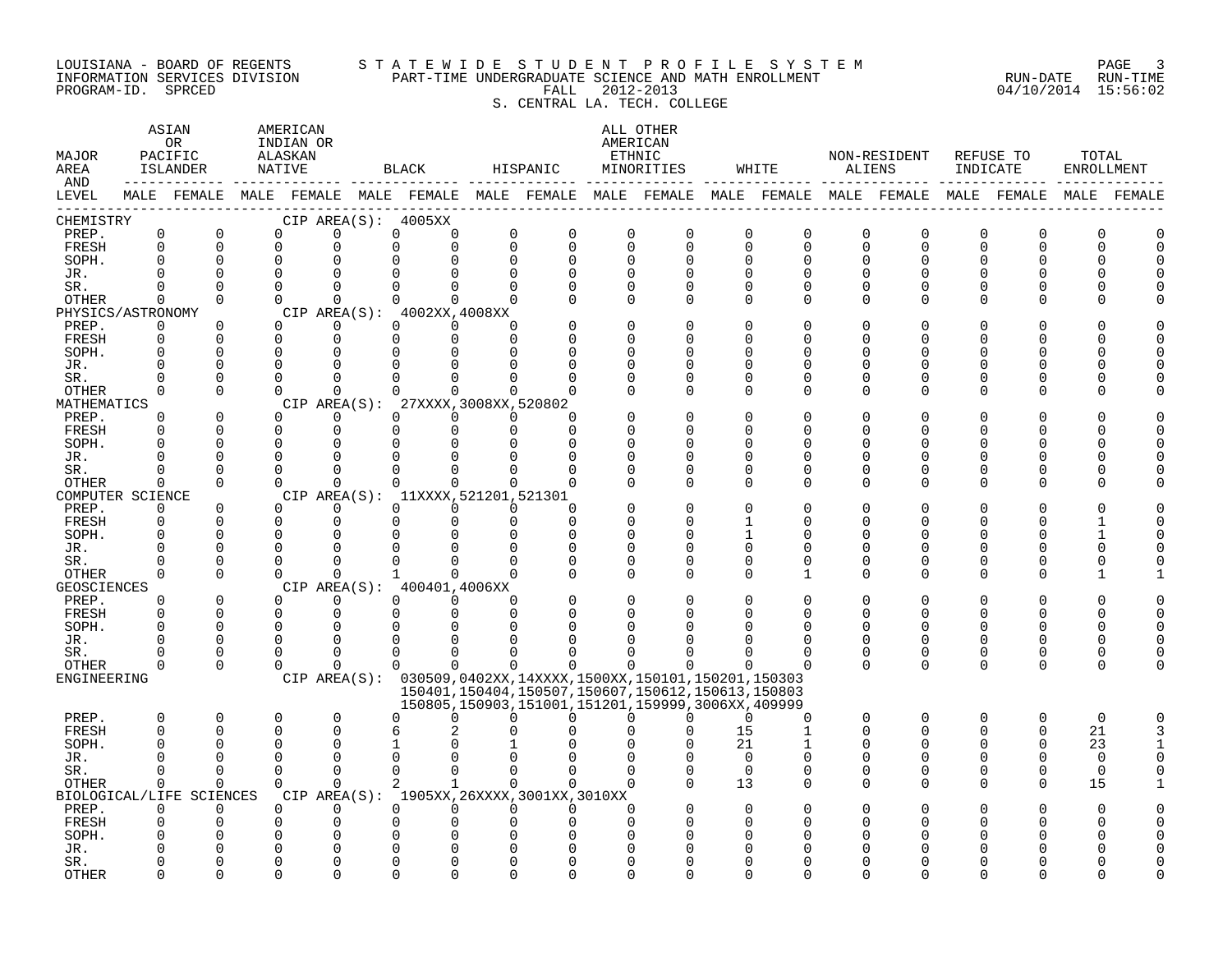#### LOUISIANA - BOARD OF REGENTS S T A T E W I D E S T U D E N T P R O F I L E S Y S T E M PAGE 3 INFORMATION SERVICES DIVISION PART-TIME UNDERGRADUATE SCIENCE AND MATH ENROLLMENT RUN-DATE RUN-TIME PROGRAM-ID. SPRCED FALL 2012-2013 04/10/2014 15:56:02 S. CENTRAL LA. TECH. COLLEGE

| MAJOR<br>AREA<br>AND |                         | ASIAN<br>0R<br>PACIFIC<br>ISLANDER                                                              | AMERICAN<br>INDIAN OR<br>ALASKAN<br>NATIVE |                         |               | BLACK                                           | HISPANIC                |                                             |                            | ALL OTHER<br>AMERICAN<br>ETHNIC<br>MINORITIES                                                                    |                      | WHITE                         |          | NON-RESIDENT<br>ALIENS  | REFUSE TO<br>INDICATE   |                      | TOTAL<br>ENROLLMENT |             |
|----------------------|-------------------------|-------------------------------------------------------------------------------------------------|--------------------------------------------|-------------------------|---------------|-------------------------------------------------|-------------------------|---------------------------------------------|----------------------------|------------------------------------------------------------------------------------------------------------------|----------------------|-------------------------------|----------|-------------------------|-------------------------|----------------------|---------------------|-------------|
| LEVEL                |                         | MALE FEMALE MALE FEMALE MALE FEMALE MALE FEMALE MALE FEMALE MALE FEMALE MALE FEMALE MALE FEMALE |                                            |                         |               |                                                 |                         |                                             |                            |                                                                                                                  |                      |                               |          |                         |                         |                      |                     | MALE FEMALE |
| CHEMISTRY            |                         |                                                                                                 |                                            |                         |               | CIP AREA(S): 4005XX                             |                         |                                             |                            |                                                                                                                  |                      |                               |          |                         |                         |                      |                     |             |
| PREP.<br>FRESH       | $\mathsf 0$<br>$\Omega$ | $\mathbf 0$<br>$\Omega$                                                                         | 0<br>$\mathbf 0$                           | $\mathbf 0$<br>0        | 0<br>$\Omega$ | 0<br>$\Omega$                                   | $\mathbf 0$<br>$\Omega$ | $\mathsf{O}$<br>$\Omega$                    | $\mathbf 0$<br>$\mathbf 0$ | $\mathbf 0$<br>$\Omega$                                                                                          | 0<br>$\Omega$        | $\mathsf 0$<br>$\overline{0}$ | 0<br>0   | $\mathbf 0$<br>$\Omega$ | $\mathbf 0$<br>$\Omega$ | $\Omega$<br>$\Omega$ | 0<br>U              |             |
| SOPH.                | $\Omega$                | $\Omega$                                                                                        | $\mathbf 0$                                | $\Omega$                |               |                                                 | $\Omega$                | 0                                           | $\Omega$                   | $\Omega$                                                                                                         | $\Omega$             | 0                             | U        | 0                       | U                       | O                    |                     |             |
| JR.                  | $\cap$                  | $\Omega$                                                                                        | $\Omega$                                   | $\Omega$                |               |                                                 |                         |                                             | $\Omega$                   |                                                                                                                  | $\Omega$             | $\Omega$                      |          | $\cap$                  |                         |                      |                     |             |
| SR.                  | $\Omega$                | $\Omega$                                                                                        | $\Omega$                                   | $\Omega$                | $\Omega$      | 0                                               | $\Omega$                | $\Omega$                                    | $\Omega$                   | $\Omega$                                                                                                         | $\Omega$             | $\Omega$                      | $\Omega$ | $\Omega$                |                         |                      |                     |             |
| OTHER                | $\Omega$                | $\Omega$                                                                                        | $\Omega$                                   | $\Omega$                | $\Omega$      | $\Omega$                                        | $\Omega$                |                                             | $\Omega$                   | $\Omega$                                                                                                         | $\Omega$             | $\Omega$                      | 0        | $\Omega$                |                         | O                    |                     |             |
| PHYSICS/ASTRONOMY    |                         |                                                                                                 |                                            |                         |               | CIP AREA(S): 4002XX, 4008XX                     |                         |                                             |                            |                                                                                                                  |                      |                               |          |                         |                         |                      |                     |             |
| PREP.                | 0                       | 0                                                                                               | $\Omega$                                   | 0                       | $\Omega$      | $\Omega$                                        | $\Omega$                |                                             | $\Omega$                   |                                                                                                                  | $\Omega$             | 0                             | U        | O                       |                         |                      |                     |             |
| FRESH                | $\Omega$                | $\Omega$                                                                                        | $\mathbf 0$                                | $\mathbf{0}$            | $\Omega$      | $\Omega$                                        | $\Omega$                |                                             | $\Omega$                   |                                                                                                                  | ∩                    | U                             | U        | U                       |                         |                      |                     |             |
| SOPH.                |                         | $\Omega$                                                                                        | $\Omega$                                   | $\Omega$                | $\Omega$      |                                                 |                         |                                             | $\Omega$                   |                                                                                                                  | ∩                    | O                             |          | U                       |                         |                      |                     |             |
| JR.                  | $\Omega$<br>$\Omega$    | $\Omega$<br>$\Omega$                                                                            | $\Omega$<br>$\Omega$                       | $\mathbf 0$<br>$\Omega$ |               |                                                 |                         |                                             | $\Omega$                   | U                                                                                                                | $\Omega$<br>$\Omega$ | O<br>O                        | U<br>U   | U<br>U                  |                         |                      |                     |             |
| SR.<br>OTHER         | $\Omega$                | $\Omega$                                                                                        | $\Omega$                                   | $\Omega$                |               | $\Omega$                                        | $\Omega$                | U                                           | $\Omega$                   | $\Omega$                                                                                                         | $\Omega$             | $\Omega$                      | $\Omega$ | $\Omega$                |                         | O                    |                     |             |
| MATHEMATICS          |                         |                                                                                                 |                                            |                         | CIP AREA(S):  | 27XXXX, 3008XX, 520802                          |                         |                                             |                            |                                                                                                                  |                      |                               |          |                         |                         |                      |                     |             |
| PREP.                | $\Omega$                | $\Omega$                                                                                        | $\Omega$                                   | $\Omega$                | $\Omega$      | $\Omega$                                        | $\Omega$                | U                                           |                            |                                                                                                                  | $\Omega$             | $\Omega$                      |          |                         |                         |                      |                     |             |
| FRESH                | $\Omega$                | $\Omega$                                                                                        | $\mathbf 0$                                | $\mathbf 0$             | $\Omega$      | $\Omega$                                        | $\Omega$                | $\Omega$                                    | O                          |                                                                                                                  | ∩                    | O                             | U        | U                       |                         | ∩                    |                     |             |
| SOPH.                | ∩                       | $\Omega$                                                                                        | $\Omega$                                   | $\Omega$                | $\Omega$      |                                                 |                         | U                                           | ∩                          |                                                                                                                  | ∩                    | U                             | ∩        | ∩                       |                         | n                    |                     |             |
| JR.                  | $\Omega$                | 0                                                                                               | $\Omega$                                   | $\mathbf 0$             | O             |                                                 |                         | O                                           | $\Omega$                   | U                                                                                                                | $\Omega$             | O                             | U        | O                       |                         | O                    |                     |             |
| SR.                  | $\Omega$                | $\Omega$                                                                                        | $\Omega$                                   | $\Omega$                | $\Omega$      | $\Omega$                                        |                         |                                             | $\Omega$                   | O                                                                                                                | $\Omega$             | 0                             | U        | 0                       |                         | 0                    |                     |             |
| OTHER                | $\Omega$                | $\Omega$                                                                                        | $\Omega$                                   | $\Omega$                | $\Omega$      | 0                                               | $\Omega$                | $\Omega$                                    | $\Omega$                   | $\Omega$                                                                                                         | $\Omega$             | $\Omega$                      | $\Omega$ | $\Omega$                | ∩                       | ∩                    |                     |             |
| COMPUTER SCIENCE     | $\Omega$                | $\Omega$                                                                                        | $\Omega$                                   | $\Omega$                | $\Omega$      | CIP AREA(S): 11XXXX, 521201, 521301<br>$\Omega$ | $\Omega$                | O                                           |                            |                                                                                                                  | ∩                    | O                             |          |                         |                         |                      |                     |             |
| PREP.<br>FRESH       | $\Omega$                | $\Omega$                                                                                        | $\Omega$                                   | $\mathbf 0$             | $\Omega$      | $\Omega$                                        | $\Omega$                | $\Omega$                                    | $\Omega$                   | ∩                                                                                                                |                      | O                             | U        | 0                       |                         | ∩                    |                     |             |
| SOPH.                | $\Omega$                | $\Omega$                                                                                        | $\Omega$                                   | $\Omega$                |               |                                                 |                         | $\Omega$                                    | $\Omega$                   |                                                                                                                  |                      | $\Omega$                      | U        | U                       |                         |                      |                     |             |
| JR.                  | $\Omega$                | $\Omega$                                                                                        | $\mathbf 0$                                | $\Omega$                |               |                                                 | ∩                       | $\Omega$                                    | $\Omega$                   | U                                                                                                                | $\Omega$             | 0                             | U        | U                       |                         |                      |                     |             |
| SR.                  | $\Omega$                | $\Omega$                                                                                        | $\Omega$                                   | $\Omega$                |               |                                                 |                         |                                             | $\Omega$                   | U                                                                                                                | $\Omega$             | $\Omega$                      | U        | 0                       |                         | ∩                    |                     |             |
| OTHER                | $\Omega$                | $\Omega$                                                                                        | $\Omega$                                   | $\Omega$                | $\mathbf{1}$  | $\cap$                                          | $\Omega$                |                                             | $\Omega$                   | $\cap$                                                                                                           | ∩                    | 1                             | $\Omega$ | $\Omega$                | $\Omega$                | $\Omega$             |                     |             |
| GEOSCIENCES          |                         |                                                                                                 |                                            |                         |               | CIP AREA(S): 400401,4006XX                      |                         |                                             |                            |                                                                                                                  |                      |                               |          |                         |                         |                      |                     |             |
| PREP.                | $\Omega$                | $\Omega$                                                                                        | $\Omega$                                   | $\Omega$                | $\Omega$      | $\Omega$                                        | $\Omega$                |                                             | $\Omega$                   |                                                                                                                  | $\Omega$             | $\Omega$                      | U        | O                       |                         | O                    |                     |             |
| FRESH                | $\Omega$<br>$\Omega$    | $\Omega$                                                                                        | $\mathbf 0$                                | $\mathbf 0$             | 0             | $\Omega$                                        | $\Omega$                | $\Omega$                                    | 0                          |                                                                                                                  | O                    | $\Omega$                      | $\Omega$ | $\Omega$                | U                       | $\Omega$             | 0                   |             |
| SOPH.                | $\Omega$                | $\Omega$<br>$\Omega$                                                                            | $\Omega$<br>$\Omega$                       | $\Omega$<br>$\Omega$    | U             |                                                 |                         |                                             |                            |                                                                                                                  |                      | O                             | $\Omega$ | 0                       | U                       | ∩                    |                     |             |
| JR.<br>SR.           | <sup>0</sup>            | 0                                                                                               | $\Omega$                                   | $\Omega$                | $\Omega$      | <sup>0</sup>                                    |                         |                                             |                            |                                                                                                                  | O                    | 0                             | 0        | 0                       | $\Omega$                | 0                    |                     |             |
| OTHER                | $\Omega$                | $\Omega$                                                                                        | $\Omega$                                   | $\Omega$                | $\Omega$      | $\Omega$                                        | $\Omega$                | 0                                           | $\Omega$                   |                                                                                                                  | ∩                    | $\Omega$                      | $\Omega$ | $\Omega$                | $\Omega$                | $\Omega$             |                     |             |
| ENGINEERING          |                         |                                                                                                 |                                            |                         |               |                                                 |                         |                                             |                            | CIP AREA(S): 030509,0402XX,14XXXX,1500XX,150101,150201,150303                                                    |                      |                               |          |                         |                         |                      |                     |             |
|                      |                         |                                                                                                 |                                            |                         |               |                                                 |                         |                                             |                            | 150401, 150404, 150507, 150607, 150612, 150613, 150803<br>150805, 150903, 151001, 151201, 159999, 3006XX, 409999 |                      |                               |          |                         |                         |                      |                     |             |
| PREP.                | $\Omega$                | 0                                                                                               | 0                                          | $\mathbf 0$             | $\Omega$      | 0                                               | U                       | 0                                           |                            | $\Omega$<br>U                                                                                                    | $\Omega$             | $\mathbf 0$                   | 0        | $\mathbf 0$             | $\Omega$                | 0                    | $\mathbf 0$         |             |
| <b>FRESH</b>         | $\Omega$                | $\Omega$                                                                                        | 0                                          | $\Omega$                | б             |                                                 |                         |                                             |                            |                                                                                                                  | 15                   | $\mathbf{1}$                  | $\Omega$ | $\Omega$                | $\Omega$                | $\Omega$             | 21                  |             |
| SOPH.                | $\Omega$                | $\Omega$                                                                                        | 0                                          | $\Omega$                |               |                                                 |                         |                                             |                            |                                                                                                                  | 21                   |                               |          | 0                       |                         | $\Omega$             | 23                  |             |
| JR.                  | ∩                       | $\Omega$                                                                                        | $\Omega$                                   | $\Omega$                |               |                                                 |                         |                                             |                            |                                                                                                                  | $\Omega$             | $\Omega$                      | O        | 0                       |                         |                      | $\Omega$            |             |
| SR.                  | $\Omega$                | $\Omega$                                                                                        | $\Omega$                                   | $\Omega$                | $\Omega$      | $\Omega$                                        | $\Omega$                | $\Omega$                                    | $\Omega$                   | $\Omega$                                                                                                         | $\Omega$             | $\Omega$                      | $\Omega$ | $\Omega$                | $\Omega$                | $\Omega$             | $\Omega$            |             |
| OTHER                | $\Omega$                | $\Omega$<br>BIOLOGICAL/LIFE SCIENCES                                                            | $\Omega$                                   | $\Omega$                | 2             | $\mathbf{1}$                                    | $\Omega$                | CIP AREA(S): 1905XX, 26XXXX, 3001XX, 3010XX | $\Omega$                   |                                                                                                                  | 13                   | 0                             | $\Omega$ | $\Omega$                | $\Omega$                | $\Omega$             | 15                  |             |
| PREP.                | $\Omega$                | $\Omega$                                                                                        | $\Omega$                                   | $\Omega$                | $\Omega$      | $\Omega$                                        | $\Omega$                | $\Omega$                                    | $\Omega$                   |                                                                                                                  | $\Omega$             |                               |          |                         |                         |                      | U                   |             |
| FRESH                | $\Omega$                | $\Omega$                                                                                        | 0                                          | 0                       | O             |                                                 |                         |                                             | $\Omega$                   |                                                                                                                  |                      |                               |          |                         |                         |                      |                     |             |
| SOPH.                |                         |                                                                                                 | $\Omega$                                   | $\Omega$                |               |                                                 |                         |                                             |                            |                                                                                                                  |                      |                               |          |                         |                         |                      |                     |             |
| JR.                  |                         |                                                                                                 | 0                                          | $\Omega$                |               |                                                 |                         |                                             |                            |                                                                                                                  |                      |                               |          |                         |                         |                      |                     |             |
| SR.                  |                         | U                                                                                               | O                                          | $\Omega$                |               |                                                 |                         |                                             |                            |                                                                                                                  |                      |                               |          |                         |                         |                      |                     |             |
| <b>OTHER</b>         | ∩                       | $\cap$                                                                                          | $\cap$                                     | $\cap$                  |               |                                                 |                         | ∩                                           |                            |                                                                                                                  |                      |                               |          |                         |                         |                      |                     |             |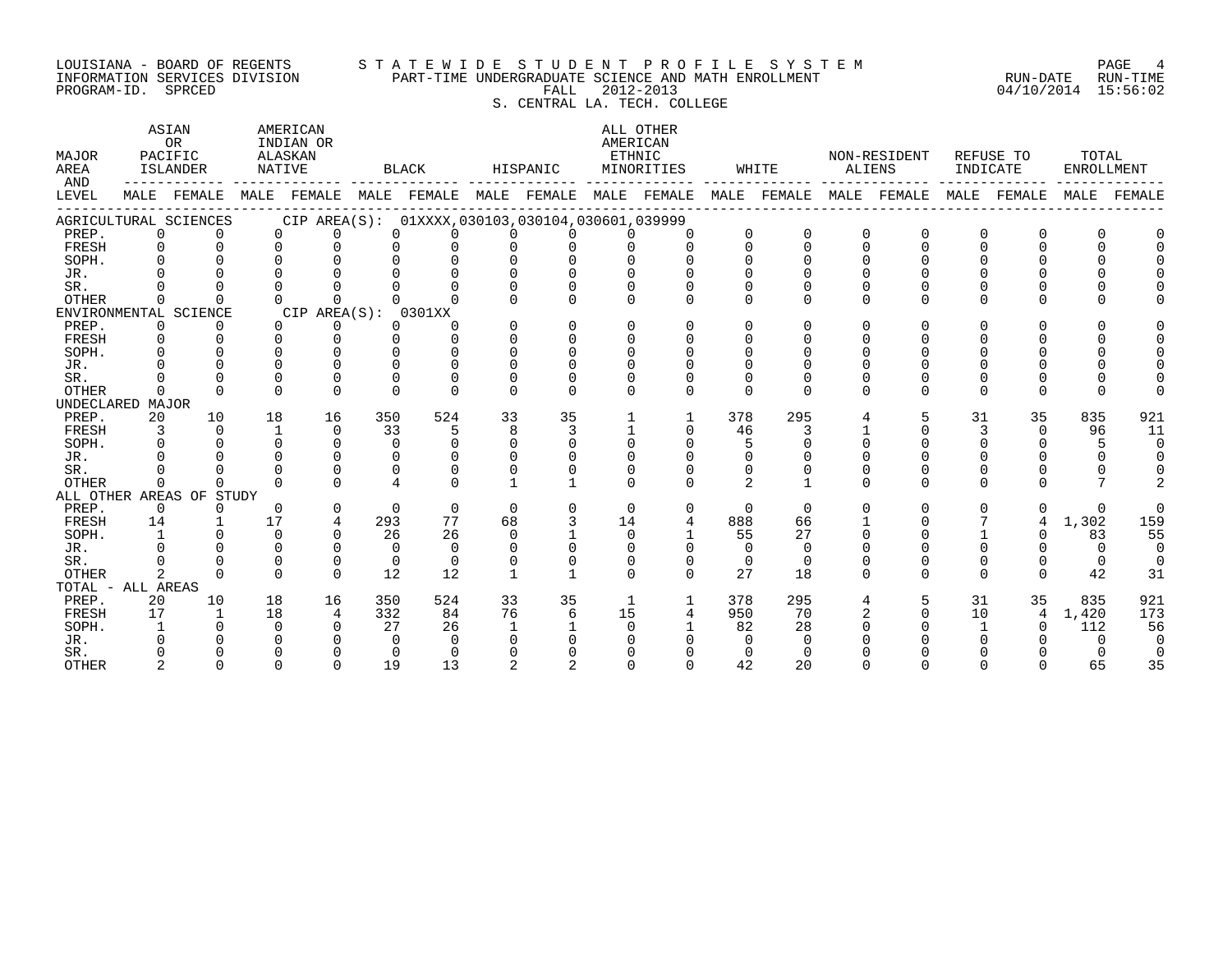# LOUISIANA - BOARD OF REGENTS S T A T E W I D E S T U D E N T P R O F I L E S Y S T E M PAGE 4 INFORMATION SERVICES DIVISION PART-TIME UNDERGRADUATE SCIENCE AND MATH ENROLLMENT RUN-DATE RUN-TIME EQUISIANA - BOARD OF REGENTS STATEWIDE STUDENT PROFILE SYSTEM PAGE 4<br>INFORMATION SERVICES DIVISION PART-TIME UNDERGRADUATE SCIENCE AND MATH ENROLLMENT RUN - RUN-DATE RUN-TIME<br>PROGRAM-ID. SPRCED 15:56:02 S. CENTRAL LA. TECH. COLLEGE

| MAJOR<br>AREA<br>AND |              | ASIAN<br>0R<br>PACIFIC<br><b>ISLANDER</b>                                           | NATIVE      | AMERICAN<br>INDIAN OR<br>ALASKAN                |              | BLACK    |              | HISPANIC | AMERICAN<br>ETHNIC | ALL OTHER<br>MINORITIES |          | WHITE    | <b>ALIENS</b> | NON-RESIDENT | INDICATE | REFUSE TO   | TOTAL<br><b>ENROLLMENT</b> |             |
|----------------------|--------------|-------------------------------------------------------------------------------------|-------------|-------------------------------------------------|--------------|----------|--------------|----------|--------------------|-------------------------|----------|----------|---------------|--------------|----------|-------------|----------------------------|-------------|
| LEVEL                |              | MALE FEMALE MALE FEMALE MALE FEMALE MALE FEMALE MALE FEMALE MALE FEMALE MALE FEMALE |             |                                                 |              |          |              |          |                    |                         |          |          |               |              |          | MALE FEMALE |                            | MALE FEMALE |
|                      |              | AGRICULTURAL SCIENCES                                                               |             | CIP AREA(S): 01XXXX,030103,030104,030601,039999 |              |          |              |          |                    |                         |          |          |               |              |          |             |                            |             |
| PREP.                | 0            | $\Omega$                                                                            | $\Omega$    | $\Omega$                                        | <sup>n</sup> |          |              |          |                    |                         | $\Omega$ | 0        | $\Omega$      | $\Omega$     | O        |             |                            |             |
| FRESH                |              |                                                                                     | $\Omega$    |                                                 |              |          |              |          |                    |                         | $\Omega$ | $\Omega$ | $\Omega$      | $\Omega$     |          |             |                            |             |
| SOPH.                |              |                                                                                     |             |                                                 |              |          |              |          |                    |                         |          |          |               |              |          |             |                            |             |
| JR.                  |              |                                                                                     |             |                                                 |              |          |              |          |                    |                         |          |          |               |              |          |             |                            |             |
| SR.                  |              |                                                                                     |             |                                                 |              |          |              |          |                    |                         |          |          |               |              |          |             |                            |             |
| <b>OTHER</b>         | 0            |                                                                                     |             | <sup>n</sup>                                    |              |          |              |          |                    |                         | ∩        | ∩        | ∩             | <sup>n</sup> |          |             |                            |             |
|                      |              | ENVIRONMENTAL SCIENCE                                                               |             | CIP AREA(S): 0301XX                             |              |          |              |          |                    |                         |          |          |               |              |          |             |                            |             |
| PREP.                | 0            | $\Omega$                                                                            | $\Omega$    | $\Omega$                                        | 0            | O        | $\Omega$     |          | $\Omega$           |                         | 0        |          |               | U            |          | ∩           |                            |             |
| FRESH                | 0            |                                                                                     | ∩           | $\Omega$                                        | $\cap$       | $\cap$   | U            |          |                    |                         |          |          |               |              |          |             |                            |             |
| SOPH.                |              |                                                                                     |             | $\Omega$                                        |              | 0        | 0            |          |                    |                         |          |          |               |              |          |             |                            |             |
| JR.                  |              |                                                                                     |             |                                                 |              | $\Omega$ |              |          |                    |                         |          |          |               |              |          |             |                            |             |
| SR.                  |              |                                                                                     |             | $\Omega$                                        | U            | $\Omega$ | $\Omega$     |          |                    |                         |          |          |               |              |          |             |                            |             |
| <b>OTHER</b>         | 0            |                                                                                     | n           | $\Omega$                                        | <sup>n</sup> | $\Omega$ | $\Omega$     |          | ∩                  | ∩                       | $\Omega$ | $\Omega$ | $\cap$        | U            | O        | $\Omega$    |                            |             |
| UNDECLARED MAJOR     |              |                                                                                     |             |                                                 |              |          |              |          |                    |                         |          |          |               |              |          |             |                            |             |
| PREP.                | 20           | 10                                                                                  | 18          | 16                                              | 350          | 524      | 33           | 35       |                    |                         | 378      | 295      |               | 5            | 31       | 35          | 835                        | 921         |
| FRESH                |              | $\Omega$                                                                            | $\mathbf 1$ | $\Omega$                                        | 33           | 5        | 8            | 3        |                    | $\Omega$                | 46       | 3        |               | $\Omega$     | 3        | $\Omega$    | 96                         | 11          |
| SOPH.                |              |                                                                                     |             | $\cap$                                          | $\Omega$     | $\Omega$ | $\Omega$     |          | $\Omega$           |                         | 5        |          |               |              |          | U           |                            | $\Omega$    |
| JR.                  |              |                                                                                     |             | ∩                                               | <sup>n</sup> |          |              |          |                    |                         |          |          |               |              |          |             |                            |             |
| SR.                  |              |                                                                                     |             | $\Omega$                                        | $\Omega$     | $\Omega$ |              |          |                    |                         | $\Omega$ |          |               |              |          |             |                            |             |
| <b>OTHER</b>         | 0            | $\Omega$                                                                            | $\cap$      | $\Omega$                                        | 4            | 0        |              |          | ∩                  |                         | 2        |          | $\Omega$      | $\Omega$     | 0        |             |                            |             |
|                      |              | ALL OTHER AREAS OF STUDY                                                            |             |                                                 |              |          |              |          |                    |                         |          |          |               |              |          |             |                            |             |
| PREP.                | 0            | $\Omega$                                                                            | $\Omega$    | 0                                               | $\Omega$     | $\Omega$ | 0            | $\Omega$ | $\Omega$           | $\Omega$                | $\Omega$ | $\Omega$ | $\Omega$      | $\Omega$     | 0        | 0           | $\Omega$                   |             |
| FRESH                | 14           |                                                                                     | 17          | 4                                               | 293          | 77       | 68           |          | 14                 |                         | 888      | 66       |               |              |          | 4           | 1,302                      | 159         |
| SOPH.                | $\mathbf{1}$ |                                                                                     | $\Omega$    | $\Omega$                                        | 26           | 26       | $\Omega$     |          | $\Omega$           |                         | 55       | 27       |               |              |          | 0           | 83                         | 55          |
| JR.                  |              |                                                                                     | $\Omega$    | $\Omega$                                        | $\Omega$     | $\Omega$ | $\Omega$     |          |                    |                         | $\Omega$ | $\Omega$ |               |              |          |             | $\Omega$                   | $\Omega$    |
| SR.                  |              |                                                                                     | $\Omega$    | $\Omega$                                        | $\Omega$     | $\Omega$ | $\Omega$     |          | ∩                  | $\Omega$                | $\Omega$ | $\Omega$ |               |              | 0        | 0           | $\Omega$                   |             |
| <b>OTHER</b>         | 2            | $\cap$                                                                              | $\Omega$    | $\Omega$                                        | 12           | 12       |              |          | $\cap$             | $\cap$                  | 27       | 18       |               | <sup>n</sup> | 0        | $\Omega$    | 42                         | 31          |
| TOTAL - ALL AREAS    |              |                                                                                     |             |                                                 |              |          |              |          |                    |                         |          |          |               |              |          |             |                            |             |
| PREP.                | 20           | 10                                                                                  | 18          | 16                                              | 350          | 524      | 33           | 35       | 1                  | 1                       | 378      | 295      |               | 5            | 31       | 35          | 835                        | 921         |
| FRESH                | 17           | $\mathbf{1}$                                                                        | 18          | 4                                               | 332          | 84       | 76           | 6        | 15                 | 4                       | 950      | 70       |               | $\Omega$     | 10       | 4           | 1,420                      | 173         |
| SOPH.                |              |                                                                                     | $\Omega$    |                                                 | 27           | 26       | $\mathbf{1}$ |          | <sup>n</sup>       |                         | 82       | 28       |               |              |          |             | 112                        | 56          |
| JR.                  |              |                                                                                     |             |                                                 | 0            | $\Omega$ |              |          |                    |                         |          |          |               |              |          |             |                            |             |
| SR.                  |              |                                                                                     |             |                                                 | $\Omega$     | $\Omega$ |              |          |                    |                         |          |          |               |              |          |             |                            |             |
| <b>OTHER</b>         |              | $\Omega$                                                                            | $\Omega$    | $\Omega$                                        | 19           | 13       |              |          |                    |                         | 42       | 20       |               |              |          |             | 65                         | 35          |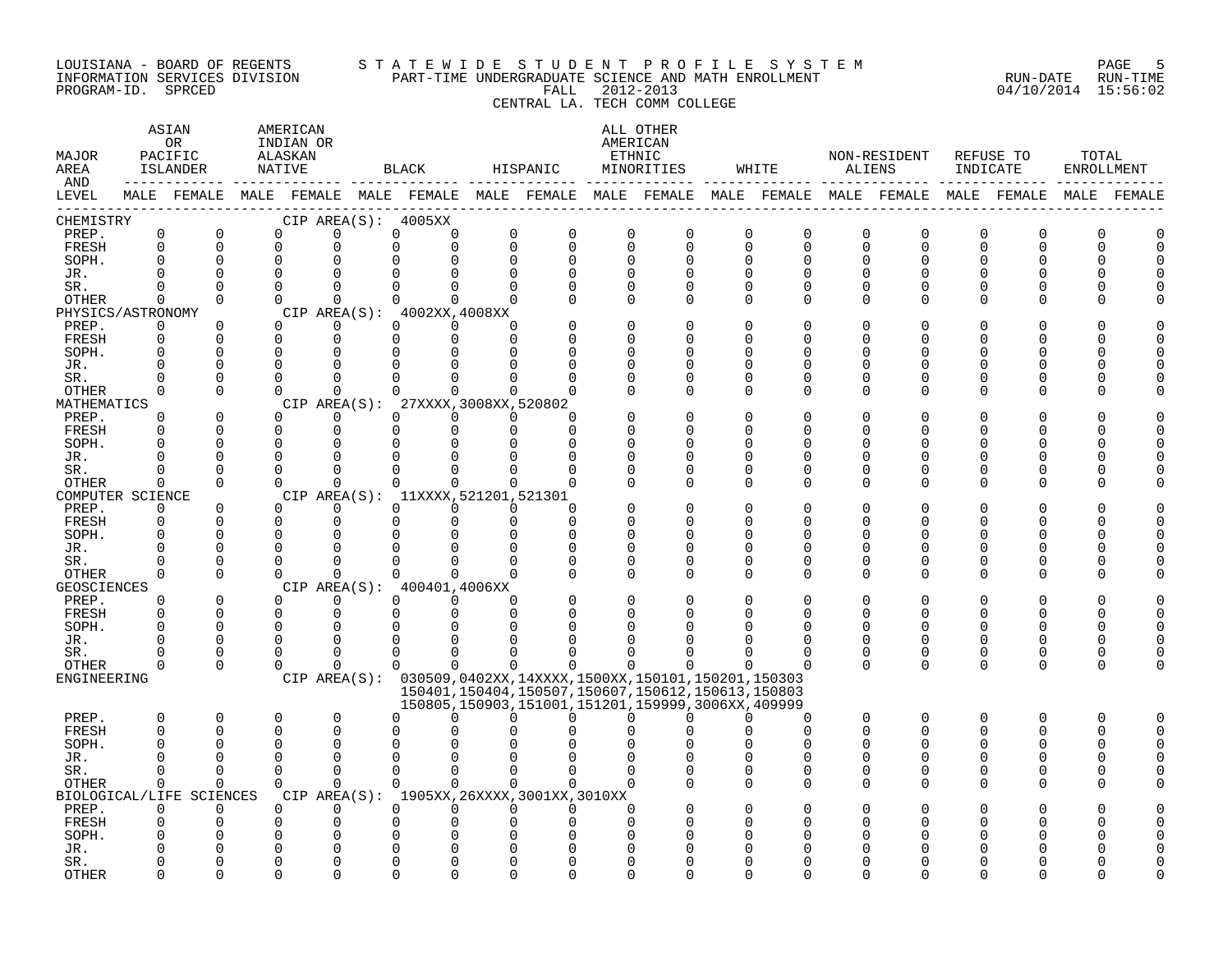#### LOUISIANA - BOARD OF REGENTS S T A T E W I D E S T U D E N T P R O F I L E S Y S T E M PAGE 5 INFORMATION SERVICES DIVISION PART-TIME UNDERGRADUATE SCIENCE AND MATH ENROLLMENT RUN-DATE RUN-TIME PROGRAM-ID. SPRCED FALL 2012-2013 04/10/2014 15:56:02 CENTRAL LA. TECH COMM COLLEGE

### ASTAN AMERICAN ANG ANG ANG ASTANG ASTANG ALL OTHER OR INDIAN OR **AMERICAN** MAJOR PACIFIC ALASKAN ETHNIC NON-RESIDENT REFUSE TO TOTAL AREA ISLANDER NATIVE BLACK HISPANIC MINORITIES WHITE ALIENS INDICATE ENROLLMENT AND ------------ ------------- ------------- ------------- ------------- ------------- ------------- ------------- ------------- LEVEL MALE FEMALE MALE FEMALE MALE FEMALE MALE FEMALE MALE FEMALE MALE FEMALE MALE FEMALE MALE FEMALE MALE FEMALE ------------------------------------------------------------------------------------------------------------------------------------ CHEMISTRY CIP AREA(S): 4005XX PREP. 0 0 0 0 0 0 0 0 0 0 0 0 0 0 0 0 0 0 FRESH 0 0 0 0 0 0 0 0 0 0 0 0 0 0 0 0 0 0 SOPH. 0 0 0 0 0 0 0 0 0 0 0 0 0 0 0 0 0 0 JR. 0 0 0 0 0 0 0 0 0 0 0 0 0 0 0 0 0 0 SR. 0 0 0 0 0 0 0 0 0 0 0 0 0 0 0 0 0 0 OTHER 0 0 0 0 0 0 0 0 0 0 0 0 0 0 0 0 0 0 PHYSICS/ASTRONOMY CIP AREA(S): 4002XX,4008XX<br>
PREP. 0 0 0 0 0 0 0 PREP. 0 0 0 0 0 0 0 0 0 0 0 0 0 0 0 0 0 0 FRESH 0 0 0 0 0 0 0 0 0 0 0 0 0 0 0 0 0 0 SOPH. 0 0 0 0 0 0 0 0 0 0 0 0 0 0 0 0 0 0 JR. 0 0 0 0 0 0 0 0 0 0 0 0 0 0 0 0 0 0 SR. 0 0 0 0 0 0 0 0 0 0 0 0 0 0 0 0 0 0 OTHER 0 0 0 0 0 0 0 0 0 0 0 0 0 0 0 0 0 0 MATHEMATICS CIP AREA(S): 27XXXX,3008XX,520802<br>
PREP. 0 0 0 0 0 0 0 PREP. 0 0 0 0 0 0 0 0 0 0 0 0 0 0 0 0 0 0 FRESH 0 0 0 0 0 0 0 0 0 0 0 0 0 0 0 0 0 0 SOPH. 0 0 0 0 0 0 0 0 0 0 0 0 0 0 0 0 0 0 JR. 0 0 0 0 0 0 0 0 0 0 0 0 0 0 0 0 0 0 SR. 0 0 0 0 0 0 0 0 0 0 0 0 0 0 0 0 0 0 OTHER 0 0 0 0 0 0 0 0 0 0 0 0 0 0 0 0 0 0 COMPUTER SCIENCE CIP AREA(S): 11XXXX,521201,521301<br>
PREP. 0 0 0 0 0 0 0 PREP. 0 0 0 0 0 0 0 0 0 0 0 0 0 0 0 0 0 0 FRESH 0 0 0 0 0 0 0 0 0 0 0 0 0 0 0 0 0 0 SOPH. 0 0 0 0 0 0 0 0 0 0 0 0 0 0 0 0 0 0 JR. 0 0 0 0 0 0 0 0 0 0 0 0 0 0 0 0 0 0 SR. 0 0 0 0 0 0 0 0 0 0 0 0 0 0 0 0 0 0 OTHER 0 0 0 0 0 0 0 0 0 0 0 0 0 0 0 0 0 0 GEOSCIENCES CIPAREA(S): 400401,4006XX<br>
PREP. 0 0 0 0 0 0 PREP. 0 0 0 0 0 0 0 0 0 0 0 0 0 0 0 0 0 0 FRESH 0 0 0 0 0 0 0 0 0 0 0 0 0 0 0 0 0 0 SOPH. 0 0 0 0 0 0 0 0 0 0 0 0 0 0 0 0 0 0 JR. 0 0 0 0 0 0 0 0 0 0 0 0 0 0 0 0 0 0 SR. 0 0 0 0 0 0 0 0 0 0 0 0 0 0 0 0 0 0 OTHER 0 0 0 0 0 0 0 0 0 0 0 0 0 0 0 0 0 0 ENGINEERING CIP AREA(S): 030509,0402XX,14XXXX,1500XX,150101,150201,150303 150401,150404,150507,150607,150612,150613,150803 150805,150903,151001,151201,159999,3006XX,409999 PREP. 0 0 0 0 0 0 0 0 0 0 0 0 0 0 0 0 0 0 FRESH 0 0 0 0 0 0 0 0 0 0 0 0 0 0 0 0 0 0 SOPH. 0 0 0 0 0 0 0 0 0 0 0 0 0 0 0 0 0 0 JR. 0 0 0 0 0 0 0 0 0 0 0 0 0 0 0 0 0 0 SR. 0 0 0 0 0 0 0 0 0 0 0 0 0 0 0 0 0 0 OTHER 0 0 0 0 0 0 0 0 0 0 0 0 0 0 0 0 0 0 BIOLOGICAL/LIFE SCIENCES CIP AREA(S): 1905XX,26XXXX,3001XX,3010XX PREP. 0 0 0 0 0 0 0 0 0 0 0 0 0 0 0 0 0 0 FRESH 0 0 0 0 0 0 0 0 0 0 0 0 0 0 0 0 0 0 SOPH. 0 0 0 0 0 0 0 0 0 0 0 0 0 0 0 0 0 0 JR. 0 0 0 0 0 0 0 0 0 0 0 0 0 0 0 0 0 0 SR. 0 0 0 0 0 0 0 0 0 0 0 0 0 0 0 0 0 0

OTHER 0 0 0 0 0 0 0 0 0 0 0 0 0 0 0 0 0 0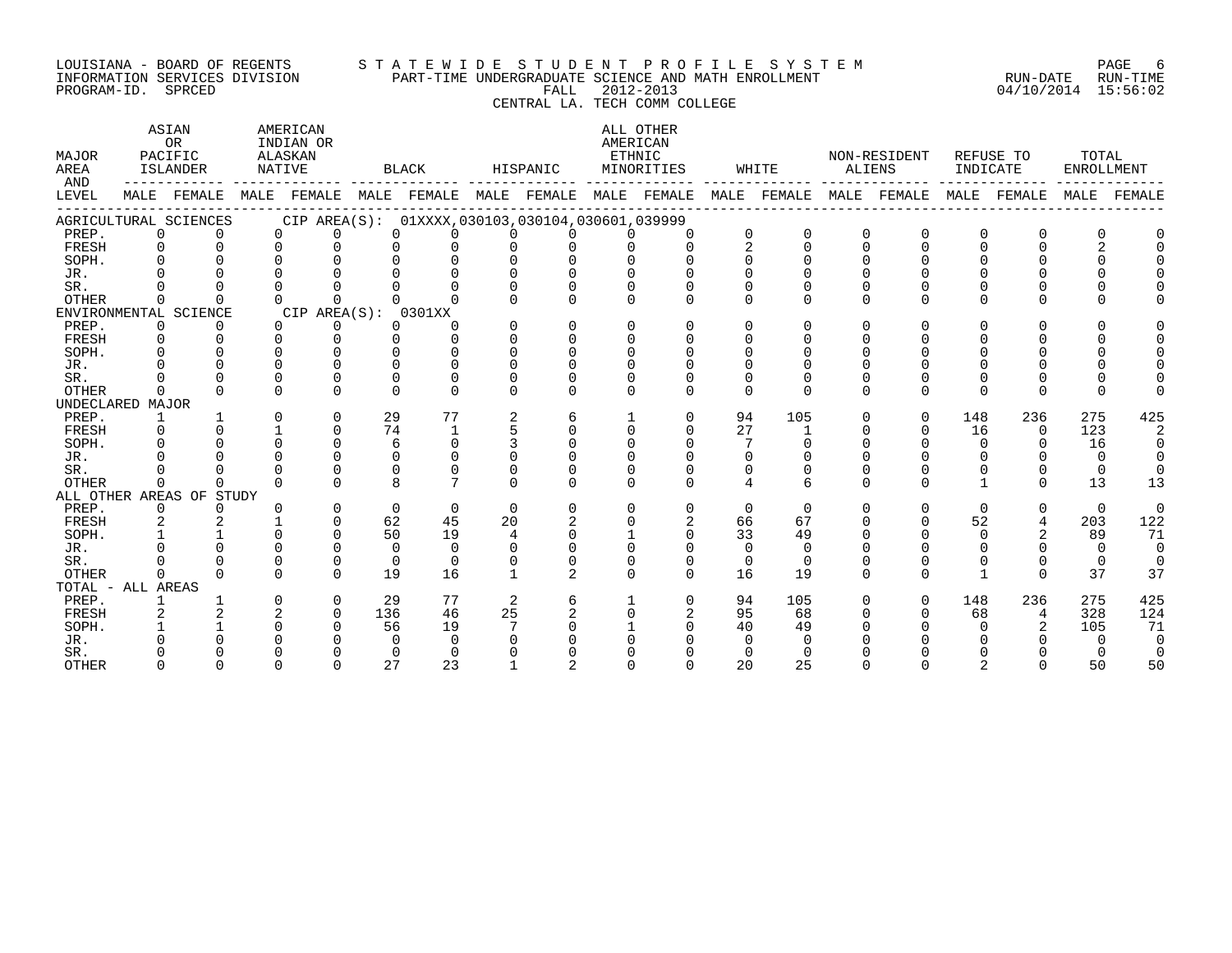#### LOUISIANA - BOARD OF REGENTS S T A T E W I D E S T U D E N T P R O F I L E S Y S T E M PAGE 6 INFORMATION SERVICES DIVISION PART-TIME UNDERGRADUATE SCIENCE AND MATH ENROLLMENT RUN-DATE RUN-TIME PROGRAM-ID. SPRCED FALL 2012-2013 04/10/2014 15:56:02

# CENTRAL LA. TECH COMM COLLEGE

ASTAN AMERICAN AMERICAN ASTAN ALL OTHER OR INDIAN OR **AMERICAN** MAJOR PACIFIC ALASKAN ETHNIC NON-RESIDENT REFUSE TO TOTAL AREA ISLANDER NATIVE BLACK HISPANIC MINORITIES WHITE ALIENS INDICATE ENROLLMENT AND ------------ ------------- ------------- ------------- ------------- ------------- ------------- ------------- ------------- LEVEL MALE FEMALE MALE FEMALE MALE FEMALE MALE FEMALE MALE FEMALE MALE FEMALE MALE FEMALE MALE FEMALE MALE FEMALE ------------------------------------------------------------------------------------------------------------------------------------ AGRICULTURAL SCIENCES CIP AREA(S): 01XXXX,030103,030104,030601,039999 PREP. 0 0 0 0 0 0 0 0 0 0 0 0 0 0 0 0 0 0 FRESH 0 0 0 0 0 0 0 0 0 0 2 0 0 0 0 0 2 0 SOPH. 0 0 0 0 0 0 0 0 0 0 0 0 0 0 0 0 0 0 JR. 0 0 0 0 0 0 0 0 0 0 0 0 0 0 0 0 0 0 SR. 0 0 0 0 0 0 0 0 0 0 0 0 0 0 0 0 0 0 OTHER 0 0 0 0 0 0 0 0 0 0 0 0 0 0 0 0 0 0 ENVIRONMENTAL SCIENCE CIP AREA(S): 0301XX<br>
PREP. 0 0 0 0 0 0 PREP. 0 0 0 0 0 0 0 0 0 0 0 0 0 0 0 0 0 0 FRESH 0 0 0 0 0 0 0 0 0 0 0 0 0 0 0 0 0 0 SOPH. 0 0 0 0 0 0 0 0 0 0 0 0 0 0 0 0 0 0 JR. 0 0 0 0 0 0 0 0 0 0 0 0 0 0 0 0 0 0 SR. 0 0 0 0 0 0 0 0 0 0 0 0 0 0 0 0 0 0 OTHER 0 0 0 0 0 0 0 0 0 0 0 0 0 0 0 0 0 0 UNDECLARED MAJOR PREP. 1 1 0 0 29 77 2 6 1 0 94 105 0 0 148 236 275 425 FRESH 0 0 1 0 74 1 5 0 0 0 27 1 0 0 16 0 123 2 SOPH. 0 0 0 0 6 0 3 0 0 0 7 0 0 0 0 0 16 0 JR. 0 0 0 0 0 0 0 0 0 0 0 0 0 0 0 0 0 0 SR. 0 0 0 0 0 0 0 0 0 0 0 0 0 0 0 0 0 0 OTHER 0 0 0 0 8 7 0 0 0 0 4 6 0 0 1 0 13 13 ALL OTHER AREAS OF STUDY PREP. 0 0 0 0 0 0 0 0 0 0 0 0 0 0 0 0 0 0 FRESH 2 2 1 0 62 45 20 2 0 2 66 67 0 0 52 4 203 122 SOPH. 1 1 0 0 50 19 4 0 1 0 33 49 0 0 0 2 89 71 JR. 0 0 0 0 0 0 0 0 0 0 0 0 0 0 0 0 0 0 SR. 0 0 0 0 0 0 0 0 0 0 0 0 0 0 0 0 0 0 OTHER 0 0 0 0 19 16 1 2 0 0 16 19 0 0 1 0 37 37 TOTAL - ALL AREAS PREP. 1 1 0 0 29 77 2 6 1 0 94 105 0 0 148 236 275 425 FRESH 2 2 2 0 136 46 25 2 0 2 95 68 0 0 68 4 328 124 SOPH. 1 1 0 0 56 19 7 0 1 0 40 49 0 0 0 2 105 71 JR. 0 0 0 0 0 0 0 0 0 0 0 0 0 0 0 0 0 0 SR. 0 0 0 0 0 0 0 0 0 0 0 0 0 0 0 0 0 0 OTHER 0 0 0 0 27 23 1 2 0 0 20 25 0 0 2 0 50 50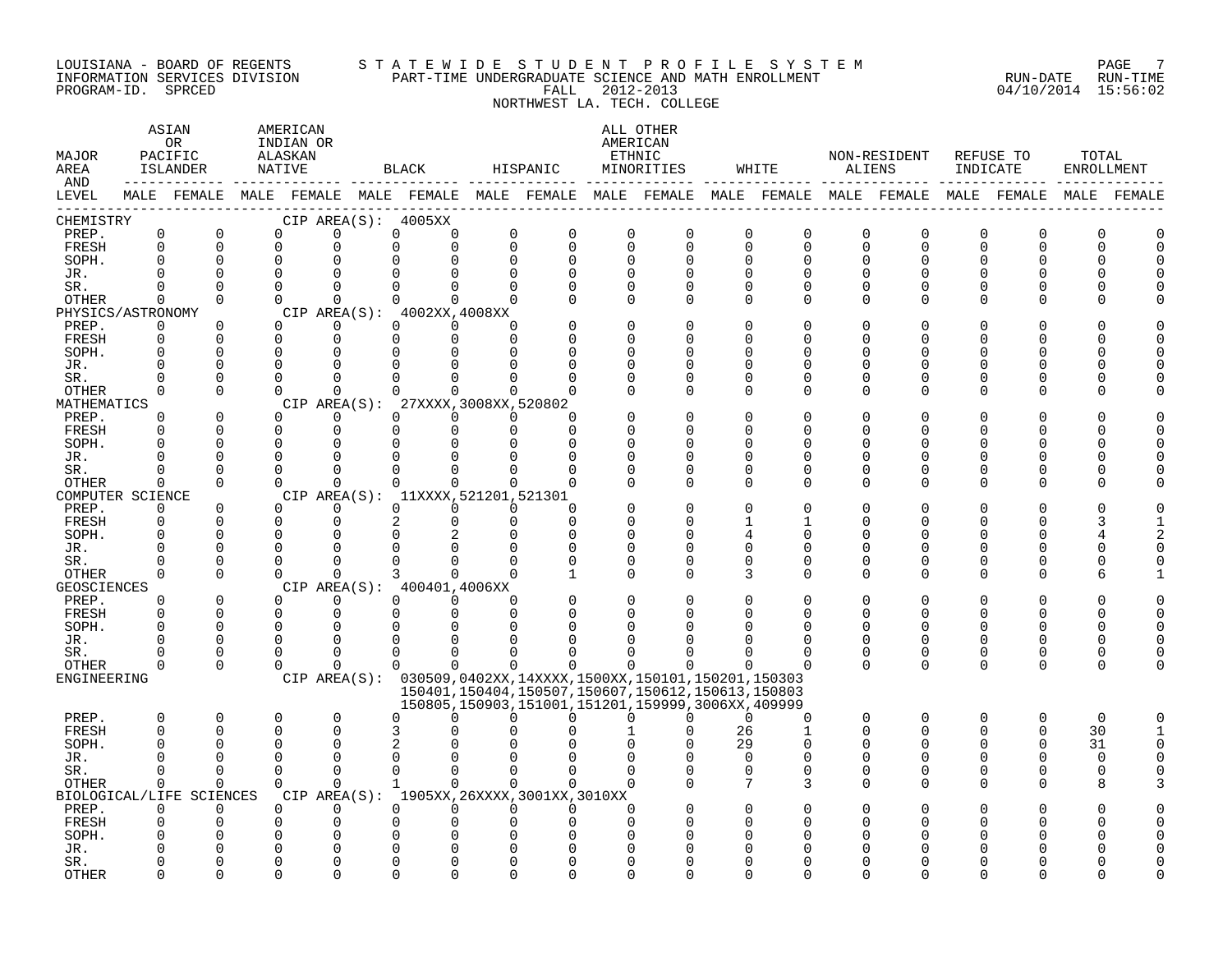#### LOUISIANA - BOARD OF REGENTS S T A T E W I D E S T U D E N T P R O F I L E S Y S T E M PAGE 7 INFORMATION SERVICES DIVISION PART-TIME UNDERGRADUATE SCIENCE AND MATH ENROLLMENT RUN-DATE RUN-TIME PROGRAM-ID. SPRCED FALL 2012-2013 04/10/2014 15:56:02

# NORTHWEST LA. TECH. COLLEGE

| MAJOR<br>AREA<br>AND |                         | ASIAN<br>OR.<br>PACIFIC<br>ISLANDER<br>------------- ---- | AMERICAN<br>INDIAN OR<br>ALASKAN<br>NATIVE |               | <b>BLACK</b>                                    |                         | HISPANIC                                                                                                         |                          | ALL OTHER<br>AMERICAN<br>ETHNIC<br>MINORITIES |                            | WHITE                      | ALIENS        | NON-RESIDENT                                                                                           | INDICATE      | REFUSE TO         | TOTAL<br>ENROLLMENT |             |
|----------------------|-------------------------|-----------------------------------------------------------|--------------------------------------------|---------------|-------------------------------------------------|-------------------------|------------------------------------------------------------------------------------------------------------------|--------------------------|-----------------------------------------------|----------------------------|----------------------------|---------------|--------------------------------------------------------------------------------------------------------|---------------|-------------------|---------------------|-------------|
| LEVEL                |                         |                                                           |                                            |               |                                                 |                         |                                                                                                                  |                          |                                               |                            |                            |               | MALE FEMALE MALE FEMALE MALE FEMALE MALE FEMALE MALE FEMALE MALE FEMALE MALE FEMALE MALE FEMALE FEMALE |               |                   |                     | MALE FEMALE |
| CHEMISTRY            |                         |                                                           |                                            |               | CIP AREA(S): 4005XX                             |                         |                                                                                                                  |                          |                                               |                            |                            |               |                                                                                                        |               |                   |                     |             |
| PREP.<br>FRESH       | $\mathbf 0$<br>$\Omega$ | $\mathbf 0$<br>$\mathbf 0$                                | 0<br>$\Omega$                              | 0<br>$\Omega$ | 0<br>0<br>U<br>0                                | $\mathbf 0$<br>$\Omega$ | $\mathbf 0$<br>$\Omega$                                                                                          | $\mathbf{0}$<br>$\Omega$ | 0<br>$\Omega$                                 | $\mathbf 0$<br>$\mathbf 0$ | $\mathbf 0$<br>$\mathbf 0$ | 0<br>$\Omega$ | $\mathbf 0$<br>$\Omega$                                                                                | 0<br>$\Omega$ | 0<br>0            | 0<br>O              |             |
| SOPH.                | <sup>0</sup>            | $\mathbf 0$                                               | $\mathbf 0$                                |               | $\Omega$                                        | $\mathbf 0$             | 0                                                                                                                | $\Omega$                 | $\Omega$                                      | $\Omega$                   | 0                          | $\Omega$      | 0                                                                                                      | 0             | 0                 |                     |             |
| JR.                  | $\Omega$                |                                                           | $\Omega$                                   |               | $\Omega$                                        | $\Omega$                | $\Omega$                                                                                                         | $\cap$                   | $\cap$                                        | $\Omega$                   | $\Omega$                   |               | $\Omega$                                                                                               |               | $\Omega$          |                     |             |
| SR.                  | $\Omega$                | $\Omega$                                                  | $\Omega$                                   | $\Omega$      | $\Omega$<br>$\Omega$                            | $\Omega$                | $\Omega$                                                                                                         | $\Omega$                 | $\Omega$                                      | $\Omega$                   | 0                          | $\Omega$      | $\Omega$                                                                                               | O             | 0                 |                     |             |
| <b>OTHER</b>         | 0                       | $\Omega$                                                  | $\Omega$                                   | $\Omega$      | $\Omega$<br>$\Omega$                            | $\Omega$                |                                                                                                                  | $\Omega$                 | $\Omega$                                      | $\Omega$                   | $\Omega$                   | $\Omega$      | $\Omega$                                                                                               | $\Omega$      | 0                 |                     |             |
| PHYSICS/ASTRONOMY    |                         |                                                           |                                            |               | CIP AREA(S): 4002XX, 4008XX                     |                         |                                                                                                                  |                          |                                               |                            |                            |               |                                                                                                        |               |                   |                     |             |
| PREP.                | 0                       | 0                                                         | $\Omega$                                   | $\Omega$      | $\Omega$<br>$\Omega$                            | $\Omega$                |                                                                                                                  | $\Omega$                 | $\Omega$                                      | $\Omega$                   | 0                          |               | 0                                                                                                      | 0             | O                 |                     |             |
| FRESH                | 0                       | $\Omega$                                                  | $\Omega$                                   | $\mathbf 0$   | $\Omega$<br>$\mathbf 0$                         | $\Omega$                |                                                                                                                  | ∩                        | U                                             | U                          | $\Omega$                   |               | ∩                                                                                                      | ∩             | 0                 |                     |             |
| SOPH.                |                         |                                                           | $\Omega$                                   | $\Omega$      | U<br>$\Omega$                                   | $\Omega$                |                                                                                                                  | ∩                        | $\Omega$                                      | $\Omega$                   | $\Omega$                   |               | ∩                                                                                                      |               | O                 |                     |             |
| JR.                  | O                       |                                                           |                                            | $\Omega$      | $\Omega$<br>0                                   | $\Omega$                |                                                                                                                  | $\Omega$                 | 0                                             | $\Omega$                   | 0                          | ∩             | $\Omega$                                                                                               |               | 0                 |                     |             |
| SR.                  | $\Omega$                | $\Omega$                                                  | $\Omega$                                   | $\Omega$      | U<br>$\Omega$                                   | $\Omega$                |                                                                                                                  | ∩                        | $\Omega$                                      | $\Omega$                   | $\mathbf 0$                | $\cap$        | $\Omega$                                                                                               | U             | 0                 |                     |             |
| <b>OTHER</b>         | $\Omega$                | $\Omega$                                                  | $\Omega$                                   | $\Omega$      | $\Omega$<br>$\Omega$                            | $\Omega$                |                                                                                                                  |                          | $\Omega$                                      | $\Omega$                   | $\Omega$                   | $\Omega$      | $\Omega$                                                                                               | O             | 0                 |                     |             |
| MATHEMATICS          |                         | $\Omega$                                                  |                                            | $\Omega$      | CIP AREA(S): 27XXXX, 3008XX, 520802<br>$\Omega$ |                         |                                                                                                                  |                          | $\Omega$                                      | $\Omega$                   |                            |               | $\Omega$                                                                                               |               |                   |                     |             |
| PREP.<br>FRESH       | $\Omega$                | $\Omega$                                                  | $\Omega$<br>$\Omega$                       | $\Omega$      | $\Omega$<br>0<br>$\mathbf 0$                    | $\Omega$<br>$\mathbf 0$ | $\Omega$                                                                                                         |                          |                                               | O                          | $\Omega$<br>$\Omega$       | ∩             | ∩                                                                                                      | U             | O<br><sup>0</sup> |                     |             |
| SOPH.                | 0                       | $\Omega$                                                  | $\cap$                                     | ∩             | $\Omega$<br>$\Omega$                            | $\Omega$                | $\Omega$                                                                                                         | ∩                        | ∩                                             | ∩                          | $\Omega$                   |               | ∩                                                                                                      |               | U                 |                     |             |
| JR.                  | $\Omega$                | 0                                                         | $\Omega$                                   | $\Omega$      | $\Omega$<br>$\Omega$                            | $\mathbf 0$             | $\Omega$                                                                                                         | $\Omega$                 | $\Omega$                                      | $\Omega$                   | 0                          | ∩             | $\Omega$                                                                                               |               | 0                 |                     |             |
| SR.                  | O                       | $\Omega$                                                  | $\Omega$                                   | $\Omega$      | $\Omega$<br>$\Omega$                            | $\Omega$                |                                                                                                                  | $\Omega$                 | $\Omega$                                      | 0                          | 0                          | <sup>0</sup>  | 0                                                                                                      | O             | 0                 |                     |             |
| <b>OTHER</b>         | $\Omega$                | $\Omega$                                                  | $\Omega$                                   | $\Omega$      | $\Omega$<br>$\Omega$                            | $\Omega$                | $\Omega$                                                                                                         | $\Omega$                 | $\Omega$                                      | $\Omega$                   | $\Omega$                   | $\Omega$      | $\Omega$                                                                                               | U             | $\Omega$          |                     |             |
| COMPUTER SCIENCE     |                         |                                                           |                                            |               | CIP AREA(S): 11XXXX, 521201, 521301             |                         |                                                                                                                  |                          |                                               |                            |                            |               |                                                                                                        |               |                   |                     |             |
| PREP.                | $\Omega$                | $\mathbf 0$                                               |                                            | $\Omega$      | 0<br>$\Omega$                                   | $\Omega$                | $\Omega$                                                                                                         | O                        | U                                             | $\Omega$                   | $\Omega$                   |               | ∩                                                                                                      |               | U                 |                     |             |
| FRESH                | 0                       | $\mathbf 0$                                               | $\Omega$                                   | $\Omega$      | $\overline{a}$<br>0                             | $\mathbf 0$             | $\Omega$                                                                                                         | ∩                        | U                                             | 1                          | 1                          | $\cap$        | $\Omega$                                                                                               | U             | <sup>0</sup>      |                     |             |
| SOPH.                | O                       | $\Omega$                                                  | $\Omega$                                   | $\Omega$      | 0<br>2                                          | $\Omega$                | $\Omega$                                                                                                         | $\Omega$                 | U                                             | 4                          | $\Omega$                   |               | $\Omega$                                                                                               |               | <sup>0</sup>      |                     |             |
| JR.                  | ∩                       | 0                                                         | n                                          | ∩             | U<br>0                                          | 0                       | $\Omega$                                                                                                         | $\Omega$                 | $\Omega$                                      | 0                          | 0                          | ∩             | 0                                                                                                      | U             | 0                 |                     |             |
| SR.                  |                         | $\Omega$                                                  |                                            | $\Omega$      | $\Omega$<br>$\Omega$                            | $\Omega$                |                                                                                                                  | $\Omega$                 | U                                             | $\Omega$                   | $\Omega$                   | ∩             | $\Omega$                                                                                               | U             | 0                 |                     |             |
| <b>OTHER</b>         | $\Omega$                | $\Omega$                                                  | $\Omega$                                   | $\Omega$      | 3<br>0                                          | $\Omega$                |                                                                                                                  | $\Omega$                 | 0                                             | 3                          | $\Omega$                   | $\cap$        | ∩                                                                                                      | U             | <sup>0</sup>      |                     |             |
| GEOSCIENCES          |                         |                                                           |                                            |               | CIP AREA(S): 400401,4006XX                      |                         |                                                                                                                  |                          |                                               |                            |                            |               |                                                                                                        |               |                   |                     |             |
| PREP.                | $\Omega$                | $\mathbf 0$                                               | $\Omega$                                   | $\Omega$      | $\Omega$<br>$\Omega$                            | $\Omega$                |                                                                                                                  | $\Omega$                 | $\Omega$                                      | $\Omega$                   | $\Omega$                   |               | $\Omega$                                                                                               | 0             | <sup>0</sup>      |                     |             |
| FRESH                | 0                       | 0                                                         | $\Omega$                                   | $\mathbf 0$   | 0<br>$\mathbf 0$                                | $\mathbf 0$             | $\Omega$                                                                                                         | $\Omega$                 | 0                                             | $\Omega$                   | $\Omega$                   | $\Omega$      | $\Omega$                                                                                               | 0             | 0                 | O                   |             |
| SOPH.                | $\Omega$                | $\overline{0}$                                            | $\Omega$                                   | $\Omega$      | $\Omega$<br>$\Omega$                            | $\Omega$                |                                                                                                                  |                          |                                               |                            |                            |               | $\Omega$                                                                                               |               | $\Omega$          |                     |             |
| JR.                  | O                       | $\mathbf 0$                                               | $\Omega$                                   | $\Omega$      | $\Omega$<br>$\Omega$                            | $\Omega$                |                                                                                                                  |                          |                                               | ∩                          | $\Omega$                   | ∩             | $\Omega$                                                                                               | O             | 0                 | O                   |             |
| SR.                  | O                       | 0                                                         | ∩                                          | 0             | 0<br>0                                          | 0                       |                                                                                                                  |                          |                                               |                            | 0                          | $\Omega$      | 0                                                                                                      | 0             | 0                 | 0                   |             |
| <b>OTHER</b>         | $\Omega$                | $\Omega$                                                  | $\Omega$                                   | $\Omega$      | $\Omega$<br>$\Omega$                            | $\Omega$                | $\Omega$                                                                                                         | $\Omega$                 | 0                                             |                            |                            | $\Omega$      | $\Omega$                                                                                               | $\Omega$      | $\Omega$          | $\Omega$            |             |
| ENGINEERING          |                         |                                                           |                                            |               |                                                 |                         | CIP AREA(S): 030509,0402XX,14XXXX,1500XX,150101,150201,150303                                                    |                          |                                               |                            |                            |               |                                                                                                        |               |                   |                     |             |
|                      |                         |                                                           |                                            |               |                                                 |                         | 150401, 150404, 150507, 150607, 150612, 150613, 150803<br>150805, 150903, 151001, 151201, 159999, 3006XX, 409999 |                          |                                               |                            |                            |               |                                                                                                        |               |                   |                     |             |
| PREP.                | 0                       | $\mathbf 0$                                               | $\Omega$                                   | 0             | O<br>$\Omega$                                   | $\Omega$                | $\Omega$                                                                                                         | $\Omega$                 | 0                                             | $\Omega$                   | $\mathbf 0$                | $\mathbf 0$   | $\mathbf 0$                                                                                            | 0             | 0                 | $\mathbf 0$         |             |
| FRESH                | $\Omega$                | $\Omega$                                                  | $\Omega$                                   | $\Omega$      | 3<br>U                                          |                         |                                                                                                                  |                          | U                                             | 26                         | $\mathbf{1}$               | $\Omega$      | $\Omega$                                                                                               | $\Omega$      | $\Omega$          | 30                  |             |
| SOPH.                |                         |                                                           | $\Omega$                                   | $\Omega$      | $\overline{2}$<br><sup>0</sup>                  |                         |                                                                                                                  |                          | O                                             | 29                         | $\Omega$                   |               | $\Omega$                                                                                               | 0             | 0                 | 31                  |             |
| JR.                  |                         |                                                           |                                            | $\Omega$      | $\Omega$<br>$\Omega$                            | $\Omega$                |                                                                                                                  | $\cap$                   |                                               | $\Omega$                   | $\mathbf 0$                |               | $\Omega$                                                                                               | ∩             | 0                 | $\Omega$            |             |
| SR.                  | $\Omega$                | $\Omega$                                                  | $\Omega$                                   | $\Omega$      | $\Omega$<br>$\Omega$                            | $\Omega$                | $\Omega$                                                                                                         | $\Omega$                 | $\Omega$                                      | $\Omega$                   | $\mathbf 0$                | $\Omega$      | $\Omega$                                                                                               | $\Omega$      | 0                 | $\Omega$            |             |
| <b>OTHER</b>         | $\Omega$                | $\Omega$                                                  | $\Omega$                                   | $\Omega$      | $\Omega$<br>$\mathbf{1}$                        | $\Omega$                | $\Omega$                                                                                                         | $\Omega$                 |                                               | 7                          | 3                          | $\cap$        | $\Omega$                                                                                               | $\Omega$      | <sup>0</sup>      | 8                   |             |
| BIOLOGICAL/LIFE      |                         | SCIENCES                                                  |                                            |               |                                                 |                         | CIP AREA(S): 1905XX, 26XXXX, 3001XX, 3010XX                                                                      |                          |                                               |                            |                            |               |                                                                                                        |               |                   |                     |             |
| PREP.                | $\Omega$                | $\Omega$                                                  | $\Omega$                                   | $\Omega$      | $\Omega$<br>$\Omega$                            | $\Omega$                | $\Omega$                                                                                                         | ∩                        |                                               | $\Omega$                   |                            |               | $\Omega$                                                                                               |               |                   |                     |             |
| FRESH                | O                       |                                                           |                                            | $\Omega$      | $\Omega$<br>O                                   | $\Omega$                |                                                                                                                  |                          |                                               |                            |                            |               |                                                                                                        |               | O                 |                     |             |
| SOPH.                |                         |                                                           |                                            |               | U<br>$\Omega$                                   | U                       |                                                                                                                  |                          |                                               | U                          |                            |               |                                                                                                        |               | N                 |                     |             |
| JR.                  |                         |                                                           |                                            |               | $\Omega$                                        | $\Omega$                |                                                                                                                  |                          |                                               |                            |                            |               |                                                                                                        |               |                   |                     |             |
| SR.                  |                         |                                                           |                                            |               | ∩<br><sup>0</sup>                               | $\Omega$                |                                                                                                                  |                          |                                               | ∩                          |                            |               |                                                                                                        |               |                   |                     |             |
| <b>OTHER</b>         |                         |                                                           |                                            |               | $\cap$                                          | $\cap$                  |                                                                                                                  |                          |                                               | ∩                          |                            |               |                                                                                                        |               |                   |                     |             |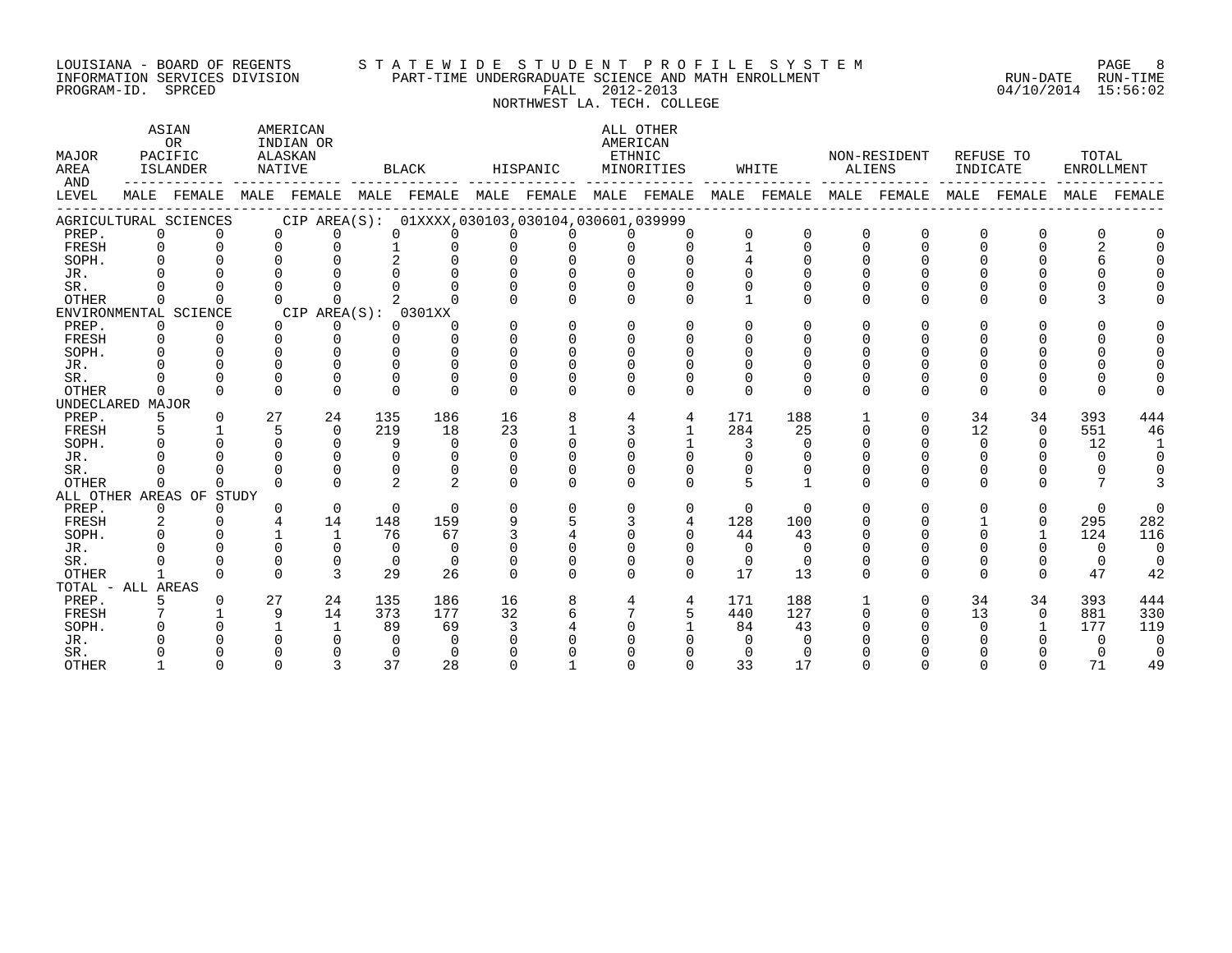#### LOUISIANA – BOARD OF REGENTS STA TE WID E STUDE N TP R O FILE SYSTEM PAGE RAGE 8 INFORMATION SERVICES DIVISION PART-TIME UNDERGRADUATE SCIENCE AND MATH ENROLLMENT RUN-DATE RUN-TIME PROGRAM-ID. SPRCED FALL 2012-2013 04/10/2014 15:56:02

NORTHWEST LA. TECH. COLLEGE

| MAJOR<br>AREA<br>AND |                | ASIAN<br><b>OR</b><br>PACIFIC<br>ISLANDER |    | AMERICAN<br>INDIAN OR<br>ALASKAN<br>NATIVE      |                | BLACK          |          | HISPANIC     |              | ALL OTHER<br>AMERICAN<br>ETHNIC<br>MINORITIES |                 | WHITE    | ALIENS   | NON-RESIDENT            | INDICATE     | REFUSE TO    | TOTAL<br>ENROLLMENT |          |
|----------------------|----------------|-------------------------------------------|----|-------------------------------------------------|----------------|----------------|----------|--------------|--------------|-----------------------------------------------|-----------------|----------|----------|-------------------------|--------------|--------------|---------------------|----------|
| LEVEL                |                | MALE FEMALE                               |    | MALE FEMALE MALE FEMALE MALE FEMALE MALE FEMALE |                |                |          |              |              |                                               |                 |          |          | MALE FEMALE MALE FEMALE |              | MALE FEMALE  | MALE                | FEMALE   |
|                      |                | AGRICULTURAL SCIENCES                     |    | CIP AREA(S): 01XXXX,030103,030104,030601,039999 |                |                |          |              |              |                                               |                 |          |          |                         |              |              |                     |          |
| PREP.                | $\Omega$       | $\Omega$                                  |    | $\Omega$<br>$\Omega$                            | $\Omega$       | $\Omega$       | $\Omega$ | $\Omega$     | 0            | $\Omega$                                      | $\Omega$        |          | $\Omega$ | $\Omega$                | 0            | $\Omega$     |                     |          |
| FRESH                | $\Omega$       | $\Omega$                                  |    | $\Omega$<br>$\Omega$                            | $\mathbf{1}$   | $\Omega$       | $\Omega$ | $\Omega$     | $\cap$       | $\cap$                                        | $\mathbf{1}$    | $\Omega$ | $\Omega$ | $\Omega$                | $\Omega$     | $\Omega$     |                     |          |
| SOPH.                | $\Omega$       |                                           |    | $\Omega$                                        | 2              |                |          |              |              |                                               |                 |          |          |                         |              |              |                     |          |
| JR.                  |                |                                           |    |                                                 |                |                |          |              |              |                                               |                 |          |          |                         |              |              |                     |          |
| SR.                  |                |                                           |    |                                                 |                |                |          |              |              |                                               |                 |          |          |                         |              |              |                     |          |
| <b>OTHER</b>         | $\Omega$       |                                           |    | $\cap$<br><sup>n</sup>                          |                |                |          |              |              | ∩                                             |                 | $\Omega$ | $\Omega$ | U                       | <sup>n</sup> | $\cap$       |                     |          |
|                      |                | ENVIRONMENTAL SCIENCE                     |    | CIP AREA(S): 0301XX                             |                |                |          |              |              |                                               |                 |          |          |                         |              |              |                     |          |
| PREP.                | $\Omega$       | $\Omega$                                  |    | $\Omega$<br>$\Omega$                            | $\Omega$       | $\Omega$       | $\Omega$ | $\Omega$     | $\Omega$     | $\Omega$                                      | $\Omega$        | $\Omega$ | $\Omega$ | U                       | $\Omega$     | $\Omega$     |                     |          |
| FRESH                | $\Omega$       | $\Omega$                                  |    | $\Omega$<br>$\Omega$                            | $\cap$         | $\cap$         | $\Omega$ | $\cap$       | $\Omega$     | $\Omega$                                      | $\Omega$        |          |          |                         |              |              |                     |          |
| SOPH.                | $\cap$         | $\cap$                                    |    | $\cap$<br>$\cap$                                | $\cap$         |                |          | $\cap$       | <sup>n</sup> | $\Omega$                                      | <sup>n</sup>    |          |          |                         |              |              |                     |          |
| JR.                  |                |                                           |    | $\cap$                                          | $\cap$         | $\cap$         |          |              |              |                                               |                 |          |          |                         |              |              |                     |          |
| SR.                  |                | $\Omega$                                  |    | $\Omega$<br>$\Omega$                            | $\Omega$       | $\Omega$       |          |              |              |                                               | $\Omega$        |          |          |                         | <sup>0</sup> |              |                     |          |
| <b>OTHER</b>         | $\Omega$       | $\Omega$                                  |    | $\Omega$<br>$\Omega$                            | $\cap$         | $\cap$         |          | $\Omega$     | <sup>n</sup> | $\Omega$                                      | $\Omega$        | $\Omega$ | $\Omega$ | U                       | $\Omega$     | $\cap$       |                     |          |
| UNDECLARED MAJOR     |                |                                           |    |                                                 |                |                |          |              |              |                                               |                 |          |          |                         |              |              |                     |          |
| PREP.                | 5              | $\Omega$                                  | 27 | 24                                              | 135            | 186            | 16       | 8            | 4            | 4                                             | 171             | 188      |          | $\Omega$                | 34           | 34           | 393                 | 444      |
| FRESH                |                |                                           |    | 5<br>$\Omega$                                   | 219            | 18             | 23       |              | 3            | $\mathbf{1}$                                  | 284             | 25       | $\Omega$ | U                       | 12           | $\Omega$     | 551                 | 46       |
| SOPH.                | $\cap$         | $\Omega$                                  |    | $\Omega$<br>$\Omega$                            | 9              | $\Omega$       | $\Omega$ | $\Omega$     |              |                                               | 3               | $\Omega$ |          |                         | $\Omega$     | $\Omega$     | 12                  |          |
| JR.                  |                |                                           |    | $\cap$<br>$\Omega$                              | $\Omega$       | $\Omega$       |          |              |              |                                               |                 |          |          |                         |              |              | $\Omega$            | $\Omega$ |
| SR.                  |                |                                           |    | $\Omega$                                        | $\Omega$       |                |          | <sup>n</sup> |              |                                               |                 |          |          |                         | 0            |              |                     |          |
| <b>OTHER</b>         | $\cap$         | $\Omega$                                  |    | $\cap$<br>$\cap$                                | $\overline{2}$ | 2 <sup>0</sup> | $\cap$   | $\cap$       | $\cap$       | $\cap$                                        | $5\overline{5}$ |          | $\cap$   | U                       | $\cap$       | $\cap$       |                     |          |
|                      |                | ALL OTHER AREAS OF STUDY                  |    |                                                 |                |                |          |              |              |                                               |                 |          |          |                         |              |              |                     |          |
| PREP.                | $\overline{0}$ | $\Omega$                                  |    | $\Omega$<br>$\Omega$                            | $\Omega$       | $\Omega$       | $\Omega$ | $\mathbf 0$  | $\Omega$     | 0                                             | $\Omega$        | $\Omega$ | $\Omega$ | U                       | $\Omega$     | 0            | $\Omega$            | $\cap$   |
| FRESH                | 2              | $\Omega$                                  |    | 4<br>14                                         | 148            | 159            | 9        |              |              | 4                                             | 128             | 100      | $\Omega$ |                         |              | $\Omega$     | 295                 | 282      |
| SOPH.                | $\cap$         | $\cap$                                    |    | $\mathbf{1}$                                    | 76             | 67             |          |              |              | $\cap$                                        | 44              | 43       |          |                         | <sup>n</sup> | $\mathbf{1}$ | 124                 | 116      |
| JR.                  |                | $\Omega$                                  |    | $\cap$<br>0                                     | $\Omega$       | $\Omega$       |          |              |              |                                               | $\Omega$        | $\Omega$ |          |                         |              | $\Omega$     | $\Omega$            | $\Omega$ |
| SR.                  |                |                                           |    | $\Omega$<br>$\Omega$                            | $\Omega$       | $\Omega$       |          |              |              | $\Omega$                                      | $\Omega$        | $\Omega$ |          |                         | $\Omega$     | 0            | $\Omega$            | $\Omega$ |
| <b>OTHER</b>         | $\mathbf{1}$   | $\Omega$                                  |    | $\mathbf{3}$<br>$\cap$                          | 29             | 26             | $\Omega$ | $\Omega$     | $\Omega$     | $\Omega$                                      | 17              | 13       | $\Omega$ | U                       | $\Omega$     | $\Omega$     | 47                  | 42       |
| TOTAL - ALL AREAS    |                |                                           |    |                                                 |                |                |          |              |              |                                               |                 |          |          |                         |              |              |                     |          |
| PREP.                | 5              | $\Omega$                                  | 27 | 24                                              | 135            | 186            | 16       | 8            |              | 4                                             | 171             | 188      |          | $\Omega$                | 34           | 34           | 393                 | 444      |
| FRESH                |                |                                           |    | 14<br>9                                         | 373            | 177            | 32       |              |              | 5                                             | 440             | 127      | $\Omega$ |                         | 13           | $\Omega$     | 881                 | 330      |
| SOPH.                |                |                                           |    | 1                                               | 89             | 69             | 3        |              |              |                                               | 84              | 43       |          |                         |              |              | 177                 | 119      |
| JR.                  |                |                                           |    |                                                 | $\Omega$       | $\Omega$       |          |              |              |                                               | $\Omega$        |          |          |                         |              |              | $\Omega$            | $\Omega$ |
| SR.                  |                |                                           |    |                                                 | $\Omega$       | $\Omega$       |          |              |              |                                               | $\Omega$        | $\cap$   |          |                         |              |              |                     | $\Omega$ |
| <b>OTHER</b>         |                | $\Omega$                                  |    | $\mathbf{R}$<br>U                               | 37             | 28             |          |              |              |                                               | 33              | 17       |          |                         |              |              | 71                  | 49       |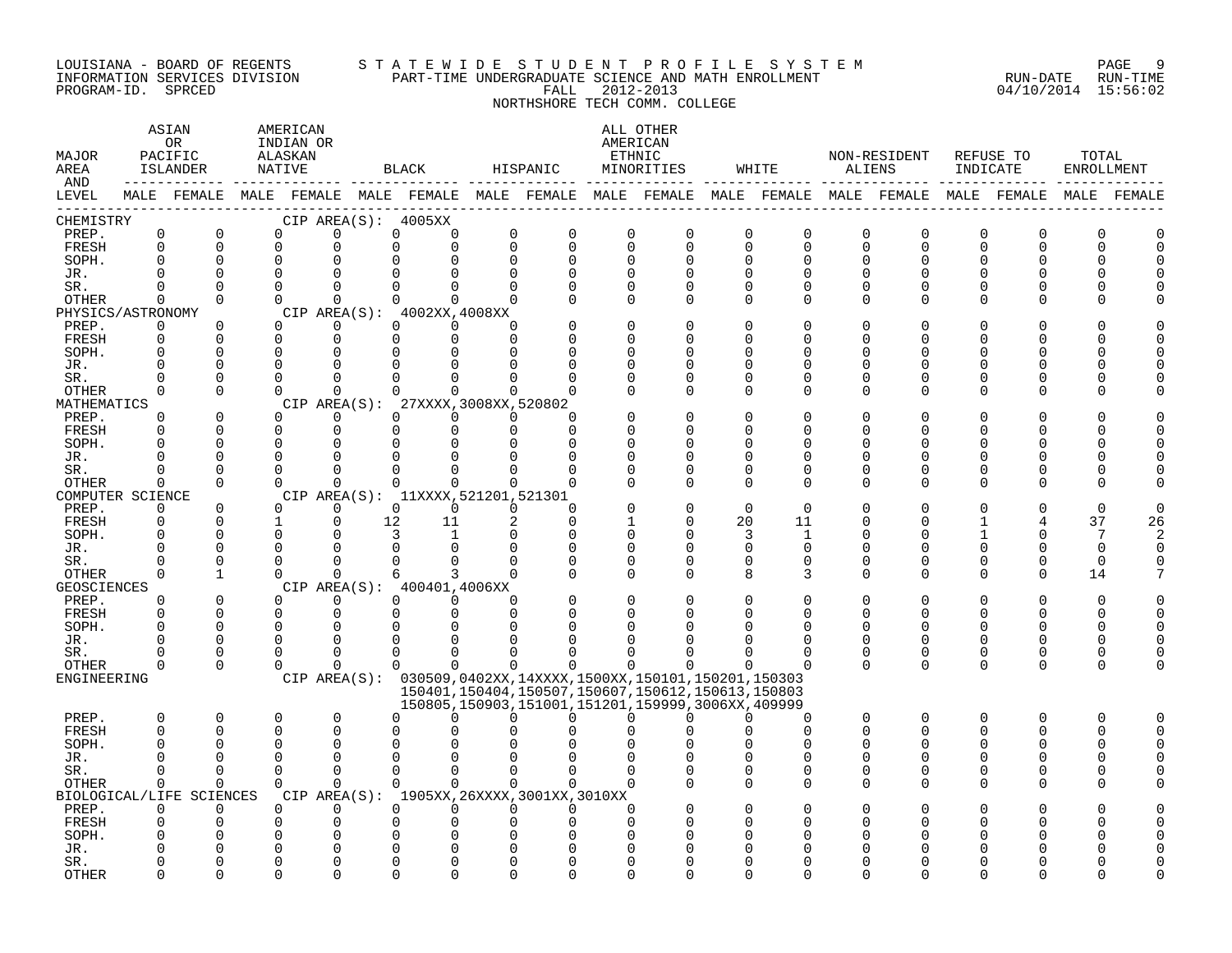#### LOUISIANA - BOARD OF REGENTS S T A T E W I D E S T U D E N T P R O F I L E S Y S T E M PAGE 9 INFORMATION SERVICES DIVISION PART-TIME UNDERGRADUATE SCIENCE AND MATH ENROLLMENT RUN-DATE RUN-TIME PROGRAM-ID. SPRCED FALL 2012-2013 04/10/2014 15:56:02

# NORTHSHORE TECH COMM. COLLEGE

| MAJOR<br>AREA<br>AND        |                            | ASIAN<br>OR.<br>PACIFIC<br>ISLANDER | AMERICAN<br>INDIAN OR<br>ALASKAN<br>NATIVE |                      |    | BLACK                                                       |                            | HISPANIC                                                                                                   |                         | ALL OTHER<br>AMERICAN<br>ETHNIC<br>MINORITIES |                            | WHITE                      | ALIENS                     | NON-RESIDENT               | INDICATE      | REFUSE TO    | TOTAL<br>ENROLLMENT |             |
|-----------------------------|----------------------------|-------------------------------------|--------------------------------------------|----------------------|----|-------------------------------------------------------------|----------------------------|------------------------------------------------------------------------------------------------------------|-------------------------|-----------------------------------------------|----------------------------|----------------------------|----------------------------|----------------------------|---------------|--------------|---------------------|-------------|
| LEVEL                       |                            |                                     |                                            |                      |    |                                                             |                            | MALE FEMALE MALE FEMALE MALE FEMALE MALE FEMALE MALE FEMALE MALE FEMALE MALE FEMALE MALE FEMALE FEMALE     |                         |                                               |                            |                            |                            |                            |               |              |                     | MALE FEMALE |
| CHEMISTRY                   |                            |                                     |                                            |                      |    | CIP AREA(S): 4005XX                                         |                            |                                                                                                            |                         |                                               |                            |                            |                            |                            |               |              |                     |             |
| PREP.<br>FRESH              | $\mathbf 0$<br>$\mathbf 0$ | $\mathbf 0$<br>$\mathbf 0$          | $\Omega$<br>$\Omega$                       | $\Omega$<br>$\Omega$ |    | 0<br>0<br>$\Omega$<br>$\mathbf 0$                           | $\mathbf 0$<br>$\mathbf 0$ | $\mathbf 0$<br>$\Omega$                                                                                    | $\mathbf 0$<br>$\Omega$ | 0<br>$\Omega$                                 | $\mathbf 0$<br>$\mathbf 0$ | $\mathbf 0$<br>$\mathsf 0$ | $\mathbf 0$<br>$\mathbf 0$ | $\mathbf 0$<br>$\mathbf 0$ | 0<br>$\Omega$ | 0<br>0       | $\mathbf 0$<br>O    |             |
| SOPH.                       | $\Omega$                   | $\mathbf 0$                         | $\Omega$                                   |                      |    | $\Omega$                                                    | $\mathbf 0$                | $\Omega$                                                                                                   | $\Omega$                | $\Omega$                                      | $\Omega$                   | $\mathbf 0$                | $\Omega$                   | $\Omega$                   | 0             | 0            |                     |             |
| JR.                         | $\Omega$                   |                                     | $\Omega$                                   |                      |    | U<br>0                                                      | $\Omega$                   | $\Omega$                                                                                                   | $\Omega$                | $\cap$                                        | $\Omega$                   | $\Omega$                   |                            | $\Omega$                   |               | O            |                     |             |
| SR.                         | $\Omega$                   | $\Omega$                            | $\Omega$                                   | $\Omega$             |    | $\Omega$<br>$\Omega$                                        | $\Omega$                   | $\Omega$                                                                                                   | $\Omega$                | $\Omega$                                      | $\Omega$                   | $\Omega$                   | $\Omega$                   | $\Omega$                   | U             | $\Omega$     |                     |             |
| <b>OTHER</b>                | $\Omega$                   | $\Omega$                            | $\Omega$                                   | $\Omega$             |    | $\Omega$<br>$\Omega$                                        | $\Omega$                   |                                                                                                            | $\Omega$                | $\Omega$                                      | $\Omega$                   | $\Omega$                   | $\Omega$                   | $\Omega$                   | $\Omega$      | $\Omega$     |                     |             |
| PHYSICS/ASTRONOMY           |                            |                                     |                                            |                      |    | CIP AREA(S): 4002XX,4008XX                                  |                            |                                                                                                            |                         |                                               |                            |                            |                            |                            |               |              |                     |             |
| PREP.                       | $\Omega$                   | $\Omega$                            | $\Omega$                                   | $\Omega$             |    | $\Omega$<br>$\Omega$                                        | $\Omega$                   |                                                                                                            | $\Omega$                | $\Omega$                                      | $\Omega$                   | $\mathbf 0$                | n                          | $\Omega$                   | 0             | O            |                     |             |
| FRESH                       | $\Omega$                   | $\Omega$                            | $\Omega$                                   | $\Omega$             |    | $\Omega$<br>$\Omega$                                        | $\Omega$                   |                                                                                                            | $\Omega$                | U                                             | $\Omega$                   | $\Omega$                   |                            | $\Omega$                   | U             | <sup>0</sup> |                     |             |
| SOPH.                       |                            |                                     | $\Omega$                                   | $\Omega$             |    | 0<br><sup>0</sup>                                           | $\Omega$                   |                                                                                                            | O                       | 0                                             | O                          | <sup>0</sup>               |                            | O                          |               | 0            |                     |             |
| JR.                         |                            |                                     |                                            |                      |    | $\Omega$<br>$\Omega$                                        | $\Omega$                   |                                                                                                            |                         |                                               | $\Omega$                   | $\Omega$                   |                            | $\Omega$                   |               | $\Omega$     |                     |             |
| SR.                         | 0                          | $\Omega$                            | $\Omega$                                   | $\Omega$             |    | $\Omega$<br>$\Omega$                                        | $\Omega$                   |                                                                                                            | ∩                       | 0                                             | $\Omega$                   | 0                          | ∩                          | $\Omega$                   | U             | 0            |                     |             |
| OTHER                       | 0                          | $\Omega$                            | $\Omega$                                   | $\Omega$             |    | 0<br>0                                                      | $\Omega$                   |                                                                                                            |                         | 0                                             | $\Omega$                   | $\Omega$                   | ∩                          | $\Omega$                   | O             | 0            |                     |             |
| MATHEMATICS<br>PREP.        | $\Omega$                   | $\Omega$                            | $\Omega$                                   | $\Omega$             |    | CIP AREA(S): 27XXXX, 3008XX, 520802<br>$\Omega$<br>$\Omega$ | $\Omega$                   |                                                                                                            |                         | $\Omega$                                      | $\Omega$                   | $\Omega$                   |                            | $\Omega$                   |               | O            |                     |             |
| FRESH                       |                            | $\Omega$                            | $\Omega$                                   | $\Omega$             |    | $\Omega$<br>0                                               | $\mathbf 0$                | $\Omega$                                                                                                   |                         |                                               | O                          | $\Omega$                   |                            | ∩                          | U             | <sup>0</sup> |                     |             |
| SOPH.                       |                            |                                     | n                                          | ∩                    |    | $\Omega$<br>$\Omega$                                        | $\Omega$                   | $\Omega$                                                                                                   | ∩                       | ∩                                             | ∩                          | $\Omega$                   |                            | ∩                          |               | O            |                     |             |
| JR.                         | O                          | $\Omega$                            | n                                          | $\Omega$             |    | $\Omega$<br>$\Omega$                                        | $\Omega$                   |                                                                                                            | $\Omega$                | O                                             | 0                          | 0                          |                            | O                          |               | 0            |                     |             |
| SR.                         | O                          | $\Omega$                            | ∩                                          | $\mathbf 0$          |    | $\Omega$<br>$\Omega$                                        | $\Omega$                   |                                                                                                            |                         | 0                                             | 0                          | 0                          | O                          | 0                          | O             | 0            |                     |             |
| <b>OTHER</b>                | $\Omega$                   | $\Omega$                            | $\Omega$                                   | $\Omega$             |    | $\Omega$<br>$\Omega$                                        | $\Omega$                   | $\Omega$                                                                                                   | ∩                       | $\Omega$                                      | $\Omega$                   | $\Omega$                   | $\cap$                     | $\Omega$                   | U             | <sup>0</sup> |                     |             |
| COMPUTER SCIENCE            |                            |                                     |                                            |                      |    | CIP AREA(S): 11XXXX, 521201, 521301                         |                            |                                                                                                            |                         |                                               |                            |                            |                            |                            |               |              |                     |             |
| PREP.                       | $\Omega$                   | $\Omega$                            | $\Omega$                                   | $\Omega$             |    | $\Omega$<br>$\Omega$                                        | $\Omega$                   | $\Omega$                                                                                                   |                         | $\Omega$                                      | $\Omega$                   | $\Omega$                   |                            |                            |               | O            | <sup>0</sup>        |             |
| FRESH                       | 0                          | $\Omega$                            | 1                                          | $\Omega$             | 12 | 11                                                          | 2                          | $\Omega$                                                                                                   |                         | 0                                             | 20                         | 11                         | ∩                          | ∩                          |               | 4            | 37                  | 26          |
| SOPH.                       | O                          | $\Omega$                            | $\Omega$                                   |                      |    | 3<br>$\mathbf{1}$                                           | $\Omega$                   | $\Omega$                                                                                                   | $\Omega$                | 0                                             | 3                          | 1                          | ∩                          | $\Omega$                   |               | 0            | 7                   |             |
| JR.                         | O                          | $\Omega$                            | $\Omega$                                   | 0                    |    | 0<br>$\mathbf 0$                                            | 0                          | 0                                                                                                          | 0                       | $\Omega$                                      | 0                          | 0                          | O                          | 0                          | 0             | 0            | 0                   |             |
| SR.                         |                            | $\Omega$                            | $\Omega$                                   | $\Omega$             |    | $\Omega$<br>$\Omega$                                        | $\Omega$                   |                                                                                                            | $\Omega$                | U                                             | $\Omega$                   | $\Omega$                   | $\Omega$                   | $\Omega$                   | U             | 0            | $\Omega$            |             |
| <b>OTHER</b>                | $\Omega$                   | $\mathbf{1}$                        | $\Omega$                                   | $\Omega$             |    | 3<br>6<br>CIP AREA(S): 400401,4006XX                        | $\Omega$                   | $\Omega$                                                                                                   | $\Omega$                | $\Omega$                                      | 8                          | 3                          | $\Omega$                   | $\Omega$                   | $\Omega$      | $\mathbf 0$  | 14                  |             |
| <b>GEOSCIENCES</b><br>PREP. | $\Omega$                   | $\Omega$                            | $\Omega$                                   | $\Omega$             |    | $\Omega$<br>$\Omega$                                        | $\Omega$                   |                                                                                                            | $\Omega$                | $\Omega$                                      | $\Omega$                   | $\Omega$                   |                            | $\Omega$                   |               | $\Omega$     | $\Omega$            |             |
| FRESH                       | $\Omega$                   | 0                                   | $\Omega$                                   | $\mathbf 0$          |    | 0<br>0                                                      | $\mathbf 0$                | $\Omega$                                                                                                   | $\Omega$                |                                               | 0                          | 0                          | $\Omega$                   | $\Omega$                   | O             | 0            | O                   |             |
| SOPH.                       | $\Omega$                   | 0                                   | $\Omega$                                   | $\Omega$             |    | $\Omega$<br>$\Omega$                                        | $\Omega$                   |                                                                                                            |                         |                                               |                            |                            |                            | $\Omega$                   |               | 0            |                     |             |
| JR.                         | $\Omega$                   | $\Omega$                            | $\Omega$                                   | $\Omega$             |    | $\Omega$<br>$\Omega$                                        | $\Omega$                   |                                                                                                            | ∩                       |                                               | ∩                          | $\Omega$                   | O                          | $\Omega$                   | U             | $\Omega$     | O                   |             |
| SR.                         |                            | $\Omega$                            | n                                          | $\Omega$             |    | $\Omega$<br>$\Omega$                                        | $\Omega$                   |                                                                                                            |                         |                                               |                            | $\Omega$                   | $\Omega$                   | 0                          | O             | 0            | O                   |             |
| <b>OTHER</b>                | $\Omega$                   | $\Omega$                            | $\Omega$                                   | ∩                    |    | $\Omega$<br>$\Omega$                                        | $\cap$                     | <sup>n</sup>                                                                                               | <sup>n</sup>            |                                               |                            |                            | $\Omega$                   | $\Omega$                   | $\Omega$      | 0            | ∩                   |             |
| ENGINEERING                 |                            |                                     |                                            |                      |    |                                                             |                            | CIP AREA(S): 030509,0402XX,14XXXX,1500XX,150101,150201,150303                                              |                         |                                               |                            |                            |                            |                            |               |              |                     |             |
|                             |                            |                                     |                                            |                      |    |                                                             |                            | 150401, 150404, 150507, 150607, 150612, 150613, 150803<br>150805,150903,151001,151201,159999,3006XX,409999 |                         |                                               |                            |                            |                            |                            |               |              |                     |             |
| PREP.                       | $\Omega$                   | $\mathbf 0$                         | $\Omega$                                   | $\Omega$             |    | U<br>$\Omega$                                               | $\Omega$                   | $\Omega$                                                                                                   | $\cap$                  | $\Omega$                                      | $\Omega$                   | $\Omega$                   | $\Omega$                   | $\Omega$                   | $\Omega$      | $\Omega$     | $\Omega$            |             |
| FRESH                       | $\Omega$                   | $\mathbf 0$                         | $\cap$                                     | $\Omega$             |    | U<br>U                                                      |                            |                                                                                                            |                         |                                               |                            | $\Omega$                   | $\cap$                     | ∩                          | U             | <sup>0</sup> | O                   |             |
| SOPH.                       | C                          |                                     | ∩                                          | ∩                    |    | O<br>U                                                      |                            |                                                                                                            |                         |                                               |                            | ∩                          | n                          | ∩                          | U             | <sup>0</sup> | O                   |             |
| JR.                         | U                          | $\Omega$                            |                                            | $\Omega$             |    | U<br>$\Omega$                                               | $\Omega$                   |                                                                                                            |                         |                                               | $\Omega$                   | $\Omega$                   |                            | $\Omega$                   | U             | <sup>0</sup> |                     |             |
| SR.                         | 0                          | 0                                   | $\Omega$                                   | $\mathbf 0$          |    | $\Omega$<br>$\Omega$                                        | $\mathbf 0$                | $\Omega$                                                                                                   | $\Omega$                | $\Omega$                                      | 0                          | 0                          | $\Omega$                   | 0                          | O             | 0            |                     |             |
| <b>OTHER</b>                | $\mathbf 0$                | $\mathbf 0$                         | $\Omega$                                   | $\Omega$             |    | $\Omega$<br>$\Omega$                                        | $\Omega$                   | $\Omega$                                                                                                   | $\cap$                  | $\Omega$                                      | $\Omega$                   | $\mathbf 0$                | $\Omega$                   | $\Omega$                   | $\Omega$      | 0            |                     |             |
| BIOLOGICAL/LIFE             |                            | SCIENCES                            |                                            |                      |    |                                                             |                            | CIP AREA(S): 1905XX, 26XXXX, 3001XX, 3010XX                                                                |                         |                                               |                            |                            |                            |                            |               |              |                     |             |
| PREP.                       | 0                          | 0                                   | U                                          | $\Omega$             |    | $\Omega$<br>0                                               | 0                          | $\Omega$                                                                                                   | ∩                       |                                               | $\Omega$                   | $\Omega$                   |                            | O                          |               | O            |                     |             |
| FRESH                       | ∩                          | $\Omega$                            | ∩                                          | $\Omega$             |    | U<br>0                                                      | $\mathbf 0$                | U                                                                                                          | $\cap$                  |                                               | ∩                          | ∩                          |                            | ∩                          |               | O            |                     |             |
| SOPH.                       |                            |                                     |                                            |                      |    | 0<br>O                                                      |                            |                                                                                                            |                         |                                               |                            |                            |                            |                            |               |              |                     |             |
| JR.                         |                            |                                     |                                            | $\Omega$             |    | 0                                                           | $\Omega$                   |                                                                                                            |                         |                                               |                            |                            |                            |                            |               |              |                     |             |
| SR.                         |                            | $\Omega$                            |                                            | $\Omega$<br>$\cap$   |    | $\Omega$<br>U                                               | $\Omega$                   | $\Omega$                                                                                                   | ∩                       | U                                             | U                          | $\Omega$                   |                            |                            |               | O            |                     |             |
| <b>OTHER</b>                |                            | $\cap$                              | $\cap$                                     |                      |    | $\Omega$<br>$\Omega$                                        | $\Omega$                   | $\Omega$                                                                                                   | $\Omega$                | $\Omega$                                      | $\Omega$                   | $\Omega$                   | $\cap$                     | ∩                          | U             | U            |                     |             |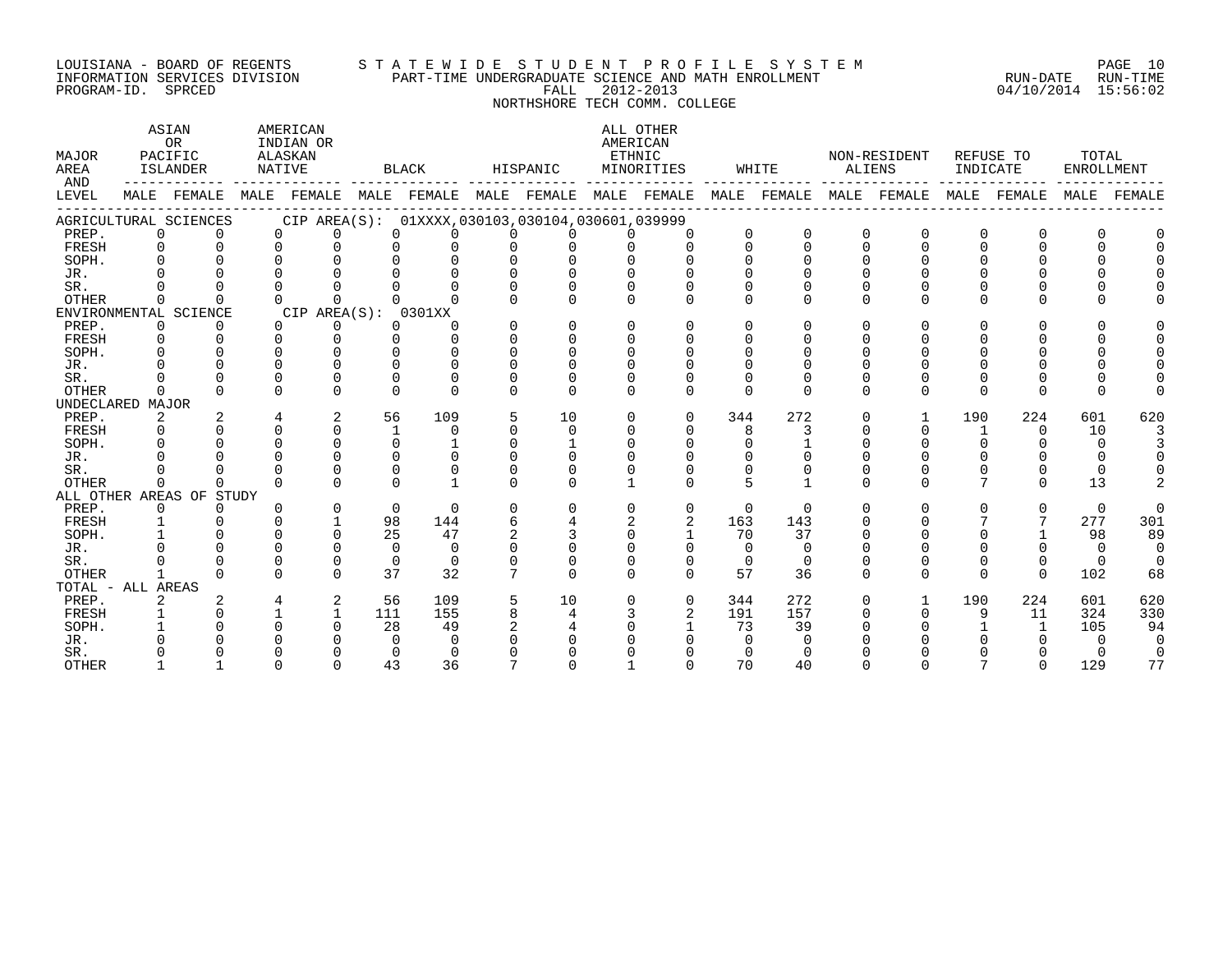#### LOUISIANA - BOARD OF REGENTS S T A T E W I D E S T U D E N T P R O F I L E S Y S T E M PAGE 10 INFORMATION SERVICES DIVISION PART-TIME UNDERGRADUATE SCIENCE AND MATH ENROLLMENT RUN-DATE RUN-TIME PROGRAM-ID. SPRCED FALL 2012-2013 04/10/2014 15:56:02

# NORTHSHORE TECH COMM. COLLEGE

| MAJOR<br>AREA<br>AND |              | ASIAN<br><b>OR</b><br>PACIFIC<br>ISLANDER |          | AMERICAN<br>INDIAN OR<br>ALASKAN<br>NATIVE |              | BLACK                                               |                | HISPANIC           | AMERICAN<br>ETHNIC | ALL OTHER<br>MINORITIES |          | WHITE       |              | NON-RESIDENT<br>ALIENS | INDICATE     | REFUSE TO | TOTAL<br>ENROLLMENT |          |
|----------------------|--------------|-------------------------------------------|----------|--------------------------------------------|--------------|-----------------------------------------------------|----------------|--------------------|--------------------|-------------------------|----------|-------------|--------------|------------------------|--------------|-----------|---------------------|----------|
| LEVEL                |              | MALE FEMALE                               | MALE     | FEMALE                                     |              | MALE FEMALE MALE                                    |                | FEMALE MALE FEMALE |                    |                         |          | MALE FEMALE | MALE         | FEMALE                 | MALE         | FEMALE    | MALE                | FEMALF   |
|                      |              | AGRICULTURAL SCIENCES                     |          |                                            |              | CIP AREA(S): 01XXXX, 030103, 030104, 030601, 039999 |                |                    |                    |                         |          |             |              |                        |              |           |                     |          |
| PREP.                | $\mathbf 0$  |                                           | $\Omega$ | $\Omega$                                   | $\Omega$     | $\Omega$                                            | $\Omega$       | 0                  | $\Omega$           | $\Omega$                | $\Omega$ | $\Omega$    | $\mathbf 0$  | $\Omega$               | 0            | 0         |                     |          |
| FRESH                | 0            |                                           | $\Omega$ | $\Omega$                                   | $\Omega$     | $\Omega$                                            | $\Omega$       | $\Omega$           | $\Omega$           | $\Omega$                | $\Omega$ | $\Omega$    | $\Omega$     | $\Omega$               | $\Omega$     | U         |                     |          |
| SOPH.                | 0            |                                           |          | $\cap$                                     | $\cap$       | $\cap$                                              | $\Omega$       | $\Omega$           | $\Omega$           |                         | U        | ∩           | $\Omega$     |                        |              |           |                     |          |
| JR.                  |              |                                           |          |                                            |              |                                                     | $\Omega$       | $\Omega$           |                    |                         |          |             |              |                        |              |           |                     |          |
| SR.                  |              |                                           |          |                                            |              |                                                     | $\Omega$       | U                  |                    |                         |          |             | $\Omega$     |                        |              |           |                     |          |
| <b>OTHER</b>         | $\Omega$     | $\Omega$                                  | $\cap$   | $\Omega$                                   | $\cap$       |                                                     | $\cap$         | 0                  | $\Omega$           | $\Omega$                | $\Omega$ | ∩           | $\Omega$     | $\Omega$               | U            | $\Omega$  |                     |          |
|                      |              | ENVIRONMENTAL SCIENCE                     |          | CIP AREA(S):                               |              | 0301XX                                              |                |                    |                    |                         |          |             |              |                        |              |           |                     |          |
| PREP.                | 0            | $\Omega$                                  | $\Omega$ | 0                                          | $\Omega$     | $\Omega$                                            | $\Omega$       | $\Omega$           | $\Omega$           | $\Omega$                | $\Omega$ | $\Omega$    | $\Omega$     | $\Omega$               | U            | O         |                     |          |
| FRESH                | 0            |                                           | $\Omega$ | $\Omega$                                   | $\Omega$     | $\Omega$                                            | $\Omega$       | 0                  | $\Omega$           | $\Omega$                | $\Omega$ | $\Omega$    | $\Omega$     | $\Omega$               |              | U         |                     |          |
| SOPH.                | 0            |                                           | $\Omega$ | $\Omega$                                   | $\Omega$     | $\Omega$                                            | $\Omega$       | $\Omega$           | $\Omega$           | <sup>n</sup>            | $\Omega$ | ∩           | $\Omega$     | ∩                      |              | U         |                     |          |
| JR.                  |              |                                           |          |                                            |              |                                                     | $\Omega$       |                    |                    |                         |          |             |              |                        |              |           |                     |          |
| SR.                  |              |                                           |          | $\Omega$                                   | $\Omega$     | $\cap$                                              | U              | U                  | $\Omega$           |                         |          | n           |              |                        |              | O         |                     |          |
| OTHER                | $\Omega$     | $\Omega$                                  | $\Omega$ | $\Omega$                                   | $\Omega$     | $\Omega$                                            | $\Omega$       | $\Omega$           | $\Omega$           | $\Omega$                | $\Omega$ | $\Omega$    | $\Omega$     | $\Omega$               | $\Omega$     | $\Omega$  |                     |          |
| UNDECLARED MAJOR     |              |                                           |          |                                            |              |                                                     |                |                    |                    |                         |          |             |              |                        |              |           |                     |          |
| PREP.                | 2            | 2                                         | 4        | 2                                          | 56           | 109                                                 | 5              | 10                 | $\mathbf 0$        | $\Omega$                | 344      | 272         | $\mathbf 0$  |                        | 190          | 224       | 601                 | 620      |
| FRESH                | 0            |                                           |          | $\cap$                                     | $\mathbf{1}$ | $\Omega$                                            | $\Omega$       | 0                  | $\Omega$           | $\Omega$                | 8        | 3           |              | $\Omega$               | $\mathbf{1}$ | $\Omega$  | 10                  |          |
| SOPH.                | 0            |                                           | $\Omega$ | $\Omega$                                   | $\Omega$     |                                                     | $\Omega$       |                    | $\Omega$           | $\Omega$                | $\Omega$ |             | $\Omega$     | $\Omega$               | 0            | U         | $\Omega$            |          |
| JR.                  |              |                                           |          |                                            | $\Omega$     | $\cap$                                              | U              | U                  |                    |                         |          |             |              |                        |              |           | $\Omega$            |          |
| SR.                  |              |                                           |          |                                            | $\Omega$     | $\Omega$                                            | O              | O                  |                    |                         |          |             | <sup>0</sup> |                        | O            | O         | $\Omega$            |          |
| OTHER                | $\Omega$     |                                           | $\cap$   | $\cap$                                     | $\cap$       |                                                     | $\cap$         | U                  |                    |                         | 5        |             | $\Omega$     | $\cap$                 | 7            | $\Omega$  | 13                  |          |
|                      |              | ALL OTHER AREAS OF STUDY                  |          |                                            |              |                                                     |                |                    |                    |                         |          |             |              |                        |              |           |                     |          |
| PREP.                | $\mathbf 0$  | $\Omega$                                  | $\Omega$ | $\Omega$                                   | $\Omega$     | $\Omega$                                            | $\Omega$       | 0                  | $\Omega$           | $\Omega$                | $\Omega$ | $\Omega$    | $\Omega$     | $\Omega$               | 0            | $\Omega$  | $\Omega$            |          |
| FRESH                | 1            |                                           | $\Omega$ |                                            | 98           | 144                                                 | 6              | 4                  | 2                  | 2                       | 163      | 143         | $\Omega$     | $\Omega$               | 7            | 7         | 277                 | 301      |
| SOPH.                |              |                                           |          | $\cap$                                     | 25           | 47                                                  | $\mathfrak{D}$ | 3                  | $\Omega$           |                         | 70       | 37          | $\Omega$     |                        |              |           | 98                  | 89       |
| JR.                  |              |                                           |          | $\Omega$                                   | $\Omega$     | $\Omega$                                            | U              | $\Omega$           | U                  | $\Omega$                | $\cap$   | $\Omega$    | ∩            |                        |              | 0         | $\Omega$            | $\Omega$ |
| SR.                  |              |                                           | $\Omega$ | $\Omega$                                   | $\Omega$     | $\Omega$                                            | $\Omega$       | 0                  | $\Omega$           | $\Omega$                | $\Omega$ | $\Omega$    | $\Omega$     |                        | O            | 0         | $\Omega$            |          |
| <b>OTHER</b>         | $\mathbf{1}$ |                                           | $\cap$   | $\Omega$                                   | 37           | 32                                                  | 7              | $\Omega$           | $\Omega$           | $\Omega$                | 57       | 36          | $\Omega$     | $\Omega$               | $\Omega$     | $\Omega$  | 102                 | 68       |
| TOTAL - ALL AREAS    |              |                                           |          |                                            |              |                                                     |                |                    |                    |                         |          |             |              |                        |              |           |                     |          |
| PREP.                | 2            |                                           |          | 2                                          | 56           | 109                                                 | 5              | 10                 | $\Omega$           | $\Omega$                | 344      | 272         | $\Omega$     |                        | 190          | 224       | 601                 | 620      |
| FRESH                |              |                                           |          |                                            | 111          | 155                                                 | 8              | 4                  | 3                  | $\overline{2}$          | 191      | 157         | $\Omega$     | $\Omega$               | 9            | 11        | 324                 | 330      |
| SOPH.                |              |                                           |          |                                            | 28           | 49                                                  | $\mathfrak{D}$ | 4                  |                    |                         | 73       | 39          |              |                        |              |           | 105                 | 94       |
| JR.                  |              |                                           |          |                                            | $\Omega$     | $\Omega$                                            |                |                    |                    |                         |          |             |              |                        |              |           | ∩                   |          |
| SR.                  |              |                                           |          |                                            | $\Omega$     | $\Omega$                                            |                |                    |                    |                         |          |             |              |                        |              |           |                     |          |
| <b>OTHER</b>         |              |                                           |          |                                            | 43           | 36                                                  |                |                    |                    |                         | 70       | 40          |              |                        |              | 0         | 129                 | 77       |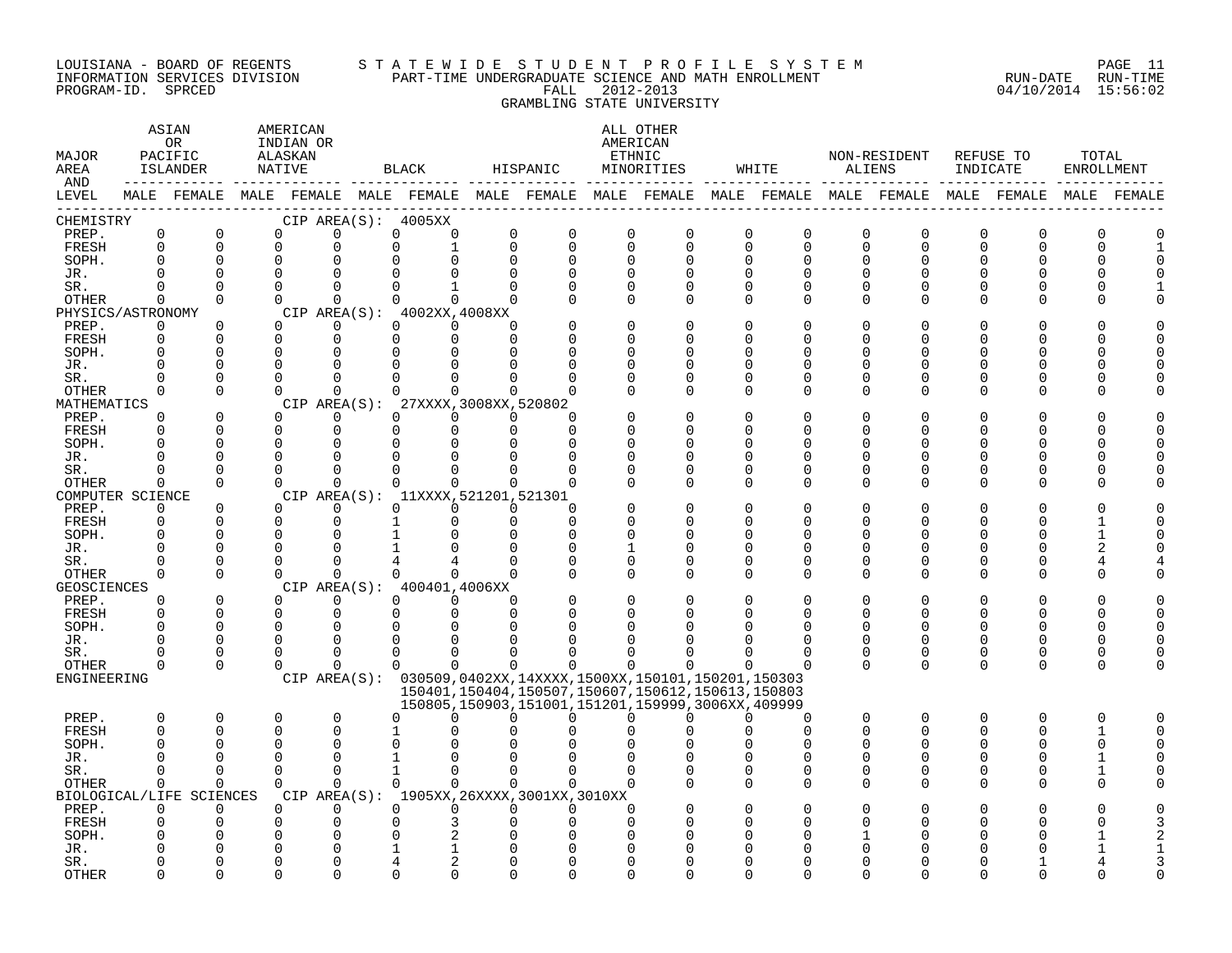#### LOUISIANA - BOARD OF REGENTS S T A T E W I D E S T U D E N T P R O F I L E S Y S T E M PAGE 11 INFORMATION SERVICES DIVISION PART-TIME UNDERGRADUATE SCIENCE AND MATH ENROLLMENT RUN-DATE RUN-TIME PROGRAM-ID. SPRCED FALL 2012-2013 04/10/2014 15:56:02 GRAMBLING STATE UNIVERSITY

| LEVEL<br>MALE FEMALE MALE FEMALE MALE FEMALE MALE FEMALE MALE FEMALE MALE FEMALE MALE FEMALE MALE FEMALE<br>MALE FEMALE<br>CHEMISTRY<br>CIP AREA(S): 4005XX<br>PREP.<br>$\mathbf 0$<br>$\mathbf 0$<br>0<br>0<br>$\mathbf 0$<br>$\mathbf 0$<br>0<br>$\Omega$<br>$\mathbf 0$<br>$\mathbf 0$<br>$\mathbf 0$<br>0<br>$\mathbf 0$<br>$\mathbf 0$<br>0<br>0<br>0<br>Ω<br>FRESH<br>$\Omega$<br>$\Omega$<br>$\Omega$<br>$\Omega$<br>$\Omega$<br>$\Omega$<br>$\Omega$<br>$\Omega$<br>$\Omega$<br>$\Omega$<br>0<br>$\Omega$<br>$\Omega$<br>$\Omega$<br>$\Omega$<br>$\Omega$<br>SOPH.<br>$\Omega$<br>0<br>$\Omega$<br>$\Omega$<br>$\Omega$<br>O<br>$\Omega$<br>$\Omega$<br>$\Omega$<br>O<br>0<br>$\Omega$<br>$\Omega$<br>$\Omega$<br>JR.<br>O<br>$\Omega$<br>$\Omega$<br>$\Omega$<br>SR.<br>$\Omega$<br>$\Omega$<br>$\Omega$<br>$\mathbf{1}$<br>$\Omega$<br>∩<br>$\Omega$<br>$\Omega$<br>O<br>U<br>U<br>$\Omega$<br>OTHER<br>$\Omega$<br>$\Omega$<br>$\Omega$<br>$\Omega$<br>$\Omega$<br>$\Omega$<br>$\Omega$<br>$\Omega$<br>$\Omega$<br>$\Omega$<br>$\Omega$<br>O<br>U<br>∩<br>CIP AREA(S): 4002XX, 4008XX<br>PHYSICS/ASTRONOMY<br>PREP.<br>$\Omega$<br>$\Omega$<br>$\Omega$<br>$\Omega$<br>$\Omega$<br>$\Omega$<br>$\Omega$<br>$\Omega$<br>O<br>U<br><b>FRESH</b><br>$\Omega$<br>0<br>$\Omega$<br>$\Omega$<br>$\Omega$<br>$\Omega$<br>$\Omega$<br>U<br>∩<br>$\Omega$<br>$\Omega$<br>SOPH.<br>$\Omega$<br>$\Omega$<br>n<br>U<br>$\Omega$<br>0<br>$\Omega$<br>JR.<br>$\Omega$<br>O<br>∩<br>$\Omega$<br>O<br>U<br>$\Omega$<br>$\Omega$<br>SR.<br>$\Omega$<br>O<br>0<br>0<br>O<br>OTHER<br>$\Omega$<br>$\Omega$<br>$\Omega$<br>$\Omega$<br>$\cap$<br>0<br>$\cap$<br>n<br>$\Omega$<br>∩<br>O<br>U<br>∩<br>O<br>MATHEMATICS<br>CIP AREA(S): 27XXXX, 3008XX, 520802<br>$\Omega$<br>0<br>$\Omega$<br>$\Omega$<br>PREP.<br>$\Omega$<br>$\Omega$<br>$\Omega$<br>$\Omega$<br>$\Omega$<br>FRESH<br>$\Omega$<br>$\Omega$<br>$\Omega$<br>$\Omega$<br>$\Omega$<br>$\Omega$<br>$\Omega$<br>U<br>∩<br>∩<br>U<br>U<br>U<br>n<br>SOPH.<br>$\Omega$<br>$\Omega$<br>$\Omega$<br>∩<br>O<br>$\Omega$<br>O<br>O<br>O<br>∩<br>0<br>JR.<br>0<br>0<br>$\Omega$<br>O<br>0<br>O<br>0<br>O<br>0<br>0<br>O<br>$\Omega$<br>$\Omega$<br>SR.<br>$\Omega$<br>$\Omega$<br>$\Omega$<br>$\Omega$<br>0<br>O<br>$\Omega$<br>$\Omega$<br>O<br>U<br>O<br><b>OTHER</b><br>$\Omega$<br>$\Omega$<br>$\Omega$<br>$\Omega$<br>$\Omega$<br>$\Omega$<br>$\Omega$<br>$\Omega$<br>∩<br>$\cap$<br>$\Omega$<br>$\Omega$<br>$\Omega$<br>U<br>∩<br>CIP AREA(S): 11XXXX, 521201, 521301<br>COMPUTER SCIENCE<br>$\Omega$<br>$\Omega$<br>PREP.<br>$\Omega$<br>$\Omega$<br>$\Omega$<br>$\Omega$<br>$\Omega$<br>∩<br>U<br>∩<br>U<br>FRESH<br>$\mathbf 0$<br>0<br>0<br>$\Omega$<br>0<br>0<br>0<br>O<br>O<br>0<br>∩<br>O<br>SOPH.<br>O<br>$\Omega$<br>$\Omega$<br>$\Omega$<br>$\Omega$<br>$\cap$<br>$\Omega$<br>0<br>U<br>JR.<br>$\Omega$<br>U<br>0<br>$\Omega$<br>∩<br>-1<br>$\Omega$<br>U<br>∩<br>O<br>$\Omega$<br>$\Omega$<br>$\Omega$<br>SR.<br>0<br>O<br>0<br>O<br>0<br>U<br>$\Omega$<br>$\Omega$<br>OTHER<br>$\Omega$<br>$\cap$<br>$\cap$<br>$\Omega$<br>$\Omega$<br>$\Omega$<br>$\Omega$<br>U<br>$\cap$<br>U<br>∩<br>∩<br><b>GEOSCIENCES</b><br>CIP AREA(S): 400401,4006XX<br>0<br>0<br>$\Omega$<br>PREP.<br>0<br>$\Omega$<br>$\Omega$<br>$\Omega$<br>$\Omega$<br>0<br>O<br>FRESH<br>$\Omega$<br>$\Omega$<br>$\Omega$<br>$\Omega$<br>$\Omega$<br>$\Omega$<br>U<br>$\Omega$<br>$\Omega$<br>U<br>U<br>∩<br>∩<br>$\Omega$<br>$\Omega$<br>SOPH.<br>$\Omega$<br>$\mathbf 0$<br>U<br>$\Omega$<br>$\Omega$<br>JR.<br>$\Omega$<br>$\Omega$<br>0<br>O<br>∩<br>O<br>∩<br>O<br>SR.<br>$\Omega$<br>$\Omega$<br>$\Omega$<br>0<br>$\Omega$<br>$\Omega$<br>O<br>O<br>$\Omega$<br>$\Omega$<br>$\Omega$<br>OTHER<br>$\Omega$<br>$\Omega$<br>$\Omega$<br>$\Omega$<br>$\Omega$<br>$\Omega$<br>$\Omega$<br>$\Omega$<br>$\Omega$<br>$\Omega$<br>$\Omega$<br>$\Omega$<br>$\Omega$<br>O<br>CIP AREA(S): 030509,0402XX,14XXXX,1500XX,150101,150201,150303<br>ENGINEERING<br>150401, 150404, 150507, 150607, 150612, 150613, 150803<br>150805, 150903, 151001, 151201, 159999, 3006XX, 409999<br>$\mathsf 0$<br>PREP.<br>0<br>0<br>$\mathbf 0$<br>$\Omega$<br>$\Omega$<br>0<br>$\Omega$<br>$\Omega$<br>$\Omega$<br><sup>n</sup><br>U<br>∩<br><sup>n</sup><br>∩<br>∩<br>O<br>FRESH<br>$\Omega$<br>$\Omega$<br>0<br>0<br>$\Omega$<br>U<br>0<br>$\Omega$<br>$\Omega$<br>-1<br>SOPH.<br>$\Omega$<br>$\Omega$<br>$\Omega$<br>0<br>O<br>$\Omega$<br>$\Omega$<br>JR.<br>$\Omega$<br>$\Omega$<br>U<br>$\Omega$<br>$\Omega$<br>$\Omega$<br>$\mathbf{1}$<br>$\Omega$<br>$\Omega$<br>$\Omega$<br>SR.<br>$\Omega$<br>$\Omega$<br>$\Omega$<br>$\Omega$<br>U<br>0<br>∩<br>$\Omega$<br>$\Omega$<br>$\Omega$<br>$\Omega$<br>$\Omega$<br>OTHER<br>$\Omega$<br>$\Omega$<br>$\Omega$<br>$\Omega$<br>$\Omega$<br>O<br>O<br>0<br>U<br>∩<br>BIOLOGICAL/LIFE SCIENCES<br>CIP AREA(S): 1905XX, 26XXXX, 3001XX, 3010XX<br>PREP.<br>$\Omega$<br>$\Omega$<br>$\Omega$<br>$\Omega$<br>$\Omega$<br>$\Omega$<br>$\Omega$<br>$\Omega$<br>O<br>FRESH<br>$\Omega$<br>0<br>3<br>SOPH.<br>O<br>$\Omega$<br>0<br>JR.<br>0<br>SR.<br>∩<br><b>OTHER</b><br>$\Omega$<br>∩<br>∩ | MAJOR<br>AREA<br>AND | ASIAN<br>OR<br>PACIFIC<br>ISLANDER | AMERICAN<br>INDIAN OR<br>ALASKAN<br>NATIVE |  | <b>BLACK</b> | HISPANIC | ALL OTHER<br>AMERICAN<br>ETHNIC<br>MINORITIES | WHITE | ALIENS | NON-RESIDENT | REFUSE TO<br>INDICATE | TOTAL<br>ENROLLMENT |  |
|------------------------------------------------------------------------------------------------------------------------------------------------------------------------------------------------------------------------------------------------------------------------------------------------------------------------------------------------------------------------------------------------------------------------------------------------------------------------------------------------------------------------------------------------------------------------------------------------------------------------------------------------------------------------------------------------------------------------------------------------------------------------------------------------------------------------------------------------------------------------------------------------------------------------------------------------------------------------------------------------------------------------------------------------------------------------------------------------------------------------------------------------------------------------------------------------------------------------------------------------------------------------------------------------------------------------------------------------------------------------------------------------------------------------------------------------------------------------------------------------------------------------------------------------------------------------------------------------------------------------------------------------------------------------------------------------------------------------------------------------------------------------------------------------------------------------------------------------------------------------------------------------------------------------------------------------------------------------------------------------------------------------------------------------------------------------------------------------------------------------------------------------------------------------------------------------------------------------------------------------------------------------------------------------------------------------------------------------------------------------------------------------------------------------------------------------------------------------------------------------------------------------------------------------------------------------------------------------------------------------------------------------------------------------------------------------------------------------------------------------------------------------------------------------------------------------------------------------------------------------------------------------------------------------------------------------------------------------------------------------------------------------------------------------------------------------------------------------------------------------------------------------------------------------------------------------------------------------------------------------------------------------------------------------------------------------------------------------------------------------------------------------------------------------------------------------------------------------------------------------------------------------------------------------------------------------------------------------------------------------------------------------------------------------------------------------------------------------------------------------------------------------------------------------------------------------------------------------------------------------------------------------------------------------------------------------------------------------------------------------------------------------------------------------------------------------------------------------------------------------------------------------------------------------------------------------------------------------------------------------------------------------------------------------------------------------------------------------------------------------------------------------------------------------------------------------------------------------------------------------------------------------------------------------------------------------------------------------------------------------------------------------------------------------------------------------------------------------------------------------------------------------------------------------------------------------------------------------------------------------------------------------------------------------------------------------------------------------------------------------------------------------------------------------------------------------------------------------------------------------------------------------|----------------------|------------------------------------|--------------------------------------------|--|--------------|----------|-----------------------------------------------|-------|--------|--------------|-----------------------|---------------------|--|
|                                                                                                                                                                                                                                                                                                                                                                                                                                                                                                                                                                                                                                                                                                                                                                                                                                                                                                                                                                                                                                                                                                                                                                                                                                                                                                                                                                                                                                                                                                                                                                                                                                                                                                                                                                                                                                                                                                                                                                                                                                                                                                                                                                                                                                                                                                                                                                                                                                                                                                                                                                                                                                                                                                                                                                                                                                                                                                                                                                                                                                                                                                                                                                                                                                                                                                                                                                                                                                                                                                                                                                                                                                                                                                                                                                                                                                                                                                                                                                                                                                                                                                                                                                                                                                                                                                                                                                                                                                                                                                                                                                                                                                                                                                                                                                                                                                                                                                                                                                                                                                                                                                                                                |                      |                                    |                                            |  |              |          |                                               |       |        |              |                       |                     |  |
|                                                                                                                                                                                                                                                                                                                                                                                                                                                                                                                                                                                                                                                                                                                                                                                                                                                                                                                                                                                                                                                                                                                                                                                                                                                                                                                                                                                                                                                                                                                                                                                                                                                                                                                                                                                                                                                                                                                                                                                                                                                                                                                                                                                                                                                                                                                                                                                                                                                                                                                                                                                                                                                                                                                                                                                                                                                                                                                                                                                                                                                                                                                                                                                                                                                                                                                                                                                                                                                                                                                                                                                                                                                                                                                                                                                                                                                                                                                                                                                                                                                                                                                                                                                                                                                                                                                                                                                                                                                                                                                                                                                                                                                                                                                                                                                                                                                                                                                                                                                                                                                                                                                                                |                      |                                    |                                            |  |              |          |                                               |       |        |              |                       |                     |  |
|                                                                                                                                                                                                                                                                                                                                                                                                                                                                                                                                                                                                                                                                                                                                                                                                                                                                                                                                                                                                                                                                                                                                                                                                                                                                                                                                                                                                                                                                                                                                                                                                                                                                                                                                                                                                                                                                                                                                                                                                                                                                                                                                                                                                                                                                                                                                                                                                                                                                                                                                                                                                                                                                                                                                                                                                                                                                                                                                                                                                                                                                                                                                                                                                                                                                                                                                                                                                                                                                                                                                                                                                                                                                                                                                                                                                                                                                                                                                                                                                                                                                                                                                                                                                                                                                                                                                                                                                                                                                                                                                                                                                                                                                                                                                                                                                                                                                                                                                                                                                                                                                                                                                                |                      |                                    |                                            |  |              |          |                                               |       |        |              |                       |                     |  |
|                                                                                                                                                                                                                                                                                                                                                                                                                                                                                                                                                                                                                                                                                                                                                                                                                                                                                                                                                                                                                                                                                                                                                                                                                                                                                                                                                                                                                                                                                                                                                                                                                                                                                                                                                                                                                                                                                                                                                                                                                                                                                                                                                                                                                                                                                                                                                                                                                                                                                                                                                                                                                                                                                                                                                                                                                                                                                                                                                                                                                                                                                                                                                                                                                                                                                                                                                                                                                                                                                                                                                                                                                                                                                                                                                                                                                                                                                                                                                                                                                                                                                                                                                                                                                                                                                                                                                                                                                                                                                                                                                                                                                                                                                                                                                                                                                                                                                                                                                                                                                                                                                                                                                |                      |                                    |                                            |  |              |          |                                               |       |        |              |                       |                     |  |
|                                                                                                                                                                                                                                                                                                                                                                                                                                                                                                                                                                                                                                                                                                                                                                                                                                                                                                                                                                                                                                                                                                                                                                                                                                                                                                                                                                                                                                                                                                                                                                                                                                                                                                                                                                                                                                                                                                                                                                                                                                                                                                                                                                                                                                                                                                                                                                                                                                                                                                                                                                                                                                                                                                                                                                                                                                                                                                                                                                                                                                                                                                                                                                                                                                                                                                                                                                                                                                                                                                                                                                                                                                                                                                                                                                                                                                                                                                                                                                                                                                                                                                                                                                                                                                                                                                                                                                                                                                                                                                                                                                                                                                                                                                                                                                                                                                                                                                                                                                                                                                                                                                                                                |                      |                                    |                                            |  |              |          |                                               |       |        |              |                       |                     |  |
|                                                                                                                                                                                                                                                                                                                                                                                                                                                                                                                                                                                                                                                                                                                                                                                                                                                                                                                                                                                                                                                                                                                                                                                                                                                                                                                                                                                                                                                                                                                                                                                                                                                                                                                                                                                                                                                                                                                                                                                                                                                                                                                                                                                                                                                                                                                                                                                                                                                                                                                                                                                                                                                                                                                                                                                                                                                                                                                                                                                                                                                                                                                                                                                                                                                                                                                                                                                                                                                                                                                                                                                                                                                                                                                                                                                                                                                                                                                                                                                                                                                                                                                                                                                                                                                                                                                                                                                                                                                                                                                                                                                                                                                                                                                                                                                                                                                                                                                                                                                                                                                                                                                                                |                      |                                    |                                            |  |              |          |                                               |       |        |              |                       |                     |  |
|                                                                                                                                                                                                                                                                                                                                                                                                                                                                                                                                                                                                                                                                                                                                                                                                                                                                                                                                                                                                                                                                                                                                                                                                                                                                                                                                                                                                                                                                                                                                                                                                                                                                                                                                                                                                                                                                                                                                                                                                                                                                                                                                                                                                                                                                                                                                                                                                                                                                                                                                                                                                                                                                                                                                                                                                                                                                                                                                                                                                                                                                                                                                                                                                                                                                                                                                                                                                                                                                                                                                                                                                                                                                                                                                                                                                                                                                                                                                                                                                                                                                                                                                                                                                                                                                                                                                                                                                                                                                                                                                                                                                                                                                                                                                                                                                                                                                                                                                                                                                                                                                                                                                                |                      |                                    |                                            |  |              |          |                                               |       |        |              |                       |                     |  |
|                                                                                                                                                                                                                                                                                                                                                                                                                                                                                                                                                                                                                                                                                                                                                                                                                                                                                                                                                                                                                                                                                                                                                                                                                                                                                                                                                                                                                                                                                                                                                                                                                                                                                                                                                                                                                                                                                                                                                                                                                                                                                                                                                                                                                                                                                                                                                                                                                                                                                                                                                                                                                                                                                                                                                                                                                                                                                                                                                                                                                                                                                                                                                                                                                                                                                                                                                                                                                                                                                                                                                                                                                                                                                                                                                                                                                                                                                                                                                                                                                                                                                                                                                                                                                                                                                                                                                                                                                                                                                                                                                                                                                                                                                                                                                                                                                                                                                                                                                                                                                                                                                                                                                |                      |                                    |                                            |  |              |          |                                               |       |        |              |                       |                     |  |
|                                                                                                                                                                                                                                                                                                                                                                                                                                                                                                                                                                                                                                                                                                                                                                                                                                                                                                                                                                                                                                                                                                                                                                                                                                                                                                                                                                                                                                                                                                                                                                                                                                                                                                                                                                                                                                                                                                                                                                                                                                                                                                                                                                                                                                                                                                                                                                                                                                                                                                                                                                                                                                                                                                                                                                                                                                                                                                                                                                                                                                                                                                                                                                                                                                                                                                                                                                                                                                                                                                                                                                                                                                                                                                                                                                                                                                                                                                                                                                                                                                                                                                                                                                                                                                                                                                                                                                                                                                                                                                                                                                                                                                                                                                                                                                                                                                                                                                                                                                                                                                                                                                                                                |                      |                                    |                                            |  |              |          |                                               |       |        |              |                       |                     |  |
|                                                                                                                                                                                                                                                                                                                                                                                                                                                                                                                                                                                                                                                                                                                                                                                                                                                                                                                                                                                                                                                                                                                                                                                                                                                                                                                                                                                                                                                                                                                                                                                                                                                                                                                                                                                                                                                                                                                                                                                                                                                                                                                                                                                                                                                                                                                                                                                                                                                                                                                                                                                                                                                                                                                                                                                                                                                                                                                                                                                                                                                                                                                                                                                                                                                                                                                                                                                                                                                                                                                                                                                                                                                                                                                                                                                                                                                                                                                                                                                                                                                                                                                                                                                                                                                                                                                                                                                                                                                                                                                                                                                                                                                                                                                                                                                                                                                                                                                                                                                                                                                                                                                                                |                      |                                    |                                            |  |              |          |                                               |       |        |              |                       |                     |  |
|                                                                                                                                                                                                                                                                                                                                                                                                                                                                                                                                                                                                                                                                                                                                                                                                                                                                                                                                                                                                                                                                                                                                                                                                                                                                                                                                                                                                                                                                                                                                                                                                                                                                                                                                                                                                                                                                                                                                                                                                                                                                                                                                                                                                                                                                                                                                                                                                                                                                                                                                                                                                                                                                                                                                                                                                                                                                                                                                                                                                                                                                                                                                                                                                                                                                                                                                                                                                                                                                                                                                                                                                                                                                                                                                                                                                                                                                                                                                                                                                                                                                                                                                                                                                                                                                                                                                                                                                                                                                                                                                                                                                                                                                                                                                                                                                                                                                                                                                                                                                                                                                                                                                                |                      |                                    |                                            |  |              |          |                                               |       |        |              |                       |                     |  |
|                                                                                                                                                                                                                                                                                                                                                                                                                                                                                                                                                                                                                                                                                                                                                                                                                                                                                                                                                                                                                                                                                                                                                                                                                                                                                                                                                                                                                                                                                                                                                                                                                                                                                                                                                                                                                                                                                                                                                                                                                                                                                                                                                                                                                                                                                                                                                                                                                                                                                                                                                                                                                                                                                                                                                                                                                                                                                                                                                                                                                                                                                                                                                                                                                                                                                                                                                                                                                                                                                                                                                                                                                                                                                                                                                                                                                                                                                                                                                                                                                                                                                                                                                                                                                                                                                                                                                                                                                                                                                                                                                                                                                                                                                                                                                                                                                                                                                                                                                                                                                                                                                                                                                |                      |                                    |                                            |  |              |          |                                               |       |        |              |                       |                     |  |
|                                                                                                                                                                                                                                                                                                                                                                                                                                                                                                                                                                                                                                                                                                                                                                                                                                                                                                                                                                                                                                                                                                                                                                                                                                                                                                                                                                                                                                                                                                                                                                                                                                                                                                                                                                                                                                                                                                                                                                                                                                                                                                                                                                                                                                                                                                                                                                                                                                                                                                                                                                                                                                                                                                                                                                                                                                                                                                                                                                                                                                                                                                                                                                                                                                                                                                                                                                                                                                                                                                                                                                                                                                                                                                                                                                                                                                                                                                                                                                                                                                                                                                                                                                                                                                                                                                                                                                                                                                                                                                                                                                                                                                                                                                                                                                                                                                                                                                                                                                                                                                                                                                                                                |                      |                                    |                                            |  |              |          |                                               |       |        |              |                       |                     |  |
|                                                                                                                                                                                                                                                                                                                                                                                                                                                                                                                                                                                                                                                                                                                                                                                                                                                                                                                                                                                                                                                                                                                                                                                                                                                                                                                                                                                                                                                                                                                                                                                                                                                                                                                                                                                                                                                                                                                                                                                                                                                                                                                                                                                                                                                                                                                                                                                                                                                                                                                                                                                                                                                                                                                                                                                                                                                                                                                                                                                                                                                                                                                                                                                                                                                                                                                                                                                                                                                                                                                                                                                                                                                                                                                                                                                                                                                                                                                                                                                                                                                                                                                                                                                                                                                                                                                                                                                                                                                                                                                                                                                                                                                                                                                                                                                                                                                                                                                                                                                                                                                                                                                                                |                      |                                    |                                            |  |              |          |                                               |       |        |              |                       |                     |  |
|                                                                                                                                                                                                                                                                                                                                                                                                                                                                                                                                                                                                                                                                                                                                                                                                                                                                                                                                                                                                                                                                                                                                                                                                                                                                                                                                                                                                                                                                                                                                                                                                                                                                                                                                                                                                                                                                                                                                                                                                                                                                                                                                                                                                                                                                                                                                                                                                                                                                                                                                                                                                                                                                                                                                                                                                                                                                                                                                                                                                                                                                                                                                                                                                                                                                                                                                                                                                                                                                                                                                                                                                                                                                                                                                                                                                                                                                                                                                                                                                                                                                                                                                                                                                                                                                                                                                                                                                                                                                                                                                                                                                                                                                                                                                                                                                                                                                                                                                                                                                                                                                                                                                                |                      |                                    |                                            |  |              |          |                                               |       |        |              |                       |                     |  |
|                                                                                                                                                                                                                                                                                                                                                                                                                                                                                                                                                                                                                                                                                                                                                                                                                                                                                                                                                                                                                                                                                                                                                                                                                                                                                                                                                                                                                                                                                                                                                                                                                                                                                                                                                                                                                                                                                                                                                                                                                                                                                                                                                                                                                                                                                                                                                                                                                                                                                                                                                                                                                                                                                                                                                                                                                                                                                                                                                                                                                                                                                                                                                                                                                                                                                                                                                                                                                                                                                                                                                                                                                                                                                                                                                                                                                                                                                                                                                                                                                                                                                                                                                                                                                                                                                                                                                                                                                                                                                                                                                                                                                                                                                                                                                                                                                                                                                                                                                                                                                                                                                                                                                |                      |                                    |                                            |  |              |          |                                               |       |        |              |                       |                     |  |
|                                                                                                                                                                                                                                                                                                                                                                                                                                                                                                                                                                                                                                                                                                                                                                                                                                                                                                                                                                                                                                                                                                                                                                                                                                                                                                                                                                                                                                                                                                                                                                                                                                                                                                                                                                                                                                                                                                                                                                                                                                                                                                                                                                                                                                                                                                                                                                                                                                                                                                                                                                                                                                                                                                                                                                                                                                                                                                                                                                                                                                                                                                                                                                                                                                                                                                                                                                                                                                                                                                                                                                                                                                                                                                                                                                                                                                                                                                                                                                                                                                                                                                                                                                                                                                                                                                                                                                                                                                                                                                                                                                                                                                                                                                                                                                                                                                                                                                                                                                                                                                                                                                                                                |                      |                                    |                                            |  |              |          |                                               |       |        |              |                       |                     |  |
|                                                                                                                                                                                                                                                                                                                                                                                                                                                                                                                                                                                                                                                                                                                                                                                                                                                                                                                                                                                                                                                                                                                                                                                                                                                                                                                                                                                                                                                                                                                                                                                                                                                                                                                                                                                                                                                                                                                                                                                                                                                                                                                                                                                                                                                                                                                                                                                                                                                                                                                                                                                                                                                                                                                                                                                                                                                                                                                                                                                                                                                                                                                                                                                                                                                                                                                                                                                                                                                                                                                                                                                                                                                                                                                                                                                                                                                                                                                                                                                                                                                                                                                                                                                                                                                                                                                                                                                                                                                                                                                                                                                                                                                                                                                                                                                                                                                                                                                                                                                                                                                                                                                                                |                      |                                    |                                            |  |              |          |                                               |       |        |              |                       |                     |  |
|                                                                                                                                                                                                                                                                                                                                                                                                                                                                                                                                                                                                                                                                                                                                                                                                                                                                                                                                                                                                                                                                                                                                                                                                                                                                                                                                                                                                                                                                                                                                                                                                                                                                                                                                                                                                                                                                                                                                                                                                                                                                                                                                                                                                                                                                                                                                                                                                                                                                                                                                                                                                                                                                                                                                                                                                                                                                                                                                                                                                                                                                                                                                                                                                                                                                                                                                                                                                                                                                                                                                                                                                                                                                                                                                                                                                                                                                                                                                                                                                                                                                                                                                                                                                                                                                                                                                                                                                                                                                                                                                                                                                                                                                                                                                                                                                                                                                                                                                                                                                                                                                                                                                                |                      |                                    |                                            |  |              |          |                                               |       |        |              |                       |                     |  |
|                                                                                                                                                                                                                                                                                                                                                                                                                                                                                                                                                                                                                                                                                                                                                                                                                                                                                                                                                                                                                                                                                                                                                                                                                                                                                                                                                                                                                                                                                                                                                                                                                                                                                                                                                                                                                                                                                                                                                                                                                                                                                                                                                                                                                                                                                                                                                                                                                                                                                                                                                                                                                                                                                                                                                                                                                                                                                                                                                                                                                                                                                                                                                                                                                                                                                                                                                                                                                                                                                                                                                                                                                                                                                                                                                                                                                                                                                                                                                                                                                                                                                                                                                                                                                                                                                                                                                                                                                                                                                                                                                                                                                                                                                                                                                                                                                                                                                                                                                                                                                                                                                                                                                |                      |                                    |                                            |  |              |          |                                               |       |        |              |                       |                     |  |
|                                                                                                                                                                                                                                                                                                                                                                                                                                                                                                                                                                                                                                                                                                                                                                                                                                                                                                                                                                                                                                                                                                                                                                                                                                                                                                                                                                                                                                                                                                                                                                                                                                                                                                                                                                                                                                                                                                                                                                                                                                                                                                                                                                                                                                                                                                                                                                                                                                                                                                                                                                                                                                                                                                                                                                                                                                                                                                                                                                                                                                                                                                                                                                                                                                                                                                                                                                                                                                                                                                                                                                                                                                                                                                                                                                                                                                                                                                                                                                                                                                                                                                                                                                                                                                                                                                                                                                                                                                                                                                                                                                                                                                                                                                                                                                                                                                                                                                                                                                                                                                                                                                                                                |                      |                                    |                                            |  |              |          |                                               |       |        |              |                       |                     |  |
|                                                                                                                                                                                                                                                                                                                                                                                                                                                                                                                                                                                                                                                                                                                                                                                                                                                                                                                                                                                                                                                                                                                                                                                                                                                                                                                                                                                                                                                                                                                                                                                                                                                                                                                                                                                                                                                                                                                                                                                                                                                                                                                                                                                                                                                                                                                                                                                                                                                                                                                                                                                                                                                                                                                                                                                                                                                                                                                                                                                                                                                                                                                                                                                                                                                                                                                                                                                                                                                                                                                                                                                                                                                                                                                                                                                                                                                                                                                                                                                                                                                                                                                                                                                                                                                                                                                                                                                                                                                                                                                                                                                                                                                                                                                                                                                                                                                                                                                                                                                                                                                                                                                                                |                      |                                    |                                            |  |              |          |                                               |       |        |              |                       |                     |  |
|                                                                                                                                                                                                                                                                                                                                                                                                                                                                                                                                                                                                                                                                                                                                                                                                                                                                                                                                                                                                                                                                                                                                                                                                                                                                                                                                                                                                                                                                                                                                                                                                                                                                                                                                                                                                                                                                                                                                                                                                                                                                                                                                                                                                                                                                                                                                                                                                                                                                                                                                                                                                                                                                                                                                                                                                                                                                                                                                                                                                                                                                                                                                                                                                                                                                                                                                                                                                                                                                                                                                                                                                                                                                                                                                                                                                                                                                                                                                                                                                                                                                                                                                                                                                                                                                                                                                                                                                                                                                                                                                                                                                                                                                                                                                                                                                                                                                                                                                                                                                                                                                                                                                                |                      |                                    |                                            |  |              |          |                                               |       |        |              |                       |                     |  |
|                                                                                                                                                                                                                                                                                                                                                                                                                                                                                                                                                                                                                                                                                                                                                                                                                                                                                                                                                                                                                                                                                                                                                                                                                                                                                                                                                                                                                                                                                                                                                                                                                                                                                                                                                                                                                                                                                                                                                                                                                                                                                                                                                                                                                                                                                                                                                                                                                                                                                                                                                                                                                                                                                                                                                                                                                                                                                                                                                                                                                                                                                                                                                                                                                                                                                                                                                                                                                                                                                                                                                                                                                                                                                                                                                                                                                                                                                                                                                                                                                                                                                                                                                                                                                                                                                                                                                                                                                                                                                                                                                                                                                                                                                                                                                                                                                                                                                                                                                                                                                                                                                                                                                |                      |                                    |                                            |  |              |          |                                               |       |        |              |                       |                     |  |
|                                                                                                                                                                                                                                                                                                                                                                                                                                                                                                                                                                                                                                                                                                                                                                                                                                                                                                                                                                                                                                                                                                                                                                                                                                                                                                                                                                                                                                                                                                                                                                                                                                                                                                                                                                                                                                                                                                                                                                                                                                                                                                                                                                                                                                                                                                                                                                                                                                                                                                                                                                                                                                                                                                                                                                                                                                                                                                                                                                                                                                                                                                                                                                                                                                                                                                                                                                                                                                                                                                                                                                                                                                                                                                                                                                                                                                                                                                                                                                                                                                                                                                                                                                                                                                                                                                                                                                                                                                                                                                                                                                                                                                                                                                                                                                                                                                                                                                                                                                                                                                                                                                                                                |                      |                                    |                                            |  |              |          |                                               |       |        |              |                       |                     |  |
|                                                                                                                                                                                                                                                                                                                                                                                                                                                                                                                                                                                                                                                                                                                                                                                                                                                                                                                                                                                                                                                                                                                                                                                                                                                                                                                                                                                                                                                                                                                                                                                                                                                                                                                                                                                                                                                                                                                                                                                                                                                                                                                                                                                                                                                                                                                                                                                                                                                                                                                                                                                                                                                                                                                                                                                                                                                                                                                                                                                                                                                                                                                                                                                                                                                                                                                                                                                                                                                                                                                                                                                                                                                                                                                                                                                                                                                                                                                                                                                                                                                                                                                                                                                                                                                                                                                                                                                                                                                                                                                                                                                                                                                                                                                                                                                                                                                                                                                                                                                                                                                                                                                                                |                      |                                    |                                            |  |              |          |                                               |       |        |              |                       |                     |  |
|                                                                                                                                                                                                                                                                                                                                                                                                                                                                                                                                                                                                                                                                                                                                                                                                                                                                                                                                                                                                                                                                                                                                                                                                                                                                                                                                                                                                                                                                                                                                                                                                                                                                                                                                                                                                                                                                                                                                                                                                                                                                                                                                                                                                                                                                                                                                                                                                                                                                                                                                                                                                                                                                                                                                                                                                                                                                                                                                                                                                                                                                                                                                                                                                                                                                                                                                                                                                                                                                                                                                                                                                                                                                                                                                                                                                                                                                                                                                                                                                                                                                                                                                                                                                                                                                                                                                                                                                                                                                                                                                                                                                                                                                                                                                                                                                                                                                                                                                                                                                                                                                                                                                                |                      |                                    |                                            |  |              |          |                                               |       |        |              |                       |                     |  |
|                                                                                                                                                                                                                                                                                                                                                                                                                                                                                                                                                                                                                                                                                                                                                                                                                                                                                                                                                                                                                                                                                                                                                                                                                                                                                                                                                                                                                                                                                                                                                                                                                                                                                                                                                                                                                                                                                                                                                                                                                                                                                                                                                                                                                                                                                                                                                                                                                                                                                                                                                                                                                                                                                                                                                                                                                                                                                                                                                                                                                                                                                                                                                                                                                                                                                                                                                                                                                                                                                                                                                                                                                                                                                                                                                                                                                                                                                                                                                                                                                                                                                                                                                                                                                                                                                                                                                                                                                                                                                                                                                                                                                                                                                                                                                                                                                                                                                                                                                                                                                                                                                                                                                |                      |                                    |                                            |  |              |          |                                               |       |        |              |                       |                     |  |
|                                                                                                                                                                                                                                                                                                                                                                                                                                                                                                                                                                                                                                                                                                                                                                                                                                                                                                                                                                                                                                                                                                                                                                                                                                                                                                                                                                                                                                                                                                                                                                                                                                                                                                                                                                                                                                                                                                                                                                                                                                                                                                                                                                                                                                                                                                                                                                                                                                                                                                                                                                                                                                                                                                                                                                                                                                                                                                                                                                                                                                                                                                                                                                                                                                                                                                                                                                                                                                                                                                                                                                                                                                                                                                                                                                                                                                                                                                                                                                                                                                                                                                                                                                                                                                                                                                                                                                                                                                                                                                                                                                                                                                                                                                                                                                                                                                                                                                                                                                                                                                                                                                                                                |                      |                                    |                                            |  |              |          |                                               |       |        |              |                       |                     |  |
|                                                                                                                                                                                                                                                                                                                                                                                                                                                                                                                                                                                                                                                                                                                                                                                                                                                                                                                                                                                                                                                                                                                                                                                                                                                                                                                                                                                                                                                                                                                                                                                                                                                                                                                                                                                                                                                                                                                                                                                                                                                                                                                                                                                                                                                                                                                                                                                                                                                                                                                                                                                                                                                                                                                                                                                                                                                                                                                                                                                                                                                                                                                                                                                                                                                                                                                                                                                                                                                                                                                                                                                                                                                                                                                                                                                                                                                                                                                                                                                                                                                                                                                                                                                                                                                                                                                                                                                                                                                                                                                                                                                                                                                                                                                                                                                                                                                                                                                                                                                                                                                                                                                                                |                      |                                    |                                            |  |              |          |                                               |       |        |              |                       |                     |  |
|                                                                                                                                                                                                                                                                                                                                                                                                                                                                                                                                                                                                                                                                                                                                                                                                                                                                                                                                                                                                                                                                                                                                                                                                                                                                                                                                                                                                                                                                                                                                                                                                                                                                                                                                                                                                                                                                                                                                                                                                                                                                                                                                                                                                                                                                                                                                                                                                                                                                                                                                                                                                                                                                                                                                                                                                                                                                                                                                                                                                                                                                                                                                                                                                                                                                                                                                                                                                                                                                                                                                                                                                                                                                                                                                                                                                                                                                                                                                                                                                                                                                                                                                                                                                                                                                                                                                                                                                                                                                                                                                                                                                                                                                                                                                                                                                                                                                                                                                                                                                                                                                                                                                                |                      |                                    |                                            |  |              |          |                                               |       |        |              |                       |                     |  |
|                                                                                                                                                                                                                                                                                                                                                                                                                                                                                                                                                                                                                                                                                                                                                                                                                                                                                                                                                                                                                                                                                                                                                                                                                                                                                                                                                                                                                                                                                                                                                                                                                                                                                                                                                                                                                                                                                                                                                                                                                                                                                                                                                                                                                                                                                                                                                                                                                                                                                                                                                                                                                                                                                                                                                                                                                                                                                                                                                                                                                                                                                                                                                                                                                                                                                                                                                                                                                                                                                                                                                                                                                                                                                                                                                                                                                                                                                                                                                                                                                                                                                                                                                                                                                                                                                                                                                                                                                                                                                                                                                                                                                                                                                                                                                                                                                                                                                                                                                                                                                                                                                                                                                |                      |                                    |                                            |  |              |          |                                               |       |        |              |                       |                     |  |
|                                                                                                                                                                                                                                                                                                                                                                                                                                                                                                                                                                                                                                                                                                                                                                                                                                                                                                                                                                                                                                                                                                                                                                                                                                                                                                                                                                                                                                                                                                                                                                                                                                                                                                                                                                                                                                                                                                                                                                                                                                                                                                                                                                                                                                                                                                                                                                                                                                                                                                                                                                                                                                                                                                                                                                                                                                                                                                                                                                                                                                                                                                                                                                                                                                                                                                                                                                                                                                                                                                                                                                                                                                                                                                                                                                                                                                                                                                                                                                                                                                                                                                                                                                                                                                                                                                                                                                                                                                                                                                                                                                                                                                                                                                                                                                                                                                                                                                                                                                                                                                                                                                                                                |                      |                                    |                                            |  |              |          |                                               |       |        |              |                       |                     |  |
|                                                                                                                                                                                                                                                                                                                                                                                                                                                                                                                                                                                                                                                                                                                                                                                                                                                                                                                                                                                                                                                                                                                                                                                                                                                                                                                                                                                                                                                                                                                                                                                                                                                                                                                                                                                                                                                                                                                                                                                                                                                                                                                                                                                                                                                                                                                                                                                                                                                                                                                                                                                                                                                                                                                                                                                                                                                                                                                                                                                                                                                                                                                                                                                                                                                                                                                                                                                                                                                                                                                                                                                                                                                                                                                                                                                                                                                                                                                                                                                                                                                                                                                                                                                                                                                                                                                                                                                                                                                                                                                                                                                                                                                                                                                                                                                                                                                                                                                                                                                                                                                                                                                                                |                      |                                    |                                            |  |              |          |                                               |       |        |              |                       |                     |  |
|                                                                                                                                                                                                                                                                                                                                                                                                                                                                                                                                                                                                                                                                                                                                                                                                                                                                                                                                                                                                                                                                                                                                                                                                                                                                                                                                                                                                                                                                                                                                                                                                                                                                                                                                                                                                                                                                                                                                                                                                                                                                                                                                                                                                                                                                                                                                                                                                                                                                                                                                                                                                                                                                                                                                                                                                                                                                                                                                                                                                                                                                                                                                                                                                                                                                                                                                                                                                                                                                                                                                                                                                                                                                                                                                                                                                                                                                                                                                                                                                                                                                                                                                                                                                                                                                                                                                                                                                                                                                                                                                                                                                                                                                                                                                                                                                                                                                                                                                                                                                                                                                                                                                                |                      |                                    |                                            |  |              |          |                                               |       |        |              |                       |                     |  |
|                                                                                                                                                                                                                                                                                                                                                                                                                                                                                                                                                                                                                                                                                                                                                                                                                                                                                                                                                                                                                                                                                                                                                                                                                                                                                                                                                                                                                                                                                                                                                                                                                                                                                                                                                                                                                                                                                                                                                                                                                                                                                                                                                                                                                                                                                                                                                                                                                                                                                                                                                                                                                                                                                                                                                                                                                                                                                                                                                                                                                                                                                                                                                                                                                                                                                                                                                                                                                                                                                                                                                                                                                                                                                                                                                                                                                                                                                                                                                                                                                                                                                                                                                                                                                                                                                                                                                                                                                                                                                                                                                                                                                                                                                                                                                                                                                                                                                                                                                                                                                                                                                                                                                |                      |                                    |                                            |  |              |          |                                               |       |        |              |                       |                     |  |
|                                                                                                                                                                                                                                                                                                                                                                                                                                                                                                                                                                                                                                                                                                                                                                                                                                                                                                                                                                                                                                                                                                                                                                                                                                                                                                                                                                                                                                                                                                                                                                                                                                                                                                                                                                                                                                                                                                                                                                                                                                                                                                                                                                                                                                                                                                                                                                                                                                                                                                                                                                                                                                                                                                                                                                                                                                                                                                                                                                                                                                                                                                                                                                                                                                                                                                                                                                                                                                                                                                                                                                                                                                                                                                                                                                                                                                                                                                                                                                                                                                                                                                                                                                                                                                                                                                                                                                                                                                                                                                                                                                                                                                                                                                                                                                                                                                                                                                                                                                                                                                                                                                                                                |                      |                                    |                                            |  |              |          |                                               |       |        |              |                       |                     |  |
|                                                                                                                                                                                                                                                                                                                                                                                                                                                                                                                                                                                                                                                                                                                                                                                                                                                                                                                                                                                                                                                                                                                                                                                                                                                                                                                                                                                                                                                                                                                                                                                                                                                                                                                                                                                                                                                                                                                                                                                                                                                                                                                                                                                                                                                                                                                                                                                                                                                                                                                                                                                                                                                                                                                                                                                                                                                                                                                                                                                                                                                                                                                                                                                                                                                                                                                                                                                                                                                                                                                                                                                                                                                                                                                                                                                                                                                                                                                                                                                                                                                                                                                                                                                                                                                                                                                                                                                                                                                                                                                                                                                                                                                                                                                                                                                                                                                                                                                                                                                                                                                                                                                                                |                      |                                    |                                            |  |              |          |                                               |       |        |              |                       |                     |  |
|                                                                                                                                                                                                                                                                                                                                                                                                                                                                                                                                                                                                                                                                                                                                                                                                                                                                                                                                                                                                                                                                                                                                                                                                                                                                                                                                                                                                                                                                                                                                                                                                                                                                                                                                                                                                                                                                                                                                                                                                                                                                                                                                                                                                                                                                                                                                                                                                                                                                                                                                                                                                                                                                                                                                                                                                                                                                                                                                                                                                                                                                                                                                                                                                                                                                                                                                                                                                                                                                                                                                                                                                                                                                                                                                                                                                                                                                                                                                                                                                                                                                                                                                                                                                                                                                                                                                                                                                                                                                                                                                                                                                                                                                                                                                                                                                                                                                                                                                                                                                                                                                                                                                                |                      |                                    |                                            |  |              |          |                                               |       |        |              |                       |                     |  |
|                                                                                                                                                                                                                                                                                                                                                                                                                                                                                                                                                                                                                                                                                                                                                                                                                                                                                                                                                                                                                                                                                                                                                                                                                                                                                                                                                                                                                                                                                                                                                                                                                                                                                                                                                                                                                                                                                                                                                                                                                                                                                                                                                                                                                                                                                                                                                                                                                                                                                                                                                                                                                                                                                                                                                                                                                                                                                                                                                                                                                                                                                                                                                                                                                                                                                                                                                                                                                                                                                                                                                                                                                                                                                                                                                                                                                                                                                                                                                                                                                                                                                                                                                                                                                                                                                                                                                                                                                                                                                                                                                                                                                                                                                                                                                                                                                                                                                                                                                                                                                                                                                                                                                |                      |                                    |                                            |  |              |          |                                               |       |        |              |                       |                     |  |
|                                                                                                                                                                                                                                                                                                                                                                                                                                                                                                                                                                                                                                                                                                                                                                                                                                                                                                                                                                                                                                                                                                                                                                                                                                                                                                                                                                                                                                                                                                                                                                                                                                                                                                                                                                                                                                                                                                                                                                                                                                                                                                                                                                                                                                                                                                                                                                                                                                                                                                                                                                                                                                                                                                                                                                                                                                                                                                                                                                                                                                                                                                                                                                                                                                                                                                                                                                                                                                                                                                                                                                                                                                                                                                                                                                                                                                                                                                                                                                                                                                                                                                                                                                                                                                                                                                                                                                                                                                                                                                                                                                                                                                                                                                                                                                                                                                                                                                                                                                                                                                                                                                                                                |                      |                                    |                                            |  |              |          |                                               |       |        |              |                       |                     |  |
|                                                                                                                                                                                                                                                                                                                                                                                                                                                                                                                                                                                                                                                                                                                                                                                                                                                                                                                                                                                                                                                                                                                                                                                                                                                                                                                                                                                                                                                                                                                                                                                                                                                                                                                                                                                                                                                                                                                                                                                                                                                                                                                                                                                                                                                                                                                                                                                                                                                                                                                                                                                                                                                                                                                                                                                                                                                                                                                                                                                                                                                                                                                                                                                                                                                                                                                                                                                                                                                                                                                                                                                                                                                                                                                                                                                                                                                                                                                                                                                                                                                                                                                                                                                                                                                                                                                                                                                                                                                                                                                                                                                                                                                                                                                                                                                                                                                                                                                                                                                                                                                                                                                                                |                      |                                    |                                            |  |              |          |                                               |       |        |              |                       |                     |  |
|                                                                                                                                                                                                                                                                                                                                                                                                                                                                                                                                                                                                                                                                                                                                                                                                                                                                                                                                                                                                                                                                                                                                                                                                                                                                                                                                                                                                                                                                                                                                                                                                                                                                                                                                                                                                                                                                                                                                                                                                                                                                                                                                                                                                                                                                                                                                                                                                                                                                                                                                                                                                                                                                                                                                                                                                                                                                                                                                                                                                                                                                                                                                                                                                                                                                                                                                                                                                                                                                                                                                                                                                                                                                                                                                                                                                                                                                                                                                                                                                                                                                                                                                                                                                                                                                                                                                                                                                                                                                                                                                                                                                                                                                                                                                                                                                                                                                                                                                                                                                                                                                                                                                                |                      |                                    |                                            |  |              |          |                                               |       |        |              |                       |                     |  |
|                                                                                                                                                                                                                                                                                                                                                                                                                                                                                                                                                                                                                                                                                                                                                                                                                                                                                                                                                                                                                                                                                                                                                                                                                                                                                                                                                                                                                                                                                                                                                                                                                                                                                                                                                                                                                                                                                                                                                                                                                                                                                                                                                                                                                                                                                                                                                                                                                                                                                                                                                                                                                                                                                                                                                                                                                                                                                                                                                                                                                                                                                                                                                                                                                                                                                                                                                                                                                                                                                                                                                                                                                                                                                                                                                                                                                                                                                                                                                                                                                                                                                                                                                                                                                                                                                                                                                                                                                                                                                                                                                                                                                                                                                                                                                                                                                                                                                                                                                                                                                                                                                                                                                |                      |                                    |                                            |  |              |          |                                               |       |        |              |                       |                     |  |
|                                                                                                                                                                                                                                                                                                                                                                                                                                                                                                                                                                                                                                                                                                                                                                                                                                                                                                                                                                                                                                                                                                                                                                                                                                                                                                                                                                                                                                                                                                                                                                                                                                                                                                                                                                                                                                                                                                                                                                                                                                                                                                                                                                                                                                                                                                                                                                                                                                                                                                                                                                                                                                                                                                                                                                                                                                                                                                                                                                                                                                                                                                                                                                                                                                                                                                                                                                                                                                                                                                                                                                                                                                                                                                                                                                                                                                                                                                                                                                                                                                                                                                                                                                                                                                                                                                                                                                                                                                                                                                                                                                                                                                                                                                                                                                                                                                                                                                                                                                                                                                                                                                                                                |                      |                                    |                                            |  |              |          |                                               |       |        |              |                       |                     |  |
|                                                                                                                                                                                                                                                                                                                                                                                                                                                                                                                                                                                                                                                                                                                                                                                                                                                                                                                                                                                                                                                                                                                                                                                                                                                                                                                                                                                                                                                                                                                                                                                                                                                                                                                                                                                                                                                                                                                                                                                                                                                                                                                                                                                                                                                                                                                                                                                                                                                                                                                                                                                                                                                                                                                                                                                                                                                                                                                                                                                                                                                                                                                                                                                                                                                                                                                                                                                                                                                                                                                                                                                                                                                                                                                                                                                                                                                                                                                                                                                                                                                                                                                                                                                                                                                                                                                                                                                                                                                                                                                                                                                                                                                                                                                                                                                                                                                                                                                                                                                                                                                                                                                                                |                      |                                    |                                            |  |              |          |                                               |       |        |              |                       |                     |  |
|                                                                                                                                                                                                                                                                                                                                                                                                                                                                                                                                                                                                                                                                                                                                                                                                                                                                                                                                                                                                                                                                                                                                                                                                                                                                                                                                                                                                                                                                                                                                                                                                                                                                                                                                                                                                                                                                                                                                                                                                                                                                                                                                                                                                                                                                                                                                                                                                                                                                                                                                                                                                                                                                                                                                                                                                                                                                                                                                                                                                                                                                                                                                                                                                                                                                                                                                                                                                                                                                                                                                                                                                                                                                                                                                                                                                                                                                                                                                                                                                                                                                                                                                                                                                                                                                                                                                                                                                                                                                                                                                                                                                                                                                                                                                                                                                                                                                                                                                                                                                                                                                                                                                                |                      |                                    |                                            |  |              |          |                                               |       |        |              |                       |                     |  |
|                                                                                                                                                                                                                                                                                                                                                                                                                                                                                                                                                                                                                                                                                                                                                                                                                                                                                                                                                                                                                                                                                                                                                                                                                                                                                                                                                                                                                                                                                                                                                                                                                                                                                                                                                                                                                                                                                                                                                                                                                                                                                                                                                                                                                                                                                                                                                                                                                                                                                                                                                                                                                                                                                                                                                                                                                                                                                                                                                                                                                                                                                                                                                                                                                                                                                                                                                                                                                                                                                                                                                                                                                                                                                                                                                                                                                                                                                                                                                                                                                                                                                                                                                                                                                                                                                                                                                                                                                                                                                                                                                                                                                                                                                                                                                                                                                                                                                                                                                                                                                                                                                                                                                |                      |                                    |                                            |  |              |          |                                               |       |        |              |                       |                     |  |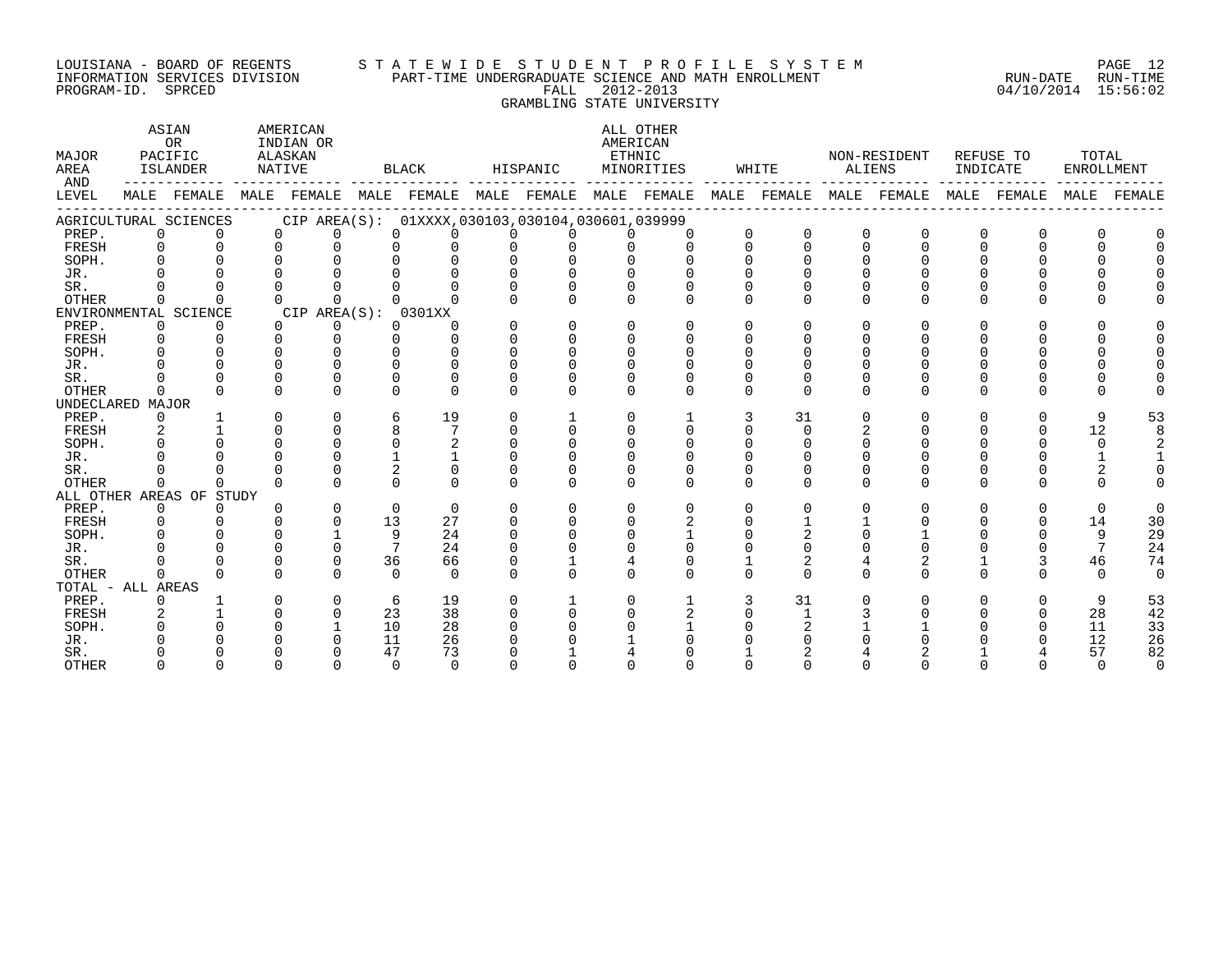#### LOUISIANA - BOARD OF REGENTS S T A T E W I D E S T U D E N T P R O F I L E S Y S T E M PAGE 12 INFORMATION SERVICES DIVISION PART-TIME UNDERGRADUATE SCIENCE AND MATH ENROLLMENT RUN-DATE RUN-TIME PROGRAM-ID. SPRCED FALL 2012-2013 04/10/2014 15:56:02 GRAMBLING STATE UNIVERSITY

| MAJOR<br>AREA<br>AND |                | ASIAN<br><b>OR</b><br>PACIFIC<br>ISLANDER | AMERICAN<br>INDIAN OR<br>ALASKAN<br>NATIVE |                | <b>BLACK</b>                                                                        |              | HISPANIC |          | ALL OTHER<br>AMERICAN<br>ETHNIC<br>MINORITIES |          | WHITE        |          | NON-RESIDENT<br><b>ALIENS</b> | INDICATE | REFUSE TO | TOTAL<br>ENROLLMENT |             |
|----------------------|----------------|-------------------------------------------|--------------------------------------------|----------------|-------------------------------------------------------------------------------------|--------------|----------|----------|-----------------------------------------------|----------|--------------|----------|-------------------------------|----------|-----------|---------------------|-------------|
| LEVEL                |                | MALE FEMALE                               |                                            |                | MALE FEMALE MALE FEMALE MALE FEMALE MALE FEMALE MALE FEMALE MALE FEMALE MALE FEMALE |              |          |          |                                               |          |              |          |                               |          |           |                     | MALE FEMALE |
|                      |                | AGRICULTURAL SCIENCES                     |                                            |                | CIP AREA(S): 01XXXX,030103,030104,030601,039999                                     |              |          |          |                                               |          |              |          |                               |          |           |                     |             |
| PREP.                | $\Omega$       | $\Omega$                                  | $\Omega$                                   | $\Omega$       | $\Omega$<br>$\Omega$                                                                | $\Omega$     | $\Omega$ | $\cap$   |                                               | $\Omega$ | $\mathbf 0$  | $\Omega$ | $\mathbf 0$                   |          |           |                     |             |
| FRESH                | $\Omega$       | $\Omega$                                  | $\cap$                                     | $\cap$         |                                                                                     | $\Omega$     |          |          |                                               | $\Omega$ | $\Omega$     |          | U                             |          |           |                     |             |
| SOPH.                |                |                                           |                                            |                |                                                                                     |              |          |          |                                               |          |              |          |                               |          |           |                     |             |
| JR.                  |                |                                           |                                            |                |                                                                                     |              |          |          |                                               |          |              |          |                               |          |           |                     |             |
| SR.                  |                |                                           |                                            |                |                                                                                     |              |          |          |                                               |          |              |          |                               |          |           |                     |             |
| <b>OTHER</b>         |                |                                           |                                            |                |                                                                                     |              |          |          |                                               | ∩        |              |          |                               |          |           |                     |             |
|                      |                | ENVIRONMENTAL SCIENCE                     | CIP AREA(S): 0301XX                        |                |                                                                                     |              |          |          |                                               |          |              |          |                               |          |           |                     |             |
| PREP.                | $\Omega$       | 0                                         | $\Omega$                                   | 0              | 0                                                                                   |              | $\Omega$ | ∩        |                                               |          |              |          |                               |          |           |                     |             |
| FRESH                | $\Omega$       |                                           | $\Omega$                                   | U              |                                                                                     |              |          |          |                                               |          |              |          |                               |          |           |                     |             |
| SOPH.                |                |                                           |                                            |                |                                                                                     |              |          |          |                                               |          |              |          |                               |          |           |                     |             |
| JR.                  |                |                                           |                                            |                |                                                                                     |              |          |          |                                               |          |              |          |                               |          |           |                     |             |
| SR.                  |                |                                           |                                            | U              |                                                                                     |              |          |          |                                               |          |              |          |                               |          |           |                     |             |
| <b>OTHER</b>         |                |                                           | ∩                                          |                |                                                                                     | <sup>n</sup> | ∩        | $\Omega$ | ∩                                             | ∩        | $\Omega$     |          | <sup>n</sup>                  |          |           | U                   |             |
| UNDECLARED MAJOR     |                |                                           |                                            |                |                                                                                     |              |          |          |                                               |          |              |          |                               |          |           |                     |             |
| PREP.                | 0              |                                           |                                            | 0              | 19<br>6                                                                             | 0            |          | $\Omega$ |                                               | 3        | 31           |          | O                             |          | 0         | 9                   | 53          |
| FRESH                | $\overline{2}$ |                                           |                                            | $\Omega$       |                                                                                     | 0            |          | ∩        | $\Omega$                                      |          | $\Omega$     |          |                               |          |           | 12                  | 8           |
| SOPH.                | $\Omega$       |                                           |                                            | $\Omega$       | $\Omega$                                                                            |              |          |          |                                               |          |              |          |                               |          |           | $\mathbf 0$         |             |
| JR.                  |                |                                           |                                            | U              |                                                                                     |              |          |          |                                               |          |              |          |                               |          |           |                     |             |
| SR.                  |                |                                           |                                            | U              | 2<br>0                                                                              |              |          |          |                                               |          |              |          |                               |          |           |                     |             |
| OTHER                | 0              | U                                         | U                                          | 0              | $\Omega$<br>$\Omega$                                                                | $\Omega$     | $\Omega$ | $\Omega$ | $\Omega$                                      | $\Omega$ | $\Omega$     | U        | 0                             |          | $\Omega$  | $\Omega$            |             |
|                      |                | ALL OTHER AREAS OF STUDY                  |                                            |                |                                                                                     |              |          |          |                                               |          |              |          |                               |          |           |                     |             |
| PREP.                | $\Omega$       | $\Omega$                                  | U                                          | $\Omega$       | $\Omega$<br>$\Omega$                                                                | $\Omega$     | $\Omega$ | $\Omega$ | ∩                                             | $\Omega$ | $\Omega$     | U        | 0                             |          | $\Omega$  | $\Omega$            | $\Omega$    |
| FRESH                | $\Omega$       |                                           |                                            | $\Omega$<br>13 | 27                                                                                  |              |          | ∩        |                                               |          |              |          |                               |          |           | 14                  | 30          |
| SOPH.                |                |                                           |                                            |                | 9<br>24                                                                             |              |          |          |                                               |          |              |          |                               |          |           | 9                   | 29          |
| JR.                  |                |                                           |                                            | $\Omega$       | 24                                                                                  |              |          |          |                                               |          |              |          |                               |          |           | 7                   | 24          |
| SR.                  |                |                                           |                                            | $\Omega$<br>36 | 66                                                                                  |              |          |          | $\Omega$                                      |          | 2            |          | 2                             |          |           | 46                  | 74          |
| OTHER                | $\Omega$       | U                                         |                                            | $\Omega$       | $\Omega$<br>$\Omega$                                                                | $\Omega$     | $\Omega$ | $\Omega$ | $\Omega$                                      | ∩        | $\Omega$     |          | 0                             |          |           | $\Omega$            | $\Omega$    |
| TOTAL - ALL AREAS    |                |                                           |                                            |                |                                                                                     |              |          |          |                                               |          |              |          |                               |          |           |                     |             |
| PREP.                | 0              |                                           |                                            | 0              | 19<br>6                                                                             | 0            |          | n        |                                               |          | 31           |          |                               |          |           | 9                   | 53          |
| FRESH                | 2              |                                           |                                            | 0<br>23        | 38                                                                                  | $\Omega$     |          |          |                                               |          | $\mathbf{1}$ |          |                               |          |           | 28                  | 42          |
| SOPH.                |                |                                           |                                            | 10             | 28                                                                                  |              |          |          |                                               |          |              |          |                               |          |           | 11                  | 33          |
| JR.                  |                |                                           |                                            | 11             | 26                                                                                  |              |          |          |                                               |          |              |          |                               |          |           | 12                  | 26          |
| SR.                  |                |                                           |                                            | 47             | 73                                                                                  |              |          |          |                                               |          |              |          |                               |          |           | 57                  | 82          |
| <b>OTHER</b>         | <sup>n</sup>   |                                           |                                            | $\cap$         | $\cap$<br>$\cap$                                                                    |              |          |          |                                               |          |              |          |                               |          |           | $\cap$              | $\Omega$    |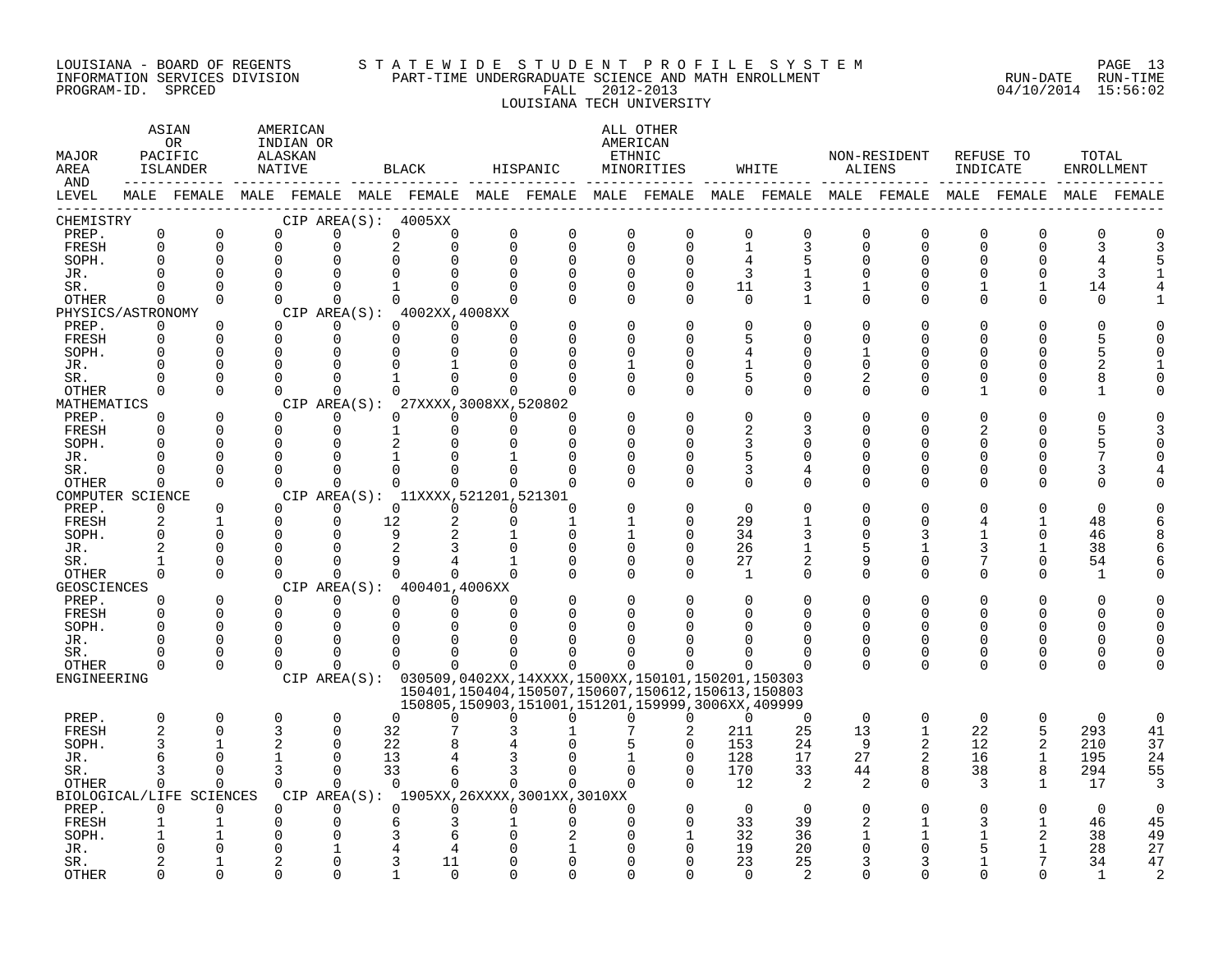#### LOUISIANA - BOARD OF REGENTS S T A T E W I D E S T U D E N T P R O F I L E S Y S T E M PAGE 13 INFORMATION SERVICES DIVISION PART-TIME UNDERGRADUATE SCIENCE AND MATH ENROLLMENT RUN-DATE RUN-TIME PROGRAM-ID. SPRCED FALL 2012-2013 04/10/2014 15:56:02 LOUISIANA TECH UNIVERSITY

| MAJOR<br>AREA<br>AND |                         | ASIAN<br><b>OR</b><br>PACIFIC<br><b>ISLANDER</b> | AMERICAN<br>INDIAN OR<br>ALASKAN<br>NATIVE |                      | <b>BLACK</b>                                                                                                |                         | HISPANIC<br>-----                                                                                                | AMERICAN                | ALL OTHER<br>ETHNIC<br>MINORITIES |                   | WHITE            | <b>ALIENS</b>           | NON-RESIDENT            | INDICATE      | REFUSE TO            | TOTAL<br><b>ENROLLMENT</b> |                |
|----------------------|-------------------------|--------------------------------------------------|--------------------------------------------|----------------------|-------------------------------------------------------------------------------------------------------------|-------------------------|------------------------------------------------------------------------------------------------------------------|-------------------------|-----------------------------------|-------------------|------------------|-------------------------|-------------------------|---------------|----------------------|----------------------------|----------------|
| LEVEL                |                         |                                                  |                                            |                      | MALE FEMALE MALE FEMALE MALE FEMALE MALE FEMALE MALE FEMALE MALE FEMALE MALE FEMALE MALE FEMALE MALE FEMALE |                         |                                                                                                                  |                         |                                   |                   |                  |                         |                         |               |                      |                            |                |
| CHEMISTRY            |                         |                                                  |                                            |                      | CIP AREA(S): 4005XX                                                                                         |                         |                                                                                                                  |                         |                                   |                   |                  |                         |                         |               |                      |                            |                |
| PREP.<br>FRESH       | $\mathbf 0$<br>$\Omega$ | $\mathbf 0$<br>$\Omega$                          | $\mathbf 0$<br>$\Omega$                    | $\Omega$<br>$\Omega$ | $\Omega$<br>0<br>2<br>$\Omega$                                                                              | $\mathbf 0$<br>$\Omega$ | $\mathbf 0$<br>$\mathbf 0$                                                                                       | $\mathbf 0$<br>$\Omega$ | $\mathbf 0$<br>$\Omega$           | 0<br>$\mathbf{1}$ | $\mathbf 0$<br>3 | $\mathbf 0$<br>$\Omega$ | $\mathbf 0$<br>$\Omega$ | 0<br>$\Omega$ | $\Omega$<br>$\Omega$ | $\mathbf 0$<br>3           | 0<br>3         |
| SOPH.                | $\Omega$                | 0                                                | $\overline{0}$                             |                      |                                                                                                             | $\Omega$                | $\mathbf 0$                                                                                                      | $\Omega$                | 0                                 | 4                 | 5                | $\Omega$                | $\Omega$                | U             | O                    | 4                          | 5              |
| JR.                  | $\cap$                  | $\Omega$                                         | $\Omega$                                   |                      |                                                                                                             | $\Omega$                | $\Omega$                                                                                                         | $\Omega$                | $\Omega$                          |                   |                  |                         |                         |               | $\Omega$             | 3                          |                |
| SR.                  | $\Omega$                | $\Omega$                                         | $\Omega$                                   | $\Omega$             | $\mathbf{1}$<br>0                                                                                           | $\Omega$                | $\Omega$                                                                                                         | $\Omega$                | $\Omega$                          | 11                | 3                |                         | ∩                       |               | $\mathbf{1}$         | 14                         |                |
| OTHER                | $\Omega$                | $\Omega$                                         | $\Omega$                                   | $\Omega$             | $\Omega$<br>$\Omega$                                                                                        | $\Omega$                | $\Omega$                                                                                                         | $\Omega$                | $\Omega$                          | 0                 | 1                | $\Omega$                | ∩                       | 0             | $\Omega$             | $\Omega$                   |                |
| PHYSICS/ASTRONOMY    |                         |                                                  |                                            |                      | CIP AREA(S): 4002XX, 4008XX                                                                                 |                         |                                                                                                                  |                         |                                   |                   |                  |                         |                         |               |                      |                            |                |
| PREP.                | $\overline{0}$          | 0                                                | $\Omega$                                   | $\Omega$             | $\Omega$<br>$\Omega$                                                                                        | $\Omega$                |                                                                                                                  | $\Omega$                | $\Omega$                          | 0                 | $\Omega$         |                         |                         |               | U                    | $\Omega$                   |                |
| FRESH                | $\Omega$                | $\Omega$                                         | $\Omega$                                   | $\Omega$             | $\Omega$<br>$\Omega$                                                                                        | $\Omega$                |                                                                                                                  | $\Omega$                | U                                 | 5                 | U                |                         |                         |               | Λ                    | 5                          |                |
| SOPH.                | $\Omega$                | $\Omega$                                         | $\Omega$                                   | $\Omega$             |                                                                                                             |                         | $\Omega$                                                                                                         |                         | U                                 | 4                 | <sup>n</sup>     |                         |                         |               | U                    | 5                          |                |
| JR.                  | $\Omega$<br>$\Omega$    | 0<br>$\Omega$                                    | $\Omega$<br>$\Omega$                       | $\cap$               |                                                                                                             | $\cap$                  | $\Omega$                                                                                                         |                         | <sup>0</sup><br>$\Omega$          | 5                 | U<br>$\Omega$    |                         |                         |               | O<br>U               | $\overline{2}$<br>8        |                |
| SR.<br>OTHER         | $\Omega$                | $\Omega$                                         | $\Omega$                                   | $\Omega$             | $\cap$                                                                                                      | $\cap$                  |                                                                                                                  |                         | <sup>0</sup>                      | $\Omega$          | $\Omega$         | U                       |                         |               | U                    | -1                         |                |
| MATHEMATICS          |                         |                                                  |                                            |                      | CIP AREA(S): 27XXXX, 3008XX, 520802                                                                         |                         |                                                                                                                  |                         |                                   |                   |                  |                         |                         |               |                      |                            |                |
| PREP.                | $\Omega$                | $\Omega$                                         | $\Omega$                                   | $\Omega$             | $\Omega$<br>$\Omega$                                                                                        | $\Omega$                | $\Omega$                                                                                                         |                         | $\Omega$                          | $\Omega$          |                  |                         |                         |               |                      |                            |                |
| FRESH                | $\Omega$                | $\Omega$                                         | $\Omega$                                   | $\Omega$             | $\Omega$                                                                                                    | $\Omega$                | $\Omega$                                                                                                         | $\Omega$                | $\Omega$                          | 2                 | 3                |                         |                         |               | U                    | 5                          |                |
| SOPH.                | $\Omega$                | $\Omega$                                         | $\Omega$                                   | $\cap$               | $\overline{a}$                                                                                              |                         | $\Omega$                                                                                                         | ∩                       | U                                 | 3                 | 0                |                         |                         |               | Ω                    | 5                          |                |
| JR.                  | $\Omega$                | $\Omega$                                         | $\Omega$                                   | $\Omega$             |                                                                                                             |                         | $\Omega$                                                                                                         | $\Omega$                | <sup>0</sup>                      | 5                 | $\Omega$         |                         |                         | U             | O                    | 7                          |                |
| SR.                  | $\Omega$                | $\Omega$                                         | $\Omega$                                   | $\Omega$             | $\Omega$<br>0                                                                                               | $\Omega$                | $\Omega$                                                                                                         | $\Omega$                | 0                                 | 3                 | 4                |                         | O                       | U             | 0                    | 3                          |                |
| OTHER                | $\Omega$                | $\Omega$                                         | $\cap$                                     | $\Omega$             | $\Omega$<br>$\Omega$                                                                                        | $\Omega$                | $\Omega$                                                                                                         |                         | $\Omega$                          | $\Omega$          | $\Omega$         |                         | ∩                       | U             | O                    | $\Omega$                   |                |
| COMPUTER SCIENCE     |                         |                                                  |                                            |                      | CIP AREA(S): 11XXXX, 521201, 521301                                                                         |                         |                                                                                                                  |                         | $\Omega$                          |                   |                  |                         |                         |               |                      |                            |                |
| PREP.<br>FRESH       | $\Omega$<br>2           | $\Omega$<br>$\mathbf{1}$                         | $\Omega$<br>$\Omega$                       | $\Omega$<br>$\Omega$ | $\Omega$<br>$\Omega$<br>12                                                                                  | $\Omega$<br>$\Omega$    | $\Omega$<br>$\mathbf{1}$                                                                                         |                         | $\Omega$                          | $\Omega$<br>29    |                  |                         | ∩                       |               |                      | $\Omega$<br>48             |                |
| SOPH.                | $\Omega$                | $\Omega$                                         | $\Omega$                                   | $\Omega$             | 9                                                                                                           |                         | $\Omega$                                                                                                         |                         | $\Omega$                          | 34                | 3                |                         |                         |               | $\Omega$             | 46                         |                |
| JR.                  | $\mathfrak{D}$          | $\Omega$                                         | $\Omega$                                   |                      |                                                                                                             |                         | 0                                                                                                                | $\Omega$                | $\Omega$                          | 26                | 1                |                         |                         | 3             | $\mathbf{1}$         | 38                         |                |
| SR.                  | $\mathbf{1}$            | $\Omega$                                         | $\Omega$                                   |                      |                                                                                                             |                         | $\Omega$                                                                                                         | $\Omega$                | $\Omega$                          | 27                | 2                |                         | ∩                       |               | $\Omega$             | 54                         |                |
| OTHER                | $\Omega$                | $\Omega$                                         | $\Omega$                                   | $\Omega$             | $\cap$<br>$\Omega$                                                                                          | $\Omega$                | $\Omega$                                                                                                         | $\Omega$                | $\Omega$                          | 1                 | $\Omega$         | $\Omega$                | ∩                       | $\Omega$      | $\Omega$             | 1                          |                |
| <b>GEOSCIENCES</b>   |                         |                                                  |                                            |                      | CIP AREA(S): 400401,4006XX                                                                                  |                         |                                                                                                                  |                         |                                   |                   |                  |                         |                         |               |                      |                            |                |
| PREP.                | $\Omega$                | $\Omega$                                         | $\Omega$                                   | $\Omega$             | $\Omega$<br>$\Omega$                                                                                        | $\Omega$                | $\Omega$                                                                                                         | $\Omega$                | $\Omega$                          | $\Omega$          | $\Omega$         |                         |                         |               | 0                    | $\Omega$                   |                |
| FRESH                | $\Omega$                | $\Omega$                                         | $\Omega$                                   | $\overline{0}$       | $\Omega$<br>$\Omega$                                                                                        | $\Omega$                | $\Omega$                                                                                                         | <sup>0</sup>            | $\Omega$                          | $\Omega$          | $\Omega$         |                         | $\Omega$                | U             | $\Omega$             | $\mathbf 0$                | $\Omega$       |
| SOPH.                | $\Omega$                | $\Omega$                                         | $\Omega$                                   | $\Omega$             |                                                                                                             |                         |                                                                                                                  |                         |                                   |                   |                  |                         |                         |               | $\Omega$             | $\Omega$                   | $\Omega$       |
| JR.                  | $\Omega$<br>U           | $\Omega$                                         | $\Omega$<br>0                              | $\Omega$             | $\Omega$                                                                                                    | ∩<br>n                  |                                                                                                                  |                         |                                   |                   | U<br>U           | <sup>n</sup>            | ∩                       | U<br>U        | $\Omega$             | $\Omega$                   |                |
| SR.<br>OTHER         | $\Omega$                | 0<br>$\Omega$                                    | $\Omega$                                   | $\Omega$<br>$\Omega$ | $\Omega$<br>$\Omega$                                                                                        | $\Omega$                | $\Omega$                                                                                                         | $\Omega$                | $\Omega$                          |                   |                  | $\Omega$                | 0<br>$\Omega$           | $\Omega$      | 0<br>$\Omega$        | 0<br>$\Omega$              | $\Omega$       |
| ENGINEERING          |                         |                                                  |                                            |                      | CIP AREA(S): 030509,0402XX,14XXXX,1500XX,150101,150201,150303                                               |                         |                                                                                                                  |                         |                                   |                   |                  |                         |                         |               |                      |                            |                |
|                      |                         |                                                  |                                            |                      |                                                                                                             |                         | 150401, 150404, 150507, 150607, 150612, 150613, 150803<br>150805, 150903, 151001, 151201, 159999, 3006XX, 409999 |                         |                                   |                   |                  |                         |                         |               |                      |                            |                |
| PREP.                | $\mathbf 0$             | 0                                                | $\mathbf 0$                                | $\mathbf 0$          | $\Omega$<br>0                                                                                               | $\Omega$                | $\Omega$                                                                                                         | $\Omega$                | $\Omega$                          | $\overline{0}$    | $\mathbf 0$      | $\mathbf 0$             | $\mathbf 0$             | $\mathbf 0$   | $\mathbf 0$          | $\mathbf 0$                | 0              |
| FRESH                | $\mathfrak{D}$          | $\Omega$                                         | 3                                          | $\Omega$             | 32                                                                                                          |                         |                                                                                                                  |                         | 2                                 | 211               | 25               | 13                      | $\mathbf{1}$            | 22            | 5                    | 293                        | 41             |
| SOPH.                |                         |                                                  | 2                                          | $\Omega$             | 22                                                                                                          |                         |                                                                                                                  |                         | $\Omega$                          | 153               | 24               | 9                       | 2                       | 12            | 2                    | 210                        | 37             |
| JR.                  | 6                       | $\Omega$                                         | $\mathbf{1}$                               | $\Omega$             | 13                                                                                                          |                         |                                                                                                                  |                         | $\Omega$                          | 128               | 17               | 27                      |                         | 16            | $\mathbf{1}$         | 195                        | 24             |
| SR.                  | 3                       | $\Omega$                                         | 3                                          | $\Omega$             | 33<br>6                                                                                                     | 3                       | $\Omega$                                                                                                         | $\Omega$                | $\Omega$                          | 170               | 33               | 44                      | 8                       | 38            | 8                    | 294                        | 55             |
| OTHER                | $\Omega$                | $\Omega$                                         | $\Omega$                                   | $\Omega$             | $\Omega$<br>$\Omega$                                                                                        | $\Omega$                | $\Omega$                                                                                                         | $\Omega$                | $\Omega$                          | 12                | 2                | 2                       | $\Omega$                | 3             | $\mathbf{1}$         | 17                         | 3              |
| PREP.                | $\Omega$                | BIOLOGICAL/LIFE SCIENCES<br>$\Omega$             | $\Omega$                                   | $\Omega$             | CIP AREA(S): 1905XX, 26XXXX, 3001XX, 3010XX<br>$\Omega$<br>$\Omega$                                         | $\Omega$                | $\Omega$                                                                                                         | $\Omega$                | $\Omega$                          | $\Omega$          | $\Omega$         |                         |                         | U             | 0                    | $\Omega$                   | $\Omega$       |
| FRESH                |                         |                                                  | 0                                          | 0                    |                                                                                                             |                         | $\Omega$                                                                                                         | $\Omega$                | $\Omega$                          | 33                | 39               |                         |                         |               |                      | 46                         | 45             |
| SOPH.                |                         |                                                  | U                                          |                      |                                                                                                             |                         |                                                                                                                  |                         | $\mathbf{1}$                      | 32                | 36               |                         |                         |               | 2                    | 38                         | 49             |
| JR.                  |                         |                                                  | 0                                          |                      |                                                                                                             |                         |                                                                                                                  |                         | $\Omega$                          | 19                | 20               |                         |                         |               |                      | 28                         | 27             |
| SR.                  |                         |                                                  | 2                                          |                      | 11                                                                                                          |                         | $\Omega$                                                                                                         | ∩                       | U                                 | 23                | 25               |                         |                         |               |                      | 34                         | 47             |
| <b>OTHER</b>         | $\cap$                  | $\Omega$                                         | $\Omega$                                   | $\cap$               | $\cap$                                                                                                      |                         | $\cap$                                                                                                           | ∩                       |                                   | $\cap$            |                  |                         |                         |               | ∩                    | $\mathbf{1}$               | $\overline{a}$ |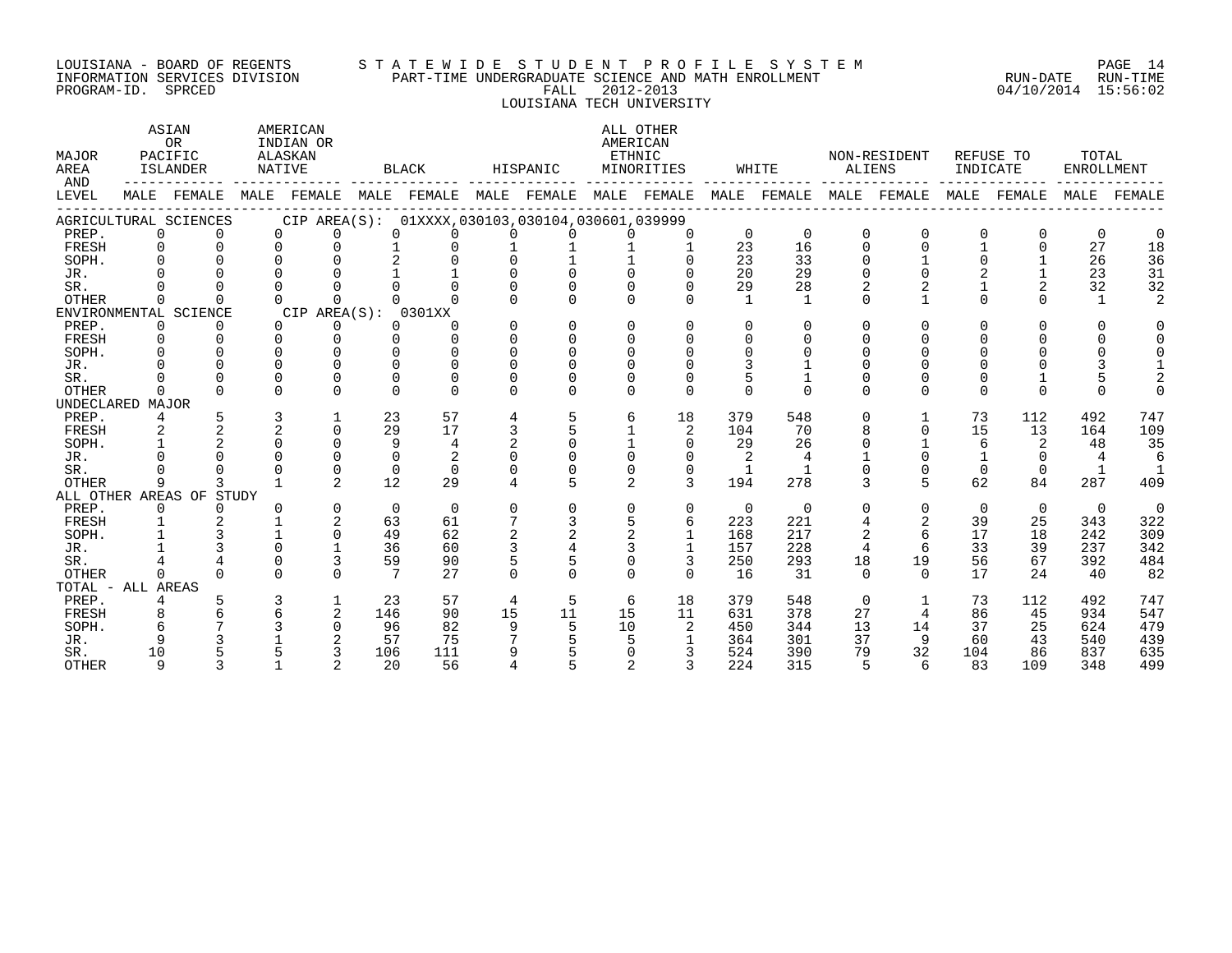#### LOUISIANA - BOARD OF REGENTS S T A T E W I D E S T U D E N T P R O F I L E S Y S T E M PAGE 14 INFORMATION SERVICES DIVISION PART-TIME UNDERGRADUATE SCIENCE AND MATH ENROLLMENT RUN-DATE RUN-TIME PROGRAM-ID. SPRCED FALL 2012-2013 04/10/2014 15:56:02 LOUISIANA TECH UNIVERSITY

ASTAN AMERICAN AMERICAN ALL OTHER OR INDIAN OR **INDIAN OR** AMERICAN MAJOR PACIFIC ALASKAN ETHNIC NON-RESIDENT REFUSE TO TOTAL AREA ISLANDER NATIVE BLACK HISPANIC MINORITIES WHITE ALIENS INDICATE ENROLLMENT AND ------------ ------------- ------------- ------------- ------------- ------------- ------------- ------------- ------------- LEVEL MALE FEMALE MALE FEMALE MALE FEMALE MALE FEMALE MALE FEMALE MALE FEMALE MALE FEMALE MALE FEMALE MALE FEMALE ------------------------------------------------------------------------------------------------------------------------------------ AGRICULTURAL SCIENCES CIP AREA(S): 01XXXX,030103,030104,030601,039999 PREP. 0 0 0 0 0 0 0 0 0 0 0 0 0 0 0 0 0 0 FRESH 0 0 0 0 1 0 1 1 1 1 23 16 0 0 1 0 27 18 SOPH. 0 0 0 0 2 0 0 1 1 0 23 33 0 1 0 1 26 36 JR. 0 0 0 0 1 1 0 0 0 0 20 29 0 0 2 1 23 31 SR. 0 0 0 0 0 0 0 0 0 0 29 28 2 2 1 2 32 32 OTHER 0 0 0 0 0 0 0 0 0 0 1 1 0 1 0 0 1 2 ENVIRONMENTAL SCIENCE<br>
PREP. 0 0 0 0 0 0 0<br>
0 0 PREP. 0 0 0 0 0 0 0 0 0 0 0 0 0 0 0 0 0 0 FRESH 0 0 0 0 0 0 0 0 0 0 0 0 0 0 0 0 0 0 SOPH. 0 0 0 0 0 0 0 0 0 0 0 0 0 0 0 0 0 0 JR. 0 0 0 0 0 0 0 0 0 0 3 1 0 0 0 0 3 1 SR. 0 0 0 0 0 0 0 0 0 0 5 1 0 0 0 1 5 2 OTHER 0 0 0 0 0 0 0 0 0 0 0 0 0 0 0 0 0 0 UNDECLARED MAJOR PREP. 4 5 3 1 23 57 4 5 6 18 379 548 0 1 73 112 492 747 FRESH 2 2 2 0 29 17 3 5 1 2 104 70 8 0 15 13 164 109 SOPH. 1 2 0 0 9 4 2 0 1 0 29 26 0 1 6 2 48 35 JR. 0 0 0 0 0 2 0 0 0 0 2 4 1 0 1 0 4 6 SR. 0 0 0 0 0 0 0 0 0 0 1 1 0 0 0 0 1 1 OTHER 9 3 1 2 12 29 4 5 2 3 194 278 3 5 62 84 287 409 ALL OTHER AREAS OF STUDY PREP. 0 0 0 0 0 0 0 0 0 0 0 0 0 0 0 0 0 0 FRESH 1 2 1 2 63 61 7 3 5 6 223 221 4 2 39 25 343 322 SOPH. 1 3 1 0 49 62 2 2 2 1 168 217 2 6 17 18 242 309 JR. 1 3 0 1 36 60 3 4 3 1 157 228 4 6 33 39 237 342 SR. 4 4 0 3 59 90 5 5 0 3 250 293 18 19 56 67 392 484 OTHER 0 0 0 0 7 27 0 0 0 0 16 31 0 0 17 24 40 82 TOTAL - ALL AREAS PREP. 4 5 3 1 23 57 4 5 6 18 379 548 0 1 73 112 492 747 FRESH 8 6 6 2 146 90 15 11 15 11 631 378 27 4 86 45 934 547 SOPH. 6 7 3 0 96 82 9 5 10 2 450 344 13 14 37 25 624 479 JR. 9 3 1 2 57 75 7 5 5 1 364 301 37 9 60 43 540 439 SR. 10 5 5 3 106 111 9 5 0 3 524 390 79 32 104 86 837 635

OTHER 9 3 1 2 20 56 4 5 2 3 224 315 5 6 83 109 348 499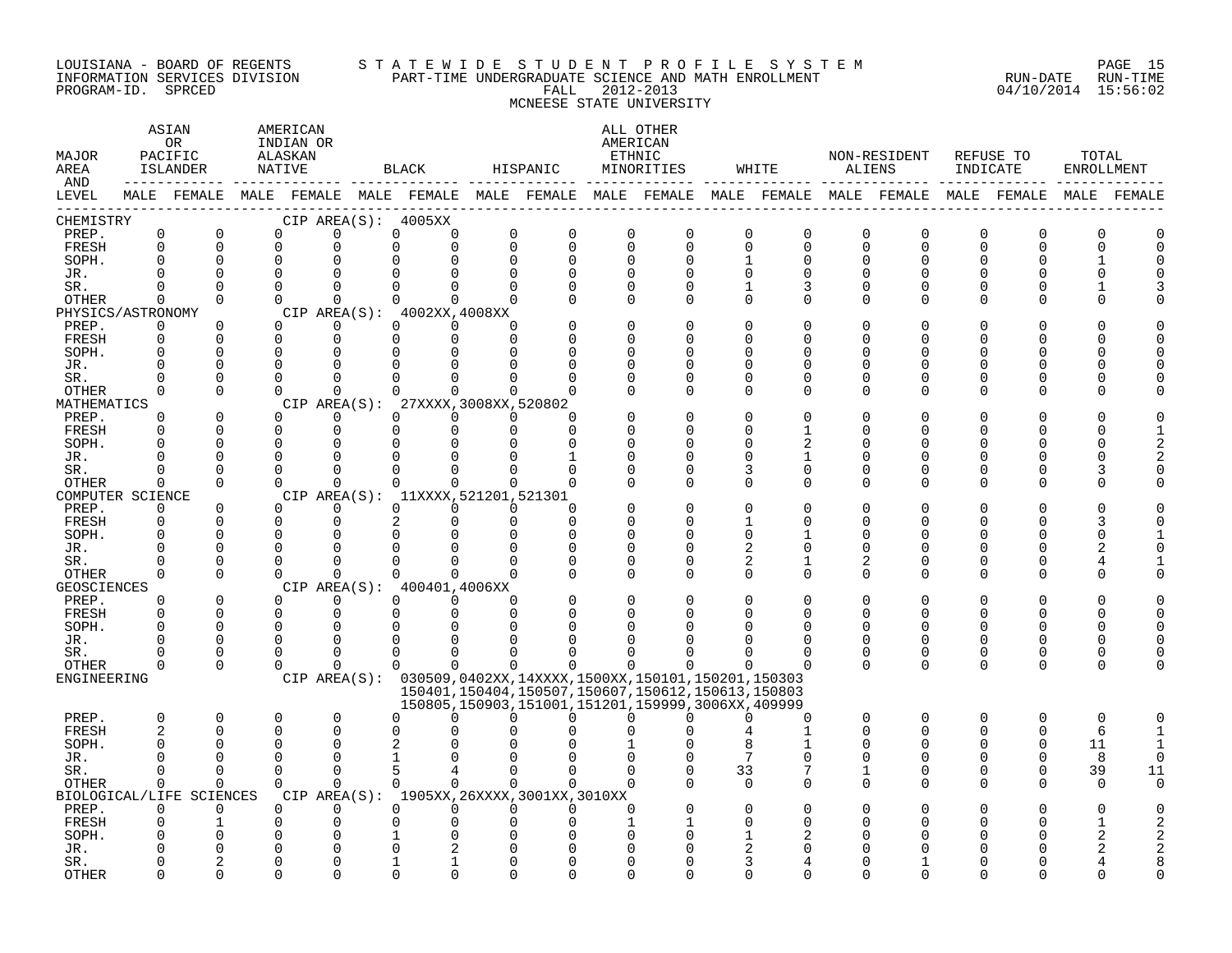#### LOUISIANA - BOARD OF REGENTS S T A T E W I D E S T U D E N T P R O F I L E S Y S T E M PAGE 15 INFORMATION SERVICES DIVISION PART-TIME UNDERGRADUATE SCIENCE AND MATH ENROLLMENT RUN-DATE RUN-TIME PROGRAM-ID. SPRCED FALL 2012-2013 04/10/2014 15:56:02 MCNEESE STATE UNIVERSITY

| MAJOR<br>AREA<br>AND |                      | ASIAN<br>0R<br>PACIFIC<br><b>ISLANDER</b>                                                       |                        | AMERICAN<br>INDIAN OR<br>ALASKAN<br>NATIVE |             | BLACK                               |                      | HISPANIC                                                                                                         |                      | ALL OTHER<br>AMERICAN<br>ETHNIC<br>MINORITIES |               | WHITE    | ALIENS        | NON-RESIDENT | REFUSE TO<br>INDICATE |              | TOTAL<br><b>ENROLLMENT</b> |              |
|----------------------|----------------------|-------------------------------------------------------------------------------------------------|------------------------|--------------------------------------------|-------------|-------------------------------------|----------------------|------------------------------------------------------------------------------------------------------------------|----------------------|-----------------------------------------------|---------------|----------|---------------|--------------|-----------------------|--------------|----------------------------|--------------|
| LEVEL                |                      | MALE FEMALE MALE FEMALE MALE FEMALE MALE FEMALE MALE FEMALE MALE FEMALE MALE FEMALE MALE FEMALE |                        |                                            |             |                                     |                      |                                                                                                                  |                      |                                               |               |          |               |              |                       |              |                            | MALE FEMALE  |
| CHEMISTRY            |                      |                                                                                                 |                        |                                            |             | CIP AREA(S): 4005XX                 |                      |                                                                                                                  |                      |                                               |               |          |               |              |                       |              |                            |              |
| PREP.                | 0                    | 0                                                                                               | $\mathbf 0$            |                                            | $\Omega$    | $\mathbf 0$<br>0                    | 0                    | $\mathbf 0$                                                                                                      | $\mathbf 0$          | $\mathbf 0$                                   | 0             | 0        | $\mathbf 0$   | $\mathbf 0$  | $\Omega$              | 0            | $\Omega$                   | $\Omega$     |
| FRESH<br>SOPH.       | $\Omega$<br>$\Omega$ | $\Omega$<br>$\Omega$                                                                            | $\Omega$               | $\Omega$                                   | 0           | $\Omega$<br>$\Omega$                | $\Omega$<br>$\Omega$ | $\Omega$<br>$\Omega$                                                                                             | $\Omega$<br>$\Omega$ | $\Omega$<br>$\Omega$                          | $\Omega$      | 0<br>0   | $\Omega$<br>U | $\Omega$     | $\Omega$              | $\Omega$     | $\cap$                     | $\Omega$     |
|                      | $\Omega$             | $\Omega$                                                                                        | $\Omega$               |                                            |             |                                     |                      |                                                                                                                  |                      | $\Omega$                                      | 1<br>$\Omega$ | $\Omega$ |               |              |                       |              |                            |              |
| JR.<br>SR.           | $\Omega$             | $\Omega$                                                                                        | $\Omega$               |                                            | $\Omega$    | $\Omega$<br>$\Omega$                |                      | $\Omega$                                                                                                         | $\Omega$             | ∩                                             | 1             | 3        | <sup>n</sup>  |              |                       |              |                            |              |
| OTHER                | $\Omega$             | $\Omega$                                                                                        | $\Omega$               |                                            | $\Omega$    | $\Omega$<br>$\Omega$                | <sup>n</sup>         | n                                                                                                                | $\Omega$             | $\Omega$                                      | $\Omega$      | 0        | $\Omega$      | ∩            | $\Omega$              |              | ∩                          |              |
| PHYSICS/ASTRONOMY    |                      |                                                                                                 |                        |                                            |             | CIP AREA(S): 4002XX, 4008XX         |                      |                                                                                                                  |                      |                                               |               |          |               |              |                       |              |                            |              |
| PREP.                | $\Omega$             | $\Omega$                                                                                        |                        | $\Omega$                                   | $\Omega$    | $\Omega$<br>$\Omega$                | <sup>n</sup>         |                                                                                                                  |                      | $\Omega$                                      | $\Omega$      | N        |               |              |                       |              |                            |              |
| FRESH                | $\Omega$             | $\Omega$                                                                                        | $\Omega$               |                                            | $\Omega$    | $\Omega$<br>$\Omega$                | $\Omega$             |                                                                                                                  |                      | ∩                                             | <sup>0</sup>  | U        |               |              |                       |              |                            |              |
| SOPH.                | $\Omega$             | $\Omega$                                                                                        |                        | $\Omega$                                   | $\Omega$    |                                     |                      |                                                                                                                  |                      |                                               | U             | U        |               |              |                       |              | U                          |              |
| JR.                  | $\Omega$             | $\Omega$                                                                                        | $\Omega$               |                                            |             |                                     |                      |                                                                                                                  |                      | $\Omega$                                      | <sup>0</sup>  | O        |               |              |                       |              | U                          |              |
| SR.                  | O                    | $\Omega$                                                                                        |                        | $\Omega$                                   | $\Omega$    |                                     |                      |                                                                                                                  |                      | $\Omega$                                      | 0             | 0        | O             |              |                       |              |                            |              |
| OTHER                | $\Omega$             | $\Omega$                                                                                        | $\Omega$               |                                            | $\Omega$    | $\cap$                              | $\Omega$             | ∩                                                                                                                |                      | $\Omega$                                      | $\Omega$      | O        | U             | ∩            | n                     | ∩            |                            |              |
| MATHEMATICS          |                      |                                                                                                 |                        |                                            |             | CIP AREA(S): 27XXXX, 3008XX, 520802 |                      |                                                                                                                  |                      |                                               |               |          |               |              |                       |              |                            |              |
| PREP.                | 0                    | $\Omega$                                                                                        |                        | $\Omega$                                   | $\Omega$    | $\Omega$<br>0                       | $\Omega$             | $\Omega$                                                                                                         |                      |                                               | U             |          |               |              |                       |              |                            |              |
| FRESH                | $\Omega$             | $\Omega$                                                                                        | $\Omega$               |                                            | 0           | $\Omega$<br>$\Omega$                | $\Omega$             | $\Omega$                                                                                                         |                      | ∩                                             | <sup>0</sup>  |          | Ω             |              |                       |              | U                          |              |
| SOPH.                | $\Omega$             | $\Omega$                                                                                        |                        | $\Omega$                                   | $\Omega$    | $\Omega$                            |                      | n                                                                                                                |                      | ∩                                             | <sup>0</sup>  |          |               |              |                       |              | ⋂                          |              |
| JR.                  | $\Omega$             | 0                                                                                               |                        | 0                                          | 0           | O                                   |                      |                                                                                                                  | ∩                    | O                                             | 0             | 1        | Ω             |              |                       |              | O                          |              |
| SR.                  | ∩                    | $\Omega$                                                                                        |                        | $\Omega$                                   | $\Omega$    | $\Omega$<br>∩                       |                      | $\cap$                                                                                                           |                      | $\Omega$                                      | 3             | 0        | U             |              |                       |              | 3                          |              |
| <b>OTHER</b>         | $\Omega$             | $\Omega$                                                                                        | $\Omega$               |                                            | $\Omega$    | $\Omega$<br>$\Omega$                | $\Omega$             | $\Omega$                                                                                                         |                      | ∩                                             | $\Omega$      | 0        | <sup>n</sup>  |              | ∩                     | ∩            |                            |              |
| COMPUTER SCIENCE     |                      |                                                                                                 |                        |                                            |             | CIP AREA(S): 11XXXX, 521201, 521301 |                      |                                                                                                                  |                      |                                               |               |          |               |              |                       |              |                            |              |
| PREP.                | $\Omega$             | $\Omega$                                                                                        |                        | $\Omega$                                   | $\Omega$    | $\Omega$<br>$\Omega$                | $\Omega$             | $\Omega$                                                                                                         |                      | ∩                                             | O             | U        |               |              |                       |              |                            |              |
| FRESH<br>SOPH.       | 0<br>$\Omega$        | 0<br>$\Omega$                                                                                   | $\Omega$               | 0                                          | 0           | 2<br>$\Omega$                       | $\Omega$             | $\Omega$<br>$\Omega$                                                                                             |                      | O<br>$\Omega$                                 | 1<br>$\Omega$ | O        | U<br>Λ        |              |                       |              | 3<br>0                     |              |
| JR.                  | O                    | $\Omega$                                                                                        | $\Omega$               |                                            |             |                                     |                      | $\Omega$                                                                                                         | O                    | $\Omega$                                      | 2             |          | U             |              |                       |              |                            |              |
| SR.                  |                      | $\Omega$                                                                                        | $\Omega$               |                                            |             |                                     |                      |                                                                                                                  | O                    | $\Omega$                                      | 2             |          | 2             |              |                       |              |                            |              |
| <b>OTHER</b>         | $\Omega$             | $\Omega$                                                                                        |                        | $\Omega$                                   | $\cap$      | $\cap$                              | U                    | $\Omega$                                                                                                         | $\Omega$             | $\Omega$                                      | $\Omega$      | $\Omega$ | $\Omega$      | ∩            | ∩                     | U            | U                          |              |
| <b>GEOSCIENCES</b>   |                      |                                                                                                 |                        |                                            |             | CIP AREA(S): 400401,4006XX          |                      |                                                                                                                  |                      |                                               |               |          |               |              |                       |              |                            |              |
| PREP.                | $\Omega$             | 0                                                                                               | $\Omega$               |                                            | $\Omega$    | $\Omega$<br>$\Omega$                | $\Omega$             |                                                                                                                  |                      | $\Omega$                                      | $\Omega$      | O        | O             |              |                       |              |                            |              |
| FRESH                | $\Omega$             | $\Omega$                                                                                        | $\Omega$               |                                            | $\Omega$    | $\Omega$<br>$\Omega$                | $\Omega$             | $\Omega$                                                                                                         |                      | ∩                                             | $\Omega$      | O        | $\Omega$      | ∩            | $\Omega$              | U            | $\Omega$                   |              |
| SOPH.                | $\Omega$             | $\Omega$                                                                                        |                        | $\Omega$                                   | $\Omega$    |                                     |                      |                                                                                                                  |                      |                                               |               |          |               |              |                       |              | C                          |              |
| JR.                  | ∩                    | $\Omega$                                                                                        |                        | $\Omega$                                   | $\Omega$    | 0                                   |                      |                                                                                                                  |                      |                                               |               | O        | U             | ∩            | ∩                     | <sup>0</sup> | $\Omega$                   |              |
| SR.                  | $\Omega$             | $\Omega$                                                                                        |                        | $\Omega$                                   | $\Omega$    | $\Omega$                            |                      |                                                                                                                  |                      | ∩                                             |               | O        | 0             | $\Omega$     | $\Omega$              | <sup>0</sup> | 0                          |              |
| OTHER                | $\Omega$             | $\Omega$                                                                                        |                        | $\Omega$                                   | $\Omega$    | 0<br>$\Omega$                       | $\Omega$             | ∩                                                                                                                | $\Omega$             | 0                                             | $\Omega$      |          | $\Omega$      | $\Omega$     | $\Omega$              | $\Omega$     | $\Omega$                   |              |
| ENGINEERING          |                      |                                                                                                 |                        |                                            |             |                                     |                      | CIP AREA(S): 030509,0402XX,14XXXX,1500XX,150101,150201,150303                                                    |                      |                                               |               |          |               |              |                       |              |                            |              |
|                      |                      |                                                                                                 |                        |                                            |             |                                     |                      | 150401, 150404, 150507, 150607, 150612, 150613, 150803<br>150805, 150903, 151001, 151201, 159999, 3006XX, 409999 |                      |                                               |               |          |               |              |                       |              |                            |              |
| PREP.                | $\mathbf 0$          | 0                                                                                               | 0                      |                                            | $\mathbf 0$ | $\Omega$<br>∩                       | <sup>n</sup>         | <sup>n</sup>                                                                                                     | ∩                    | ∩                                             | ∩             | O        | $\mathbf 0$   | $\mathbf 0$  | $\Omega$              | 0            | $\mathbf 0$                | $\Omega$     |
| FRESH                | $\overline{c}$       | $\Omega$                                                                                        |                        | $\Omega$                                   | $\Omega$    | $\Omega$                            |                      |                                                                                                                  |                      |                                               |               |          | $\Omega$      | ∩            | $\Omega$              | $\Omega$     | 6                          | $\mathbf{1}$ |
| SOPH.                | $\Omega$             | $\Omega$                                                                                        | $\Omega$               |                                            | $\Omega$    | 2                                   |                      |                                                                                                                  |                      |                                               | 8             |          |               |              | O                     | $\Omega$     | 11                         |              |
| JR.                  | $\cap$               | $\Omega$                                                                                        | $\Omega$               |                                            | $\Omega$    |                                     |                      |                                                                                                                  |                      |                                               | 7             | U        | U             |              |                       | $\cap$       | 8                          | $\Omega$     |
| SR.                  | $\Omega$             | $\Omega$                                                                                        | $\Omega$               |                                            | $\Omega$    | 5<br>4                              | $\Omega$             | $\Omega$                                                                                                         | $\Omega$             | $\Omega$                                      | 33            | 7        | 1             | ∩            | $\Omega$              | $\Omega$     | 39                         | 11           |
| OTHER                | 0                    | $\Omega$                                                                                        | $\Omega$               |                                            | $\Omega$    | $\Omega$<br>$\Omega$                | $\Omega$             | $\Omega$                                                                                                         | $\Omega$             |                                               | $\Omega$      | O        | $\Omega$      |              |                       | U            | $\Omega$                   | $\cap$       |
|                      |                      | BIOLOGICAL/LIFE SCIENCES                                                                        |                        |                                            |             |                                     |                      | CIP AREA(S): 1905XX, 26XXXX, 3001XX, 3010XX                                                                      |                      |                                               |               |          |               |              |                       |              |                            |              |
| PREP.                | $\Omega$             | $\Omega$                                                                                        |                        | $\Omega$                                   | $\Omega$    | $\Omega$<br>$\Omega$                | $\Omega$             | $\Omega$                                                                                                         | $\Omega$             |                                               | $\Omega$      |          |               |              |                       |              |                            |              |
| FRESH                |                      |                                                                                                 | 0                      |                                            | 0           |                                     |                      |                                                                                                                  |                      |                                               | <sup>0</sup>  | U        |               |              |                       |              |                            |              |
| SOPH.                |                      |                                                                                                 | $\Omega$               |                                            |             |                                     |                      |                                                                                                                  |                      |                                               |               |          |               |              |                       |              |                            |              |
| JR.                  |                      | $\overline{a}$                                                                                  | $\Omega$               |                                            | ∩           |                                     |                      |                                                                                                                  |                      |                                               |               |          |               |              |                       |              |                            |              |
| SR.<br><b>OTHER</b>  | ∩                    | $\Omega$                                                                                        | <sup>0</sup><br>$\cap$ |                                            | $\cap$      |                                     |                      | ∩                                                                                                                |                      |                                               | 3<br>U        | U        |               |              |                       |              |                            |              |
|                      |                      |                                                                                                 |                        |                                            |             |                                     |                      |                                                                                                                  |                      |                                               |               |          |               |              |                       |              |                            |              |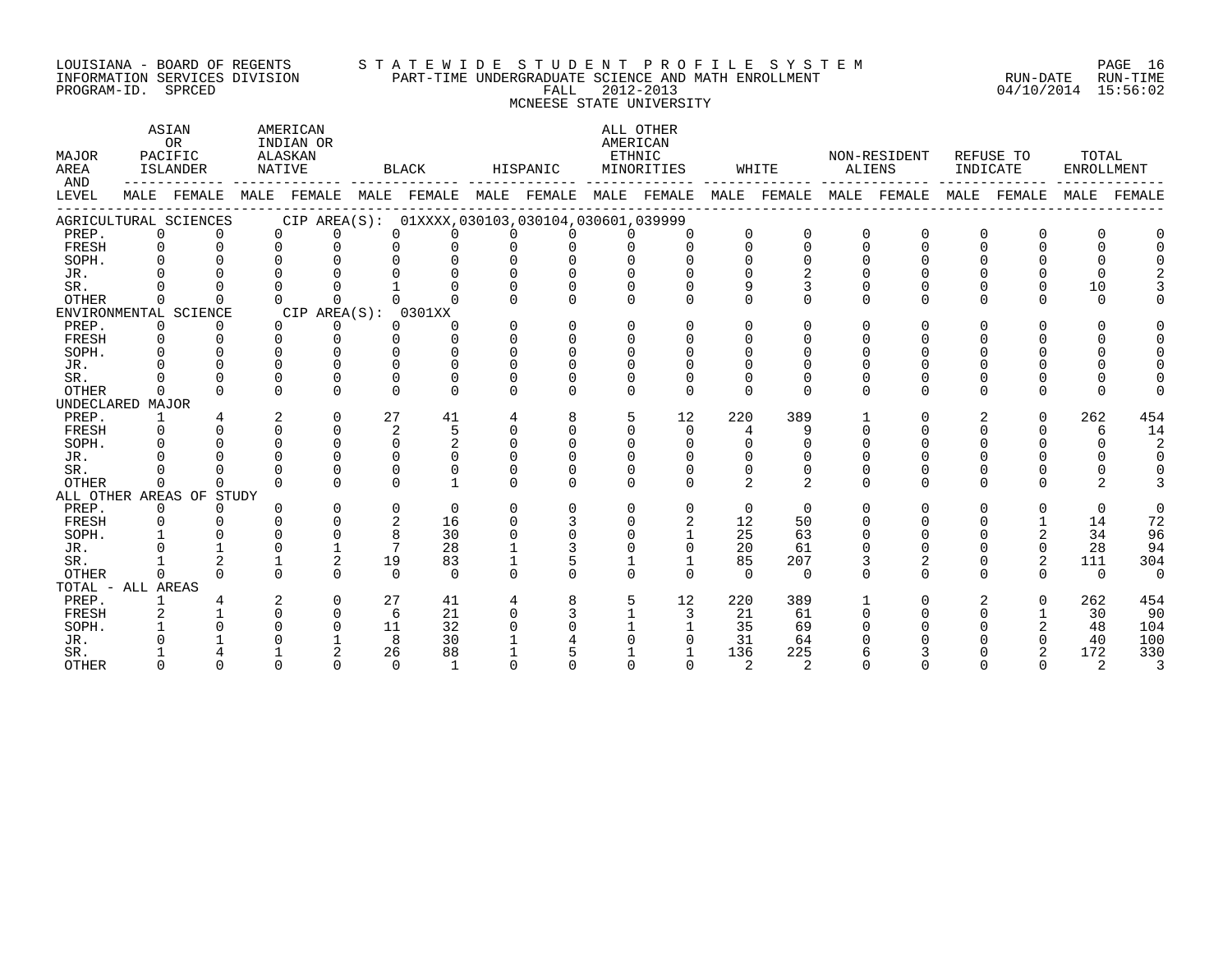#### LOUISIANA - BOARD OF REGENTS S T A T E W I D E S T U D E N T P R O F I L E S Y S T E M PAGE 16 INFORMATION SERVICES DIVISION PART-TIME UNDERGRADUATE SCIENCE AND MATH ENROLLMENT RUN-DATE RUN-TIME ت بین اللہ اللہ علیہ اللہ علیہ اللہ علیہ اللہ علیہ اللہ علیہ اللہ علیہ اللہ علیہ اللہ علیہ اللہ علیہ اللہ علیہ<br>INFORMATION SERVICES DIVISION PART-TIME UNDERGRADUATE SCIENCE AND MATH ENROLLMENT PROGRAM-ID. SPRCED 04/10/201 MCNEESE STATE UNIVERSITY

| <b>MAJOR</b><br>AREA<br>AND |          | ASIAN<br>OR<br>PACIFIC<br>ISLANDER |          | AMERICAN<br>INDIAN OR<br>ALASKAN<br>NATIVE      |              | <b>BLACK</b> |          | HISPANIC     | AMERICAN<br>ETHNIC | ALL OTHER<br>MINORITIES |               | WHITE          | ALIENS   | NON-RESIDENT | INDICATE     | REFUSE TO      | TOTAL<br><b>ENROLLMENT</b> |             |
|-----------------------------|----------|------------------------------------|----------|-------------------------------------------------|--------------|--------------|----------|--------------|--------------------|-------------------------|---------------|----------------|----------|--------------|--------------|----------------|----------------------------|-------------|
| LEVEL                       |          | MALE FEMALE                        |          | MALE FEMALE MALE FEMALE MALE FEMALE MALE FEMALE |              |              |          |              |                    |                         |               | MALE FEMALE    |          | MALE FEMALE  |              | MALE FEMALE    |                            | MALE FEMALE |
|                             |          | AGRICULTURAL SCIENCES              |          | CIP AREA(S): 01XXXX,030103,030104,030601,039999 |              |              |          |              |                    |                         |               |                |          |              |              |                |                            |             |
| PREP.                       | $\Omega$ | $\Omega$                           |          | $\Omega$<br>U                                   | $\Omega$     |              |          |              |                    | $\Omega$                | $\Omega$      | $\Omega$       | $\Omega$ | $\Omega$     | $\Omega$     | $\Omega$       |                            |             |
| FRESH                       | $\Omega$ | $\Omega$                           |          | $\Omega$<br>U                                   |              |              |          |              |                    | $\Omega$                | $\Omega$      | $\Omega$       | $\Omega$ | U            | $\Omega$     | 0              |                            |             |
| SOPH.                       | $\cap$   |                                    |          |                                                 |              |              |          |              |                    |                         | $\Omega$      |                |          |              |              |                |                            |             |
| JR.                         |          |                                    |          |                                                 |              |              |          |              |                    |                         |               |                |          |              |              |                |                            |             |
| SR.                         |          |                                    |          |                                                 |              |              |          |              |                    |                         |               |                |          |              |              | <sup>n</sup>   | 10                         |             |
| OTHER                       |          | <sup>n</sup>                       |          | $\Omega$                                        | <sup>n</sup> |              |          | $\Omega$     |                    | $\Omega$                | $\Omega$      | $\Omega$       | $\Omega$ | U            | 0            | $\Omega$       | $\Omega$                   |             |
|                             |          | ENVIRONMENTAL SCIENCE              |          | CIP AREA(S): 0301XX                             |              |              |          |              |                    |                         |               |                |          |              |              |                |                            |             |
| PREP.                       | $\Omega$ | $\Omega$                           |          | $\Omega$<br>0                                   | $\Omega$     | ∩            | $\Omega$ | $\Omega$     | <sup>n</sup>       | $\cap$                  | 0             | $\Omega$       | $\Omega$ | U            | 0            | $\Omega$       |                            |             |
| FRESH                       | $\Omega$ | $\cap$                             |          | $\Omega$<br>0                                   | 0            |              |          | $\Omega$     |                    | $\Omega$                |               |                |          |              |              |                |                            |             |
| SOPH.                       |          |                                    | $\cap$   |                                                 | U            |              |          | $\cap$       |                    |                         |               |                |          |              |              |                |                            |             |
| JR.                         |          |                                    |          |                                                 |              | $\Omega$     |          |              |                    |                         |               |                |          |              |              |                |                            |             |
| SR.                         |          |                                    |          |                                                 | ∩            |              |          |              |                    |                         | O             |                |          |              |              |                |                            |             |
| <b>OTHER</b>                |          |                                    | U        |                                                 | $\Omega$     | <sup>n</sup> |          | <sup>n</sup> | <sup>n</sup>       | $\Omega$                | $\Omega$      | <sup>n</sup>   | $\Omega$ | U            | <sup>n</sup> | 0              |                            |             |
| UNDECLARED MAJOR            |          |                                    |          |                                                 |              |              |          |              |                    |                         |               |                |          |              |              |                |                            |             |
| PREP.                       | 1        |                                    | 2        | $\Omega$                                        | 27           | 41           | 4        | 8            | 5                  | 12                      | 220           | 389            |          | U            | 2            | $\Omega$       | 262                        | 454         |
| FRESH                       | ∩        | $\Omega$                           | $\Omega$ | $\Omega$                                        | 2            | 5            | $\Omega$ | $\Omega$     |                    | $\Omega$                | 4             |                | ∩        |              | 0            | $\Omega$       | 6                          | 14          |
| SOPH.                       |          |                                    | $\cap$   | $\Omega$                                        | $\Omega$     | 2            |          |              |                    | $\Omega$                | 0             |                |          |              |              |                |                            | 2           |
| JR.                         |          |                                    | ∩        |                                                 | $\Omega$     |              |          |              |                    |                         | $\Omega$      |                |          |              |              |                |                            |             |
| SR.                         |          |                                    | $\cap$   |                                                 | U            |              |          |              |                    | ∩                       | 0             |                | O        |              |              |                |                            |             |
| OTHER                       | ∩        | $\Omega$                           |          | $\Omega$<br>∩                                   | $\cap$       |              | $\Omega$ | $\Omega$     | <sup>n</sup>       | $\Omega$                | 2             | 2              | $\Omega$ | U            | 0            | <sup>n</sup>   |                            |             |
|                             |          | ALL OTHER AREAS OF STUDY           |          |                                                 |              |              |          |              |                    |                         |               |                |          |              |              |                |                            |             |
| PREP.                       | $\Omega$ | $\Omega$                           | U        | 0                                               | $\Omega$     | $\Omega$     | $\Omega$ | $\Omega$     | $\Omega$           | $\Omega$                | $\Omega$      | $\Omega$       | $\Omega$ | U            | $\Omega$     | $\Omega$       | $\Omega$                   | $\Omega$    |
| FRESH                       | $\Omega$ |                                    |          | ∩                                               | 2            | 16           |          |              |                    | 2                       | 12            | 50             |          |              |              |                | 14                         | 72          |
| SOPH.                       |          |                                    |          | U                                               | 8            | 30           |          |              |                    |                         | 25            | 63             |          |              |              | $\overline{2}$ | 34                         | 96          |
| JR.                         |          |                                    | U        |                                                 |              | 28           |          |              |                    | $\Omega$                | 20            | 61             |          |              |              | 0              | 28                         | 94          |
| SR.                         |          |                                    |          | 2                                               | 19           | 83           |          |              |                    | $\mathbf{1}$            | 85            | 207            |          | 2            | 0            | $\overline{2}$ | 111                        | 304         |
| <b>OTHER</b>                | $\cap$   | $\Omega$                           | $\Omega$ | <sup>n</sup>                                    | $\cap$       | $\cap$       | $\Omega$ | $\Omega$     | <sup>n</sup>       | $\Omega$                | $\Omega$      | $\Omega$       | $\Omega$ | U            | 0            | $\Omega$       | $\Omega$                   | $\Omega$    |
| TOTAL - ALL AREAS           |          |                                    |          |                                                 |              |              |          |              |                    |                         |               |                |          |              |              |                |                            |             |
| PREP.                       |          |                                    |          | $\Omega$                                        | 27           | 41           | 4        | 8            |                    | 12                      | 220           | 389            |          | U            | 2            | $\cap$         | 262                        | 454         |
| FRESH                       | 2        |                                    | $\Omega$ | $\Omega$                                        | 6            | 21           | $\Omega$ |              |                    | 3                       | 21            | 61             | ∩        |              | 0            |                | 30                         | 90          |
| SOPH.                       |          |                                    |          | N                                               | 11           | 32           |          |              |                    |                         | 35            | 69             |          |              |              |                | 48                         | 104         |
| JR.                         |          |                                    |          |                                                 | 8            | 30           |          |              |                    |                         | 31            | 64             |          |              |              |                | 40                         | 100         |
| SR.                         |          |                                    |          |                                                 | 26           | 88           |          |              |                    |                         | 136           | 225            |          |              |              |                | 172                        | 330         |
| <b>OTHER</b>                |          | $\Omega$                           | ∩        | $\cap$                                          | $\cap$       | $\mathbf{1}$ |          |              |                    | $\cap$                  | $\mathcal{L}$ | $\mathfrak{D}$ |          |              |              | $\Omega$       | 2                          | 3           |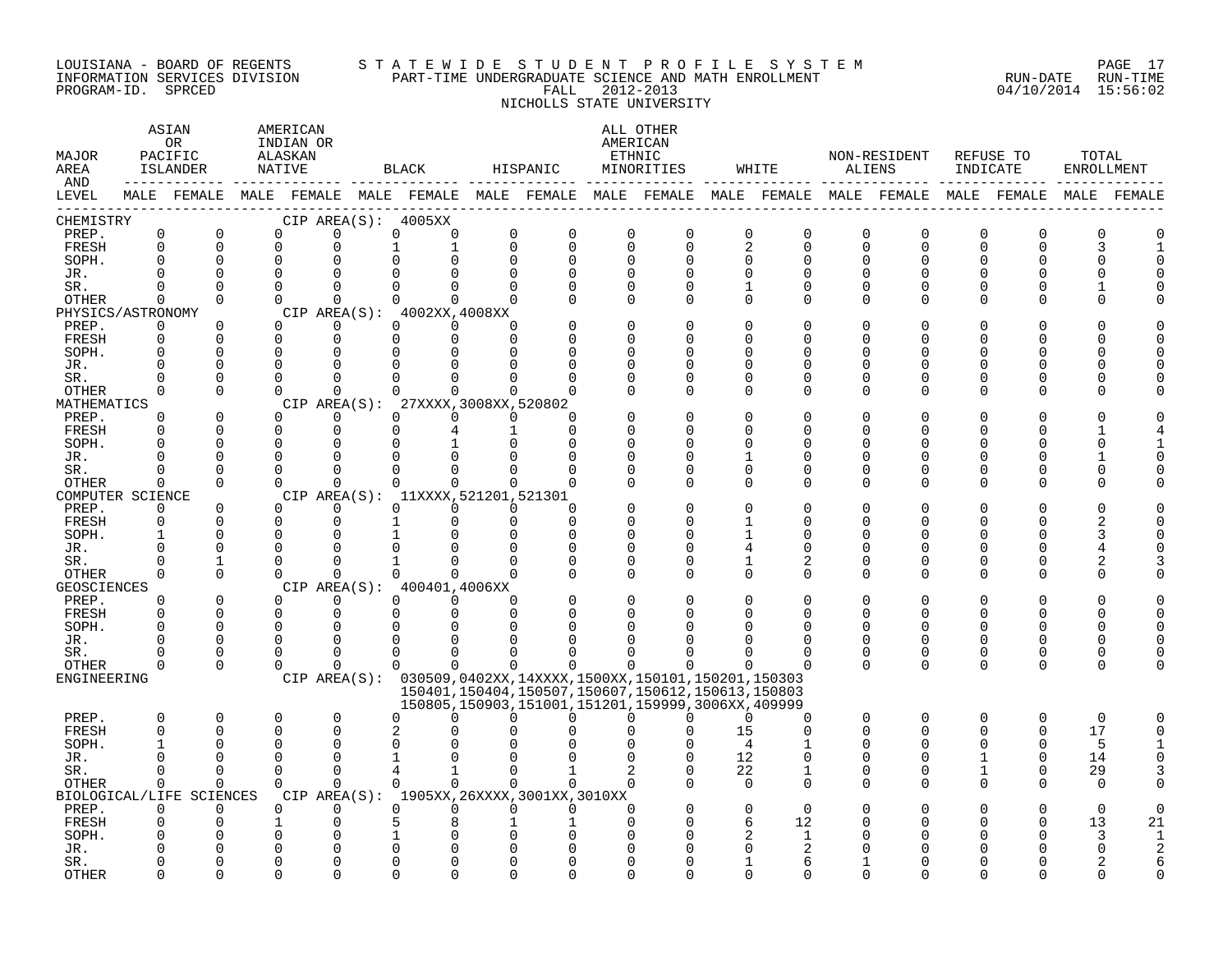#### LOUISIANA - BOARD OF REGENTS S T A T E W I D E S T U D E N T P R O F I L E S Y S T E M PAGE 17 INFORMATION SERVICES DIVISION PART-TIME UNDERGRADUATE SCIENCE AND MATH ENROLLMENT RUN-DATE RUN-TIME PROGRAM-ID. SPRCED FALL 2012-2013 04/10/2014 15:56:02 NICHOLLS STATE UNIVERSITY

| MAJOR<br>AREA<br>AND        | ASIAN<br>AMERICAN<br>OR<br>INDIAN OR<br>PACIFIC<br>ALASKAN<br>ISLANDER<br>NATIVE<br>MALE FEMALE MALE FEMALE MALE FEMALE MALE FEMALE MALE FEMALE MALE FEMALE MALE FEMALE MALE FEMALE MALE FEMALE |                          |  |                      |                      | BLACK                                  |             | HISPANIC                                    |                      | ALL OTHER<br>AMERICAN<br>ETHNIC<br>MINORITIES                                                                    |                      | WHITE                | ALIENS               | NON-RESIDENT | INDICATE | REFUSE TO            | TOTAL<br><b>ENROLLMENT</b> |    |
|-----------------------------|-------------------------------------------------------------------------------------------------------------------------------------------------------------------------------------------------|--------------------------|--|----------------------|----------------------|----------------------------------------|-------------|---------------------------------------------|----------------------|------------------------------------------------------------------------------------------------------------------|----------------------|----------------------|----------------------|--------------|----------|----------------------|----------------------------|----|
| LEVEL                       |                                                                                                                                                                                                 |                          |  |                      |                      |                                        |             |                                             |                      |                                                                                                                  |                      |                      |                      |              |          |                      |                            |    |
| CHEMISTRY                   | $\mathbf 0$                                                                                                                                                                                     | $\mathbf 0$              |  | 0                    | $\mathbf 0$          | CIP AREA $(S):$ 4005XX<br>$\mathsf{O}$ | $\mathbf 0$ | $\mathsf 0$                                 | $\mathbf 0$          | $\mathbf 0$                                                                                                      | $\mathbf 0$          | $\mathbf 0$          | $\mathbf 0$          | 0            |          | $\mathbf 0$          | ∩                          |    |
| PREP.<br>FRESH              | $\Omega$                                                                                                                                                                                        | $\Omega$                 |  | $\Omega$             | 0                    | 0                                      | $\Omega$    | $\Omega$                                    | $\Omega$             | $\mathbf 0$                                                                                                      | $\overline{2}$       | $\Omega$             | $\Omega$             | $\Omega$     | 0<br>0   | $\Omega$             |                            |    |
| SOPH.                       | $\Omega$                                                                                                                                                                                        | $\Omega$                 |  | $\Omega$             | 0                    | 0                                      | $\Omega$    | $\Omega$                                    | 0                    | $\Omega$                                                                                                         | $\mathbf 0$          | $\Omega$             | $\Omega$             | 0            | O        |                      |                            |    |
| JR.                         |                                                                                                                                                                                                 | $\Omega$                 |  | $\Omega$             | $\Omega$             | $\Omega$                               |             | $\Omega$                                    |                      | $\Omega$                                                                                                         |                      | $\Omega$             | $\Omega$             |              | O        |                      |                            |    |
| SR.                         | $\Omega$                                                                                                                                                                                        | $\Omega$                 |  | $\Omega$             | $\Omega$             | $\Omega$<br>$\Omega$                   | $\Omega$    | $\Omega$                                    | $\Omega$             | $\Omega$                                                                                                         | 1                    | $\Omega$             | $\Omega$             | 0            | O        | O                    |                            |    |
| OTHER                       | $\Omega$                                                                                                                                                                                        | $\Omega$                 |  | $\Omega$             | $\Omega$             | $\Omega$<br>$\Omega$                   | $\Omega$    | $\Omega$                                    | $\Omega$             | $\Omega$                                                                                                         | $\Omega$             | $\Omega$             | $\Omega$             | $\Omega$     | 0        | $\Omega$             |                            |    |
| PHYSICS/ASTRONOMY           |                                                                                                                                                                                                 |                          |  |                      |                      | CIP AREA(S): 4002XX, 4008XX            |             |                                             |                      |                                                                                                                  |                      |                      |                      |              |          |                      |                            |    |
| PREP.                       | $\Omega$                                                                                                                                                                                        | $\Omega$                 |  | $\Omega$             | 0                    | 0<br>$\Omega$                          | $\Omega$    |                                             | $\Omega$             | $\Omega$                                                                                                         | $\Omega$             | $\Omega$             | $\Omega$             | 0            | O        | O                    |                            |    |
| FRESH                       | $\mathbf 0$                                                                                                                                                                                     | $\Omega$                 |  | $\Omega$             | $\mathbf 0$          | $\mathbf 0$<br>$\Omega$                | $\Omega$    |                                             |                      | U                                                                                                                | ∩                    | $\Omega$             | <sup>n</sup>         | ∩            | U        | N                    |                            |    |
| SOPH.                       |                                                                                                                                                                                                 | $\Omega$                 |  | $\Omega$             | 0                    | $\Omega$                               |             |                                             |                      | $\cap$                                                                                                           | ∩                    | <sup>0</sup>         | <sup>n</sup>         | U            | O        | O                    |                            |    |
| JR.                         |                                                                                                                                                                                                 | $\mathbf 0$              |  | $\Omega$             | $\Omega$             | $\mathbf 0$                            |             |                                             |                      | O                                                                                                                | $\Omega$             | <sup>0</sup>         | $\Omega$             |              | O        | O                    |                            |    |
| SR.                         | $\Omega$                                                                                                                                                                                        | $\Omega$<br>$\Omega$     |  | $\Omega$<br>$\Omega$ | $\Omega$<br>$\Omega$ | $\Omega$<br>$\cap$<br>$\Omega$         | $\Omega$    |                                             | U                    | $\Omega$<br>$\Omega$                                                                                             | $\Omega$<br>$\Omega$ | $\Omega$<br>$\Omega$ | $\Omega$<br>$\Omega$ | ∩<br>0       | O<br>O   | O<br>$\Omega$        |                            |    |
| <b>OTHER</b><br>MATHEMATICS |                                                                                                                                                                                                 |                          |  |                      |                      | CIP AREA(S): 27XXXX.3008XX.520802      |             |                                             |                      |                                                                                                                  |                      |                      |                      |              |          |                      |                            |    |
| PREP.                       | $\Omega$                                                                                                                                                                                        | $\Omega$                 |  | $\Omega$             | $\Omega$             | $\Omega$<br>$\Omega$                   | $\Omega$    | $\Omega$                                    |                      | $\Omega$                                                                                                         | $\Omega$             | $\Omega$             | $\Omega$             |              | U        |                      |                            |    |
| FRESH                       | $\Omega$                                                                                                                                                                                        | $\Omega$                 |  | $\Omega$             | $\mathbf 0$          | $\mathbf 0$                            |             | $\Omega$                                    |                      | U                                                                                                                | ∩                    | $\Omega$             | <sup>n</sup>         | U            | O        | ∩                    |                            |    |
| SOPH.                       |                                                                                                                                                                                                 | <sup>n</sup>             |  | $\Omega$             | $\Omega$             | $\Omega$                               |             | $\Omega$                                    |                      | ∩                                                                                                                | ∩                    | ∩                    | U                    |              | U        | N                    |                            |    |
| JR.                         | $\Omega$                                                                                                                                                                                        | $\Omega$                 |  | $\Omega$             | $\Omega$             | $\mathbf 0$                            |             | $\Omega$                                    | O                    | O                                                                                                                |                      | $\Omega$             | $\Omega$             |              | O        | O                    |                            |    |
| SR.                         |                                                                                                                                                                                                 | $\Omega$                 |  | $\Omega$             | $\Omega$             | $\Omega$<br>$\Omega$                   |             |                                             |                      | $\Omega$                                                                                                         | 0                    | $\Omega$             | $\Omega$             | 0            | 0        | 0                    |                            |    |
| OTHER                       | $\Omega$                                                                                                                                                                                        | $\Omega$                 |  | $\cap$               | $\Omega$             | $\Omega$<br>$\Omega$                   | $\Omega$    | $\Omega$                                    |                      | $\Omega$                                                                                                         | $\Omega$             | $\Omega$             | $\Omega$             | U            | $\Omega$ | $\Omega$             |                            |    |
| COMPUTER SCIENCE            |                                                                                                                                                                                                 |                          |  |                      |                      | CIP AREA(S): 11XXXX, 521201, 521301    |             |                                             |                      |                                                                                                                  |                      |                      |                      |              |          |                      |                            |    |
| PREP.                       | $\Omega$                                                                                                                                                                                        | $\Omega$                 |  | $\Omega$             | $\Omega$             | $\Omega$<br>$\Omega$                   | $\Omega$    | $\Omega$                                    |                      | O                                                                                                                |                      | <sup>0</sup>         | n                    |              | U        |                      |                            |    |
| FRESH                       | 0                                                                                                                                                                                               | $\Omega$                 |  | $\Omega$             | $\Omega$             | $\Omega$<br>$\mathbf{1}$               | $\Omega$    | $\Omega$                                    | <sup>0</sup>         | O                                                                                                                | 1                    | $\Omega$             | $\Omega$             | U            | O        | O                    |                            |    |
| SOPH.                       |                                                                                                                                                                                                 | $\Omega$                 |  | $\Omega$             | 0                    |                                        | $\Omega$    | $\Omega$                                    | <sup>0</sup>         | $\Omega$                                                                                                         | 1                    | $\Omega$             | $\Omega$             | U            | O        | O                    |                            |    |
| JR.                         |                                                                                                                                                                                                 | $\Omega$<br>$\mathbf{1}$ |  | $\Omega$<br>$\Omega$ | $\Omega$<br>$\Omega$ |                                        | ∩           | $\Omega$                                    | <sup>0</sup>         | 0                                                                                                                | 4                    | $\Omega$             | 0                    | U            | U        | U                    |                            |    |
| SR.<br>OTHER                | $\Omega$                                                                                                                                                                                        | $\Omega$                 |  | $\Omega$             | $\Omega$             | $\cap$<br>$\Omega$                     | $\Omega$    | $\Omega$                                    | $\Omega$<br>$\Omega$ | $\Omega$<br>$\Omega$                                                                                             | 1<br>$\Omega$        | 2<br>$\Omega$        | $\Omega$<br>$\Omega$ | U<br>0       | 0<br>0   | $\Omega$<br>$\Omega$ |                            |    |
| <b>GEOSCIENCES</b>          |                                                                                                                                                                                                 |                          |  |                      |                      | CIP AREA(S): 400401,4006XX             |             |                                             |                      |                                                                                                                  |                      |                      |                      |              |          |                      |                            |    |
| PREP.                       | $\Omega$                                                                                                                                                                                        | $\Omega$                 |  | $\Omega$             | $\Omega$             | $\Omega$<br>$\Omega$                   | ∩           | $\Omega$                                    | $\Omega$             | $\Omega$                                                                                                         | $\Omega$             | $\Omega$             | $\Omega$             | U            | O        | $\Omega$             |                            |    |
| FRESH                       | $\Omega$                                                                                                                                                                                        | $\Omega$                 |  | $\Omega$             | $\mathbf 0$          | $\mathbf 0$<br>$\Omega$                | $\Omega$    | $\Omega$                                    |                      | $\Omega$                                                                                                         | O                    | <sup>0</sup>         | $\Omega$             | 0            | O        | $\Omega$             |                            |    |
| SOPH.                       |                                                                                                                                                                                                 | $\Omega$                 |  | $\Omega$             | $\Omega$             | $\Omega$                               |             |                                             |                      |                                                                                                                  |                      |                      | $\Omega$             |              | U        | U                    |                            |    |
| JR.                         |                                                                                                                                                                                                 | $\Omega$                 |  | $\Omega$             | $\Omega$             | $\Omega$                               | ∩           |                                             |                      |                                                                                                                  |                      | ∩                    | <sup>n</sup>         | U            | O        | $\Omega$             |                            |    |
| SR.                         |                                                                                                                                                                                                 | <sup>n</sup>             |  | 0                    | 0                    | 0<br>$\Omega$                          | ∩           |                                             |                      |                                                                                                                  |                      | ∩                    | 0                    | 0            | 0        | 0                    |                            |    |
| OTHER                       | $\Omega$                                                                                                                                                                                        | $\Omega$                 |  | $\Omega$             | $\Omega$             | $\Omega$<br>$\Omega$                   | $\Omega$    | $\Omega$                                    | 0                    | O                                                                                                                |                      | $\Omega$             | $\Omega$             | $\Omega$     | $\Omega$ | $\Omega$             |                            |    |
| ENGINEERING                 |                                                                                                                                                                                                 |                          |  |                      |                      |                                        |             |                                             |                      | CIP AREA(S): 030509,0402XX,14XXXX,1500XX,150101,150201,150303                                                    |                      |                      |                      |              |          |                      |                            |    |
|                             |                                                                                                                                                                                                 |                          |  |                      |                      |                                        |             |                                             |                      | 150401, 150404, 150507, 150607, 150612, 150613, 150803<br>150805, 150903, 151001, 151201, 159999, 3006XX, 409999 |                      |                      |                      |              |          |                      |                            |    |
| PREP.                       | 0                                                                                                                                                                                               | $\mathbf 0$              |  | 0                    | 0                    | $\Omega$<br><sup>0</sup>               | 0           | U                                           | 0                    | O                                                                                                                | $\Omega$             | $\Omega$             | $\mathbf 0$          | 0            | 0        | 0                    | $\mathbf 0$                |    |
| FRESH                       | $\Omega$                                                                                                                                                                                        | $\Omega$                 |  | $\Omega$             | $\Omega$             | 2                                      |             |                                             |                      | $\Omega$                                                                                                         | 15                   | $\Omega$             | $\Omega$             | $\Omega$     | 0        | $\Omega$             | 17                         |    |
| SOPH.                       |                                                                                                                                                                                                 | $\Omega$                 |  | $\Omega$             | 0                    | 0                                      |             |                                             |                      |                                                                                                                  | $\overline{4}$       |                      | $\Omega$             | U            | 0        | $\Omega$             | 5                          |    |
| JR.                         |                                                                                                                                                                                                 | U                        |  | $\Omega$             | $\Omega$             |                                        |             |                                             |                      |                                                                                                                  | 12                   | $\Omega$             | $\Omega$             | ∩            |          | 0                    | 14                         |    |
| SR.                         | $\Omega$                                                                                                                                                                                        | $\Omega$                 |  | $\Omega$             | $\Omega$             | 4<br>$\mathbf{1}$                      | $\Omega$    | $\mathbf{1}$                                | $\overline{a}$       | $\Omega$                                                                                                         | 22                   | 1                    | $\Omega$             | $\Omega$     | 1        | $\Omega$             | 29                         |    |
| OTHER                       | $\Omega$                                                                                                                                                                                        | $\Omega$                 |  | $\Omega$             | $\Omega$             | $\Omega$<br>$\Omega$                   | $\Omega$    | $\Omega$                                    | $\Omega$             |                                                                                                                  | $\Omega$             | $\Omega$             | $\Omega$             | $\Omega$     | O        | $\Omega$             | $\Omega$                   |    |
|                             |                                                                                                                                                                                                 | BIOLOGICAL/LIFE SCIENCES |  |                      |                      |                                        |             | CIP AREA(S): 1905XX, 26XXXX, 3001XX, 3010XX | $\Omega$             |                                                                                                                  |                      |                      |                      |              |          |                      |                            |    |
| PREP.<br><b>FRESH</b>       | $\Omega$                                                                                                                                                                                        | $\Omega$                 |  | $\Omega$<br>1        | $\Omega$<br>0        | $\Omega$<br>$\Omega$<br>5              | $\Omega$    | $\Omega$                                    |                      |                                                                                                                  | $\mathbf 0$<br>6     | $\Omega$             |                      |              | O<br>O   | O<br>$\Omega$        | $\Omega$                   | 21 |
| SOPH.                       |                                                                                                                                                                                                 |                          |  |                      | $\Omega$             |                                        |             |                                             |                      |                                                                                                                  | 2                    | 12<br>-1             |                      |              |          | U                    | 13<br>3                    |    |
| JR.                         |                                                                                                                                                                                                 |                          |  |                      | 0                    |                                        |             |                                             |                      |                                                                                                                  |                      | 2                    |                      |              |          |                      |                            |    |
| SR.                         |                                                                                                                                                                                                 |                          |  | ∩                    | O                    | ∩                                      |             |                                             |                      |                                                                                                                  |                      | 6                    |                      |              |          |                      |                            |    |
| <b>OTHER</b>                |                                                                                                                                                                                                 | ∩                        |  | ∩                    | U                    | <sup>n</sup>                           |             |                                             |                      | ∩                                                                                                                |                      | $\cap$               | ∩                    |              | ∩        |                      |                            |    |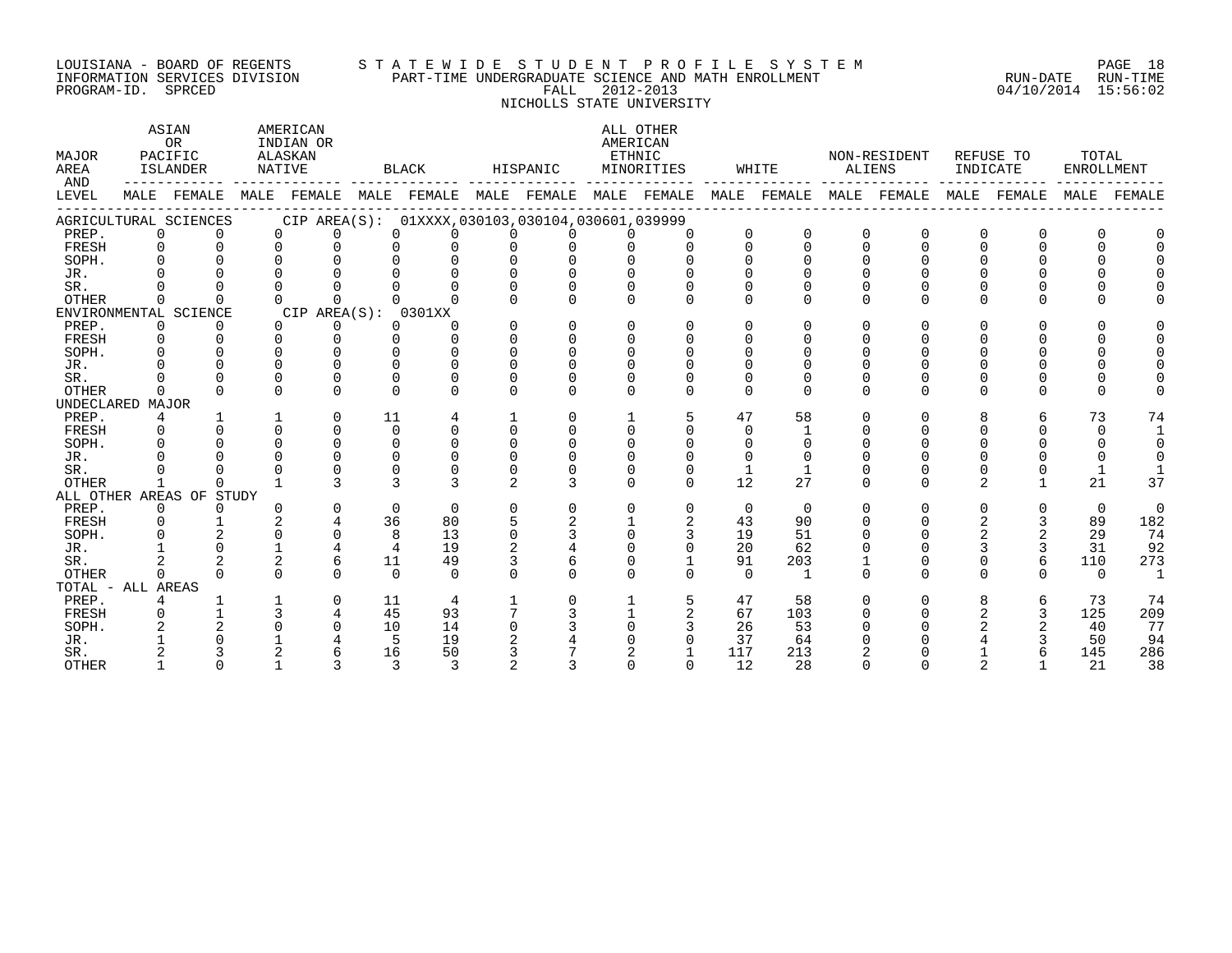## LOUISIANA - BOARD OF REGENTS S T A T E W I D E S T U D E N T P R O F I L E S Y S T E M PAGE 18 INFORMATION SERVICES DIVISION PART-TIME UNDERGRADUATE SCIENCE AND MATH ENROLLMENT RUN-DATE RUN-TIME PROGRAM-ID. SPRCED FALL 2012-2013 04/10/2014 15:56:02

 NICHOLLS STATE UNIVERSITY ASIAN AMERICAN ALL OTHER OR INDIAN OR **INDIAN OR** AMERICAN MAJOR PACIFIC ALASKAN ETHNIC NON-RESIDENT REFUSE TO TOTAL AREA ISLANDER NATIVE BLACK HISPANIC MINORITIES WHITE ALIENS INDICATE ENROLLMENT AND ------------ ------------- ------------- ------------- ------------- ------------- ------------- ------------- ------------- LEVEL MALE FEMALE MALE FEMALE MALE FEMALE MALE FEMALE MALE FEMALE MALE FEMALE MALE FEMALE MALE FEMALE MALE FEMALE ------------------------------------------------------------------------------------------------------------------------------------ AGRICULTURAL SCIENCES CIP AREA(S): 01XXXX,030103,030104,030601,039999<br>
PREP. 0 0 0 0 0 0 0 0 0 0 0 0 0 0 0<br>
SOPH. 0 0 0 0 0 0 0 0 0 0 0 0 0 0<br>
JR. 0 0 0 0 0 0 0 0 0 0 0 0 0 0<br>
SR. 0 0 0 0 0 0 0 0 0 0 0 0 0 0<br>
SR. 0 0 0 0 0 PREP. 0 0 0 0 0 0 0 0 0 0 0 0 0 0 0 0 0 0 FRESH 0 0 0 0 0 0 0 0 0 0 0 0 0 0 0 0 0 0 SOPH. 0 0 0 0 0 0 0 0 0 0 0 0 0 0 0 0 0 0 JR. 0 0 0 0 0 0 0 0 0 0 0 0 0 0 0 0 0 0 SR. 0 0 0 0 0 0 0 0 0 0 0 0 0 0 0 0 0 0 OTHER 0 0 0 0 0 0 0 0 0 0 0 0 0 0 0 0 0 0 ENVIRONMENTAL SCIENCE CIP AREA(S): 0301XX PREP. 0 0 0 0 0 0 0 0 0 0 0 0 0 0 0 0 0 0 FRESH 0 0 0 0 0 0 0 0 0 0 0 0 0 0 0 0 0 0 SOPH. 0 0 0 0 0 0 0 0 0 0 0 0 0 0 0 0 0 0

| SUPH.        |       |                |   |          |          |          |  |          |             |          |  |          |          |              |
|--------------|-------|----------------|---|----------|----------|----------|--|----------|-------------|----------|--|----------|----------|--------------|
| JR.          |       |                |   |          |          |          |  |          |             |          |  |          |          |              |
| SR.          |       |                |   |          |          |          |  |          |             |          |  |          |          |              |
| <b>OTHER</b> |       |                |   |          |          |          |  |          |             |          |  |          |          |              |
| UNDECLARED   | MAJOR |                |   |          |          |          |  |          |             |          |  |          |          |              |
| PREP.        |       |                |   | 11       |          |          |  | 47       | 58          |          |  |          | 73       | 74           |
| FRESH        |       |                |   |          |          |          |  |          |             |          |  |          |          |              |
| SOPH.        |       |                |   |          |          |          |  |          |             |          |  |          |          |              |
| JR.          |       |                |   |          |          |          |  |          |             |          |  |          |          |              |
| SR.          |       |                |   |          |          |          |  |          |             |          |  |          |          |              |
| OTHER        |       |                |   |          |          |          |  | 12       | 27          | $\Omega$ |  |          | 21       | 37           |
| ALL OTHER    |       | AREAS OF STUDY |   |          |          |          |  |          |             |          |  |          |          |              |
| PREP.        |       |                |   | $\Omega$ | $\Omega$ |          |  |          | $\mathbf 0$ |          |  |          |          | <sup>n</sup> |
| FRESH        |       |                |   | 36       | 80       |          |  | 43       | 90          |          |  |          | 89       | 182          |
| SOPH.        |       |                |   | 8        | 13       |          |  | 19       | 51          |          |  |          | 29       | 74           |
| JR.          |       |                |   |          | 19       |          |  | 20       | 62          |          |  |          | 31       | 92           |
| SR.          |       |                |   | 11       | 49       |          |  | 91       | 203         |          |  | ь        | 110      | 273          |
| OTHER        |       |                | ∩ | $\Omega$ |          | $\Omega$ |  | $\Omega$ |             |          |  | $\Omega$ | $\Omega$ |              |
| TOTAL - ALL  | AREAS |                |   |          |          |          |  |          |             |          |  |          |          |              |
| PREP.        |       |                |   | 11       | 4        |          |  | 47       | 58          | $\Omega$ |  | h        | 73       | 74           |
| FRESH        |       |                |   | 45       | 93       |          |  | 67       | 103         |          |  |          | 125      | 209          |
| SOPH.        |       |                |   | 10       | 14       |          |  | 26       | 53          |          |  |          | 40       | 77           |
| JR.          |       |                |   |          | 19       |          |  | 37       | 64          |          |  |          | 50       | 94           |
| SR.          |       |                |   | 16       | 50       |          |  | 117      | 213         |          |  |          | 145      | 286          |
| <b>OTHER</b> |       |                |   |          |          |          |  | 12       | 28          |          |  |          | 2.1      | 38           |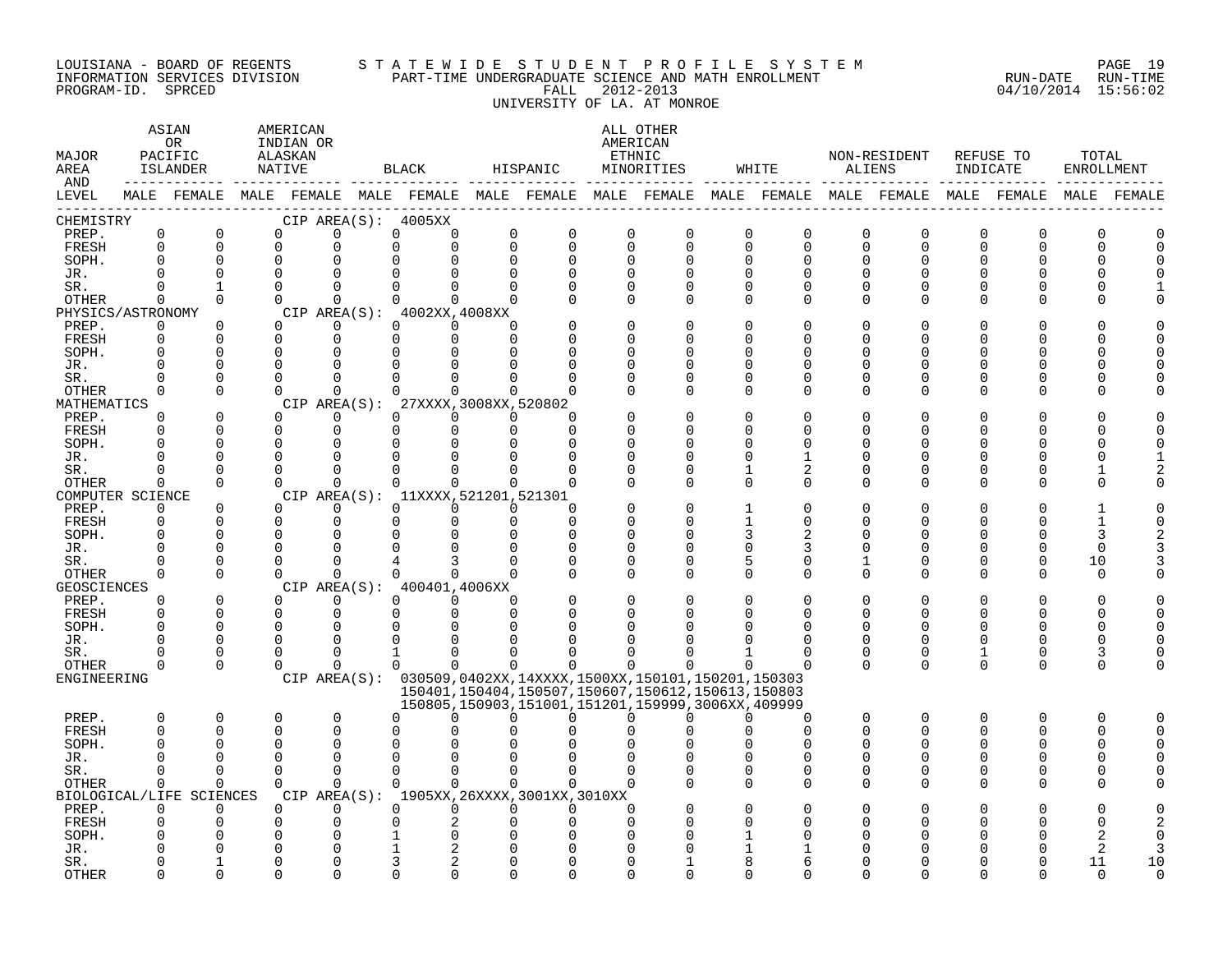#### LOUISIANA - BOARD OF REGENTS S T A T E W I D E S T U D E N T P R O F I L E S Y S T E M PAGE 19 INFORMATION SERVICES DIVISION PART-TIME UNDERGRADUATE SCIENCE AND MATH ENROLLMENT RUN-DATE RUN-TIME PROGRAM-ID. SPRCED FALL 2012-2013 04/10/2014 15:56:02 UNIVERSITY OF LA. AT MONROE

| MAJOR<br>AREA<br>AND | ASIAN<br>AMERICAN<br><b>OR</b><br>INDIAN OR<br>PACIFIC<br>ALASKAN<br>ISLANDER<br>NATIVE<br>$- - - - -$<br>-------- -----<br>MALE FEMALE MALE FEMALE MALE FEMALE MALE FEMALE MALE FEMALE MALE FEMALE MALE FEMALE MALE FEMALE MALE FEMALE |                          |  |                      |                      |                      | BLACK                                                       | HISPANIC    |               |             | ALL OTHER<br>AMERICAN<br>ETHNIC<br>MINORITIES                 | WHITE                                    |                      | NON-RESIDENT<br>ALIENS  | REFUSE TO<br>INDICATE |              | TOTAL<br>ENROLLMENT |               |
|----------------------|-----------------------------------------------------------------------------------------------------------------------------------------------------------------------------------------------------------------------------------------|--------------------------|--|----------------------|----------------------|----------------------|-------------------------------------------------------------|-------------|---------------|-------------|---------------------------------------------------------------|------------------------------------------|----------------------|-------------------------|-----------------------|--------------|---------------------|---------------|
| LEVEL                |                                                                                                                                                                                                                                         |                          |  |                      |                      |                      |                                                             |             |               |             |                                                               |                                          |                      |                         |                       |              |                     |               |
| CHEMISTRY            | $\mathbf 0$                                                                                                                                                                                                                             | $\mathbf 0$              |  | $\Omega$             | 0                    | $\mathbf 0$          | CIP AREA(S): 4005XX                                         | $\mathbf 0$ |               | $\mathbf 0$ |                                                               |                                          |                      |                         |                       | 0            |                     |               |
| PREP.<br>FRESH       | $\Omega$                                                                                                                                                                                                                                | $\Omega$                 |  | $\Omega$             | 0                    | $\Omega$             | 0<br>$\Omega$                                               | $\Omega$    | 0<br>$\Omega$ | $\mathbf 0$ | $\mathbf 0$<br>$\Omega$                                       | $\mathbf 0$<br>0<br>$\Omega$<br>$\Omega$ | $\mathbf 0$<br>0     | $\mathbf 0$<br>$\Omega$ | 0<br>$\Omega$         | $\Omega$     | 0<br>$\Omega$       | 0<br>$\Omega$ |
| SOPH.                | $\Omega$                                                                                                                                                                                                                                | $\mathbf 0$              |  | 0                    | $\Omega$             |                      | $\Omega$                                                    | $\Omega$    | 0             | $\Omega$    | $\Omega$                                                      | $\Omega$<br>O                            | 0                    | 0                       | $\Omega$              |              | O                   |               |
| JR.                  |                                                                                                                                                                                                                                         | $\Omega$                 |  | $\Omega$             | $\Omega$             | $\cap$               |                                                             | $\Omega$    |               | $\Omega$    |                                                               | $\cap$                                   | $\Omega$             |                         |                       |              |                     |               |
| SR.                  | $\Omega$                                                                                                                                                                                                                                | $\mathbf{1}$             |  | $\Omega$             | $\Omega$             | $\Omega$             | $\Omega$                                                    | $\Omega$    | U             | $\Omega$    | $\Omega$                                                      | U<br>$\Omega$                            | $\Omega$             | U                       |                       | U            |                     |               |
| OTHER                | $\Omega$                                                                                                                                                                                                                                | $\Omega$                 |  | $\Omega$             | $\Omega$             |                      | $\Omega$<br>$\Omega$                                        | $\Omega$    |               | $\Omega$    | $\Omega$                                                      | $\Omega$<br>$\Omega$                     | $\Omega$             | $\Omega$                |                       | U            |                     |               |
| PHYSICS/ASTRONOMY    |                                                                                                                                                                                                                                         |                          |  |                      |                      |                      | CIP AREA(S): 4002XX, 4008XX                                 |             |               |             |                                                               |                                          |                      |                         |                       |              |                     |               |
| PREP.                | $\Omega$                                                                                                                                                                                                                                | $\Omega$                 |  | $\Omega$             | 0                    |                      | $\Omega$<br>$\Omega$                                        | $\Omega$    |               | $\Omega$    | $\Omega$                                                      | $\Omega$<br>O                            | <sup>0</sup>         |                         |                       |              |                     |               |
| FRESH                | $\Omega$                                                                                                                                                                                                                                | $\Omega$                 |  | $\Omega$             | $\mathbf 0$          | $\Omega$             | $\Omega$                                                    | $\Omega$    |               | $\Omega$    |                                                               | $\Omega$<br>∩                            | U                    |                         |                       | ∩            |                     |               |
| SOPH.                |                                                                                                                                                                                                                                         | $\Omega$                 |  | $\Omega$             | $\Omega$             | $\Omega$             |                                                             |             |               | $\Omega$    |                                                               | $\Omega$                                 | <sup>0</sup>         |                         |                       | ∩            | O                   |               |
| JR.                  |                                                                                                                                                                                                                                         | $\Omega$                 |  | $\Omega$             | $\Omega$             |                      |                                                             |             |               |             | O                                                             | $\Omega$                                 | O                    |                         |                       |              | O                   |               |
| SR.                  |                                                                                                                                                                                                                                         | $\Omega$                 |  | $\Omega$             | $\Omega$             | $\Omega$             |                                                             |             |               | $\Omega$    | $\Omega$                                                      | $\Omega$<br>U                            | <sup>0</sup>         |                         |                       | U            |                     |               |
| <b>OTHER</b>         | $\Omega$                                                                                                                                                                                                                                | $\Omega$                 |  | $\Omega$             | $\Omega$             |                      | $\cap$                                                      |             |               | ∩           | $\Omega$                                                      | $\Omega$<br>U                            | $\Omega$             | U                       | ∩                     | U            |                     |               |
| MATHEMATICS<br>PREP. | $\Omega$                                                                                                                                                                                                                                | $\Omega$                 |  | $\Omega$             | $\Omega$             |                      | CIP AREA(S): 27XXXX, 3008XX, 520802<br>$\Omega$<br>$\Omega$ | $\Omega$    | $\Omega$      |             |                                                               | $\Omega$                                 | $\Omega$             |                         |                       |              |                     |               |
| FRESH                | $\Omega$                                                                                                                                                                                                                                | $\Omega$                 |  | $\Omega$             | $\mathbf 0$          | $\mathbf 0$          | $\Omega$                                                    | $\Omega$    | $\Omega$      |             | U                                                             | $\Omega$<br>U                            | <sup>0</sup>         |                         |                       | U            | Ω                   |               |
| SOPH.                | $\Omega$                                                                                                                                                                                                                                | ∩                        |  | $\Omega$             | $\Omega$             | $\Omega$             | <sup>n</sup>                                                | $\Omega$    | U             | $\Omega$    |                                                               | ∩                                        | ∩                    |                         |                       |              | ∩                   |               |
| JR.                  | ∩                                                                                                                                                                                                                                       | $\Omega$                 |  | $\Omega$             | $\Omega$             | $\Omega$             | $\Omega$                                                    |             | U             | $\Omega$    | ∩                                                             | $\Omega$                                 | <sup>0</sup>         |                         | ∩                     | <sup>0</sup> | O                   |               |
| SR.                  |                                                                                                                                                                                                                                         | $\Omega$                 |  | $\Omega$             | $\Omega$             | $\Omega$             | $\Omega$                                                    | $\Omega$    |               | $\Omega$    | $\Omega$                                                      | 2<br>1                                   | 0                    | 0                       | $\Omega$              | <sup>0</sup> |                     |               |
| OTHER                | $\Omega$                                                                                                                                                                                                                                | $\Omega$                 |  | $\cap$               | $\Omega$             | $\Omega$             | $\Omega$                                                    | $\cap$      | $\Omega$      | $\Omega$    | $\Omega$                                                      | $\Omega$<br>$\Omega$                     | $\Omega$             | $\Omega$                | ∩                     | U            |                     |               |
| COMPUTER SCIENCE     |                                                                                                                                                                                                                                         |                          |  |                      |                      |                      | CIP AREA(S): 11XXXX, 521201, 521301                         |             |               |             |                                                               |                                          |                      |                         |                       |              |                     |               |
| PREP.                | $\Omega$                                                                                                                                                                                                                                | $\Omega$                 |  | $\Omega$             | $\Omega$             |                      | $\Omega$<br>$\Omega$                                        | $\Omega$    | 0             |             |                                                               | O                                        | O                    |                         |                       |              |                     |               |
| FRESH                | $\Omega$                                                                                                                                                                                                                                | $\Omega$                 |  | $\Omega$             | $\Omega$             | $\Omega$             | $\Omega$                                                    | $\Omega$    | $\Omega$      | $\Omega$    | U                                                             | 0                                        | <sup>0</sup>         |                         | U                     | U            |                     |               |
| SOPH.                | $\Omega$                                                                                                                                                                                                                                | $\Omega$                 |  | $\Omega$             | $\Omega$             | $\Omega$             | $\Omega$                                                    | $\Omega$    | $\Omega$      | $\Omega$    |                                                               | 3                                        | <sup>0</sup>         |                         |                       | U            | 3                   |               |
| JR.                  | ∩                                                                                                                                                                                                                                       | $\Omega$                 |  | $\Omega$             | $\Omega$             | $\Omega$             |                                                             | $\Omega$    | U             | $\mathbf 0$ | $\Omega$                                                      | $\Omega$<br>3                            | 0                    |                         |                       | $\Omega$     | $\Omega$            |               |
| SR.                  |                                                                                                                                                                                                                                         | $\Omega$                 |  | $\Omega$             | $\Omega$             |                      |                                                             |             |               | $\Omega$    | $\Omega$                                                      | 5<br>0                                   | 1                    |                         |                       | $\Omega$     | 10                  |               |
| OTHER                | $\Omega$                                                                                                                                                                                                                                | $\Omega$                 |  | $\Omega$             | $\Omega$             | $\Omega$             | $\cap$                                                      | $\Omega$    |               | $\Omega$    | $\Omega$                                                      | $\Omega$<br>$\Omega$                     | $\Omega$             | $\Omega$                | ∩                     | $\Omega$     | $\Omega$            |               |
| GEOSCIENCES          |                                                                                                                                                                                                                                         |                          |  |                      |                      |                      | CIP AREA(S): 400401,4006XX                                  |             |               |             |                                                               |                                          |                      |                         |                       |              |                     |               |
| PREP.                | $\Omega$                                                                                                                                                                                                                                | $\Omega$                 |  | $\Omega$             | $\Omega$             |                      | $\Omega$<br>$\Omega$                                        | $\Omega$    |               | $\Omega$    |                                                               | $\Omega$<br>O                            | $\Omega$             | $\Omega$                | ∩                     | $\Omega$     | O                   |               |
| FRESH                | $\Omega$                                                                                                                                                                                                                                | $\Omega$                 |  | $\Omega$             | $\mathbf 0$          |                      | 0<br>$\Omega$                                               | $\Omega$    |               | $\Omega$    |                                                               | $\Omega$<br>O                            | $\Omega$             | $\Omega$                | $\Omega$              | $\Omega$     | $\Omega$            |               |
| SOPH.                | $\Omega$                                                                                                                                                                                                                                | $\Omega$                 |  | $\Omega$             | $\Omega$             | $\Omega$             |                                                             |             |               |             |                                                               |                                          | $\Omega$             |                         |                       |              | $\Omega$            |               |
| JR.                  |                                                                                                                                                                                                                                         | $\Omega$                 |  | $\Omega$             | $\Omega$             | 0                    | $\Omega$                                                    |             |               |             |                                                               | U                                        | <sup>0</sup>         | $\Omega$                | ∩                     | <sup>0</sup> | $\Omega$            |               |
| SR.                  |                                                                                                                                                                                                                                         | ∩                        |  | $\Omega$             | $\mathbf 0$          | 1                    | $\Omega$                                                    |             |               |             |                                                               | U                                        | 0                    | 0                       |                       | 0            | 3                   |               |
| OTHER                | $\Omega$                                                                                                                                                                                                                                | $\Omega$                 |  | $\Omega$             | $\Omega$             | $\Omega$             | $\Omega$                                                    | $\cap$      | <sup>n</sup>  | $\Omega$    |                                                               | U                                        | $\Omega$             | $\Omega$                | $\Omega$              | $\Omega$     | $\Omega$            |               |
| ENGINEERING          |                                                                                                                                                                                                                                         |                          |  |                      |                      |                      |                                                             |             |               |             | CIP AREA(S): 030509,0402XX,14XXXX,1500XX,150101,150201,150303 |                                          |                      |                         |                       |              |                     |               |
|                      |                                                                                                                                                                                                                                         |                          |  |                      |                      |                      |                                                             |             |               |             | 150401, 150404, 150507, 150607, 150612, 150613, 150803        |                                          |                      |                         |                       |              |                     |               |
|                      |                                                                                                                                                                                                                                         |                          |  |                      |                      |                      |                                                             |             |               |             | 150805, 150903, 151001, 151201, 159999, 3006XX, 409999        |                                          |                      |                         |                       |              |                     |               |
| PREP.                | $\mathbf 0$                                                                                                                                                                                                                             | $\mathbf 0$              |  | 0                    | $\mathbf 0$          |                      | $\Omega$<br><sup>0</sup>                                    | $\Omega$    | 0             | $\Omega$    | U                                                             | $\Omega$<br><sup>0</sup>                 | 0                    | $\mathbf 0$             | $\Omega$              | 0            | $\Omega$            |               |
| FRESH                | $\Omega$                                                                                                                                                                                                                                | $\Omega$                 |  | $\Omega$             | $\Omega$             | $\Omega$             |                                                             |             |               |             |                                                               | U                                        | $\Omega$             | $\cap$                  | $\Omega$              | $\Omega$     | $\Omega$            | $\cap$        |
| SOPH.                |                                                                                                                                                                                                                                         | $\Omega$<br>$\cap$       |  | $\Omega$<br>$\Omega$ | $\Omega$<br>$\Omega$ | $\Omega$<br>$\Omega$ |                                                             |             |               |             |                                                               |                                          | $\Omega$<br>$\Omega$ |                         |                       | <sup>0</sup> | $\Omega$            |               |
| JR.<br>SR.           | $\Omega$                                                                                                                                                                                                                                | $\Omega$                 |  | $\Omega$             | $\Omega$             | $\Omega$             | $\Omega$                                                    | $\Omega$    | $\Omega$      | $\Omega$    |                                                               | U<br>$\Omega$                            | $\Omega$             | U                       | ∩                     | U            | O<br>∩              |               |
| OTHER                | $\Omega$                                                                                                                                                                                                                                | $\Omega$                 |  | $\Omega$             | $\Omega$             |                      | $\Omega$<br>$\Omega$                                        | $\Omega$    | $\Omega$      | $\Omega$    |                                                               | $\Omega$<br>$\Omega$                     | $\Omega$             | $\Omega$                |                       | U            |                     |               |
|                      |                                                                                                                                                                                                                                         | BIOLOGICAL/LIFE SCIENCES |  |                      |                      |                      | CIP AREA(S): 1905XX, 26XXXX, 3001XX, 3010XX                 |             |               |             |                                                               |                                          |                      |                         |                       |              |                     |               |
| PREP.                | $\Omega$                                                                                                                                                                                                                                | $\Omega$                 |  | $\Omega$             | $\Omega$             | $\Omega$             | $\Omega$                                                    | $\Omega$    | $\Omega$      | $\Omega$    |                                                               |                                          | U                    |                         |                       |              |                     |               |
| FRESH                |                                                                                                                                                                                                                                         | $\Omega$                 |  | $\Omega$             | $\mathbf 0$          | 0                    | 2                                                           |             |               | $\Omega$    |                                                               |                                          |                      |                         |                       |              | C                   |               |
| SOPH.                |                                                                                                                                                                                                                                         |                          |  | $\Omega$             | $\Omega$             |                      |                                                             |             |               |             |                                                               |                                          |                      |                         |                       |              | 2                   |               |
| JR.                  |                                                                                                                                                                                                                                         |                          |  | $\Omega$             | $\Omega$             |                      |                                                             |             |               |             |                                                               |                                          |                      |                         |                       |              | 2                   |               |
| SR.                  |                                                                                                                                                                                                                                         |                          |  | U                    | 0                    | 3                    |                                                             |             |               |             |                                                               |                                          |                      |                         |                       |              | 11                  | 10            |
| <b>OTHER</b>         |                                                                                                                                                                                                                                         | $\cap$                   |  | $\cap$               | 0                    | $\cap$               | <sup>n</sup>                                                |             |               |             |                                                               |                                          |                      |                         |                       |              | $\cap$              | $\cap$        |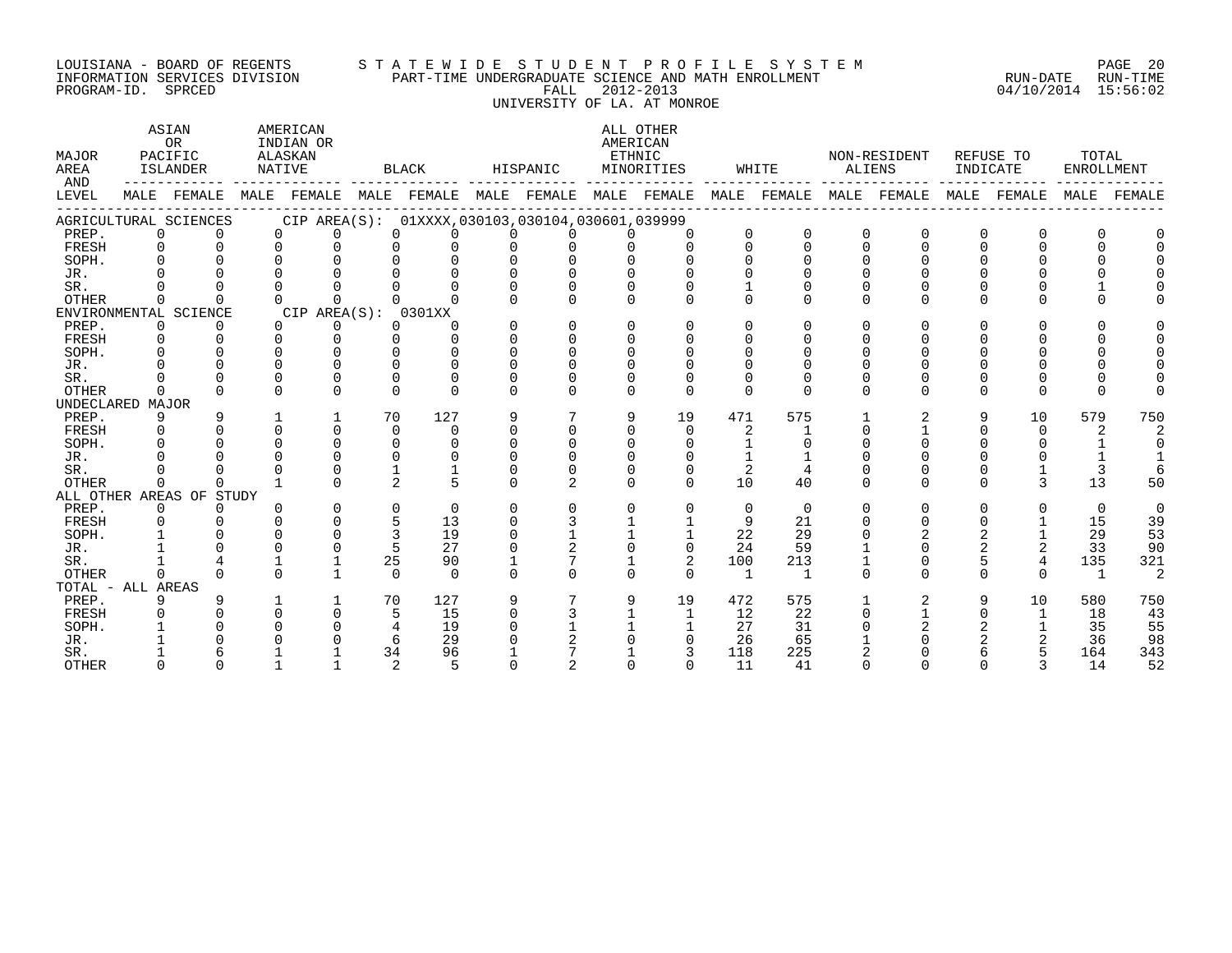# LOUISIANA - BOARD OF REGENTS S T A T E W I D E S T U D E N T P R O F I L E S Y S T E M PAGE 20 INFORMATION SERVICES DIVISION PART-TIME UNDERGRADUATE SCIENCE AND MATH ENROLLMENT RUN-DATE RUN-TIME ت بن المحمد المحمد المحمد المحمد المحمد المحمد المحمد المحمد المحمد المحمد المحمد المحمد المحمد المحمد المحمد ا<br>INFORMATION SERVICES DIVISION PART-TIME UNDERGRADUATE SCIENCE AND MATH ENROLLMENT [19] [19] PROGRAM-ID. SPRCE UNIVERSITY OF LA. AT MONROE

| <b>MAJOR</b><br>AREA<br>AND |              | ASIAN<br><b>OR</b><br>PACIFIC<br>ISLANDER | ALASKAN<br>NATIVE | AMERICAN<br>INDIAN OR |               | BLACK                                           |          | HISPANIC       | ETHNIC   | ALL OTHER<br>AMERICAN<br>MINORITIES                                                             |                | WHITE    |          | NON-RESIDENT<br>ALIENS |          | REFUSE TO<br>INDICATE | TOTAL<br><b>ENROLLMENT</b> |                |
|-----------------------------|--------------|-------------------------------------------|-------------------|-----------------------|---------------|-------------------------------------------------|----------|----------------|----------|-------------------------------------------------------------------------------------------------|----------------|----------|----------|------------------------|----------|-----------------------|----------------------------|----------------|
| LEVEL                       |              |                                           |                   |                       |               |                                                 |          |                |          | MALE FEMALE MALE FEMALE MALE FEMALE MALE FEMALE MALE FEMALE MALE FEMALE MALE FEMALE MALE FEMALE |                |          |          |                        |          |                       |                            | MALE FEMALE    |
|                             |              | AGRICULTURAL SCIENCES                     |                   |                       |               | CIP AREA(S): 01XXXX,030103,030104,030601,039999 |          |                |          |                                                                                                 |                |          |          |                        |          |                       |                            |                |
| PREP.                       | $\Omega$     |                                           | $\Omega$          | $\Omega$              | $\Omega$      |                                                 |          | <sup>n</sup>   | $\cap$   | $\Omega$                                                                                        |                | 0        | $\Omega$ | $\Omega$               | $\Omega$ |                       |                            |                |
| FRESH                       | $\cap$       | $\Omega$                                  | $\Omega$          | $\Omega$              | <sup>n</sup>  |                                                 |          |                |          | $\cap$                                                                                          |                | $\cap$   |          |                        |          |                       |                            |                |
| SOPH.                       |              |                                           |                   |                       |               |                                                 |          |                |          |                                                                                                 |                |          |          |                        |          |                       |                            |                |
| JR.                         |              |                                           |                   |                       |               |                                                 |          |                |          |                                                                                                 |                |          |          |                        |          |                       |                            |                |
| SR.                         |              |                                           |                   |                       |               |                                                 |          |                |          |                                                                                                 |                |          |          |                        |          |                       |                            |                |
| <b>OTHER</b>                |              |                                           |                   |                       |               |                                                 |          |                |          |                                                                                                 |                |          |          |                        |          |                       |                            |                |
|                             |              | ENVIRONMENTAL SCIENCE                     |                   | CIP AREA(S): 0301XX   |               |                                                 |          |                |          |                                                                                                 |                |          |          |                        |          |                       |                            |                |
| PREP.                       | $\Omega$     | $\Omega$                                  | $\Omega$          | $\Omega$              | $\Omega$      |                                                 |          | $\Omega$       | $\Omega$ | $\Omega$                                                                                        |                |          |          |                        |          |                       |                            |                |
| FRESH                       | $\Omega$     | <sup>n</sup>                              | $\cap$            | $\Omega$              | $\cap$        |                                                 | $\cap$   | $\cap$         | $\cap$   |                                                                                                 |                |          |          |                        |          |                       |                            |                |
| SOPH.                       |              |                                           |                   |                       | <sup>n</sup>  |                                                 |          |                |          |                                                                                                 |                |          |          |                        |          |                       |                            |                |
| JR.                         |              |                                           |                   |                       |               |                                                 |          |                |          |                                                                                                 |                |          |          |                        |          |                       |                            |                |
| SR.                         |              |                                           |                   |                       |               |                                                 |          |                |          |                                                                                                 |                |          |          |                        |          |                       |                            |                |
| <b>OTHER</b>                |              | <sup>n</sup>                              | ∩                 | U                     | $\cap$        |                                                 |          | <sup>n</sup>   | $\cap$   | $\Omega$                                                                                        | $\Omega$       | $\Omega$ | U        | $\cap$                 | $\cap$   | $\Omega$              | $\Omega$                   |                |
| UNDECLARED MAJOR            |              |                                           |                   |                       |               |                                                 |          |                |          |                                                                                                 |                |          |          |                        |          |                       |                            |                |
| PREP.                       | 9            | 9                                         |                   |                       | 70            | 127                                             | 9        |                | 9        | 19                                                                                              | 471            | 575      |          | 2                      | 9        | 10                    | 579                        | 750            |
| FRESH                       | $\Omega$     | $\Omega$                                  | $\Omega$          | $\Omega$              | $\Omega$      | $\Omega$                                        |          | $\Omega$       | $\Omega$ | $\Omega$                                                                                        | 2              | 1        |          |                        |          | $\Omega$              | 2                          | $\overline{2}$ |
| SOPH.                       |              |                                           | $\Omega$          | $\Omega$              | $\Omega$      | $\Omega$                                        | $\Omega$ |                |          | $\Omega$                                                                                        |                | $\Omega$ |          |                        |          | $\Omega$              |                            | $\cap$         |
| JR.                         |              |                                           |                   |                       | $\cap$        |                                                 |          |                |          |                                                                                                 |                |          |          |                        |          |                       |                            |                |
| SR.                         |              |                                           |                   | $\Omega$              |               |                                                 |          |                |          | 0                                                                                               |                |          |          |                        |          |                       | 3                          |                |
| <b>OTHER</b>                | <sup>0</sup> | <sup>n</sup>                              |                   | $\cap$                | 2             |                                                 | $\Omega$ | $\overline{a}$ | $\Omega$ | $\Omega$                                                                                        | 10             | 40       | U        | $\Omega$               | $\Omega$ | 3                     | 13                         | 50             |
|                             |              | ALL OTHER AREAS OF STUDY                  |                   |                       |               |                                                 |          |                |          |                                                                                                 |                |          |          |                        |          |                       |                            |                |
| PREP.                       | $\Omega$     | $\Omega$                                  | $\Omega$          | $\Omega$              | $\Omega$      | $\Omega$                                        | $\Omega$ | $\Omega$       | $\Omega$ | $\Omega$                                                                                        | $\Omega$       | $\Omega$ | U        | $\Omega$               | 0        | $\Omega$              | $\Omega$                   | $\Omega$       |
| FRESH                       | $\Omega$     |                                           | ∩                 | $\cap$                |               | 13                                              |          |                |          |                                                                                                 | 9              | 21       |          |                        |          |                       | 15                         | 39             |
| SOPH.                       |              |                                           |                   | $\Omega$              | 3             | 19                                              |          |                |          | $\mathbf{1}$                                                                                    | 22             | 29       |          |                        |          |                       | 29                         | 53             |
| JR.                         |              |                                           |                   | $\Omega$              |               | 27                                              |          |                |          | $\Omega$                                                                                        | 24             | 59       |          |                        |          | 2                     | 33                         | 90             |
| SR.                         |              |                                           |                   |                       | 25            | 90                                              |          |                |          | 2                                                                                               | 100            | 213      |          | 0                      |          | 4                     | 135                        | 321            |
| <b>OTHER</b>                | $\Omega$     | <sup>n</sup>                              |                   |                       | $\Omega$      | $\cap$                                          | $\Omega$ |                | $\cap$   | $\Omega$                                                                                        | $\overline{1}$ | 1        | U        | U                      |          |                       | 1                          | 2              |
| TOTAL - ALL AREAS           |              |                                           |                   |                       |               |                                                 |          |                |          |                                                                                                 |                |          |          |                        |          |                       |                            |                |
| PREP.                       |              |                                           |                   |                       | 70            | 127                                             | 9        |                | 9        | 19                                                                                              | 472            | 575      |          | 2                      |          | 10                    | 580                        | 750            |
| FRESH                       |              |                                           | $\cap$            | $\Omega$              | 5             | 15                                              |          |                |          | $\mathbf{1}$                                                                                    | 12             | 22       |          |                        |          |                       | 18                         | 43             |
| SOPH.                       |              |                                           |                   |                       |               | 19                                              |          |                |          |                                                                                                 | 27             | 31       |          |                        |          |                       | 35                         | 55             |
| JR.                         |              |                                           |                   |                       |               | 29                                              |          |                |          |                                                                                                 | 26             | 65       |          |                        |          |                       | 36                         | 98             |
| SR.                         |              |                                           |                   |                       | 34            | 96                                              |          |                |          |                                                                                                 | 118            | 225      |          |                        |          |                       | 164                        | 343            |
| <b>OTHER</b>                |              | ∩                                         |                   |                       | $\mathcal{L}$ |                                                 |          |                |          |                                                                                                 | 11             | 41       |          |                        |          |                       | 14                         | 52             |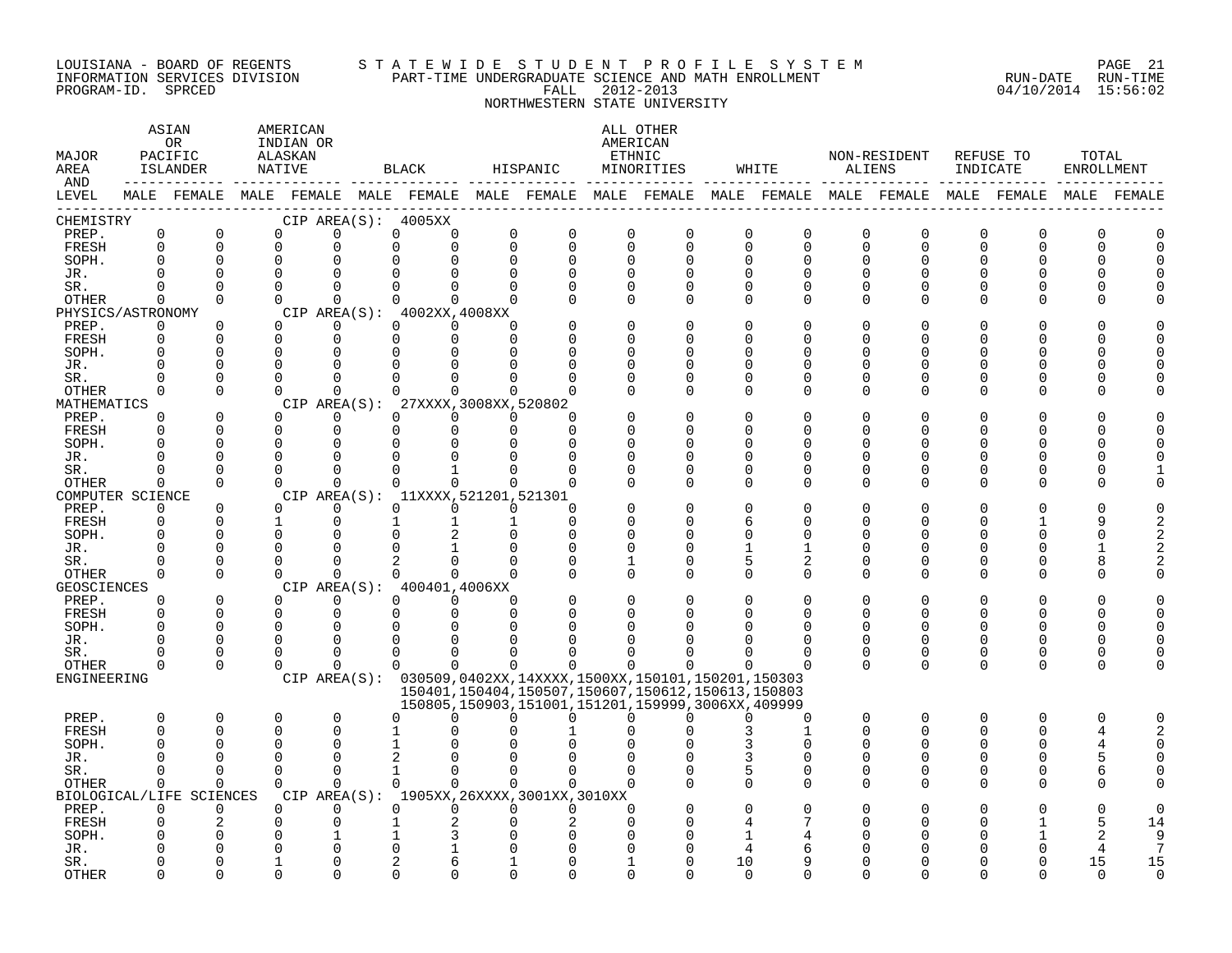#### LOUISIANA - BOARD OF REGENTS S T A T E W I D E S T U D E N T P R O F I L E S Y S T E M PAGE 21 INFORMATION SERVICES DIVISION PART-TIME UNDERGRADUATE SCIENCE AND MATH ENROLLMENT RUN-DATE RUN-TIME PROGRAM-ID. SPRCED FALL 2012-2013 04/10/2014 15:56:02

NORTHWESTERN STATE UNIVERSITY

### ASTAN AMERICAN ANG ANG ANG ASTANG ANG ASTANG ALL OTHER OR INDIAN OR **AMERICAN** MAJOR PACIFIC ALASKAN ETHNIC NON-RESIDENT REFUSE TO TOTAL AREA ISLANDER NATIVE BLACK HISPANIC MINORITIES WHITE ALIENS INDICATE ENROLLMENT AND ------------ ------------- ------------- ------------- ------------- ------------- ------------- ------------- ------------- LEVEL MALE FEMALE MALE FEMALE MALE FEMALE MALE FEMALE MALE FEMALE MALE FEMALE MALE FEMALE MALE FEMALE MALE FEMALE ------------------------------------------------------------------------------------------------------------------------------------ CHEMISTRY CIP AREA(S): 4005XX PREP. 0 0 0 0 0 0 0 0 0 0 0 0 0 0 0 0 0 0 FRESH 0 0 0 0 0 0 0 0 0 0 0 0 0 0 0 0 0 0 SOPH. 0 0 0 0 0 0 0 0 0 0 0 0 0 0 0 0 0 0 JR. 0 0 0 0 0 0 0 0 0 0 0 0 0 0 0 0 0 0 SR. 0 0 0 0 0 0 0 0 0 0 0 0 0 0 0 0 0 0 OTHER 0 0 0 0 0 0 0 0 0 0 0 0 0 0 0 0 0 0 PHYSICS/ASTRONOMY CIP AREA(S): 4002XX,4008XX<br>
PREP. 0 0 0 0 0 0 0 PREP. 0 0 0 0 0 0 0 0 0 0 0 0 0 0 0 0 0 0 FRESH 0 0 0 0 0 0 0 0 0 0 0 0 0 0 0 0 0 0 SOPH. 0 0 0 0 0 0 0 0 0 0 0 0 0 0 0 0 0 0 JR. 0 0 0 0 0 0 0 0 0 0 0 0 0 0 0 0 0 0 SR. 0 0 0 0 0 0 0 0 0 0 0 0 0 0 0 0 0 0 OTHER 0 0 0 0 0 0 0 0 0 0 0 0 0 0 0 0 0 0 MATHEMATICS CIP AREA(S): 27XXXX,3008XX,520802<br>
PREP. 0 0 0 0 0 0 0 PREP. 0 0 0 0 0 0 0 0 0 0 0 0 0 0 0 0 0 0 FRESH 0 0 0 0 0 0 0 0 0 0 0 0 0 0 0 0 0 0 SOPH. 0 0 0 0 0 0 0 0 0 0 0 0 0 0 0 0 0 0 JR. 0 0 0 0 0 0 0 0 0 0 0 0 0 0 0 0 0 0 SR. 0 0 0 0 0 1 0 0 0 0 0 0 0 0 0 0 0 1 OTHER 0 0 0 0 0 0 0 0 0 0 0 0 0 0 0 0 0 0 COMPUTER SCIENCE CIP AREA(S): 11XXXX,521201,521301<br>
PREP. 0 0 0 0 0 0 0 PREP. 0 0 0 0 0 0 0 0 0 0 0 0 0 0 0 0 0 0 FRESH 0 0 1 0 1 1 1 0 0 0 6 0 0 0 0 1 9 2 SOPH. 0 0 0 0 0 2 0 0 0 0 0 0 0 0 0 0 0 2 JR. 0 0 0 0 0 1 0 0 0 0 1 1 0 0 0 0 1 2 SR. 0 0 0 0 2 0 0 0 1 0 5 2 0 0 0 0 8 2 OTHER 0 0 0 0 0 0 0 0 0 0 0 0 0 0 0 0 0 0 GEOSCIENCES CIPAREA(S): 400401,4006XX<br>
PREP. 0 0 0 0 0 0 PREP. 0 0 0 0 0 0 0 0 0 0 0 0 0 0 0 0 0 0 FRESH 0 0 0 0 0 0 0 0 0 0 0 0 0 0 0 0 0 0 SOPH. 0 0 0 0 0 0 0 0 0 0 0 0 0 0 0 0 0 0 JR. 0 0 0 0 0 0 0 0 0 0 0 0 0 0 0 0 0 0 SR. 0 0 0 0 0 0 0 0 0 0 0 0 0 0 0 0 0 0 OTHER 0 0 0 0 0 0 0 0 0 0 0 0 0 0 0 0 0 0 ENGINEERING CIP AREA(S): 030509,0402XX,14XXXX,1500XX,150101,150201,150303 150401,150404,150507,150607,150612,150613,150803 150805,150903,151001,151201,159999,3006XX,409999 PREP. 0 0 0 0 0 0 0 0 0 0 0 0 0 0 0 0 0 0 FRESH 0 0 0 0 1 0 0 1 0 0 3 1 0 0 0 0 4 2 SOPH. 0 0 0 0 1 0 0 0 0 0 3 0 0 0 0 0 4 0 JR. 0 0 0 0 2 0 0 0 0 0 3 0 0 0 0 0 5 0 SR. 0 0 0 0 1 0 0 0 0 0 5 0 0 0 0 0 6 0 OTHER 0 0 0 0 0 0 0 0 0 0 0 0 0 0 0 0 0 0 BIOLOGICAL/LIFE SCIENCES CIP AREA(S): 1905XX,26XXXX,3001XX,3010XX PREP. 0 0 0 0 0 0 0 0 0 0 0 0 0 0 0 0 0 0 FRESH 0 2 0 0 1 2 0 2 0 0 4 7 0 0 0 1 5 14 SOPH. 0 0 0 1 1 3 0 0 0 0 1 4 0 0 0 1 2 9 JR. 0 0 0 0 0 1 0 0 0 0 4 6 0 0 0 0 4 7 SR. 0 0 1 0 2 6 1 0 1 0 10 9 0 0 0 0 15 15

OTHER 0 0 0 0 0 0 0 0 0 0 0 0 0 0 0 0 0 0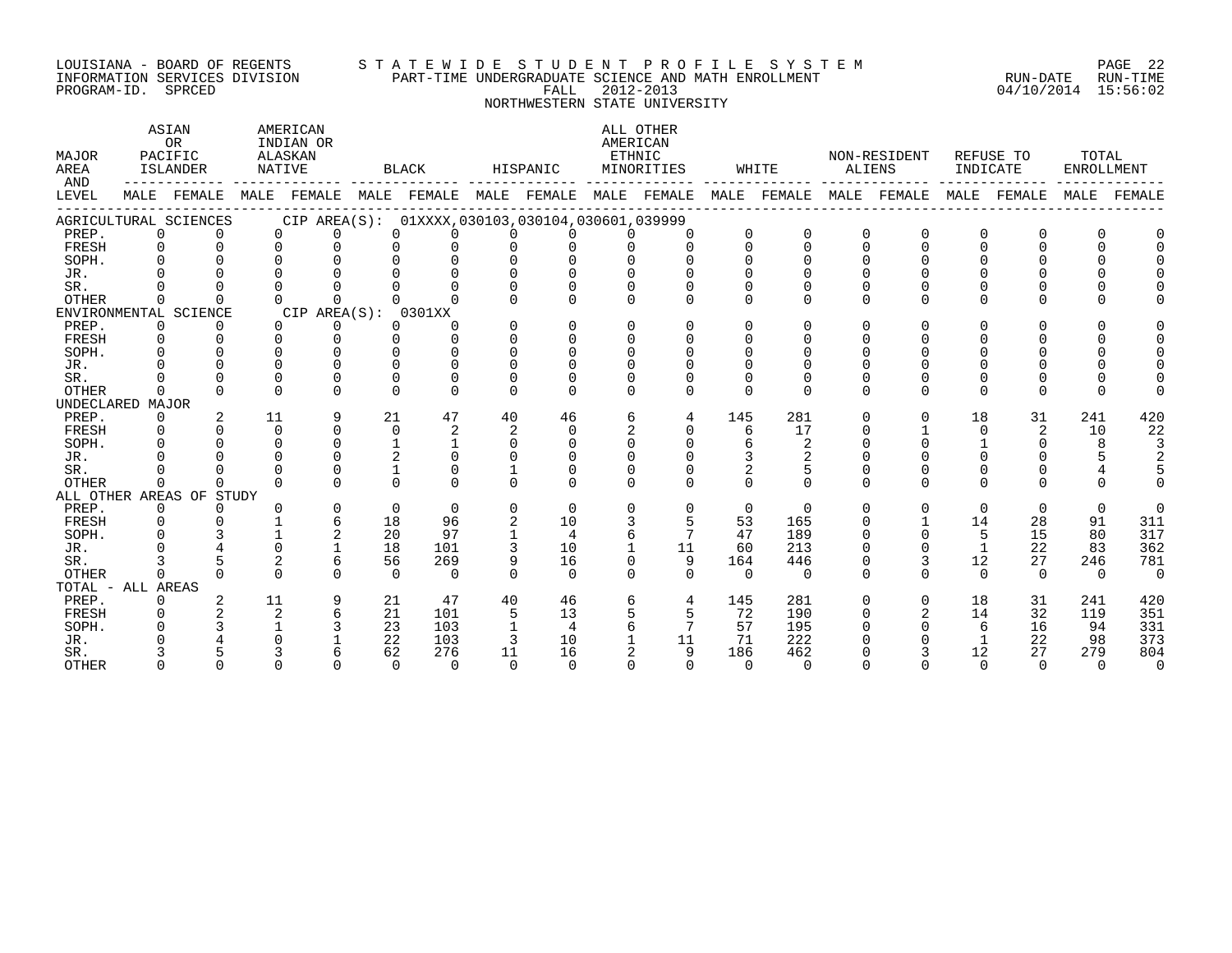#### LOUISIANA - BOARD OF REGENTS S T A T E W I D E S T U D E N T P R O F I L E S Y S T E M PAGE 22 INFORMATION SERVICES DIVISION PART-TIME UNDERGRADUATE SCIENCE AND MATH ENROLLMENT RUN-DATE RUN-TIME PROGRAM-ID. SPRCED FALL 2012-2013 04/10/2014 15:56:02

NORTHWESTERN STATE UNIVERSITY

ASTAN AMERICAN AMERICAN ALL OTHER OR INDIAN OR **INDIAN OR** AMERICAN MAJOR PACIFIC ALASKAN ETHNIC NON-RESIDENT REFUSE TO TOTAL AREA ISLANDER NATIVE BLACK HISPANIC MINORITIES WHITE ALIENS INDICATE ENROLLMENT AND ------------ ------------- ------------- ------------- ------------- ------------- ------------- ------------- ------------- LEVEL MALE FEMALE MALE FEMALE MALE FEMALE MALE FEMALE MALE FEMALE MALE FEMALE MALE FEMALE MALE FEMALE MALE FEMALE ------------------------------------------------------------------------------------------------------------------------------------ AGRICULTURAL SCIENCES CIP AREA(S): 01XXXX,030103,030104,030601,039999 PREP. 0 0 0 0 0 0 0 0 0 0 0 0 0 0 0 0 0 0 FRESH 0 0 0 0 0 0 0 0 0 0 0 0 0 0 0 0 0 0 SOPH. 0 0 0 0 0 0 0 0 0 0 0 0 0 0 0 0 0 0 JR. 0 0 0 0 0 0 0 0 0 0 0 0 0 0 0 0 0 0 SR. 0 0 0 0 0 0 0 0 0 0 0 0 0 0 0 0 0 0 OTHER 0 0 0 0 0 0 0 0 0 0 0 0 0 0 0 0 0 0 ENVIRONMENTAL SCIENCE<br>
PREP. 0 0 0 0 0 0 0<br>
0 0 PREP. 0 0 0 0 0 0 0 0 0 0 0 0 0 0 0 0 0 0 FRESH 0 0 0 0 0 0 0 0 0 0 0 0 0 0 0 0 0 0 SOPH. 0 0 0 0 0 0 0 0 0 0 0 0 0 0 0 0 0 0 JR. 0 0 0 0 0 0 0 0 0 0 0 0 0 0 0 0 0 0 SR. 0 0 0 0 0 0 0 0 0 0 0 0 0 0 0 0 0 0 OTHER 0 0 0 0 0 0 0 0 0 0 0 0 0 0 0 0 0 0 UNDECLARED MAJOR PREP. 0 2 11 9 21 47 40 46 6 4 145 281 0 0 18 31 241 420 FRESH 0 0 0 0 0 2 2 0 2 0 6 17 0 1 0 2 10 22 SOPH. 0 0 0 0 1 1 0 0 0 0 6 2 0 0 1 0 8 3 JR. 0 0 0 0 2 0 0 0 0 0 3 2 0 0 0 0 5 2 SR. 0 0 0 0 1 0 1 0 0 0 2 5 0 0 0 0 4 5 OTHER 0 0 0 0 0 0 0 0 0 0 0 0 0 0 0 0 0 0 ALL OTHER AREAS OF STUDY PREP. 0 0 0 0 0 0 0 0 0 0 0 0 0 0 0 0 0 0 FRESH 0 0 1 6 18 96 2 10 3 5 53 165 0 1 14 28 91 311 SOPH. 0 3 1 2 20 97 1 4 6 7 47 189 0 0 5 15 80 317 JR. 0 4 0 1 18 101 3 10 1 11 60 213 0 0 1 22 83 362 SR. 3 5 2 6 56 269 9 16 0 9 164 446 0 3 12 27 246 781 OTHER 0 0 0 0 0 0 0 0 0 0 0 0 0 0 0 0 0 0 TOTAL - ALL AREAS PREP. 0 2 11 9 21 47 40 46 6 4 145 281 0 0 18 31 241 420 FRESH 0 2 2 6 21 101 5 13 5 5 72 190 0 2 14 32 119 351 SOPH. 0 3 1 3 23 103 1 4 6 7 57 195 0 0 6 16 94 331 JR. 0 4 0 1 22 103 3 10 1 11 71 222 0 0 1 22 98 373 SR. 3 5 3 6 62 276 11 16 2 9 186 462 0 3 12 27 279 804 OTHER 0 0 0 0 0 0 0 0 0 0 0 0 0 0 0 0 0 0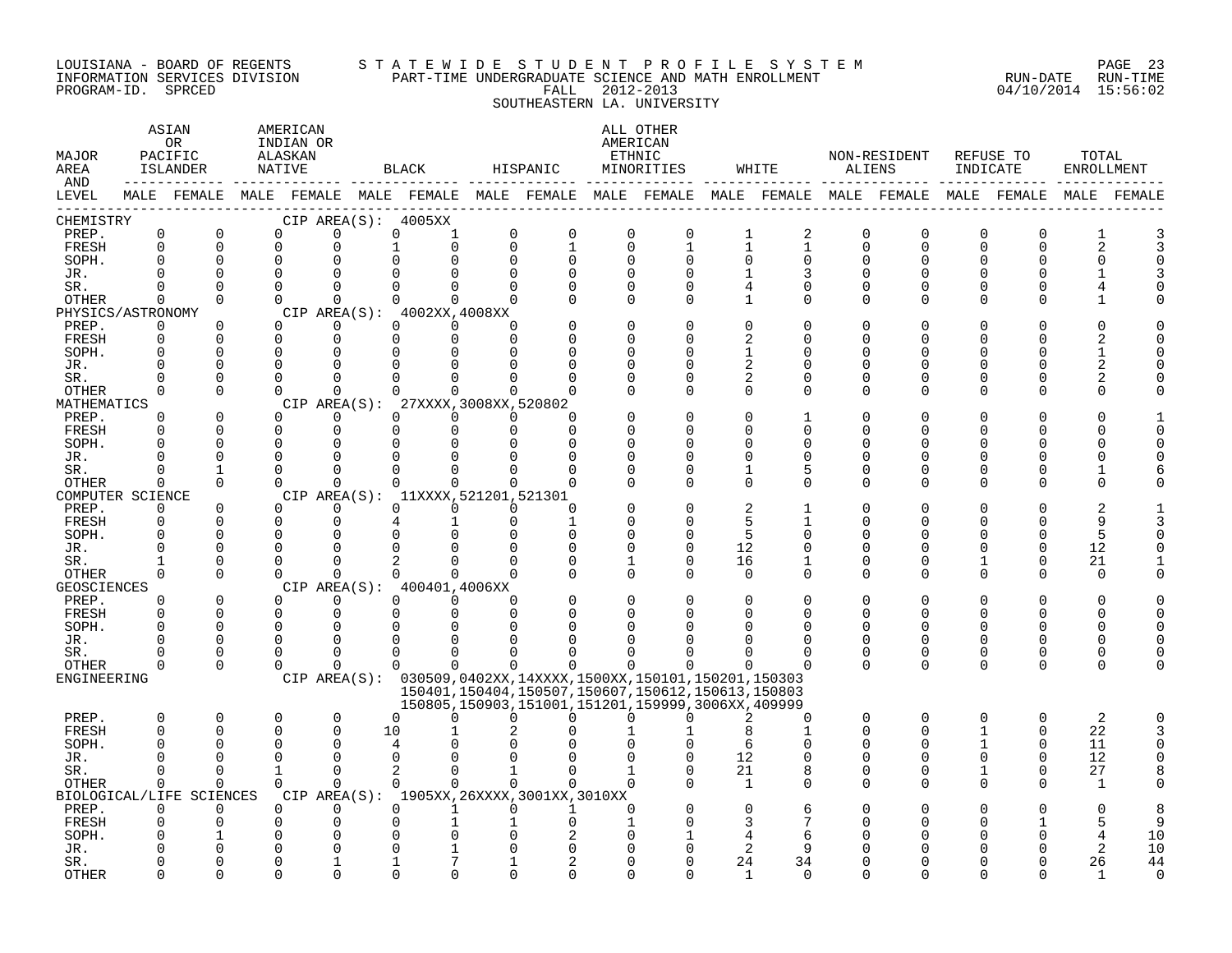#### LOUISIANA - BOARD OF REGENTS S T A T E W I D E S T U D E N T P R O F I L E S Y S T E M PAGE 23 INFORMATION SERVICES DIVISION PART-TIME UNDERGRADUATE SCIENCE AND MATH ENROLLMENT RUN-DATE RUN-TIME PROGRAM-ID. SPRCED FALL 2012-2013 04/10/2014 15:56:02 SOUTHEASTERN LA. UNIVERSITY

| MAJOR<br>AREA<br>AND |                         | ASIAN<br>0R<br>PACIFIC<br>ISLANDER<br>MALE FEMALE MALE FEMALE MALE FEMALE MALE FEMALE MALE FEMALE MALE FEMALE MALE FEMALE MALE FEMALE |  | AMERICAN<br>INDIAN OR<br>ALASKAN<br>NATIVE |                      |              | BLACK                               | HISPANIC                |                                             |                            | ALL OTHER<br>AMERICAN<br>ETHNIC<br>MINORITIES                                                                                                                                     |                   | WHITE                      |               | NON-RESIDENT<br>ALIENS  | REFUSE TO<br>INDICATE   |               | TOTAL<br>ENROLLMENT |             |
|----------------------|-------------------------|---------------------------------------------------------------------------------------------------------------------------------------|--|--------------------------------------------|----------------------|--------------|-------------------------------------|-------------------------|---------------------------------------------|----------------------------|-----------------------------------------------------------------------------------------------------------------------------------------------------------------------------------|-------------------|----------------------------|---------------|-------------------------|-------------------------|---------------|---------------------|-------------|
| LEVEL                |                         |                                                                                                                                       |  |                                            |                      |              |                                     |                         |                                             |                            |                                                                                                                                                                                   |                   |                            |               |                         |                         |               |                     | MALE FEMALE |
| CHEMISTRY            |                         |                                                                                                                                       |  |                                            |                      |              | CIP AREA(S): 4005XX                 |                         |                                             |                            |                                                                                                                                                                                   |                   |                            |               |                         |                         |               |                     |             |
| PREP.<br>FRESH       | $\mathsf 0$<br>$\Omega$ | $\mathbf 0$<br>$\Omega$                                                                                                               |  | 0<br>$\Omega$                              | $\mathbf 0$<br>0     | 0            | 1<br>$\Omega$                       | $\mathbf 0$<br>$\Omega$ | $\mathsf 0$<br>$\mathbf{1}$                 | $\mathbf 0$<br>$\mathbf 0$ | $\mathbf 0$<br>$\mathbf{1}$                                                                                                                                                       | 1<br>$\mathbf{1}$ | $\sqrt{2}$<br>$\mathbf{1}$ | 0<br>$\Omega$ | $\mathbf 0$<br>$\Omega$ | $\mathbf 0$<br>$\Omega$ | 0<br>$\Omega$ | 1<br>$\overline{2}$ |             |
| SOPH.                | $\Omega$                | $\Omega$                                                                                                                              |  | $\mathbf 0$                                | $\Omega$             |              |                                     | $\Omega$                | $\Omega$                                    | $\Omega$                   | $\Omega$                                                                                                                                                                          | $\Omega$          | 0                          | U             | 0                       | U                       | O             | O                   |             |
| JR.                  | $\cap$                  | $\Omega$                                                                                                                              |  | $\Omega$                                   | $\cap$               |              |                                     |                         |                                             | $\Omega$                   |                                                                                                                                                                                   |                   |                            | U             | $\cap$                  |                         |               |                     |             |
| SR.                  | $\Omega$                | $\Omega$                                                                                                                              |  | $\Omega$                                   | $\Omega$             | $\Omega$     | 0                                   | $\Omega$                | O                                           | $\Omega$                   | $\Omega$                                                                                                                                                                          | 4                 | $\Omega$                   | $\Omega$      | $\Omega$                |                         |               |                     |             |
| OTHER                | $\Omega$                | $\Omega$                                                                                                                              |  | $\Omega$                                   | $\Omega$             | $\Omega$     | 0                                   | $\Omega$                |                                             | $\Omega$                   | $\Omega$                                                                                                                                                                          | 1                 | 0                          | $\Omega$      | $\Omega$                | $\Omega$                | O             |                     |             |
| PHYSICS/ASTRONOMY    |                         |                                                                                                                                       |  |                                            |                      |              | CIP AREA(S): 4002XX, 4008XX         |                         |                                             |                            |                                                                                                                                                                                   |                   |                            |               |                         |                         |               |                     |             |
| PREP.                | 0                       | 0                                                                                                                                     |  | $\Omega$                                   | 0                    | $\Omega$     | $\Omega$                            | $\Omega$                |                                             | $\Omega$                   |                                                                                                                                                                                   | $\Omega$          | 0                          | U             | O                       |                         |               |                     |             |
| FRESH                | $\Omega$                | $\Omega$                                                                                                                              |  | $\Omega$                                   | $\Omega$             | $\Omega$     | $\Omega$                            | $\Omega$                |                                             | $\Omega$                   |                                                                                                                                                                                   | 2                 | U                          | U             | U                       |                         |               |                     |             |
| SOPH.                |                         | $\Omega$                                                                                                                              |  | $\Omega$                                   | $\Omega$             |              |                                     |                         |                                             | $\Omega$                   |                                                                                                                                                                                   | 1                 | O                          | U             | U                       |                         |               |                     |             |
| JR.                  | $\Omega$                | $\Omega$                                                                                                                              |  | $\Omega$                                   | $\Omega$             |              |                                     |                         |                                             | C                          |                                                                                                                                                                                   | $\overline{2}$    | O                          | U             | U                       |                         |               |                     |             |
| SR.                  | $\cap$<br>$\Omega$      | $\Omega$<br>$\Omega$                                                                                                                  |  | $\Omega$<br>$\Omega$                       | $\Omega$<br>$\Omega$ |              | $\Omega$                            | <sup>n</sup>            | U                                           | $\Omega$<br>$\Omega$       | U<br>$\Omega$                                                                                                                                                                     | 2<br>$\Omega$     | $\Omega$<br>$\Omega$       | U<br>$\Omega$ | U<br>$\Omega$           | U                       | O<br>O        |                     |             |
| OTHER<br>MATHEMATICS |                         |                                                                                                                                       |  |                                            |                      | CIP AREA(S): | 27XXXX, 3008XX, 520802              |                         |                                             |                            |                                                                                                                                                                                   |                   |                            |               |                         |                         |               |                     |             |
| PREP.                | $\Omega$                | $\Omega$                                                                                                                              |  | $\Omega$                                   | $\Omega$             | $\Omega$     | $\Omega$                            | $\Omega$                | U                                           |                            |                                                                                                                                                                                   | $\Omega$          | $\mathbf{1}$               |               |                         |                         |               |                     |             |
| FRESH                | $\Omega$                | $\Omega$                                                                                                                              |  | $\mathbf 0$                                | $\mathbf 0$          | $\Omega$     | $\Omega$                            | $\Omega$                | $\Omega$                                    |                            |                                                                                                                                                                                   | $\Omega$          | $\Omega$                   | U             | U                       |                         | ∩             |                     |             |
| SOPH.                | ∩                       | $\Omega$                                                                                                                              |  | $\Omega$                                   | $\Omega$             | $\Omega$     |                                     |                         | U                                           | ∩                          |                                                                                                                                                                                   | ∩                 | U                          |               | ∩                       |                         |               |                     |             |
| JR.                  | $\Omega$                | $\Omega$                                                                                                                              |  | $\Omega$                                   | 0                    | O            |                                     |                         | O                                           | $\Omega$                   | U                                                                                                                                                                                 | $\Omega$          | O                          | U             | O                       |                         | ∩             |                     |             |
| SR.                  | $\Omega$                |                                                                                                                                       |  | $\Omega$                                   | $\Omega$             |              |                                     |                         |                                             | $\Omega$                   |                                                                                                                                                                                   | 1                 | 5                          | U             | 0                       |                         | O             |                     |             |
| OTHER                | $\Omega$                | $\Omega$                                                                                                                              |  | $\Omega$                                   | $\Omega$             | $\Omega$     | 0                                   | $\Omega$                | $\Omega$                                    | ∩                          | $\Omega$                                                                                                                                                                          | $\Omega$          | $\Omega$                   | $\Omega$      | $\Omega$                | ∩                       | ∩             |                     |             |
| COMPUTER SCIENCE     |                         |                                                                                                                                       |  |                                            |                      |              | CIP AREA(S): 11XXXX, 521201, 521301 |                         |                                             |                            |                                                                                                                                                                                   |                   |                            |               |                         |                         |               |                     |             |
| PREP.                | $\Omega$                | $\Omega$                                                                                                                              |  | $\Omega$                                   | $\Omega$             |              | $\Omega$<br>$\Omega$                | $\Omega$                | O                                           |                            |                                                                                                                                                                                   |                   |                            |               |                         |                         |               |                     |             |
| FRESH                | $\Omega$                | $\Omega$                                                                                                                              |  | $\Omega$                                   | $\mathbf 0$          |              |                                     | $\Omega$                | $\mathbf{1}$                                | $\Omega$                   |                                                                                                                                                                                   | 5                 | 1                          | U             | 0                       |                         | $\Omega$      | 9                   |             |
| SOPH.                | $\Omega$<br>$\Omega$    | $\Omega$<br>$\Omega$                                                                                                                  |  | 0<br>$\Omega$                              | $\Omega$<br>$\Omega$ |              |                                     | ∩                       | $\Omega$<br>$\Omega$                        | $\Omega$<br>0              | $\Omega$                                                                                                                                                                          | 5<br>12           | O<br>0                     | U             | U<br>U                  |                         | $\Omega$<br>0 | 5<br>12             |             |
| JR.<br>SR.           |                         | $\Omega$                                                                                                                              |  | $\Omega$                                   | $\Omega$             |              |                                     |                         | $\Omega$                                    | 1                          | $\Omega$                                                                                                                                                                          | 16                | 1                          | $\Omega$      | $\Omega$                |                         | $\Omega$      | 21                  |             |
| OTHER                | $\Omega$                | $\Omega$                                                                                                                              |  | $\Omega$                                   | $\Omega$             |              | $\Omega$<br>$\cap$                  | $\Omega$                | $\Omega$                                    | $\Omega$                   | $\Omega$                                                                                                                                                                          | $\Omega$          | $\Omega$                   | $\Omega$      | $\Omega$                | $\Omega$                | $\Omega$      | $\Omega$            |             |
| <b>GEOSCIENCES</b>   |                         |                                                                                                                                       |  |                                            |                      |              | CIP AREA(S): 400401,4006XX          |                         |                                             |                            |                                                                                                                                                                                   |                   |                            |               |                         |                         |               |                     |             |
| PREP.                | $\Omega$                | $\Omega$                                                                                                                              |  | $\Omega$                                   | $\Omega$             |              | $\Omega$<br>$\Omega$                | $\Omega$                |                                             | $\Omega$                   |                                                                                                                                                                                   | $\Omega$          | $\Omega$                   | U             | O                       |                         | $\Omega$      |                     |             |
| FRESH                | $\Omega$                | $\Omega$                                                                                                                              |  | $\mathbf 0$                                | $\mathbf 0$          |              | 0<br>$\Omega$                       | $\Omega$                | O                                           | 0                          |                                                                                                                                                                                   | $\Omega$          | $\Omega$                   | U             | $\Omega$                | 0                       | O             | O                   |             |
| SOPH.                | $\cap$                  | $\Omega$                                                                                                                              |  | $\Omega$                                   | $\Omega$             |              |                                     |                         |                                             |                            |                                                                                                                                                                                   |                   | $\Omega$                   |               |                         |                         |               |                     |             |
| JR.                  | $\Omega$                | $\Omega$                                                                                                                              |  | $\Omega$                                   | $\Omega$             | O            |                                     |                         |                                             |                            |                                                                                                                                                                                   |                   | O                          | O             | 0                       | U                       | ∩             |                     |             |
| SR.                  | <sup>0</sup>            | 0                                                                                                                                     |  | $\Omega$                                   | $\Omega$             | $\Omega$     | <sup>0</sup>                        |                         |                                             |                            |                                                                                                                                                                                   | O                 | 0                          | 0             | 0                       | $\Omega$                | 0             | ∩                   |             |
| OTHER                | $\Omega$                | $\Omega$                                                                                                                              |  | $\Omega$                                   | $\Omega$             | $\Omega$     | $\Omega$                            | $\Omega$                | 0                                           | $\Omega$                   |                                                                                                                                                                                   | ∩                 | $\Omega$                   | $\Omega$      | $\Omega$                | $\Omega$                | $\Omega$      | U                   |             |
| ENGINEERING          |                         |                                                                                                                                       |  |                                            |                      |              |                                     |                         |                                             |                            | CIP AREA(S): 030509,0402XX,14XXXX,1500XX,150101,150201,150303<br>150401, 150404, 150507, 150607, 150612, 150613, 150803<br>150805, 150903, 151001, 151201, 159999, 3006XX, 409999 |                   |                            |               |                         |                         |               |                     |             |
| PREP.                | $\Omega$                | 0                                                                                                                                     |  | 0                                          | $\mathbf 0$          | $\Omega$     | 0                                   | U                       | 0                                           | <sup>0</sup>               | U                                                                                                                                                                                 | 2                 | 0                          | 0             | $\mathbf 0$             | $\Omega$                | 0             | 2                   |             |
| <b>FRESH</b>         | $\Omega$                | $\Omega$                                                                                                                              |  | $\Omega$                                   | $\Omega$             | 10           |                                     |                         |                                             |                            |                                                                                                                                                                                   | 8                 | $\mathbf{1}$               | $\Omega$      | U                       |                         | $\Omega$      | 22                  |             |
| SOPH.                | $\Omega$                | $\Omega$                                                                                                                              |  | 0                                          | $\Omega$             | 4            |                                     |                         |                                             |                            |                                                                                                                                                                                   | 6                 | O                          | U             | 0                       |                         | $\Omega$      | 11                  |             |
| JR.                  | ∩                       | $\cap$                                                                                                                                |  | $\Omega$                                   | $\Omega$             | $\Omega$     |                                     |                         |                                             |                            |                                                                                                                                                                                   | 12                | O                          | U             | $\Omega$                |                         |               | 12                  |             |
| SR.                  | $\Omega$                | $\Omega$                                                                                                                              |  | $\mathbf{1}$                               | $\Omega$             | 2            | $\Omega$                            | $\mathbf{1}$            | $\Omega$                                    |                            |                                                                                                                                                                                   | 21                | 8                          | $\Omega$      | $\Omega$                | $\mathbf{1}$            | $\Omega$      | 27                  |             |
| OTHER                | $\Omega$                | $\Omega$                                                                                                                              |  | $\Omega$                                   | $\Omega$             |              | $\Omega$<br>$\Omega$                | $\Omega$                | 0                                           | $\Omega$                   |                                                                                                                                                                                   | <sup>1</sup>      | 0                          | $\Omega$      | $\Omega$                | $\Omega$                |               | 1                   |             |
|                      |                         | BIOLOGICAL/LIFE SCIENCES                                                                                                              |  |                                            |                      |              |                                     |                         | CIP AREA(S): 1905XX, 26XXXX, 3001XX, 3010XX |                            |                                                                                                                                                                                   |                   |                            |               |                         |                         |               |                     |             |
| PREP.                | $\Omega$                | $\Omega$                                                                                                                              |  | $\Omega$                                   | $\Omega$             | $\Omega$     | $\mathbf{1}$                        | $\Omega$                | $\mathbf{1}$                                | $\Omega$                   |                                                                                                                                                                                   | $\Omega$          | 6                          |               |                         |                         |               |                     |             |
| FRESH                |                         | $\Omega$                                                                                                                              |  | 0                                          | 0                    |              |                                     |                         |                                             |                            |                                                                                                                                                                                   | 3                 |                            |               |                         |                         |               |                     | q           |
| SOPH.                |                         |                                                                                                                                       |  | $\Omega$<br>$\Omega$                       | <sup>0</sup>         |              |                                     |                         |                                             |                            |                                                                                                                                                                                   | 4                 | 6<br>9                     |               |                         |                         |               |                     | 10          |
| JR.<br>SR.           |                         | U                                                                                                                                     |  | O                                          |                      |              |                                     |                         | O                                           | ∩                          |                                                                                                                                                                                   | 2<br>24           | 34                         |               |                         |                         |               | 26                  | 10<br>44    |
| <b>OTHER</b>         |                         | $\cap$                                                                                                                                |  | $\cap$                                     | $\cap$               |              |                                     |                         | U                                           | ∩                          |                                                                                                                                                                                   | $\mathbf{1}$      | $\Omega$                   |               |                         |                         |               |                     | $\Omega$    |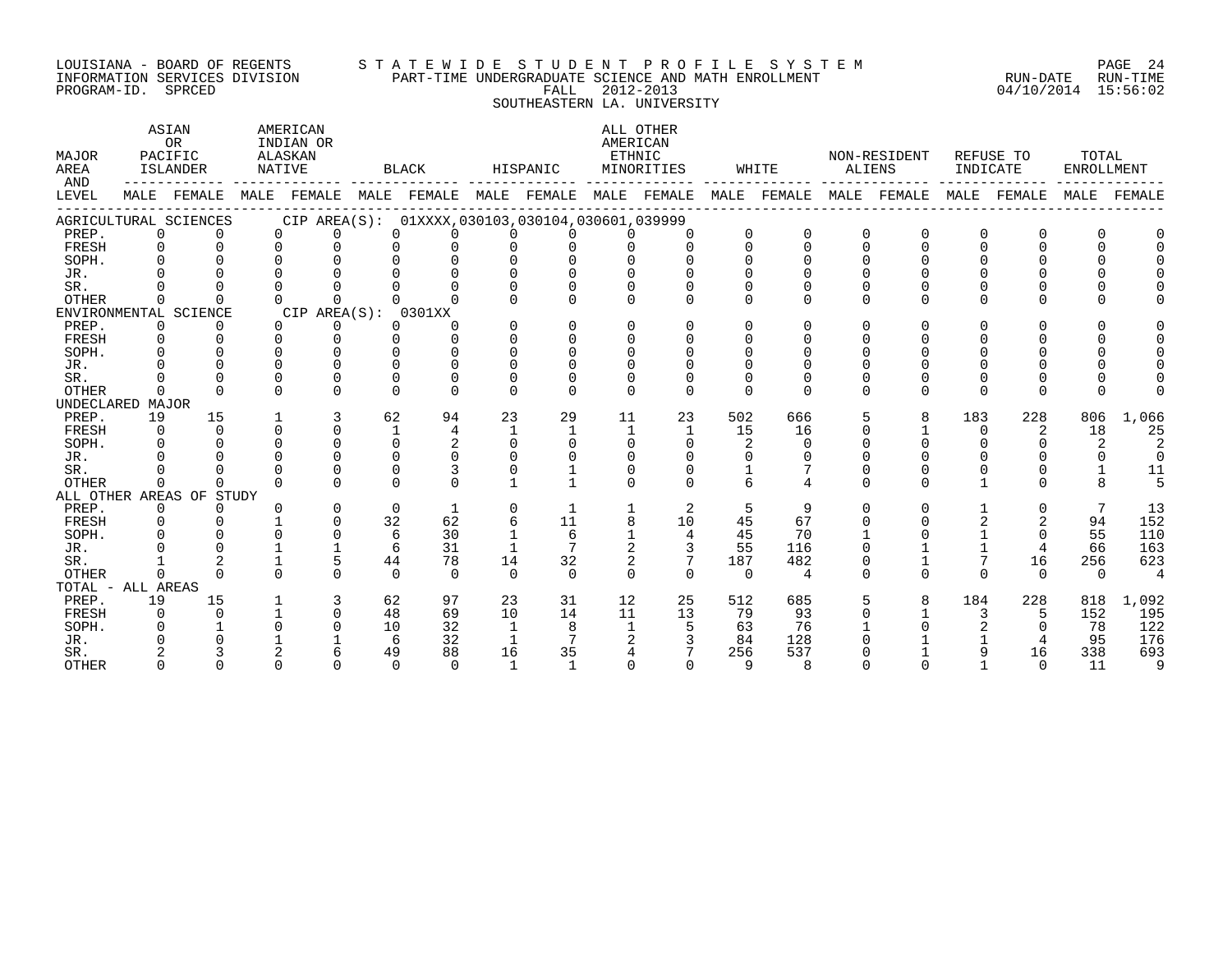#### LOUISIANA - BOARD OF REGENTS S T A T E W I D E S T U D E N T P R O F I L E S Y S T E M PAGE 24 INFORMATION SERVICES DIVISION PART-TIME UNDERGRADUATE SCIENCE AND MATH ENROLLMENT RUN-DATE RUN-TIME PROGRAM-ID. SPRCED FALL 2012-2013 04/10/2014 15:56:02 SOUTHEASTERN LA. UNIVERSITY

### ASTAN AMERICAN AMERICAN ALL OTHER OR INDIAN OR **INDIAN OR** AMERICAN MAJOR PACIFIC ALASKAN ETHNIC NON-RESIDENT REFUSE TO TOTAL AREA ISLANDER NATIVE BLACK HISPANIC MINORITIES WHITE ALIENS INDICATE ENROLLMENT AND ------------ ------------- ------------- ------------- ------------- ------------- ------------- ------------- ------------- LEVEL MALE FEMALE MALE FEMALE MALE FEMALE MALE FEMALE MALE FEMALE MALE FEMALE MALE FEMALE MALE FEMALE MALE FEMALE ------------------------------------------------------------------------------------------------------------------------------------ AGRICULTURAL SCIENCES CIP AREA(S): 01XXXX,030103,030104,030601,039999 PREP. 0 0 0 0 0 0 0 0 0 0 0 0 0 0 0 0 0 0 FRESH 0 0 0 0 0 0 0 0 0 0 0 0 0 0 0 0 0 0 SOPH. 0 0 0 0 0 0 0 0 0 0 0 0 0 0 0 0 0 0 JR. 0 0 0 0 0 0 0 0 0 0 0 0 0 0 0 0 0 0 SR. 0 0 0 0 0 0 0 0 0 0 0 0 0 0 0 0 0 0 OTHER 0 0 0 0 0 0 0 0 0 0 0 0 0 0 0 0 0 0 ENVIRONMENTAL SCIENCE CIP AREA(S): 0301XX<br>
PREP. 0 0 0 0 0 0 PREP. 0 0 0 0 0 0 0 0 0 0 0 0 0 0 0 0 0 0 FRESH 0 0 0 0 0 0 0 0 0 0 0 0 0 0 0 0 0 0 SOPH. 0 0 0 0 0 0 0 0 0 0 0 0 0 0 0 0 0 0 JR. 0 0 0 0 0 0 0 0 0 0 0 0 0 0 0 0 0 0 SR. 0 0 0 0 0 0 0 0 0 0 0 0 0 0 0 0 0 0 OTHER 0 0 0 0 0 0 0 0 0 0 0 0 0 0 0 0 0 0 UNDECLARED MAJOR PREP. 19 15 1 3 62 94 23 29 11 23 502 666 5 8 183 228 806 1,066 FRESH 0 0 0 0 1 4 1 1 1 1 15 16 0 1 0 2 18 25 SOPH. 0 0 0 0 0 2 0 0 0 0 2 0 0 0 0 0 2 2 JR. 0 0 0 0 0 0 0 0 0 0 0 0 0 0 0 0 0 0 SR. 0 0 0 0 0 3 0 1 0 0 1 7 0 0 0 0 1 11 OTHER 0 0 0 0 0 0 1 1 0 0 6 4 0 0 1 0 8 5 ALL OTHER AREAS OF STUDY PREP. 0 0 0 0 0 1 0 1 1 2 5 9 0 0 1 0 7 13<br>FRESH 0 0 1 0 32 62 6 11 8 10 45 67 0 0 2 2 94 152 FRESH 0 0 1 0 32 62 6 11 8 10 45 67 0 0 2 2 94 152 SOPH. 0 0 0 0 6 30 1 6 1 4 45 70 1 0 1 0 55 110 JR. 0 0 1 1 6 31 1 7 2 3 55 116 0 1 1 4 66 163 SR. 1 2 1 5 44 78 14 32 2 7 187 482 0 1 7 16 256 623 OTHER 0 0 0 0 0 0 0 0 0 0 0 4 0 0 0 0 0 4 TOTAL - ALL AREAS PREP. 19 15 1 3 62 97 23 31 12 25 512 685 5 8 184 228 818 1,092 FRESH 0 0 1 0 48 69 10 14 11 13 79 93 0 1 3 5 152 195 SOPH. 0 1 0 0 10 32 1 8 1 5 63 76 1 0 2 0 78 122 JR. 0 0 1 1 6 32 1 7 2 3 84 128 0 1 1 4 95 176 SR. 2 3 2 6 49 88 16 35 4 7 256 537 0 1 9 16 338 693 OTHER 0 0 0 0 0 0 1 1 0 0 9 8 0 0 1 0 11 9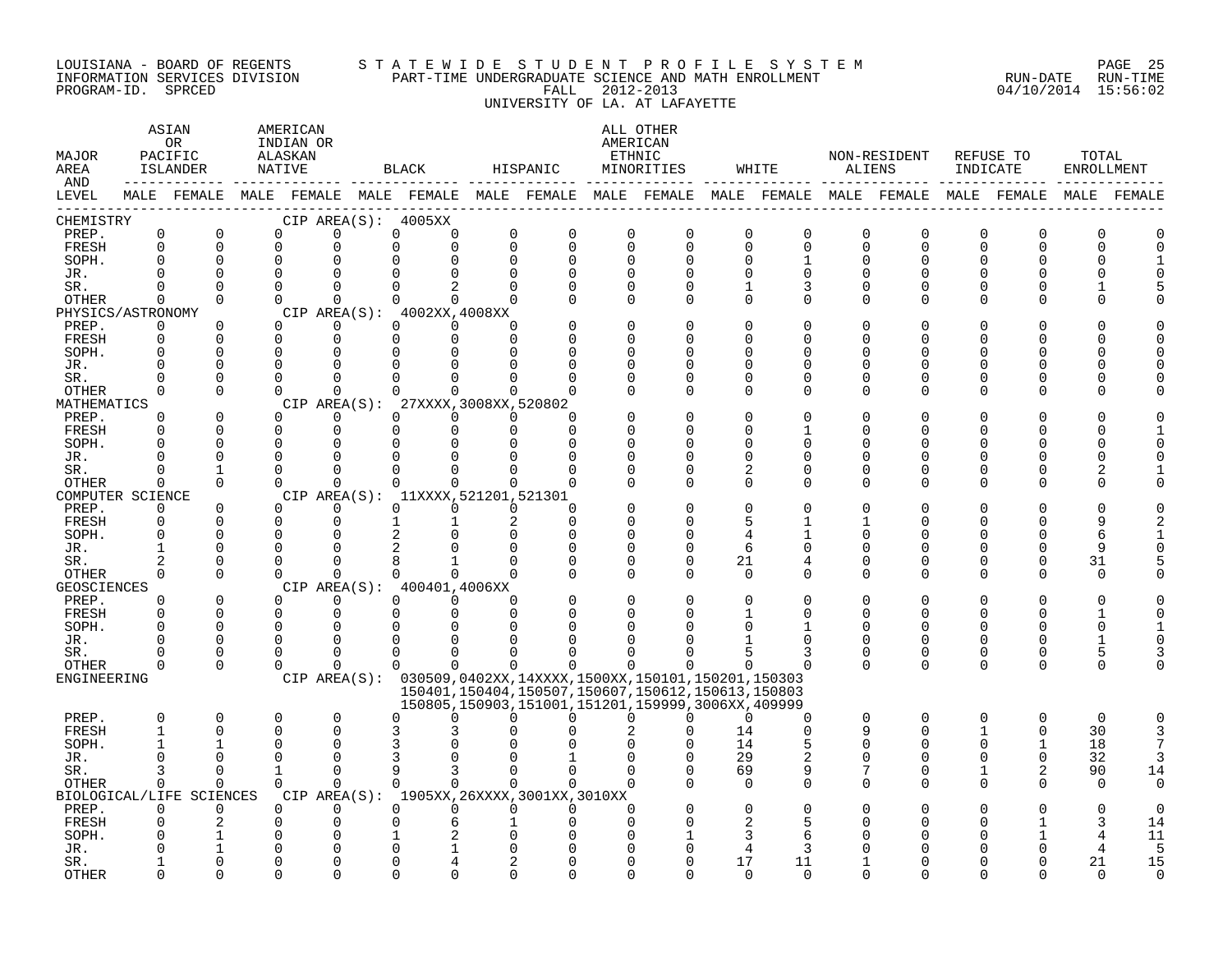#### LOUISIANA - BOARD OF REGENTS S T A T E W I D E S T U D E N T P R O F I L E S Y S T E M PAGE 25 INFORMATION SERVICES DIVISION PART-TIME UNDERGRADUATE SCIENCE AND MATH ENROLLMENT RUN-DATE RUN-TIME PROGRAM-ID. SPRCED FALL 2012-2013 04/10/2014 15:56:02 UNIVERSITY OF LA. AT LAFAYETTE

| MAJOR<br>AREA<br>AND |                         | ASIAN<br>AMERICAN<br><b>OR</b><br>INDIAN OR<br>PACIFIC<br>ALASKAN<br>ISLANDER<br>NATIVE<br>$- - - - -$<br>MALE FEMALE MALE FEMALE MALE FEMALE MALE FEMALE MALE FEMALE MALE FEMALE MALE FEMALE MALE FEMALE MALE FEMALE |  |                      |                         |                         | BLACK                                                         | HISPANIC                |               |                            | ALL OTHER<br>AMERICAN<br>ETHNIC<br>MINORITIES                                                                    |                         | WHITE          | ALIENS               | NON-RESIDENT            | REFUSE TO<br>INDICATE |               | TOTAL<br>ENROLLMENT |               |
|----------------------|-------------------------|-----------------------------------------------------------------------------------------------------------------------------------------------------------------------------------------------------------------------|--|----------------------|-------------------------|-------------------------|---------------------------------------------------------------|-------------------------|---------------|----------------------------|------------------------------------------------------------------------------------------------------------------|-------------------------|----------------|----------------------|-------------------------|-----------------------|---------------|---------------------|---------------|
| LEVEL                |                         |                                                                                                                                                                                                                       |  |                      |                         |                         |                                                               |                         |               |                            |                                                                                                                  |                         |                |                      |                         |                       |               |                     |               |
| CHEMISTRY            |                         |                                                                                                                                                                                                                       |  |                      |                         |                         | CIP AREA(S): 4005XX                                           |                         |               |                            |                                                                                                                  |                         |                |                      |                         |                       |               |                     |               |
| PREP.<br>FRESH       | $\mathbf 0$<br>$\Omega$ | $\mathbf 0$<br>$\Omega$                                                                                                                                                                                               |  | $\Omega$<br>$\Omega$ | 0<br>0                  | $\mathbf 0$<br>$\Omega$ | 0<br>$\Omega$                                                 | $\mathbf 0$<br>$\Omega$ | 0<br>$\Omega$ | $\mathbf 0$<br>$\mathbf 0$ | $\mathbf 0$<br>$\Omega$                                                                                          | $\mathbf 0$<br>$\Omega$ | 0<br>$\Omega$  | $\mathbf 0$<br>0     | $\mathbf 0$<br>$\Omega$ | 0<br>$\Omega$         | 0<br>$\Omega$ | 0<br>$\Omega$       | 0<br>$\Omega$ |
| SOPH.                | $\Omega$                | $\mathbf 0$                                                                                                                                                                                                           |  | 0                    | $\Omega$                |                         | $\Omega$                                                      | $\Omega$                | 0             | $\mathbf 0$                | $\Omega$                                                                                                         | $\Omega$                | 1              | 0                    | 0                       | $\Omega$              |               | O                   |               |
| JR.                  |                         | $\Omega$                                                                                                                                                                                                              |  | $\Omega$             | $\Omega$                | $\cap$                  |                                                               | $\Omega$                |               | $\Omega$                   |                                                                                                                  | $\Omega$                | U              | $\Omega$             |                         |                       |               |                     |               |
| SR.                  | $\Omega$                | $\Omega$                                                                                                                                                                                                              |  | $\Omega$             | $\Omega$                | $\Omega$                | $\overline{2}$                                                | $\Omega$                | U             | $\Omega$                   | $\Omega$                                                                                                         | 1                       | 3              | $\Omega$             | U                       |                       | U             |                     |               |
| OTHER                | $\Omega$                | $\Omega$                                                                                                                                                                                                              |  | $\Omega$             | $\Omega$                |                         | $\Omega$<br>$\Omega$                                          | $\Omega$                |               | $\Omega$                   | $\Omega$                                                                                                         | $\Omega$                | $\Omega$       | $\Omega$             | $\Omega$                | ∩                     | U             |                     |               |
| PHYSICS/ASTRONOMY    |                         |                                                                                                                                                                                                                       |  |                      |                         |                         | CIP AREA(S): 4002XX, 4008XX                                   |                         |               |                            |                                                                                                                  |                         |                |                      |                         |                       |               |                     |               |
| PREP.                | $\Omega$                | $\Omega$                                                                                                                                                                                                              |  | $\Omega$             | 0                       |                         | $\Omega$<br>$\Omega$                                          | $\Omega$                |               | $\Omega$                   | $\Omega$                                                                                                         | $\Omega$                | O              | O                    |                         |                       | U             |                     |               |
| FRESH                | $\Omega$                | $\Omega$                                                                                                                                                                                                              |  | $\Omega$             | $\mathbf 0$             | $\Omega$                | $\mathbf 0$                                                   | $\Omega$                |               | $\Omega$                   |                                                                                                                  | $\Omega$                | ∩              | U                    |                         |                       | ∩             |                     |               |
| SOPH.                |                         | $\Omega$                                                                                                                                                                                                              |  | $\Omega$             | $\Omega$                |                         | $\Omega$                                                      |                         |               | $\Omega$                   |                                                                                                                  | $\Omega$                |                | O                    |                         |                       | ∩             | O                   |               |
| JR.                  |                         | $\Omega$                                                                                                                                                                                                              |  | $\Omega$             | $\Omega$                |                         |                                                               |                         |               |                            | O                                                                                                                | $\Omega$                |                | O                    |                         |                       |               | O                   |               |
| SR.                  |                         | $\Omega$                                                                                                                                                                                                              |  | $\Omega$             | $\Omega$                |                         | $\Omega$                                                      |                         |               | $\Omega$                   | $\Omega$                                                                                                         | $\Omega$                | U              | <sup>0</sup>         |                         |                       | U             | U                   |               |
| <b>OTHER</b>         | $\Omega$                | $\Omega$                                                                                                                                                                                                              |  | $\Omega$             | $\Omega$                |                         | $\cap$                                                        |                         |               | $\Omega$                   | $\Omega$                                                                                                         | $\Omega$                | O              | 0                    | U                       | ∩                     | U             |                     |               |
| MATHEMATICS<br>PREP. | $\Omega$                | $\Omega$                                                                                                                                                                                                              |  | $\Omega$             | $\Omega$                | CIP AREA(S):            | 27XXXX, 3008XX, 520802<br>$\Omega$<br>$\Omega$                | $\Omega$                | U             |                            |                                                                                                                  | $\Omega$                |                | $\Omega$             |                         |                       |               |                     |               |
| FRESH                | $\Omega$                | $\Omega$                                                                                                                                                                                                              |  | $\Omega$             | $\mathbf 0$             | $\mathbf 0$             | $\Omega$                                                      | $\Omega$                | $\Omega$      |                            | U                                                                                                                | $\Omega$                |                | <sup>0</sup>         |                         |                       | U             | U                   |               |
| SOPH.                |                         | ∩                                                                                                                                                                                                                     |  | $\Omega$             | $\Omega$                | $\Omega$                | $\cap$                                                        | $\Omega$                | U             | $\Omega$                   |                                                                                                                  | $\Omega$                |                | ∩                    |                         |                       |               | ∩                   |               |
| JR.                  | $\Omega$                | $\Omega$                                                                                                                                                                                                              |  | $\Omega$             | $\Omega$                | $\Omega$                | $\Omega$                                                      |                         | U             | $\Omega$                   | ∩                                                                                                                | $\Omega$                | U              | <sup>0</sup>         |                         | ∩                     | <sup>0</sup>  | O                   |               |
| SR.                  |                         | 1                                                                                                                                                                                                                     |  | $\Omega$             | $\Omega$                | $\Omega$                | $\Omega$                                                      | $\Omega$                |               | $\Omega$                   | $\Omega$                                                                                                         | 2                       | O              | 0                    | 0                       | $\Omega$              | <sup>0</sup>  |                     |               |
| OTHER                | $\Omega$                | $\Omega$                                                                                                                                                                                                              |  | $\cap$               | $\Omega$                | $\Omega$                | $\Omega$                                                      | $\cap$                  | $\Omega$      | $\Omega$                   | $\Omega$                                                                                                         | $\Omega$                | $\Omega$       | $\Omega$             | $\Omega$                | ∩                     | U             | n                   |               |
| COMPUTER SCIENCE     |                         |                                                                                                                                                                                                                       |  |                      |                         |                         | CIP AREA(S): 11XXXX, 521201, 521301                           |                         |               |                            |                                                                                                                  |                         |                |                      |                         |                       |               |                     |               |
| PREP.                | $\Omega$                | $\Omega$                                                                                                                                                                                                              |  | $\Omega$             | $\Omega$                |                         | $\Omega$<br>$\Omega$                                          | $\Omega$                | O             |                            |                                                                                                                  | $\Omega$                |                | U                    |                         |                       |               |                     |               |
| FRESH                | $\mathbf 0$             | $\Omega$                                                                                                                                                                                                              |  | $\Omega$             | $\Omega$                | $\mathbf{1}$            |                                                               | 2                       | $\Omega$      | $\Omega$                   |                                                                                                                  |                         |                |                      |                         | ∩                     | U             | 9                   |               |
| SOPH.                | $\Omega$                | $\Omega$                                                                                                                                                                                                              |  | $\Omega$             | 0                       |                         | 2                                                             | $\Omega$                | $\Omega$      | $\Omega$                   |                                                                                                                  | $\overline{4}$          |                | $\Omega$             |                         |                       | U             | 6                   |               |
| JR.                  |                         | $\Omega$                                                                                                                                                                                                              |  | $\Omega$             | $\Omega$                |                         |                                                               | $\Omega$                | U             | 0                          | $\Omega$                                                                                                         | 6                       | U              | U                    |                         |                       | $\Omega$      | 9                   |               |
| SR.                  | $\mathfrak{D}$          | $\Omega$                                                                                                                                                                                                              |  | $\Omega$             | $\Omega$                |                         |                                                               |                         |               | $\Omega$                   | $\Omega$                                                                                                         | 21                      |                | 0                    |                         |                       | $\Omega$      | 31                  |               |
| OTHER                | $\Omega$                | $\Omega$                                                                                                                                                                                                              |  | $\Omega$             | $\Omega$                |                         | $\Omega$<br>$\Omega$                                          | $\Omega$                |               | $\Omega$                   | $\Omega$                                                                                                         | $\Omega$                | $\Omega$       | $\Omega$             | $\Omega$                | ∩                     | $\Omega$      | $\Omega$            |               |
| <b>GEOSCIENCES</b>   |                         |                                                                                                                                                                                                                       |  |                      |                         |                         | CIP AREA(S): 400401,4006XX                                    |                         |               |                            |                                                                                                                  |                         |                |                      |                         |                       | $\Omega$      |                     |               |
| PREP.                | $\Omega$<br>$\Omega$    | $\Omega$<br>$\Omega$                                                                                                                                                                                                  |  | $\Omega$<br>$\Omega$ | $\Omega$<br>$\mathbf 0$ |                         | $\Omega$<br>$\Omega$<br>0<br>$\Omega$                         | $\Omega$<br>$\Omega$    |               | $\Omega$<br>$\Omega$       |                                                                                                                  | $\Omega$                | U              | $\Omega$<br>$\Omega$ | $\Omega$<br>$\Omega$    | ∩<br>$\Omega$         | $\Omega$      | O<br>1              |               |
| FRESH<br>SOPH.       | $\Omega$                | $\Omega$                                                                                                                                                                                                              |  | $\Omega$             | $\Omega$                | $\Omega$                |                                                               |                         |               |                            |                                                                                                                  |                         |                | $\Omega$             |                         |                       |               | $\Omega$            |               |
| JR.                  |                         | $\Omega$                                                                                                                                                                                                              |  | $\Omega$             | $\Omega$                | $\Omega$                | $\Omega$                                                      |                         |               |                            |                                                                                                                  |                         | U              | <sup>0</sup>         | $\Omega$                | ∩                     | <sup>0</sup>  | $\mathbf{1}$        |               |
| SR.                  |                         | ∩                                                                                                                                                                                                                     |  | $\Omega$             | $\mathbf 0$             | $\Omega$                | 0                                                             |                         |               |                            |                                                                                                                  |                         | 3              | 0                    | 0                       | 0                     | 0             | 5                   |               |
| OTHER                | $\Omega$                | $\Omega$                                                                                                                                                                                                              |  | $\Omega$             | $\Omega$                | $\Omega$                | $\Omega$                                                      | $\cap$                  | <sup>n</sup>  | $\Omega$                   |                                                                                                                  | $\Omega$                |                | $\Omega$             | $\Omega$                | $\Omega$              | $\Omega$      | $\Omega$            |               |
| ENGINEERING          |                         |                                                                                                                                                                                                                       |  |                      |                         |                         | CIP AREA(S): 030509,0402XX,14XXXX,1500XX,150101,150201,150303 |                         |               |                            |                                                                                                                  |                         |                |                      |                         |                       |               |                     |               |
|                      |                         |                                                                                                                                                                                                                       |  |                      |                         |                         |                                                               |                         |               |                            | 150401, 150404, 150507, 150607, 150612, 150613, 150803<br>150805, 150903, 151001, 151201, 159999, 3006XX, 409999 |                         |                |                      |                         |                       |               |                     |               |
| PREP.                | $\mathbf 0$             | $\mathbf 0$                                                                                                                                                                                                           |  | 0                    | $\mathbf 0$             |                         | $\Omega$<br><sup>0</sup>                                      | $\Omega$                | 0             | $\Omega$                   | $\Omega$                                                                                                         | $\Omega$                | 0              | 0                    | $\mathbf 0$             | $\Omega$              | 0             | $\mathbf 0$         | $\Omega$      |
| FRESH                | $\mathbf{1}$            | $\Omega$                                                                                                                                                                                                              |  | $\Omega$             | $\Omega$                |                         | 3                                                             |                         |               |                            |                                                                                                                  | 14                      | $\Omega$       | 9                    | $\Omega$                |                       | $\Omega$      | 30                  | 3             |
| SOPH.                | $\mathbf{1}$            |                                                                                                                                                                                                                       |  | $\Omega$             | $\Omega$                |                         | 3                                                             |                         |               |                            |                                                                                                                  | 14                      | 5              | $\Omega$             | $\Omega$                |                       | $\mathbf{1}$  | 18                  | 7             |
| JR.                  | $\cap$                  | $\Omega$                                                                                                                                                                                                              |  | $\Omega$             | $\Omega$                |                         | ζ                                                             |                         |               |                            |                                                                                                                  | 29                      | $\overline{2}$ | 0                    |                         |                       | $\Omega$      | 32                  | 3             |
| SR.                  | 3                       | $\Omega$                                                                                                                                                                                                              |  | $\mathbf{1}$         | $\Omega$                | 9                       | 3                                                             | $\Omega$                | $\Omega$      | $\Omega$                   |                                                                                                                  | 69                      | 9              | 7                    | $\Omega$                |                       | 2             | 90                  | 14            |
| OTHER                | $\Omega$                | $\Omega$                                                                                                                                                                                                              |  | $\Omega$             | $\Omega$                |                         | $\Omega$<br>$\Omega$                                          | $\Omega$                | $\Omega$      | $\Omega$                   |                                                                                                                  | $\Omega$                | $\Omega$       | $\Omega$             | $\Omega$                |                       | U             | $\Omega$            | $\Omega$      |
|                      |                         | BIOLOGICAL/LIFE SCIENCES                                                                                                                                                                                              |  |                      |                         |                         | CIP AREA(S): 1905XX, 26XXXX, 3001XX, 3010XX                   |                         |               |                            |                                                                                                                  |                         |                |                      |                         |                       |               |                     |               |
| PREP.                | $\Omega$                | $\Omega$                                                                                                                                                                                                              |  | $\Omega$             | $\Omega$                | $\Omega$                | $\Omega$                                                      | $\Omega$                | $\Omega$      | $\Omega$                   |                                                                                                                  | $\Omega$                |                |                      |                         |                       |               | C                   |               |
| FRESH                |                         |                                                                                                                                                                                                                       |  | 0<br>$\Omega$        | $\mathbf 0$<br>$\Omega$ | $\Omega$                | 6                                                             |                         |               | $\Omega$                   |                                                                                                                  | 2                       |                |                      |                         |                       |               | 3                   | 14            |
| SOPH.<br>JR.         |                         |                                                                                                                                                                                                                       |  | $\Omega$             | $\Omega$                |                         |                                                               |                         |               |                            |                                                                                                                  | 4                       | 6<br>3         |                      |                         |                       |               | 4<br>4              | 11<br>5       |
| SR.                  |                         | ∩                                                                                                                                                                                                                     |  | $\cap$               | 0                       | ∩                       |                                                               |                         |               |                            |                                                                                                                  | 17                      | 11             |                      |                         |                       |               | 21                  | 15            |
| <b>OTHER</b>         |                         | $\cap$                                                                                                                                                                                                                |  | $\cap$               | U                       |                         |                                                               |                         |               |                            |                                                                                                                  | $\Omega$                | $\Omega$       |                      |                         |                       |               | $\cap$              | $\Omega$      |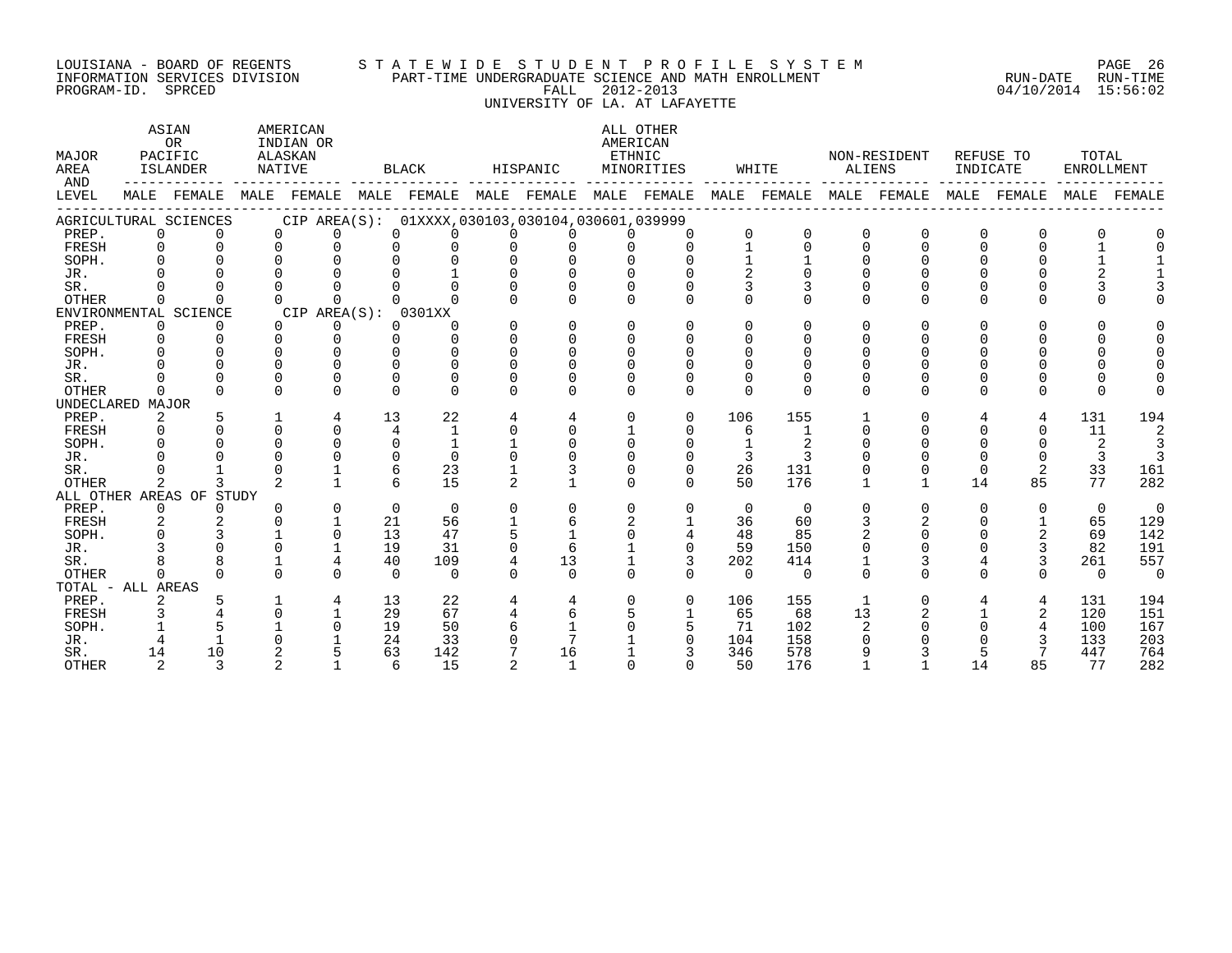# LOUISIANA - BOARD OF REGENTS S T A T E W I D E S T U D E N T P R O F I L E S Y S T E M PAGE 26 INFORMATION SERVICES DIVISION PART-TIME UNDERGRADUATE SCIENCE AND MATH ENROLLMENT RUN-DATE RUN-TIME EQUISIANA - BOARD OF REGENTS STATEWIDE STUDENT PROFILE SYSTEM PAGE 26<br>INFORMATION SERVICES DIVISION PART-TIME UNDERGRADUATE SCIENCE AND MATH ENROLLMENT (RUN-DATE RUN-TIME<br>PROGRAM-ID. SPRCED 15:56:02 UNIVERSITY OF LA. AT LAFAYETTE

| MAJOR<br>AREA<br>AND |             | ASIAN<br>OR<br>PACIFIC<br><b>ISLANDER</b> |              | AMERICAN<br>INDIAN OR<br>ALASKAN<br>NATIVE |          | <b>BLACK</b>                                                |          | HISPANIC | AMERICAN | ALL OTHER<br>ETHNIC<br>MINORITIES |              | WHITE    | ALIENS       | NON-RESIDENT | INDICATE     | REFUSE TO   | TOTAL<br><b>ENROLLMENT</b> |             |
|----------------------|-------------|-------------------------------------------|--------------|--------------------------------------------|----------|-------------------------------------------------------------|----------|----------|----------|-----------------------------------|--------------|----------|--------------|--------------|--------------|-------------|----------------------------|-------------|
| LEVEL                |             | MALE FEMALE                               |              |                                            |          | MALE FEMALE MALE FEMALE MALE FEMALE MALE FEMALE MALE FEMALE |          |          |          |                                   |              |          |              | MALE FEMALE  |              | MALE FEMALE |                            | MALE FEMALE |
|                      |             | AGRICULTURAL SCIENCES                     |              |                                            |          | CIP AREA(S): 01XXXX,030103,030104,030601,039999             |          |          |          |                                   |              |          |              |              |              |             |                            |             |
| PREP.                | $\mathbf 0$ | $\Omega$                                  | $\Omega$     | $\Omega$                                   | $\Omega$ |                                                             |          |          |          |                                   | $\Omega$     | 0        | <sup>0</sup> | $\Omega$     | O            | O           |                            |             |
| FRESH                |             |                                           | $\Omega$     |                                            |          |                                                             |          |          |          | $\Omega$                          |              | $\Omega$ |              | $\Omega$     |              |             |                            |             |
| SOPH.                |             |                                           |              |                                            |          |                                                             |          |          |          |                                   |              |          |              |              |              |             |                            |             |
| JR.                  |             |                                           |              |                                            |          |                                                             |          |          |          |                                   |              |          |              |              |              |             |                            |             |
| SR.                  |             |                                           |              |                                            |          |                                                             | $\Omega$ |          |          |                                   |              |          |              |              |              |             |                            |             |
| <b>OTHER</b>         | 0           | $\Omega$                                  | <sup>n</sup> |                                            |          |                                                             | $\Omega$ |          | $\Omega$ | $\Omega$                          | $\Omega$     | $\Omega$ |              | $\Omega$     |              | U           |                            |             |
|                      |             | ENVIRONMENTAL SCIENCE                     |              | CIP AREA(S):                               |          | 0301XX                                                      |          |          |          |                                   |              |          |              |              |              |             |                            |             |
| PREP.                | 0           | 0                                         | $\Omega$     | 0                                          | $\Omega$ |                                                             | $\Omega$ | $\Omega$ | $\Omega$ | 0                                 | 0            | $\Omega$ |              | U            |              | U           |                            |             |
| FRESH                |             |                                           | $\Omega$     | ∩                                          | $\cap$   |                                                             | $\Omega$ |          | $\Omega$ | U                                 | <sup>n</sup> |          |              |              |              |             |                            |             |
| SOPH.                |             |                                           |              |                                            |          |                                                             | U        |          |          |                                   |              |          |              |              |              |             |                            |             |
| JR.                  |             |                                           |              |                                            |          |                                                             |          |          |          |                                   | 0            |          |              |              |              |             |                            |             |
| SR.                  |             |                                           |              |                                            | O        |                                                             |          |          |          |                                   | O            | $\Omega$ |              |              |              |             |                            |             |
| <b>OTHER</b>         | $\Omega$    |                                           |              |                                            | $\Omega$ | ∩                                                           | ∩        |          |          | $\Omega$                          | $\Omega$     | $\Omega$ |              | $\Omega$     | ∩            | $\Omega$    |                            |             |
| UNDECLARED MAJOR     |             |                                           |              |                                            |          |                                                             |          |          |          |                                   |              |          |              |              |              |             |                            |             |
| PREP.                | 2           | 5                                         |              | 4                                          | 13       | 22                                                          | 4        |          | 0        | $\Omega$                          | 106          | 155      |              | $\Omega$     |              | 4           | 131                        | 194         |
| FRESH                |             |                                           | $\Omega$     | $\cap$                                     | 4        | $\mathbf{1}$                                                | $\Omega$ |          |          | $\Omega$                          | 6            | 1        |              |              |              | $\Omega$    | 11                         | 2           |
| SOPH.                |             |                                           | $\cap$       | $\Omega$                                   | $\Omega$ |                                                             |          |          |          | 0                                 | 1            |          |              |              |              | 0           | 2                          |             |
| JR.                  |             |                                           |              |                                            | $\cap$   | $\Omega$                                                    | U        |          |          |                                   | 3            |          |              |              |              | $\Omega$    | 3                          |             |
| SR.                  |             |                                           | $\Omega$     |                                            | 6        | 23                                                          |          |          |          |                                   | 26           | 131      |              |              | $\Omega$     | 2           | 33                         | 161         |
| <b>OTHER</b>         | 2           | 3                                         |              |                                            | 6        | 15                                                          | 2        |          | $\Omega$ | $\Omega$                          | 50           | 176      |              | $\mathbf{1}$ | 14           | 85          | 77                         | 282         |
|                      |             | ALL OTHER AREAS OF STUDY                  |              |                                            |          |                                                             |          |          |          |                                   |              |          |              |              |              |             |                            |             |
| PREP.                | 0           | $\Omega$                                  | <sup>n</sup> | $\Omega$                                   | $\Omega$ | $\Omega$                                                    | $\Omega$ | $\Omega$ | $\Omega$ | $\Omega$                          | $\Omega$     | 0        | $\Omega$     | $\Omega$     | 0            | 0           | $\overline{0}$             | $\Omega$    |
| FRESH                |             |                                           |              |                                            | 21       | 56                                                          |          |          |          |                                   | 36           | 60       |              |              |              |             | 65                         | 129         |
| SOPH.                |             |                                           |              | $\Omega$                                   | 13       | 47                                                          |          |          | $\Omega$ |                                   | 48           | 85       |              |              |              | 2           | 69                         | 142         |
| JR.                  |             |                                           | $\Omega$     |                                            | 19       | 31                                                          | O        |          |          | $\Omega$                          | 59           | 150      |              |              |              |             | 82                         | 191         |
| SR.                  |             |                                           |              |                                            | 40       | 109                                                         |          | 13       |          | 3                                 | 202          | 414      |              | 3            |              | 3           | 261                        | 557         |
| <b>OTHER</b>         | 0           |                                           |              |                                            | $\Omega$ | 0                                                           |          | $\Omega$ |          | $\Omega$                          | $\Omega$     | $\Omega$ |              | $\Omega$     | <sup>n</sup> | $\Omega$    | $\Omega$                   | $\Omega$    |
| TOTAL - ALL AREAS    |             |                                           |              |                                            |          |                                                             |          |          |          |                                   |              |          |              |              |              |             |                            |             |
| PREP.                | 2           |                                           |              | 4                                          | 13       | 22                                                          |          |          | $\Omega$ | $\Omega$                          | 106          | 155      |              | $\Omega$     |              | 4           | 131                        | 194         |
| FRESH                |             |                                           |              |                                            | 29       | 67                                                          |          |          |          | $\overline{1}$                    | 65           | 68       | 13           |              |              | 2           | 120                        | 151         |
| SOPH.                |             |                                           |              |                                            | 19       | 50                                                          |          |          |          |                                   | 71           | 102      |              |              |              |             | 100                        | 167         |
| JR.                  |             |                                           |              |                                            | 24       | 33                                                          |          |          |          | <sup>n</sup>                      | 104          | 158      |              |              |              |             | 133                        | 203         |
| SR.                  | 14          | 10                                        |              |                                            | 63       | 142                                                         |          | 16       |          |                                   | 346          | 578      |              |              |              |             | 447                        | 764         |
| <b>OTHER</b>         | 2           | 3                                         |              |                                            | 6        | 15                                                          |          |          |          | $\cap$                            | 50           | 176      |              |              | 14           | 85          | 77                         | 282         |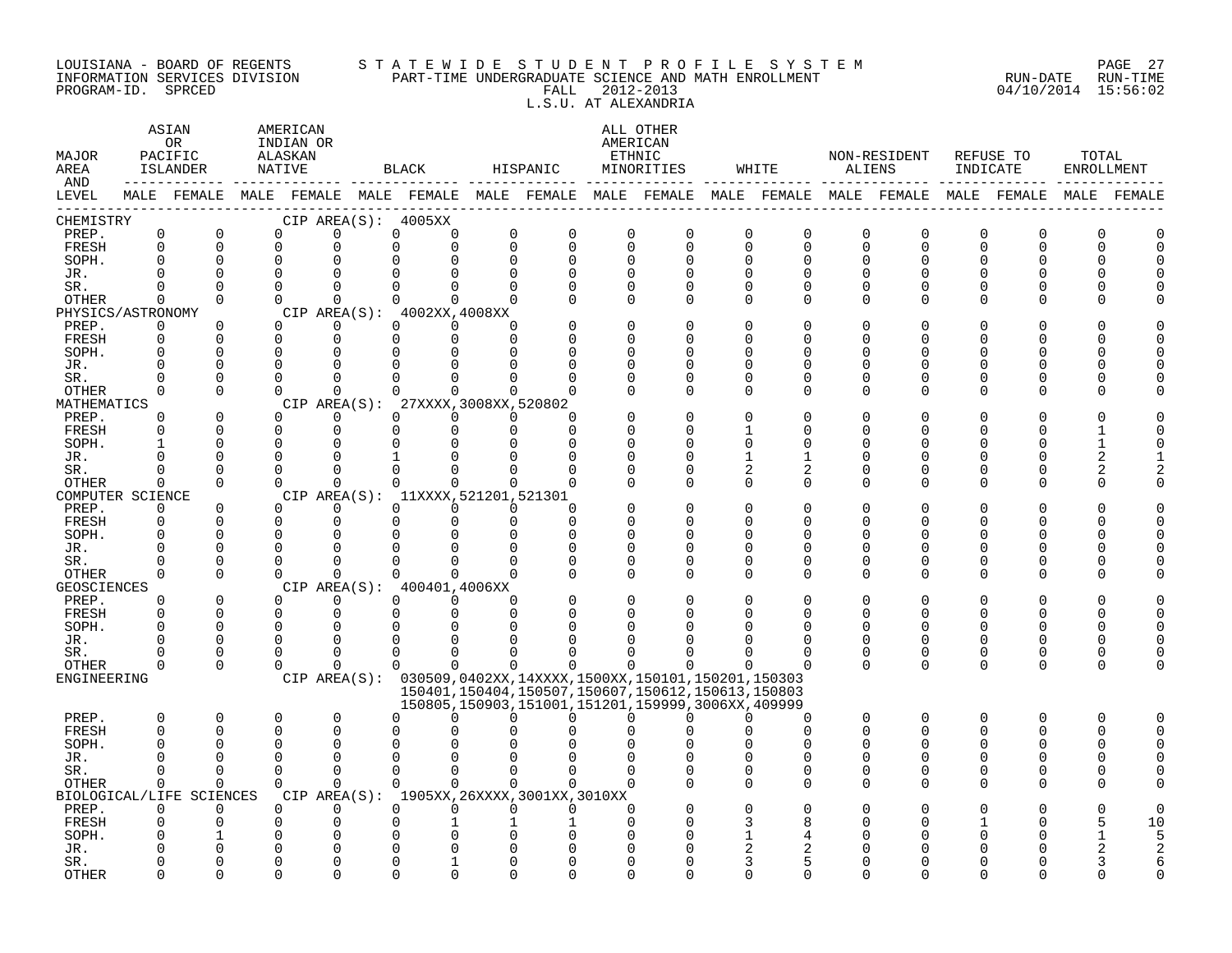#### LOUISIANA - BOARD OF REGENTS S T A T E W I D E S T U D E N T P R O F I L E S Y S T E M PAGE 27 INFORMATION SERVICES DIVISION PART-TIME UNDERGRADUATE SCIENCE AND MATH ENROLLMENT RUN-DATE RUN-TIME PROGRAM-ID. SPRCED FALL 2012-2013 04/10/2014 15:56:02 L.S.U. AT ALEXANDRIA

| MAJOR<br>AREA<br>AND | ASIAN<br>0 <sub>R</sub><br>PACIFIC<br>ISLANDER<br>NATIVE<br>MALE FEMALE MALE FEMALE MALE FEMALE MALE FEMALE MALE FEMALE MALE FEMALE MALE FEMALE MALE FEMALE MALE FEMALE |                          |             | AMERICAN<br>INDIAN OR<br>ALASKAN |                    | BLACK                                                         |                           | HISPANIC                                                                                                         |             | ALL OTHER<br>AMERICAN<br>ETHNIC<br>MINORITIES | WHITE                   | <b>ALIENS</b> | NON-RESIDENT | REFUSE TO<br>INDICATE |          | TOTAL<br>ENROLLMENT |                |
|----------------------|-------------------------------------------------------------------------------------------------------------------------------------------------------------------------|--------------------------|-------------|----------------------------------|--------------------|---------------------------------------------------------------|---------------------------|------------------------------------------------------------------------------------------------------------------|-------------|-----------------------------------------------|-------------------------|---------------|--------------|-----------------------|----------|---------------------|----------------|
| LEVEL                |                                                                                                                                                                         |                          |             |                                  |                    |                                                               |                           |                                                                                                                  |             |                                               |                         |               |              |                       |          |                     |                |
| CHEMISTRY            | $\mathsf 0$                                                                                                                                                             | $\mathsf{O}$             |             | $\mathbf 0$                      | 0                  | CIP AREA(S): 4005XX<br>$\Omega$                               | $\mathsf{O}$              | $\mathbf 0$                                                                                                      | $\mathbf 0$ | $\mathbf 0$                                   | 0<br>$\mathbf 0$        | $\mathbf 0$   | $\mathbf{0}$ |                       | 0        | $\Omega$            | $\Omega$       |
| PREP.<br>FRESH       | $\Omega$                                                                                                                                                                | $\mathbf 0$              |             | $\mathbf 0$                      | $\Omega$           |                                                               | 0<br>$\Omega$<br>$\Omega$ | $\mathbf 0$                                                                                                      | $\Omega$    | $\Omega$                                      | $\Omega$<br>$\mathbf 0$ | 0             | $\Omega$     | 0<br>$\Omega$         | U        | $\Omega$            | $\Omega$       |
| SOPH.                | $\Omega$                                                                                                                                                                | $\mathbf 0$              |             | $\mathbf 0$                      |                    |                                                               | $\Omega$                  | $\mathbf 0$                                                                                                      | $\Omega$    | 0                                             | O<br>0                  | 0             | O            |                       |          | O                   |                |
| JR.                  | $\Omega$                                                                                                                                                                | $\Omega$                 |             | $\Omega$                         |                    |                                                               |                           | $\Omega$                                                                                                         |             | $\Omega$                                      | U<br>$\Omega$           | $\Omega$      |              |                       |          | $\cap$              |                |
| SR.                  | $\Omega$                                                                                                                                                                | $\Omega$                 |             | $\Omega$                         | $\Omega$           | $\Omega$                                                      | $\Omega$<br>0             | $\Omega$                                                                                                         | $\Omega$    | $\Omega$                                      | O<br>$\Omega$           | $\Omega$      |              |                       |          | U                   |                |
| OTHER                | $\Omega$                                                                                                                                                                | $\Omega$                 |             | $\Omega$                         | $\Omega$           | $\Omega$                                                      | $\Omega$<br>$\Omega$      |                                                                                                                  | $\Omega$    | $\Omega$                                      | $\Omega$<br>0           | $\Omega$      |              |                       |          | U                   |                |
| PHYSICS/ASTRONOMY    |                                                                                                                                                                         |                          |             |                                  |                    | CIP AREA(S): 4002XX, 4008XX                                   |                           |                                                                                                                  |             |                                               |                         |               |              |                       |          |                     |                |
| PREP.                | $\mathbf 0$                                                                                                                                                             | $\mathbf 0$              |             | $\overline{0}$                   | $\Omega$           | $\Omega$                                                      | $\Omega$<br>$\Omega$      |                                                                                                                  |             | $\Omega$                                      | O<br>O                  | O             |              |                       |          |                     |                |
| FRESH                | $\Omega$                                                                                                                                                                | $\Omega$                 |             | $\mathbf 0$                      | $\mathbf 0$        | $\Omega$                                                      | $\Omega$<br>$\Omega$      |                                                                                                                  |             | U                                             | U<br>U                  | Λ             |              |                       |          | U                   |                |
| SOPH.                | $\Omega$                                                                                                                                                                | $\Omega$                 |             | $\Omega$                         | 0                  |                                                               |                           |                                                                                                                  |             | U                                             | U<br>O                  | U             |              |                       |          | O                   |                |
| JR.                  | $\Omega$                                                                                                                                                                | $\mathbf 0$              |             | $\Omega$                         |                    |                                                               |                           |                                                                                                                  |             | $\Omega$                                      | O                       | Ω             |              |                       |          | O                   |                |
| SR.                  | $\Omega$                                                                                                                                                                | $\Omega$<br>$\Omega$     | $\Omega$    | $\Omega$                         | $\cap$<br>$\Omega$ |                                                               | ∩<br>$\cap$<br>$\cap$     |                                                                                                                  |             | $\Omega$<br>$\Omega$                          | U<br>O                  | O             |              | O                     | U        | U<br>U              |                |
| OTHER<br>MATHEMATICS | $\Omega$                                                                                                                                                                |                          |             |                                  |                    | CIP AREA(S): 27XXXX, 3008XX, 520802                           |                           |                                                                                                                  |             |                                               | $\Omega$<br>0           | 0             |              |                       |          |                     |                |
| PREP.                | $\Omega$                                                                                                                                                                | $\Omega$                 |             | $\Omega$                         | $\Omega$           | $\Omega$                                                      | $\Omega$<br>$\Omega$      | $\cap$                                                                                                           |             | $\Omega$                                      | U                       |               |              |                       |          |                     |                |
| FRESH                | $\Omega$                                                                                                                                                                | $\Omega$                 |             | $\Omega$                         | $\Omega$           | $\Omega$                                                      | $\Omega$<br>$\Omega$      | $\Omega$                                                                                                         |             | O                                             | O                       | U             |              |                       |          |                     |                |
| SOPH.                | $\mathbf{1}$                                                                                                                                                            | $\Omega$                 |             | $\Omega$                         | $\cap$             | $\cap$                                                        | $\Omega$                  | ∩                                                                                                                |             | ∩                                             | U                       | Λ             |              |                       |          |                     |                |
| JR.                  | $\Omega$                                                                                                                                                                | $\mathbf 0$              | $\mathbf 0$ |                                  | $\Omega$           |                                                               |                           | <sup>0</sup>                                                                                                     |             | $\Omega$                                      | 1                       | O             |              |                       |          | 2                   |                |
| SR.                  | $\Omega$                                                                                                                                                                | $\Omega$                 |             | $\Omega$                         | $\Omega$           | $\Omega$                                                      | 0<br>$\Omega$             |                                                                                                                  |             | 0                                             | 2<br>2                  | 0             |              | O                     | U        | 2                   |                |
| <b>OTHER</b>         | $\Omega$                                                                                                                                                                | $\Omega$                 |             | $\Omega$                         | $\Omega$           | $\Omega$                                                      | $\Omega$<br>$\Omega$      | $\Omega$                                                                                                         |             | $\Omega$                                      | $\Omega$<br>$\Omega$    | $\Omega$      | ∩            | ∩                     | ∩        | U                   |                |
| COMPUTER SCIENCE     |                                                                                                                                                                         |                          |             |                                  |                    | CIP AREA(S): 11XXXX, 521201, 521301                           |                           |                                                                                                                  |             |                                               |                         |               |              |                       |          |                     |                |
| PREP.                | $\mathbf{0}$                                                                                                                                                            | $\mathbf 0$              |             | $\Omega$                         | $\Omega$           | $\Omega$                                                      | $\Omega$<br>$\Omega$      | $\Omega$                                                                                                         |             |                                               | O                       |               |              |                       |          |                     |                |
| FRESH                | $\mathbf 0$                                                                                                                                                             | $\mathbf 0$              |             | $\Omega$                         | $\Omega$           | $\Omega$                                                      | $\Omega$<br>$\Omega$      | $\Omega$                                                                                                         |             | O                                             | U<br>O                  | O             |              |                       |          | U                   |                |
| SOPH.<br>JR.         | $\Omega$<br>$\Omega$                                                                                                                                                    | $\Omega$<br>$\mathbf 0$  |             | $\Omega$<br>$\Omega$             |                    |                                                               | $\Omega$<br>0             | $\Omega$<br>0                                                                                                    | $\Omega$    | $\Omega$<br>0                                 | U<br>O<br>U<br>0        | Ω<br>U        |              |                       |          | U<br>U              |                |
| SR.                  | U                                                                                                                                                                       | $\Omega$                 |             | $\Omega$                         |                    |                                                               |                           |                                                                                                                  | $\Omega$    | $\Omega$                                      | O<br>0                  | O             |              |                       |          |                     |                |
| OTHER                | $\Omega$                                                                                                                                                                | $\Omega$                 |             | $\Omega$                         | $\cap$             |                                                               | 0<br>$\Omega$             | $\Omega$                                                                                                         | $\Omega$    | O                                             | 0<br>O                  | $\Omega$      |              | U                     | U        | U                   |                |
| GEOSCIENCES          |                                                                                                                                                                         |                          |             |                                  |                    | CIP AREA(S): 400401,4006XX                                    |                           |                                                                                                                  |             |                                               |                         |               |              |                       |          |                     |                |
| PREP.                | $\Omega$                                                                                                                                                                | $\Omega$                 |             | $\Omega$                         | $\Omega$           | $\Omega$                                                      | $\Omega$<br>$\Omega$      |                                                                                                                  |             | $\Omega$                                      | O<br>O                  | O             |              |                       |          |                     |                |
| FRESH                | $\Omega$                                                                                                                                                                | $\Omega$                 |             | $\overline{0}$                   | $\mathbf 0$        | $\Omega$                                                      | $\Omega$<br>$\Omega$      | $\Omega$                                                                                                         |             | O                                             | U<br>O                  | $\Omega$      | O            | O                     | O        | C                   |                |
| SOPH.                | $\Omega$                                                                                                                                                                | $\Omega$                 |             | $\Omega$                         | $\Omega$           | $\Omega$                                                      |                           |                                                                                                                  |             |                                               |                         |               |              |                       |          | $\Omega$            |                |
| JR.                  | $\Omega$                                                                                                                                                                | $\Omega$                 |             | $\Omega$                         | $\Omega$           | $\Omega$                                                      | ∩                         |                                                                                                                  |             |                                               | O                       | O             | ∩            | U                     | U        | $\Omega$            |                |
| SR.                  | 0                                                                                                                                                                       | 0                        | $\mathbf 0$ |                                  | $\Omega$           | $\Omega$                                                      | 0<br>∩                    |                                                                                                                  |             |                                               | 0                       | 0             | 0            | 0                     | 0        | $\Omega$            |                |
| <b>OTHER</b>         | $\Omega$                                                                                                                                                                | $\Omega$                 |             | $\Omega$                         | $\Omega$           | $\Omega$                                                      | $\Omega$<br>$\Omega$      | $\Omega$                                                                                                         | $\Omega$    | 0                                             | U                       | $\Omega$      | $\Omega$     | $\Omega$              | $\Omega$ | $\Omega$            |                |
| ENGINEERING          |                                                                                                                                                                         |                          |             |                                  |                    | CIP AREA(S): 030509,0402XX,14XXXX,1500XX,150101,150201,150303 |                           |                                                                                                                  |             |                                               |                         |               |              |                       |          |                     |                |
|                      |                                                                                                                                                                         |                          |             |                                  |                    |                                                               |                           | 150401, 150404, 150507, 150607, 150612, 150613, 150803<br>150805, 150903, 151001, 151201, 159999, 3006XX, 409999 |             |                                               |                         |               |              |                       |          |                     |                |
| PREP.                | 0                                                                                                                                                                       | $\mathbf 0$              | 0           |                                  | 0                  | 0                                                             | ∩<br>$\Omega$             | $\Omega$                                                                                                         | $\Omega$    | U                                             | 0<br>U                  | $\mathbf 0$   | $\Omega$     | 0                     | O        | $\Omega$            |                |
| FRESH                | $\Omega$                                                                                                                                                                | $\Omega$                 |             | $\Omega$                         | $\Omega$           |                                                               |                           |                                                                                                                  |             |                                               | 0                       | $\Omega$      |              | $\Omega$              | O        | $\cap$              | $\cap$         |
| SOPH.                | $\Omega$                                                                                                                                                                | $\Omega$                 |             | $\Omega$                         | $\Omega$           |                                                               |                           |                                                                                                                  |             |                                               | O                       | O             |              |                       |          | C                   |                |
| JR.                  | U                                                                                                                                                                       | $\Omega$                 |             | $\Omega$                         |                    | $\cap$                                                        |                           |                                                                                                                  |             |                                               | O                       | U             |              |                       |          |                     |                |
| SR.                  | $\Omega$                                                                                                                                                                | $\Omega$                 |             | $\Omega$                         | $\Omega$           | $\Omega$                                                      | $\Omega$<br>$\Omega$      | $\Omega$                                                                                                         |             | O                                             | U<br>$\Omega$           | U             |              | O                     | U        | U                   |                |
| OTHER                | $\Omega$                                                                                                                                                                | $\Omega$                 |             | $\Omega$                         | $\Omega$           | $\Omega$                                                      | $\Omega$<br>$\Omega$      | $\Omega$                                                                                                         |             |                                               | $\Omega$<br>O           | O             |              |                       | U        | U                   |                |
|                      |                                                                                                                                                                         | BIOLOGICAL/LIFE SCIENCES |             |                                  |                    | CIP AREA(S): 1905XX, 26XXXX, 3001XX, 3010XX                   |                           |                                                                                                                  |             |                                               |                         |               |              |                       |          |                     |                |
| PREP.                | $\Omega$                                                                                                                                                                | $\Omega$                 |             | $\Omega$                         | $\Omega$           | $\Omega$                                                      | $\Omega$<br>$\Omega$      | $\Omega$                                                                                                         | $\Omega$    |                                               | O                       |               |              |                       |          | O                   |                |
| FRESH                | 0                                                                                                                                                                       | 0                        |             | 0                                | $\Omega$           |                                                               |                           |                                                                                                                  |             |                                               | 8                       |               |              |                       |          | 5                   | 10             |
| SOPH.                |                                                                                                                                                                         |                          |             | $\Omega$                         |                    |                                                               |                           |                                                                                                                  |             |                                               |                         |               |              |                       |          |                     | $\overline{5}$ |
| JR.                  |                                                                                                                                                                         | $\Omega$<br>O            |             | U                                |                    |                                                               |                           |                                                                                                                  |             |                                               | 5                       |               |              |                       |          |                     | 2              |
| SR.<br><b>OTHER</b>  | ∩                                                                                                                                                                       | $\cap$                   |             | U                                |                    |                                                               |                           |                                                                                                                  |             |                                               | U<br>U                  |               |              |                       |          |                     |                |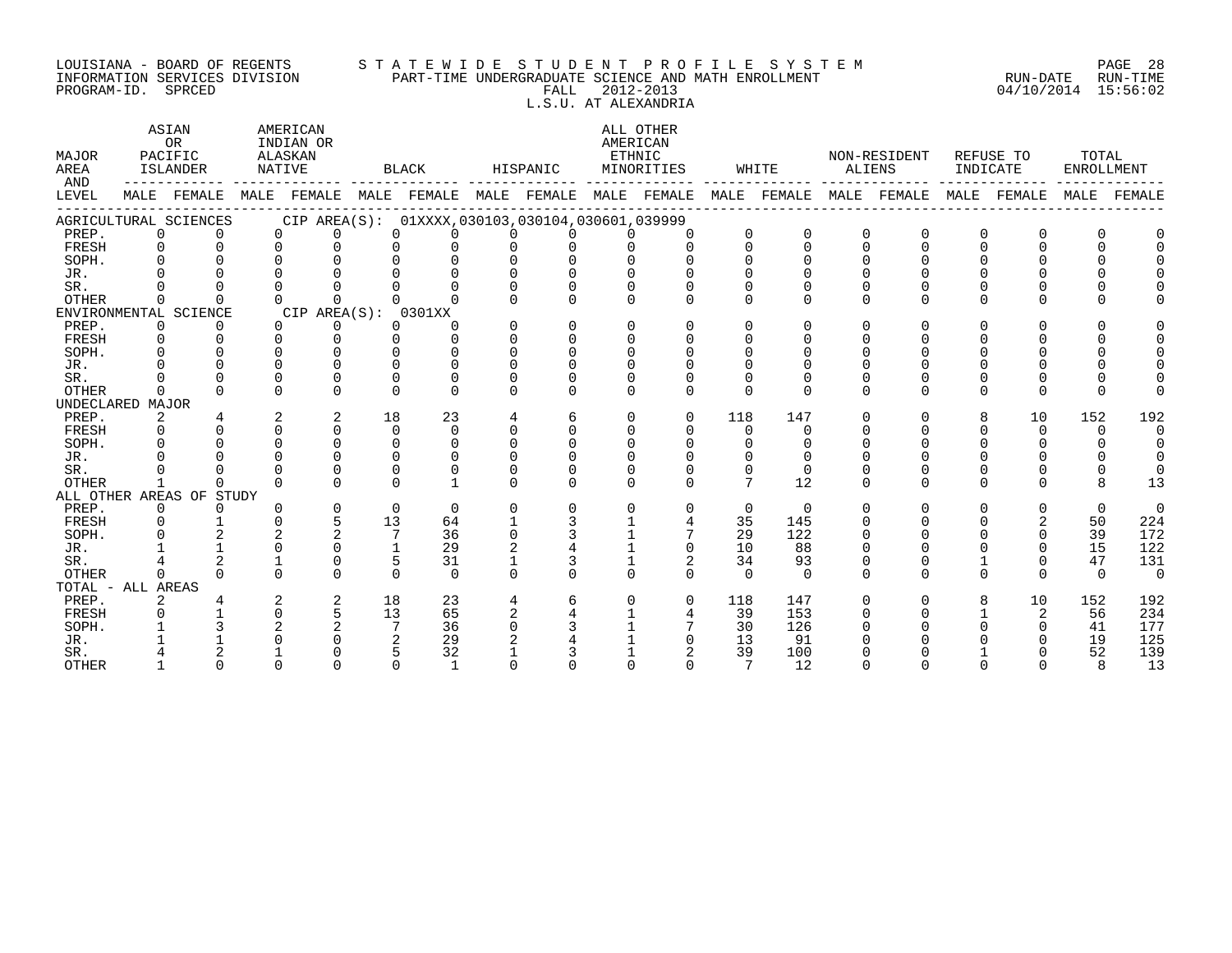#### LOUISIANA - BOARD OF REGENTS S T A T E W I D E S T U D E N T P R O F I L E S Y S T E M PAGE 28 INFORMATION SERVICES DIVISION PART-TIME UNDERGRADUATE SCIENCE AND MATH ENROLLMENT RUN-DATE RUN-TIME PROGRAM-ID. SPRCED FALL 2012-2013 04/10/2014 15:56:02 L.S.U. AT ALEXANDRIA

ASTAN AMERICAN AMERICAN ALL OTHER OR INDIAN OR **INDIAN OR** AMERICAN MAJOR PACIFIC ALASKAN ETHNIC NON-RESIDENT REFUSE TO TOTAL AREA ISLANDER NATIVE BLACK HISPANIC MINORITIES WHITE ALIENS INDICATE ENROLLMENT AND ------------ ------------- ------------- ------------- ------------- ------------- ------------- ------------- ------------- LEVEL MALE FEMALE MALE FEMALE MALE FEMALE MALE FEMALE MALE FEMALE MALE FEMALE MALE FEMALE MALE FEMALE MALE FEMALE ------------------------------------------------------------------------------------------------------------------------------------ AGRICULTURAL SCIENCES CIP AREA(S): 01XXXX,030103,030104,030601,039999<br>PREP. 0 0 0 0 0 0 0 0 0 0 PREP. 0 0 0 0 0 0 0 0 0 0 0 0 0 0 0 0 0 0 FRESH 0 0 0 0 0 0 0 0 0 0 0 0 0 0 0 0 0 0 SOPH. 0 0 0 0 0 0 0 0 0 0 0 0 0 0 0 0 0 0 JR. 0 0 0 0 0 0 0 0 0 0 0 0 0 0 0 0 0 0 SR. 0 0 0 0 0 0 0 0 0 0 0 0 0 0 0 0 0 0 OTHER 0 0 0 0 0 0 0 0 0 0 0 0 0 0 0 0 0 0 ENVIRONMENTAL SCIENCE CIP AREA(S): 0301XX<br>
PREP. 0 0 0 0 0 0 PREP. 0 0 0 0 0 0 0 0 0 0 0 0 0 0 0 0 0 0 FRESH 0 0 0 0 0 0 0 0 0 0 0 0 0 0 0 0 0 0 SOPH. 0 0 0 0 0 0 0 0 0 0 0 0 0 0 0 0 0 0 JR. 0 0 0 0 0 0 0 0 0 0 0 0 0 0 0 0 0 0 SR. 0 0 0 0 0 0 0 0 0 0 0 0 0 0 0 0 0 0 OTHER 0 0 0 0 0 0 0 0 0 0 0 0 0 0 0 0 0 0 UNDECLARED MAJOR PREP. 2 4 2 2 18 23 4 6 0 0 118 147 0 0 8 10 152 192 FRESH 0 0 0 0 0 0 0 0 0 0 0 0 0 0 0 0 0 0 SOPH. 0 0 0 0 0 0 0 0 0 0 0 0 0 0 0 0 0 0 JR. 0 0 0 0 0 0 0 0 0 0 0 0 0 0 0 0 0 0 SR. 0 0 0 0 0 0 0 0 0 0 0 0 0 0 0 0 0 0 OTHER 1 0 0 0 0 1 0 0 0 0 7 12 0 0 0 0 8 13 ALL OTHER AREAS OF STUDY PREP. 0 0 0 0 0 0 0 0 0 0 0 0 0 0 0 0 0 0 FRESH 0 1 0 5 13 64 1 3 1 4 35 145 0 0 0 2 50 224 SOPH. 0 2 2 2 7 36 0 3 1 7 29 122 0 0 0 0 39 172 JR. 1 1 0 0 1 29 2 4 1 0 10 88 0 0 0 0 15 122 SR. 4 2 1 0 5 31 1 3 1 2 34 93 0 0 1 0 47 131 OTHER 0 0 0 0 0 0 0 0 0 0 0 0 0 0 0 0 0 0 TOTAL - ALL AREAS PREP. 2 4 2 2 18 23 4 6 0 0 118 147 0 0 8 10 152 192 FRESH 0 1 0 5 13 65 2 4 1 4 39 153 0 0 1 2 56 234 SOPH. 1 3 2 2 7 36 0 3 1 7 30 126 0 0 0 0 41 177 JR. 1 1 0 0 2 29 2 4 1 0 13 91 0 0 0 0 19 125 SR. 4 2 1 0 5 32 1 3 1 2 39 100 0 0 1 0 52 139 OTHER 1 0 0 0 0 1 0 0 0 0 7 12 0 0 0 0 8 13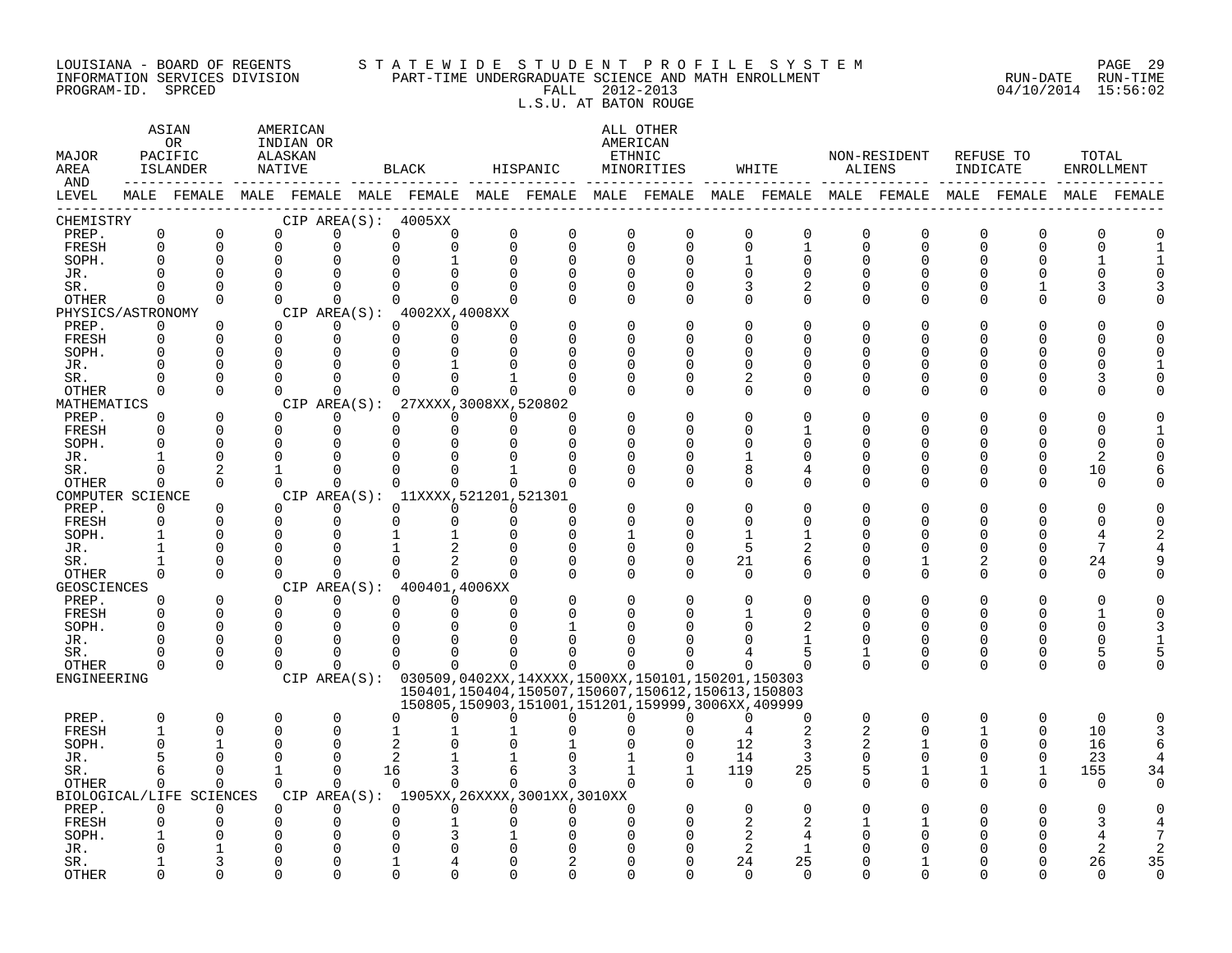#### LOUISIANA - BOARD OF REGENTS S T A T E W I D E S T U D E N T P R O F I L E S Y S T E M PAGE 29 INFORMATION SERVICES DIVISION PART-TIME UNDERGRADUATE SCIENCE AND MATH ENROLLMENT RUN-DATE RUN-TIME EQUISIANA - BOARD OF REGENTS STATEWIDE STUDENI FROFILE SICILIANA - BOARD OF REGENTS STATE WILDE STUDE STUDEN I<br>INFORMATION SERVICES DIVISION PART-TIME UNDERGRADUATE SCIENCE AND MATH ENROLLMENT (1999) 2014 15:56:02<br>FALL 201 L.S.U. AT BATON ROUGE

ASTAN AMERICAN AMERICAN ALL OTHER OR INDIAN OR **INDIAN OR** AMERICAN MAJOR PACIFIC ALASKAN ETHNIC NON-RESIDENT REFUSE TO TOTAL AREA ISLANDER NATIVE BLACK HISPANIC MINORITIES WHITE ALIENS INDICATE ENROLLMENT AND ------------ ------------- ------------- ------------- ------------- ------------- ------------- ------------- ------------- LEVEL MALE FEMALE MALE FEMALE MALE FEMALE MALE FEMALE MALE FEMALE MALE FEMALE MALE FEMALE MALE FEMALE MALE FEMALE ------------------------------------------------------------------------------------------------------------------------------------ CHEMISTRY CIP AREA(S): 4005XX PREP. 0 0 0 0 0 0 0 0 0 0 0 0 0 0 0 0 0 0 FRESH 0 0 0 0 0 0 0 0 0 0 0 1 0 0 0 0 0 1 SOPH. 0 0 0 0 0 1 0 0 0 0 1 0 0 0 0 0 1 1 JR. 0 0 0 0 0 0 0 0 0 0 0 0 0 0 0 0 0 0 SR. 0 0 0 0 0 0 0 0 0 0 3 2 0 0 0 1 3 3 OTHER 0 0 0 0 0 0 0 0 0 0 0 0 0 0 0 0 0 0 PHYSICS/ASTRONOMY CIP AREA(S): 4002XX,4008XX<br>
PREP. 0 0 0 0 0 0 0 PREP. 0 0 0 0 0 0 0 0 0 0 0 0 0 0 0 0 0 0 FRESH 0 0 0 0 0 0 0 0 0 0 0 0 0 0 0 0 0 0 SOPH. 0 0 0 0 0 0 0 0 0 0 0 0 0 0 0 0 0 0 JR. 0 0 0 0 0 1 0 0 0 0 0 0 0 0 0 0 0 1 SR. 0 0 0 0 0 0 1 0 0 0 2 0 0 0 0 0 3 0 OTHER 0 0 0 0 0 0 0 0 0 0 0 0 0 0 0 0 0 0 MATHEMATICS CIP AREA(S): 27XXXX,3008XX,520802<br>
PREP. 0 0 0 0 0 0 0 PREP. 0 0 0 0 0 0 0 0 0 0 0 0 0 0 0 0 0 0 FRESH 0 0 0 0 0 0 0 0 0 0 0 1 0 0 0 0 0 1 SOPH. 0 0 0 0 0 0 0 0 0 0 0 0 0 0 0 0 0 0 JR. 1 0 0 0 0 0 0 0 0 0 1 0 0 0 0 0 2 0 SR. 0 2 1 0 0 0 1 0 0 0 8 4 0 0 0 0 10 6 OTHER 0 0 0 0 0 0 0 0 0 0 0 0 0 0 0 0 0 0 COMPUTER SCIENCE CIP AREA(S): 11XXXX,521201,521301<br>
PREP. 0 0 0 0 0 0 0 PREP. 0 0 0 0 0 0 0 0 0 0 0 0 0 0 0 0 0 0 FRESH 0 0 0 0 0 0 0 0 0 0 0 0 0 0 0 0 0 0 SOPH. 1 0 0 0 1 1 0 0 1 0 1 1 0 0 0 0 4 2 JR. 1 0 0 0 1 2 0 0 0 0 5 2 0 0 0 0 7 4 SR. 1 0 0 0 0 2 0 0 0 0 21 6 0 1 2 0 24 9 OTHER 0 0 0 0 0 0 0 0 0 0 0 0 0 0 0 0 0 0 GEOSCIENCES CIPAREA(S): 400401,4006XX<br>
PREP. 0 0 0 0 0 0 PREP. 0 0 0 0 0 0 0 0 0 0 0 0 0 0 0 0 0 0 FRESH 0 0 0 0 0 0 0 0 0 0 1 0 0 0 0 0 1 0 SOPH. 0 0 0 0 0 0 0 1 0 0 0 2 0 0 0 0 0 3 JR. 0 0 0 0 0 0 0 0 0 0 0 1 0 0 0 0 0 1 SR. 0 0 0 0 0 0 0 0 0 0 4 5 1 0 0 0 5 5 OTHER 0 0 0 0 0 0 0 0 0 0 0 0 0 0 0 0 0 0 ENGINEERING CIP AREA(S): 030509,0402XX,14XXXX,1500XX,150101,150201,150303 150401,150404,150507,150607,150612,150613,150803 150805,150903,151001,151201,159999,3006XX,409999 PREP. 0 0 0 0 0 0 0 0 0 0 0 0 0 0 0 0 0 0 FRESH 1 0 0 0 1 1 1 0 0 0 4 2 2 0 1 0 10 3 SOPH. 0 1 0 0 2 0 0 1 0 0 12 3 2 1 0 0 16 6 JR. 5 0 0 0 2 1 1 0 1 0 14 3 0 0 0 0 23 4 SR. 6 0 1 0 16 3 6 3 1 1 119 25 5 1 1 1 155 34 OTHER 0 0 0 0 0 0 0 0 0 0 0 0 0 0 0 0 0 0 BIOLOGICAL/LIFE SCIENCES CIP AREA(S): 1905XX,26XXXX,3001XX,3010XX PREP. 0 0 0 0 0 0 0 0 0 0 0 0 0 0 0 0 0 0 FRESH 0 0 0 0 0 1 0 0 0 0 2 2 1 1 0 0 3 4 SOPH. 1 0 0 0 0 3 1 0 0 0 2 4 0 0 0 0 4 7 JR. 0 1 0 0 0 0 0 0 0 0 2 1 0 0 0 0 2 2 SR. 1 3 0 0 1 4 0 2 0 0 24 25 0 1 0 0 26 35 OTHER 0 0 0 0 0 0 0 0 0 0 0 0 0 0 0 0 0 0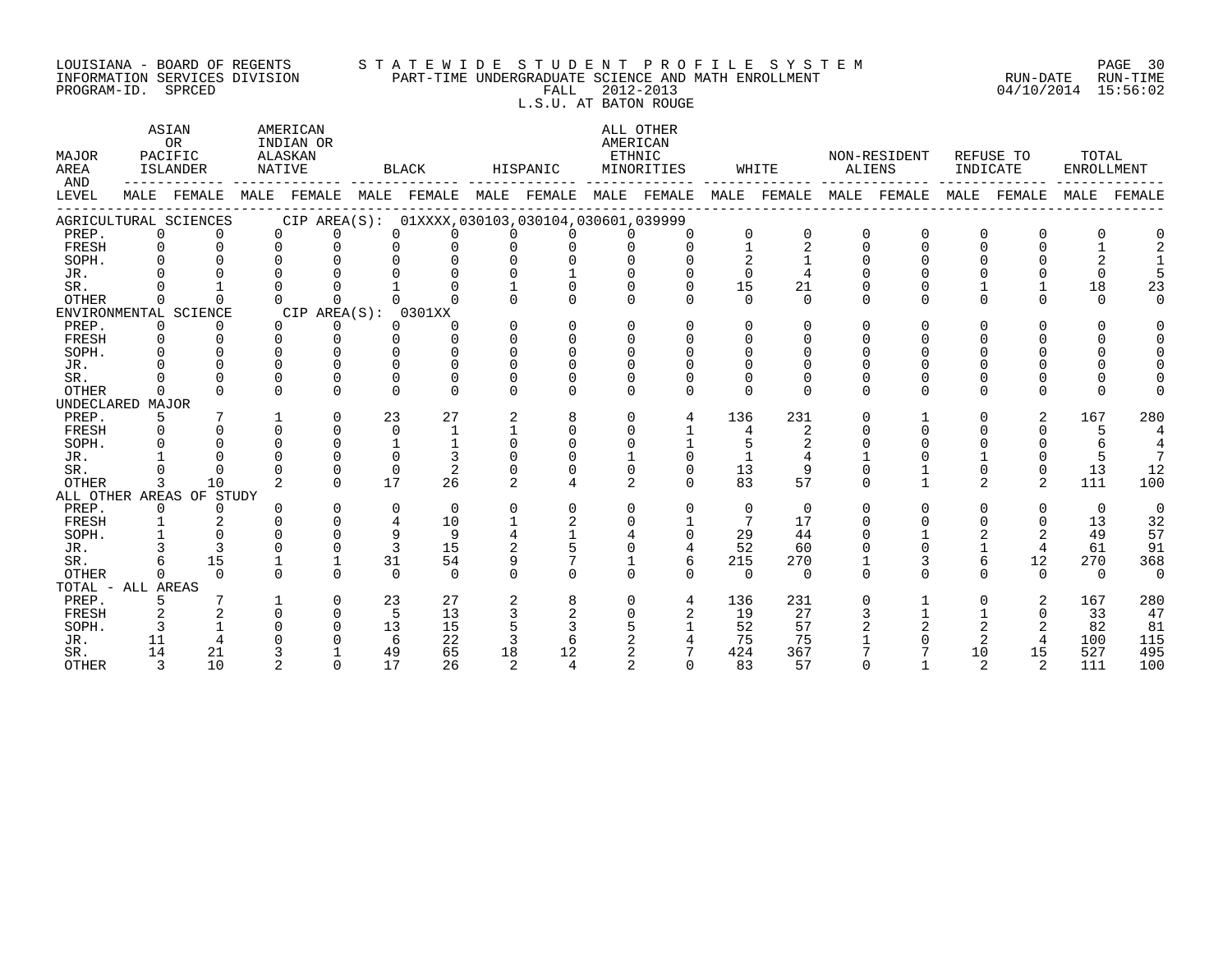#### LOUISIANA – BOARD OF REGENTS STA TE WID E S TU D E N T P R O F I L E S Y S T E M PAGE 30 INFORMATION SERVICES DIVISION PART-TIME UNDERGRADUATE SCIENCE AND MATH ENROLLMENT RUN-DATE RUN-TIME PROGRAM-ID. SPRCED FALL 2012-2013 04/10/2014 15:56:02 L.S.U. AT BATON ROUGE

ASTAN AMERICAN AMERICAN ALL OTHER OR INDIAN OR **INDIAN OR** AMERICAN MAJOR PACIFIC ALASKAN ETHNIC NON-RESIDENT REFUSE TO TOTAL AREA ISLANDER NATIVE BLACK HISPANIC MINORITIES WHITE ALIENS INDICATE ENROLLMENT AND ------------ ------------- ------------- ------------- ------------- ------------- ------------- ------------- ------------- LEVEL MALE FEMALE MALE FEMALE MALE FEMALE MALE FEMALE MALE FEMALE MALE FEMALE MALE FEMALE MALE FEMALE MALE FEMALE ------------------------------------------------------------------------------------------------------------------------------------ AGRICULTURAL SCIENCES CIP AREA(S): 01XXXX,030103,030104,030601,039999<br>PREP. 0 0 0 0 0 0 0 0 0 0 PREP. 0 0 0 0 0 0 0 0 0 0 0 0 0 0 0 0 0 0 FRESH 0 0 0 0 0 0 0 0 0 0 1 2 0 0 0 0 1 2 SOPH. 0 0 0 0 0 0 0 0 0 0 2 1 0 0 0 0 2 1 JR. 0 0 0 0 0 0 0 1 0 0 0 4 0 0 0 0 0 5 SR. 0 1 0 0 1 0 1 0 0 0 15 21 0 0 1 1 18 23 OTHER 0 0 0 0 0 0 0 0 0 0 0 0 0 0 0 0 0 0 ENVIRONMENTAL SCIENCE CIP AREA(S): 0301XX<br>
PREP. 0 0 0 0 0 0 PREP. 0 0 0 0 0 0 0 0 0 0 0 0 0 0 0 0 0 0 FRESH 0 0 0 0 0 0 0 0 0 0 0 0 0 0 0 0 0 0 SOPH. 0 0 0 0 0 0 0 0 0 0 0 0 0 0 0 0 0 0 JR. 0 0 0 0 0 0 0 0 0 0 0 0 0 0 0 0 0 0 SR. 0 0 0 0 0 0 0 0 0 0 0 0 0 0 0 0 0 0 OTHER 0 0 0 0 0 0 0 0 0 0 0 0 0 0 0 0 0 0 UNDECLARED MAJOR PREP. 5 7 1 0 23 27 2 8 0 4 136 231 0 1 0 2 167 280 FRESH 0 0 0 0 0 1 1 0 0 1 4 2 0 0 0 0 5 4 SOPH. 0 0 0 0 1 1 0 0 0 1 5 2 0 0 0 0 6 4 JR. 1 0 0 0 0 3 0 0 1 0 1 4 1 0 1 0 5 7 SR. 0 0 0 0 0 2 0 0 0 0 13 9 0 1 0 0 13 12 OTHER 3 10 2 0 17 26 2 4 2 0 83 57 0 1 2 2 111 100 ALL OTHER AREAS OF STUDY PREP. 0 0 0 0 0 0 0 0 0 0 0 0 0 0 0 0 0 0 FRESH 1 2 0 0 4 10 1 2 0 1 7 17 0 0 0 0 13 32 SOPH. 1 0 0 0 9 9 4 1 4 0 29 44 0 1 2 2 49 57 JR. 3 3 0 0 3 15 2 5 0 4 52 60 0 0 1 4 61 91 SR. 6 15 1 1 31 54 9 7 1 6 215 270 1 3 6 12 270 368 OTHER 0 0 0 0 0 0 0 0 0 0 0 0 0 0 0 0 0 0 TOTAL - ALL AREAS PREP. 5 7 1 0 23 27 2 8 0 4 136 231 0 1 0 2 167 280 FRESH 2 2 0 0 5 13 3 2 0 2 19 27 3 1 1 0 33 47 SOPH. 3 1 0 0 13 15 5 3 5 1 52 57 2 2 2 2 82 81 JR. 11 4 0 0 6 22 3 6 2 4 75 75 1 0 2 4 100 115 SR. 14 21 3 1 49 65 18 12 2 7 424 367 7 7 10 15 527 495 OTHER 3 10 2 0 17 26 2 4 2 0 83 57 0 1 2 2 111 100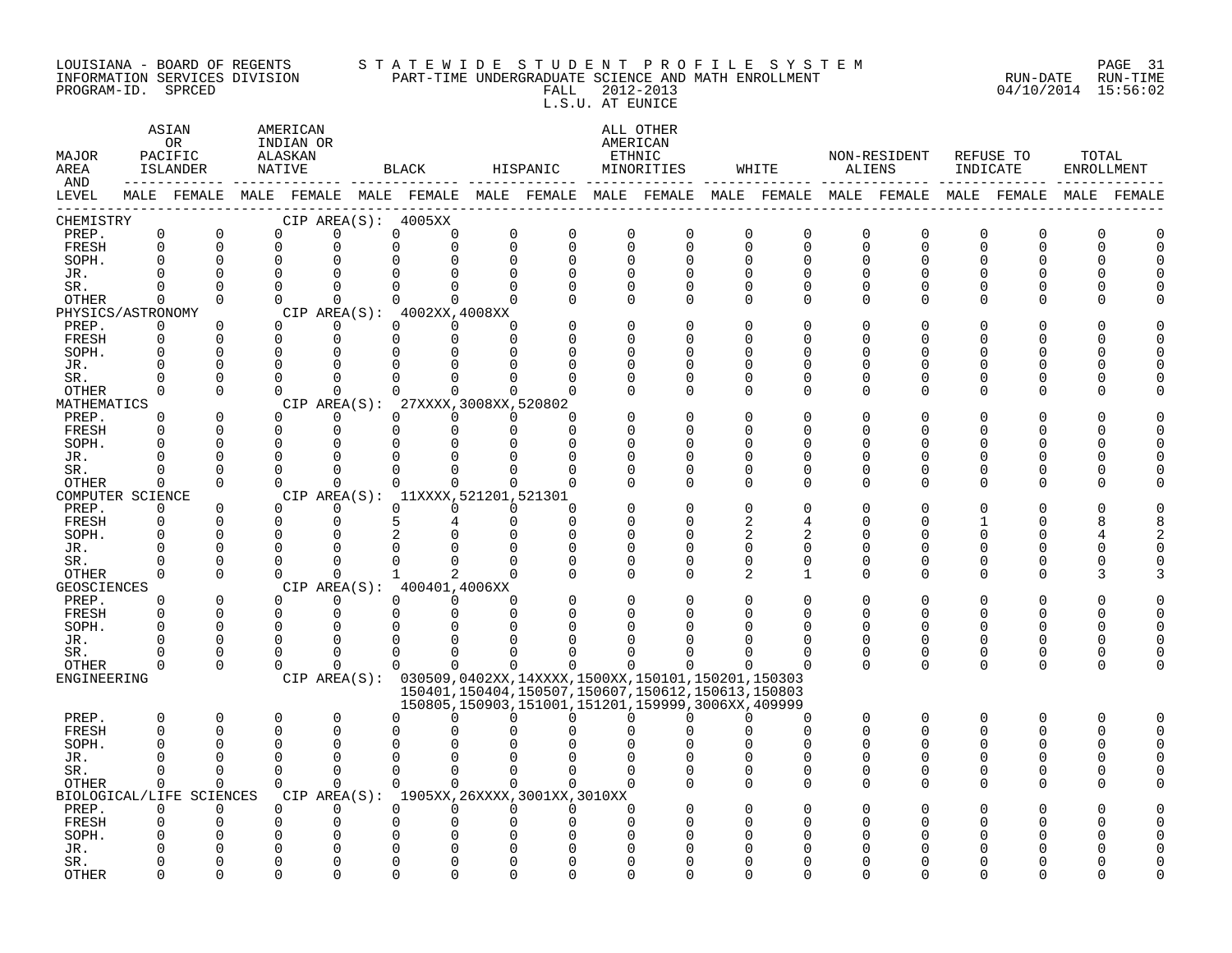#### LOUISIANA – BOARD OF REGENTS STA TE WID E S TU D E N T P R O F I L E S Y S T E M PAGE 31 INFORMATION SERVICES DIVISION PART-TIME UNDERGRADUATE SCIENCE AND MATH ENROLLMENT RUN-DATE RUN-TIME PROGRAM-ID. SPRCED FALL 2012-2013 04/10/2014 15:56:02 L.S.U. AT EUNICE

| MAJOR<br>AREA          | ASIAN<br>AMERICAN<br>0R<br>INDIAN OR<br>PACIFIC<br>ALASKAN<br>ISLANDER<br>NATIVE<br>MALE FEMALE MALE FEMALE MALE FEMALE MALE FEMALE MALE FEMALE MALE FEMALE MALE FEMALE MALE FEMALE MALE FEMALE |                          |             | BLACK    |                                                               | HISPANIC     |                      | ALL OTHER<br>AMERICAN<br>ETHNIC<br>MINORITIES | WHITE                |                                                        | NON-RESIDENT<br>ALIENS | INDICATE     | REFUSE TO | TOTAL<br>ENROLLMENT |          |             |          |
|------------------------|-------------------------------------------------------------------------------------------------------------------------------------------------------------------------------------------------|--------------------------|-------------|----------|---------------------------------------------------------------|--------------|----------------------|-----------------------------------------------|----------------------|--------------------------------------------------------|------------------------|--------------|-----------|---------------------|----------|-------------|----------|
| AND<br>LEVEL<br>------ |                                                                                                                                                                                                 |                          |             |          |                                                               |              |                      |                                               |                      |                                                        |                        |              |           |                     |          |             |          |
| CHEMISTRY              |                                                                                                                                                                                                 |                          |             |          | CIP AREA(S): 4005XX                                           |              |                      |                                               |                      |                                                        |                        |              |           |                     |          |             |          |
| PREP.                  | $\mathbf 0$                                                                                                                                                                                     | $\mathbf 0$              |             | $\Omega$ | $\Omega$                                                      | $\mathbf 0$  | 0                    | $\mathbf 0$<br>0                              | 0                    | $\mathbf 0$                                            | 0<br>$\mathbf 0$       | 0            | 0         | $\Omega$            | 0        | $\Omega$    | U        |
| FRESH                  | $\mathbf 0$                                                                                                                                                                                     | $\mathbf 0$              | $\Omega$    |          | $\Omega$                                                      | $\Omega$     | $\Omega$             | $\mathbf 0$<br>$\mathbf 0$                    | $\Omega$             | $\Omega$                                               | $\Omega$<br>0          | $\mathbf 0$  | $\Omega$  | $\Omega$            | $\Omega$ | $\Omega$    | $\Omega$ |
| SOPH.                  | $\Omega$                                                                                                                                                                                        | $\Omega$                 | $\Omega$    |          | $\Omega$                                                      | $\Omega$     | O                    | $\Omega$<br>$\Omega$                          |                      | $\Omega$<br>$\Omega$                                   | U<br><sup>0</sup>      | $\Omega$     | O         | ∩                   | ∩        | n           | $\cap$   |
| JR.                    | O                                                                                                                                                                                               | $\Omega$                 | $\Omega$    |          | O                                                             |              |                      | O<br>$\Omega$                                 | <sup>0</sup>         | $\Omega$                                               | O                      | O            |           |                     |          |             |          |
| SR.                    | 0                                                                                                                                                                                               | $\Omega$                 | $\Omega$    |          | $\Omega$                                                      |              |                      | $\Omega$<br>0                                 | $\Omega$             | 0                                                      | U<br><sup>0</sup>      | $\Omega$     |           |                     |          |             |          |
| <b>OTHER</b>           | $\mathbf 0$                                                                                                                                                                                     | $\mathbf 0$              | $\Omega$    |          | $\mathbf 0$                                                   | 0            | 0                    | $\mathbf 0$<br>$\Omega$                       | $\Omega$             | $\mathbf 0$                                            | 0<br>$\Omega$          | $\Omega$     | O         | n                   | O        |             |          |
| PHYSICS/ASTRONOMY      |                                                                                                                                                                                                 |                          |             |          | CIP AREA(S): 4002XX, 4008XX                                   |              |                      |                                               |                      |                                                        |                        |              |           |                     |          |             |          |
| PREP.                  | $\Omega$                                                                                                                                                                                        | $\Omega$                 | $\Omega$    |          | $\Omega$                                                      | $\Omega$     | $\Omega$<br>$\Omega$ |                                               | $\Omega$             | $\Omega$                                               | U<br>O                 | $\Omega$     |           | U                   |          |             |          |
| FRESH                  | 0                                                                                                                                                                                               | $\Omega$                 | $\Omega$    |          | $\Omega$                                                      | $\Omega$     | 0                    | $\Omega$<br>0                                 | $\Omega$             | $\Omega$                                               | U<br>O                 | $\Omega$     |           |                     |          | O           | $\cap$   |
| SOPH.                  | 0                                                                                                                                                                                               | $\Omega$                 | $\Omega$    |          | $\Omega$                                                      | $\Omega$     |                      | $\Omega$<br>$\Omega$                          | <sup>0</sup>         | $\Omega$                                               | U<br>O                 | <sup>0</sup> |           | U                   |          | O           | $\cap$   |
| JR.                    | $\Omega$                                                                                                                                                                                        | 0                        | $\Omega$    |          |                                                               |              |                      | $\Omega$                                      | <sup>0</sup>         | $\Omega$                                               | 0<br>U                 | $\Omega$     |           | O                   | U        | O           |          |
| SR.                    | $\Omega$                                                                                                                                                                                        | $\Omega$                 | $\Omega$    |          | $\Omega$                                                      |              |                      | ∩                                             | $\Omega$             | $\Omega$                                               | $\Omega$<br>O          | $\Omega$     |           | ∩                   |          | O           |          |
| OTHER                  | $\Omega$                                                                                                                                                                                        | $\Omega$                 | $\Omega$    |          | $\Omega$                                                      | $\Omega$     | $\Omega$             | $\Omega$<br>$\Omega$                          | $\Omega$             | $\Omega$                                               | 0<br>$\Omega$          | $\Omega$     | U         | U                   | U        | U           |          |
| MATHEMATICS            |                                                                                                                                                                                                 |                          |             |          | CIP AREA(S): 27XXXX, 3008XX, 520802                           |              |                      |                                               |                      |                                                        |                        |              |           |                     |          |             |          |
| PREP.                  | $\Omega$                                                                                                                                                                                        | $\Omega$                 | $\Omega$    |          | $\Omega$                                                      | $\Omega$     | $\Omega$             | $\Omega$<br>$\Omega$                          |                      | $\Omega$                                               | U<br>O                 | $\Omega$     |           | U                   | U        | O           |          |
| FRESH                  | $\Omega$                                                                                                                                                                                        | 0                        | $\Omega$    |          | $\Omega$                                                      | $\Omega$     | $\Omega$             | $\Omega$<br>$\mathbf 0$                       | $\Omega$             | $\Omega$                                               | O<br>U                 | $\Omega$     |           |                     |          | O           |          |
| SOPH.                  | 0                                                                                                                                                                                               | $\Omega$                 | $\Omega$    |          | $\Omega$                                                      | U            |                      | ∩<br>$\Omega$                                 | <sup>0</sup>         | U                                                      | U<br>O                 | O            |           |                     |          | U           |          |
| JR.                    | U                                                                                                                                                                                               | 0                        | $\Omega$    |          | 0                                                             |              |                      | 0                                             | $\Omega$             | 0                                                      | U<br>0                 | 0            | n         | O                   | U        | 0           |          |
| SR.                    | U                                                                                                                                                                                               | $\Omega$                 | $\Omega$    |          | $\Omega$                                                      | ∩            |                      | n<br>$\Omega$                                 | $\Omega$<br>$\Omega$ | $\mathbf 0$                                            | $\Omega$<br>U<br>0     | 0            | O         | O                   | U<br>U   | $\cap$<br>U |          |
| <b>OTHER</b>           | $\Omega$                                                                                                                                                                                        | $\Omega$                 | $\Omega$    |          | $\Omega$                                                      | $\Omega$     | $\Omega$             | $\Omega$<br>$\Omega$                          |                      | $\Omega$                                               | <sup>0</sup>           | $\Omega$     | ∩         | U                   |          |             |          |
| COMPUTER SCIENCE       | $\Omega$                                                                                                                                                                                        | $\Omega$                 | $\Omega$    |          | CIP AREA(S): 11XXXX, 521201, 521301<br>$\Omega$               | $\Omega$     | $\Omega$             | $\Omega$                                      |                      | $\Omega$                                               | 0<br>O                 | $\Omega$     |           |                     |          | O           |          |
| PREP.<br>FRESH         | 0                                                                                                                                                                                               | $\mathbf 0$              | $\Omega$    |          | $\Omega$                                                      | 5            |                      | $\mathbf 0$<br>$\Omega$                       | $\Omega$             | $\Omega$                                               | 2<br>4                 | $\Omega$     |           |                     |          | 8           | 8        |
| SOPH.                  | 0                                                                                                                                                                                               | $\Omega$                 | $\Omega$    |          | <sup>0</sup>                                                  |              | $\Omega$             | $\Omega$                                      | <sup>0</sup>         | $\Omega$                                               | 2<br>2                 | $\Omega$     |           | ∩                   | ∩        | 4           |          |
| JR.                    | $\Omega$                                                                                                                                                                                        | $\Omega$                 | ∩           |          |                                                               |              |                      | $\Omega$                                      |                      | $\Omega$<br>$\Omega$                                   | $\Omega$<br>0          | $\Omega$     | U         | O                   | U        | $\Omega$    |          |
| SR.                    | O                                                                                                                                                                                               | $\Omega$                 | $\Omega$    |          | $\Omega$                                                      | $\Omega$     |                      | $\Omega$<br>n                                 | $\Omega$             | $\Omega$                                               | 0<br>$\Omega$          | $\Omega$     |           | O                   | U        | C           |          |
| <b>OTHER</b>           | 0                                                                                                                                                                                               | $\Omega$                 | $\Omega$    |          | $\Omega$                                                      | $\mathbf{1}$ | 2                    | $\Omega$<br>$\Omega$                          | $\Omega$             | $\Omega$                                               | 2<br>1                 | $\Omega$     | O         | O                   | O        | 3           |          |
| <b>GEOSCIENCES</b>     |                                                                                                                                                                                                 |                          |             |          | CIP AREA(S): 400401,4006XX                                    |              |                      |                                               |                      |                                                        |                        |              |           |                     |          |             |          |
| PREP.                  | 0                                                                                                                                                                                               | $\Omega$                 | $\Omega$    |          | $\Omega$                                                      | $\Omega$     | $\Omega$<br>$\Omega$ |                                               | <sup>0</sup>         | O                                                      | 0<br>O                 | $\Omega$     | O         | U                   | O        | O           |          |
| FRESH                  | $\Omega$                                                                                                                                                                                        | $\mathbf 0$              | $\mathbf 0$ |          | $\Omega$                                                      | $\Omega$     | $\Omega$             | $\Omega$                                      | ∩                    | U                                                      | ∩                      | $\Omega$     | ∩         | ∩                   | ∩        | 0           | $\Omega$ |
| SOPH.                  | 0                                                                                                                                                                                               | $\Omega$                 | $\Omega$    |          | $\cap$                                                        |              |                      |                                               |                      |                                                        | U                      | $\Omega$     |           | ∩                   | ∩        | $\Omega$    | $\Omega$ |
| JR.                    | O                                                                                                                                                                                               | $\Omega$                 | $\Omega$    |          | $\Omega$                                                      |              |                      | n                                             |                      |                                                        | O                      | $\Omega$     | O         | U                   | U        | $\Omega$    | $\cap$   |
| SR.                    | 0                                                                                                                                                                                               | $\Omega$                 | $\Omega$    |          | $\Omega$                                                      | U            | U                    | ∩                                             | ∩                    | ∩                                                      | ∩<br>U                 | 0            | $\Omega$  | $\Omega$            | O        | $\Omega$    | $\Omega$ |
| <b>OTHER</b>           | 0                                                                                                                                                                                               | $\Omega$                 | $\Omega$    |          | $\Omega$                                                      | $\Omega$     | $\Omega$             | $\Omega$<br>$\Omega$                          | 0                    | $\Omega$                                               | O<br>U                 | $\Omega$     | $\Omega$  | $\Omega$            | $\Omega$ | $\mathbf 0$ | $\cap$   |
| ENGINEERING            |                                                                                                                                                                                                 |                          |             |          | CIP AREA(S): 030509,0402XX,14XXXX,1500XX,150101,150201,150303 |              |                      |                                               |                      |                                                        |                        |              |           |                     |          |             |          |
|                        |                                                                                                                                                                                                 |                          |             |          |                                                               |              |                      |                                               |                      | 150401, 150404, 150507, 150607, 150612, 150613, 150803 |                        |              |           |                     |          |             |          |
|                        |                                                                                                                                                                                                 |                          |             |          |                                                               |              |                      |                                               |                      | 150805, 150903, 151001, 151201, 159999, 3006XX, 409999 |                        |              |           |                     |          |             |          |
| PREP.                  | $\Omega$                                                                                                                                                                                        | $\Omega$                 | $\Omega$    |          | $\Omega$                                                      | $\Omega$     | <sup>n</sup>         | $\Omega$<br>$\Omega$                          |                      | $\Omega$<br>$\Omega$                                   | $\Omega$<br>U          | $\Omega$     | $\Omega$  | U                   | O        | O           |          |
| FRESH                  | 0                                                                                                                                                                                               | $\Omega$                 | $\Omega$    |          | $\Omega$                                                      | U            |                      |                                               | <sup>0</sup>         | $\Omega$                                               | 0<br>U                 | $\Omega$     | $\Omega$  | $\Omega$            | $\Omega$ | $\Omega$    | $\Omega$ |
| SOPH.                  | 0                                                                                                                                                                                               | $\Omega$                 | $\Omega$    |          | $\Omega$                                                      | ∩            |                      |                                               |                      |                                                        | O                      | $\Omega$     |           | U                   |          | $\Omega$    | $\cap$   |
| JR.                    | $\Omega$                                                                                                                                                                                        | $\Omega$                 | $\Omega$    |          | $\Omega$                                                      | 0            |                      | O                                             | <sup>0</sup>         | O                                                      | 0                      | 0            |           | O                   | O        | O           |          |
| SR.                    | O                                                                                                                                                                                               | $\Omega$                 | $\Omega$    |          | $\Omega$                                                      | $\Omega$     | $\Omega$             | $\Omega$<br>$\Omega$                          | $\mathbf 0$          | $\mathbf 0$                                            | 0<br>0                 | $\mathbf 0$  | 0         | O                   | O        | $\Omega$    |          |
| <b>OTHER</b>           | $\Omega$                                                                                                                                                                                        | $\Omega$                 | $\Omega$    |          | $\Omega$                                                      | 0            | 0                    | $\Omega$<br>$\Omega$                          | $\Omega$             | $\Omega$                                               | $\Omega$<br>$\Omega$   | $\Omega$     | $\Omega$  | U                   | U        | U           |          |
|                        |                                                                                                                                                                                                 | BIOLOGICAL/LIFE SCIENCES |             |          | CIP AREA(S): 1905XX, 26XXXX, 3001XX, 3010XX                   |              |                      |                                               |                      |                                                        |                        |              |           |                     |          |             |          |
| PREP.                  | $\Omega$                                                                                                                                                                                        | $\Omega$                 | $\Omega$    |          | $\Omega$                                                      | $\Omega$     | 0                    | $\Omega$<br>$\Omega$                          | <sup>0</sup>         |                                                        | U                      |              |           |                     |          |             |          |
| FRESH                  | 0                                                                                                                                                                                               | 0                        | $\Omega$    |          | $\Omega$                                                      | 0            | O                    | O<br><sup>0</sup>                             | $\Omega$             | $\Omega$                                               | O<br>U                 | O            |           |                     | U        | U           |          |
| SOPH.                  | U                                                                                                                                                                                               | U                        | $\Omega$    |          | O                                                             |              |                      |                                               |                      | O                                                      | N                      | N            |           |                     |          |             |          |
| JR.                    |                                                                                                                                                                                                 | Λ                        |             |          |                                                               |              |                      |                                               |                      |                                                        |                        |              |           |                     |          |             |          |
| SR.                    |                                                                                                                                                                                                 | $\Omega$                 |             |          | $\Omega$                                                      |              |                      |                                               |                      | ∩                                                      |                        |              |           |                     |          |             |          |
| <b>OTHER</b>           | ∩                                                                                                                                                                                               | $\Omega$                 |             |          | $\cap$                                                        |              |                      | ∩                                             |                      |                                                        |                        |              |           |                     |          |             |          |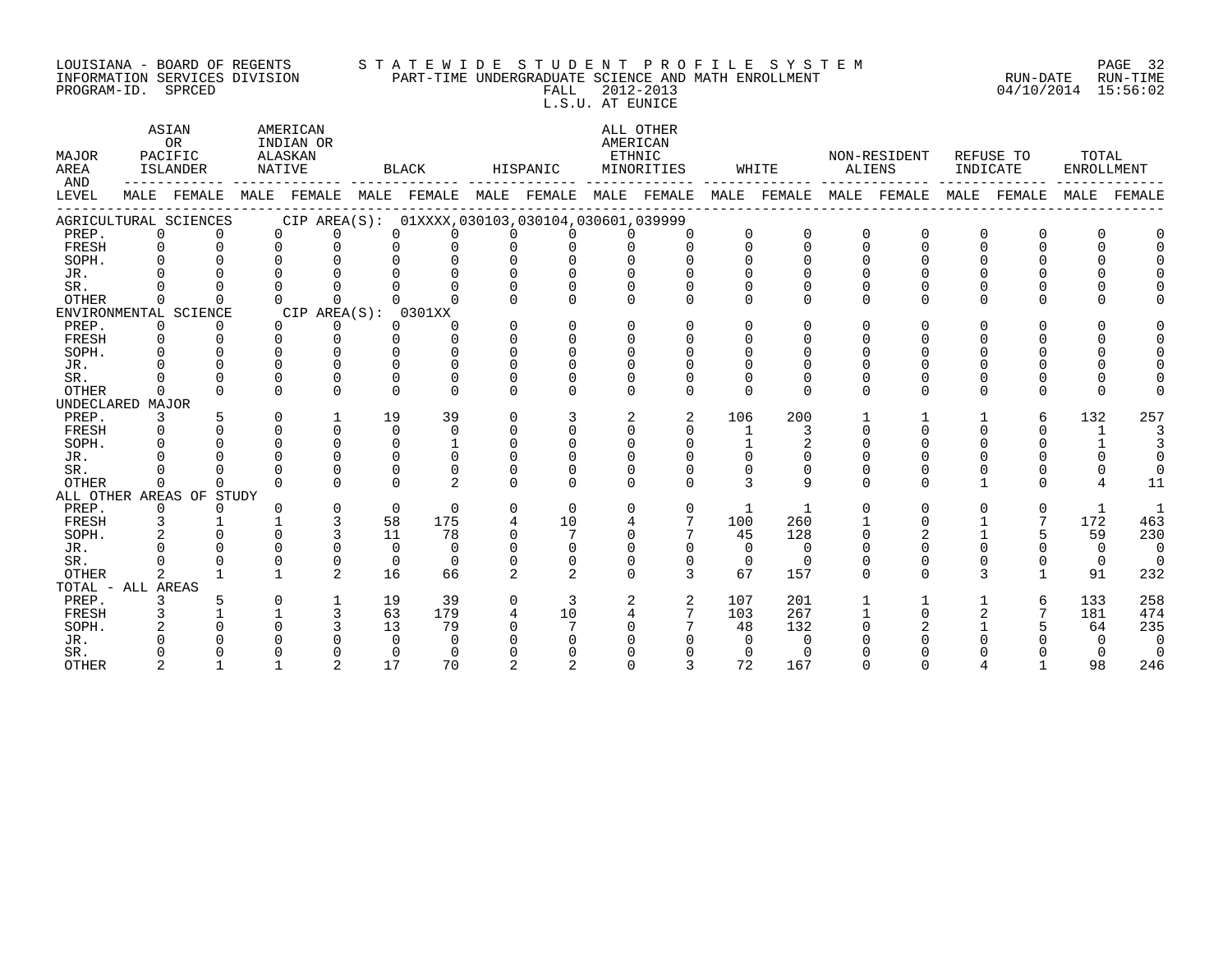#### LOUISIANA - BOARD OF REGENTS S T A T E W I D E S T U D E N T P R O F I L E S Y S T E M PAGE 32 INFORMATION SERVICES DIVISION PART-TIME UNDERGRADUATE SCIENCE AND MATH ENROLLMENT RUN-DATE RUN-TIME PROGRAM-ID. SPRCED FALL 2012-2013 04/10/2014 15:56:02 L.S.U. AT EUNICE

| <b>MAJOR</b><br>AREA<br>AND | ASIAN<br>OR<br>PACIFIC<br>ALASKAN<br>NATIVE<br>ISLANDER<br>MALE FEMALE |                          |              | AMERICAN<br>INDIAN OR                                                               |          | <b>BLACK</b>  |               | HISPANIC      |                      | ALL OTHER<br>AMERICAN<br>ETHNIC<br>MINORITIES |              | WHITE          | <b>ALIENS</b> | NON-RESIDENT | INDICATE | REFUSE TO    | TOTAL<br><b>ENROLLMENT</b> |                |
|-----------------------------|------------------------------------------------------------------------|--------------------------|--------------|-------------------------------------------------------------------------------------|----------|---------------|---------------|---------------|----------------------|-----------------------------------------------|--------------|----------------|---------------|--------------|----------|--------------|----------------------------|----------------|
| LEVEL                       |                                                                        |                          |              | MALE FEMALE MALE FEMALE MALE FEMALE MALE FEMALE MALE FEMALE MALE FEMALE MALE FEMALE |          |               |               |               |                      |                                               |              |                |               |              |          |              |                            | MALE FEMALE    |
|                             |                                                                        | AGRICULTURAL SCIENCES    |              | CIP AREA(S): 01XXXX,030103,030104,030601,039999                                     |          |               |               |               |                      |                                               |              |                |               |              |          |              |                            |                |
| PREP.                       | $\Omega$                                                               | 0                        | 0            | U                                                                                   |          |               |               |               |                      | $\Omega$                                      |              | $\Omega$       | $\Omega$      |              | 0        | 0            |                            |                |
| FRESH                       | $\Omega$                                                               | $\Omega$                 | $\Omega$     | U                                                                                   |          |               |               |               |                      | $\Omega$                                      | $\cap$       | $\Omega$       | $\Omega$      |              | U        | $\Omega$     |                            |                |
| SOPH.                       | $\cap$                                                                 |                          |              |                                                                                     |          |               |               |               |                      |                                               |              |                |               |              |          |              |                            |                |
| JR.                         |                                                                        |                          |              |                                                                                     |          |               |               |               |                      |                                               |              |                |               |              |          |              |                            |                |
| SR.                         |                                                                        |                          |              |                                                                                     |          |               |               |               |                      |                                               |              |                |               |              |          |              |                            |                |
| OTHER                       | 0                                                                      |                          |              | $\cap$                                                                              |          |               |               |               | $\Omega$             | $\Omega$                                      |              | $\Omega$       | $\Omega$      |              | 0        | 0            |                            |                |
|                             |                                                                        | ENVIRONMENTAL SCIENCE    |              | CIP AREA(S): 0301XX                                                                 |          |               |               |               |                      |                                               |              |                |               |              |          |              |                            |                |
| PREP.                       | $\Omega$                                                               | 0                        | $\Omega$     | 0                                                                                   | $\Omega$ | $\Omega$      | $\Omega$      | $\Omega$      | $\cap$               | $\cap$                                        |              | ∩              | U             |              | U        | <sup>0</sup> |                            |                |
| FRESH                       | $\Omega$                                                               | ∩                        | U            | 0                                                                                   |          |               | $\Omega$      | U             | U                    | $\cap$                                        |              |                | U             |              |          |              |                            |                |
| SOPH.                       |                                                                        |                          |              |                                                                                     |          |               |               |               |                      |                                               |              |                |               |              |          |              |                            |                |
| JR.                         |                                                                        |                          |              |                                                                                     |          |               |               |               |                      |                                               |              |                |               |              |          |              |                            |                |
| SR.                         |                                                                        |                          |              | $\Omega$                                                                            |          |               |               |               |                      |                                               |              |                |               |              |          |              |                            |                |
| OTHER                       | 0                                                                      |                          | <sup>n</sup> | <sup>n</sup>                                                                        |          |               | $\Omega$      | <sup>n</sup>  | <sup>n</sup>         | $\Omega$                                      | <sup>0</sup> | $\Omega$       | $\Omega$      | U            | U        | 0            |                            |                |
| UNDECLARED MAJOR            |                                                                        |                          |              |                                                                                     |          |               |               |               |                      |                                               |              |                |               |              |          |              |                            |                |
| PREP.                       | 3                                                                      | $\Omega$                 | 0            | $\mathbf{1}$<br>$\Omega$                                                            | 19       | 39            | $\Omega$      | ζ<br>$\Omega$ | 2                    | 2                                             | 106          | 200            |               |              |          | 6            | 132                        | 257            |
| FRESH                       | 0                                                                      |                          | $\Omega$     | $\Omega$                                                                            | $\Omega$ | $\Omega$      | $\Omega$<br>U |               | $\Omega$<br>$\Omega$ | $\Omega$<br>$\Omega$                          | 1            | 3              | U             |              |          | 0            | 1                          |                |
| SOPH.<br>JR.                |                                                                        |                          |              |                                                                                     |          |               |               |               |                      |                                               |              | 2              |               |              |          |              |                            |                |
| SR.                         |                                                                        |                          |              |                                                                                     |          |               |               |               |                      |                                               |              |                |               |              |          |              |                            |                |
| OTHER                       | 0                                                                      | <sup>n</sup>             | <sup>n</sup> | <sup>n</sup>                                                                        |          | $\mathcal{L}$ | $\Omega$      | <sup>n</sup>  | $\Omega$             | $\cap$                                        | 3            | 9              | $\Omega$      | U            |          | 0            |                            | 11             |
|                             |                                                                        | ALL OTHER AREAS OF STUDY |              |                                                                                     |          |               |               |               |                      |                                               |              |                |               |              |          |              |                            |                |
| PREP.                       | 0                                                                      | 0                        |              | $\Omega$                                                                            | $\Omega$ | $\Omega$      | $\Omega$      | $\Omega$      | $\Omega$             | 0                                             | 1            | $\overline{1}$ | $\Omega$      | U            | $\cap$   | 0            | 1                          | $\overline{1}$ |
| FRESH                       | 3                                                                      |                          |              | 3                                                                                   | 58       | 175           |               | 10            |                      | 7                                             | 100          | 260            |               |              |          |              | 172                        | 463            |
| SOPH.                       |                                                                        |                          |              | 3                                                                                   | 11       | 78            | $\Omega$      |               | $\Omega$             |                                               | 45           | 128            |               |              |          |              | 59                         | 230            |
| JR.                         |                                                                        |                          |              | $\Omega$                                                                            | $\Omega$ | $\Omega$      |               |               |                      | $\Omega$                                      | $\Omega$     | $\Omega$       |               |              |          |              | $\Omega$                   | $\Omega$       |
| SR.                         |                                                                        |                          |              | 0                                                                                   | $\Omega$ | $\Omega$      |               | 0             | $\Omega$             | $\mathbf 0$                                   | 0            | $\Omega$       |               |              |          |              | $\overline{0}$             |                |
| <b>OTHER</b>                | 2                                                                      |                          |              | 2                                                                                   | 16       | 66            | 2             | 2             | $\Omega$             | 3                                             | 67           | 157            | $\Omega$      | U            |          | $\mathbf{1}$ | 91                         | 232            |
| TOTAL - ALL AREAS           |                                                                        |                          |              |                                                                                     |          |               |               |               |                      |                                               |              |                |               |              |          |              |                            |                |
| PREP.                       | 3                                                                      |                          | 0            |                                                                                     | 19       | 39            | $\Omega$      | 3             |                      | 2                                             | 107          | 201            |               |              |          | 6            | 133                        | 258            |
| FRESH                       | 3                                                                      |                          |              | 3                                                                                   | 63       | 179           |               | 10            |                      | 7                                             | 103          | 267            |               |              |          |              | 181                        | 474            |
| SOPH.                       |                                                                        |                          |              |                                                                                     | 13       | 79            |               |               |                      |                                               | 48           | 132            |               |              |          |              | 64                         | 235            |
| JR.                         |                                                                        |                          |              |                                                                                     |          |               |               |               |                      |                                               |              | ∩              |               |              |          |              |                            | $\Omega$       |
| SR.                         |                                                                        |                          |              |                                                                                     |          |               |               |               |                      |                                               |              | ∩              |               |              |          |              |                            | $\Omega$       |
| <b>OTHER</b>                |                                                                        |                          |              | $\mathcal{L}$                                                                       | 17       | 70            |               |               |                      |                                               | 72           | 167            |               |              |          |              | 98                         | 246            |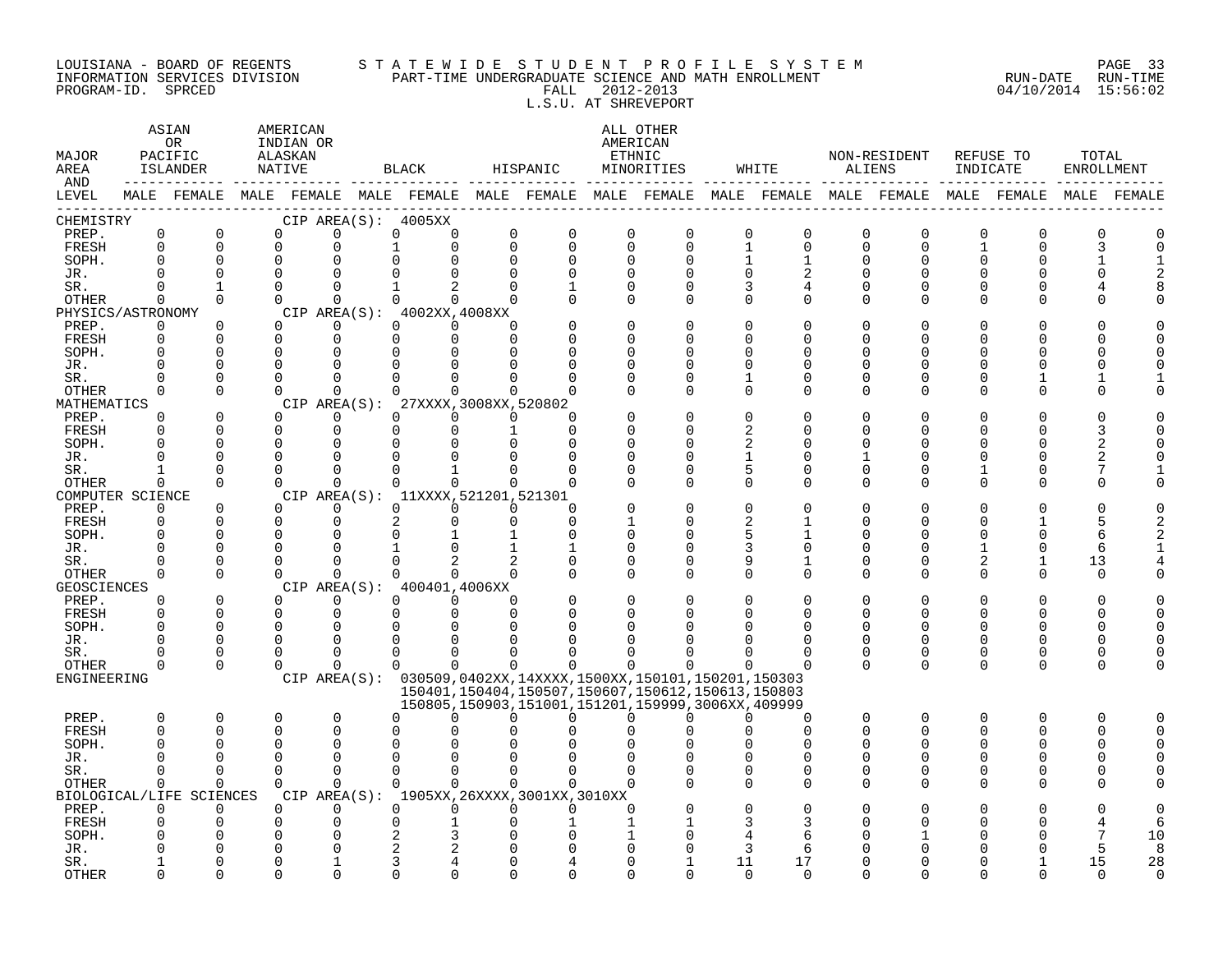#### LOUISIANA – BOARD OF REGENTS STA TE WID E STUDE N TPROFILE SYSTEM PAGE 33 INFORMATION SERVICES DIVISION PART-TIME UNDERGRADUATE SCIENCE AND MATH ENROLLMENT RUN-DATE RUN-TIME PROGRAM-ID. SPRCED FALL 2012-2013 04/10/2014 15:56:02 L.S.U. AT SHREVEPORT

| MAJOR<br>AREA<br>AND | ASIAN<br>AMERICAN<br>0 <sub>R</sub><br>INDIAN OR<br>PACIFIC<br>ALASKAN<br>ISLANDER<br>NATIVE<br>MALE FEMALE MALE FEMALE MALE FEMALE MALE FEMALE MALE FEMALE MALE FEMALE MALE FEMALE MALE FEMALE MALE FEMALE |                          |                      |  |                      | BLACK                                                         |                                       | HISPANIC             |                      | ALL OTHER<br>AMERICAN<br>ETHNIC<br>MINORITIES                                                              |                  | WHITE         | ALIENS               | NON-RESIDENT             | INDICATE     | REFUSE TO | TOTAL<br>ENROLLMENT |    |
|----------------------|-------------------------------------------------------------------------------------------------------------------------------------------------------------------------------------------------------------|--------------------------|----------------------|--|----------------------|---------------------------------------------------------------|---------------------------------------|----------------------|----------------------|------------------------------------------------------------------------------------------------------------|------------------|---------------|----------------------|--------------------------|--------------|-----------|---------------------|----|
| LEVEL                |                                                                                                                                                                                                             |                          |                      |  |                      |                                                               |                                       |                      |                      |                                                                                                            |                  |               |                      |                          |              |           |                     |    |
| CHEMISTRY            |                                                                                                                                                                                                             |                          |                      |  |                      | CIP AREA(S): 4005XX                                           |                                       |                      |                      |                                                                                                            |                  |               |                      |                          |              |           |                     |    |
| PREP.                | $\Omega$                                                                                                                                                                                                    | $\Omega$                 | $\Omega$             |  | $\Omega$             | $\Omega$                                                      | $\Omega$<br>$\Omega$                  | $\Omega$             | $\Omega$             | $\Omega$                                                                                                   | $\Omega$         | $\Omega$      | $\Omega$             | $\Omega$                 | $\Omega$     | $\Omega$  |                     |    |
| FRESH                | $\Omega$                                                                                                                                                                                                    | $\Omega$                 | $\Omega$             |  | $\Omega$             | $\mathbf{1}$                                                  | $\Omega$<br>$\Omega$                  | $\Omega$             | $\Omega$             | $\Omega$                                                                                                   | $\mathbf{1}$     | $\Omega$      | $\Omega$             | $\Omega$                 | $\mathbf{1}$ | $\Omega$  |                     |    |
| SOPH.                | 0<br>U                                                                                                                                                                                                      | $\Omega$                 | $\Omega$<br>$\Omega$ |  | $\Omega$             | $\Omega$<br>$\Omega$                                          | $\Omega$<br>$\Omega$<br>$\Omega$      | $\Omega$<br>$\Omega$ | $\Omega$             | $\Omega$                                                                                                   | $\mathbf{1}$     | $\mathbf 1$   | $\overline{0}$       | $\Omega$                 | $\Omega$     | 0         |                     |    |
| JR.<br>SR.           | 0                                                                                                                                                                                                           | $\Omega$<br>1            | $\Omega$             |  | $\Omega$<br>$\Omega$ | $\mathbf{1}$                                                  | $\Omega$<br>2<br>0                    |                      | $\Omega$<br>$\Omega$ | $\Omega$<br>0                                                                                              | $\mathbf 0$<br>3 | 2<br>4        | $\Omega$<br>0        | $\Omega$<br>0            | 0<br>0       | U<br>0    |                     |    |
| OTHER                | $\Omega$                                                                                                                                                                                                    | $\Omega$                 | $\Omega$             |  | $\Omega$             | $\Omega$                                                      | $\Omega$<br>$\Omega$                  | $\Omega$             | $\Omega$             | $\Omega$                                                                                                   | $\Omega$         | $\Omega$      | $\Omega$             | $\Omega$                 | 0            | $\Omega$  |                     |    |
| PHYSICS/ASTRONOMY    |                                                                                                                                                                                                             |                          |                      |  |                      | CIP AREA $(S):$ 4002XX, 4008XX                                |                                       |                      |                      |                                                                                                            |                  |               |                      |                          |              |           |                     |    |
| PREP.                | 0                                                                                                                                                                                                           | $\Omega$                 | $\Omega$             |  | $\Omega$             | $\Omega$                                                      | $\Omega$<br>0                         |                      | $\Omega$             | $\Omega$                                                                                                   | $\Omega$         | $\Omega$      | <sup>0</sup>         | $\Omega$                 | O            | U         |                     |    |
| FRESH                | $\Omega$                                                                                                                                                                                                    | $\Omega$                 | $\Omega$             |  | $\Omega$             | $\Omega$                                                      | $\Omega$<br>$\Omega$                  | $\Omega$             | $\cap$               | $\Omega$                                                                                                   | $\Omega$         | $\Omega$      | ∩                    | $\Omega$                 | $\Omega$     | U         |                     |    |
| SOPH.                | 0                                                                                                                                                                                                           | $\Omega$                 | $\Omega$             |  | $\Omega$             | $\Omega$                                                      | 0<br>$\Omega$                         | n                    | ∩                    | $\Omega$                                                                                                   | $\Omega$         | $\Omega$      | $\Omega$             | $\Omega$                 | $\Omega$     | U         |                     |    |
| JR.                  | U                                                                                                                                                                                                           | $\Omega$                 | $\cap$               |  | $\Omega$             | $\Omega$                                                      | $\Omega$<br>$\Omega$                  |                      | ∩                    | U                                                                                                          | $\Omega$         | $\Omega$      | $\Omega$             | $\Omega$                 | $\Omega$     | U         |                     |    |
| SR.                  | U                                                                                                                                                                                                           | $\Omega$                 | ∩                    |  | $\Omega$             | $\Omega$                                                      | 0<br>$\Omega$                         |                      |                      | $\Omega$                                                                                                   | $\mathbf{1}$     | 0             | $\Omega$             | $\Omega$                 | 0            |           |                     |    |
| <b>OTHER</b>         | $\Omega$                                                                                                                                                                                                    | $\Omega$                 | $\Omega$             |  | $\Omega$             | $\Omega$                                                      | $\Omega$<br>$\Omega$                  |                      | ∩                    | $\Omega$                                                                                                   | $\Omega$         | $\Omega$      | $\mathbf 0$          | $\mathbf 0$              | 0            | 0         |                     |    |
| MATHEMATICS          | $\Omega$                                                                                                                                                                                                    | $\Omega$                 | $\Omega$             |  | $\Omega$             | CIP AREA(S): 27XXXX, 3008XX, 520802<br>$\Omega$               |                                       | $\Omega$             | ∩                    | $\Omega$                                                                                                   | $\Omega$         | $\Omega$      | $\Omega$             | $\Omega$                 | $\Omega$     | O         |                     |    |
| PREP.<br>FRESH       | 0                                                                                                                                                                                                           | $\Omega$                 | $\Omega$             |  | $\Omega$             | $\Omega$                                                      | $\Omega$<br>$\Omega$<br>$\Omega$<br>1 | $\Omega$             | ∩                    | 0                                                                                                          | 2                | $\Omega$      | $\Omega$             | $\Omega$                 | 0            | U         |                     |    |
| SOPH.                | O                                                                                                                                                                                                           | $\Omega$                 | $\mathbf 0$          |  | 0                    | 0                                                             | $\mathbf 0$<br>0                      | $\Omega$             | $\Omega$             | O                                                                                                          | 2                | 0             | $\Omega$             | $\Omega$                 | O            | U         |                     |    |
| JR.                  | U                                                                                                                                                                                                           | $\Omega$                 | $\Omega$             |  | $\Omega$             | $\Omega$                                                      | 0<br>0                                | ∩                    | ∩                    | U                                                                                                          | $\mathbf{1}$     | 0             | 1                    | $\mathbf 0$              | 0            | 0         |                     |    |
| SR.                  |                                                                                                                                                                                                             | $\Omega$                 | $\Omega$             |  | $\Omega$             | $\Omega$                                                      | $\mathbf{1}$<br>$\Omega$              | $\Omega$             | $\Omega$             | $\Omega$                                                                                                   | 5                | $\Omega$      | $\Omega$             | $\Omega$                 | 1            | $\Omega$  |                     |    |
| OTHER                | $\Omega$                                                                                                                                                                                                    | $\Omega$                 | $\Omega$             |  | $\Omega$             | $\Omega$                                                      | $\Omega$<br>$\Omega$                  | $\Omega$             | ∩                    | $\Omega$                                                                                                   | $\Omega$         | $\Omega$      | $\Omega$             | $\Omega$                 | 0            | $\Omega$  |                     |    |
| COMPUTER SCIENCE     |                                                                                                                                                                                                             |                          |                      |  |                      | CIP AREA(S): 11XXXX, 521201, 521301                           |                                       |                      |                      |                                                                                                            |                  |               |                      |                          |              |           |                     |    |
| PREP.                | 0                                                                                                                                                                                                           | $\Omega$                 | $\Omega$             |  | 0                    | $\Omega$                                                      | $\Omega$<br>$\Omega$                  | $\Omega$             |                      | $\Omega$                                                                                                   | $\Omega$         | $\cap$        | ∩                    | $\Omega$                 | U            |           |                     |    |
| FRESH                | 0                                                                                                                                                                                                           | $\Omega$                 | $\Omega$             |  | $\Omega$             | $\overline{2}$                                                | $\Omega$<br>$\Omega$                  | $\Omega$             |                      | 0                                                                                                          | 2                | $\mathbf{1}$  | $\Omega$             | $\Omega$                 | 0            |           | 5                   |    |
| SOPH.                | $\Omega$                                                                                                                                                                                                    | $\Omega$<br>$\Omega$     | $\Omega$<br>n        |  | $\Omega$<br>$\Omega$ | $\Omega$<br>$\mathbf{1}$                                      | $\mathbf{1}$<br>$\mathbf{1}$<br>0     | $\Omega$             | $\Omega$<br>$\Omega$ | $\Omega$<br>0                                                                                              | 5<br>3           | 1<br>$\Omega$ | $\Omega$<br>$\Omega$ | $\Omega$<br>$\Omega$     | 0<br>1       | 0         | 6<br>6              |    |
| JR.<br>SR.           |                                                                                                                                                                                                             | $\Omega$                 | $\Omega$             |  | $\Omega$             | $\Omega$                                                      | 1<br>$\overline{2}$<br>$\overline{a}$ | $\Omega$             | $\Omega$             | O                                                                                                          | 9                | 1             | $\Omega$             | 0                        | 2            | 0<br>1    | 13                  |    |
| <b>OTHER</b>         | 0                                                                                                                                                                                                           | $\Omega$                 | $\Omega$             |  | $\Omega$             | $\Omega$                                                      | $\Omega$<br>$\Omega$                  | $\Omega$             | $\Omega$             | $\Omega$                                                                                                   | $\Omega$         | $\Omega$      | $\Omega$             | $\Omega$                 | 0            | $\Omega$  | $\Omega$            |    |
| <b>GEOSCIENCES</b>   |                                                                                                                                                                                                             |                          |                      |  |                      | CIP AREA(S): 400401,4006XX                                    |                                       |                      |                      |                                                                                                            |                  |               |                      |                          |              |           |                     |    |
| PREP.                | 0                                                                                                                                                                                                           | $\Omega$                 | $\Omega$             |  | $\Omega$             | $\Omega$                                                      | $\Omega$<br>0                         | <sup>0</sup>         | $\Omega$             | $\Omega$                                                                                                   | $\Omega$         | $\Omega$      | $\Omega$             | $\Omega$                 | $\Omega$     | O         |                     |    |
| FRESH                | 0                                                                                                                                                                                                           | $\Omega$                 | $\Omega$             |  | $\Omega$             | $\Omega$                                                      | $\Omega$<br>$\Omega$                  | $\Omega$             | ∩                    | <sup>0</sup>                                                                                               | $\Omega$         | $\Omega$      | $\Omega$             | $\Omega$                 | 0            | $\Omega$  |                     |    |
| SOPH.                | $\Omega$                                                                                                                                                                                                    | $\Omega$                 | $\mathbf 0$          |  | $\Omega$             | 0                                                             | 0<br>0                                |                      | ∩                    |                                                                                                            | 0                | $\Omega$      | $\Omega$             | $\mathbf 0$              | 0            | U         |                     |    |
| JR.                  | U                                                                                                                                                                                                           | $\Omega$                 | $\Omega$             |  | $\Omega$             | $\Omega$                                                      | 0<br>$\Omega$                         |                      |                      |                                                                                                            | U                | $\Omega$      | $\Omega$             | $\Omega$                 | 0            | 0         |                     |    |
| SR.                  | O                                                                                                                                                                                                           | $\Omega$                 | $\Omega$             |  | $\Omega$             | $\Omega$                                                      | $\Omega$<br>$\Omega$                  | <sup>0</sup>         | O                    | O                                                                                                          | O                | $\Omega$      | $\Omega$             | 0                        | 0            | 0         |                     |    |
| OTHER                | 0                                                                                                                                                                                                           | $\Omega$                 | $\Omega$             |  | $\Omega$             | $\Omega$                                                      | $\Omega$<br>$\Omega$                  | $\Omega$             | $\Omega$             | 0                                                                                                          |                  |               | $\Omega$             | $\Omega$                 | 0            | $\Omega$  |                     |    |
| ENGINEERING          |                                                                                                                                                                                                             |                          |                      |  |                      | CIP AREA(S): 030509,0402XX,14XXXX,1500XX,150101,150201,150303 |                                       |                      |                      |                                                                                                            |                  |               |                      |                          |              |           |                     |    |
|                      |                                                                                                                                                                                                             |                          |                      |  |                      |                                                               |                                       |                      |                      | 150401, 150404, 150507, 150607, 150612, 150613, 150803<br>150805,150903,151001,151201,159999,3006XX,409999 |                  |               |                      |                          |              |           |                     |    |
| PREP.                | 0                                                                                                                                                                                                           | $\Omega$                 | 0                    |  | $\Omega$             | <sup>0</sup>                                                  | $\Omega$<br>$\Omega$                  | $\Omega$             | $\Omega$             | 0                                                                                                          | $\Omega$         | $\Omega$      | 0                    | $\mathbf 0$              | 0            | 0         | n                   |    |
| FRESH                | $\Omega$                                                                                                                                                                                                    | $\Omega$                 | O                    |  | $\Omega$             | $\Omega$                                                      | $\Omega$<br>O                         |                      |                      |                                                                                                            |                  | $\Omega$      | $\Omega$             | $\Omega$                 | $\Omega$     | $\Omega$  |                     |    |
| SOPH.                | U                                                                                                                                                                                                           | $\cap$                   | ∩                    |  | $\Omega$             | $\Omega$                                                      | U<br>$\Omega$                         |                      |                      |                                                                                                            |                  | n             | $\Omega$             | <sup>n</sup>             | $\Omega$     | U         |                     |    |
| JR.                  | U                                                                                                                                                                                                           | n                        | $\bigcap$            |  | $\Omega$             | $\Omega$                                                      | $\Omega$<br>$\Omega$                  |                      | $\Omega$             |                                                                                                            | $\Omega$         | $\Omega$      | $\Omega$             | $\Omega$                 | $\Omega$     | 0         |                     |    |
| SR.                  | 0                                                                                                                                                                                                           | $\Omega$                 | $\Omega$             |  | $\Omega$             | $\Omega$                                                      | $\Omega$<br>$\Omega$                  | $\Omega$             | $\Omega$             | $\Omega$                                                                                                   | 0                | 0             | 0                    | 0                        | 0            | $\Omega$  |                     |    |
| OTHER                | 0                                                                                                                                                                                                           | $\Omega$                 | $\Omega$             |  | $\Omega$             | $\Omega$                                                      | $\Omega$<br>$\Omega$                  | $\Omega$             | ∩                    |                                                                                                            | $\Omega$         | $\Omega$      | <sup>0</sup>         | $\Omega$                 | 0            | $\Omega$  |                     |    |
|                      |                                                                                                                                                                                                             | BIOLOGICAL/LIFE SCIENCES |                      |  |                      | CIP AREA(S): 1905XX, 26XXXX, 3001XX, 3010XX                   |                                       |                      |                      |                                                                                                            |                  |               |                      |                          |              |           |                     |    |
| PREP.                | 0                                                                                                                                                                                                           | $\Omega$<br>$\Omega$     | $\Omega$             |  | $\Omega$<br>$\Omega$ | $\Omega$<br>$\Omega$                                          | $\Omega$<br>$\Omega$<br>$\Omega$      | $\Omega$             | ∩                    |                                                                                                            | $\Omega$         | O             |                      | $\Omega$<br><sup>n</sup> | ი            |           |                     |    |
| FRESH<br>SOPH.       | 0                                                                                                                                                                                                           |                          | $\Omega$             |  |                      |                                                               | $\mathbf 1$<br>3<br>O                 |                      |                      |                                                                                                            | 3<br>4           | 3<br>6        |                      |                          | O<br>ი       | Ω         |                     | 10 |
| JR.                  |                                                                                                                                                                                                             |                          |                      |  |                      | 2                                                             | 2<br>$\Omega$                         |                      |                      |                                                                                                            | 3                | 6             |                      |                          |              |           |                     | 8  |
| SR.                  |                                                                                                                                                                                                             | ∩                        |                      |  |                      | 3                                                             | 4<br>$\Omega$                         |                      | ∩                    |                                                                                                            | 11               | 17            | $\cap$               | <sup>n</sup>             | N            |           | 15                  | 28 |
| <b>OTHER</b>         |                                                                                                                                                                                                             | $\Omega$                 | n                    |  | ∩                    | $\cap$                                                        | 0<br>$\Omega$                         | U                    | ∩                    | $\Omega$                                                                                                   | $\Omega$         | $\Omega$      | $\cap$               | U                        | ∩            | ∩         | $\Omega$            |    |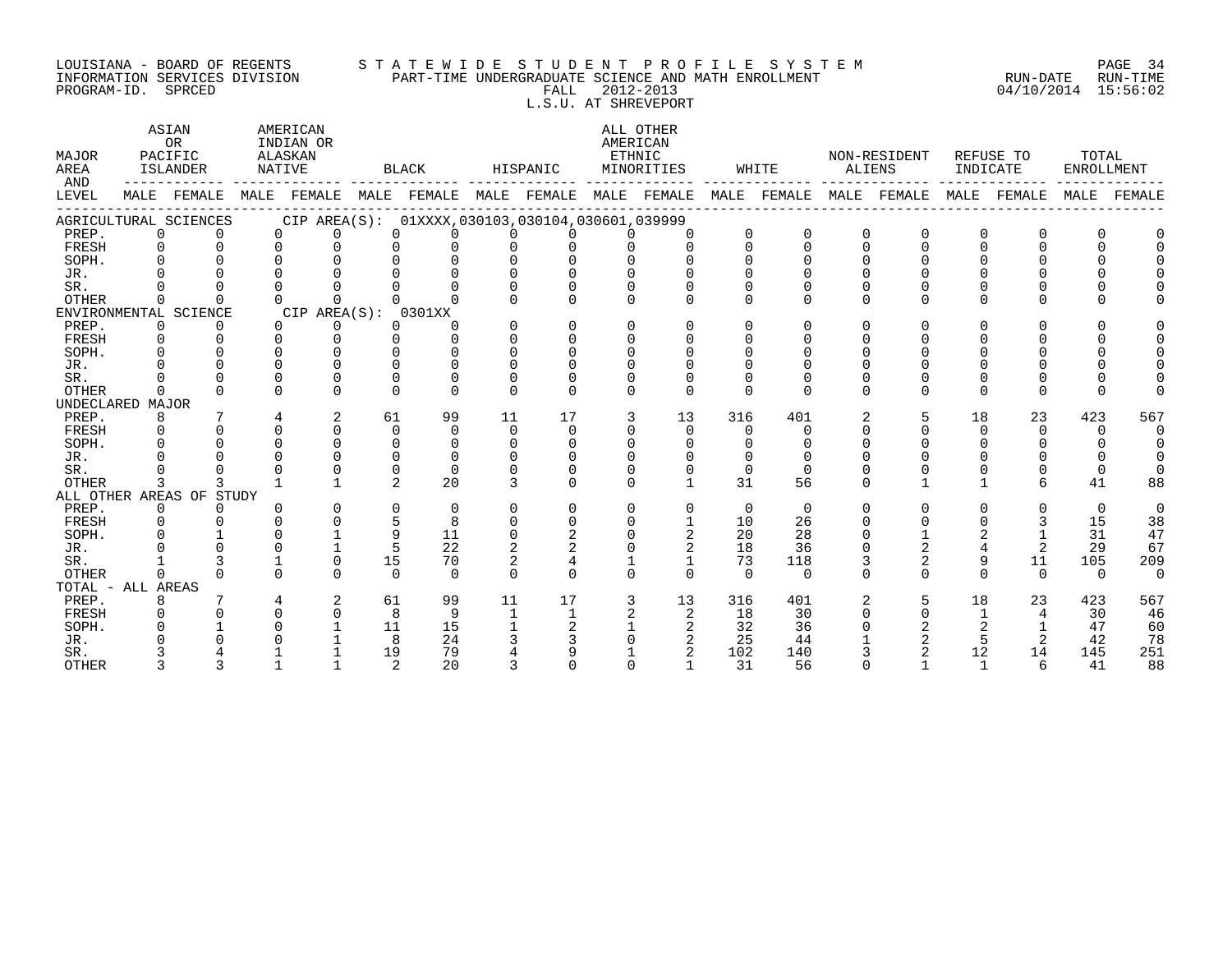# LOUISIANA - BOARD OF REGENTS S T A T E W I D E S T U D E N T P R O F I L E S Y S T E M PAGE 34 INFORMATION SERVICES DIVISION PART-TIME UNDERGRADUATE SCIENCE AND MATH ENROLLMENT RUN-DATE RUN-TIME PROGRAM-ID. SPRCED FALL 2012-2013 04/10/2014 15:56:02

 L.S.U. AT SHREVEPORT ASIAN AMERICAN ALL OTHER OR INDIAN OR **AMERICAN** MAJOR PACIFIC ALASKAN ETHNIC NON-RESIDENT REFUSE TO TOTAL AREA ISLANDER NATIVE BLACK HISPANIC MINORITIES WHITE ALIENS INDICATE ENROLLMENT AND ------------ ------------- ------------- ------------- ------------- ------------- ------------- ------------- ------------- LEVEL MALE FEMALE MALE FEMALE MALE FEMALE MALE FEMALE MALE FEMALE MALE FEMALE MALE FEMALE MALE FEMALE MALE FEMALE ------------------------------------------------------------------------------------------------------------------------------------ AGRICULTURAL SCIENCES CIP AREA(S): 01XXXX,030103,030104,030601,039999 PREP. 0 0 0 0 0 0 0 0 0 0 0 0 0 0 0 0 0 0 FRESH 0 0 0 0 0 0 0 0 0 0 0 0 0 0 0 0 0 0 SOPH. 0 0 0 0 0 0 0 0 0 0 0 0 0 0 0 0 0 0 JR. 0 0 0 0 0 0 0 0 0 0 0 0 0 0 0 0 0 0 SR. 0 0 0 0 0 0 0 0 0 0 0 0 0 0 0 0 0 0 OTHER 0 0 0 0 0 0 0 0 0 0 0 0 0 0 0 0 0 0 ENVIRONMENTAL SCIENCE CIP AREA(S): 0301XX PREP. 0 0 0 0 0 0 0 0 0 0 0 0 0 0 0 0 0 0 FRESH 0 0 0 0 0 0 0 0 0 0 0 0 0 0 0 0 0 0

| FRESH        |                    |       |                          |          |          |    |             |   |    |              |          |  |    |          |          |     |
|--------------|--------------------|-------|--------------------------|----------|----------|----|-------------|---|----|--------------|----------|--|----|----------|----------|-----|
| SOPH.        |                    |       |                          |          |          |    |             |   |    |              |          |  |    |          |          |     |
| JR.          |                    |       |                          |          |          |    |             |   |    |              |          |  |    |          |          |     |
| SR.          |                    |       |                          |          |          |    |             |   |    |              |          |  |    |          |          |     |
| OTHER        |                    |       |                          |          |          |    |             |   |    |              |          |  |    |          |          |     |
| UNDECLARED   | MAJOR              |       |                          |          |          |    |             |   |    |              |          |  |    |          |          |     |
| PREP.        |                    |       | $\overline{\phantom{a}}$ | 61       | 99       | 11 | 17          |   | 13 | 316          | 401      |  | 18 | 23       | 423      | 567 |
| FRESH        |                    |       |                          |          |          |    |             |   |    |              |          |  |    |          |          |     |
| SOPH.        |                    |       |                          |          |          |    |             |   |    |              |          |  |    |          |          |     |
| JR.          |                    |       |                          |          |          |    |             |   |    |              |          |  |    |          |          |     |
| SR.          |                    |       |                          |          | 0        |    |             |   |    |              |          |  |    |          |          |     |
| OTHER        |                    |       |                          | $\Omega$ | 20       |    | $\mathbf 0$ | 0 |    | 31           | 56       |  |    | 6        | 41       | 88  |
|              | ALL OTHER AREAS OF | STUDY |                          |          |          |    |             |   |    |              |          |  |    |          |          |     |
| PREP.        |                    |       |                          |          | 0        |    |             |   |    | 0            | 0        |  |    |          | $\Omega$ |     |
| FRESH        |                    |       |                          |          |          |    |             |   |    | 10           | 26       |  |    |          | 15       | 38  |
| SOPH.        |                    |       |                          |          | 11       |    |             |   |    | 20           | 28       |  |    |          | 31       | 47  |
| JR.          |                    |       |                          |          | 22       |    |             |   |    | 18           | 36       |  |    |          | 29       | 67  |
| SR.          |                    |       |                          | 15       | 70       |    |             |   |    | 73           | 118      |  |    | 11       | 105      | 209 |
| OTHER        |                    |       |                          | $\Omega$ | $\Omega$ |    |             |   |    | $\mathbf{0}$ | $\Omega$ |  |    | $\Omega$ | $\Omega$ |     |
|              | TOTAL - ALL AREAS  |       |                          |          |          |    |             |   |    |              |          |  |    |          |          |     |
| PREP.        |                    |       |                          | 61       | 99       | 11 | 17          |   | 13 | 316          | 401      |  | 18 | 23       | 423      | 567 |
| FRESH        |                    |       |                          |          | 9        |    |             |   |    | 18           | 30       |  |    |          | 30       | 46  |
| SOPH.        |                    |       |                          |          | 15       |    |             |   |    | 32           | 36       |  |    |          | 47       | 60  |
| JR.          |                    |       |                          |          | 24       |    |             |   |    | 25           | 44       |  |    |          | 42       | 78  |
| SR.          |                    |       |                          | 19       | 79       |    |             |   |    | 102          | 140      |  | 12 | 14       | 145      | 251 |
| <b>OTHER</b> |                    |       |                          |          | 20       |    |             |   |    | 31           | 56       |  |    | h        | 41       | 88  |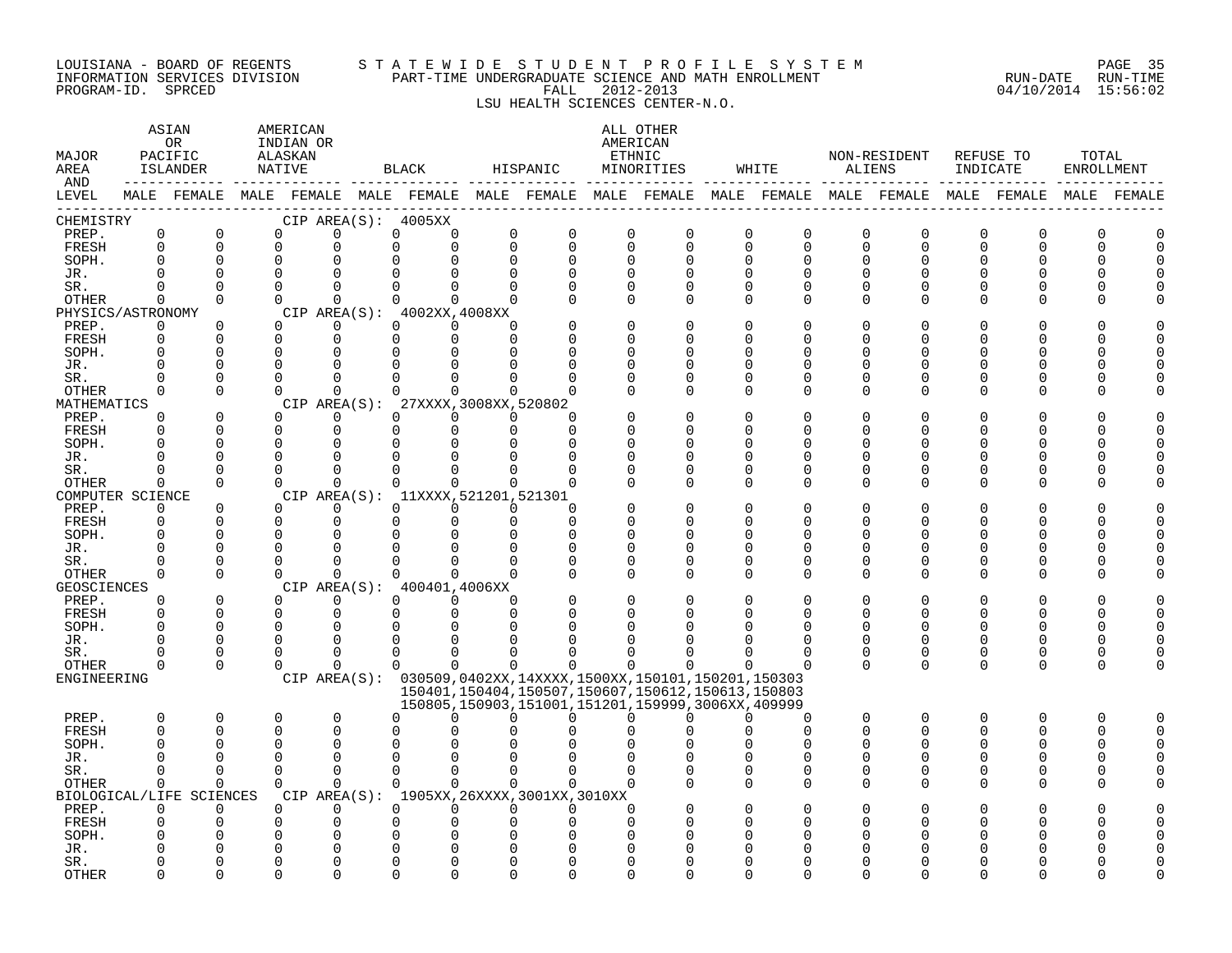#### LOUISIANA - BOARD OF REGENTS S T A T E W I D E S T U D E N T P R O F I L E S Y S T E M PAGE 35 INFORMATION SERVICES DIVISION PART-TIME UNDERGRADUATE SCIENCE AND MATH ENROLLMENT RUN-DATE RUN-TIME PROGRAM-ID. SPRCED FALL 2012-2013 04/10/2014 15:56:02

LSU HEALTH SCIENCES CENTER-N.O.

| MAJOR<br>AREA<br>AND       |                      | ASIAN<br>OR<br>PACIFIC<br>ISLANDER |                      | AMERICAN<br>INDIAN OR<br>ALASKAN<br>NATIVE |                                                               | BLACK                             |                    | HISPANIC             |               | ALL OTHER<br>AMERICAN<br>ETHNIC<br>MINORITIES                     | WHITE                                                                                                       | ALIENS   | NON-RESIDENT             | INDICATE      | REFUSE TO     | TOTAL<br>ENROLLMENT |          |
|----------------------------|----------------------|------------------------------------|----------------------|--------------------------------------------|---------------------------------------------------------------|-----------------------------------|--------------------|----------------------|---------------|-------------------------------------------------------------------|-------------------------------------------------------------------------------------------------------------|----------|--------------------------|---------------|---------------|---------------------|----------|
| LEVEL                      |                      |                                    |                      |                                            |                                                               |                                   |                    |                      |               |                                                                   | MALE FEMALE MALE FEMALE MALE FEMALE MALE FEMALE MALE FEMALE MALE FEMALE MALE FEMALE MALE FEMALE MALE FEMALE |          |                          |               |               |                     |          |
| CHEMISTRY                  |                      |                                    |                      |                                            | CIP AREA(S): 4005XX                                           |                                   |                    |                      |               |                                                                   |                                                                                                             |          |                          |               |               |                     |          |
| PREP.                      | $\mathbf 0$          | 0                                  | $\Omega$             |                                            | $\Omega$                                                      | $\Omega$<br>0                     |                    | $\mathbf 0$          | 0             | 0<br>0                                                            | 0<br>0                                                                                                      | 0        | $\Omega$                 | 0             | 0             | O                   | 0        |
| FRESH                      | $\mathbf 0$          | $\Omega$                           | $\Omega$             |                                            | 0                                                             | 0                                 | $\Omega$           | $\mathbf 0$          | $\Omega$      | $\mathbf 0$<br>$\Omega$                                           | 0<br>0                                                                                                      | $\Omega$ | $\Omega$                 | $\Omega$      | $\Omega$      | $\Omega$            | $\Omega$ |
| SOPH.                      | $\mathbf 0$          | $\Omega$                           | $\Omega$             |                                            | $\Omega$                                                      | $\Omega$                          | $\Omega$           | $\Omega$             | $\Omega$      | $\Omega$<br>0                                                     | 0<br>$\Omega$                                                                                               | ∩        | $\Omega$                 | $\Omega$      | U             | U                   | $\cap$   |
| JR.                        | U                    | $\Omega$                           | ∩                    |                                            |                                                               |                                   |                    |                      |               | $\Omega$<br>U                                                     | $\Omega$<br><sup>0</sup>                                                                                    |          | <sup>0</sup>             | U             |               | U                   |          |
| SR.                        | $\Omega$<br>$\Omega$ | $\Omega$<br>$\Omega$               | $\Omega$<br>$\Omega$ |                                            | $\Omega$                                                      | O<br>$\Omega$                     | $\Omega$           | $\Omega$<br>$\Omega$ | <sup>0</sup>  | 0<br>O<br>$\Omega$<br>$\Omega$                                    | 0<br>0<br>$\Omega$                                                                                          | O<br>∩   | $\Omega$<br>$\Omega$     | O<br>∩        | 0<br>∩        | O                   |          |
| OTHER<br>PHYSICS/ASTRONOMY |                      |                                    |                      |                                            | $\Omega$<br>CIP AREA $(S):$ 4002XX, 4008XX                    | $\Omega$                          |                    |                      |               |                                                                   | 0                                                                                                           |          |                          |               |               |                     |          |
| PREP.                      | $\Omega$             | $\Omega$                           | $\Omega$             |                                            | $\Omega$                                                      | U                                 | $\Omega$<br>$\cap$ |                      |               | ∩<br>U                                                            | O<br>O                                                                                                      |          | n                        |               |               |                     |          |
| FRESH                      | $\Omega$             | $\Omega$                           | $\Omega$             |                                            | $\Omega$                                                      | $\Omega$                          | $\Omega$           | $\Omega$             |               | ∩<br>∩                                                            | 0<br>O                                                                                                      |          | ∩                        | $\Omega$      |               | U                   | $\cap$   |
| SOPH.                      | 0                    | 0                                  | 0                    |                                            | 0                                                             | O<br>O                            |                    |                      |               | 0<br>O                                                            | 0<br>0                                                                                                      |          | $\Omega$                 | O             | O             | O                   | $\cap$   |
| JR.                        | $\Omega$             |                                    |                      |                                            |                                                               |                                   |                    |                      |               | ∩<br>U                                                            | $\Omega$<br>U                                                                                               |          | ∩                        | U             |               | $\cap$              |          |
| SR.                        | $\Omega$             | $\Omega$                           | $\Omega$             |                                            |                                                               |                                   |                    |                      |               | ∩<br>U                                                            | $\Omega$<br>$\Omega$                                                                                        |          | ∩                        | U             | U             | U                   |          |
| OTHER                      | $\Omega$             | $\Omega$                           | $\Omega$             |                                            | $\Omega$                                                      | $\Omega$                          | $\Omega$           | $\Omega$             |               | $\Omega$<br>∩                                                     | $\Omega$<br>$\Omega$                                                                                        | ∩        | $\Omega$                 | $\Omega$      | 0             | n                   |          |
| MATHEMATICS                |                      |                                    |                      |                                            | CIP AREA(S): 27XXXX, 3008XX, 520802                           |                                   |                    |                      |               |                                                                   |                                                                                                             |          |                          |               |               |                     |          |
| PREP.                      | 0                    | 0                                  | $\Omega$             |                                            | 0                                                             | $\Omega$                          | 0                  | $\Omega$             | <sup>0</sup>  | O<br>0<br>$\Omega$<br>U                                           | 0<br>0<br>$\Omega$                                                                                          | ∩        | O                        | O<br>$\Omega$ | O<br>U        | C<br>$\cap$         | U        |
| FRESH<br>SOPH.             | $\Omega$<br>$\Omega$ | $\Omega$<br>$\Omega$               | $\Omega$<br>$\Omega$ |                                            | $\mathbf 0$<br>$\Omega$                                       | $\mathbf 0$<br>$\Omega$<br>$\cap$ | $\mathbf 0$        | $\Omega$<br>∩        | $\Omega$<br>∩ | $\Omega$<br>U                                                     | 0<br>$\Omega$<br>U                                                                                          |          | $\Omega$<br><sup>0</sup> | U             | U             | U                   |          |
| JR.                        | U                    |                                    | $\Omega$             |                                            | O                                                             |                                   |                    |                      |               | $\Omega$<br>U                                                     | 0<br>U                                                                                                      |          | <sup>0</sup>             | O             | U             | C                   |          |
| SR.                        | U                    | U                                  | $\Omega$             |                                            | $\Omega$                                                      | ∩                                 |                    |                      |               | $\Omega$<br>O                                                     | 0<br>$\Omega$                                                                                               | ∩        | $\Omega$                 | O             | $\Omega$      | C                   |          |
| OTHER                      | $\Omega$             | $\Omega$                           | $\Omega$             |                                            | $\Omega$                                                      | 0                                 | $\Omega$           | $\Omega$             | <sup>0</sup>  | $\Omega$<br>0                                                     | 0<br>$\Omega$                                                                                               | ∩        | $\Omega$                 | O             | O             | U                   |          |
| COMPUTER SCIENCE           |                      |                                    |                      |                                            | CIP AREA(S): 11XXXX, 521201, 521301                           |                                   |                    |                      |               |                                                                   |                                                                                                             |          |                          |               |               |                     |          |
| PREP.                      | 0                    | $\Omega$                           | $\Omega$             |                                            | U                                                             | 0                                 | $\Omega$           | $\Omega$             | ∩             | 0                                                                 | 0<br>$\Omega$                                                                                               |          | ∩                        | $\Omega$      |               | U                   |          |
| FRESH                      | 0                    | $\Omega$                           | $\Omega$             |                                            | $\Omega$                                                      | $\Omega$                          | $\Omega$           | $\Omega$             | $\Omega$      | ∩<br>U                                                            | 0<br>$\Omega$                                                                                               |          | $\Omega$                 | $\Omega$      | U             | U                   | $\cap$   |
| SOPH.                      | 0                    | $\Omega$                           | $\Omega$             |                                            | <sup>0</sup>                                                  | O                                 |                    | $\Omega$             | <sup>0</sup>  | O<br>O                                                            | 0<br><sup>0</sup>                                                                                           |          | <sup>0</sup>             | O             | 0             | C                   | $\cap$   |
| JR.                        | O                    |                                    |                      |                                            |                                                               |                                   |                    |                      |               | 0<br>U                                                            | 0<br>$\Omega$                                                                                               |          | $\Omega$                 | O             | U             | U                   |          |
| SR.                        | $\Omega$<br>$\Omega$ | $\Omega$<br>$\Omega$               | ∩<br>$\Omega$        |                                            | $\Omega$                                                      | $\Omega$                          | $\Omega$           | $\Omega$             | $\cap$        | ∩<br>U<br>$\Omega$<br>$\Omega$                                    | 0<br><sup>n</sup><br>$\Omega$<br>$\Omega$                                                                   | ∩        | $\Omega$<br>$\Omega$     | O<br>$\Omega$ | U<br>$\Omega$ | U<br>U              |          |
| OTHER<br>GEOSCIENCES       |                      |                                    |                      |                                            | CIP AREA(S): 400401,4006XX                                    |                                   |                    |                      |               |                                                                   |                                                                                                             |          |                          |               |               |                     |          |
| PREP.                      | 0                    | 0                                  | $\Omega$             |                                            | 0                                                             | $\Omega$                          | 0                  | $\Omega$             |               | $\Omega$<br>O                                                     | 0<br>0                                                                                                      |          | <sup>0</sup>             | $\Omega$      | 0             | O                   |          |
| FRESH                      | $\Omega$             | 0                                  | $\Omega$             |                                            | 0                                                             | 0                                 | $\Omega$           | $\Omega$             |               | ∩<br>∩                                                            | O<br>U                                                                                                      | ∩        | 0                        | O             | U             | $\cap$              | U        |
| SOPH.                      | $\Omega$             | $\Omega$                           | $\Omega$             |                                            | $\Omega$                                                      |                                   |                    |                      |               |                                                                   |                                                                                                             |          | ∩                        | U             | U             | $\Omega$            | $\cap$   |
| JR.                        | U                    | $\Omega$                           | $\Omega$             |                                            | U                                                             |                                   |                    |                      |               |                                                                   | O<br>O                                                                                                      |          | $\Omega$                 | U             | U             | $\Omega$            | $\cap$   |
| SR.                        | $\Omega$             | $\Omega$                           | $\Omega$             |                                            | $\Omega$                                                      | U<br>∩                            |                    |                      |               | ∩<br>U                                                            | O<br>U                                                                                                      | O        | $\Omega$                 | O             | $\Omega$      | $\Omega$            | $\Omega$ |
| OTHER                      | $\Omega$             | $\Omega$                           | $\Omega$             |                                            | $\Omega$                                                      | $\Omega$                          | $\Omega$           | $\Omega$             | $\Omega$      | $\Omega$<br>$\Omega$                                              | 0                                                                                                           | $\Omega$ | 0                        | 0             | 0             | $\Omega$            | $\Omega$ |
| ENGINEERING                |                      |                                    |                      |                                            | CIP AREA(S): 030509,0402XX,14XXXX,1500XX,150101,150201,150303 |                                   |                    |                      |               |                                                                   |                                                                                                             |          |                          |               |               |                     |          |
|                            |                      |                                    |                      |                                            |                                                               |                                   |                    |                      |               | 150401,150404,150507,150607,150612,150613,150803                  |                                                                                                             |          |                          |               |               |                     |          |
| PREP.                      | 0                    | $\mathbf 0$                        | $\Omega$             |                                            | 0                                                             | O                                 | $\Omega$           | $\Omega$             | $\Omega$      | 150805,150903,151001,151201,159999,3006XX,409999<br>$\Omega$<br>0 | 0<br>$\Omega$                                                                                               | $\Omega$ | $\Omega$                 | $\Omega$      | 0             | O                   | $\cap$   |
| FRESH                      | 0                    | $\Omega$                           |                      |                                            | O                                                             |                                   |                    |                      |               |                                                                   | $\Omega$<br>O                                                                                               | $\cap$   | $\Omega$                 | $\Omega$      | $\Omega$      | $\cap$              | $\Omega$ |
| SOPH.                      | $\Omega$             | <sup>n</sup>                       |                      |                                            | U                                                             |                                   |                    |                      |               |                                                                   | U<br>U                                                                                                      |          | ∩                        | O             | U             | ∩                   | $\cap$   |
| JR.                        | $\Omega$             | $\Omega$                           | $\Omega$             |                                            | $\Omega$                                                      | ∩                                 |                    |                      |               |                                                                   | $\Omega$<br>$\Omega$                                                                                        |          | $\Omega$                 | $\Omega$      | O             | O                   | $\cap$   |
| SR.                        | $\Omega$             | $\Omega$                           | $\Omega$             |                                            | $\Omega$                                                      | O                                 | $\Omega$           | $\Omega$             | $\cap$        | $\Omega$<br>O                                                     | 0<br>0                                                                                                      | O        | $\Omega$                 | 0             | 0             | C                   | ∩        |
| OTHER                      | 0                    | $\Omega$                           | $\Omega$             |                                            | $\Omega$                                                      | $\Omega$                          | $\Omega$           | $\Omega$             | $\Omega$      | $\Omega$<br>U                                                     | 0<br>$\Omega$                                                                                               | O        | <sup>0</sup>             | O             | 0             | U                   |          |
|                            |                      | BIOLOGICAL/LIFE SCIENCES           |                      |                                            | CIP AREA(S): 1905XX, 26XXXX, 3001XX, 3010XX                   |                                   |                    |                      |               |                                                                   |                                                                                                             |          |                          |               |               |                     |          |
| PREP.                      | $\Omega$             | $\Omega$                           | $\Omega$             |                                            | $\Omega$                                                      | O                                 | $\Omega$           | $\Omega$             | $\Omega$      | ∩                                                                 | ∩                                                                                                           |          |                          |               |               |                     |          |
| FRESH                      | 0                    | U                                  | ∩                    |                                            | $\Omega$                                                      | U<br>∩                            |                    |                      |               | ∩                                                                 | O<br>Λ                                                                                                      |          | ∩                        | U             | U             | U                   |          |
| SOPH.                      | O                    |                                    |                      |                                            |                                                               |                                   |                    |                      |               |                                                                   | O                                                                                                           |          |                          |               |               | U                   |          |
| JR.<br>SR.                 | O                    |                                    |                      |                                            | U                                                             |                                   | Λ                  |                      |               | ∩                                                                 | N<br>Λ                                                                                                      |          |                          |               |               |                     |          |
| <b>OTHER</b>               | $\cap$               | $\Omega$                           | <sup>n</sup>         |                                            | $\cap$                                                        | ∩                                 | $\Omega$<br>$\cap$ |                      | $\Omega$      | ∩<br>∩                                                            | O<br>$\Omega$                                                                                               |          |                          |               | ∩             |                     |          |
|                            |                      |                                    |                      |                                            |                                                               |                                   |                    |                      |               |                                                                   |                                                                                                             |          |                          |               |               |                     |          |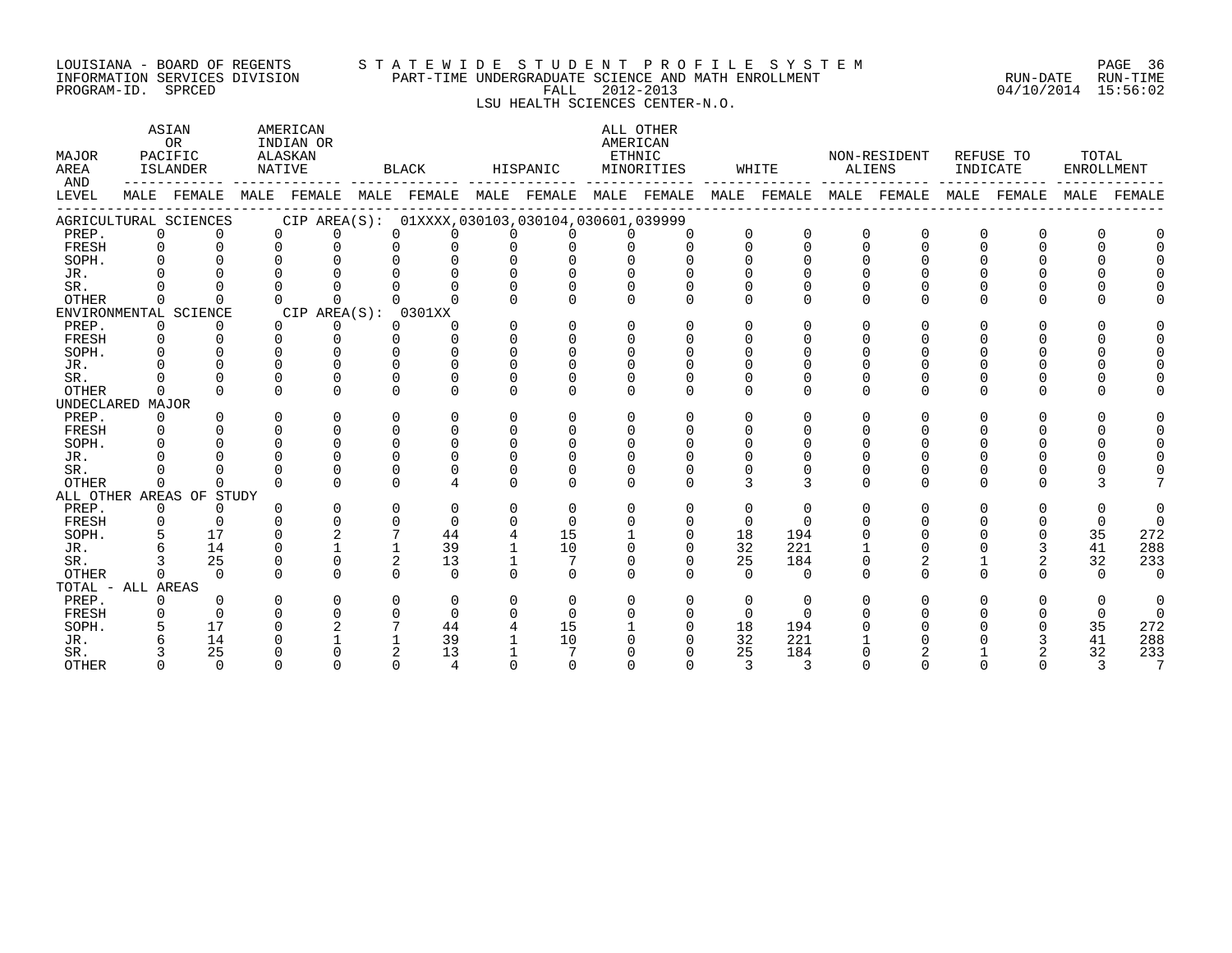#### LOUISIANA - BOARD OF REGENTS S T A T E W I D E S T U D E N T P R O F I L E S Y S T E M PAGE 36 INFORMATION SERVICES DIVISION PART-TIME UNDERGRADUATE SCIENCE AND MATH ENROLLMENT RUN-DATE RUN-TIME DOULSIANA – BOARD OF REGENIS<br>INFORMATION SERVICES DIVISION PART-TIME UNDERGRADUATE SCIENCE AND MATH ENROLLMENT (RUN-DATE RUN-DATE RUN-TIME<br>PROGRAM-ID. SPRCED 15:56:02

LSU HEALTH SCIENCES CENTER-N.O.

| MAJOR<br>AREA<br>AND |                | ASIAN<br>OR<br>PACIFIC<br>ISLANDER |          | AMERICAN<br>INDIAN OR<br>ALASKAN<br>NATIVE |   | BLACK                                           |          | HISPANIC |              | ALL OTHER<br>AMERICAN<br>ETHNIC<br>MINORITIES |          | WHITE                   | ALIENS   | NON-RESIDENT | INDICATE     | REFUSE TO   | TOTAL<br>ENROLLMENT |          |
|----------------------|----------------|------------------------------------|----------|--------------------------------------------|---|-------------------------------------------------|----------|----------|--------------|-----------------------------------------------|----------|-------------------------|----------|--------------|--------------|-------------|---------------------|----------|
| LEVEL                |                | MALE FEMALE                        |          |                                            |   | MALE FEMALE MALE FEMALE MALE FEMALE MALE FEMALE |          |          |              |                                               |          | MALE FEMALE MALE FEMALE |          |              |              | MALE FEMALE | MALE                | FEMALE   |
|                      |                | AGRICULTURAL SCIENCES              |          |                                            |   | CIP AREA(S): 01XXXX,030103,030104,030601,039999 |          |          |              |                                               |          |                         |          |              |              |             |                     |          |
| PREP.                | $\mathbf{0}$   | $\Omega$                           |          | $\Omega$<br>$\Omega$                       |   | $\Omega$<br>0                                   | $\Omega$ | $\Omega$ |              | $\Omega$                                      |          | $\Omega$                | $\Omega$ | $\Omega$     | 0            |             |                     |          |
| FRESH                | $\Omega$       | $\Omega$                           | $\Omega$ | $\Omega$                                   |   | $\Omega$                                        | $\Omega$ |          |              | $\cap$                                        | $\Omega$ | $\Omega$                | $\Omega$ | $\Omega$     | $\Omega$     |             | $\Omega$            |          |
| SOPH.                | $\Omega$       |                                    |          |                                            |   | U                                               |          |          |              |                                               |          |                         |          |              |              |             |                     |          |
| JR.                  |                |                                    |          |                                            |   |                                                 |          |          |              |                                               |          |                         |          |              |              |             |                     |          |
| SR.                  |                |                                    |          |                                            |   |                                                 |          |          |              |                                               |          |                         |          |              |              |             |                     |          |
| <b>OTHER</b>         | $\Omega$       |                                    | $\cap$   |                                            |   |                                                 |          | $\Omega$ | U            | $\Omega$                                      | $\Omega$ | $\Omega$                | $\Omega$ | 0            | $\Omega$     |             | U                   |          |
|                      |                | ENVIRONMENTAL SCIENCE              |          | CIP AREA(S): 0301XX                        |   |                                                 |          |          |              |                                               |          |                         |          |              |              |             |                     |          |
| PREP.                | $\overline{0}$ | $\Omega$                           | $\Omega$ | 0                                          |   | $\Omega$<br>$\Omega$                            | $\Omega$ | $\Omega$ | $\Omega$     | $\Omega$                                      | $\Omega$ | ∩                       | $\Omega$ | U            | $\Omega$     |             | U                   |          |
| FRESH                | $\mathbf 0$    | $\Omega$                           | $\Omega$ | $\Omega$                                   |   | $\cap$<br>$\Omega$                              | $\Omega$ | $\Omega$ | $\cap$       | $\cap$                                        |          | ∩                       |          | U            |              |             | U                   |          |
| SOPH.                | $\cap$         |                                    | $\cap$   | $\cap$                                     |   | U                                               |          | $\Omega$ |              |                                               |          |                         |          |              |              |             |                     |          |
| JR.                  |                |                                    | $\cap$   |                                            |   | U                                               |          |          |              |                                               |          |                         |          |              |              |             |                     |          |
| SR.                  |                |                                    | $\Omega$ | U                                          |   | 0                                               |          |          |              |                                               |          |                         |          |              |              |             |                     |          |
| <b>OTHER</b>         | $\Omega$       | $\Omega$                           | $\cap$   | $\Omega$                                   |   | $\Omega$<br>$\Omega$                            | $\Omega$ | $\Omega$ | $\Omega$     | $\Omega$                                      | $\Omega$ | $\Omega$                | U        | 0            | $\Omega$     | $\cap$      | U                   |          |
| UNDECLARED MAJOR     |                |                                    |          |                                            |   |                                                 |          |          |              |                                               |          |                         |          |              |              |             |                     |          |
| PREP.                | $\Omega$       | $\Omega$                           | $\Omega$ | $\Omega$                                   |   | $\Omega$<br>$\Omega$                            | $\Omega$ | $\Omega$ | 0            | $\Omega$                                      | ∩        | ∩                       | U        | U            | $\Omega$     |             | U                   |          |
| FRESH                | $\Omega$       |                                    | $\cap$   | $\Omega$                                   |   | $\Omega$<br>$\Omega$                            | $\Omega$ | $\Omega$ |              |                                               |          |                         |          |              |              |             |                     |          |
| SOPH.                | $\Omega$       |                                    | $\Omega$ | $\Omega$                                   |   | $\Omega$<br>$\Omega$                            |          | $\Omega$ |              | U                                             |          |                         |          |              |              |             |                     |          |
| JR.                  |                |                                    | $\cap$   | $\cap$                                     |   | U                                               |          |          |              |                                               |          |                         |          |              |              |             |                     |          |
| SR.                  |                |                                    | $\cap$   |                                            | 0 |                                                 |          |          |              | $\Omega$                                      |          |                         |          |              |              |             |                     |          |
| <b>OTHER</b>         | $\cap$         | U                                  | ∩        | $\cap$                                     |   | $\cap$                                          |          | $\cap$   | $\cap$       | $\cap$                                        | २        | २                       | $\cap$   | <sup>n</sup> | <sup>n</sup> |             |                     |          |
|                      |                | ALL OTHER AREAS OF STUDY           |          |                                            |   |                                                 |          |          |              |                                               |          |                         |          |              |              |             |                     |          |
| PREP.                | $\overline{0}$ | $\Omega$                           | ∩        | $\Omega$                                   |   | $\Omega$<br>$\Omega$                            | $\Omega$ | $\Omega$ | <sup>n</sup> | $\Omega$                                      | $\Omega$ | $\Omega$                | U        | U            | $\Omega$     |             | $\Omega$            |          |
| FRESH                | $\mathbf 0$    | $\Omega$                           | $\cap$   | $\Omega$                                   |   | $\Omega$<br>$\Omega$                            | $\Omega$ | $\Omega$ |              | $\Omega$                                      | $\Omega$ | $\Omega$                |          |              |              |             | $\Omega$            | $\Omega$ |
| SOPH.                |                | 17                                 | $\cap$   | $\overline{2}$                             |   | 44                                              |          | 15       |              | $\Omega$                                      | 18       | 194                     |          |              |              |             | 35                  | 272      |
| JR.                  |                | 14                                 | ∩        |                                            |   | 39                                              |          | 10       |              | $\Omega$                                      | 32       | 221                     |          |              |              |             | 41                  | 288      |
| SR.                  |                | 25                                 | $\Omega$ | $\Omega$                                   |   | 2<br>13                                         |          |          | $\Omega$     | $\Omega$                                      | 25       | 184                     |          | 2            |              | 2           | 32                  | 233      |
| <b>OTHER</b>         | $\cap$         | $\cap$                             | $\cap$   | $\Omega$                                   |   | $\cap$<br>$\cap$                                | $\Omega$ | $\Omega$ |              | $\cap$                                        | $\cap$   | $\Omega$                | $\Omega$ | U            | $\Omega$     |             | $\Omega$            | $\Omega$ |
| TOTAL - ALL AREAS    |                |                                    |          |                                            |   |                                                 |          |          |              |                                               |          |                         |          |              |              |             |                     |          |
| PREP.                | $\Omega$       |                                    | ∩        | $\Omega$                                   |   | $\Omega$<br>$\Omega$                            | $\Omega$ | $\Omega$ |              | $\Omega$                                      | $\Omega$ | $\Omega$                |          | O            | <sup>n</sup> |             | $\Omega$            | $\Omega$ |
| FRESH                | $\Omega$       | $\Omega$                           | $\Omega$ | U                                          |   | 0<br>$\Omega$                                   | $\Omega$ | $\Omega$ |              | $\Omega$                                      | $\Omega$ | $\Omega$                |          |              |              |             | $\Omega$            | $\Omega$ |
| SOPH.                |                | 17                                 |          |                                            |   | 44                                              |          | 15       |              |                                               | 18       | 194                     |          |              |              |             | 35                  | 272      |
| JR.                  |                | 14                                 |          |                                            |   | 39                                              |          | 10       |              |                                               | 32       | 221                     |          |              |              |             | 41                  | 288      |
| SR.                  |                | 25                                 |          |                                            |   | 13                                              |          |          |              |                                               | 25       | 184                     |          |              |              |             | 32                  | 233      |
| <b>OTHER</b>         | $\cap$         | $\Omega$                           |          |                                            |   | $\cap$<br>$\Delta$                              |          |          |              |                                               | २        | २                       |          |              |              |             |                     | 7        |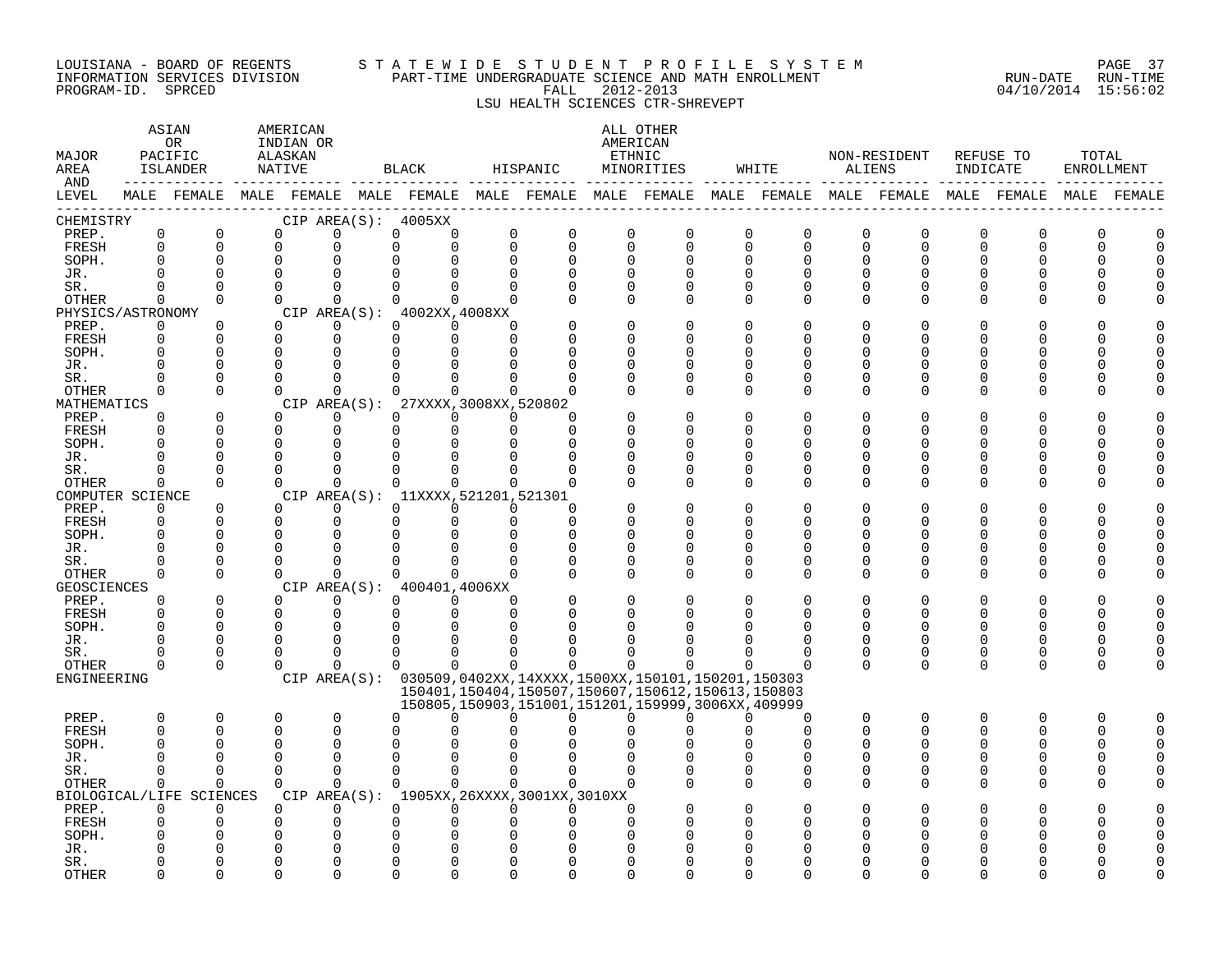#### LOUISIANA - BOARD OF REGENTS S T A T E W I D E S T U D E N T P R O F I L E S Y S T E M PAGE 37 INFORMATION SERVICES DIVISION PART-TIME UNDERGRADUATE SCIENCE AND MATH ENROLLMENT RUN-DATE RUN-TIME PROGRAM-ID. SPRCED FALL 2012-2013 04/10/2014 15:56:02

# LSU HEALTH SCIENCES CTR-SHREVEPT

| MAJOR<br>AREA<br>AND |                      | ASIAN<br>0 <sub>R</sub><br>PACIFIC<br>ISLANDER<br>------------- |          | AMERICAN<br>INDIAN OR<br>ALASKAN<br>NATIVE |                      | BLACK                                        |                             | HISPANIC                                                                                                    | ETHNIC                   | ALL OTHER<br>AMERICAN<br>MINORITIES |                      | WHITE                      | ALIENS                  | NON-RESIDENT  | INDICATE | REFUSE TO        | TOTAL<br>ENROLLMENT |   |
|----------------------|----------------------|-----------------------------------------------------------------|----------|--------------------------------------------|----------------------|----------------------------------------------|-----------------------------|-------------------------------------------------------------------------------------------------------------|--------------------------|-------------------------------------|----------------------|----------------------------|-------------------------|---------------|----------|------------------|---------------------|---|
| LEVEL                |                      |                                                                 |          |                                            |                      |                                              |                             | MALE FEMALE MALE FEMALE MALE FEMALE MALE FEMALE MALE FEMALE MALE FEMALE MALE FEMALE MALE FEMALE MALE FEMALE |                          |                                     |                      |                            |                         |               |          |                  |                     |   |
| CHEMISTRY            |                      |                                                                 |          |                                            |                      | CIP AREA(S): 4005XX                          |                             |                                                                                                             |                          |                                     |                      |                            |                         |               |          |                  |                     |   |
| PREP.<br>FRESH       | 0<br>0               | $\mathbf 0$<br>$\mathbf 0$                                      |          | $\Omega$<br>$\mathbf 0$                    | $\Omega$<br>$\Omega$ | 0<br>0<br>$\Omega$<br>$\mathbf 0$            | $\mathsf{O}$<br>$\mathbf 0$ | $\mathbf 0$<br>$\Omega$                                                                                     | $\mathbf 0$<br>$\Omega$  | $\mathbf 0$<br>$\mathbf 0$          | 0<br>$\mathbf 0$     | $\mathbf 0$<br>$\mathbf 0$ | $\mathbf 0$<br>$\Omega$ | 0<br>$\Omega$ | 0<br>0   | $\mathbf 0$<br>0 | $\Omega$<br>$\cap$  |   |
| SOPH.                | 0                    | $\Omega$                                                        |          | $\Omega$                                   |                      | $\Omega$                                     | $\mathbf 0$                 | $\Omega$                                                                                                    | $\Omega$                 | $\Omega$                            | $\Omega$             | $\Omega$                   | $\Omega$                | 0             | 0        |                  |                     |   |
| JR.                  |                      |                                                                 |          | $\Omega$                                   |                      | U                                            | 0<br>$\Omega$               | $\Omega$                                                                                                    | $\Omega$                 |                                     | $\Omega$             |                            | $\Omega$                | U             | U        |                  |                     |   |
| SR.                  | $\Omega$             | $\Omega$                                                        |          | $\Omega$                                   | $\Omega$             | $\Omega$<br>$\Omega$                         | $\Omega$                    | $\Omega$                                                                                                    | $\Omega$                 | $\Omega$                            | $\Omega$             | $\Omega$                   | $\Omega$                | U             | 0        | $\Omega$         |                     |   |
| OTHER                | 0                    | $\Omega$                                                        |          | $\Omega$                                   | $\Omega$             | $\Omega$<br>$\Omega$                         | $\Omega$                    |                                                                                                             | $\Omega$                 | $\Omega$                            | $\Omega$             | $\Omega$                   | $\Omega$                | $\Omega$      | $\Omega$ | ∩                |                     |   |
| PHYSICS/ASTRONOMY    |                      |                                                                 |          |                                            |                      | CIP AREA(S): 4002XX, 4008XX                  |                             |                                                                                                             |                          |                                     |                      |                            |                         |               |          |                  |                     |   |
| PREP.                | $\Omega$             | $\Omega$                                                        |          | $\Omega$                                   | $\Omega$             | $\Omega$<br>$\Omega$                         | $\Omega$                    |                                                                                                             | $\Omega$                 | $\Omega$                            | $\Omega$             | n                          | $\Omega$                | $\Omega$      | 0        |                  |                     |   |
| FRESH                | $\Omega$             | $\Omega$                                                        |          | $\Omega$                                   | $\mathbf 0$          | $\Omega$<br>$\Omega$                         | $\Omega$                    | $\Omega$                                                                                                    | $\Omega$                 | O                                   | U                    |                            | $\Omega$                | U             | 0        |                  |                     |   |
| SOPH.                |                      | $\Omega$                                                        |          | $\Omega$                                   | $\Omega$             | 0<br>$\Omega$                                | $\Omega$                    | $\Omega$                                                                                                    | 0                        | O                                   | $\Omega$             |                            | O                       | 0             | 0        |                  |                     |   |
| JR.                  |                      | $\Omega$                                                        |          | $\Omega$<br>$\Omega$                       | $\Omega$<br>$\Omega$ | $\Omega$<br>$\Omega$<br>$\Omega$<br>$\Omega$ | $\Omega$<br>$\Omega$        |                                                                                                             | $\Omega$<br>$\Omega$     | $\Omega$                            | $\Omega$<br>$\Omega$ | ∩                          | $\Omega$<br>$\Omega$    | U             | U<br>O   |                  |                     |   |
| SR.<br>OTHER         | 0                    | $\Omega$                                                        |          | $\Omega$                                   | $\Omega$             | $\Omega$<br>$\Omega$                         | $\Omega$                    |                                                                                                             |                          | $\Omega$<br>$\Omega$                | $\Omega$             | ∩                          | $\Omega$                | 0             | O        | O<br>$\Omega$    |                     |   |
| MATHEMATICS          |                      |                                                                 |          |                                            |                      | CIP AREA(S): 27XXXX, 3008XX, 520802          |                             |                                                                                                             |                          |                                     |                      |                            |                         |               |          |                  |                     |   |
| PREP.                | $\Omega$             | $\Omega$                                                        |          | $\Omega$                                   | $\Omega$             | $\Omega$<br>$\Omega$                         | $\Omega$                    |                                                                                                             |                          | $\Omega$                            | $\Omega$             |                            | $\Omega$                | 0             | 0        |                  |                     |   |
| FRESH                |                      | $\Omega$                                                        |          | $\Omega$                                   | $\Omega$             | $\Omega$<br>0                                | $\mathbf 0$                 | $\Omega$                                                                                                    |                          | $\Omega$                            | O                    |                            | $\Omega$                | U             | 0        |                  |                     |   |
| SOPH.                |                      | $\cap$                                                          |          | $\Omega$                                   | ∩                    | $\Omega$<br>$\Omega$                         | $\Omega$                    | $\Omega$                                                                                                    | $\Omega$                 | U                                   | $\cap$               |                            | ∩                       | ∩             | U        |                  |                     |   |
| JR.                  |                      | $\Omega$                                                        | $\Omega$ |                                            | $\Omega$             | $\Omega$<br>$\Omega$                         |                             | $\Omega$                                                                                                    | $\Omega$                 | O                                   | U                    | ∩                          | O                       |               | 0        |                  |                     |   |
| SR.                  | O                    | $\Omega$                                                        |          | $\Omega$                                   | $\mathbf 0$          | $\Omega$<br>$\Omega$                         | $\Omega$                    |                                                                                                             | $\Omega$                 | 0                                   | $\Omega$             | O                          | $\Omega$                | 0             | 0        | 0                |                     |   |
| OTHER                | 0                    | $\Omega$                                                        |          | $\Omega$                                   | $\Omega$             | $\Omega$<br>$\Omega$                         | $\Omega$                    | $\Omega$                                                                                                    | $\Omega$                 | O                                   | $\cap$               | $\cap$                     | $\Omega$                | U             | 0        | ∩                |                     |   |
| COMPUTER SCIENCE     |                      |                                                                 |          |                                            |                      | CIP AREA(S): 11XXXX, 521201, 521301          |                             |                                                                                                             |                          |                                     |                      |                            |                         |               |          |                  |                     |   |
| PREP.<br>FRESH       | $\Omega$<br>$\Omega$ | $\Omega$<br>$\Omega$                                            |          | $\Omega$<br>$\Omega$                       | $\Omega$<br>$\Omega$ | $\Omega$<br>$\Omega$<br>$\Omega$<br>$\Omega$ | $\Omega$<br>$\mathbf 0$     | $\Omega$<br>$\Omega$                                                                                        | $\Omega$<br><sup>n</sup> | O<br>O                              | $\bigcap$<br>U       | ∩                          | ∩                       | U             | U        |                  |                     |   |
| SOPH.                |                      | $\Omega$                                                        |          | $\Omega$                                   |                      | 0<br>$\Omega$                                | $\mathbf 0$                 | $\Omega$                                                                                                    | $\Omega$                 | $\Omega$                            | $\Omega$             |                            | ∩                       | ∩             | U        | ∩                |                     |   |
| JR.                  |                      | $\Omega$                                                        |          | $\Omega$                                   | 0                    | 0<br>0                                       | 0                           | 0                                                                                                           | 0                        | 0                                   | 0                    | O                          | 0                       | O             | O        | O                |                     |   |
| SR.                  |                      | $\Omega$                                                        |          | $\Omega$                                   | $\Omega$             | $\Omega$<br>$\Omega$                         | $\Omega$                    |                                                                                                             | $\Omega$                 | $\Omega$                            | $\Omega$             |                            | $\Omega$                | U             | 0        | O                |                     |   |
| <b>OTHER</b>         | 0                    | $\Omega$                                                        |          | $\cap$                                     | $\Omega$             | $\Omega$<br>$\Omega$                         | $\Omega$                    |                                                                                                             | $\Omega$                 | $\Omega$                            | $\Omega$             | $\cap$                     | ∩                       | U             | $\Omega$ | $\Omega$         |                     |   |
| GEOSCIENCES          |                      |                                                                 |          |                                            |                      | CIP AREA(S): 400401,4006XX                   |                             |                                                                                                             |                          |                                     |                      |                            |                         |               |          |                  |                     |   |
| PREP.                | $\Omega$             | $\Omega$                                                        |          | $\Omega$                                   | $\Omega$             | $\Omega$<br>$\Omega$                         | $\Omega$                    |                                                                                                             | $\Omega$                 | $\Omega$                            | $\Omega$             |                            | ∩                       |               | 0        |                  |                     |   |
| FRESH                | $\Omega$             | $\Omega$                                                        |          | $\Omega$                                   | 0                    | 0<br>0                                       | $\mathbf 0$                 | $\Omega$                                                                                                    | O                        | O                                   | U                    | ∩                          | $\Omega$                | 0             | O        | $\Omega$         |                     |   |
| SOPH.                | O                    | $\Omega$                                                        |          | $\Omega$<br>$\Omega$                       | $\Omega$             | $\Omega$<br>$\Omega$                         | $\Omega$<br>$\Omega$        | $\cap$                                                                                                      |                          |                                     |                      |                            | $\Omega$                | ∩             | 0<br>0   | O                |                     |   |
| JR.<br>SR.           |                      | $\Omega$<br>$\Omega$                                            |          | $\cap$                                     | $\Omega$<br>$\Omega$ | $\Omega$<br>$\Omega$<br>$\Omega$             | $\Omega$<br>$\Omega$        |                                                                                                             | U                        |                                     |                      |                            | $\Omega$<br>$\Omega$    | 0<br>0        | 0        | $\Omega$<br>0    |                     |   |
| OTHER                | 0                    | $\Omega$                                                        |          | $\Omega$                                   | ∩                    | $\Omega$<br>$\Omega$                         | $\Omega$                    | $\Omega$                                                                                                    | $\cap$                   | ∩                                   |                      |                            | $\Omega$                | $\Omega$      | $\Omega$ | $\Omega$         | ∩                   |   |
| ENGINEERING          |                      |                                                                 |          |                                            |                      |                                              |                             | CIP AREA(S): 030509,0402XX,14XXXX,1500XX,150101,150201,150303                                               |                          |                                     |                      |                            |                         |               |          |                  |                     |   |
|                      |                      |                                                                 |          |                                            |                      |                                              |                             | 150401, 150404, 150507, 150607, 150612, 150613, 150803                                                      |                          |                                     |                      |                            |                         |               |          |                  |                     |   |
|                      |                      |                                                                 |          |                                            |                      |                                              |                             | 150805, 150903, 151001, 151201, 159999, 3006XX, 409999                                                      |                          |                                     |                      |                            |                         |               |          |                  |                     |   |
| PREP.                | $\Omega$             | $\mathbf 0$                                                     |          | $\Omega$                                   | $\Omega$             | U<br>$\Omega$                                | $\Omega$                    | $\Omega$                                                                                                    | $\Omega$                 | 0                                   | $\Omega$             | $\cap$                     | $\Omega$                | $\Omega$      | $\Omega$ | $\Omega$         | $\Omega$            | U |
| FRESH                | $\Omega$             | $\Omega$                                                        |          | $\Omega$                                   | $\Omega$             | U                                            |                             |                                                                                                             |                          |                                     |                      | $\cap$                     | ∩                       | U             | O        | ∩                | ∩                   |   |
| SOPH.<br>JR.         |                      | n                                                               |          | ∩<br>$\Omega$                              | $\Omega$<br>$\Omega$ | 0<br><sup>0</sup><br>U<br>$\Omega$           | $\Omega$                    |                                                                                                             |                          |                                     |                      |                            | ∩<br>$\Omega$           | U<br>∩        | O<br>U   | O<br>U           | O                   |   |
| SR.                  | 0                    | $\mathbf 0$                                                     |          | $\Omega$                                   | $\mathbf 0$          | 0<br>$\Omega$                                | $\mathbf 0$                 | $\Omega$                                                                                                    | $\Omega$                 | $\Omega$                            | 0                    | $\Omega$                   | $\Omega$                | $\Omega$      | 0        | $\Omega$         |                     |   |
| <b>OTHER</b>         | 0                    | $\mathbf 0$                                                     |          | $\Omega$                                   | $\Omega$             | $\Omega$<br>$\Omega$                         | $\Omega$                    | $\Omega$                                                                                                    | $\cap$                   |                                     | $\Omega$             | $\Omega$                   | $\Omega$                | $\Omega$      | 0        | $\Omega$         |                     |   |
|                      |                      | BIOLOGICAL/LIFE SCIENCES                                        |          |                                            |                      |                                              |                             | CIP AREA(S): 1905XX, 26XXXX, 3001XX, 3010XX                                                                 |                          |                                     |                      |                            |                         |               |          |                  |                     |   |
| PREP.                | 0                    | 0                                                               |          | $\Omega$                                   | $\Omega$             | $\Omega$<br>$\Omega$                         | $\Omega$                    | $\Omega$                                                                                                    | $\Omega$                 |                                     | $\Omega$             |                            | O                       |               | O        |                  |                     |   |
| FRESH                | U                    | $\Omega$                                                        |          | $\Omega$                                   | $\Omega$             | U                                            | 0<br>$\Omega$               | $\Omega$                                                                                                    | $\cap$                   |                                     | ∩                    |                            |                         |               | U        |                  |                     |   |
| SOPH.                |                      |                                                                 |          |                                            |                      | 0<br><sup>0</sup>                            |                             |                                                                                                             |                          |                                     |                      |                            |                         |               |          |                  |                     |   |
| JR.                  |                      |                                                                 |          |                                            | $\Omega$             | 0                                            |                             |                                                                                                             |                          |                                     |                      |                            |                         |               |          |                  |                     |   |
| SR.                  |                      | $\cap$                                                          |          |                                            | $\Omega$             | $\Omega$<br>U                                | $\Omega$                    | $\Omega$                                                                                                    | $\cap$                   | O                                   | ∩                    |                            |                         |               |          |                  |                     |   |
| <b>OTHER</b>         | ∩                    | $\Omega$                                                        |          | $\Omega$                                   | $\Omega$             | $\Omega$<br>$\Omega$                         | $\Omega$                    | $\Omega$                                                                                                    | $\cap$                   | $\Omega$                            | $\Omega$             | $\cap$                     | ∩                       | U             | U        | ∩                |                     |   |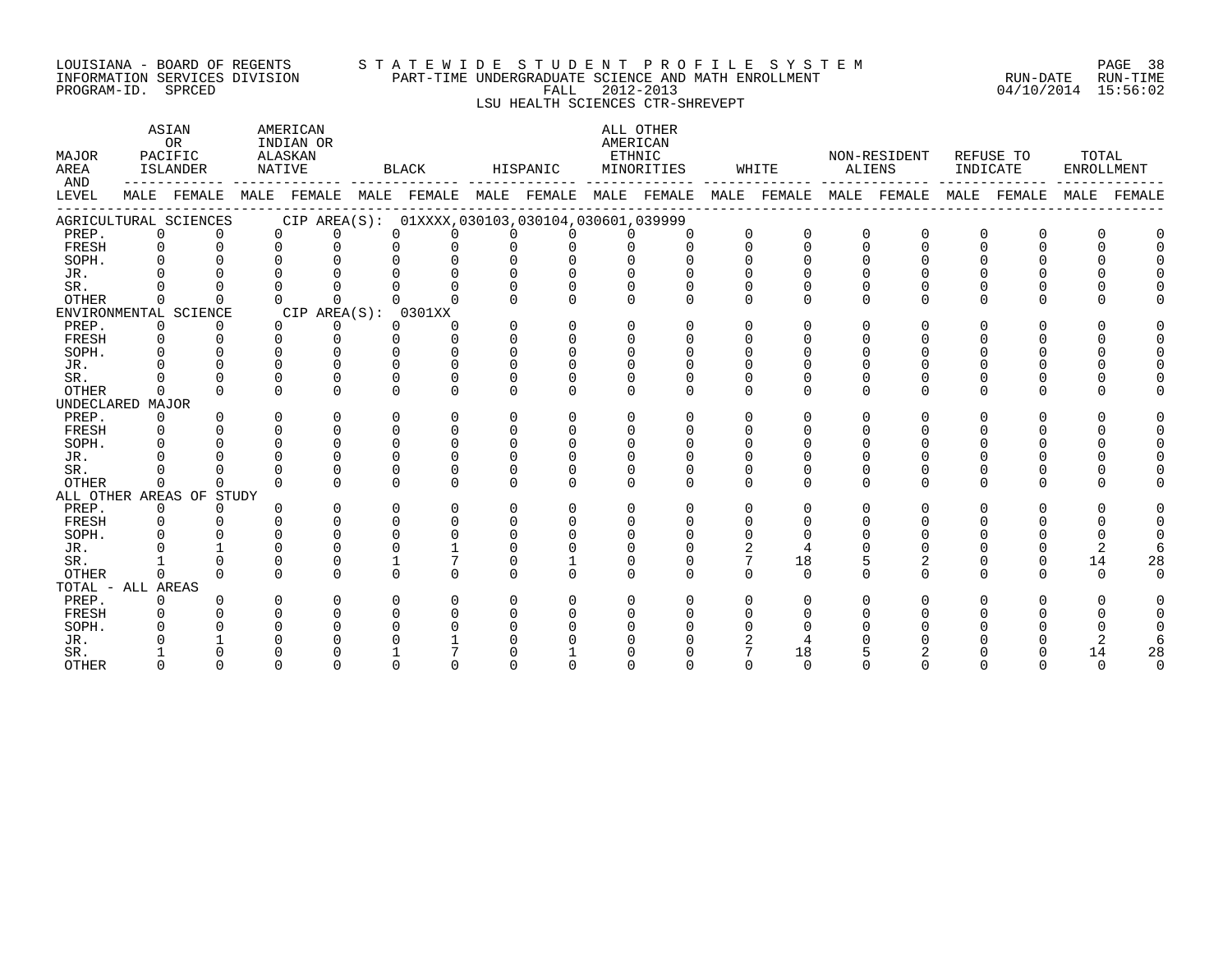#### LOUISIANA – BOARD OF REGENTS STA TE WID E STUDE N TPROFILE SYSTEM PAGE 38 INFORMATION SERVICES DIVISION PART-TIME UNDERGRADUATE SCIENCE AND MATH ENROLLMENT RUN-DATE RUN-TIME PROGRAM-ID. SPRCED FALL 2012-2013 04/10/2014 15:56:02

# LSU HEALTH SCIENCES CTR-SHREVEPT

| MAJOR<br>AREA<br>AND |              | ASIAN<br>0 <sub>R</sub><br>PACIFIC<br>ISLANDER | NATIVE   | AMERICAN<br>INDIAN OR<br>ALASKAN |                    | BLACK                                                                                           |                    | HISPANIC     | AMERICAN                 | ALL OTHER<br>ETHNIC<br>MINORITIES |              | WHITE        |              | NON-RESIDENT<br>ALIENS | INDICATE    | REFUSE TO | TOTAL<br>ENROLLMENT |             |
|----------------------|--------------|------------------------------------------------|----------|----------------------------------|--------------------|-------------------------------------------------------------------------------------------------|--------------------|--------------|--------------------------|-----------------------------------|--------------|--------------|--------------|------------------------|-------------|-----------|---------------------|-------------|
| LEVEL                |              |                                                |          |                                  |                    | MALE FEMALE MALE FEMALE MALE FEMALE MALE FEMALE MALE FEMALE MALE FEMALE MALE FEMALE MALE FEMALE |                    |              |                          |                                   |              |              |              |                        |             |           |                     | MALE FEMALE |
|                      |              | AGRICULTURAL SCIENCES                          |          |                                  |                    | CIP AREA(S): 01XXXX,030103,030104,030601,039999                                                 |                    |              |                          |                                   |              |              |              |                        |             |           |                     |             |
| PREP.                | 0            |                                                | $\Omega$ | <sup>n</sup>                     |                    | $\Omega$                                                                                        |                    | <sup>n</sup> | <sup>n</sup>             |                                   | $\mathbf 0$  | $\Omega$     | $\Omega$     | $\Omega$               | $\Omega$    | 0         |                     |             |
| FRESH                | $\Omega$     |                                                | $\Omega$ | U                                | $\cap$             |                                                                                                 | $\cap$             | U            | ∩                        |                                   | $\cap$       | $\Omega$     | $\cap$       |                        |             |           |                     |             |
| SOPH.                |              |                                                |          |                                  |                    |                                                                                                 |                    |              |                          |                                   |              |              | $\cap$       |                        |             |           |                     |             |
| JR.                  |              |                                                |          |                                  |                    |                                                                                                 |                    |              | $\cap$                   |                                   |              |              |              |                        |             |           |                     |             |
| SR.                  |              |                                                |          |                                  |                    |                                                                                                 | $\Omega$           | U            | 0                        |                                   | $\Omega$     |              |              |                        |             |           |                     |             |
| <b>OTHER</b>         | $\Omega$     |                                                | $\Omega$ | $\cap$                           |                    | $\cap$                                                                                          | $\cap$             | $\Omega$     | $\Omega$                 | $\cap$                            | $\cap$       |              | $\Omega$     |                        |             |           |                     |             |
|                      |              | ENVIRONMENTAL SCIENCE                          |          | CIP AREA(S): 0301XX              |                    |                                                                                                 |                    |              |                          |                                   |              |              |              |                        |             |           |                     |             |
| PREP.                | $\Omega$     |                                                | $\Omega$ | 0                                |                    | $\Omega$                                                                                        | U                  | $\Omega$     | $\Omega$                 | $\Omega$                          | $\Omega$     | <sup>n</sup> | <sup>n</sup> |                        |             |           |                     |             |
| FRESH                | $\Omega$     |                                                |          | <sup>n</sup>                     | $\Omega$           |                                                                                                 | $\Omega$           | U            | 0                        |                                   | $\Omega$     |              | n            |                        |             |           |                     |             |
| SOPH.                |              |                                                |          |                                  |                    |                                                                                                 | $\cap$             | $\cap$       | $\cap$                   |                                   | $\cap$       |              |              |                        |             |           |                     |             |
| JR.                  |              |                                                |          |                                  |                    |                                                                                                 |                    |              |                          |                                   |              |              |              |                        |             |           |                     |             |
| SR.                  |              |                                                |          |                                  |                    |                                                                                                 | U                  |              |                          |                                   |              |              |              |                        |             |           |                     |             |
| <b>OTHER</b>         | $\Omega$     |                                                | $\Omega$ | <sup>n</sup>                     | $\Omega$           | $\Omega$                                                                                        | U                  | U            | $\cap$                   | $\Omega$                          | $\cap$       | U            | $\Omega$     | $\cap$                 | U           | ∩         |                     |             |
| UNDECLARED MAJOR     |              |                                                |          |                                  |                    |                                                                                                 |                    |              |                          |                                   |              |              |              |                        |             |           |                     |             |
| PREP.                | $\Omega$     |                                                | $\Omega$ | $\cap$                           | $\cap$             | ∩                                                                                               | $\cap$             | $\Omega$     | $\cap$                   |                                   | $\cap$       |              | $\Omega$     | ∩                      | ∩           |           |                     |             |
| FRESH                | $\Omega$     |                                                |          |                                  | $\cap$             |                                                                                                 | $\Omega$           |              | $\cap$                   |                                   | $\Omega$     |              |              |                        |             |           |                     |             |
| SOPH.                |              |                                                |          |                                  | $\cap$             |                                                                                                 | $\cap$             |              | $\cap$                   |                                   |              |              |              |                        |             |           |                     |             |
| JR.                  |              |                                                |          |                                  | $\Omega$           |                                                                                                 | $\cap$             |              | <sup>n</sup>             |                                   |              |              |              |                        |             |           |                     |             |
| SR.                  |              |                                                |          |                                  | $\Omega$           | $\cap$                                                                                          | O                  |              |                          |                                   |              |              |              |                        |             |           |                     |             |
| <b>OTHER</b>         | $\Omega$     | $\Omega$                                       |          |                                  | $\cap$             |                                                                                                 | $\Omega$           | $\cap$       | $\cap$                   | $\cap$                            | $\cap$       | $\cap$       | $\Omega$     | $\cap$                 | $\cap$      | U         |                     |             |
|                      |              | ALL OTHER AREAS OF STUDY                       |          |                                  |                    |                                                                                                 |                    |              |                          |                                   |              |              |              |                        |             |           |                     |             |
| PREP.                | 0            | $\Omega$                                       |          | U                                | $\Omega$           | ∩                                                                                               | U<br>$\Omega$      | U<br>U       | $\Omega$                 | $\Omega$<br>$\Omega$              | <sup>n</sup> | <sup>n</sup> | $\Omega$     | U                      | U           | U         |                     |             |
| FRESH                | 0            |                                                |          | <sup>n</sup>                     | $\Omega$<br>$\cap$ | O                                                                                               | $\cap$             |              | $\Omega$                 |                                   | 0            |              | <sup>n</sup> |                        |             |           |                     |             |
| SOPH.                |              |                                                |          |                                  |                    |                                                                                                 | $\cap$             |              | $\Omega$                 |                                   |              |              |              |                        |             |           |                     |             |
| JR.                  |              |                                                |          |                                  |                    |                                                                                                 |                    |              |                          |                                   |              |              |              |                        |             |           |                     |             |
| SR.                  |              |                                                | $\cap$   | $\cap$                           |                    | $\cap$<br>$\cap$                                                                                | $\Omega$<br>$\cap$ | $\cap$       | $\Omega$<br>$\cap$       |                                   | $\cap$       | 18           | $\cap$       | 2<br>$\cap$            | 0<br>$\cap$ | ∩         | 14<br>$\cap$        | 28          |
| <b>OTHER</b>         | $\cap$       |                                                |          |                                  |                    |                                                                                                 |                    |              |                          |                                   |              | $\Omega$     |              |                        |             |           |                     |             |
| TOTAL - ALL AREAS    |              |                                                |          | $\Omega$                         |                    | ∩                                                                                               | U                  | U            |                          |                                   | $\Omega$     |              |              |                        | O           |           |                     |             |
| PREP.                | $\Omega$     |                                                | $\Omega$ |                                  | $\Omega$<br>$\cap$ |                                                                                                 | $\cap$             |              | $\Omega$<br><sup>n</sup> | $\Omega$                          |              | 0            | $\Omega$     |                        |             |           |                     |             |
| FRESH                | 0            |                                                |          |                                  |                    |                                                                                                 |                    |              |                          |                                   |              |              |              |                        |             |           |                     |             |
| SOPH.<br>JR.         |              |                                                |          |                                  |                    |                                                                                                 |                    |              |                          |                                   |              |              |              |                        |             |           |                     |             |
| SR.                  |              |                                                |          |                                  |                    |                                                                                                 |                    |              |                          |                                   |              | 18           |              |                        |             |           | 14                  | 28          |
|                      | <sup>n</sup> | U                                              | U        | U                                | $\cap$             |                                                                                                 | U                  | U            | U                        |                                   | <sup>n</sup> | $\Omega$     | n            | $\Omega$               | O           | ∩         | $\cap$              | $\Omega$    |
| <b>OTHER</b>         |              |                                                |          |                                  |                    |                                                                                                 |                    |              |                          |                                   |              |              |              |                        |             |           |                     |             |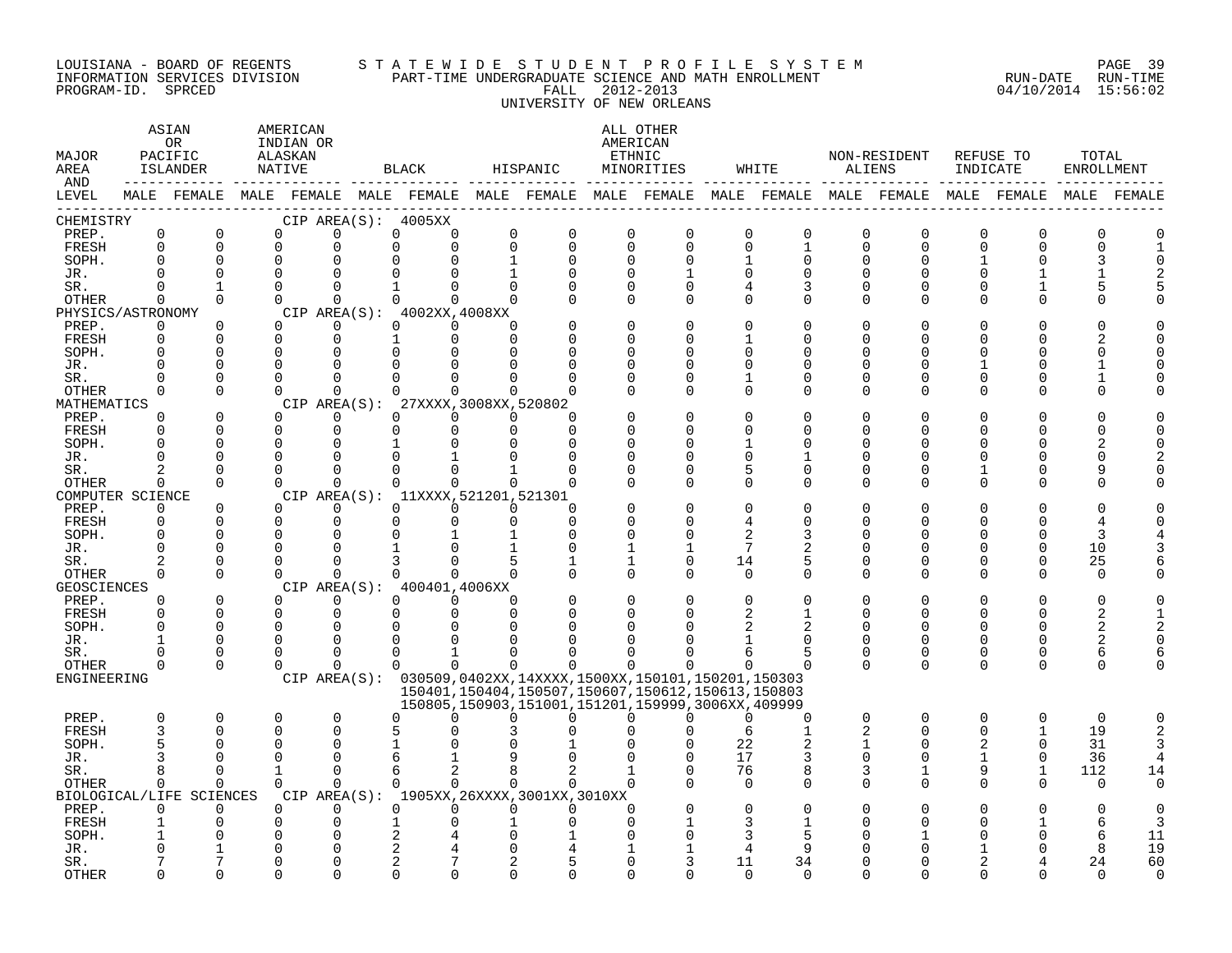#### LOUISIANA - BOARD OF REGENTS S T A T E W I D E S T U D E N T P R O F I L E S Y S T E M PAGE 39 INFORMATION SERVICES DIVISION PART-TIME UNDERGRADUATE SCIENCE AND MATH ENROLLMENT RUN-DATE RUN-TIME PROGRAM-ID. SPRCED FALL 2012-2013 04/10/2014 15:56:02 UNIVERSITY OF NEW ORLEANS

| MAJOR<br>AREA<br>AND |                            | ASIAN<br>0R<br>PACIFIC<br>ISLANDER                                                              | AMERICAN<br>INDIAN OR<br>ALASKAN<br>NATIVE |                      |               | BLACK                               |              | HISPANIC                                    |               | ALL OTHER<br>AMERICAN<br>ETHNIC<br>MINORITIES                                                                    |                         | WHITE                       |                | NON-RESIDENT<br>ALIENS  | REFUSE TO<br>INDICATE |                      | TOTAL<br>ENROLLMENT |             |
|----------------------|----------------------------|-------------------------------------------------------------------------------------------------|--------------------------------------------|----------------------|---------------|-------------------------------------|--------------|---------------------------------------------|---------------|------------------------------------------------------------------------------------------------------------------|-------------------------|-----------------------------|----------------|-------------------------|-----------------------|----------------------|---------------------|-------------|
| LEVEL                |                            | MALE FEMALE MALE FEMALE MALE FEMALE MALE FEMALE MALE FEMALE MALE FEMALE MALE FEMALE MALE FEMALE |                                            |                      |               |                                     |              |                                             |               |                                                                                                                  |                         |                             |                |                         |                       |                      |                     | MALE FEMALE |
| CHEMISTRY            |                            | $\mathbf 0$                                                                                     |                                            | $\mathbf 0$          |               | CIP AREA(S): 4005XX                 | $\mathbf 0$  |                                             | $\mathbf 0$   |                                                                                                                  |                         |                             |                |                         | $\mathbf 0$           |                      |                     |             |
| PREP.<br>FRESH       | 0<br>$\Omega$              | $\Omega$                                                                                        | 0<br>$\Omega$                              | $\Omega$             | 0<br>$\Omega$ | 0<br>$\Omega$                       |              | 0<br>$\Omega$<br>$\Omega$                   | $\mathbf 0$   | $\mathbf 0$<br>$\Omega$                                                                                          | $\mathbf 0$<br>$\Omega$ | $\mathsf 0$<br>$\mathbf{1}$ | 0<br>$\Omega$  | $\mathbf 0$<br>$\Omega$ | $\cap$                | $\Omega$<br>∩        | 0                   |             |
| SOPH.                | $\Omega$                   | $\Omega$                                                                                        | $\mathbf 0$                                |                      |               |                                     | 1            | 0                                           | $\Omega$      | $\Omega$                                                                                                         |                         | 0                           | U              | 0                       |                       |                      |                     |             |
| JR.                  | $\cap$                     | $\Omega$                                                                                        | $\Omega$                                   | $\cap$               |               |                                     |              |                                             | $\Omega$      |                                                                                                                  | $\Omega$                | $\Omega$                    |                | $\cap$                  |                       |                      |                     |             |
| SR.                  | $\Omega$                   | $\mathbf{1}$                                                                                    | $\Omega$                                   | $\Omega$             | $\mathbf{1}$  | 0                                   | $\Omega$     | O                                           | $\Omega$      | $\Omega$                                                                                                         | 4                       | 3                           | U              | $\Omega$                |                       |                      |                     |             |
| OTHER                | $\Omega$                   | $\Omega$                                                                                        | $\Omega$                                   | $\Omega$             |               | $\Omega$<br>0                       | $\Omega$     |                                             | $\Omega$      | $\Omega$                                                                                                         | $\Omega$                | $\mathbf 0$                 | $\Omega$       | $\Omega$                | $\Omega$              |                      |                     |             |
| PHYSICS/ASTRONOMY    |                            |                                                                                                 |                                            |                      |               | CIP AREA(S): 4002XX, 4008XX         |              |                                             |               |                                                                                                                  |                         |                             |                |                         |                       |                      |                     |             |
| PREP.                | 0                          | 0                                                                                               | $\Omega$                                   | 0                    |               | $\Omega$<br>$\Omega$                | $\Omega$     |                                             | $\Omega$      |                                                                                                                  | $\Omega$                | 0                           | U              | O                       |                       |                      |                     |             |
| FRESH                | $\Omega$                   | $\Omega$                                                                                        | $\Omega$                                   | $\mathbf{0}$         |               | $\Omega$                            | $\Omega$     |                                             | $\Omega$      |                                                                                                                  |                         | U                           | U              | U                       |                       |                      |                     |             |
| SOPH.                |                            | $\Omega$                                                                                        | $\Omega$                                   | $\Omega$             |               |                                     |              |                                             | $\Omega$      |                                                                                                                  |                         | U                           |                | U                       |                       |                      |                     |             |
| JR.                  | $\Omega$                   | $\Omega$                                                                                        | $\Omega$                                   | $\Omega$             |               |                                     |              |                                             |               |                                                                                                                  | $\Omega$                | O                           |                | U                       |                       |                      |                     |             |
| SR.                  | $\cap$                     | $\Omega$                                                                                        | $\Omega$                                   | $\Omega$             |               | $\Omega$                            |              |                                             | $\Omega$      | ∩                                                                                                                | 1                       | O                           | U              | U                       |                       |                      |                     |             |
| OTHER<br>MATHEMATICS | $\Omega$                   | $\Omega$                                                                                        | $\Omega$                                   | $\Omega$             | CIP AREA(S):  | 27XXXX, 3008XX, 520802              | <sup>n</sup> |                                             | $\Omega$      | $\Omega$                                                                                                         | $\Omega$                | $\Omega$                    | $\Omega$       | $\Omega$                |                       | O                    |                     |             |
| PREP.                | $\Omega$                   | $\Omega$                                                                                        | $\Omega$                                   | $\Omega$             | $\Omega$      | $\Omega$                            | $\Omega$     | U                                           |               |                                                                                                                  | $\Omega$                | $\Omega$                    |                |                         |                       |                      |                     |             |
| FRESH                | $\Omega$                   | $\Omega$                                                                                        | $\mathbf 0$                                | $\mathbf 0$          | $\Omega$      | $\Omega$                            | $\Omega$     | $\Omega$                                    |               |                                                                                                                  | ∩                       | U                           | U              | U                       |                       |                      |                     |             |
| SOPH.                | ∩                          | $\Omega$                                                                                        | $\Omega$                                   | $\Omega$             |               |                                     |              | U                                           | ∩             |                                                                                                                  |                         | U                           |                | ∩                       |                       |                      |                     |             |
| JR.                  | $\Omega$                   | $\Omega$                                                                                        | $\Omega$                                   | 0                    |               |                                     |              | U                                           | $\Omega$      |                                                                                                                  | $\Omega$                | 1                           | U              | 0                       |                       | O                    | U                   |             |
| SR.                  |                            | $\Omega$                                                                                        | $\Omega$                                   | $\Omega$             |               |                                     |              |                                             | $\Omega$      |                                                                                                                  | 5                       | $\mathbf 0$                 | U              | 0                       |                       | O                    |                     |             |
| OTHER                | $\Omega$                   | $\Omega$                                                                                        | $\Omega$                                   | $\Omega$             | $\Omega$      | 0                                   |              | $\Omega$<br>$\Omega$                        | ∩             | $\cap$                                                                                                           | $\Omega$                | $\Omega$                    | $\Omega$       | $\Omega$                |                       | O                    |                     |             |
| COMPUTER SCIENCE     |                            |                                                                                                 |                                            |                      |               | CIP AREA(S): 11XXXX, 521201, 521301 |              |                                             |               |                                                                                                                  |                         |                             |                |                         |                       |                      |                     |             |
| PREP.                | $\Omega$                   | $\Omega$                                                                                        | $\Omega$                                   | $\Omega$             | $\Omega$      | $\Omega$                            | $\Omega$     | O                                           |               |                                                                                                                  | $\Omega$                | O                           |                |                         |                       |                      |                     |             |
| FRESH                | $\Omega$                   | $\Omega$                                                                                        | $\Omega$                                   | $\Omega$             | $\Omega$      | 0                                   | $\Omega$     | $\Omega$                                    | $\Omega$      |                                                                                                                  |                         | O                           | U              | 0                       |                       | ∩                    |                     |             |
| SOPH.                | $\Omega$                   | $\Omega$                                                                                        | 0                                          | $\Omega$             |               |                                     |              | $\Omega$                                    | $\Omega$      |                                                                                                                  | 2                       | 3                           |                | U                       |                       | $\Omega$             | 3                   |             |
| JR.                  | $\Omega$                   | $\Omega$<br>$\Omega$                                                                            | $\Omega$<br>$\Omega$                       | $\Omega$             |               |                                     |              | $\Omega$                                    | 1             | 1                                                                                                                | 7                       |                             |                | U                       |                       | 0                    | 10                  |             |
| SR.<br>OTHER         | $\overline{2}$<br>$\Omega$ | $\Omega$                                                                                        | $\Omega$                                   | $\Omega$<br>$\Omega$ |               | $\cap$                              | $\Omega$     |                                             | 1<br>$\Omega$ | $\Omega$<br>$\Omega$                                                                                             | 14<br>$\Omega$          | 5<br>$\Omega$               | O<br>$\Omega$  | $\Omega$<br>$\Omega$    | $\Omega$              | $\Omega$<br>$\Omega$ | 25<br>$\Omega$      |             |
| <b>GEOSCIENCES</b>   |                            |                                                                                                 |                                            |                      |               | CIP AREA(S): 400401,4006XX          |              |                                             |               |                                                                                                                  |                         |                             |                |                         |                       |                      |                     |             |
| PREP.                | $\Omega$                   | $\Omega$                                                                                        | $\Omega$                                   | $\Omega$             |               | $\Omega$<br>$\Omega$                | $\Omega$     |                                             | $\Omega$      |                                                                                                                  | $\Omega$                | O                           |                | O                       |                       | $\Omega$             | O                   |             |
| FRESH                | $\Omega$                   | $\Omega$                                                                                        | $\mathbf 0$                                | $\mathbf 0$          | 0             | $\Omega$                            | $\Omega$     | O                                           | 0             |                                                                                                                  | 2                       | 1                           | U              | $\Omega$                | U                     | $\Omega$             | 2                   |             |
| SOPH.                | $\cap$                     | $\Omega$                                                                                        | $\Omega$                                   | $\Omega$             |               |                                     |              |                                             |               |                                                                                                                  |                         |                             |                |                         |                       |                      | 2                   |             |
| JR.                  |                            | $\Omega$                                                                                        | $\Omega$                                   | $\Omega$             | O             |                                     |              |                                             |               |                                                                                                                  |                         | O                           | O              | 0                       | U                     | 0                    | 2                   |             |
| SR.                  | <sup>0</sup>               | 0                                                                                               | $\Omega$                                   | $\Omega$             | $\Omega$      |                                     |              |                                             |               |                                                                                                                  | 6                       | 5                           | 0              | 0                       | $\Omega$              | 0                    | 6                   |             |
| OTHER                | $\Omega$                   | $\Omega$                                                                                        | $\Omega$                                   | $\Omega$             |               | $\Omega$<br>$\Omega$                | $\Omega$     | 0                                           | $\Omega$      |                                                                                                                  | 0                       | $\Omega$                    | $\Omega$       | $\Omega$                | $\Omega$              | $\Omega$             | $\Omega$            |             |
| ENGINEERING          |                            |                                                                                                 |                                            |                      |               |                                     |              |                                             |               | CIP AREA(S): 030509,0402XX,14XXXX,1500XX,150101,150201,150303                                                    |                         |                             |                |                         |                       |                      |                     |             |
|                      |                            |                                                                                                 |                                            |                      |               |                                     |              |                                             |               | 150401, 150404, 150507, 150607, 150612, 150613, 150803<br>150805, 150903, 151001, 151201, 159999, 3006XX, 409999 |                         |                             |                |                         |                       |                      |                     |             |
| PREP.                | $\Omega$                   | 0                                                                                               | 0                                          | $\mathbf 0$          | $\Omega$      | 0                                   | U            | 0                                           | $\Omega$      | U                                                                                                                | 0                       | 0                           | 0              | $\mathbf 0$             | $\Omega$              | 0                    | $\mathbf 0$         | $\Omega$    |
| <b>FRESH</b>         |                            | $\Omega$                                                                                        | 0                                          | $\Omega$             |               |                                     |              |                                             |               |                                                                                                                  |                         | $\mathbf{1}$                | $\overline{2}$ | $\Omega$                | $\Omega$              |                      | 19                  |             |
| SOPH.                |                            | U                                                                                               | 0                                          | $\Omega$             |               |                                     |              |                                             |               |                                                                                                                  | 22                      |                             | 1              | $\Omega$                | 2                     | $\Omega$             | 31                  |             |
| JR.                  |                            | $\cap$                                                                                          | $\Omega$                                   | $\Omega$             |               |                                     |              |                                             |               |                                                                                                                  | 17                      | 3                           | $\Omega$       | $\Omega$                | 1                     | $\Omega$             | 36                  |             |
| SR.                  | 8                          | $\Omega$                                                                                        | $\mathbf{1}$                               | $\Omega$             | 6             | 2                                   | 8            | 2                                           |               | $\Omega$                                                                                                         | 76                      | 8                           | 3              | 1                       | 9                     | $\mathbf{1}$         | 112                 | 14          |
| OTHER                | $\Omega$                   | $\Omega$                                                                                        | $\Omega$                                   | $\Omega$             |               | $\Omega$<br>$\Omega$                |              | $\Omega$<br>$\Omega$                        | $\Omega$      |                                                                                                                  | $\Omega$                | $\Omega$                    | $\Omega$       | $\Omega$                | $\Omega$              | $\Omega$             | $\Omega$            | 0           |
|                      |                            | BIOLOGICAL/LIFE SCIENCES                                                                        |                                            |                      |               |                                     |              | CIP AREA(S): 1905XX, 26XXXX, 3001XX, 3010XX |               |                                                                                                                  |                         |                             |                |                         |                       |                      |                     |             |
| PREP.                | $\Omega$                   | $\Omega$                                                                                        | $\Omega$                                   | $\Omega$             | $\Omega$      | $\Omega$                            |              | $\Omega$<br>$\Omega$                        | $\Omega$      |                                                                                                                  | $\Omega$                | O                           |                |                         |                       |                      |                     |             |
| FRESH                |                            | $\Omega$                                                                                        | 0<br>$\Omega$                              | 0<br>$\Omega$        |               |                                     |              |                                             |               |                                                                                                                  | 3<br>3                  | 5                           |                |                         |                       |                      | 6                   | 11          |
| SOPH.<br>JR.         |                            |                                                                                                 | $\Omega$                                   | $\mathbf 0$          | 2             |                                     |              |                                             |               |                                                                                                                  |                         | 9                           |                |                         |                       |                      | 6<br>8              | 19          |
| SR.                  |                            |                                                                                                 | O                                          | $\Omega$             | 2             |                                     |              | 5                                           | ∩             |                                                                                                                  | 11                      | 34                          |                | ∩                       |                       |                      | 24                  | 60          |
| <b>OTHER</b>         |                            | $\cap$                                                                                          | $\cap$                                     | $\cap$               |               |                                     |              | ∩                                           | ∩             |                                                                                                                  | $\Omega$                | $\Omega$                    |                | ∩                       |                       |                      |                     | $\Omega$    |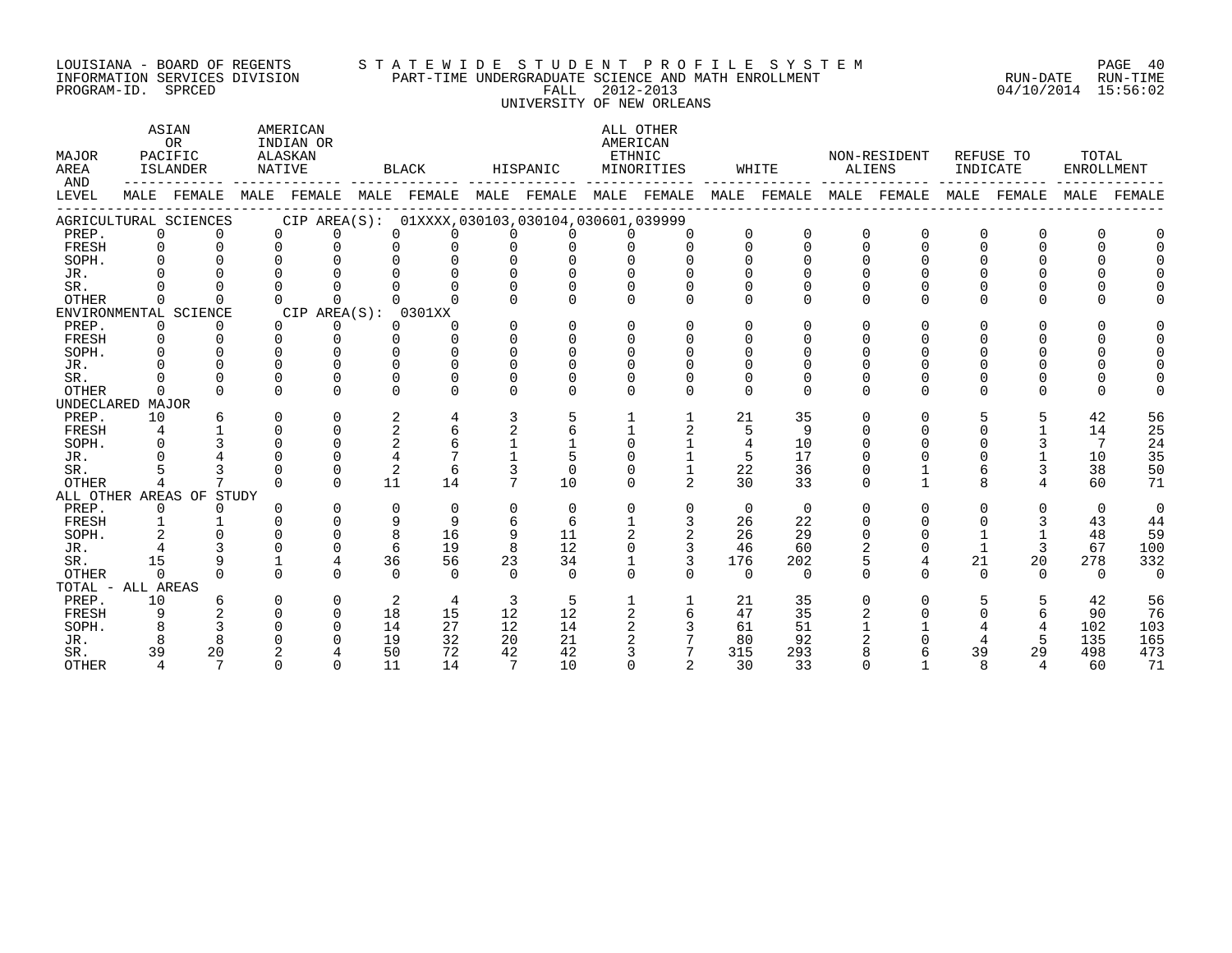#### LOUISIANA - BOARD OF REGENTS S T A T E W I D E S T U D E N T P R O F I L E S Y S T E M PAGE 40 INFORMATION SERVICES DIVISION PART-TIME UNDERGRADUATE SCIENCE AND MATH ENROLLMENT RUN-DATE RUN-TIME PROGRAM-ID. SPRCED FALL 2012-2013 04/10/2014 15:56:02 UNIVERSITY OF NEW ORLEANS

ASTAN AMERICAN AMERICAN ALL OTHER OR INDIAN OR **INDIAN OR** AMERICAN MAJOR PACIFIC ALASKAN ETHNIC NON-RESIDENT REFUSE TO TOTAL AREA ISLANDER NATIVE BLACK HISPANIC MINORITIES WHITE ALIENS INDICATE ENROLLMENT AND ------------ ------------- ------------- ------------- ------------- ------------- ------------- ------------- ------------- LEVEL MALE FEMALE MALE FEMALE MALE FEMALE MALE FEMALE MALE FEMALE MALE FEMALE MALE FEMALE MALE FEMALE MALE FEMALE ------------------------------------------------------------------------------------------------------------------------------------ AGRICULTURAL SCIENCES CIP AREA(S): 01XXXX,030103,030104,030601,039999 PREP. 0 0 0 0 0 0 0 0 0 0 0 0 0 0 0 0 0 0 FRESH 0 0 0 0 0 0 0 0 0 0 0 0 0 0 0 0 0 0 SOPH. 0 0 0 0 0 0 0 0 0 0 0 0 0 0 0 0 0 0 JR. 0 0 0 0 0 0 0 0 0 0 0 0 0 0 0 0 0 0 SR. 0 0 0 0 0 0 0 0 0 0 0 0 0 0 0 0 0 0 OTHER 0 0 0 0 0 0 0 0 0 0 0 0 0 0 0 0 0 0 ENVIRONMENTAL SCIENCE CIP AREA(S): 0301XX<br>
PREP. 0 0 0 0 0 0 PREP. 0 0 0 0 0 0 0 0 0 0 0 0 0 0 0 0 0 0 FRESH 0 0 0 0 0 0 0 0 0 0 0 0 0 0 0 0 0 0 SOPH. 0 0 0 0 0 0 0 0 0 0 0 0 0 0 0 0 0 0 JR. 0 0 0 0 0 0 0 0 0 0 0 0 0 0 0 0 0 0 SR. 0 0 0 0 0 0 0 0 0 0 0 0 0 0 0 0 0 0 OTHER 0 0 0 0 0 0 0 0 0 0 0 0 0 0 0 0 0 0 UNDECLARED MAJOR PREP. 10 6 0 0 2 4 3 5 1 1 21 35 0 0 5 5 42 56 FRESH 4 1 0 0 2 6 2 6 1 2 5 9 0 0 0 1 14 25 SOPH. 0 3 0 0 2 6 1 1 0 1 4 10 0 0 0 3 7 24 JR. 0 4 0 0 4 7 1 5 0 1 5 17 0 0 0 1 10 35 SR. 5 3 0 0 2 6 3 0 0 1 22 36 0 1 6 3 38 50 OTHER 4 7 0 0 11 14 7 10 0 2 30 33 0 1 8 4 60 71 ALL OTHER AREAS OF STUDY PREP. 0 0 0 0 0 0 0 0 0 0 0 0 0 0 0 0 0 0 FRESH 1 1 0 0 9 9 6 6 1 3 26 22 0 0 0 3 43 44 SOPH. 2 0 0 0 8 16 9 11 2 2 26 29 0 0 1 1 48 59 JR. 4 3 0 0 6 19 8 12 0 3 46 60 2 0 1 3 67 100 SR. 15 9 1 4 36 56 23 34 1 3 176 202 5 4 21 20 278 332 OTHER 0 0 0 0 0 0 0 0 0 0 0 0 0 0 0 0 0 0 TOTAL - ALL AREAS PREP. 10 6 0 0 2 4 3 5 1 1 21 35 0 0 5 5 42 56 FRESH 9 2 0 0 18 15 12 12 2 6 47 35 2 0 0 6 90 76 SOPH. 8 3 0 0 14 27 12 14 2 3 61 51 1 1 4 4 102 103 JR. 8 8 0 0 19 32 20 21 2 7 80 92 2 0 4 5 135 165 SR. 39 20 2 4 50 72 42 42 3 7 315 293 8 6 39 29 498 473

OTHER 4 7 0 0 11 14 7 10 0 2 30 33 0 1 8 4 60 71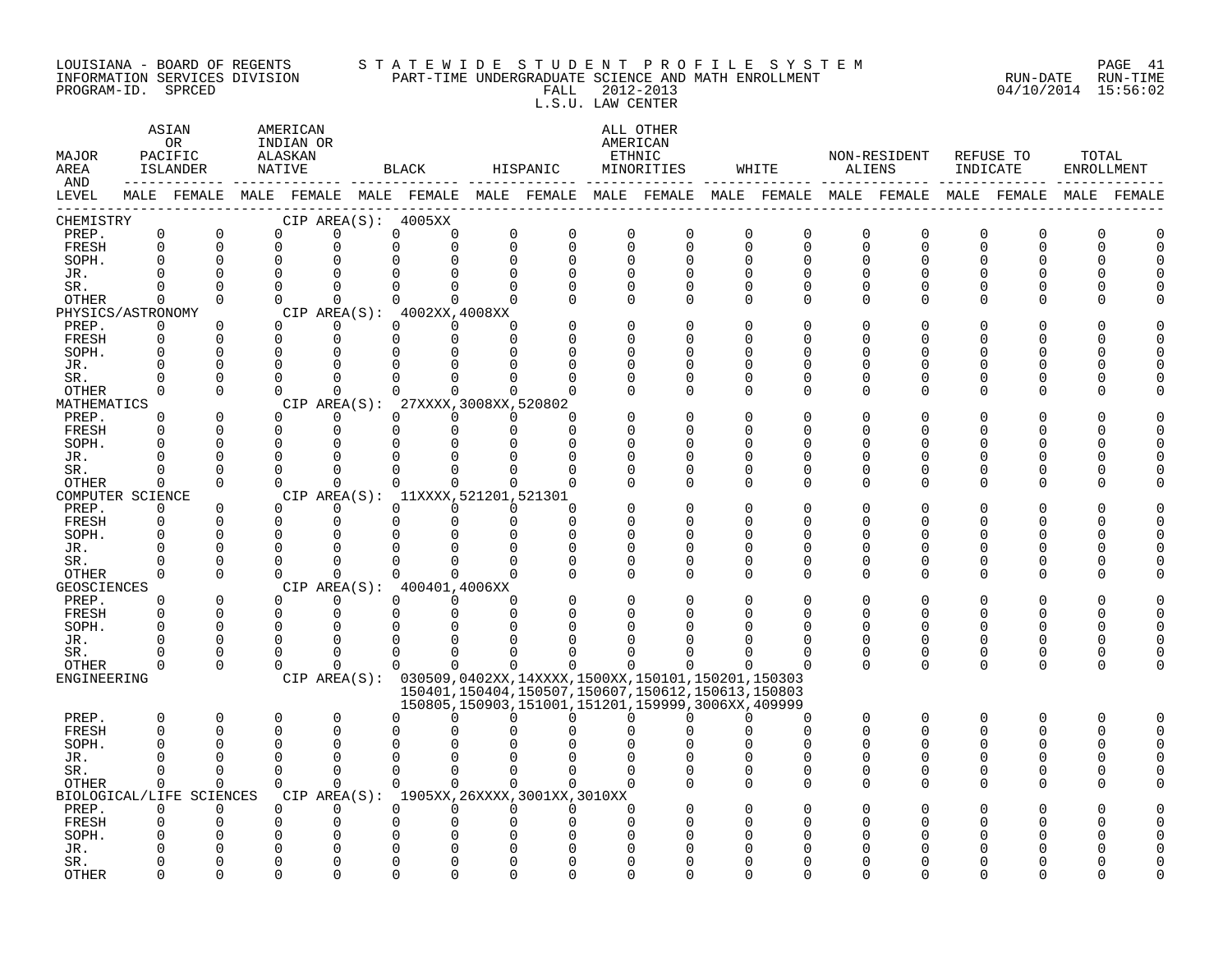#### LOUISIANA - BOARD OF REGENTS S T A T E W I D E S T U D E N T P R O F I L E S Y S T E M PAGE 41 INFORMATION SERVICES DIVISION PART-TIME UNDERGRADUATE SCIENCE AND MATH ENROLLMENT RUN-DATE RUN-TIME PROGRAM-ID. SPRCED FALL 2012-2013 04/10/2014 15:56:02 L.S.U. LAW CENTER

| MAJOR<br>AREA<br>AND |                      | ASIAN<br>OR<br>PACIFIC<br>ISLANDER | AMERICAN<br>INDIAN OR<br>ALASKAN<br>NATIVE |                  |                      | BLACK                               |                      | HISPANIC                    |                      | ALL OTHER<br>AMERICAN<br>ETHNIC<br>MINORITIES                 |                      | WHITE                                                                                           | ALIENS                   | NON-RESIDENT         | INDICATE      | REFUSE TO            | TOTAL<br><b>ENROLLMENT</b> |             |
|----------------------|----------------------|------------------------------------|--------------------------------------------|------------------|----------------------|-------------------------------------|----------------------|-----------------------------|----------------------|---------------------------------------------------------------|----------------------|-------------------------------------------------------------------------------------------------|--------------------------|----------------------|---------------|----------------------|----------------------------|-------------|
| LEVEL<br>------      |                      |                                    |                                            |                  |                      |                                     |                      |                             |                      |                                                               |                      | MALE FEMALE MALE FEMALE MALE FEMALE MALE FEMALE MALE FEMALE MALE FEMALE MALE FEMALE MALE FEMALE |                          |                      |               |                      |                            | MALE FEMALE |
| CHEMISTRY            |                      |                                    |                                            |                  |                      | CIP AREA(S): 4005XX                 |                      |                             |                      |                                                               |                      |                                                                                                 |                          |                      |               |                      |                            |             |
| PREP.                | 0                    | $\mathbf 0$                        | $\Omega$                                   | 0                | $\mathbf 0$          | $\Omega$                            | $\Omega$             | $\Omega$                    | $\Omega$             | $\Omega$                                                      | 0                    | $\Omega$                                                                                        | $\Omega$                 | $\Omega$             | $\Omega$      | 0                    | 0                          |             |
| FRESH                | $\Omega$<br>$\Omega$ | $\Omega$<br>$\Omega$               | $\Omega$<br>$\Omega$                       | U<br>0           | $\Omega$             | $\Omega$<br>$\Omega$                | $\Omega$<br>$\Omega$ | $\Omega$                    | $\Omega$<br>$\Omega$ | $\Omega$                                                      |                      | $\Omega$<br>$\Omega$                                                                            | $\Omega$<br>$\Omega$     | $\Omega$<br>$\Omega$ | $\Omega$<br>U | $\Omega$<br>$\Omega$ | O<br>U                     |             |
| SOPH.<br>JR.         | ∩                    | $\Omega$                           | $\Omega$                                   | 0                | $\Omega$<br>$\Omega$ |                                     | ∩                    | $\Omega$<br>$\Omega$        | U                    | $\mathbf 0$<br>$\Omega$                                       | $\Omega$             | $\mathbf 0$<br>$\Omega$<br>n                                                                    | $\Omega$                 | $\Omega$             | U             | U                    |                            |             |
| SR.                  | ∩                    | $\Omega$                           | $\Omega$                                   | $\Omega$         | $\Omega$             | $\Omega$                            | $\Omega$             | $\Omega$                    | $\Omega$             | 0                                                             |                      | 0<br>$\Omega$                                                                                   | 0                        | 0                    | 0             | 0                    | Ω                          |             |
| OTHER                | $\Omega$             | $\Omega$                           | $\Omega$                                   | $\Omega$         | $\Omega$             | $\Omega$                            | $\Omega$             | $\Omega$                    | $\Omega$             | $\Omega$                                                      | $\Omega$             | $\Omega$                                                                                        | $\mathbf 0$              | $\Omega$             | $\Omega$      | 0                    | Λ                          |             |
| PHYSICS/ASTRONOMY    |                      |                                    |                                            |                  |                      | CIP AREA $(S):$ 4002XX, 4008XX      |                      |                             |                      |                                                               |                      |                                                                                                 |                          |                      |               |                      |                            |             |
| PREP.                | 0                    | $\Omega$                           | 0                                          | 0                | $\Omega$             | $\Omega$                            | O                    |                             | $\Omega$             | 0                                                             | 0                    |                                                                                                 | $\Omega$                 | O                    | O             | 0                    |                            |             |
| FRESH                | $\Omega$             | $\Omega$                           | $\Omega$                                   | $\Omega$         | $\Omega$             | $\Omega$                            | $\Omega$             | U                           | $\Omega$             | ∩                                                             | $\Omega$             | n                                                                                               | $\cap$                   | $\Omega$             | U             | $\Omega$             |                            |             |
| SOPH.<br>JR.         | $\Omega$<br>∩        | $\overline{0}$<br>$\Omega$         | 0<br>U                                     | 0<br>U           | 0<br>$\Omega$        | ∩                                   | ∩                    | <sup>n</sup>                | U                    | $\Omega$<br>$\Omega$                                          | $\Omega$<br>$\Omega$ | n<br>n                                                                                          | $\Omega$<br>$\Omega$     | ∩<br>∩               | U<br>∩        | 0<br>$\Omega$        | N                          |             |
| SR.                  | ∩                    | $\Omega$                           | O                                          | O                | $\Omega$             |                                     |                      |                             | U                    | $\Omega$                                                      | $\Omega$             | $\Omega$                                                                                        | $\Omega$                 | 0                    | O             | 0                    |                            |             |
| OTHER                | $\Omega$             | $\Omega$                           | $\Omega$                                   | $\Omega$         | $\Omega$             | $\Omega$                            | $\Omega$             |                             |                      | $\Omega$                                                      | $\Omega$             | $\Omega$                                                                                        | $\Omega$                 | $\Omega$             | O             | 0                    | Λ                          |             |
| MATHEMATICS          |                      |                                    |                                            |                  |                      | CIP AREA(S): 27XXXX, 3008XX, 520802 |                      |                             |                      |                                                               |                      |                                                                                                 |                          |                      |               |                      |                            |             |
| PREP.                | $\Omega$             | $\mathbf 0$                        | $\Omega$                                   | $\Omega$         | $\Omega$             | $\Omega$                            | $\Omega$             | <sup>n</sup>                |                      | 0                                                             | $\Omega$             | O                                                                                               | $\Omega$                 | $\Omega$             | O             | 0                    |                            |             |
| FRESH                | $\Omega$<br>$\cap$   | $\Omega$                           | $\Omega$                                   | $\Omega$         | $\Omega$             | $\Omega$                            | $\Omega$             | $\Omega$<br>$\cap$          | ∩                    | $\Omega$                                                      | $\Omega$             | $\Omega$                                                                                        | <sup>0</sup>             | $\Omega$             | U             | $\Omega$             |                            |             |
| SOPH.<br>JR.         |                      | $\Omega$<br>$\Omega$               | $\Omega$<br>U                              | $\mathbf 0$<br>0 | 0<br>$\Omega$        | $\Omega$                            | $\Omega$<br>∩        | U                           | U                    | O<br>$\Omega$                                                 | $\Omega$<br>$\cap$   | O<br>n                                                                                          | <sup>0</sup><br>$\cap$   | O<br>∩               | ∩<br>∩        | O<br>$\Omega$        |                            |             |
| SR.                  | ∩                    | $\Omega$                           | $\Omega$                                   | $\Omega$         | $\Omega$             | $\Omega$                            | ∩                    | n                           | U                    | $\Omega$                                                      | $\Omega$             | $\Omega$                                                                                        | $\Omega$                 | 0                    | O             | 0                    | Λ                          |             |
| OTHER                | $\Omega$             | $\Omega$                           | $\Omega$                                   | $\Omega$         | $\Omega$             | $\Omega$                            | $\Omega$             | U                           |                      | $\Omega$                                                      | $\Omega$             | $\Omega$                                                                                        | $\Omega$                 | $\Omega$             | U             | $\Omega$             |                            |             |
| COMPUTER SCIENCE     |                      |                                    |                                            |                  |                      | CIP AREA(S): 11XXXX, 521201, 521301 |                      |                             |                      |                                                               |                      |                                                                                                 |                          |                      |               |                      |                            |             |
| PREP.                | $\Omega$             | $\Omega$                           | 0                                          | $\Omega$         | $\Omega$             | $\Omega$                            | 0                    | <sup>n</sup>                |                      | $\Omega$                                                      | $\Omega$             |                                                                                                 | <sup>0</sup>             | O                    |               | ი                    |                            |             |
| FRESH                | 0                    | $\Omega$                           | $\Omega$                                   | 0                | 0                    | $\Omega$                            | 0                    | $\Omega$                    | $\Omega$             | O                                                             | $\Omega$             | O                                                                                               | <sup>0</sup>             | $\Omega$             | U             | $\Omega$             |                            |             |
| SOPH.<br>JR.         | $\Omega$             | $\Omega$<br>$\Omega$               | O<br>0                                     | 0<br>0           | $\Omega$<br>O        |                                     |                      | $\Omega$<br>n               | O                    | $\Omega$<br>0                                                 | $\Omega$<br>$\Omega$ | O                                                                                               | $\Omega$<br><sup>0</sup> | $\Omega$<br>O        | ∩             | $\Omega$<br>O        |                            |             |
| SR.                  | ∩                    | $\mathbf 0$                        | $\Omega$                                   | U                | $\Omega$             |                                     |                      |                             | ∩                    | 0                                                             | $\Omega$             | $\cap$                                                                                          | $\Omega$                 | 0                    | 0             | 0                    |                            |             |
| OTHER                | $\Omega$             | $\Omega$                           | $\Omega$                                   | $\Omega$         | $\Omega$             | ∩                                   | ∩                    |                             | ∩                    | $\Omega$                                                      | $\Omega$             | $\Omega$                                                                                        | $\Omega$                 | $\Omega$             | U             | $\Omega$             | Λ                          |             |
| GEOSCIENCES          |                      |                                    |                                            |                  |                      | CIP AREA(S): 400401,4006XX          |                      |                             |                      |                                                               |                      |                                                                                                 |                          |                      |               |                      |                            |             |
| PREP.                | $\Omega$             | $\Omega$                           | $\Omega$                                   | $\Omega$         | $\Omega$             | $\Omega$                            | ∩                    |                             | $\Omega$             | $\Omega$                                                      | $\Omega$             | $\Omega$                                                                                        | $\Omega$                 | $\Omega$             | O             | $\Omega$             |                            |             |
| FRESH                | $\Omega$             | $\Omega$                           | $\Omega$                                   | 0                | 0                    | $\Omega$                            | $\Omega$             | $\Omega$                    | O                    | O                                                             | $\Omega$             | $\Omega$                                                                                        | $\Omega$                 | $\Omega$             | 0             | $\Omega$             | U                          |             |
| SOPH.<br>JR.         | $\Omega$<br>∩        | $\Omega$<br>$\Omega$               | $\Omega$<br>$\Omega$                       | 0<br>$\Omega$    | $\Omega$<br>$\Omega$ | <sup>0</sup>                        |                      |                             |                      | O                                                             |                      |                                                                                                 | $\Omega$<br><sup>0</sup> | $\Omega$<br>O        | U<br>O        | $\Omega$<br>0        | U                          |             |
| SR.                  |                      | $\Omega$                           | $\Omega$                                   | $\Omega$         | $\Omega$             |                                     |                      |                             |                      |                                                               |                      |                                                                                                 | 0                        | $\mathbf 0$          | 0             | 0                    | 0                          |             |
| <b>OTHER</b>         | $\Omega$             | $\Omega$                           | $\Omega$                                   | $\Omega$         | $\Omega$             | $\Omega$                            | 0                    |                             | 0                    | n                                                             |                      |                                                                                                 | $\Omega$                 | $\Omega$             | 0             | 0                    | O                          |             |
| ENGINEERING          |                      |                                    |                                            |                  |                      |                                     |                      |                             |                      | CIP AREA(S): 030509,0402XX,14XXXX,1500XX,150101,150201,150303 |                      |                                                                                                 |                          |                      |               |                      |                            |             |
|                      |                      |                                    |                                            |                  |                      |                                     |                      |                             |                      | 150401, 150404, 150507, 150607, 150612, 150613, 150803        |                      |                                                                                                 |                          |                      |               |                      |                            |             |
| PREP.                | $\Omega$             | $\Omega$                           | $\Omega$                                   | $\Omega$         | $\Omega$             | <sup>0</sup>                        | 0                    | n                           | 0                    | 150805,150903,151001,151201,159999,3006XX,409999<br>∩         | $\cap$               | $\cap$                                                                                          | 0                        | $\Omega$             | $\Omega$      | $\Omega$             | $\Omega$                   |             |
| FRESH                | $\Omega$             | $\Omega$                           | $\Omega$                                   | $\Omega$         | $\Omega$             |                                     |                      |                             |                      | U                                                             |                      | $\Omega$                                                                                        | $\Omega$                 | $\Omega$             | U             | $\Omega$             | U                          | $\Omega$    |
| SOPH.                |                      | O                                  | O                                          | O                | O                    |                                     |                      |                             |                      |                                                               |                      |                                                                                                 | <sup>0</sup>             | O                    | U             | 0                    | U                          |             |
| JR.                  |                      | ∩                                  | U                                          | U                | $\Omega$             |                                     |                      |                             |                      | U                                                             |                      | U<br>∩                                                                                          | <sup>0</sup>             | $\Omega$             | U             | 0                    | N                          |             |
| SR.                  | 0                    | $\mathbf 0$                        | 0                                          | 0                | $\mathbf 0$          | $\Omega$                            | $\Omega$             |                             | ∩                    | 0                                                             | $\Omega$             | 0                                                                                               | 0                        | $\Omega$             | 0             | 0                    | U                          |             |
| OTHER                | 0                    | 0                                  | $\Omega$                                   | $\Omega$         | $\mathbf 0$          | $\Omega$                            | $\Omega$             | $\Omega$                    | $\Omega$             | ∩                                                             | $\Omega$             | $\Omega$                                                                                        | $\Omega$                 | $\Omega$             | U             | 0                    |                            |             |
|                      |                      | BIOLOGICAL/LIFE SCIENCES           |                                            | CIP AREA(S):     |                      |                                     |                      | 1905XX,26XXXX,3001XX,3010XX |                      |                                                               |                      |                                                                                                 |                          |                      |               |                      |                            |             |
| PREP.<br>FRESH       | 0<br>$\Omega$        | $\Omega$<br>$\Omega$               | $\Omega$<br>$\Omega$                       | 0<br>$\Omega$    | $\Omega$<br>$\Omega$ | 0<br>$\Omega$                       | $\Omega$<br>∩        | $\Omega$<br><sup>n</sup>    | U<br>∩               | O<br>O                                                        | $\cap$<br>$\Omega$   |                                                                                                 | <sup>0</sup>             | O<br>∩               |               | ი<br>ი               |                            |             |
| SOPH.                |                      |                                    | O                                          | 0                | O                    |                                     |                      |                             |                      | U                                                             |                      |                                                                                                 |                          | ∩                    |               | N                    |                            |             |
| JR.                  |                      | O                                  | O                                          | 0                | $\Omega$             | O                                   |                      |                             |                      | O                                                             |                      |                                                                                                 |                          |                      |               | ი                    |                            |             |
| SR.                  | O                    | 0                                  | 0                                          | 0                | $\mathbf 0$          | $\Omega$                            | $\Omega$             | 0                           | O                    | 0                                                             | 0                    |                                                                                                 | <sup>0</sup>             | O                    | O             | 0                    |                            |             |
| <b>OTHER</b>         | $\Omega$             | $\Omega$                           | $\Omega$                                   | $\Omega$         | $\Omega$             | $\Omega$                            | $\Omega$             | $\Omega$                    | $\Omega$             | $\Omega$                                                      |                      | $\Omega$<br>$\Omega$                                                                            | $\Omega$                 | $\Omega$             | $\Omega$      | 0                    | Λ                          |             |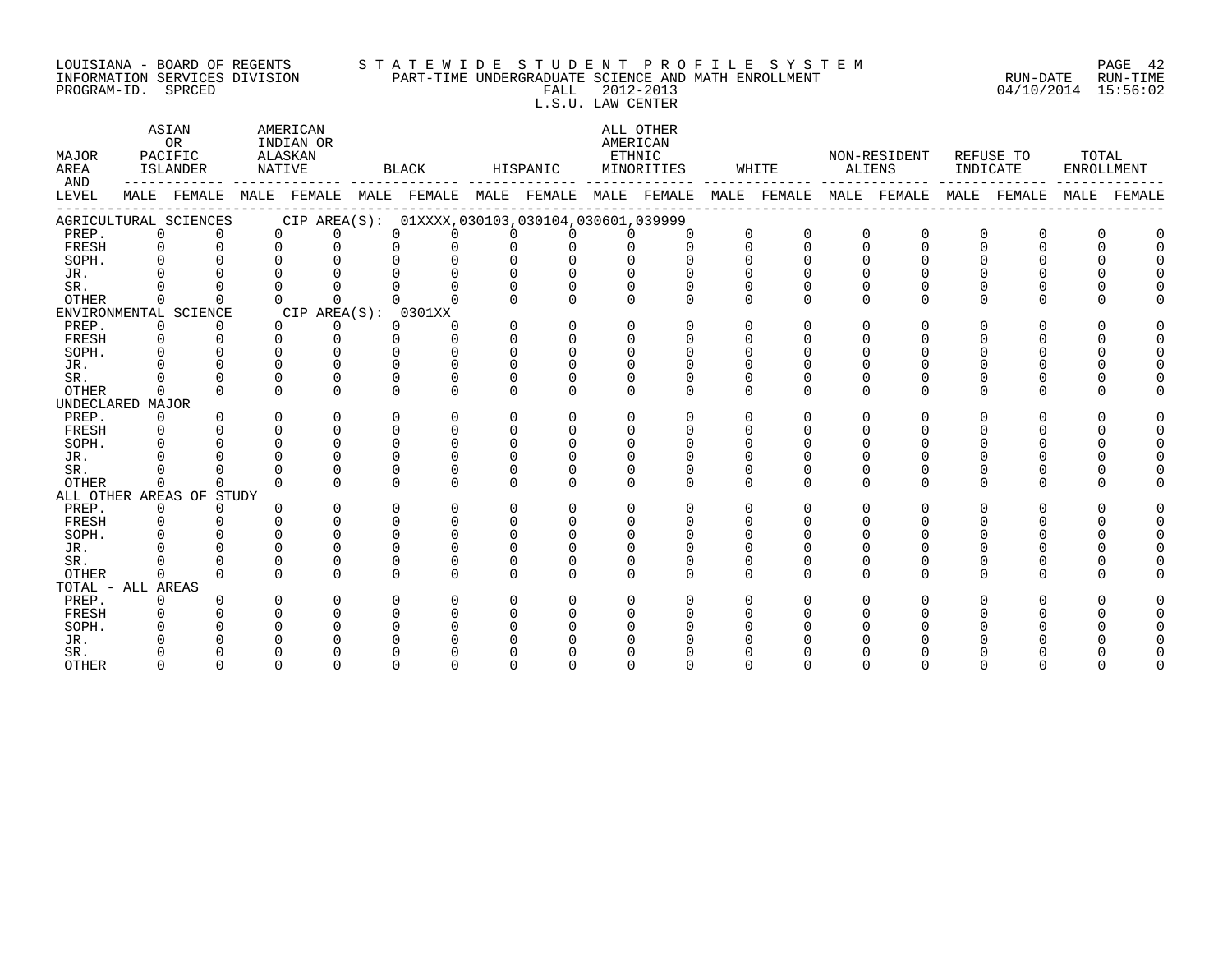#### LOUISIANA - BOARD OF REGENTS S T A T E W I D E S T U D E N T P R O F I L E S Y S T E M PAGE 42 INFORMATION SERVICES DIVISION PART-TIME UNDERGRADUATE SCIENCE AND MATH ENROLLMENT RUN-DATE RUN-TIME PROGRAM-ID. SPRCED FALL 2012-2013 04/10/2014 15:56:02 L.S.U. LAW CENTER

ASTAN AMERICAN AMERICAN ASIAN ALL OTHER OR INDIAN OR **INDIAN OR** AMERICAN MAJOR PACIFIC ALASKAN ETHNIC NON-RESIDENT REFUSE TO TOTAL AREA ISLANDER NATIVE BLACK HISPANIC MINORITIES WHITE ALIENS INDICATE ENROLLMENT AND ------------ ------------- ------------- ------------- ------------- ------------- ------------- ------------- ------------- LEVEL MALE FEMALE MALE FEMALE MALE FEMALE MALE FEMALE MALE FEMALE MALE FEMALE MALE FEMALE MALE FEMALE MALE FEMALE ------------------------------------------------------------------------------------------------------------------------------------ AGRICULTURAL SCIENCES CIP AREA(S): 01XXXX,030103,030104,030601,039999<br>PREP. 0 0 0 0 0 0 0 0 0 0 0 PREP. 0 0 0 0 0 0 0 0 0 0 0 0 0 0 0 0 0 0 FRESH 0 0 0 0 0 0 0 0 0 0 0 0 0 0 0 0 0 0 SOPH. 0 0 0 0 0 0 0 0 0 0 0 0 0 0 0 0 0 0 JR. 0 0 0 0 0 0 0 0 0 0 0 0 0 0 0 0 0 0 SR. 0 0 0 0 0 0 0 0 0 0 0 0 0 0 0 0 0 0 OTHER 0 0 0 0 0 0 0 0 0 0 0 0 0 0 0 0 0 0 ENVIRONMENTAL SCIENCE CIP AREA(S): 0301XX<br>
PREP. 0 0 0 0 0 0 PREP. 0 0 0 0 0 0 0 0 0 0 0 0 0 0 0 0 0 0 FRESH 0 0 0 0 0 0 0 0 0 0 0 0 0 0 0 0 0 0 SOPH. 0 0 0 0 0 0 0 0 0 0 0 0 0 0 0 0 0 0 JR. 0 0 0 0 0 0 0 0 0 0 0 0 0 0 0 0 0 0 SR. 0 0 0 0 0 0 0 0 0 0 0 0 0 0 0 0 0 0 OTHER 0 0 0 0 0 0 0 0 0 0 0 0 0 0 0 0 0 0 UNDECLARED MAJOR PREP. 0 0 0 0 0 0 0 0 0 0 0 0 0 0 0 0 0 0 FRESH 0 0 0 0 0 0 0 0 0 0 0 0 0 0 0 0 0 0 SOPH. 0 0 0 0 0 0 0 0 0 0 0 0 0 0 0 0 0 0 JR. 0 0 0 0 0 0 0 0 0 0 0 0 0 0 0 0 0 0 SR. 0 0 0 0 0 0 0 0 0 0 0 0 0 0 0 0 0 0 OTHER 0 0 0 0 0 0 0 0 0 0 0 0 0 0 0 0 0 0 ALL OTHER AREAS OF STUDY PREP. 0 0 0 0 0 0 0 0 0 0 0 0 0 0 0 0 0 0 FRESH 0 0 0 0 0 0 0 0 0 0 0 0 0 0 0 0 0 0 SOPH. 0 0 0 0 0 0 0 0 0 0 0 0 0 0 0 0 0 0 JR. 0 0 0 0 0 0 0 0 0 0 0 0 0 0 0 0 0 0 SR. 0 0 0 0 0 0 0 0 0 0 0 0 0 0 0 0 0 0 OTHER 0 0 0 0 0 0 0 0 0 0 0 0 0 0 0 0 0 0 TOTAL - ALL AREAS PREP. 0 0 0 0 0 0 0 0 0 0 0 0 0 0 0 0 0 0 FRESH 0 0 0 0 0 0 0 0 0 0 0 0 0 0 0 0 0 0 SOPH. 0 0 0 0 0 0 0 0 0 0 0 0 0 0 0 0 0 0 JR. 0 0 0 0 0 0 0 0 0 0 0 0 0 0 0 0 0 0 SR. 0 0 0 0 0 0 0 0 0 0 0 0 0 0 0 0 0 0 OTHER 0 0 0 0 0 0 0 0 0 0 0 0 0 0 0 0 0 0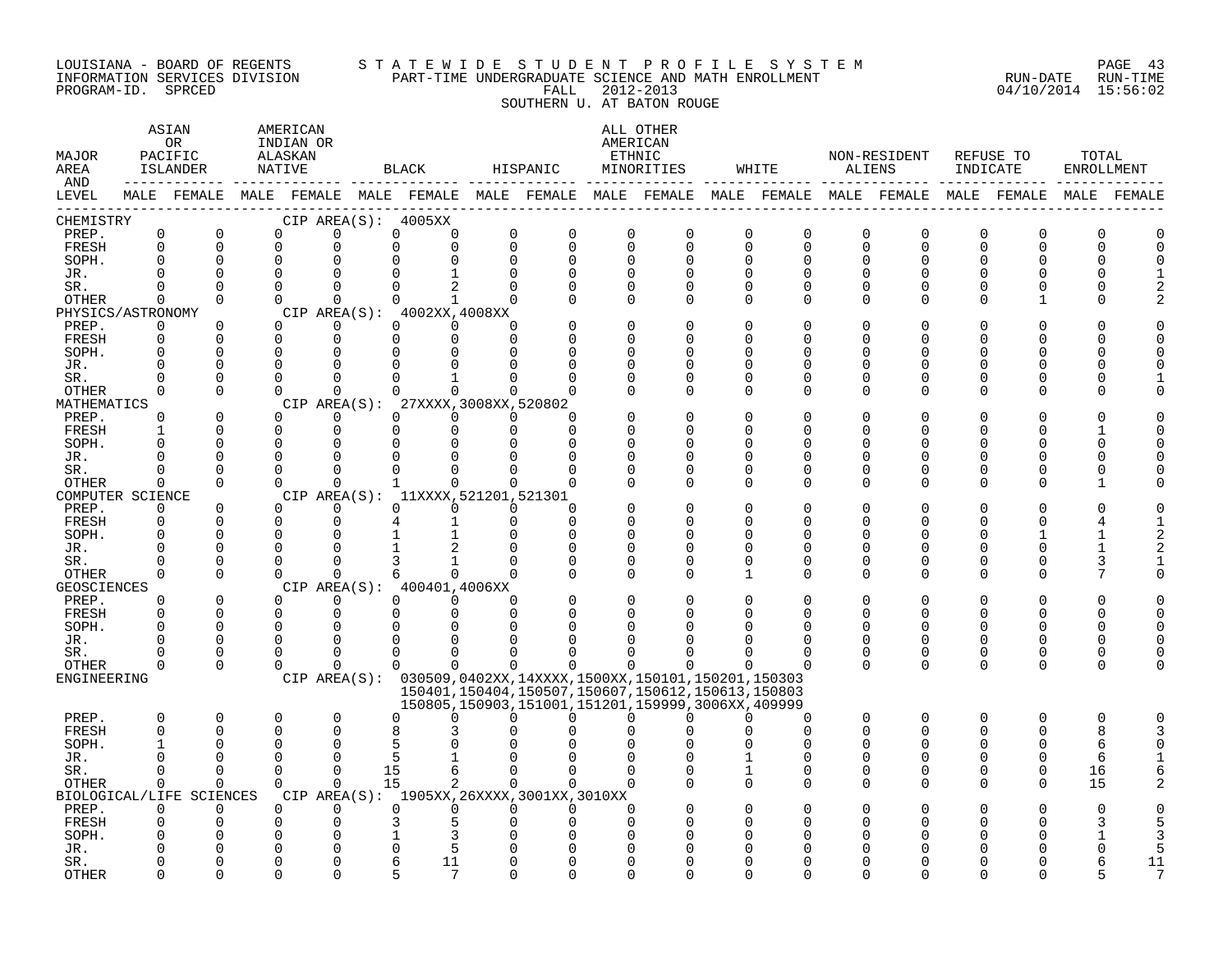#### LOUISIANA - BOARD OF REGENTS S T A T E W I D E S T U D E N T P R O F I L E S Y S T E M PAGE 43 INFORMATION SERVICES DIVISION PART-TIME UNDERGRADUATE SCIENCE AND MATH ENROLLMENT RUN-DATE RUN-TIME PROGRAM-ID. SPRCED FALL 2012-2013 04/10/2014 15:56:02

SOUTHERN U. AT BATON ROUGE

| MAJOR<br>AREA<br>AND     |               | ASIAN<br>OR<br>PACIFIC<br>ISLANDER   |          | AMERICAN<br>INDIAN OR<br>ALASKAN<br>NATIVE |               |                | BLACK                                       |               | HISPANIC |               | ALL OTHER<br>AMERICAN<br>ETHNIC<br>MINORITIES                                                                           |          | WHITE                |              | NON-RESIDENT<br>ALIENS                                                                                      | INDICATE             | REFUSE TO                | TOTAL<br>ENROLLMENT |                     |
|--------------------------|---------------|--------------------------------------|----------|--------------------------------------------|---------------|----------------|---------------------------------------------|---------------|----------|---------------|-------------------------------------------------------------------------------------------------------------------------|----------|----------------------|--------------|-------------------------------------------------------------------------------------------------------------|----------------------|--------------------------|---------------------|---------------------|
| LEVEL<br>$- - - - - - -$ |               |                                      |          |                                            |               |                |                                             |               |          |               |                                                                                                                         |          |                      |              | MALE FEMALE MALE FEMALE MALE FEMALE MALE FEMALE MALE FEMALE MALE FEMALE MALE FEMALE MALE FEMALE MALE FEMALE |                      |                          |                     |                     |
| CHEMISTRY                |               |                                      |          |                                            |               |                | CIP AREA(S): 4005XX                         |               |          |               |                                                                                                                         |          |                      |              |                                                                                                             |                      |                          |                     |                     |
| PREP.                    | $\mathbf 0$   | $\mathbf 0$                          | $\Omega$ |                                            | $\Omega$      | $\mathbf 0$    | $\Omega$                                    | $\Omega$      |          | $\mathbf 0$   | 0<br>0                                                                                                                  |          | 0                    | $\Omega$     | $\Omega$<br>O                                                                                               | O                    | O                        |                     |                     |
| FRESH                    | $\mathbf 0$   | $\Omega$                             | $\Omega$ |                                            | $\Omega$      | $\Omega$       | $\Omega$                                    | $\Omega$      |          | $\Omega$      | $\Omega$                                                                                                                | 0        | $\Omega$             | $\Omega$     | $\Omega$<br>$\Omega$                                                                                        | $\Omega$             | $\Omega$                 | $\Omega$            | $\mathbf 0$         |
| SOPH.                    | $\Omega$      | 0                                    | $\Omega$ |                                            | $\Omega$      | $\Omega$       | $\Omega$                                    | $\Omega$      |          | $\Omega$      | $\Omega$<br>0                                                                                                           |          | $\Omega$             | $\Omega$     | $\Omega$<br>O                                                                                               | $\Omega$             | $\Omega$                 | $\Omega$            | $\Omega$            |
| JR.                      | $\cap$        | $\Omega$<br>$\Omega$                 | $\Omega$ |                                            | <sup>n</sup>  | ∩              |                                             | $\cap$        |          | $\Omega$<br>∩ | U<br>0<br>U                                                                                                             | 0        | U<br>O               |              | U<br>∩                                                                                                      | O                    | $\Omega$                 | ∩                   | 2                   |
| SR.<br>OTHER             | $\Omega$      | $\Omega$                             | $\Omega$ |                                            | 0             | $\Omega$       | 1                                           | $\Omega$      |          | ∩             | $\Omega$<br>$\Omega$                                                                                                    |          | $\Omega$             |              | ∩<br>U                                                                                                      | O                    |                          | ∩                   | $\mathfrak{D}$      |
| PHYSICS/ASTRONOMY        |               |                                      |          |                                            |               |                | CIP AREA $(S):$ 4002XX, 4008XX              |               |          |               |                                                                                                                         |          |                      |              |                                                                                                             |                      |                          |                     |                     |
| PREP.                    | 0             | $\Omega$                             | $\Omega$ |                                            | 0             | $\Omega$       | $\Omega$                                    |               |          |               | 0<br>0                                                                                                                  |          | 0                    |              |                                                                                                             | O                    | U                        |                     | <sup>0</sup>        |
| FRESH                    | 0             | $\Omega$                             | $\Omega$ |                                            | 0             | $\Omega$       | 0                                           |               |          |               | O<br><sup>0</sup>                                                                                                       |          | $\Omega$             |              | O                                                                                                           | O                    | O                        | n                   | $\Omega$            |
| SOPH.                    | $\mathbf 0$   | $\Omega$                             | $\Omega$ |                                            | ∩             | ∩              | ∩                                           |               |          | ∩             | U<br>0                                                                                                                  |          | O                    |              | ∩<br>$\Omega$                                                                                               | 0                    | $\Omega$                 | $\Omega$            | $\Omega$            |
| JR.                      |               | U                                    |          |                                            |               |                |                                             |               |          |               | U<br><sup>0</sup>                                                                                                       |          | O                    |              | ∩<br>U                                                                                                      | O                    | $\Omega$                 | $\Omega$            |                     |
| SR.                      | 0             | $\Omega$                             |          |                                            |               |                |                                             |               |          |               | U<br><sup>0</sup>                                                                                                       |          | O                    |              | ∩<br>U                                                                                                      | O                    | $\Omega$                 | n                   |                     |
| OTHER                    | $\mathbf 0$   | $\Omega$                             | $\Omega$ |                                            | $\Omega$      | $\Omega$       | $\Omega$                                    | $\Omega$      |          | O             | U                                                                                                                       | 0        | $\Omega$             |              | O<br>O                                                                                                      | 0                    | $\Omega$                 | $\Omega$            | $\Omega$            |
| MATHEMATICS              | $\mathbf 0$   | $\mathbf 0$                          | $\Omega$ |                                            |               | $\mathbf 0$    | CIP AREA(S): 27XXXX, 3008XX, 520802         |               |          | $\Omega$      | 0                                                                                                                       |          | 0                    |              | U<br>n                                                                                                      | 0                    | 0                        | n                   |                     |
| PREP.<br>FRESH           | $\mathbf{1}$  | $\Omega$                             | $\Omega$ |                                            | 0<br>$\Omega$ | $\Omega$       | 0<br>$\Omega$                               | 0<br>$\Omega$ |          | $\Omega$      | $\cap$<br>$\Omega$                                                                                                      |          | $\Omega$             |              | ∩<br>U                                                                                                      | $\Omega$             | $\Omega$                 | $\mathbf{1}$        | $\Omega$            |
| SOPH.                    | $\Omega$      | $\Omega$                             | $\Omega$ |                                            | $\Omega$      | $\Omega$       | $\Omega$                                    |               |          | ∩             | <sup>0</sup><br>U                                                                                                       |          | O                    |              | ∩<br>U                                                                                                      | O                    | $\Omega$                 | $\Omega$            | $\Omega$            |
| JR.                      |               | O                                    |          |                                            |               |                |                                             |               |          | O             | 0<br><sup>0</sup>                                                                                                       |          | $\Omega$             |              | O<br>U                                                                                                      | O                    | $\Omega$                 | n                   | $\Omega$            |
| SR.                      | 0             | $\Omega$                             | ∩        |                                            | 0             |                | ∩                                           |               |          | ∩             | U<br>$\Omega$                                                                                                           |          | $\Omega$             |              | U<br>∩                                                                                                      | O                    | $\Omega$                 | $\cap$              |                     |
| OTHER                    | $\mathbf 0$   | $\mathbf 0$                          | $\Omega$ |                                            | 0             | $\mathbf{1}$   | $\mathbf 0$                                 | $\Omega$      |          | $\Omega$      | $\cap$<br>0                                                                                                             |          | $\Omega$             |              | O<br>O                                                                                                      | O                    | $\Omega$                 | -1                  | $\Omega$            |
| COMPUTER SCIENCE         |               |                                      |          |                                            |               |                | CIP AREA(S): 11XXXX, 521201, 521301         |               |          |               |                                                                                                                         |          |                      |              |                                                                                                             |                      |                          |                     |                     |
| PREP.                    | $\Omega$      | $\Omega$                             | $\Omega$ |                                            | 0             | $\Omega$       | $\Omega$                                    | $\Omega$      |          | $\Omega$      | $\Omega$                                                                                                                |          | O                    |              | ∩                                                                                                           | O                    | O                        | $\Omega$            | ∩                   |
| FRESH                    | $\Omega$      | $\Omega$                             | $\Omega$ |                                            | $\Omega$      | $\overline{4}$ | 1                                           | $\Omega$      |          | $\Omega$      | U                                                                                                                       | 0        | $\Omega$             |              | $\Omega$<br>O                                                                                               | $\Omega$             | $\Omega$                 | 4                   | 1                   |
| SOPH.                    | $\Omega$      | $\Omega$<br>O                        | ∩        |                                            | ∩             |                | 1                                           | <sup>0</sup>  |          | ∩<br>O        | U<br>$\Omega$<br>$\Omega$                                                                                               |          | $\Omega$<br>$\Omega$ |              | O<br>$\Omega$<br>O<br>O                                                                                     | $\Omega$<br>$\Omega$ | $\mathbf{1}$<br>$\Omega$ | $\mathbf{1}$        | $\overline{2}$<br>2 |
| JR.<br>SR.               | 0<br>0        | $\Omega$                             | ∩        |                                            | 0             |                |                                             |               |          | O             | O<br>0                                                                                                                  | 0        | ∩                    |              | O<br>O                                                                                                      | O                    | $\Omega$                 | 1<br>3              |                     |
| OTHER                    | $\Omega$      | $\Omega$                             | $\Omega$ |                                            | $\Omega$      | 6              | $\Omega$                                    | $\Omega$      |          | ∩             | $\Omega$                                                                                                                | $\Omega$ | 1<br>∩               |              | $\Omega$<br>U                                                                                               | $\Omega$             | $\cap$                   | 7                   | $\Omega$            |
| GEOSCIENCES              |               |                                      |          |                                            |               |                | CIP AREA(S): 400401,4006XX                  |               |          |               |                                                                                                                         |          |                      |              |                                                                                                             |                      |                          |                     |                     |
| PREP.                    | $\Omega$      | $\Omega$                             | $\Omega$ |                                            | $\Omega$      | $\Omega$       | $\Omega$                                    | $\Omega$      |          | O             | $\Omega$<br>$\Omega$                                                                                                    |          | O                    |              | O<br>O                                                                                                      | O                    | O                        | $\Omega$            |                     |
| FRESH                    | $\Omega$      | $\Omega$                             | $\Omega$ |                                            | $\Omega$      | $\Omega$       | $\Omega$                                    | $\Omega$      |          | ∩             | U<br><sup>0</sup>                                                                                                       |          | U                    |              | $\Omega$<br>O                                                                                               | $\Omega$             | $\Omega$                 | $\Omega$            | $\Omega$            |
| SOPH.                    | $\Omega$      | $\Omega$                             | $\Omega$ |                                            | ∩             |                |                                             |               |          |               |                                                                                                                         |          |                      |              | U                                                                                                           | $\Omega$             | $\Omega$                 | $\Omega$            | $\Omega$            |
| JR.                      | ∩             | $\Omega$                             |          |                                            | U             |                |                                             |               |          |               | U                                                                                                                       |          |                      |              | ∩<br>U                                                                                                      | O                    | $\Omega$                 | $\Omega$            | $\Omega$            |
| SR.                      | $\Omega$      | $\Omega$                             | ∩        |                                            | ∩             | 0              | $\Omega$                                    |               |          |               | U<br>U                                                                                                                  |          |                      |              | ∩<br>U                                                                                                      | 0                    | $\Omega$                 | $\Omega$            | $\Omega$            |
| OTHER                    | $\mathbf 0$   | $\Omega$                             | $\Omega$ |                                            | 0             | $\Omega$       | $\Omega$                                    | $\Omega$      |          | $\Omega$      | $\Omega$<br>$\Omega$                                                                                                    |          | $\Omega$             |              | $\Omega$<br>$\Omega$                                                                                        | $\Omega$             | $\Omega$                 | $\Omega$            | $\Omega$            |
| ENGINEERING              |               |                                      |          |                                            |               |                |                                             |               |          |               | CIP AREA(S): 030509,0402XX,14XXXX,1500XX,150101,150201,150303<br>150401, 150404, 150507, 150607, 150612, 150613, 150803 |          |                      |              |                                                                                                             |                      |                          |                     |                     |
|                          |               |                                      |          |                                            |               |                |                                             |               |          |               | 150805, 150903, 151001, 151201, 159999, 3006XX, 409999                                                                  |          |                      |              |                                                                                                             |                      |                          |                     |                     |
| PREP.                    | $\Omega$      | $\Omega$                             | $\Omega$ |                                            | $\Omega$      | 0              | $\cap$                                      | $\Omega$      |          | ∩             | $\Omega$<br>0                                                                                                           |          | n<br>$\Omega$        |              | $\Omega$<br>∩                                                                                               | $\Omega$             | $\Omega$                 | $\Omega$            | $\Omega$            |
| FRESH                    | $\Omega$      | $\Omega$                             |          |                                            | $\Omega$      |                |                                             |               |          |               |                                                                                                                         |          |                      | <sup>n</sup> | ∩<br>U                                                                                                      | $\Omega$             | $\Omega$                 | 8                   | 3                   |
| SOPH.                    | 1             | $\Omega$                             | ∩        |                                            |               | 5              |                                             |               |          |               | N                                                                                                                       |          |                      |              | ∩<br>U                                                                                                      | O                    | $\Omega$                 | 6                   |                     |
| JR.                      | $\Omega$      | $\Omega$                             | O        |                                            | $\Omega$      | 5              |                                             |               |          |               | <sup>0</sup>                                                                                                            |          |                      |              | O<br>O                                                                                                      | $\Omega$             | 0                        | 6                   |                     |
| SR.                      | 0             | $\Omega$                             | ∩        |                                            | $\Omega$      | 15             | 6                                           | $\Omega$      |          | $\Omega$      | 0                                                                                                                       | 0        | 1                    | <sup>0</sup> | 0<br>0                                                                                                      | 0                    | 0                        | 16                  | 6                   |
| <b>OTHER</b>             | 0             | $\Omega$                             | $\Omega$ |                                            | $\Omega$      | 15             | 2                                           | $\Omega$      |          | $\Omega$      | $\Omega$<br>U                                                                                                           |          | $\mathbf 0$          | <sup>n</sup> | ∩<br>U                                                                                                      | O                    | $\Omega$                 | 15                  | $\mathfrak{D}$      |
|                          |               | BIOLOGICAL/LIFE SCIENCES<br>$\Omega$ | $\Omega$ |                                            | $\Omega$      |                | CIP AREA(S): 1905XX, 26XXXX, 3001XX, 3010XX |               |          | ∩             |                                                                                                                         |          |                      |              |                                                                                                             |                      |                          |                     |                     |
| PREP.<br>FRESH           | $\Omega$<br>0 | $\Omega$                             | ∩        |                                            | 0             | $\Omega$       | $\Omega$                                    |               |          |               | O<br>O<br><sup>0</sup>                                                                                                  |          | U                    |              | U                                                                                                           | O                    | U                        | 3                   |                     |
| SOPH.                    | ∩             |                                      |          |                                            |               |                |                                             |               |          |               | O                                                                                                                       |          |                      |              |                                                                                                             | ∩                    |                          | 1                   |                     |
| JR.                      |               |                                      |          |                                            |               | $\Omega$       | 5                                           |               |          |               |                                                                                                                         |          |                      |              |                                                                                                             |                      |                          | $\Omega$            |                     |
| SR.                      | U             | $\Omega$                             |          |                                            | ∩             | б              | 11                                          |               |          |               | U                                                                                                                       |          |                      |              |                                                                                                             |                      |                          |                     | 11                  |
| <b>OTHER</b>             | $\cap$        | $\Omega$                             | $\cap$   |                                            | $\Omega$      | 5              |                                             |               |          | ∩             | $\Omega$<br>U                                                                                                           |          | <sup>n</sup>         |              |                                                                                                             |                      |                          |                     |                     |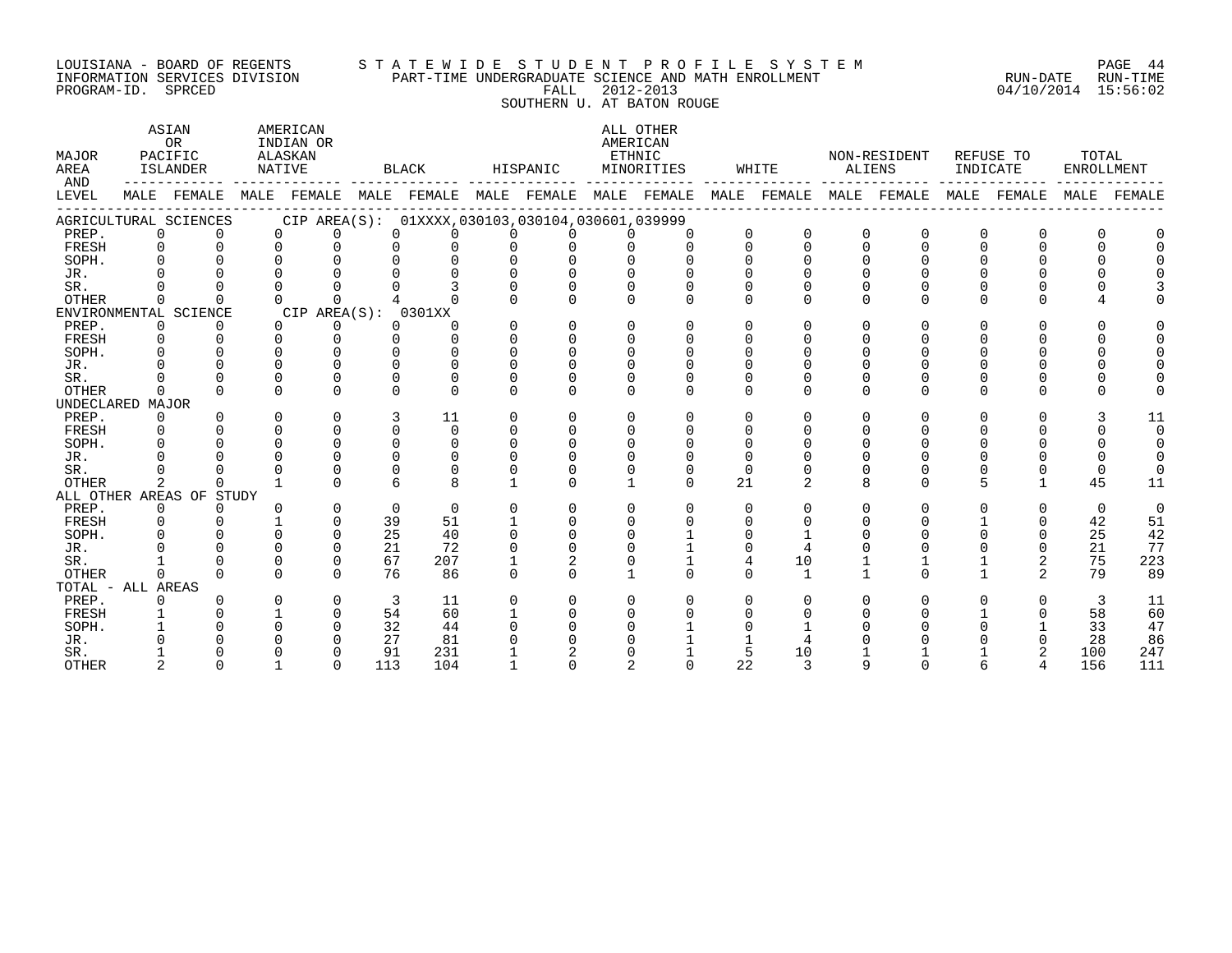# LOUISIANA - BOARD OF REGENTS S T A T E W I D E S T U D E N T P R O F I L E S Y S T E M PAGE 44 INFORMATION SERVICES DIVISION PART-TIME UNDERGRADUATE SCIENCE AND MATH ENROLLMENT RUN-DATE RUN-TIME EOUISIANA - BOARD OF REGENTS STATEWIDE STUDENT PROFILE SYSTEM PAGE 44<br>INFORMATION SERVICES DIVISION PART-TIME UNDERGRADUATE SCIENCE AND MATH ENROLLMENT (RUN-DATE RUN-TIME<br>PROGRAM-ID. SPRCED (94/10/2014 15:56:02

SOUTHERN U. AT BATON ROUGE

| MAJOR<br>AREA<br>AND |              | ASIAN<br>OR<br>PACIFIC<br>ISLANDER |          | AMERICAN<br>INDIAN OR<br>ALASKAN<br>NATIVE |     | BLACK                                               |          | HISPANIC |              | ALL OTHER<br>AMERICAN<br>ETHNIC<br>MINORITIES |          | WHITE          | ALIENS       | NON-RESIDENT            | INDICATE | REFUSE TO      | TOTAL<br><b>ENROLLMENT</b> |          |
|----------------------|--------------|------------------------------------|----------|--------------------------------------------|-----|-----------------------------------------------------|----------|----------|--------------|-----------------------------------------------|----------|----------------|--------------|-------------------------|----------|----------------|----------------------------|----------|
| LEVEL                |              | MALE FEMALE                        |          | MALE FEMALE                                |     | MALE FEMALE MALE FEMALE MALE FEMALE                 |          |          |              |                                               |          |                |              | MALE FEMALE MALE FEMALE | MALE     | FEMALE         | MALE                       | FEMALE   |
|                      |              | AGRICULTURAL SCIENCES              |          |                                            |     | CIP AREA(S): 01XXXX, 030103, 030104, 030601, 039999 |          |          |              |                                               |          |                |              |                         |          |                |                            |          |
| PREP.                | $\Omega$     | $\Omega$                           | $\Omega$ | $\Omega$                                   |     | $\Omega$<br>$\Omega$                                | 0        |          |              | $\Omega$                                      | $\Omega$ | $\Omega$       | $\Omega$     | $\Omega$                | $\Omega$ | $\Omega$       |                            |          |
| FRESH                | $\Omega$     | $\Omega$                           | $\Omega$ | $\Omega$                                   |     | 0<br>$\Omega$                                       | $\Omega$ |          |              | $\cap$                                        | $\Omega$ | $\Omega$       | $\Omega$     | $\Omega$                | $\Omega$ | $\cap$         |                            |          |
| SOPH.                | $\Omega$     |                                    |          |                                            |     |                                                     |          |          |              |                                               |          |                |              |                         |          |                |                            |          |
| JR.                  |              |                                    |          |                                            |     |                                                     |          |          |              |                                               |          |                |              |                         |          |                |                            |          |
| SR.                  |              |                                    |          |                                            |     |                                                     |          |          |              |                                               |          |                |              |                         |          |                |                            |          |
| <b>OTHER</b>         | 0            |                                    |          | $\Omega$                                   |     |                                                     |          |          |              |                                               | $\cap$   |                | ∩            | U                       | U        | <sup>n</sup>   |                            |          |
|                      |              | ENVIRONMENTAL SCIENCE              |          | CIP AREA(S): 0301XX                        |     |                                                     |          |          |              |                                               |          |                |              |                         |          |                |                            |          |
| PREP.                | $\mathbf 0$  | $\Omega$                           | $\Omega$ | 0                                          |     | 0<br>0                                              | $\Omega$ | $\Omega$ | $\Omega$     | 0                                             | $\Omega$ | ∩              | $\Omega$     | 0                       | U        | O              |                            |          |
| FRESH                | $\Omega$     | $\Omega$                           | $\Omega$ | $\cap$                                     |     | $\Omega$<br><sup>n</sup>                            | $\cap$   | $\Omega$ | $\cap$       |                                               | ∩        |                |              |                         |          |                |                            |          |
| SOPH.                | <sup>n</sup> | $\cap$                             |          | ∩                                          |     | U                                                   |          |          | $\cap$       |                                               |          |                |              |                         |          |                |                            |          |
| JR.                  |              |                                    |          |                                            |     | U                                                   |          |          |              |                                               |          |                |              |                         |          |                |                            |          |
| SR.                  |              | $\Omega$                           |          | ∩                                          |     | O                                                   |          |          |              |                                               |          |                |              |                         |          |                |                            |          |
| <b>OTHER</b>         | $\Omega$     | $\cap$                             | $\Omega$ | $\cap$                                     |     | $\cap$<br>$\Omega$                                  | $\cap$   |          | $\cap$       | $\Omega$                                      | $\Omega$ | $\Omega$       | $\Omega$     | $\Omega$                | 0        | <sup>n</sup>   |                            |          |
| UNDECLARED MAJOR     |              |                                    |          |                                            |     |                                                     |          |          |              |                                               |          |                |              |                         |          |                |                            |          |
| PREP.                | $\Omega$     | $\Omega$                           | $\Omega$ | $\Omega$                                   |     | 3<br>11                                             | $\Omega$ | $\Omega$ | $\Omega$     | 0                                             | $\Omega$ | ∩              | <sup>n</sup> | $\Omega$                | 0        | <sup>n</sup>   |                            | 11       |
| FRESH                | $\Omega$     |                                    | $\Omega$ | $\Omega$                                   |     | 0<br>$\Omega$                                       | $\Omega$ | $\Omega$ | $\Omega$     |                                               |          |                |              |                         |          |                |                            | $\Omega$ |
| SOPH.                |              |                                    |          | $\Omega$                                   |     | $\Omega$<br>$\Omega$                                | $\Omega$ |          | $\Omega$     |                                               |          |                |              |                         |          |                |                            |          |
| JR.                  |              |                                    |          | $\cap$                                     |     | $\Omega$                                            |          |          |              |                                               |          |                |              |                         |          |                |                            |          |
| SR.                  |              |                                    |          | $\Omega$                                   |     | $\Omega$                                            |          |          |              |                                               | $\Omega$ |                |              |                         |          |                |                            |          |
| OTHER                | 2            | <sup>n</sup>                       |          | $\cap$                                     |     | ĥ<br>$\mathsf{R}$                                   |          |          | $\mathbf{1}$ | $\cap$                                        | 21       | $\mathfrak{D}$ | $\mathsf{R}$ | $\Omega$                | 5        | $\mathbf{1}$   | 45                         | 11       |
|                      |              | ALL OTHER AREAS OF STUDY           |          |                                            |     |                                                     |          |          |              |                                               |          |                |              |                         |          |                |                            |          |
| PREP.                | $\mathbf 0$  | $\Omega$                           |          | $\mathbf 0$                                |     | 0<br>$\Omega$                                       | $\Omega$ | $\Omega$ | $\Omega$     | $\Omega$                                      | $\Omega$ | ∩              | $\Omega$     | $\Omega$                | 0        | $\Omega$       | $\mathbf 0$                | $\Omega$ |
| FRESH                | $\mathbf 0$  |                                    |          | $\Omega$                                   | 39  | 51                                                  |          |          | 0            |                                               | $\Omega$ |                |              |                         |          | 0              | 42                         | 51       |
| SOPH.                |              |                                    |          | $\Omega$                                   | 25  | 40                                                  |          |          |              |                                               |          |                |              |                         |          | <sup>n</sup>   | 25                         | 42       |
| JR.                  |              |                                    |          | $\Omega$                                   | 21  | 72                                                  |          |          |              |                                               |          |                |              |                         |          |                | 21                         | 77       |
| SR.                  |              | $\Omega$                           |          | $\Omega$                                   | 67  | 207                                                 |          | 2        | $\Omega$     |                                               | 4        | 10             |              |                         |          | 2              | 75                         | 223      |
| <b>OTHER</b>         | $\Omega$     | $\cap$                             | $\cap$   | $\cap$                                     | 76  | 86                                                  | $\cap$   |          | $\mathbf{1}$ | $\Omega$                                      | $\Omega$ | $\mathbf{1}$   |              | $\Omega$                |          | $\overline{2}$ | 79                         | 89       |
| TOTAL - ALL AREAS    |              |                                    |          |                                            |     |                                                     |          |          |              |                                               |          |                |              |                         |          |                |                            |          |
| PREP.                | <sup>0</sup> |                                    |          | $\Omega$                                   | 3   | 11                                                  | $\Omega$ | $\Omega$ | 0            |                                               |          |                |              | U                       | U        | 0              | 3                          | 11       |
| FRESH                |              |                                    |          | $\Omega$                                   | 54  | 60                                                  |          |          |              |                                               |          |                |              |                         |          | 0              | 58                         | 60       |
| SOPH.                |              |                                    |          | ∩                                          | 32  | 44                                                  |          |          |              |                                               |          |                |              |                         |          |                | 33                         | 47       |
| JR.                  |              |                                    |          |                                            | 27  | 81                                                  |          |          |              |                                               |          |                |              |                         |          |                | 28                         | 86       |
| SR.                  |              |                                    |          | ∩                                          | 91  | 231                                                 |          |          |              |                                               | 5        | 10             |              |                         |          |                | 100                        | 247      |
| <b>OTHER</b>         |              | $\cap$                             |          | $\cap$                                     | 113 | 104                                                 |          |          |              |                                               | 22       | $\mathbf{z}$   |              |                         |          |                | 156                        | 111      |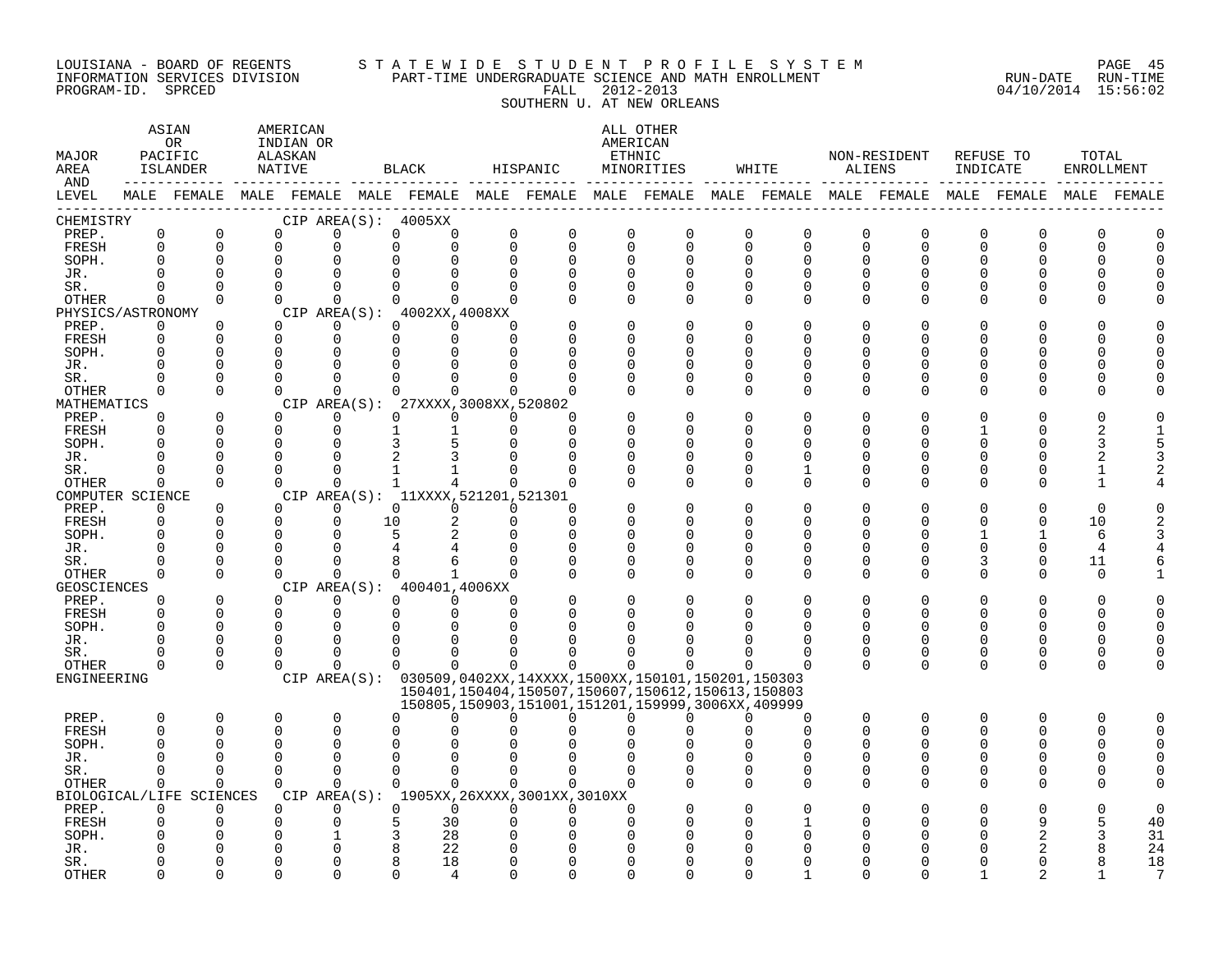#### LOUISIANA - BOARD OF REGENTS S T A T E W I D E S T U D E N T P R O F I L E S Y S T E M PAGE 45 INFORMATION SERVICES DIVISION PART-TIME UNDERGRADUATE SCIENCE AND MATH ENROLLMENT RUN-DATE RUN-TIME PROGRAM-ID. SPRCED FALL 2012-2013 04/10/2014 15:56:02

# SOUTHERN U. AT NEW ORLEANS

| MAJOR<br>AREA                      |                         | ASIAN<br>OR.<br>PACIFIC<br>ISLANDER | AMERICAN<br>INDIAN OR<br>ALASKAN<br>NATIVE |                      |              | BLACK                                      |                                  | HISPANIC                                    |                      | ALL OTHER<br>AMERICAN<br>ETHNIC<br>MINORITIES                                                               |                         | WHITE                      | ALIENS                   | NON-RESIDENT  | INDICATE      | REFUSE TO     | TOTAL    | ENROLLMENT |
|------------------------------------|-------------------------|-------------------------------------|--------------------------------------------|----------------------|--------------|--------------------------------------------|----------------------------------|---------------------------------------------|----------------------|-------------------------------------------------------------------------------------------------------------|-------------------------|----------------------------|--------------------------|---------------|---------------|---------------|----------|------------|
| AND<br>LEVEL                       |                         |                                     |                                            |                      |              |                                            |                                  |                                             |                      | MALE FEMALE MALE FEMALE MALE FEMALE MALE FEMALE MALE FEMALE MALE FEMALE MALE FEMALE MALE FEMALE MALE FEMALE |                         |                            |                          |               |               |               |          |            |
| CHEMISTRY                          |                         |                                     |                                            |                      |              | CIP AREA(S): 4005XX                        |                                  |                                             |                      |                                                                                                             |                         |                            |                          |               |               |               |          |            |
| PREP.                              | $\mathbf 0$             | 0                                   | $\Omega$                                   | $\Omega$             | $\Omega$     | $\Omega$                                   | $\Omega$                         | $\Omega$                                    | $\Omega$             | 0                                                                                                           | 0                       | $\Omega$                   | $\Omega$                 | $\Omega$      | $\Omega$      | $\Omega$      | O        |            |
| FRESH<br>SOPH.                     | $\mathbf 0$<br>$\Omega$ | $\mathbf 0$<br>$\Omega$             | $\overline{0}$<br>$\Omega$                 | $\Omega$<br>$\Omega$ |              | $\Omega$<br>$\Omega$<br>0                  | $\Omega$<br>$\Omega$<br>$\Omega$ | $\Omega$<br>$\Omega$                        | $\Omega$<br>$\Omega$ | $\mathbf 0$<br>$\Omega$                                                                                     | $\mathbf 0$<br>$\Omega$ | $\overline{0}$<br>$\Omega$ | $\Omega$<br>$\Omega$     | $\Omega$<br>U | 0<br>U        | $\Omega$<br>∩ | $\Omega$ | $\cap$     |
| JR.                                |                         | $\Omega$                            | $\Omega$                                   | $\Omega$             | $\Omega$     | 0                                          | ∩                                | ∩                                           | U                    | $\Omega$                                                                                                    | $\Omega$                | ∩                          | <sup>n</sup>             | U             | U             |               |          |            |
| SR.                                | ∩                       | $\Omega$                            | $\Omega$                                   | $\Omega$             |              | 0                                          | $\Omega$<br>U                    | $\Omega$                                    | $\Omega$             | $\Omega$                                                                                                    | $\Omega$                | $\Omega$                   | $\Omega$                 | U             | U             | U             |          |            |
| <b>OTHER</b>                       | 0                       | $\Omega$                            | $\Omega$                                   | $\Omega$             | $\Omega$     |                                            | $\Omega$<br>$\Omega$             | ∩                                           | $\Omega$             | $\Omega$                                                                                                    | $\Omega$                | $\Omega$                   | $\Omega$                 | 0             | 0             | ∩             |          |            |
| PHYSICS/ASTRONOMY                  |                         |                                     |                                            |                      |              | CIP AREA $(S):$ 4002XX, 4008XX             |                                  |                                             |                      |                                                                                                             |                         |                            |                          |               |               |               |          |            |
| PREP.                              | 0                       | $\Omega$                            | $\Omega$                                   | 0                    |              | 0<br>$\Omega$                              | O                                |                                             | $\Omega$             | 0                                                                                                           | 0                       | <sup>0</sup>               | <sup>0</sup>             | O             | U             |               |          |            |
| FRESH                              | $\mathbf 0$             | $\overline{0}$                      | $\Omega$                                   | $\Omega$             |              | 0<br>$\Omega$                              | $\Omega$                         |                                             | $\Omega$             | 0                                                                                                           | $\mathbf 0$             | $\Omega$                   | $\Omega$                 | ∩             | O             |               |          |            |
| SOPH.                              | $\Omega$                | $\Omega$                            | $\cap$                                     | $\Omega$             |              | 0                                          | $\Omega$<br>$\Omega$             | ∩                                           | $\Omega$             | $\Omega$                                                                                                    | 0                       | $\cap$                     | <sup>n</sup>             | ∩             | U             |               |          |            |
| JR.                                |                         | O                                   | $\cap$                                     |                      | 0            | U                                          |                                  | ∩                                           | U                    | $\Omega$                                                                                                    | $\Omega$                | $\cap$                     | <sup>n</sup>             | U             | 0             | U             |          |            |
| SR.                                | U                       | $\Omega$                            | $\Omega$                                   | $\Omega$             |              | 0                                          | $\Omega$                         |                                             |                      | $\Omega$                                                                                                    | $\Omega$                | $\Omega$                   | $\Omega$                 | U             | U             | U             |          |            |
| <b>OTHER</b>                       | $\Omega$                | $\Omega$                            | $\Omega$                                   | $\Omega$             | $\Omega$     | $\Omega$                                   |                                  | $\Omega$<br>O                               | $\Omega$             | $\Omega$                                                                                                    | $\Omega$                | $\Omega$                   | $\Omega$                 | $\Omega$      | $\Omega$      | $\Omega$      |          |            |
| MATHEMATICS                        |                         |                                     |                                            |                      |              | CIP AREA(S): 27XXXX, 3008XX, 520802        |                                  |                                             |                      |                                                                                                             |                         |                            |                          |               |               |               |          |            |
| PREP.<br>FRESH                     | $\Omega$<br>$\Omega$    | $\mathbf 0$<br>$\Omega$             | $\Omega$<br>$\Omega$                       | $\Omega$<br>$\Omega$ | 0<br>1       | 0<br>1                                     | $\Omega$                         | 0<br>O<br>$\Omega$                          | $\Omega$<br>$\Omega$ | 0<br>$\Omega$                                                                                               | 0<br>$\Omega$           | $\Omega$                   | $\Omega$<br>$\Omega$     | 0<br>U        | U             |               |          |            |
| SOPH.                              | U                       | $\Omega$                            | $\Omega$                                   | $\Omega$             |              | 3                                          | 5<br>$\cap$                      | ∩                                           | $\Omega$             | ∩                                                                                                           | $\Omega$                | $\cap$                     | U                        | ∩             | U             |               | 3        |            |
| JR.                                |                         | O                                   | $\Omega$                                   | <sup>n</sup>         |              | $\overline{2}$                             | 3                                |                                             | U                    | O                                                                                                           | $\Omega$                | ∩                          | <sup>n</sup>             | U             | 0             | U             |          |            |
| SR.                                | U                       | $\Omega$                            | $\Omega$                                   | $\Omega$             |              |                                            | $\cap$                           | ∩                                           | U                    | $\Omega$                                                                                                    | $\Omega$                |                            | $\Omega$                 | U             | 0             | U             |          |            |
| OTHER                              | $\mathbf 0$             | $\Omega$                            | $\Omega$                                   | $\Omega$             | $\mathbf{1}$ |                                            | 4                                | $\Omega$<br>$\Omega$                        | $\Omega$             | $\Omega$                                                                                                    | $\Omega$                | $\Omega$                   | $\Omega$                 | 0             | O             | ∩             |          |            |
| COMPUTER SCIENCE                   |                         |                                     |                                            |                      |              | CIP AREA(S): 11XXXX, 521201, 521301        |                                  |                                             |                      |                                                                                                             |                         |                            |                          |               |               |               |          |            |
| PREP.                              | 0                       | $\Omega$                            | $\Omega$                                   | $\Omega$             | $\Omega$     | $\Omega$                                   |                                  | $\Omega$<br>$\Omega$                        | $\Omega$             | $\Omega$                                                                                                    | $\Omega$                | <sup>0</sup>               | $\Omega$                 | 0             | 0             | $\Omega$      | $\Omega$ |            |
| FRESH                              | 0                       | $\mathbf 0$                         | $\Omega$                                   | $\Omega$             | 10           |                                            | 2<br>$\Omega$                    | $\Omega$                                    | $\Omega$             | $\Omega$                                                                                                    | 0                       | $\Omega$                   | $\Omega$                 | 0             | O             | $\Omega$      | 10       |            |
| SOPH.                              | O                       | $\Omega$                            | $\Omega$                                   | $\Omega$             |              | 5                                          | 2<br>$\Omega$                    | $\Omega$                                    | $\Omega$             | $\Omega$                                                                                                    | $\Omega$                | <sup>0</sup>               | <sup>0</sup>             | ∩             | 1             | п.            | 6        |            |
| JR.                                |                         | $\Omega$                            |                                            |                      |              |                                            |                                  |                                             | U                    | $\Omega$                                                                                                    | 0                       | $\cap$                     | <sup>n</sup>             | U             | 0             | 0             | 4        |            |
| SR.                                | ∩                       | $\Omega$                            | $\cap$                                     | $\Omega$             |              | 8                                          | 6                                | ∩                                           | $\Omega$             | $\Omega$                                                                                                    | $\Omega$                | $\cap$                     | <sup>n</sup>             | U             | 3             | $\Omega$      | 11       |            |
| <b>OTHER</b><br><b>GEOSCIENCES</b> | $\Omega$                | $\Omega$                            | $\Omega$                                   | $\Omega$             | $\mathbf 0$  | $\mathbf{1}$<br>CIP AREA(S): 400401,4006XX | $\Omega$                         | ∩                                           | $\Omega$             | $\Omega$                                                                                                    | $\Omega$                | $\Omega$                   | $\Omega$                 | $\Omega$      | $\Omega$      | $\Omega$      | $\Omega$ |            |
| PREP.                              | $\Omega$                | $\Omega$                            | $\Omega$                                   | $\Omega$             | $\Omega$     | $\Omega$                                   | $\Omega$                         | O                                           | $\Omega$             | $\Omega$                                                                                                    | $\Omega$                |                            | $\Omega$                 | 0             | $\Omega$      | $\Omega$      | O        |            |
| FRESH                              | $\Omega$                | 0                                   | $\mathbf 0$                                | $\Omega$             |              | 0                                          | $\Omega$<br>$\Omega$             | $\Omega$                                    | $\Omega$             | $\Omega$                                                                                                    | $\Omega$                | $\Omega$                   | $\Omega$                 | 0             | O             | $\Omega$      | O        | U          |
| SOPH.                              | O                       | $\Omega$                            | $\Omega$                                   | $\Omega$             | $\Omega$     |                                            | $\Omega$<br>∩                    |                                             |                      | O                                                                                                           | $\Omega$                |                            | U                        | U             | O             | ∩             |          | ∩          |
| JR.                                | U                       | $\Omega$                            | $\cap$                                     | $\Omega$             |              | 0                                          | $\Omega$<br>∩                    |                                             |                      | n                                                                                                           | n                       | n                          | <sup>n</sup>             | U             | 0             | ∩             | ∩        |            |
| SR.                                | ∩                       | $\Omega$                            | $\cap$                                     | $\Omega$             |              | 0                                          | $\Omega$<br>$\Omega$             | ∩                                           | U                    | ∩                                                                                                           | $\Omega$                | ∩                          | <sup>n</sup>             | 0             | 0             | $\Omega$      | ∩        |            |
| OTHER                              | $\Omega$                | $\Omega$                            | $\Omega$                                   | $\Omega$             |              | $\Omega$                                   | $\Omega$                         | $\Omega$<br>$\Omega$                        | $\Omega$             | $\Omega$                                                                                                    | $\Omega$                | $\cap$                     | $\Omega$                 | $\Omega$      | $\Omega$      | $\Omega$      | ∩        |            |
| ENGINEERING                        |                         |                                     |                                            |                      |              |                                            |                                  |                                             |                      | CIP AREA(S): 030509,0402XX,14XXXX,1500XX,150101,150201,150303                                               |                         |                            |                          |               |               |               |          |            |
|                                    |                         |                                     |                                            |                      |              |                                            |                                  |                                             |                      | 150401, 150404, 150507, 150607, 150612, 150613, 150803                                                      |                         |                            |                          |               |               |               |          |            |
|                                    |                         |                                     |                                            |                      |              |                                            |                                  |                                             |                      | 150805,150903,151001,151201,159999,3006XX,409999                                                            |                         |                            |                          |               |               |               |          |            |
| PREP.                              | 0                       | 0                                   | $\Omega$                                   | 0                    |              | 0<br>$\Omega$                              | $\Omega$                         | $\Omega$                                    | $\Omega$             | $\Omega$                                                                                                    | $\Omega$                | <sup>0</sup>               | $\Omega$                 | $\Omega$      | $\Omega$      | $\Omega$      | O        | O          |
| FRESH                              | 0<br>U                  | ∩                                   | $\Omega$<br>$\cap$                         | $\Omega$<br>$\Omega$ |              | $\Omega$<br>O<br>0<br>U                    |                                  |                                             |                      | $\Omega$<br>∩                                                                                               | $\Omega$<br>$\Omega$    | $\Omega$<br>$\cap$         | $\Omega$<br><sup>n</sup> | 0<br>∩        | $\Omega$<br>U | O<br>∩        | O        | $\Omega$   |
| SOPH.<br>JR.                       | O                       | $\Omega$                            | $\Omega$                                   | $\Omega$             |              | $\Omega$<br>$\Omega$                       | n                                | $\Omega$                                    | $\Omega$             | $\Omega$                                                                                                    | $\Omega$                | $\Omega$                   | $\Omega$                 | 0             | 0             | $\Omega$      |          |            |
| SR.                                | $\Omega$                | $\Omega$                            | $\Omega$                                   | $\Omega$             |              | $\Omega$                                   | $\Omega$<br>$\Omega$             | $\Omega$                                    | $\Omega$             | $\Omega$                                                                                                    | 0                       | $\Omega$                   | 0                        | 0             | 0             | $\Omega$      |          |            |
| OTHER                              | $\Omega$                | $\Omega$                            | $\Omega$                                   | $\Omega$             | $\Omega$     |                                            | $\Omega$<br>$\Omega$             | $\Omega$                                    | $\Omega$             | ∩                                                                                                           | $\Omega$                | $\Omega$                   | $\Omega$                 | 0             | $\Omega$      | $\Omega$      |          |            |
| BIOLOGICAL/LIFE                    |                         | SCIENCES                            |                                            |                      |              |                                            |                                  | CIP AREA(S): 1905XX, 26XXXX, 3001XX, 3010XX |                      |                                                                                                             |                         |                            |                          |               |               |               |          |            |
| PREP.                              | 0                       | 0                                   | $\Omega$                                   | $\Omega$             |              | 0<br>$\Omega$                              | $\Omega$                         | $\Omega$                                    | $\Omega$             |                                                                                                             |                         |                            | O                        |               |               |               |          | $\Omega$   |
| FRESH                              | 0                       |                                     | $\Omega$                                   | $\Omega$             |              | 5<br>30                                    | O                                | $\Omega$                                    | $\Omega$             | U                                                                                                           | $\Omega$                |                            | ∩                        | U             | U             | 9             |          | 40         |
| SOPH.                              |                         |                                     | O                                          | 1                    |              | 28<br>3                                    | Ω                                |                                             |                      | O                                                                                                           | $\Omega$                |                            |                          |               |               | 2             | 3        | 31         |
| JR.                                |                         |                                     |                                            | $\Omega$             |              | 8<br>22                                    | n                                |                                             |                      | U                                                                                                           | $\cap$                  |                            |                          |               |               |               |          | 24         |
| SR.                                |                         | n                                   | $\cap$                                     | $\Omega$             |              | 8<br>18                                    | $\cap$                           | ∩                                           | U                    | ∩                                                                                                           | $\Omega$                |                            | U                        |               |               |               |          | 18         |
| <b>OTHER</b>                       | ∩                       | $\cap$                              | $\Omega$                                   | $\cap$               |              | 0<br>4                                     | ∩                                | <sup>n</sup>                                | $\cap$               | <sup>n</sup>                                                                                                | $\cap$                  |                            | U                        | ∩             |               |               |          | 7          |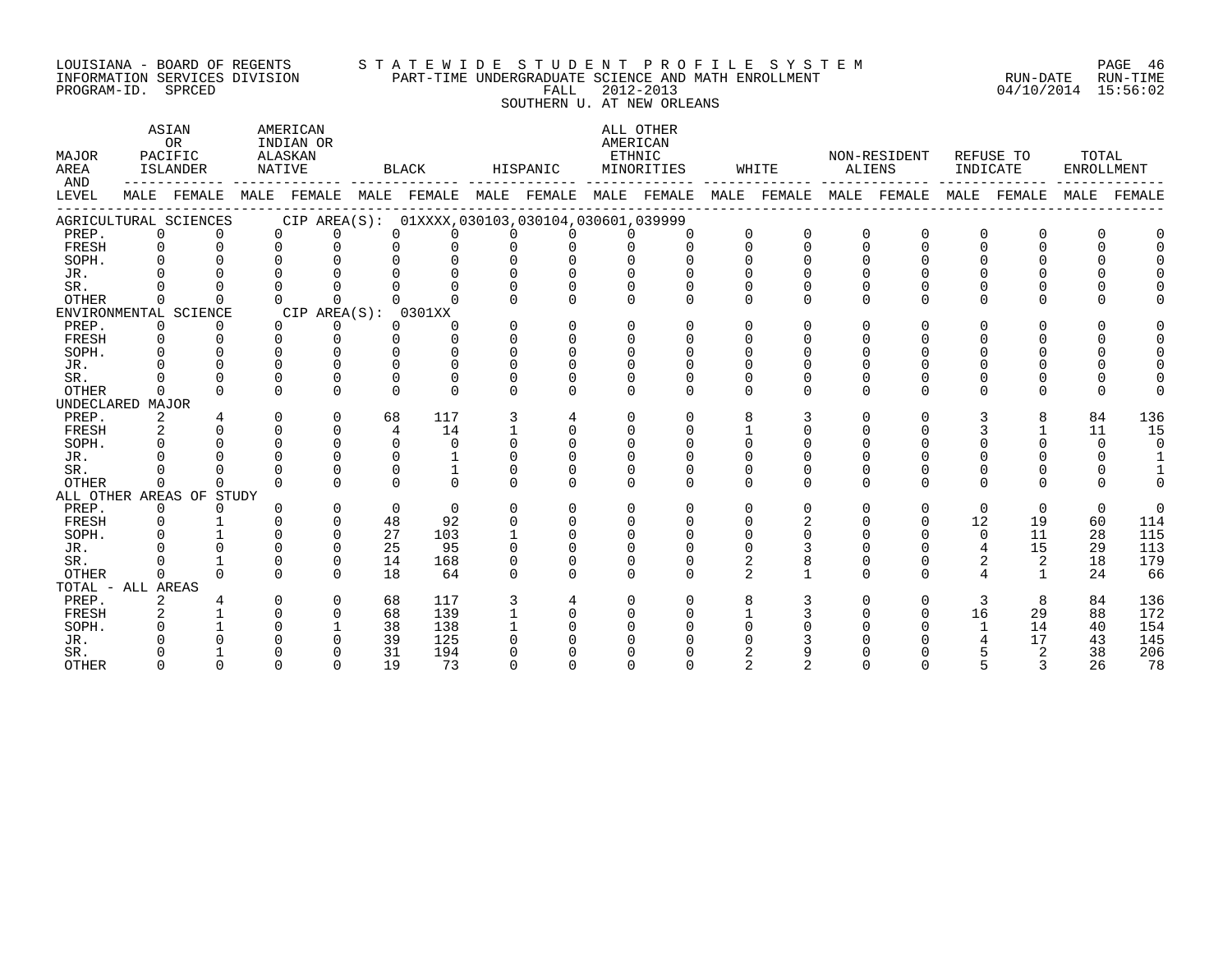#### LOUISIANA - BOARD OF REGENTS S T A T E W I D E S T U D E N T P R O F I L E S Y S T E M PAGE 46 INFORMATION SERVICES DIVISION PART-TIME UNDERGRADUATE SCIENCE AND MATH ENROLLMENT RUN-DATE RUN-TIME ت بین اللہ اللہ علیہ اللہ علیہ اللہ علیہ اللہ علیہ اللہ علیہ اللہ علیہ اللہ علیہ اللہ علیہ اللہ علیہ اللہ علیہ<br>INFORMATION SERVICES DIVISION PART-TIME UNDERGRADUATE SCIENCE AND MATH ENROLLMENT PROGRAM-ID. SPRCED 04/10/201 SOUTHERN U. AT NEW ORLEANS

| AND<br>MALE FEMALE MALE FEMALE MALE FEMALE MALE FEMALE MALE FEMALE MALE FEMALE MALE FEMALE MALE FEMALE MALE FEMALE<br>LEVEL<br>CIP AREA(S): 01XXXX,030103,030104,030601,039999<br>AGRICULTURAL SCIENCES<br>PREP.<br>$\Omega$<br>$\Omega$<br>0<br>$\Omega$<br>$\Omega$<br>$\Omega$<br>$\Omega$<br>$\cap$<br>$\cap$<br>$\cap$<br>$\Omega$<br>$\Omega$<br>$\Omega$<br>$\Omega$<br>$\Omega$<br>$\Omega$<br>$\Omega$<br>$\Omega$<br>$\Omega$<br>$\Omega$<br>$\Omega$<br>FRESH<br>$\Omega$<br>U<br>$\Omega$<br>$\cap$<br>$\cap$<br>$\cap$<br>SOPH.<br>$\cap$<br>$\cap$<br>U | TOTAL<br><b>ENROLLMENT</b> |
|-----------------------------------------------------------------------------------------------------------------------------------------------------------------------------------------------------------------------------------------------------------------------------------------------------------------------------------------------------------------------------------------------------------------------------------------------------------------------------------------------------------------------------------------------------------------------|----------------------------|
|                                                                                                                                                                                                                                                                                                                                                                                                                                                                                                                                                                       |                            |
|                                                                                                                                                                                                                                                                                                                                                                                                                                                                                                                                                                       |                            |
|                                                                                                                                                                                                                                                                                                                                                                                                                                                                                                                                                                       |                            |
|                                                                                                                                                                                                                                                                                                                                                                                                                                                                                                                                                                       |                            |
|                                                                                                                                                                                                                                                                                                                                                                                                                                                                                                                                                                       |                            |
| JR.                                                                                                                                                                                                                                                                                                                                                                                                                                                                                                                                                                   |                            |
| $\Omega$<br>SR.<br>$\cap$<br>$\Omega$                                                                                                                                                                                                                                                                                                                                                                                                                                                                                                                                 |                            |
| OTHER<br>$\Omega$<br>$\Omega$<br>$\Omega$<br><sup>n</sup><br>$\Omega$<br>O<br>$\Omega$                                                                                                                                                                                                                                                                                                                                                                                                                                                                                |                            |
| ENVIRONMENTAL SCIENCE<br>CIP AREA(S): 0301XX                                                                                                                                                                                                                                                                                                                                                                                                                                                                                                                          |                            |
| $\Omega$<br>$\Omega$<br>PREP.<br>$\Omega$<br>$\Omega$<br>$\cap$<br>$\cap$<br>$\Omega$<br>$\Omega$<br>$\cap$<br>0<br>$\cap$<br>$\Omega$<br>$\Omega$<br><sup>n</sup><br>$\cap$                                                                                                                                                                                                                                                                                                                                                                                          |                            |
| $\cap$<br>FRESH<br>$\cap$<br>$\cap$<br>$\Omega$<br>$\Omega$<br>$\cap$<br>$\Omega$<br>$\cap$<br>$\cap$<br>$\Omega$<br>$\cap$<br>$\Omega$                                                                                                                                                                                                                                                                                                                                                                                                                               |                            |
| $\Omega$<br>SOPH.<br>$\Omega$<br>$\cap$<br>$\Omega$<br>$\Omega$<br>$\Omega$<br>$\Omega$                                                                                                                                                                                                                                                                                                                                                                                                                                                                               |                            |
| $\Omega$<br>JR.                                                                                                                                                                                                                                                                                                                                                                                                                                                                                                                                                       |                            |
| SR.<br>$\Omega$<br>$\Omega$                                                                                                                                                                                                                                                                                                                                                                                                                                                                                                                                           |                            |
| <b>OTHER</b><br>$\cap$<br>$\Omega$<br>$\Omega$<br>$\Omega$<br>$\Omega$<br>$\cap$<br>$\cap$<br>$\cap$<br>$\Omega$<br><sup>n</sup><br>$\cap$<br><sup>n</sup>                                                                                                                                                                                                                                                                                                                                                                                                            |                            |
| UNDECLARED MAJOR                                                                                                                                                                                                                                                                                                                                                                                                                                                                                                                                                      |                            |
| $\mathbf 0$<br>117<br>8<br>84<br>PREP.<br>2<br>$\Omega$<br>68<br>3<br>$\Omega$<br>$\Omega$<br>3<br>0<br>$\Omega$<br>3<br>8<br>4                                                                                                                                                                                                                                                                                                                                                                                                                                       | 136                        |
| $\Omega$<br>14<br>$\Omega$<br>11<br>FRESH<br>4<br>$\Omega$<br>$\Omega$<br>$\Omega$                                                                                                                                                                                                                                                                                                                                                                                                                                                                                    | 15                         |
| $\cap$<br>SOPH.<br>$\Omega$<br>$\Omega$<br>$\Omega$                                                                                                                                                                                                                                                                                                                                                                                                                                                                                                                   | $\overline{0}$             |
| JR.<br>$\cap$<br>$\cap$<br>$\Omega$                                                                                                                                                                                                                                                                                                                                                                                                                                                                                                                                   |                            |
| SR.<br>$\cap$<br>$\Omega$                                                                                                                                                                                                                                                                                                                                                                                                                                                                                                                                             |                            |
| $\cap$<br><b>OTHER</b><br>$\cap$<br>$\Omega$<br>$\Omega$<br>$\Omega$<br>$\Omega$<br>$\Omega$<br>$\Omega$<br>$\Omega$<br>$\Omega$<br>$\Omega$<br>$\Omega$<br>$\Omega$<br>$\Omega$                                                                                                                                                                                                                                                                                                                                                                                      |                            |
| ALL OTHER AREAS OF STUDY                                                                                                                                                                                                                                                                                                                                                                                                                                                                                                                                              |                            |
| PREP.<br>$\Omega$<br>$\Omega$<br>$\Omega$<br>$\Omega$<br>$\Omega$<br>$\Omega$<br>0<br>$\Omega$<br>$\Omega$<br>$\Omega$<br>$\Omega$<br>$\Omega$<br>$\Omega$<br>0<br>$\Omega$<br>$\Omega$                                                                                                                                                                                                                                                                                                                                                                               | $\Omega$                   |
| $\Omega$<br>12<br>$\Omega$<br>48<br>92<br>$\cap$<br>$\cap$<br>19<br>60<br>FRESH<br>$\cap$<br>$\cap$<br>U<br>$\cap$                                                                                                                                                                                                                                                                                                                                                                                                                                                    | 114                        |
| $\Omega$<br>11<br>SOPH.<br>27<br>103<br>$\Omega$<br>$\Omega$<br>28                                                                                                                                                                                                                                                                                                                                                                                                                                                                                                    | 115                        |
| $\Omega$<br>25<br>$\overline{4}$<br>15<br>JR.<br>95<br>29<br>0                                                                                                                                                                                                                                                                                                                                                                                                                                                                                                        | 113                        |
| 2<br>$\mathbf 0$<br>2<br>2<br>18<br>SR.<br>14<br>168<br>$\Omega$<br>0                                                                                                                                                                                                                                                                                                                                                                                                                                                                                                 | 179                        |
| $\overline{a}$<br>OTHER<br>$\cap$<br>18<br>64<br>$\cap$<br>$\Omega$<br>U<br>24<br>$\cap$                                                                                                                                                                                                                                                                                                                                                                                                                                                                              | 66                         |
| TOTAL - ALL AREAS                                                                                                                                                                                                                                                                                                                                                                                                                                                                                                                                                     |                            |
| PREP.<br>$\Omega$<br>68<br>117<br>8<br>3<br>8<br>84<br>∩<br>$\Omega$<br>0<br>0<br>2                                                                                                                                                                                                                                                                                                                                                                                                                                                                                   | 136                        |
| 68<br>16<br>29<br>FRESH<br>$\Omega$<br>139<br>$\Omega$<br>88                                                                                                                                                                                                                                                                                                                                                                                                                                                                                                          | 172                        |
| 38<br>14<br>138<br>$\mathbf{1}$<br>40<br>SOPH.                                                                                                                                                                                                                                                                                                                                                                                                                                                                                                                        |                            |
| 39<br>125<br>17<br>43<br>JR.                                                                                                                                                                                                                                                                                                                                                                                                                                                                                                                                          |                            |
| 31<br>$\overline{2}$<br>38<br>SR.<br>194<br>∩                                                                                                                                                                                                                                                                                                                                                                                                                                                                                                                         | 154                        |
| 19<br>73<br>26<br><b>OTHER</b><br>$\cap$                                                                                                                                                                                                                                                                                                                                                                                                                                                                                                                              | 145<br>206                 |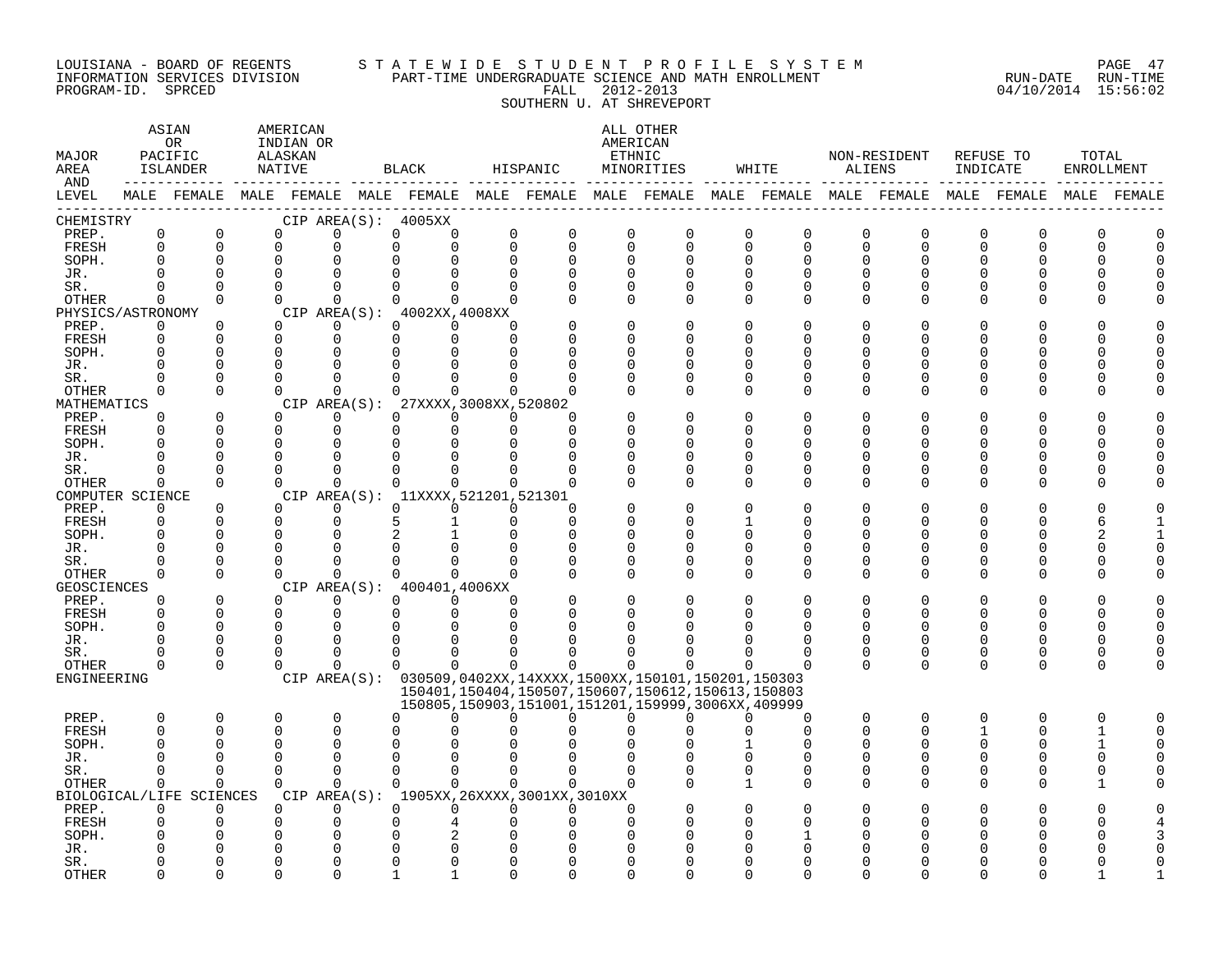#### LOUISIANA - BOARD OF REGENTS S T A T E W I D E S T U D E N T P R O F I L E S Y S T E M PAGE 47 INFORMATION SERVICES DIVISION PART-TIME UNDERGRADUATE SCIENCE AND MATH ENROLLMENT RUN-DATE RUN-TIME PROGRAM-ID. SPRCED FALL 2012-2013 04/10/2014 15:56:02

SOUTHERN U. AT SHREVEPORT

| MAJOR<br>AREA<br>AND |                      | ASIAN<br>OR.<br>PACIFIC<br>ISLANDER |               | AMERICAN<br>INDIAN OR<br>ALASKAN<br>NATIVE  |             | BLACK                | HISPANIC     |                            | ALL OTHER<br>AMERICAN<br>ETHNIC<br>MINORITIES                 |          | WHITE             |          | NON-RESIDENT<br>ALIENS                                                                                      | INDICATE             | REFUSE TO            | TOTAL<br><b>ENROLLMENT</b> |          |
|----------------------|----------------------|-------------------------------------|---------------|---------------------------------------------|-------------|----------------------|--------------|----------------------------|---------------------------------------------------------------|----------|-------------------|----------|-------------------------------------------------------------------------------------------------------------|----------------------|----------------------|----------------------------|----------|
| LEVEL                |                      |                                     |               |                                             |             |                      |              |                            |                                                               |          |                   |          | MALE FEMALE MALE FEMALE MALE FEMALE MALE FEMALE MALE FEMALE MALE FEMALE MALE FEMALE MALE FEMALE MALE FEMALE |                      |                      |                            |          |
| CHEMISTRY            |                      |                                     |               | CIP AREA(S): 4005XX                         |             |                      |              |                            |                                                               |          |                   |          |                                                                                                             |                      |                      |                            |          |
| PREP.                | $\mathbf 0$          | $\Omega$                            |               | $\Omega$<br>$\Omega$                        | $\mathbf 0$ | $\Omega$             | $\mathbf 0$  | $\mathbf 0$<br>$\mathbf 0$ | $\mathbf 0$                                                   | $\Omega$ | $\Omega$          | 0        | 0                                                                                                           | 0                    | $\Omega$             | O                          |          |
| FRESH                | $\Omega$             | $\Omega$                            | $\Omega$      | $\Omega$                                    | $\Omega$    | $\Omega$             | $\Omega$     | $\Omega$<br>0              | $\Omega$                                                      | $\Omega$ | $\Omega$          | $\Omega$ | $\Omega$                                                                                                    | $\mathbf 0$          | $\Omega$             | $\Omega$                   | $\Omega$ |
| SOPH.                | $\Omega$             | $\Omega$                            | $\Omega$      | $\Omega$                                    |             |                      | <sup>n</sup> | $\Omega$<br>U              | $\Omega$                                                      |          |                   | ∩        | $\Omega$                                                                                                    | $\Omega$             | $\Omega$             | $\Omega$                   | $\cap$   |
| JR.                  |                      |                                     |               |                                             |             |                      |              |                            |                                                               |          |                   |          |                                                                                                             |                      |                      | <sup>n</sup>               |          |
| SR.                  |                      | <sup>n</sup>                        | $\Omega$      | ∩                                           |             |                      |              | O                          | ∩                                                             |          |                   |          | U                                                                                                           | $\Omega$             | $\Omega$             | $\Omega$                   |          |
| OTHER                | 0                    | $\Omega$                            | $\Omega$      | $\Omega$                                    | $\Omega$    | $\Omega$             | $\Omega$     | U<br>O                     | O                                                             |          |                   |          | O                                                                                                           | ∩                    | U                    | <sup>n</sup>               |          |
| PHYSICS/ASTRONOMY    |                      |                                     |               | CIP AREA(S): 4002XX,4008XX                  |             |                      |              |                            |                                                               |          |                   |          |                                                                                                             |                      |                      |                            |          |
| PREP.                | 0<br>$\Omega$        | $\Omega$<br>$\Omega$                | $\Omega$      | $\Omega$<br>$\Omega$                        | $\Omega$    | $\Omega$<br>$\Omega$ | ∩<br>U       | U<br>U                     |                                                               |          |                   |          | U                                                                                                           |                      | U                    | <sup>n</sup><br>$\Omega$   | ∩        |
| FRESH<br>SOPH.       | $\Omega$             |                                     | $\Omega$      | $\Omega$<br>∩                               | $\Omega$    |                      |              | U                          |                                                               |          |                   |          | U                                                                                                           | $\Omega$<br>$\Omega$ | $\Omega$             | <sup>n</sup>               |          |
| JR.                  |                      |                                     |               |                                             |             |                      |              | O                          |                                                               |          |                   |          | U                                                                                                           | $\Omega$             | $\Omega$             | $\Omega$                   |          |
| SR.                  |                      | U                                   |               | ∩                                           |             |                      |              | U                          |                                                               |          |                   |          | U                                                                                                           | $\Omega$             | $\Omega$             | $\Omega$                   |          |
| OTHER                | 0                    | $\Omega$                            | $\Omega$      | $\overline{0}$                              | $\Omega$    | $\Omega$             | $\Omega$     | O                          | O                                                             |          |                   |          | O                                                                                                           | $\Omega$             | ∩                    | $\Omega$                   |          |
| MATHEMATICS          |                      |                                     |               | CIP AREA(S): 27XXXX, 3008XX, 520802         |             |                      |              |                            |                                                               |          |                   |          |                                                                                                             |                      |                      |                            |          |
| PREP.                | $\Omega$             | $\Omega$                            |               | $\Omega$<br>0                               | 0           | 0                    | $\Omega$     | ∩                          |                                                               |          |                   |          | O                                                                                                           | $\Omega$             | U                    | <sup>n</sup>               |          |
| FRESH                | $\Omega$             | <sup>n</sup>                        | $\Omega$      | $\Omega$                                    | $\Omega$    | $\Omega$             | $\Omega$     | $\Omega$                   |                                                               |          |                   |          | U                                                                                                           | $\Omega$             | U                    | $\Omega$                   |          |
| SOPH.                |                      | U                                   | $\Omega$      | $\Omega$                                    | ∩           |                      |              | U                          |                                                               |          |                   |          | U                                                                                                           | $\Omega$             | $\Omega$             | <sup>n</sup>               |          |
| JR.                  |                      |                                     |               | O                                           |             |                      |              | O                          | O                                                             |          |                   |          | U                                                                                                           | 0                    | U                    | $\Omega$                   |          |
| SR.                  |                      |                                     |               | $\Omega$                                    |             |                      |              | O                          | O                                                             |          |                   |          | $\Omega$                                                                                                    | $\Omega$             | $\Omega$             | $\Omega$                   |          |
| OTHER                | 0                    | 0                                   | $\Omega$      | 0                                           | $\Omega$    | $\Omega$             | 0            | $\Omega$<br>U              | O                                                             |          |                   | ∩        | U                                                                                                           | $\Omega$             | U                    | $\Omega$                   |          |
| COMPUTER SCIENCE     |                      |                                     |               | CIP AREA(S): 11XXXX, 521201, 521301         |             |                      |              |                            |                                                               |          |                   |          |                                                                                                             |                      |                      |                            |          |
| PREP.                | $\Omega$             | $\Omega$                            | $\Omega$      | $\Omega$                                    | $\Omega$    | $\Omega$             | $\Omega$     | ∩                          |                                                               |          |                   |          | U                                                                                                           | ∩                    |                      | U                          |          |
| FRESH                | $\Omega$<br>O        | $\Omega$                            | $\Omega$      | $\Omega$                                    | 5           |                      | $\Omega$     | $\Omega$                   |                                                               |          |                   |          | 0<br>$\Omega$                                                                                               | $\Omega$             | $\Omega$<br>$\Omega$ | 6                          |          |
| SOPH.                |                      |                                     |               | ∩                                           |             |                      |              | U<br>$\Omega$              | 0                                                             |          |                   |          | O                                                                                                           | $\Omega$<br>0        | $\Omega$             | 2<br>$\Omega$              |          |
| JR.<br>SR.           |                      | <sup>n</sup>                        |               | ∩                                           |             |                      |              | O                          | O                                                             |          |                   |          | 0                                                                                                           | $\Omega$             | U                    | $\Omega$                   |          |
| OTHER                | $\Omega$             | $\Omega$                            | $\Omega$      | $\mathbf 0$                                 | $\Omega$    | $\Omega$             | $\Omega$     | ∩<br>0                     | 0                                                             |          |                   |          | O                                                                                                           | $\Omega$             | ∩                    | $\Omega$                   |          |
| GEOSCIENCES          |                      |                                     |               | CIP AREA(S): 400401,4006XX                  |             |                      |              |                            |                                                               |          |                   |          |                                                                                                             |                      |                      |                            |          |
| PREP.                | $\Omega$             | $\Omega$                            | $\Omega$      | $\Omega$                                    | $\Omega$    | $\Omega$             | $\Omega$     | $\Omega$                   |                                                               |          |                   |          | 0                                                                                                           | $\Omega$             | O                    | <sup>n</sup>               |          |
| FRESH                | $\Omega$             | $\Omega$                            | $\Omega$      | $\Omega$                                    | $\Omega$    | $\Omega$             | $\Omega$     | U                          |                                                               |          |                   |          | 0                                                                                                           | $\Omega$             | $\Omega$             | $\Omega$                   | $\Omega$ |
| SOPH.                |                      | $\Omega$                            | $\Omega$      | $\Omega$                                    |             |                      |              |                            |                                                               |          |                   |          | $\Omega$                                                                                                    | $\Omega$             | $\Omega$             | <sup>n</sup>               |          |
| JR.                  |                      | U                                   |               | n                                           |             |                      |              |                            |                                                               |          |                   |          | O                                                                                                           | 0                    | $\Omega$             | $\Omega$                   |          |
| SR.                  |                      | U                                   | U             | ∩                                           | $\Omega$    |                      |              | O                          |                                                               |          |                   |          | O                                                                                                           | 0                    | $\Omega$             | 0                          |          |
| OTHER                | 0                    | $\Omega$                            | $\Omega$      | $\mathbf 0$                                 | $\Omega$    | $\Omega$             | 0            | 0<br>$\mathbf 0$           | 0                                                             | O        |                   | $\Omega$ | $\Omega$                                                                                                    | $\mathbf 0$          | $\Omega$             | $\mathbf 0$                | $\Omega$ |
| ENGINEERING          |                      |                                     |               |                                             |             |                      |              |                            | CIP AREA(S): 030509,0402XX,14XXXX,1500XX,150101,150201,150303 |          |                   |          |                                                                                                             |                      |                      |                            |          |
|                      |                      |                                     |               |                                             |             |                      |              |                            | 150401,150404,150507,150607,150612,150613,150803              |          |                   |          |                                                                                                             |                      |                      |                            |          |
|                      |                      |                                     |               |                                             |             |                      |              |                            | 150805, 150903, 151001, 151201, 159999, 3006XX, 409999        |          |                   |          |                                                                                                             |                      |                      |                            |          |
| PREP.                | $\Omega$<br>$\Omega$ | $\Omega$<br>$\Omega$                | $\Omega$<br>U | $\Omega$<br>$\Omega$                        |             |                      |              | 0<br>$\Omega$              | 0                                                             |          | ∩<br><sup>n</sup> |          | 0<br>0                                                                                                      | $\Omega$<br>1        | O<br>$\Omega$        | $\Omega$                   |          |
| FRESH<br>SOPH.       |                      |                                     |               | ∩                                           |             |                      |              |                            |                                                               |          |                   |          | O                                                                                                           | $\Omega$             | ∩                    | 1<br>1                     |          |
| JR.                  |                      | U                                   | ∩             | ∩                                           |             |                      |              |                            |                                                               |          | U                 |          | ∩                                                                                                           | $\mathbf 0$          | $\Omega$             | $\mathbf 0$                |          |
| SR.                  |                      | U                                   | ∩             | $\Omega$                                    | $\Omega$    | $\Omega$             | <sup>n</sup> | $\Omega$<br>0              |                                                               |          | U                 |          | $\Omega$                                                                                                    | $\Omega$             | $\Omega$             | $\Omega$                   |          |
| <b>OTHER</b>         | $\Omega$             | 0                                   | $\Omega$      | $\Omega$                                    | $\cap$      | $\Omega$             | $\Omega$     | $\Omega$<br>$\Omega$       |                                                               |          | U                 |          | U                                                                                                           | $\Omega$             | U                    | 1                          |          |
|                      |                      | BIOLOGICAL/LIFE SCIENCES            |               | CIP AREA(S): 1905XX, 26XXXX, 3001XX, 3010XX |             |                      |              |                            |                                                               |          |                   |          |                                                                                                             |                      |                      |                            |          |
| PREP.                | $\Omega$             | $\Omega$                            | $\Omega$      | $\Omega$                                    | $\Omega$    | $\Omega$             | U            | 0<br>O                     |                                                               |          |                   |          |                                                                                                             |                      |                      |                            |          |
| FRESH                | O                    |                                     | 0             | O                                           |             |                      |              | O                          |                                                               |          |                   |          | U                                                                                                           | O                    |                      | U                          |          |
| SOPH.                |                      |                                     |               | O                                           |             |                      |              |                            |                                                               |          |                   |          |                                                                                                             |                      |                      |                            |          |
| JR.                  |                      |                                     |               |                                             |             |                      |              |                            |                                                               |          |                   |          |                                                                                                             |                      |                      |                            |          |
| SR.                  |                      |                                     |               |                                             |             |                      |              |                            |                                                               |          |                   |          |                                                                                                             |                      |                      |                            |          |
| <b>OTHER</b>         | ∩                    | $\cap$                              | $\cap$        | $\cap$                                      |             |                      |              | ∩<br>U                     |                                                               |          |                   |          |                                                                                                             |                      |                      |                            |          |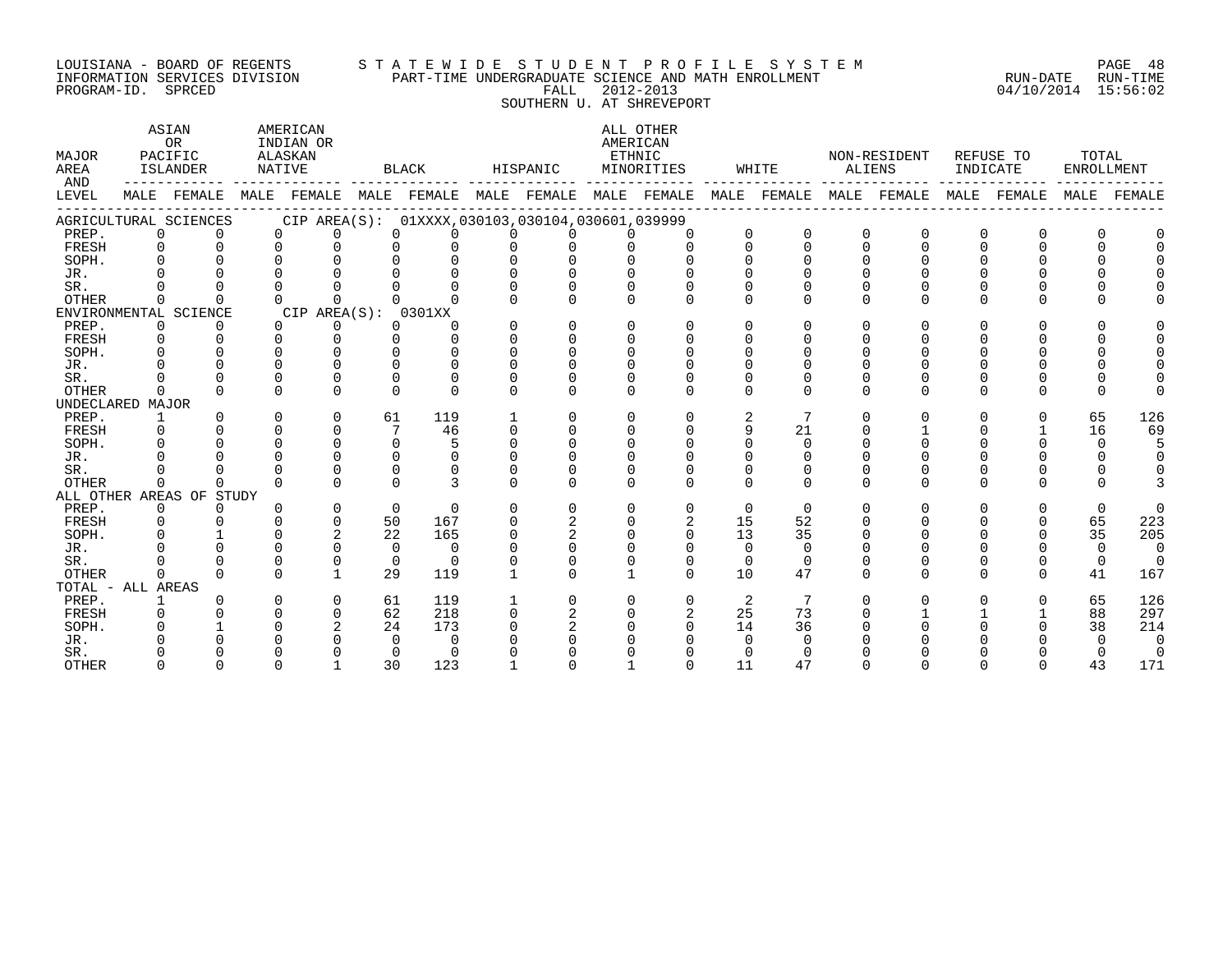# LOUISIANA - BOARD OF REGENTS S T A T E W I D E S T U D E N T P R O F I L E S Y S T E M PAGE 48 INFORMATION SERVICES DIVISION PART-TIME UNDERGRADUATE SCIENCE AND MATH ENROLLMENT RUN-DATE RUN-TIME ت بن سنة المسابق المسلم المسلم المسلم المسلم المسلم المسلم المسلم المسلم المسلم المسلم المسلم المسلم المسلم ال<br>INFORMATION SERVICES DIVISION PART-TIME UNDERGRADUATE SCIENCE AND MATH ENROLLMENT PROGRAM-ID. SPRCED 04/10/201

SOUTHERN U. AT SHREVEPORT

| MAJOR<br>AREA<br>AND |              | <b>ASIAN</b><br><b>OR</b><br>PACIFIC<br>ISLANDER            |          | AMERICAN<br>INDIAN OR<br>ALASKAN<br>NATIVE |          | BLACK                                               |          | HISPANIC     |              | ALL OTHER<br>AMERICAN<br>ETHNIC<br>MINORITIES |          | WHITE                   | ALIENS   | NON-RESIDENT | INDICATE     | REFUSE TO    | TOTAL<br>ENROLLMENT |          |
|----------------------|--------------|-------------------------------------------------------------|----------|--------------------------------------------|----------|-----------------------------------------------------|----------|--------------|--------------|-----------------------------------------------|----------|-------------------------|----------|--------------|--------------|--------------|---------------------|----------|
| LEVEL                |              | MALE FEMALE MALE FEMALE MALE FEMALE MALE FEMALE MALE FEMALE |          |                                            |          |                                                     |          |              |              |                                               |          | MALE FEMALE MALE FEMALE |          |              |              | MALE FEMALE  | MALE                | FEMALE   |
|                      |              | AGRICULTURAL SCIENCES                                       |          |                                            |          | CIP AREA(S): 01XXXX, 030103, 030104, 030601, 039999 |          |              |              |                                               |          |                         |          |              |              |              |                     |          |
| PREP.                | $\Omega$     | $\Omega$                                                    |          | $\Omega$<br>$\Omega$                       |          | $\Omega$<br>$\Omega$                                |          | $\Omega$     | $\Omega$     | $\Omega$                                      | $\Omega$ | $\Omega$                | $\Omega$ | $\Omega$     | <sup>0</sup> | $\Omega$     |                     |          |
| FRESH                | $\Omega$     | $\Omega$                                                    |          | $\Omega$<br>$\Omega$                       |          | $\Omega$<br>0                                       |          | $\Omega$     | $\cap$       | $\Omega$                                      | $\Omega$ | $\Omega$                | $\Omega$ | $\Omega$     | $\Omega$     | $\Omega$     |                     |          |
| SOPH.                | $\Omega$     |                                                             |          |                                            |          | 0                                                   |          |              |              |                                               |          |                         |          |              |              |              |                     |          |
| JR.                  |              |                                                             |          |                                            |          |                                                     |          |              |              |                                               |          |                         |          |              |              |              |                     |          |
| SR.                  |              |                                                             |          |                                            |          |                                                     |          |              |              |                                               |          |                         |          |              |              |              |                     |          |
| <b>OTHER</b>         | $\Omega$     |                                                             |          | <sup>n</sup><br>$\Omega$                   |          |                                                     |          |              |              | <sup>n</sup>                                  | $\Omega$ |                         | ∩        | U            | U            | $\cap$       |                     |          |
|                      |              | ENVIRONMENTAL SCIENCE                                       |          | CIP AREA(S): 0301XX                        |          |                                                     |          |              |              |                                               |          |                         |          |              |              |              |                     |          |
| PREP.                | $\mathbf 0$  | $\Omega$                                                    |          | $\Omega$<br>0                              |          | $\Omega$<br>$\Omega$                                |          | $\Omega$     | $\Omega$     | $\Omega$                                      | $\Omega$ | <sup>n</sup>            | ∩        | U            | U            | O            |                     |          |
| FRESH                | $\Omega$     | U                                                           | $\Omega$ | $\Omega$                                   |          | $\Omega$<br>$\cap$                                  |          | $\Omega$     | $\cap$       | $\Omega$                                      | $\Omega$ |                         |          |              |              |              |                     |          |
| SOPH.                | $\cap$       |                                                             | $\cap$   | $\Omega$                                   |          | $\cap$<br>$\cap$                                    |          | <sup>n</sup> | $\cap$       | $\cap$                                        | $\cap$   |                         |          |              |              |              |                     |          |
| JR.                  |              |                                                             |          | U                                          |          | $\cap$<br>$\cap$                                    |          |              |              |                                               |          |                         |          |              |              |              |                     |          |
| SR.                  |              |                                                             |          | $\Omega$                                   |          | $\Omega$<br>$\Omega$                                |          |              |              |                                               |          |                         |          |              |              |              |                     |          |
| <b>OTHER</b>         | $\cap$       | $\cap$                                                      | $\cap$   | $\Omega$                                   |          | $\Omega$<br>$\Omega$                                |          |              | $\cap$       | $\Omega$                                      | $\Omega$ | $\Omega$                | $\Omega$ | $\Omega$     | 0            | <sup>n</sup> |                     |          |
| UNDECLARED MAJOR     |              |                                                             |          |                                            |          |                                                     |          |              |              |                                               |          |                         |          |              |              |              |                     |          |
| PREP.                | $\mathbf{1}$ | $\Omega$                                                    |          | $\Omega$<br>$\Omega$                       | 61       | 119                                                 |          | $\Omega$     | $\Omega$     | $\Omega$                                      |          |                         | $\Omega$ | $\Omega$     | 0            | $\Omega$     | 65                  | 126      |
| FRESH                | $\Omega$     |                                                             |          | $\Omega$<br>$\Omega$                       |          | $7\phantom{.0}$<br>46                               | $\Omega$ | $\Omega$     | $\Omega$     | $\Omega$                                      | 9        | 21                      |          |              | 0            |              | 16                  | 69       |
| SOPH.                |              |                                                             | $\Omega$ | $\Omega$                                   | $\Omega$ |                                                     |          |              | 0            | $\Omega$                                      | $\Omega$ | $\Omega$                |          |              |              |              | $\Omega$            |          |
| JR.                  |              |                                                             |          | $\Omega$                                   |          | $\Omega$<br>$\Omega$                                |          |              |              |                                               |          |                         |          |              |              |              |                     |          |
| SR.                  |              |                                                             | ∩        | $\Omega$                                   |          | 0                                                   |          |              | U            |                                               | $\Omega$ |                         |          |              |              |              |                     |          |
| <b>OTHER</b>         | $\Omega$     | n                                                           |          | $\cap$<br><sup>n</sup>                     |          | $\cap$<br>3                                         |          | $\cap$       | $\cap$       | $\cap$                                        | $\cap$   | $\Omega$                | $\cap$   | $\Omega$     | $\cap$       | <sup>n</sup> |                     |          |
|                      |              | ALL OTHER AREAS OF STUDY                                    |          |                                            |          |                                                     |          |              |              |                                               |          |                         |          |              |              |              |                     |          |
| PREP.                | $\mathbf 0$  | $\Omega$                                                    |          | $\mathbf 0$<br><sup>n</sup>                | $\Omega$ | $\Omega$                                            | $\Omega$ | $\Omega$     | $\Omega$     | $\Omega$                                      | $\Omega$ | $\Omega$                | ∩        | 0            | 0            | $\Omega$     | $\Omega$            | $\Omega$ |
| FRESH                | $\mathbf 0$  |                                                             |          | $\Omega$<br>$\Omega$                       | 50       | 167                                                 |          |              | $\Omega$     | 2                                             | 15       | 52                      |          |              |              | 0            | 65                  | 223      |
| SOPH.                | $\cap$       |                                                             | $\cap$   | $\overline{2}$                             | 22       | 165                                                 |          |              | U            | $\Omega$                                      | 13       | 35                      |          |              |              | <sup>n</sup> | 35                  | 205      |
| JR.                  |              |                                                             | ∩        | $\Omega$                                   | $\Omega$ | $\Omega$                                            |          |              |              | $\Omega$                                      | $\Omega$ | $\Omega$                |          |              |              |              | $\Omega$            | $\Omega$ |
| SR.                  |              |                                                             | $\Omega$ | $\Omega$                                   | $\Omega$ | $\Omega$                                            |          |              |              | $\Omega$                                      | $\Omega$ | $\Omega$                |          |              | 0            |              | $\Omega$            | $\Omega$ |
| <b>OTHER</b>         | $\cap$       | $\cap$                                                      | $\cap$   | $\mathbf{1}$                               | 29       | 119                                                 |          | $\Omega$     | $\mathbf{1}$ | $\Omega$                                      | 10       | 47                      | $\Omega$ | U            | $\Omega$     | $\cap$       | 41                  | 167      |
| TOTAL - ALL AREAS    |              |                                                             |          |                                            |          |                                                     |          |              |              |                                               |          |                         |          |              |              |              |                     |          |
| PREP.                |              |                                                             | ∩        | $\Omega$                                   | 61       | 119                                                 |          | $\Omega$     | $\Omega$     | $\Omega$                                      | 2        |                         | ∩        | U            | 0            | $\Omega$     | 65                  | 126      |
| FRESH                | $\Omega$     |                                                             | ∩        | $\Omega$                                   | 62       | 218                                                 |          |              | $\Omega$     | 2                                             | 25       | 73                      |          |              |              |              | 88                  | 297      |
| SOPH.                |              |                                                             |          | $\overline{2}$                             | 24       | 173                                                 |          |              |              |                                               | 14       | 36                      |          |              |              |              | 38                  | 214      |
| JR.                  |              |                                                             |          |                                            | $\Omega$ | $\Omega$                                            |          |              |              |                                               |          |                         |          |              |              |              |                     | $\Omega$ |
| SR.                  |              |                                                             |          |                                            | $\Omega$ | $\Omega$                                            |          |              |              |                                               |          |                         |          |              |              |              |                     | $\Omega$ |
| <b>OTHER</b>         | $\cap$       |                                                             |          | $\cap$                                     | 30       | 123                                                 |          |              |              |                                               | 11       | 47                      |          |              |              |              | 43                  | 171      |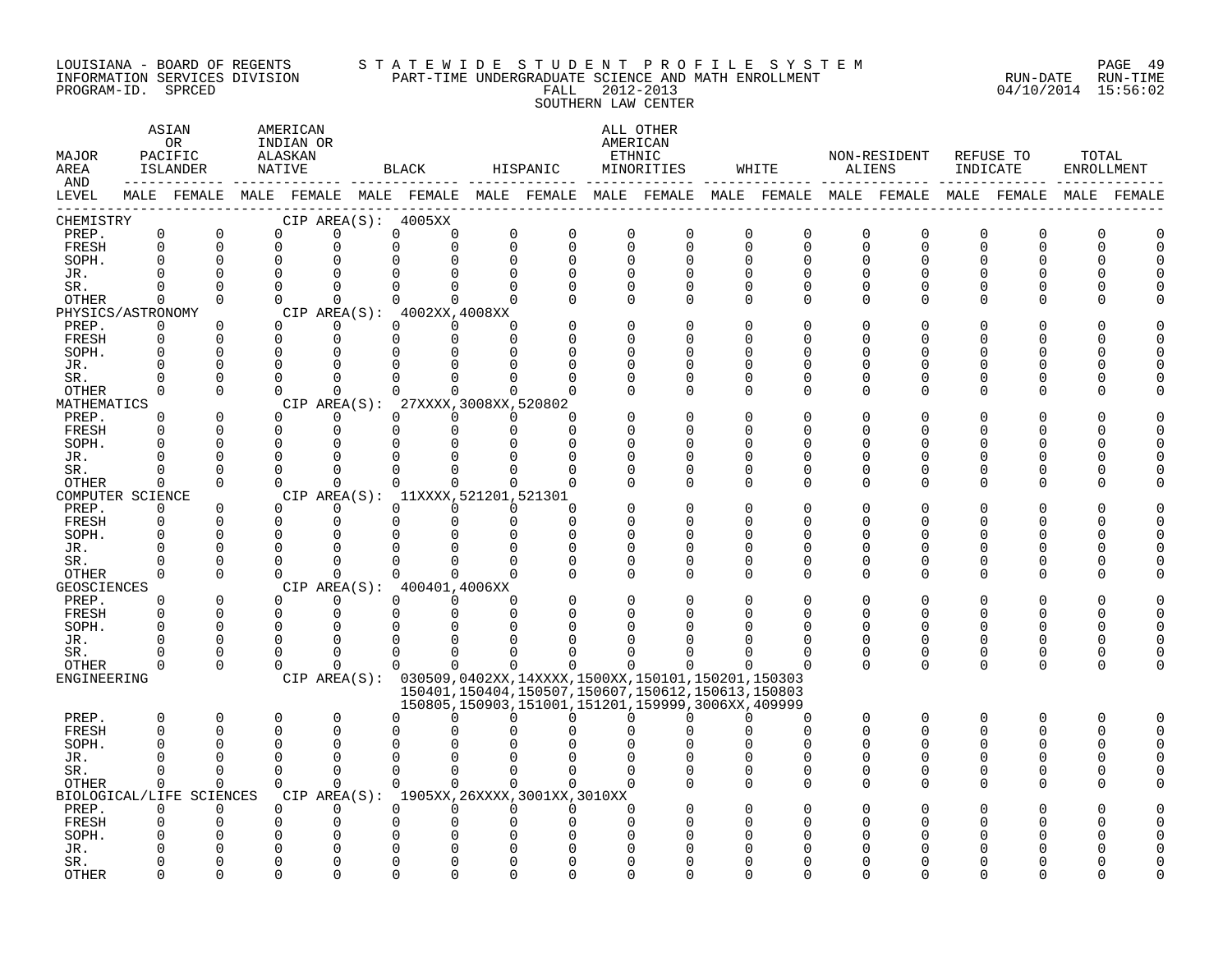#### LOUISIANA - BOARD OF REGENTS S T A T E W I D E S T U D E N T P R O F I L E S Y S T E M PAGE 49 INFORMATION SERVICES DIVISION PART-TIME UNDERGRADUATE SCIENCE AND MATH ENROLLMENT RUN-DATE RUN-TIME PROGRAM-ID. SPRCED FALL 2012-2013 04/10/2014 15:56:02 SOUTHERN LAW CENTER

| MAJOR<br>AREA<br>AND |                      | ASIAN<br>0 <sub>R</sub><br>PACIFIC<br>ISLANDER | AMERICAN<br>INDIAN OR<br>ALASKAN<br>NATIVE |                      | BLACK                                                                                                       | HISPANIC                 |             |                      | ALL OTHER<br>AMERICAN<br>ETHNIC<br>MINORITIES                                                                    |                      | WHITE        | ALIENS        | NON-RESIDENT  | REFUSE TO<br>INDICATE |               | TOTAL | ENROLLMENT |
|----------------------|----------------------|------------------------------------------------|--------------------------------------------|----------------------|-------------------------------------------------------------------------------------------------------------|--------------------------|-------------|----------------------|------------------------------------------------------------------------------------------------------------------|----------------------|--------------|---------------|---------------|-----------------------|---------------|-------|------------|
| LEVEL                |                      |                                                |                                            |                      | MALE FEMALE MALE FEMALE MALE FEMALE MALE FEMALE MALE FEMALE MALE FEMALE MALE FEMALE MALE FEMALE MALE FEMALE |                          |             |                      |                                                                                                                  |                      |              |               |               |                       |               |       |            |
| CHEMISTRY<br>PREP.   | $\mathsf 0$          | $\mathbf 0$                                    | $\mathbf 0$                                | 0                    | CIP AREA(S): 4005XX<br>0                                                                                    | 0<br>0                   | $\mathbf 0$ | $\mathbf 0$          | $\mathbf 0$                                                                                                      | $\mathbf 0$          | 0            |               | $\mathbf 0$   | $\mathbf 0$           | $\Omega$      | 0     |            |
| FRESH                | $\Omega$             | $\Omega$                                       | $\Omega$                                   | $\Omega$             | $\Omega$                                                                                                    | $\Omega$<br>$\Omega$     | $\mathbf 0$ | $\mathbf 0$          | $\mathbf 0$                                                                                                      | $\Omega$             | $\Omega$     | 0<br>0        | $\mathbf 0$   | $\Omega$              | $\Omega$      | U     |            |
| SOPH.                | $\Omega$             | 0                                              | $\mathbf 0$                                |                      |                                                                                                             | $\Omega$                 | $\Omega$    | $\mathbf 0$          | $\Omega$                                                                                                         | $\Omega$             | <sup>0</sup> | 0             | O             |                       |               |       |            |
| JR.                  | $\cap$               | $\Omega$                                       | $\Omega$                                   |                      |                                                                                                             |                          | $\Omega$    | $\Omega$             |                                                                                                                  | $\Omega$             | $\cap$       | $\Omega$      | U             |                       |               |       |            |
| SR.                  | $\Omega$             | $\Omega$                                       | $\Omega$                                   | $\Omega$             | $\Omega$                                                                                                    | $\Omega$<br><sup>n</sup> | $\Omega$    | $\Omega$             | $\Omega$                                                                                                         | $\Omega$             | <sup>0</sup> | 0             | $\Omega$      |                       |               |       |            |
| OTHER                | $\Omega$             | $\Omega$                                       | $\Omega$                                   | $\Omega$             | $\Omega$                                                                                                    | $\Omega$<br>$\Omega$     | $\Omega$    | $\Omega$             | $\Omega$                                                                                                         | $\Omega$             | $\Omega$     | 0             | 0             |                       | O             |       |            |
| PHYSICS/ASTRONOMY    |                      |                                                |                                            |                      | CIP AREA(S): 4002XX, 4008XX                                                                                 |                          |             |                      |                                                                                                                  |                      |              |               |               |                       |               |       |            |
| PREP.                | 0                    | 0                                              | $\Omega$                                   | $\Omega$             | $\Omega$                                                                                                    | $\Omega$<br><sup>n</sup> |             | $\mathbf 0$          |                                                                                                                  | $\Omega$             | O            | O             | N             |                       |               |       |            |
| FRESH                | $\Omega$             | $\Omega$                                       | $\Omega$                                   | $\Omega$             | $\Omega$                                                                                                    | $\Omega$<br>$\Omega$     |             | $\Omega$             |                                                                                                                  | $\Omega$             | U            | U             | N             |                       |               |       |            |
| SOPH.                | $\Omega$             | $\Omega$                                       | $\Omega$                                   | $\Omega$             |                                                                                                             |                          |             | <sup>0</sup>         |                                                                                                                  | <sup>0</sup>         | U            | O             | N             |                       |               |       |            |
| JR.<br>SR.           | $\Omega$<br>$\Omega$ | $\mathbf 0$<br>$\Omega$                        | $\Omega$<br>$\Omega$                       | $\cap$               |                                                                                                             |                          | ∩           | $\Omega$<br>$\Omega$ | $\Omega$<br>$\Omega$                                                                                             | $\Omega$<br>$\Omega$ | U            | O<br>0        | N<br>O        |                       |               |       |            |
| OTHER                | $\Omega$             | $\Omega$                                       | $\Omega$                                   | $\Omega$             | <sup>n</sup>                                                                                                | $\Omega$                 | n           | $\Omega$             | $\Omega$                                                                                                         | $\Omega$             | <sup>0</sup> | 0             | $\Omega$      |                       | O             |       |            |
| MATHEMATICS          |                      |                                                |                                            |                      | CIP AREA(S): 27XXXX, 3008XX, 520802                                                                         |                          |             |                      |                                                                                                                  |                      |              |               |               |                       |               |       |            |
| PREP.                | $\Omega$             | $\Omega$                                       | $\Omega$                                   | $\Omega$             | $\Omega$                                                                                                    | $\Omega$<br>$\Omega$     | ∩           |                      |                                                                                                                  | $\Omega$             |              | U             |               |                       |               |       |            |
| FRESH                | $\Omega$             | $\Omega$                                       | $\mathbf 0$                                | $\mathbf 0$          | $\Omega$                                                                                                    | $\Omega$                 | $\Omega$    | $\Omega$             | ∩                                                                                                                | $\Omega$             | U            | O             | N             |                       | ∩             |       |            |
| SOPH.                | $\cap$               | 0                                              | $\Omega$                                   | $\Omega$             | $\Omega$                                                                                                    |                          | ∩           | $\Omega$             |                                                                                                                  | ∩                    |              | U             | ∩             |                       | n             |       |            |
| JR.                  | <sup>0</sup>         | 0                                              | $\mathbf 0$                                | $\Omega$             | $\Omega$                                                                                                    |                          | O           | 0                    | $\Omega$                                                                                                         | $\Omega$             |              | O             | N             |                       | O             |       |            |
| SR.                  | U                    | 0                                              | $\Omega$                                   | $\Omega$             | $\Omega$                                                                                                    | U                        | $\Omega$    | $\Omega$             | $\Omega$                                                                                                         | $\Omega$             | <sup>0</sup> | 0             | 0             |                       | 0             |       |            |
| <b>OTHER</b>         | $\Omega$             | $\Omega$                                       | $\Omega$                                   | $\Omega$             | $\Omega$                                                                                                    | $\Omega$<br>$\Omega$     | $\Omega$    | $\Omega$             | $\Omega$                                                                                                         | $\Omega$             | $\Omega$     | $\Omega$      | $\Omega$      |                       | ∩             |       |            |
| COMPUTER SCIENCE     | $\Omega$             | 0                                              | $\Omega$                                   | $\Omega$             | CIP AREA(S): 11XXXX, 521201, 521301<br>$\Omega$                                                             | $\Omega$<br>$\Omega$     | $\Omega$    |                      |                                                                                                                  | <sup>0</sup>         |              | O             |               |                       |               |       |            |
| PREP.<br>FRESH       | 0                    | $\Omega$                                       | $\Omega$                                   | $\Omega$             | $\Omega$                                                                                                    | $\Omega$<br>$\Omega$     | $\Omega$    | $\Omega$             | ∩                                                                                                                | $\Omega$             | U            | O             | O             |                       | ∩             |       |            |
| SOPH.                | $\Omega$             | 0                                              | $\Omega$                                   | $\Omega$             |                                                                                                             |                          | $\Omega$    | $\Omega$             |                                                                                                                  | $\Omega$             | U            | O             | N             |                       |               |       |            |
| JR.                  | $\Omega$             | $\mathbf 0$                                    | $\Omega$                                   |                      |                                                                                                             |                          | 0           | 0                    | $\Omega$                                                                                                         | 0                    | U            | 0             | N             |                       |               |       |            |
| SR.                  | $\Omega$             | $\Omega$                                       | $\Omega$                                   |                      |                                                                                                             |                          |             | $\mathbf 0$          | $\Omega$                                                                                                         | $\Omega$             | U            | 0             | $\Omega$      |                       | ∩             |       |            |
| OTHER                | $\Omega$             | $\Omega$                                       | $\Omega$                                   | $\Omega$             | 0                                                                                                           | $\cap$<br>$\Omega$       | $\Omega$    | $\Omega$             | $\Omega$                                                                                                         | $\Omega$             | $\Omega$     | 0             | ∩             |                       | ∩             |       |            |
| GEOSCIENCES          |                      |                                                |                                            |                      | CIP AREA(S): 400401,4006XX                                                                                  |                          |             |                      |                                                                                                                  |                      |              |               |               |                       |               |       |            |
| PREP.                | $\Omega$             | $\Omega$                                       | $\Omega$                                   | $\Omega$             | $\Omega$                                                                                                    | $\Omega$<br>$\Omega$     | $\Omega$    | $\Omega$             |                                                                                                                  | $\Omega$             | U            | O             | O             |                       |               |       |            |
| FRESH                | $\Omega$             | $\Omega$                                       | $\mathbf 0$                                | 0                    | $\Omega$                                                                                                    | $\Omega$<br>$\Omega$     | $\Omega$    | $\Omega$             |                                                                                                                  | O                    | <sup>0</sup> | 0             | 0             | U                     | O             |       |            |
| SOPH.                | $\Omega$             | $\Omega$                                       | $\Omega$                                   | $\Omega$             |                                                                                                             |                          |             |                      |                                                                                                                  |                      |              | $\Omega$      |               |                       |               |       |            |
| JR.                  | U<br>U               | $\Omega$<br>0                                  | $\Omega$<br>$\mathbf 0$                    | $\Omega$<br>$\Omega$ | ∩<br>0                                                                                                      | U<br>U                   | U           |                      |                                                                                                                  | <sup>0</sup>         | U<br>0       | 0             | $\Omega$<br>0 | <sup>0</sup>          | ∩             |       |            |
| SR.<br>OTHER         | $\Omega$             | $\Omega$                                       | $\Omega$                                   | $\Omega$             | $\Omega$                                                                                                    | $\Omega$<br>$\Omega$     | $\Omega$    | $\Omega$             | $\Omega$                                                                                                         | $\Omega$             | $\Omega$     | 0<br>$\Omega$ | $\Omega$      | $\Omega$              | 0<br>$\Omega$ |       |            |
| ENGINEERING          |                      |                                                |                                            |                      | CIP AREA(S): 030509,0402XX,14XXXX,1500XX,150101,150201,150303                                               |                          |             |                      |                                                                                                                  |                      |              |               |               |                       |               |       |            |
|                      |                      |                                                |                                            |                      |                                                                                                             |                          |             |                      | 150401, 150404, 150507, 150607, 150612, 150613, 150803<br>150805, 150903, 151001, 151201, 159999, 3006XX, 409999 |                      |              |               |               |                       |               |       |            |
| PREP.                | 0                    | 0                                              | 0                                          | $\mathbf 0$          | $\Omega$                                                                                                    | ∩                        | U           | $\Omega$             | O                                                                                                                |                      | 0            | 0             | 0             | $\Omega$              | O             | O     |            |
| FRESH                | $\Omega$             | $\Omega$                                       | 0                                          | $\Omega$             | ∩                                                                                                           |                          |             |                      |                                                                                                                  |                      | $\Omega$     | $\Omega$      | $\Omega$      | U                     | ∩             | U     |            |
| SOPH.                | $\Omega$             | 0                                              | $\Omega$                                   | $\Omega$             |                                                                                                             |                          |             |                      |                                                                                                                  |                      |              | O             |               |                       | O             |       |            |
| JR.                  | <sup>0</sup>         | $\Omega$                                       | $\Omega$                                   | $\Omega$             |                                                                                                             |                          |             |                      |                                                                                                                  |                      |              | O             |               |                       |               |       |            |
| SR.                  | $\Omega$             | $\Omega$                                       | $\Omega$                                   | $\Omega$             | $\Omega$                                                                                                    | $\Omega$<br>$\Omega$     | $\Omega$    | $\Omega$             |                                                                                                                  | $\Omega$             | $\Omega$     | 0             | ∩             |                       | ∩             |       |            |
| OTHER                | $\Omega$             | $\Omega$                                       | $\Omega$                                   | $\Omega$             | $\Omega$                                                                                                    | $\Omega$<br>$\Omega$     |             | $\Omega$             |                                                                                                                  | $\Omega$             | $\Omega$     | 0             | $\Omega$      |                       | O             |       |            |
|                      |                      | BIOLOGICAL/LIFE SCIENCES                       |                                            |                      | CIP AREA(S): 1905XX, 26XXXX, 3001XX, 3010XX                                                                 |                          |             |                      |                                                                                                                  |                      |              |               |               |                       |               |       |            |
| PREP.                | $\Omega$<br>$\Omega$ | $\Omega$<br>0                                  | $\Omega$<br>0                              | $\Omega$<br>$\Omega$ | $\Omega$                                                                                                    | $\Omega$<br>$\Omega$     | $\Omega$    | $\Omega$<br>$\Omega$ |                                                                                                                  |                      |              | U             |               |                       |               |       |            |
| FRESH<br>SOPH.       |                      | O                                              | O                                          |                      |                                                                                                             |                          |             |                      |                                                                                                                  |                      |              |               |               |                       |               |       |            |
| JR.                  |                      |                                                |                                            |                      |                                                                                                             |                          |             |                      |                                                                                                                  |                      |              |               |               |                       |               |       |            |
| SR.                  |                      | O                                              | ∩                                          |                      |                                                                                                             |                          |             |                      |                                                                                                                  |                      |              |               |               |                       |               |       |            |
| <b>OTHER</b>         |                      | U                                              | U                                          |                      |                                                                                                             |                          | ∩           |                      |                                                                                                                  |                      |              |               |               |                       |               |       |            |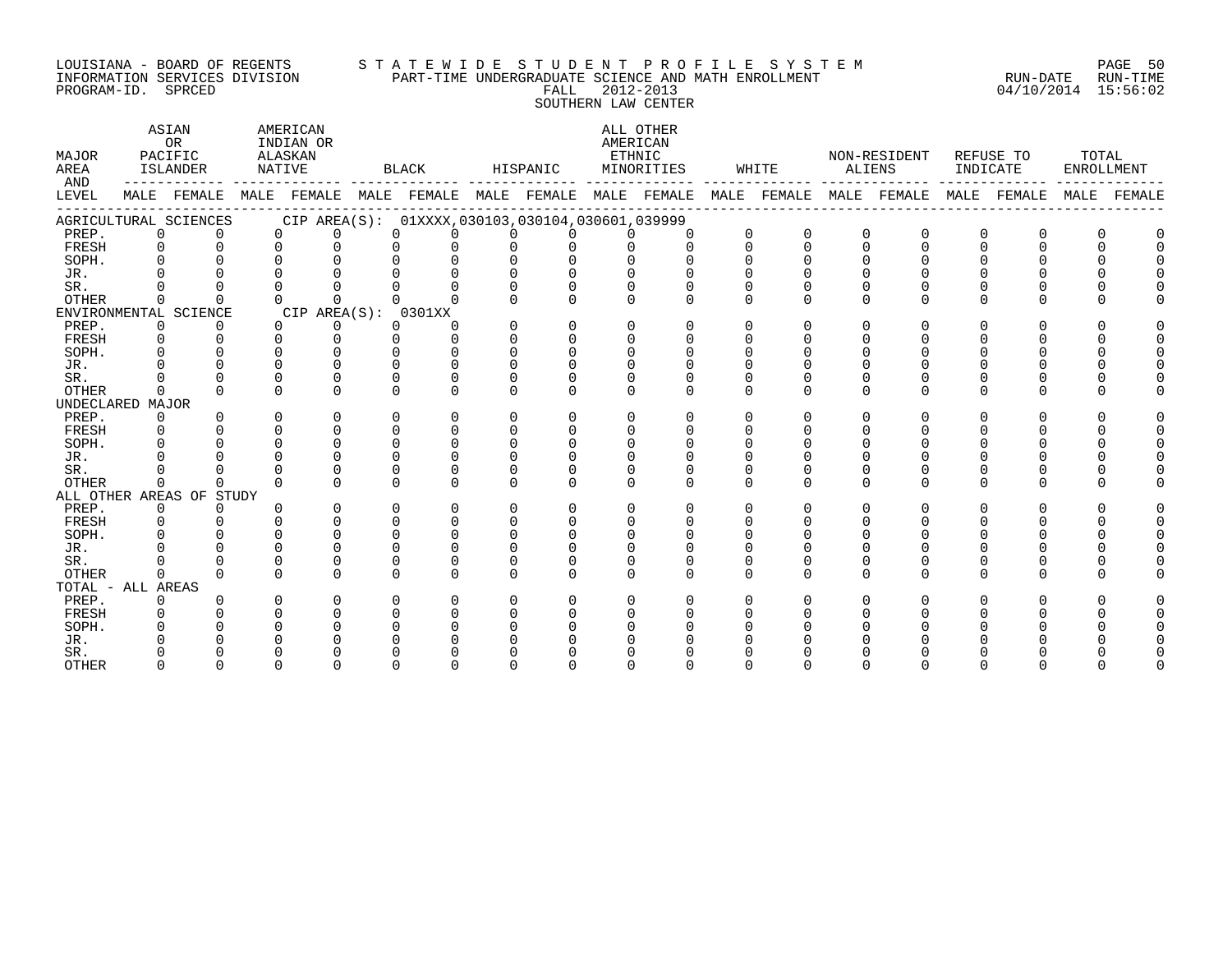#### LOUISIANA - BOARD OF REGENTS S T A T E W I D E S T U D E N T P R O F I L E S Y S T E M PAGE 50 INFORMATION SERVICES DIVISION PART-TIME UNDERGRADUATE SCIENCE AND MATH ENROLLMENT RUN-DATE RUN-TIME PROGRAM-ID. SPRCED FALL 2012-2013 04/10/2014 15:56:02 SOUTHERN LAW CENTER

| MAJOR<br>AREA<br>AND |              | ASIAN<br><b>OR</b><br>PACIFIC<br>ISLANDER | NATIVE   | AMERICAN<br>INDIAN OR<br>ALASKAN                                                                |          | BLACK    |          | HISPANIC     | ETHNIC   | ALL OTHER<br>AMERICAN<br>MINORITIES |          | WHITE       | ALIENS   | NON-RESIDENT | INDICATE | REFUSE TO | TOTAL | ENROLLMENT  |
|----------------------|--------------|-------------------------------------------|----------|-------------------------------------------------------------------------------------------------|----------|----------|----------|--------------|----------|-------------------------------------|----------|-------------|----------|--------------|----------|-----------|-------|-------------|
| LEVEL                |              |                                           |          | MALE FEMALE MALE FEMALE MALE FEMALE MALE FEMALE MALE FEMALE MALE FEMALE MALE FEMALE MALE FEMALE |          |          |          |              |          |                                     |          |             |          |              |          |           |       | MALE FEMALE |
|                      |              | AGRICULTURAL SCIENCES                     |          | CIP AREA(S): 01XXXX,030103,030104,030601,039999                                                 |          |          |          |              |          |                                     |          |             |          |              |          |           |       |             |
| PREP.                | $\Omega$     |                                           | $\Omega$ | $\Omega$                                                                                        | $\Omega$ | $\cap$   | $\cap$   | $\Omega$     | $\cap$   | $\Omega$                            | $\Omega$ | $\mathbf 0$ | $\Omega$ | $\Omega$     | $\Omega$ |           |       |             |
| FRESH                | $\Omega$     | $\Omega$                                  | $\cap$   | U                                                                                               | U        |          |          |              |          | $\cap$                              |          | $\cap$      |          |              |          |           |       |             |
| SOPH.                |              |                                           | $\cap$   |                                                                                                 |          |          |          |              |          |                                     |          |             |          |              |          |           |       |             |
| JR.                  |              |                                           |          |                                                                                                 |          |          |          |              |          |                                     |          |             |          |              |          |           |       |             |
| SR.                  |              |                                           |          |                                                                                                 |          |          |          |              |          |                                     |          |             |          |              |          |           |       |             |
| <b>OTHER</b>         | $\Omega$     |                                           | ∩        |                                                                                                 |          |          |          |              |          |                                     |          |             |          |              |          |           |       |             |
|                      |              | ENVIRONMENTAL SCIENCE                     |          | CIP AREA(S): 0301XX                                                                             |          |          |          |              |          |                                     |          |             |          |              |          |           |       |             |
| PREP.                | $\mathbf{0}$ |                                           | $\Omega$ | $\Omega$                                                                                        | $\Omega$ | ∩        |          | $\Omega$     | $\Omega$ | $\Omega$                            |          |             |          |              |          |           |       |             |
| FRESH                | $\Omega$     |                                           | $\cap$   | $\Omega$                                                                                        | $\cap$   | $\cap$   | $\cap$   | U            |          |                                     |          |             |          |              |          |           |       |             |
| SOPH.                |              |                                           |          |                                                                                                 | U        |          |          | <sup>n</sup> |          |                                     |          |             |          |              |          |           |       |             |
| JR.                  |              |                                           |          |                                                                                                 |          |          |          |              |          |                                     |          |             |          |              |          |           |       |             |
| SR.                  |              |                                           |          |                                                                                                 | U        |          |          |              |          |                                     |          |             |          |              |          |           |       |             |
| <b>OTHER</b>         | $\cap$       |                                           | ∩        | ∩                                                                                               | $\Omega$ | ∩        | $\Omega$ | $\Omega$     | U        | $\cap$                              |          | ∩           | U        | U            | $\Omega$ | $\Omega$  |       |             |
| UNDECLARED MAJOR     |              |                                           |          |                                                                                                 |          |          |          |              |          |                                     |          |             |          |              |          |           |       |             |
| PREP.                | $\mathbf{0}$ |                                           | ∩        | 0                                                                                               | 0        | 0        | $\Omega$ | $\Omega$     |          | $\Omega$                            |          |             |          | O            |          |           |       |             |
| FRESH                | $\Omega$     |                                           | $\Omega$ | $\Omega$                                                                                        | U        | $\Omega$ |          |              |          |                                     |          |             |          |              |          |           |       |             |
| SOPH.                | $\cap$       |                                           | $\cap$   | U                                                                                               | $\Omega$ |          |          |              |          |                                     |          |             |          |              |          |           |       |             |
| JR.                  |              |                                           | $\cap$   |                                                                                                 | U        |          |          |              |          |                                     |          |             |          |              |          |           |       |             |
| SR.                  |              |                                           | ∩        |                                                                                                 | $\Omega$ | $\Omega$ |          |              |          |                                     |          |             |          |              |          |           |       |             |
| <b>OTHER</b>         | $\Omega$     | U                                         | $\Omega$ | U                                                                                               | $\Omega$ | $\Omega$ | $\Omega$ | $\cap$       | $\Omega$ | $\cap$                              | $\Omega$ | $\Omega$    | $\Omega$ | 0            | $\Omega$ |           |       |             |
|                      |              | ALL OTHER AREAS OF STUDY                  |          |                                                                                                 |          |          |          |              |          |                                     |          |             |          |              |          |           |       |             |
| PREP.                | $\Omega$     | $\Omega$                                  | ∩        | $\Omega$                                                                                        | $\Omega$ | $\Omega$ | $\Omega$ | $\Omega$     | 0        | $\Omega$                            |          | ∩           | U        | 0            | $\Omega$ |           | U     |             |
| FRESH                | $\Omega$     |                                           |          |                                                                                                 | $\cap$   |          |          |              |          |                                     |          |             |          |              |          |           |       |             |
| SOPH.                |              |                                           |          |                                                                                                 | U        |          |          |              |          |                                     |          |             |          |              |          |           |       |             |
| JR.                  |              |                                           |          |                                                                                                 | U        |          |          |              |          |                                     |          |             |          |              |          |           |       |             |
| SR.                  |              |                                           | ∩        |                                                                                                 | 0        |          |          |              |          |                                     |          |             |          |              |          |           |       |             |
| <b>OTHER</b>         | $\Omega$     |                                           | ∩        | ∩                                                                                               | 0        |          |          | $\Omega$     | U        | $\Omega$                            |          | ∩           |          | U            |          |           |       |             |
| TOTAL - ALL AREAS    |              |                                           |          |                                                                                                 |          |          |          |              |          |                                     |          |             |          |              |          |           |       |             |
| PREP.                | $\Omega$     |                                           |          | ∩                                                                                               | U        |          | $\Omega$ |              |          |                                     |          |             |          |              |          |           |       |             |
| FRESH                | $\Omega$     |                                           |          |                                                                                                 | ∩        |          |          |              |          |                                     |          |             |          |              |          |           |       |             |
| SOPH.                |              |                                           |          |                                                                                                 |          |          |          |              |          |                                     |          |             |          |              |          |           |       |             |
| JR.                  |              |                                           |          |                                                                                                 |          |          |          |              |          |                                     |          |             |          |              |          |           |       |             |
| SR.                  |              |                                           |          |                                                                                                 |          |          |          |              |          |                                     |          |             |          |              |          |           |       |             |
| <b>OTHER</b>         |              |                                           |          |                                                                                                 |          |          |          |              |          |                                     |          |             |          |              |          |           |       |             |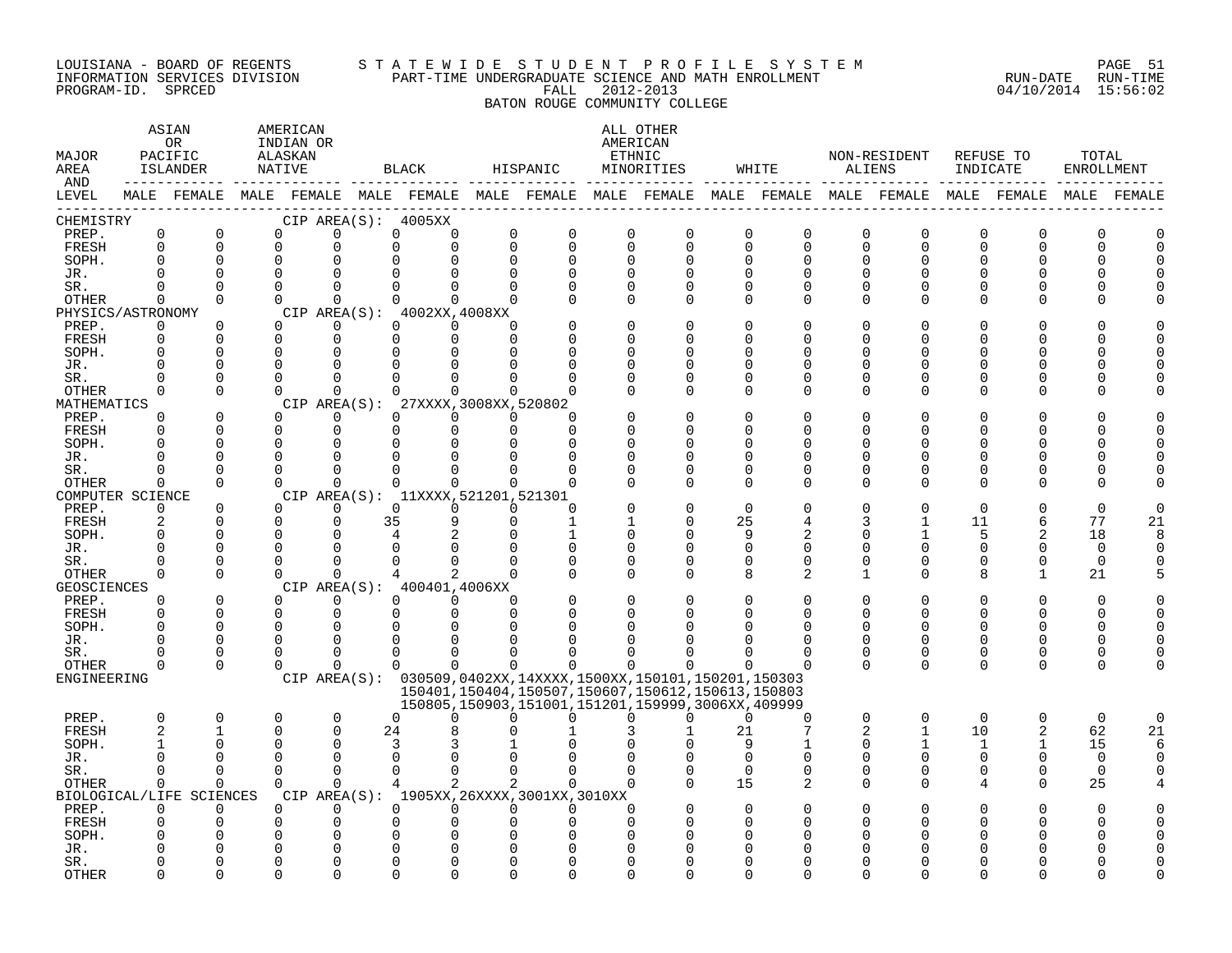#### LOUISIANA - BOARD OF REGENTS STA TE WID E S TU D E N T P R O F I L E S Y S T E M PAGE 51 INFORMATION SERVICES DIVISION PART-TIME UNDERGRADUATE SCIENCE AND MATH ENROLLMENT RUN-DATE RUN-TIME PROGRAM-ID. SPRCED FALL 2012-2013 04/10/2014 15:56:02

BATON ROUGE COMMUNITY COLLEGE

### ASTAN AMERICAN ANG ANG ANG ASTANG ANG ASTANG ALL OTHER OR INDIAN OR **INDIAN OR** AMERICAN MAJOR PACIFIC ALASKAN ETHNIC NON-RESIDENT REFUSE TO TOTAL AREA ISLANDER NATIVE BLACK HISPANIC MINORITIES WHITE ALIENS INDICATE ENROLLMENT AND ------------ ------------- ------------- ------------- ------------- ------------- ------------- ------------- ------------- LEVEL MALE FEMALE MALE FEMALE MALE FEMALE MALE FEMALE MALE FEMALE MALE FEMALE MALE FEMALE MALE FEMALE MALE FEMALE ------------------------------------------------------------------------------------------------------------------------------------ CHEMISTRY CIP AREA(S): 4005XX PREP. 0 0 0 0 0 0 0 0 0 0 0 0 0 0 0 0 0 0 FRESH 0 0 0 0 0 0 0 0 0 0 0 0 0 0 0 0 0 0 SOPH. 0 0 0 0 0 0 0 0 0 0 0 0 0 0 0 0 0 0 JR. 0 0 0 0 0 0 0 0 0 0 0 0 0 0 0 0 0 0 SR. 0 0 0 0 0 0 0 0 0 0 0 0 0 0 0 0 0 0 OTHER 0 0 0 0 0 0 0 0 0 0 0 0 0 0 0 0 0 0 PHYSICS/ASTRONOMY CIP AREA(S): 4002XX,4008XX<br>
PREP. 0 0 0 0 0 0 0 PREP. 0 0 0 0 0 0 0 0 0 0 0 0 0 0 0 0 0 0 FRESH 0 0 0 0 0 0 0 0 0 0 0 0 0 0 0 0 0 0 SOPH. 0 0 0 0 0 0 0 0 0 0 0 0 0 0 0 0 0 0 JR. 0 0 0 0 0 0 0 0 0 0 0 0 0 0 0 0 0 0 SR. 0 0 0 0 0 0 0 0 0 0 0 0 0 0 0 0 0 0 OTHER 0 0 0 0 0 0 0 0 0 0 0 0 0 0 0 0 0 0 MATHEMATICS CIP AREA(S): 27XXXX,3008XX,520802<br>
PREP. 0 0 0 0 0 0 0 PREP. 0 0 0 0 0 0 0 0 0 0 0 0 0 0 0 0 0 0 FRESH 0 0 0 0 0 0 0 0 0 0 0 0 0 0 0 0 0 0 SOPH. 0 0 0 0 0 0 0 0 0 0 0 0 0 0 0 0 0 0 JR. 0 0 0 0 0 0 0 0 0 0 0 0 0 0 0 0 0 0 SR. 0 0 0 0 0 0 0 0 0 0 0 0 0 0 0 0 0 0 OTHER 0 0 0 0 0 0 0 0 0 0 0 0 0 0 0 0 0 0 COMPUTER SCIENCE CIP AREA(S): 11XXXX,521201,521301<br>
PREP. 0 0 0 0 0 0 0 PREP. 0 0 0 0 0 0 0 0 0 0 0 0 0 0 0 0 0 0 FRESH 2 0 0 0 35 9 0 1 1 0 25 4 3 1 11 6 77 21 SOPH. 0 0 0 0 4 2 0 1 0 0 9 2 0 1 5 2 18 8 JR. 0 0 0 0 0 0 0 0 0 0 0 0 0 0 0 0 0 0 SR. 0 0 0 0 0 0 0 0 0 0 0 0 0 0 0 0 0 0 OTHER 0 0 0 0 4 2 0 0 0 0 8 2 1 0 8 1 21 5 GEOSCIENCES CIPAREA(S): 400401,4006XX<br>
PREP. 0 0 0 0 0 0 PREP. 0 0 0 0 0 0 0 0 0 0 0 0 0 0 0 0 0 0 FRESH 0 0 0 0 0 0 0 0 0 0 0 0 0 0 0 0 0 0 SOPH. 0 0 0 0 0 0 0 0 0 0 0 0 0 0 0 0 0 0 JR. 0 0 0 0 0 0 0 0 0 0 0 0 0 0 0 0 0 0 SR. 0 0 0 0 0 0 0 0 0 0 0 0 0 0 0 0 0 0 OTHER 0 0 0 0 0 0 0 0 0 0 0 0 0 0 0 0 0 0 ENGINEERING CIP AREA(S): 030509,0402XX,14XXXX,1500XX,150101,150201,150303 150401,150404,150507,150607,150612,150613,150803 150805,150903,151001,151201,159999,3006XX,409999 PREP. 0 0 0 0 0 0 0 0 0 0 0 0 0 0 0 0 0 0 FRESH 2 1 0 0 24 8 0 1 3 1 21 7 2 1 10 2 62 21 SOPH. 1 0 0 0 3 3 1 0 0 0 9 1 0 1 1 1 15 6 JR. 0 0 0 0 0 0 0 0 0 0 0 0 0 0 0 0 0 0 SR. 0 0 0 0 0 0 0 0 0 0 0 0 0 0 0 0 0 0 OTHER 0 0 0 0 4 2 2 0 0 0 15 2 0 0 4 0 25 4 BIOLOGICAL/LIFE SCIENCES CIP AREA(S): 1905XX,26XXXX,3001XX,3010XX PREP. 0 0 0 0 0 0 0 0 0 0 0 0 0 0 0 0 0 0 FRESH 0 0 0 0 0 0 0 0 0 0 0 0 0 0 0 0 0 0 SOPH. 0 0 0 0 0 0 0 0 0 0 0 0 0 0 0 0 0 0 JR. 0 0 0 0 0 0 0 0 0 0 0 0 0 0 0 0 0 0 SR. 0 0 0 0 0 0 0 0 0 0 0 0 0 0 0 0 0 0

OTHER 0 0 0 0 0 0 0 0 0 0 0 0 0 0 0 0 0 0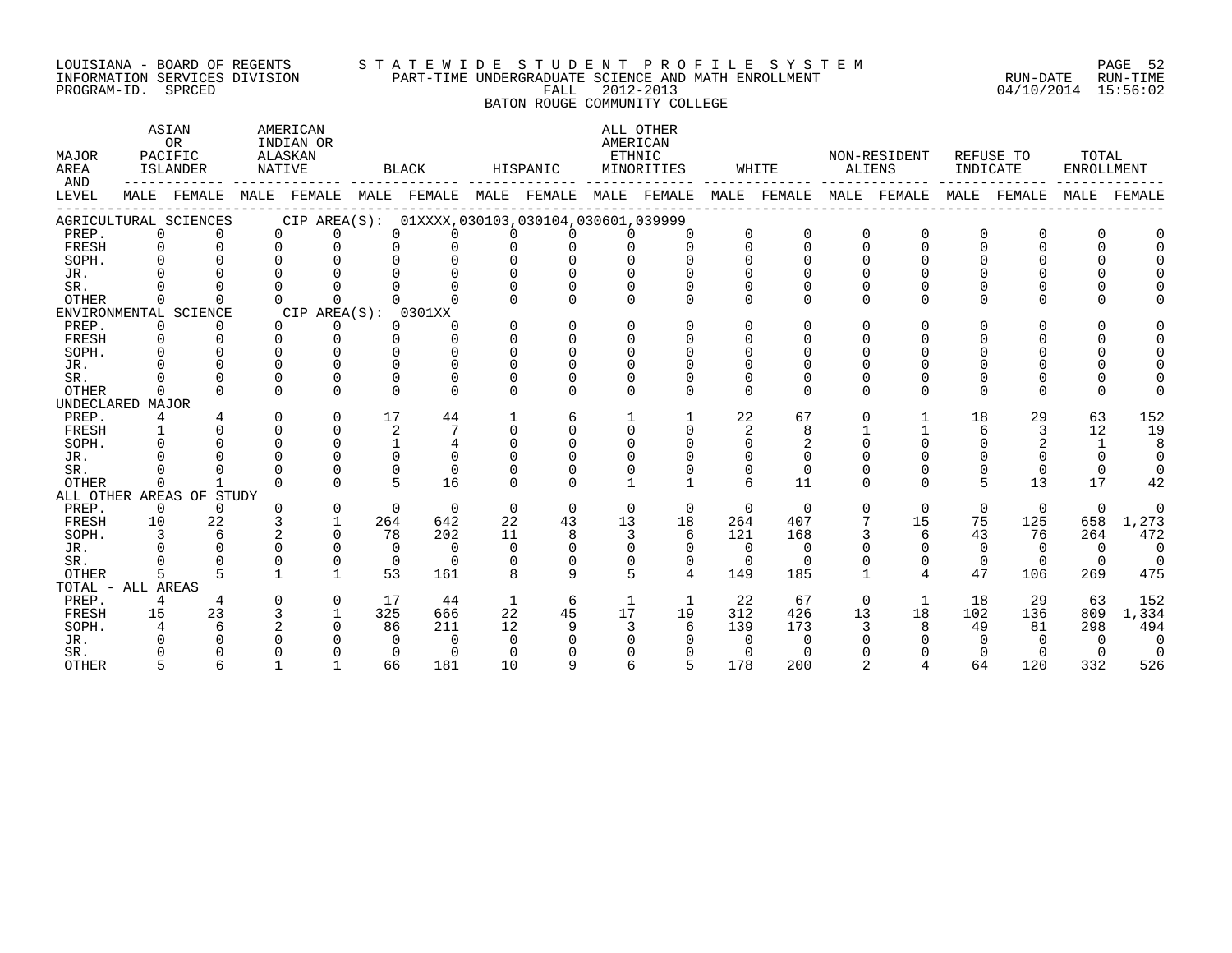#### LOUISIANA - BOARD OF REGENTS S T A T E W I D E S T U D E N T P R O F I L E S Y S T E M PAGE 52 INFORMATION SERVICES DIVISION PART-TIME UNDERGRADUATE SCIENCE AND MATH ENROLLMENT RUN-DATE RUN-TIME PROGRAM-ID. SPRCED FALL 2012-2013 04/10/2014 15:56:02

# BATON ROUGE COMMUNITY COLLEGE

| MAJOR<br>AREA<br>AND |             | ASIAN<br>OR<br>PACIFIC<br>ISLANDER | ALASKAN<br>NATIVE | AMERICAN<br>INDIAN OR |                 | <b>BLACK</b>                                        |             | HISPANIC | AMERICAN<br>ETHNIC | ALL OTHER<br>MINORITIES |            | WHITE    |              | NON-RESIDENT<br>ALIENS | INDICATE    | REFUSE TO    | TOTAL<br><b>ENROLLMENT</b> |          |
|----------------------|-------------|------------------------------------|-------------------|-----------------------|-----------------|-----------------------------------------------------|-------------|----------|--------------------|-------------------------|------------|----------|--------------|------------------------|-------------|--------------|----------------------------|----------|
| LEVEL                |             | MALE FEMALE                        | MALE              | FEMALE                |                 | MALE FEMALE                                         | MALE        | FEMALE   |                    | MALE FEMALE             | MALE       | FEMALE   | MALE         | FEMALE                 | MALE        | FEMALE       | MALE                       | FEMALE   |
|                      |             | AGRICULTURAL SCIENCES              |                   |                       |                 | CIP AREA(S): 01XXXX, 030103, 030104, 030601, 039999 |             |          |                    |                         |            |          |              |                        |             |              |                            |          |
| PREP.                | $\Omega$    | $\Omega$                           | $\Omega$          | $\Omega$              | $\Omega$        | $\Omega$                                            | $\Omega$    | 0        | $\Omega$           | $\Omega$                | $\Omega$   | $\Omega$ | $\Omega$     | $\Omega$               | $\Omega$    | 0            | $\Omega$                   |          |
| FRESH                | $\Omega$    |                                    | $\cap$            | $\Omega$              | $\Omega$        | $\Omega$                                            | $\Omega$    | 0        | $\Omega$           | $\Omega$                | $\cap$     | $\Omega$ | $\Omega$     | $\cap$                 | $\cap$      | <sup>n</sup> | $\Omega$                   |          |
| SOPH.                |             |                                    |                   | $\Omega$              | ∩               | $\Omega$                                            | $\Omega$    | $\Omega$ | $\Omega$           |                         | $\cap$     | $\Omega$ | $\Omega$     |                        |             |              |                            |          |
| JR.                  |             |                                    |                   |                       |                 |                                                     |             |          |                    |                         | O          |          | $\cap$       |                        |             |              |                            |          |
| SR.                  |             |                                    |                   |                       |                 |                                                     |             |          |                    |                         |            | U        | $\Omega$     |                        |             |              |                            |          |
| <b>OTHER</b>         |             |                                    | U                 | $\Omega$              |                 |                                                     | U           |          |                    |                         | $\Omega$   | $\Omega$ | $\Omega$     | ∩                      | $\Omega$    | ∩            |                            |          |
|                      |             | ENVIRONMENTAL SCIENCE              |                   | CIP AREA(S):          |                 | 0301XX                                              |             |          |                    |                         |            |          |              |                        |             |              |                            |          |
| PREP.                | 0           |                                    | $\Omega$          | 0                     | $\Omega$        | O                                                   | U           | 0        | $\Omega$           |                         | $\Omega$   | $\Omega$ | $\Omega$     |                        | $\Omega$    |              |                            |          |
| FRESH                | $\Omega$    |                                    | $\Omega$          | $\Omega$              | $\Omega$        | $\Omega$                                            | $\Omega$    | $\Omega$ | $\Omega$           |                         | $\Omega$   | $\Omega$ | $\Omega$     |                        |             |              |                            |          |
| SOPH.                |             |                                    | U                 |                       | ∩               | $\cap$                                              | U           | U        | $\Omega$           |                         | $\Omega$   |          |              |                        |             |              |                            |          |
| JR.                  |             |                                    |                   | ∩                     | $\cap$          | $\cap$                                              | U           | U        |                    |                         |            |          |              |                        |             |              |                            |          |
| SR.                  |             |                                    | $\Omega$          | $\Omega$              | ∩               | ∩                                                   | U           | O        | $\Omega$           |                         | O          | $\Omega$ | $\Omega$     |                        | $\Omega$    |              |                            |          |
| <b>OTHER</b>         | ∩           |                                    | $\Omega$          | $\Omega$              | $\Omega$        | ∩                                                   | $\Omega$    | $\Omega$ | $\cap$             | $\cap$                  | $\Omega$   | $\Omega$ | $\Omega$     | $\cap$                 | $\Omega$    | 0            | $\Omega$                   |          |
| UNDECLARED MAJOR     |             |                                    |                   |                       |                 |                                                     |             |          |                    |                         |            |          |              |                        |             |              |                            |          |
| PREP.                | 4           |                                    | $\Omega$          | $\Omega$              | 17              | 44                                                  |             | 6        |                    |                         | 22         | 67       | $\Omega$     |                        | 18          | 29           | 63                         | 152      |
| FRESH                |             |                                    | $\Omega$          | $\Omega$              | 2               | 7                                                   | $\Omega$    | $\Omega$ | $\cap$             | $\cap$                  | 2          | 8        |              |                        | 6           | 3            | 12                         | 19       |
| SOPH.                |             |                                    | $\Omega$          | $\Omega$              |                 | $\overline{4}$                                      | $\Omega$    | $\Omega$ | $\Omega$           |                         | $\Omega$   | 2        | $\Omega$     |                        | $\Omega$    |              | 1                          | 8        |
| JR.                  |             |                                    |                   |                       | $\cap$          | $\Omega$                                            | ∩           | U        |                    |                         |            | $\Omega$ |              |                        |             |              | $\Omega$                   | $\Omega$ |
| SR.                  |             |                                    |                   |                       | $\Omega$        | $\Omega$                                            | U           |          |                    |                         | $\Omega$   | $\Omega$ | <sup>0</sup> |                        | 0           | U            | 0                          | $\Omega$ |
| <b>OTHER</b>         | $\Omega$    |                                    | $\cap$            | $\cap$                | $5\overline{5}$ | 16                                                  | $\Omega$    | U        |                    |                         | $\epsilon$ | 11       | $\Omega$     | $\cap$                 | 5           | 13           | 17                         | 42       |
|                      |             | ALL OTHER AREAS OF STUDY           |                   |                       |                 |                                                     |             |          |                    |                         |            |          |              |                        |             |              |                            |          |
| PREP.                | $\mathbf 0$ | $\Omega$                           | $\Omega$          | $\mathbf 0$           | $\Omega$        | $\Omega$                                            | $\mathbf 0$ | $\Omega$ | $\Omega$           | $\Omega$                | $\Omega$   | $\Omega$ | $\mathbf 0$  | $\Omega$               | $\mathbf 0$ | $\mathbf 0$  | $\mathbf 0$                | $\Omega$ |
| FRESH                | 10          | 22                                 |                   |                       | 264             | 642                                                 | 22          | 43       | 13                 | 18                      | 264        | 407      | 7            | 15                     | 75          | 125          | 658                        | 1,273    |
| SOPH.                |             | 6                                  |                   | $\Omega$              | 78              | 202                                                 | 11          | 8        | 3                  | 6                       | 121        | 168      |              | 6                      | 43          | 76           | 264                        | 472      |
| JR.                  |             |                                    |                   | $\Omega$              | $\Omega$        | $\Omega$                                            | $\Omega$    | 0        | $\Omega$           | 0                       | $\Omega$   | $\Omega$ |              | <sup>0</sup>           | $\Omega$    | $\Omega$     | $\Omega$                   | $\Omega$ |
| SR.                  |             |                                    |                   | $\Omega$              | $\Omega$        | $\Omega$                                            | $\Omega$    | $\Omega$ | $\Omega$           | 0                       | $\Omega$   | $\Omega$ |              | $\mathbf 0$            | $\mathbf 0$ | $\Omega$     | $\Omega$                   |          |
| <b>OTHER</b>         |             |                                    |                   | $\mathbf{1}$          | 53              | 161                                                 | 8           | 9        | 5                  | 4                       | 149        | 185      | $\mathbf{1}$ | 4                      | 47          | 106          | 269                        | 475      |
| TOTAL - ALL AREAS    |             |                                    |                   |                       |                 |                                                     |             |          |                    |                         |            |          |              |                        |             |              |                            |          |
| PREP.                | 4           | 4                                  |                   | $\Omega$              | 17              | 44                                                  | 1           | 6        | 1                  |                         | 22         | 67       | $\Omega$     | -1                     | 18          | 29           | 63                         | 152      |
| FRESH                | 15          | 23                                 |                   |                       | 325             | 666                                                 | 22          | 45       | 17                 | 19                      | 312        | 426      | 13           | 18                     | 102         | 136          | 809                        | 1,334    |
| SOPH.                |             |                                    |                   |                       | 86              | 211                                                 | 12          | 9        | 3                  | 6                       | 139        | 173      |              |                        | 49          | 81           | 298                        | 494      |
| JR.                  |             |                                    |                   |                       | $\Omega$        | $\Omega$                                            | $\Omega$    |          |                    |                         | $\Omega$   | $\Omega$ |              |                        |             |              | $\Omega$                   | $\Omega$ |
| SR.                  |             |                                    |                   |                       | $\Omega$        | $\Omega$                                            | ∩           |          |                    |                         | $\Omega$   |          |              |                        |             |              |                            | $\Omega$ |
| <b>OTHER</b>         |             |                                    |                   |                       | 66              | 181                                                 | 10          | Q        |                    |                         | 178        | 200      |              |                        | 64          | 120          | 332                        | 526      |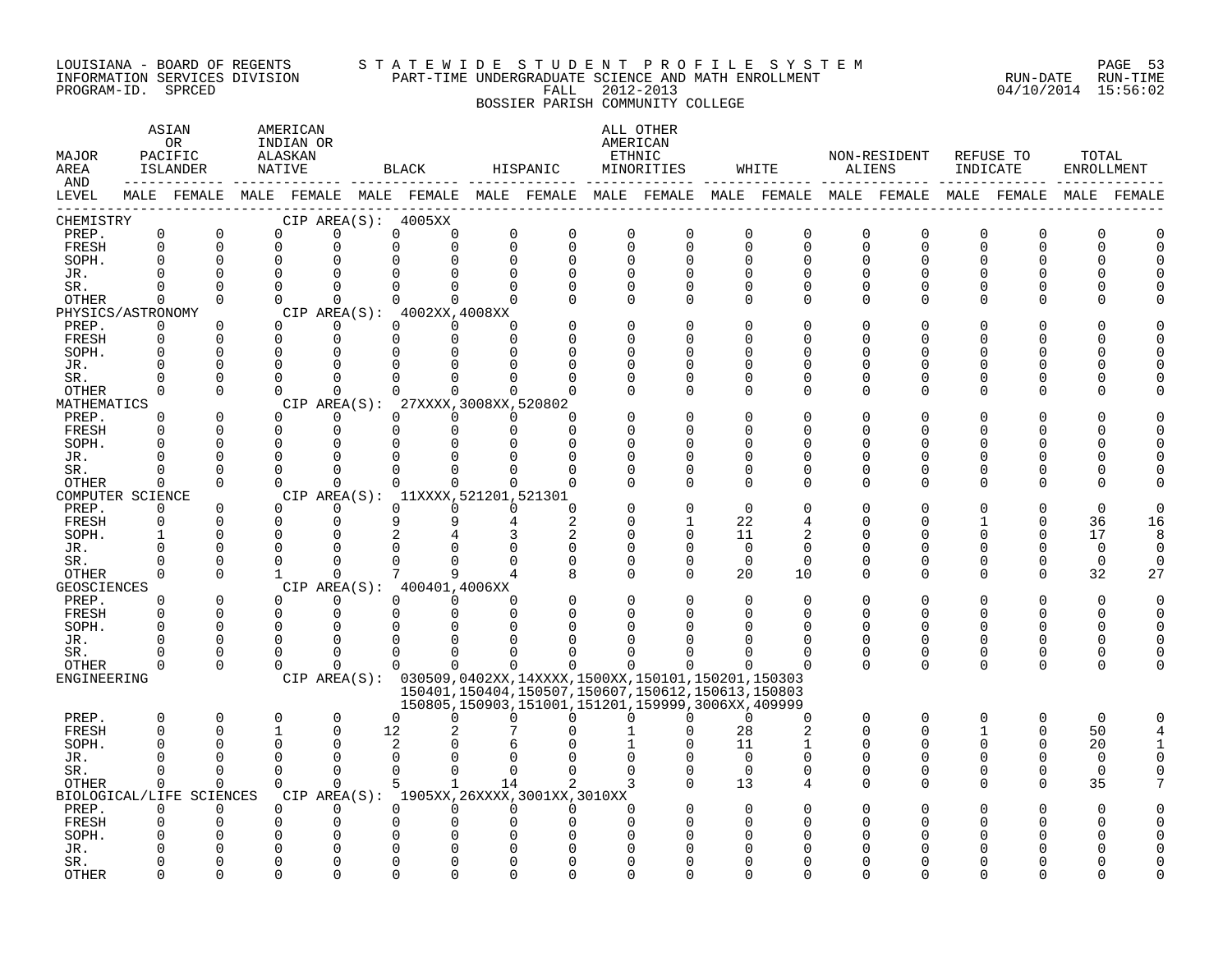#### LOUISIANA - BOARD OF REGENTS S T A T E W I D E S T U D E N T P R O F I L E S Y S T E M PAGE 53 INFORMATION SERVICES DIVISION PART-TIME UNDERGRADUATE SCIENCE AND MATH ENROLLMENT RUN-DATE RUN-TIME PROGRAM-ID. SPRCED FALL 2012-2013 04/10/2014 15:56:02 BOSSIER PARISH COMMUNITY COLLEGE

| MAJOR<br>AREA<br>AND      |                      | ASIAN<br>0R<br>PACIFIC<br>ISLANDER   | AMERICAN<br>INDIAN OR<br>ALASKAN<br>NATIVE |                      | BLACK                                                                                                       | HISPANIC                 |                                                                                                                  |               | ALL OTHER<br>AMERICAN<br>ETHNIC<br>MINORITIES |                      | WHITE          |               | NON-RESIDENT<br>ALIENS | REFUSE TO<br>INDICATE |          | TOTAL<br>ENROLLMENT |    |
|---------------------------|----------------------|--------------------------------------|--------------------------------------------|----------------------|-------------------------------------------------------------------------------------------------------------|--------------------------|------------------------------------------------------------------------------------------------------------------|---------------|-----------------------------------------------|----------------------|----------------|---------------|------------------------|-----------------------|----------|---------------------|----|
| LEVEL                     |                      |                                      |                                            |                      | MALE FEMALE MALE FEMALE MALE FEMALE MALE FEMALE MALE FEMALE MALE FEMALE MALE FEMALE MALE FEMALE MALE FEMALE |                          |                                                                                                                  |               |                                               |                      |                |               |                        |                       |          |                     |    |
| CHEMISTRY<br>PREP.        | $\mathsf 0$          | $\mathbf 0$                          | $\mathbf 0$                                | 0                    | CIP AREA(S): 4005XX<br>0                                                                                    | 0<br>0                   | $\mathbf 0$                                                                                                      | $\mathbf 0$   | $\mathbf 0$                                   | $\mathbf 0$          | 0              |               | $\mathbf 0$            | $\mathbf 0$           | $\Omega$ | 0                   |    |
| FRESH                     | $\Omega$             | $\Omega$                             | $\Omega$                                   | $\Omega$             | $\Omega$                                                                                                    | $\Omega$<br>$\Omega$     | $\mathbf 0$                                                                                                      | $\mathbf 0$   | $\Omega$                                      | $\Omega$             | $\Omega$       | 0<br>0        | $\mathbf 0$            | $\Omega$              | $\Omega$ |                     |    |
| SOPH.                     | $\Omega$             | 0                                    | $\mathbf 0$                                |                      |                                                                                                             | $\Omega$                 | $\Omega$                                                                                                         | $\mathbf 0$   | $\Omega$                                      | $\Omega$             | <sup>0</sup>   | 0             | O                      |                       |          |                     |    |
| JR.                       | $\cap$               | $\Omega$                             | $\Omega$                                   |                      |                                                                                                             |                          | $\Omega$                                                                                                         | $\Omega$      |                                               | $\Omega$             | $\cap$         | $\Omega$      | U                      |                       |          |                     |    |
| SR.                       | $\Omega$             | $\Omega$                             | $\Omega$                                   | $\Omega$             | $\Omega$                                                                                                    | $\Omega$<br><sup>n</sup> | $\Omega$                                                                                                         | $\Omega$      | $\Omega$                                      | $\Omega$             | <sup>0</sup>   | 0             | $\Omega$               |                       |          |                     |    |
| OTHER                     | $\Omega$             | $\Omega$                             | $\Omega$                                   | $\Omega$             | $\Omega$                                                                                                    | $\Omega$<br>$\Omega$     | $\Omega$                                                                                                         | $\Omega$      | $\Omega$                                      | $\Omega$             | $\Omega$       | 0             | 0                      |                       | O        |                     |    |
| PHYSICS/ASTRONOMY         |                      |                                      |                                            |                      | CIP AREA(S): 4002XX,4008XX                                                                                  |                          |                                                                                                                  |               |                                               |                      |                |               |                        |                       |          |                     |    |
| PREP.                     | 0                    | 0                                    | $\Omega$                                   | $\Omega$             | $\Omega$                                                                                                    | $\Omega$<br><sup>n</sup> |                                                                                                                  | $\mathbf 0$   |                                               | $\Omega$             | O              | O             | N                      |                       |          |                     |    |
| FRESH                     | $\Omega$             | $\Omega$                             | $\Omega$                                   | $\Omega$             | $\Omega$                                                                                                    | $\Omega$<br>$\Omega$     |                                                                                                                  | $\Omega$      |                                               | $\Omega$             | U              | U             | N                      |                       |          |                     |    |
| SOPH.                     | $\Omega$             | $\Omega$                             | $\Omega$                                   | $\Omega$             |                                                                                                             |                          |                                                                                                                  | $\Omega$      |                                               | <sup>0</sup>         | U              | O             | N                      |                       |          |                     |    |
| JR.<br>SR.                | $\Omega$<br>$\Omega$ | $\mathbf 0$<br>$\Omega$              | $\Omega$<br>$\Omega$                       | $\cap$               |                                                                                                             |                          | ∩                                                                                                                | 0<br>$\Omega$ | $\Omega$<br>$\Omega$                          | $\Omega$<br>$\Omega$ | U              | O<br>O        | N<br>N                 |                       |          |                     |    |
| <b>OTHER</b>              | $\Omega$             | $\Omega$                             | $\Omega$                                   | $\Omega$             | <sup>n</sup>                                                                                                | $\Omega$                 | ∩                                                                                                                | $\Omega$      | $\Omega$                                      | $\Omega$             | <sup>0</sup>   | 0             | $\Omega$               |                       | O        |                     |    |
| MATHEMATICS               |                      |                                      |                                            |                      | CIP AREA(S): 27XXXX, 3008XX, 520802                                                                         |                          |                                                                                                                  |               |                                               |                      |                |               |                        |                       |          |                     |    |
| PREP.                     | $\Omega$             | $\Omega$                             | $\Omega$                                   | $\Omega$             | $\Omega$                                                                                                    | $\Omega$<br>$\Omega$     | ∩                                                                                                                |               |                                               | $\Omega$             |                |               |                        |                       |          |                     |    |
| FRESH                     | $\Omega$             | $\Omega$                             | $\mathbf 0$                                | $\mathbf 0$          | $\Omega$                                                                                                    | $\Omega$<br>$\Omega$     | $\Omega$                                                                                                         | $\Omega$      | ∩                                             | $\Omega$             | U              | O             | N                      |                       |          |                     |    |
| SOPH.                     | $\Omega$             | 0                                    | $\Omega$                                   | $\Omega$             | $\Omega$                                                                                                    |                          | ∩                                                                                                                | $\Omega$      |                                               | ∩                    |                | U             | ∩                      |                       |          |                     |    |
| JR.                       | $\Omega$             | 0                                    | $\mathbf 0$                                | $\Omega$             | $\Omega$                                                                                                    |                          | O                                                                                                                | $\Omega$      | $\Omega$                                      | $\Omega$             |                | O             | N                      |                       | O        |                     |    |
| SR.                       | U                    | 0                                    | $\Omega$                                   | $\Omega$             | $\Omega$                                                                                                    | O                        | $\Omega$                                                                                                         | $\Omega$      | $\Omega$                                      | $\Omega$             | <sup>0</sup>   | 0             | 0                      |                       | O        |                     |    |
| <b>OTHER</b>              | $\Omega$             | $\Omega$                             | $\Omega$                                   | $\Omega$             | $\Omega$                                                                                                    | $\Omega$<br>$\Omega$     | $\Omega$                                                                                                         | $\Omega$      | $\Omega$                                      | $\Omega$             | $\Omega$       | $\Omega$      | $\Omega$               |                       | ∩        |                     |    |
| COMPUTER SCIENCE<br>PREP. | $\Omega$             | 0                                    | $\Omega$                                   | $\Omega$             | CIP AREA(S): 11XXXX, 521201, 521301<br>$\Omega$                                                             | $\Omega$<br>$\Omega$     | $\Omega$                                                                                                         |               |                                               | $\Omega$             |                | O             |                        |                       |          | $\Omega$            |    |
| FRESH                     | $\Omega$             | $\Omega$                             | $\Omega$                                   | $\Omega$             |                                                                                                             |                          | 2                                                                                                                | $\Omega$      |                                               | 22                   |                | O             | O                      |                       | $\Omega$ | 36                  | 16 |
| SOPH.                     | $\mathbf{1}$         | 0                                    | $\Omega$                                   | $\Omega$             |                                                                                                             |                          | 2                                                                                                                | $\Omega$      | $\Omega$                                      | 11                   |                | O             | N                      |                       | $\Omega$ | 17                  | 8  |
| JR.                       | $\Omega$             | 0                                    | ∩                                          |                      |                                                                                                             |                          | 0                                                                                                                | 0             | $\Omega$                                      | $\Omega$             | $\Omega$       | U             | U                      |                       | ∩        | $\mathbf 0$         | U  |
| SR.                       | $\Omega$             | $\Omega$                             | $\Omega$                                   |                      |                                                                                                             |                          |                                                                                                                  | $\mathbf 0$   | $\Omega$                                      | $\Omega$             | $\Omega$       | 0             | $\Omega$               |                       | $\Omega$ | $\Omega$            | U  |
| OTHER                     | $\Omega$             | $\Omega$                             | $\mathbf{1}$                               | $\Omega$             |                                                                                                             | a                        | 8                                                                                                                | $\Omega$      | $\Omega$                                      | 20                   | 10             | 0             | $\Omega$               | $\Omega$              | $\Omega$ | 32                  | 27 |
| GEOSCIENCES               |                      |                                      |                                            |                      | CIP AREA(S): 400401,4006XX                                                                                  |                          |                                                                                                                  |               |                                               |                      |                |               |                        |                       |          |                     |    |
| PREP.                     | $\Omega$             | $\Omega$                             | $\Omega$                                   | $\Omega$             | $\Omega$                                                                                                    | $\Omega$<br>$\Omega$     | $\Omega$                                                                                                         | $\Omega$      |                                               | $\Omega$             | $\Omega$       | O             | O                      |                       | $\Omega$ | $\Omega$            |    |
| FRESH                     | $\Omega$             | $\Omega$                             | $\Omega$                                   | 0                    | $\Omega$                                                                                                    | $\Omega$<br>$\Omega$     | $\Omega$                                                                                                         | $\Omega$      |                                               | $\Omega$             | $\Omega$       | O             | 0                      | 0                     | $\Omega$ | O                   |    |
| SOPH.                     | $\Omega$<br>$\Omega$ | $\Omega$<br>$\Omega$                 | $\Omega$<br>$\Omega$                       | $\Omega$<br>$\Omega$ | ∩                                                                                                           |                          |                                                                                                                  |               |                                               |                      | U              | $\Omega$<br>0 | $\Omega$               |                       | ∩        |                     |    |
| JR.<br>SR.                | U                    | 0                                    | 0                                          | ∩                    | 0                                                                                                           | U                        | U                                                                                                                |               |                                               | <sup>0</sup>         | 0              | 0             | 0                      | <sup>0</sup>          | 0        | ∩                   |    |
| <b>OTHER</b>              | $\Omega$             | $\Omega$                             | $\Omega$                                   | 0                    | $\Omega$                                                                                                    | $\Omega$<br>$\Omega$     | $\Omega$                                                                                                         | $\Omega$      | $\Omega$                                      | $\Omega$             | $\Omega$       | $\Omega$      | $\Omega$               | $\Omega$              | $\Omega$ | U                   |    |
| ENGINEERING               |                      |                                      |                                            |                      | CIP AREA(S): 030509,0402XX,14XXXX,1500XX,150101,150201,150303                                               |                          |                                                                                                                  |               |                                               |                      |                |               |                        |                       |          |                     |    |
|                           |                      |                                      |                                            |                      |                                                                                                             |                          | 150401, 150404, 150507, 150607, 150612, 150613, 150803<br>150805, 150903, 151001, 151201, 159999, 3006XX, 409999 |               |                                               |                      |                |               |                        |                       |          |                     |    |
| PREP.                     | 0                    | 0                                    | 0                                          | $\mathbf 0$          | $\Omega$                                                                                                    | 0<br>U                   | U                                                                                                                | $\Omega$      | $\Omega$                                      | $\Omega$             | $\Omega$       | 0             | $\mathbf 0$            | $\Omega$              | 0        | $\mathbf 0$         |    |
| <b>FRESH</b>              | $\Omega$             | $\Omega$                             | $\mathbf{1}$                               | $\Omega$             | 12                                                                                                          |                          |                                                                                                                  |               | $\Omega$                                      | 28                   | $\overline{2}$ | 0             | $\Omega$               |                       | $\Omega$ | 50                  |    |
| SOPH.                     | $\Omega$             | 0                                    | $\Omega$                                   | $\Omega$             | 2                                                                                                           |                          |                                                                                                                  |               |                                               | 11                   |                | O             | $\Omega$               |                       | $\Omega$ | 20                  |    |
| JR.                       | <sup>0</sup>         | $\Omega$                             | $\Omega$                                   | $\Omega$             | $\Omega$                                                                                                    |                          |                                                                                                                  |               |                                               | $\Omega$             | $\Omega$       | O             | $\Omega$               |                       |          | $\Omega$            |    |
| SR.                       | $\Omega$             | $\Omega$                             | $\Omega$                                   | $\Omega$             | $\Omega$                                                                                                    | $\Omega$<br>$\Omega$     | $\Omega$                                                                                                         | $\Omega$      | $\Omega$                                      | $\Omega$             | $\Omega$       | 0             | $\Omega$               | $\Omega$              | $\Omega$ | $\Omega$            |    |
| OTHER                     | $\Omega$             | $\Omega$                             | $\Omega$                                   | $\Omega$             | 5                                                                                                           | $\mathbf{1}$<br>14       | 2                                                                                                                | 3             |                                               | 13                   | 4              | 0             | $\Omega$               | $\Omega$              | $\Omega$ | 35                  |    |
| PREP.                     | $\Omega$             | BIOLOGICAL/LIFE SCIENCES<br>$\Omega$ | $\Omega$                                   | $\Omega$             | CIP AREA(S): 1905XX, 26XXXX, 3001XX, 3010XX<br>$\Omega$                                                     | $\Omega$<br>$\Omega$     | $\Omega$                                                                                                         | $\Omega$      |                                               | $\Omega$             |                |               |                        |                       |          | U                   |    |
| FRESH                     | $\Omega$             | 0                                    | 0                                          | $\Omega$             |                                                                                                             |                          |                                                                                                                  | $\Omega$      |                                               |                      |                | U             |                        |                       |          |                     |    |
| SOPH.                     |                      | U                                    | O                                          |                      |                                                                                                             |                          |                                                                                                                  |               |                                               |                      |                |               |                        |                       |          |                     |    |
| JR.                       |                      |                                      |                                            |                      |                                                                                                             |                          |                                                                                                                  |               |                                               |                      |                |               |                        |                       |          |                     |    |
| SR.                       |                      | O                                    | ∩                                          |                      |                                                                                                             |                          |                                                                                                                  |               |                                               |                      |                |               |                        |                       |          |                     |    |
| <b>OTHER</b>              | ∩                    | U                                    | U                                          |                      |                                                                                                             |                          | ∩                                                                                                                |               |                                               |                      |                |               |                        |                       |          |                     |    |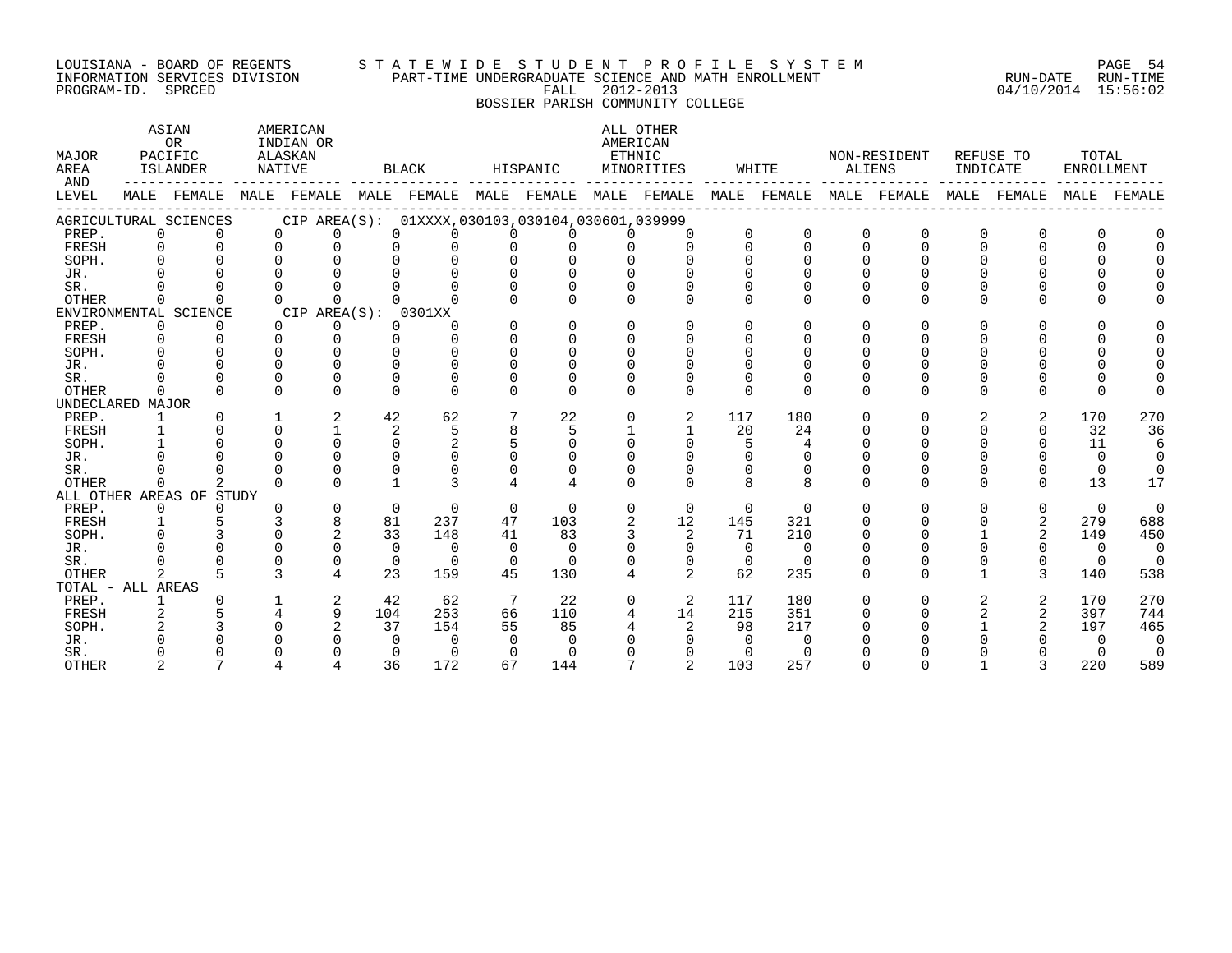#### LOUISIANA - BOARD OF REGENTS S T A T E W I D E S T U D E N T P R O F I L E S Y S T E M PAGE 54 INFORMATION SERVICES DIVISION PART-TIME UNDERGRADUATE SCIENCE AND MATH ENROLLMENT RUN-DATE RUN-TIME DOULSIANA - BOAKD OF REGENIS<br>INFORMATION SERVICES DIVISION PART-TIME UNDERGRADUATE SCIENCE AND MATH ENROLLMENT<br>PROGRAM-ID. SPRCED 15:56:02

BOSSIER PARISH COMMUNITY COLLEGE

| <b>MAJOR</b><br>AREA<br>AND |          | ASIAN<br><b>OR</b><br>PACIFIC<br>ISLANDER |          | AMERICAN<br>INDIAN OR<br>ALASKAN<br>NATIVE                                                      |              | BLACK    |                | HISPANIC     | AMERICAN | ALL OTHER<br>ETHNIC<br>MINORITIES |          | WHITE       |          | NON-RESIDENT<br>ALIENS |                | REFUSE TO<br>INDICATE | TOTAL<br><b>ENROLLMENT</b> |             |
|-----------------------------|----------|-------------------------------------------|----------|-------------------------------------------------------------------------------------------------|--------------|----------|----------------|--------------|----------|-----------------------------------|----------|-------------|----------|------------------------|----------------|-----------------------|----------------------------|-------------|
| LEVEL                       |          |                                           |          | MALE FEMALE MALE FEMALE MALE FEMALE MALE FEMALE MALE FEMALE MALE FEMALE MALE FEMALE MALE FEMALE |              |          |                |              |          |                                   |          |             |          |                        |                |                       |                            | MALE FEMALE |
|                             |          | AGRICULTURAL SCIENCES                     |          | CIP AREA(S): 01XXXX,030103,030104,030601,039999                                                 |              |          |                |              |          |                                   |          |             |          |                        |                |                       |                            |             |
| PREP.                       | 0        | $\Omega$                                  | $\Omega$ | $\Omega$                                                                                        | $\Omega$     | $\Omega$ | $\Omega$       | 0            | $\Omega$ |                                   | 0        | $\mathbf 0$ | $\Omega$ | $\mathbf 0$            | $\Omega$       | $\Omega$              | U                          |             |
| FRESH                       | 0        | $\Omega$                                  | $\Omega$ | $\Omega$                                                                                        | $\Omega$     | $\Omega$ | $\Omega$       | 0            | $\Omega$ | 0                                 | $\Omega$ | $\Omega$    | $\Omega$ | $\Omega$               | U              | ∩                     |                            |             |
| SOPH.                       |          |                                           |          |                                                                                                 |              |          | U              |              |          |                                   |          | $\cap$      |          | $\cap$                 |                |                       |                            |             |
| JR.                         |          |                                           |          |                                                                                                 |              |          |                |              |          |                                   |          |             |          |                        |                |                       |                            |             |
| SR.                         |          |                                           |          |                                                                                                 |              |          | $\Omega$       | $\Omega$     | $\Omega$ |                                   |          |             |          |                        |                |                       |                            |             |
| <b>OTHER</b>                |          |                                           |          | $\Omega$                                                                                        |              |          | $\Omega$       | $\Omega$     | $\Omega$ |                                   |          | $\Omega$    |          | $\Omega$               |                |                       |                            |             |
|                             |          | ENVIRONMENTAL SCIENCE                     |          | CIP AREA(S): 0301XX                                                                             |              |          |                |              |          |                                   |          |             |          |                        |                |                       |                            |             |
| PREP.                       | $\Omega$ | $\Omega$                                  | $\Omega$ | $\Omega$                                                                                        | <sup>0</sup> | ∩        | $\Omega$       | $\Omega$     | $\Omega$ |                                   | $\Omega$ | $\Omega$    | 0        | $\Omega$               |                |                       |                            |             |
| FRESH                       | 0        |                                           | $\cap$   | $\cap$                                                                                          | ∩            | $\Omega$ | $\Omega$       | $\Omega$     | $\cap$   | $\cap$                            | $\Omega$ | $\Omega$    | $\Omega$ | $\cap$                 |                |                       |                            |             |
| SOPH.                       |          |                                           |          | $\Omega$                                                                                        |              | ∩        | $\Omega$       | $\Omega$     | $\Omega$ |                                   |          | $\Omega$    | 0        | $\Omega$               |                |                       |                            |             |
| JR.                         |          |                                           |          |                                                                                                 |              | $\Omega$ | $\Omega$       | $\Omega$     | $\Omega$ |                                   |          |             |          |                        |                |                       |                            |             |
| SR.                         |          |                                           |          |                                                                                                 |              |          |                |              |          |                                   |          |             |          | $\Omega$               |                |                       |                            |             |
| <b>OTHER</b>                | $\Omega$ |                                           | $\cap$   | $\cap$                                                                                          | $\Omega$     | $\Omega$ | $\Omega$       | <sup>n</sup> | ∩        |                                   | $\Omega$ | $\Omega$    | U        | $\Omega$               | $\Omega$       | $\Omega$              | $\Omega$                   |             |
| UNDECLARED MAJOR            |          |                                           |          |                                                                                                 |              |          |                |              |          |                                   |          |             |          |                        |                |                       |                            |             |
| PREP.                       |          |                                           |          | 2                                                                                               | 42           | 62       |                | 22           | 0        | 2                                 | 117      | 180         | 0        | $\Omega$               | 2              | 2                     | 170                        | 270         |
| FRESH                       |          |                                           |          |                                                                                                 | 2            | 5        | 8              | 5            |          |                                   | 20       | 24          |          | $\Omega$               | $\Omega$       | $\mathbf 0$           | 32                         | 36          |
| SOPH.                       |          |                                           |          |                                                                                                 |              |          | $\overline{5}$ |              | $\Omega$ |                                   | 5        | 4           |          |                        |                | $\Omega$              | 11                         | 6           |
| JR.                         |          |                                           |          | $\cap$                                                                                          | $\cap$       | ∩        | U              |              |          |                                   |          |             |          |                        |                |                       | $\Omega$                   |             |
| SR.                         |          |                                           |          | $\cap$                                                                                          | $\cap$       | $\Omega$ |                | $\Omega$     | 0        |                                   |          |             |          |                        |                |                       | $\Omega$                   | $\Omega$    |
| OTHER                       | 0        |                                           |          | $\Omega$                                                                                        |              | 3        | 4              | 4            | $\Omega$ |                                   |          | 8           |          | $\Omega$               | $\Omega$       | $\Omega$              | 13                         | 17          |
|                             |          | ALL OTHER AREAS OF STUDY                  |          |                                                                                                 |              |          |                |              |          |                                   |          |             |          |                        |                |                       |                            |             |
| PREP.                       | $\Omega$ | $\Omega$                                  |          | 0                                                                                               | $\Omega$     | $\Omega$ | $\Omega$       | $\Omega$     | 0        | $\Omega$                          | $\Omega$ | $\Omega$    | 0        | $\Omega$               | 0              | $\Omega$              | $\Omega$                   | - 0         |
| FRESH                       |          |                                           |          | 8                                                                                               | 81           | 237      | 47             | 103          | 2        | 12                                | 145      | 321         |          | $\cap$                 | <sup>n</sup>   | 2                     | 279                        | 688         |
| SOPH.                       |          |                                           |          | 2                                                                                               | 33           | 148      | 41             | 83           | 3        |                                   | 71       | 210         |          | $\Omega$               |                | 2                     | 149                        | 450         |
| JR.                         |          |                                           |          |                                                                                                 | $\Omega$     | $\Omega$ | $\Omega$       | $\Omega$     | $\Omega$ |                                   | $\Omega$ | $\Omega$    |          |                        |                | $\Omega$              | 0                          | 0           |
| SR.                         |          |                                           |          | $\Omega$                                                                                        | $\Omega$     | $\Omega$ | $\Omega$       | $\Omega$     | $\cap$   | $\Omega$                          | $\Omega$ | $\Omega$    |          | $\Omega$               | $\Omega$       | 0                     | $\Omega$                   | $\Omega$    |
| <b>OTHER</b>                | 2        |                                           | 3        | $\overline{4}$                                                                                  | 23           | 159      | 45             | 130          | 4        | 2                                 | 62       | 235         |          | $\Omega$               |                | 3                     | 140                        | 538         |
| TOTAL - ALL AREAS           |          |                                           |          |                                                                                                 |              |          |                |              |          |                                   |          |             |          |                        |                |                       |                            |             |
| PREP.                       |          |                                           |          | 2                                                                                               | 42           | 62       | 7              | 22           | 0        | 2                                 | 117      | 180         | 0        | $\Omega$               | $\overline{2}$ | 2                     | 170                        | 270         |
| FRESH                       |          |                                           |          | 9                                                                                               | 104          | 253      | 66             | 110          | 4        | 14                                | 215      | 351         |          | $\Omega$               |                | $\overline{2}$        | 397                        | 744         |
| SOPH.                       |          |                                           |          |                                                                                                 | 37           | 154      | 55             | 85           | 4        | 2                                 | 98       | 217         |          |                        |                | 2                     | 197                        | 465         |
| JR.                         |          |                                           |          |                                                                                                 | <sup>0</sup> | $\Omega$ | $\Omega$       | $\Omega$     |          |                                   | $\Omega$ | $\Omega$    |          |                        |                |                       | $\Omega$                   | 0           |
| SR.                         |          |                                           |          |                                                                                                 | $\Omega$     | $\Omega$ | $\Omega$       | $\Omega$     |          |                                   | $\Omega$ | $\Omega$    |          |                        |                |                       |                            | 0           |
| <b>OTHER</b>                |          |                                           |          |                                                                                                 | 36           | 172      | 67             | 144          |          |                                   | 103      | 257         |          |                        |                |                       | 220                        | 589         |
|                             |          |                                           |          |                                                                                                 |              |          |                |              |          |                                   |          |             |          |                        |                |                       |                            |             |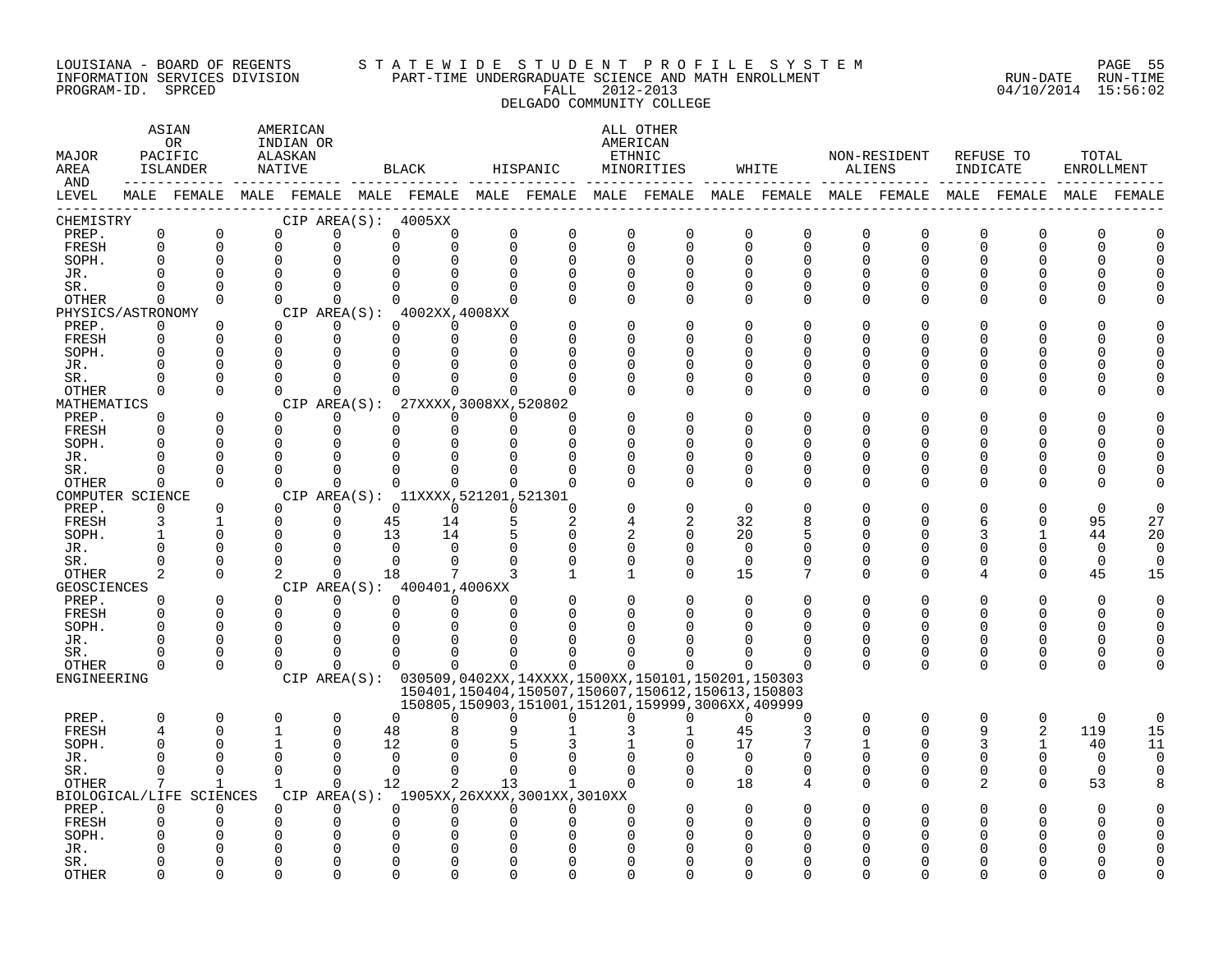#### LOUISIANA - BOARD OF REGENTS S T A T E W I D E S T U D E N T P R O F I L E S Y S T E M PAGE 55 INFORMATION SERVICES DIVISION PART-TIME UNDERGRADUATE SCIENCE AND MATH ENROLLMENT RUN-DATE RUN-TIME PROGRAM-ID. SPRCED FALL 2012-2013 04/10/2014 15:56:02 DELGADO COMMUNITY COLLEGE

| MAJOR<br>AREA<br>AND |                         | ASIAN<br>0R<br>PACIFIC<br>ISLANDER                                                              | AMERICAN<br>INDIAN OR<br>ALASKAN<br>NATIVE |                         |               | BLACK                                                       | HISPANIC                |                                                         |                            | ALL OTHER<br>AMERICAN<br>ETHNIC<br>MINORITIES                                                                    |                      | WHITE                         |               | NON-RESIDENT<br>ALIENS  | REFUSE TO<br>INDICATE   |                      | TOTAL<br>ENROLLMENT |             |
|----------------------|-------------------------|-------------------------------------------------------------------------------------------------|--------------------------------------------|-------------------------|---------------|-------------------------------------------------------------|-------------------------|---------------------------------------------------------|----------------------------|------------------------------------------------------------------------------------------------------------------|----------------------|-------------------------------|---------------|-------------------------|-------------------------|----------------------|---------------------|-------------|
| LEVEL                |                         | MALE FEMALE MALE FEMALE MALE FEMALE MALE FEMALE MALE FEMALE MALE FEMALE MALE FEMALE MALE FEMALE |                                            |                         |               |                                                             |                         |                                                         |                            |                                                                                                                  |                      |                               |               |                         |                         |                      |                     | MALE FEMALE |
| CHEMISTRY            |                         |                                                                                                 |                                            |                         |               | CIP AREA(S): 4005XX                                         |                         |                                                         |                            |                                                                                                                  |                      |                               |               |                         |                         |                      |                     |             |
| PREP.<br>FRESH       | $\mathsf 0$<br>$\Omega$ | $\mathbf 0$<br>$\Omega$                                                                         | 0<br>$\Omega$                              | $\mathbf 0$<br>0        | 0<br>$\Omega$ | 0<br>$\Omega$                                               | $\mathbf 0$<br>$\Omega$ | $\mathsf{O}$<br>$\Omega$                                | $\mathbf 0$<br>$\mathbf 0$ | $\mathbf 0$<br>$\Omega$                                                                                          | 0<br>$\Omega$        | $\mathsf 0$<br>$\overline{0}$ | 0<br>0        | $\mathbf 0$<br>$\Omega$ | $\mathbf 0$<br>$\Omega$ | $\Omega$<br>$\Omega$ | 0<br>U              |             |
| SOPH.                | $\Omega$                | $\Omega$                                                                                        | $\mathbf 0$                                | $\Omega$                |               |                                                             | $\Omega$                | 0                                                       | $\Omega$                   | $\Omega$                                                                                                         | $\Omega$             | 0                             | O             | 0                       | U                       | O                    |                     |             |
| JR.                  | $\cap$                  | $\Omega$                                                                                        | $\Omega$                                   | $\Omega$                |               |                                                             |                         |                                                         | $\Omega$                   |                                                                                                                  | $\Omega$             | $\Omega$                      |               | $\cap$                  |                         |                      |                     |             |
| SR.                  | $\Omega$                | $\Omega$                                                                                        | $\Omega$                                   | $\Omega$                | $\Omega$      | 0                                                           | $\Omega$                | $\Omega$                                                | $\Omega$                   | $\Omega$                                                                                                         | $\Omega$             | $\Omega$                      | $\Omega$      | $\Omega$                |                         |                      |                     |             |
| OTHER                | $\Omega$                | $\Omega$                                                                                        | $\Omega$                                   | $\Omega$                | $\Omega$      | $\Omega$                                                    | $\Omega$                |                                                         | $\Omega$                   | $\Omega$                                                                                                         | $\Omega$             | $\Omega$                      | $\Omega$      | $\Omega$                |                         | O                    |                     |             |
| PHYSICS/ASTRONOMY    |                         |                                                                                                 |                                            |                         |               | CIP AREA(S): 4002XX, 4008XX                                 |                         |                                                         |                            |                                                                                                                  |                      |                               |               |                         |                         |                      |                     |             |
| PREP.                | 0                       | 0                                                                                               | $\Omega$                                   | 0                       |               | $\Omega$<br>$\Omega$                                        | $\Omega$                |                                                         | $\Omega$                   |                                                                                                                  | $\Omega$             | 0                             | O             | O                       |                         |                      |                     |             |
| FRESH                | $\Omega$                | $\Omega$                                                                                        | $\Omega$                                   | $\mathbf{0}$            | $\Omega$      | $\Omega$                                                    | $\Omega$                |                                                         | $\Omega$                   |                                                                                                                  | ∩                    | U                             | U             | U                       |                         |                      |                     |             |
| SOPH.                |                         | $\Omega$                                                                                        | $\Omega$                                   | $\Omega$                |               |                                                             |                         |                                                         | $\Omega$                   |                                                                                                                  | ∩                    | O                             | U             | U                       |                         |                      |                     |             |
| JR.                  | $\Omega$<br>$\cap$      | $\Omega$<br>$\Omega$                                                                            | $\Omega$<br>$\Omega$                       | $\mathbf 0$<br>$\Omega$ |               |                                                             |                         |                                                         | $\Omega$                   | U                                                                                                                | $\Omega$<br>$\Omega$ | O<br>O                        | U<br>U        | U<br>U                  |                         | O                    |                     |             |
| SR.<br>OTHER         | $\Omega$                | $\Omega$                                                                                        | $\Omega$                                   | $\Omega$                |               | $\Omega$                                                    | $\Omega$                | U                                                       | $\Omega$                   | $\Omega$                                                                                                         | $\Omega$             | $\Omega$                      | $\Omega$      | $\Omega$                | U                       | $\Omega$             |                     |             |
| MATHEMATICS          |                         |                                                                                                 |                                            | CIP AREA(S):            |               | 27XXXX, 3008XX, 520802                                      |                         |                                                         |                            |                                                                                                                  |                      |                               |               |                         |                         |                      |                     |             |
| PREP.                | $\Omega$                | $\Omega$                                                                                        | $\Omega$                                   | $\Omega$                | $\Omega$      | $\Omega$                                                    | $\Omega$                | U                                                       |                            |                                                                                                                  | $\Omega$             | $\Omega$                      |               |                         |                         |                      |                     |             |
| FRESH                | $\Omega$                | $\Omega$                                                                                        | $\mathbf 0$                                | $\mathbf 0$             | $\Omega$      | $\Omega$                                                    | $\Omega$                | $\Omega$                                                |                            |                                                                                                                  | ∩                    | O                             | U             | U                       |                         | ∩                    |                     |             |
| SOPH.                | ∩                       | $\Omega$                                                                                        | $\Omega$                                   | $\Omega$                | $\Omega$      |                                                             |                         | U                                                       | ∩                          |                                                                                                                  | ∩                    | U                             |               | ∩                       |                         |                      |                     |             |
| JR.                  | $\Omega$                | $\Omega$                                                                                        | $\Omega$                                   | $\mathbf 0$             | $\Omega$      |                                                             |                         | O                                                       | $\Omega$                   | U                                                                                                                | $\Omega$             | O                             | U             | O                       |                         | O                    |                     |             |
| SR.                  | $\Omega$                | $\Omega$                                                                                        | $\Omega$                                   | $\Omega$                | $\Omega$      |                                                             |                         |                                                         | $\Omega$                   |                                                                                                                  | $\Omega$             | $\mathbf 0$                   | O             | 0                       |                         | 0                    |                     |             |
| OTHER                | $\Omega$                | $\Omega$                                                                                        | $\Omega$                                   | $\Omega$                | $\Omega$      | $\Omega$                                                    | $\Omega$                | $\Omega$                                                | $\cap$                     | $\Omega$                                                                                                         | $\Omega$             | $\Omega$                      | $\Omega$      | $\Omega$                | ∩                       | ∩                    |                     |             |
| COMPUTER SCIENCE     | $\Omega$                | $\Omega$                                                                                        | $\Omega$                                   | $\Omega$                |               | CIP AREA(S): 11XXXX, 521201, 521301<br>$\Omega$<br>$\Omega$ | $\Omega$                | $\Omega$                                                |                            |                                                                                                                  | $\Omega$             | O                             |               | U                       |                         |                      | $\Omega$            |             |
| PREP.<br>FRESH       | 3                       | $\mathbf{1}$                                                                                    | $\Omega$                                   | $\mathbf{0}$            | 45            | 14                                                          | 5                       | 2                                                       |                            | 2                                                                                                                | 32                   | 8                             | U             | 0                       |                         | $\Omega$             | 95                  | 27          |
| SOPH.                | $\mathbf{1}$            | $\Omega$                                                                                        | $\Omega$                                   | $\Omega$                | 13            | 14                                                          |                         | $\Omega$                                                | $\overline{c}$             | $\Omega$                                                                                                         | 20                   | 5                             | U             | U                       |                         |                      | 44                  | 20          |
| JR.                  | $\Omega$                | $\Omega$                                                                                        | $\mathbf 0$                                | $\Omega$                | $\Omega$      | $\Omega$                                                    | $\Omega$                | $\Omega$                                                | $\mathbf 0$                | $\Omega$                                                                                                         | $\mathbf 0$          | 0                             | U             | U                       |                         |                      | 0                   | $\Omega$    |
| SR.                  | $\Omega$                | $\Omega$                                                                                        | $\Omega$                                   | $\Omega$                | $\Omega$      | $\Omega$                                                    |                         |                                                         | $\mathbf 0$                | $\Omega$                                                                                                         | $\Omega$             | $\Omega$                      | $\Omega$      | $\Omega$                | U                       | $\Omega$             | $\Omega$            | $\Omega$    |
| OTHER                | 2                       | $\Omega$                                                                                        | 2                                          | $\Omega$                | 18            |                                                             |                         | $\mathbf{1}$                                            | 1                          | $\Omega$                                                                                                         | 15                   | 7                             | $\Omega$      | $\Omega$                | 4                       | $\Omega$             | 45                  | 15          |
| <b>GEOSCIENCES</b>   |                         |                                                                                                 |                                            |                         |               | CIP AREA(S): 400401,4006XX                                  |                         |                                                         |                            |                                                                                                                  |                      |                               |               |                         |                         |                      |                     |             |
| PREP.                | $\Omega$                | $\Omega$                                                                                        | $\Omega$                                   | $\Omega$                |               | $\Omega$<br>$\Omega$                                        | $\Omega$                |                                                         | $\Omega$                   |                                                                                                                  | $\Omega$             | $\Omega$                      | O             | O                       |                         | $\Omega$             | $\Omega$            |             |
| FRESH                | $\Omega$                | $\Omega$                                                                                        | $\mathbf 0$                                | $\mathbf 0$             |               | $\mathbf 0$<br>$\Omega$                                     | $\Omega$                | O                                                       | 0                          |                                                                                                                  | $\Omega$             | $\Omega$                      | $\Omega$      | $\Omega$                | 0                       | $\Omega$             | O                   |             |
| SOPH.                | $\Omega$<br>$\Omega$    | $\Omega$                                                                                        | $\Omega$<br>$\Omega$                       | $\Omega$                | U             |                                                             |                         |                                                         |                            |                                                                                                                  |                      | $\Omega$                      |               |                         | $\Omega$                |                      |                     |             |
| JR.<br>SR.           | <sup>0</sup>            | $\Omega$<br>0                                                                                   | $\Omega$                                   | $\Omega$<br>$\Omega$    | $\Omega$      | <sup>0</sup>                                                |                         |                                                         |                            |                                                                                                                  | ∩                    | O<br>0                        | $\Omega$<br>0 | 0<br>0                  | $\Omega$                | ∩<br>0               | U                   |             |
| OTHER                | $\Omega$                | $\Omega$                                                                                        | $\Omega$                                   | $\Omega$                |               | $\Omega$<br>$\Omega$                                        | $\Omega$                | 0                                                       | $\Omega$                   |                                                                                                                  | ∩                    | $\Omega$                      | $\Omega$      | $\Omega$                | $\Omega$                | $\Omega$             |                     |             |
| ENGINEERING          |                         |                                                                                                 |                                            |                         |               |                                                             |                         |                                                         |                            | CIP AREA(S): 030509,0402XX,14XXXX,1500XX,150101,150201,150303                                                    |                      |                               |               |                         |                         |                      |                     |             |
|                      |                         |                                                                                                 |                                            |                         |               |                                                             |                         |                                                         |                            | 150401, 150404, 150507, 150607, 150612, 150613, 150803<br>150805, 150903, 151001, 151201, 159999, 3006XX, 409999 |                      |                               |               |                         |                         |                      |                     |             |
| PREP.                | $\Omega$                | 0                                                                                               | $\mathbf 0$                                | $\mathbf 0$             | $\Omega$      | 0                                                           | <sup>0</sup>            | 0                                                       | $\Omega$                   | U                                                                                                                | $\Omega$             | 0                             | 0             | $\mathbf 0$             | 0                       | 0                    | $\mathbf 0$         | $\Omega$    |
| <b>FRESH</b>         | $\overline{4}$          | $\Omega$                                                                                        | $\mathbf{1}$                               | $\Omega$                | 48            |                                                             |                         |                                                         |                            |                                                                                                                  | 45                   | 3                             | $\Omega$      | $\Omega$                | 9                       | 2                    | 119                 | 15          |
| SOPH.                | $\Omega$                | $\Omega$                                                                                        | 1                                          | $\Omega$                | 12            |                                                             |                         |                                                         |                            |                                                                                                                  | 17                   |                               |               | 0                       | 3                       |                      | 40                  | 11          |
| JR.                  | $\cap$                  | $\cap$                                                                                          | $\Omega$                                   | $\Omega$                | $\Omega$      |                                                             |                         |                                                         |                            |                                                                                                                  | $\Omega$             | O                             | O             | $\Omega$                | $\Omega$                | $\Omega$             | $\Omega$            | $\Omega$    |
| SR.                  | $\Omega$                | $\Omega$                                                                                        | $\Omega$                                   | $\Omega$                | $\Omega$      | $\Omega$                                                    | $\Omega$                | $\Omega$                                                | $\Omega$                   | $\Omega$                                                                                                         | $\Omega$             | $\Omega$                      | $\Omega$      | $\Omega$                | $\Omega$                | $\Omega$             | $\Omega$            | $\Omega$    |
| OTHER                | 7                       | 1                                                                                               | $\mathbf{1}$                               | $\Omega$                | 12            | 2                                                           | 13                      | $\mathbf{1}$                                            | $\Omega$                   |                                                                                                                  | 18                   | 4                             | 0             | $\Omega$                | 2                       | $\Omega$             | 53                  |             |
| PREP.                | $\Omega$                | BIOLOGICAL/LIFE SCIENCES<br>$\Omega$                                                            | $\Omega$                                   | $\Omega$                | $\Omega$      | $\Omega$                                                    | $\Omega$                | CIP AREA(S): 1905XX, 26XXXX, 3001XX, 3010XX<br>$\Omega$ | $\Omega$                   |                                                                                                                  | $\Omega$             |                               |               |                         |                         |                      | U                   |             |
| FRESH                |                         | $\Omega$                                                                                        | $\mathbf 0$                                | 0                       | $\Omega$      |                                                             |                         |                                                         | $\Omega$                   |                                                                                                                  |                      |                               |               |                         |                         |                      |                     |             |
| SOPH.                |                         |                                                                                                 | $\Omega$                                   | $\Omega$                | U             |                                                             |                         |                                                         |                            |                                                                                                                  |                      |                               |               |                         |                         |                      |                     |             |
| JR.                  |                         |                                                                                                 | $\Omega$                                   | $\Omega$                |               |                                                             |                         |                                                         |                            |                                                                                                                  |                      |                               |               |                         |                         |                      |                     |             |
| SR.                  |                         | U                                                                                               | O                                          | $\Omega$                |               |                                                             |                         |                                                         |                            |                                                                                                                  |                      |                               |               |                         |                         |                      |                     |             |
| <b>OTHER</b>         | ∩                       | $\cap$                                                                                          | $\cap$                                     | $\cap$                  |               |                                                             |                         | ∩                                                       | ∩                          |                                                                                                                  |                      |                               |               |                         |                         |                      |                     |             |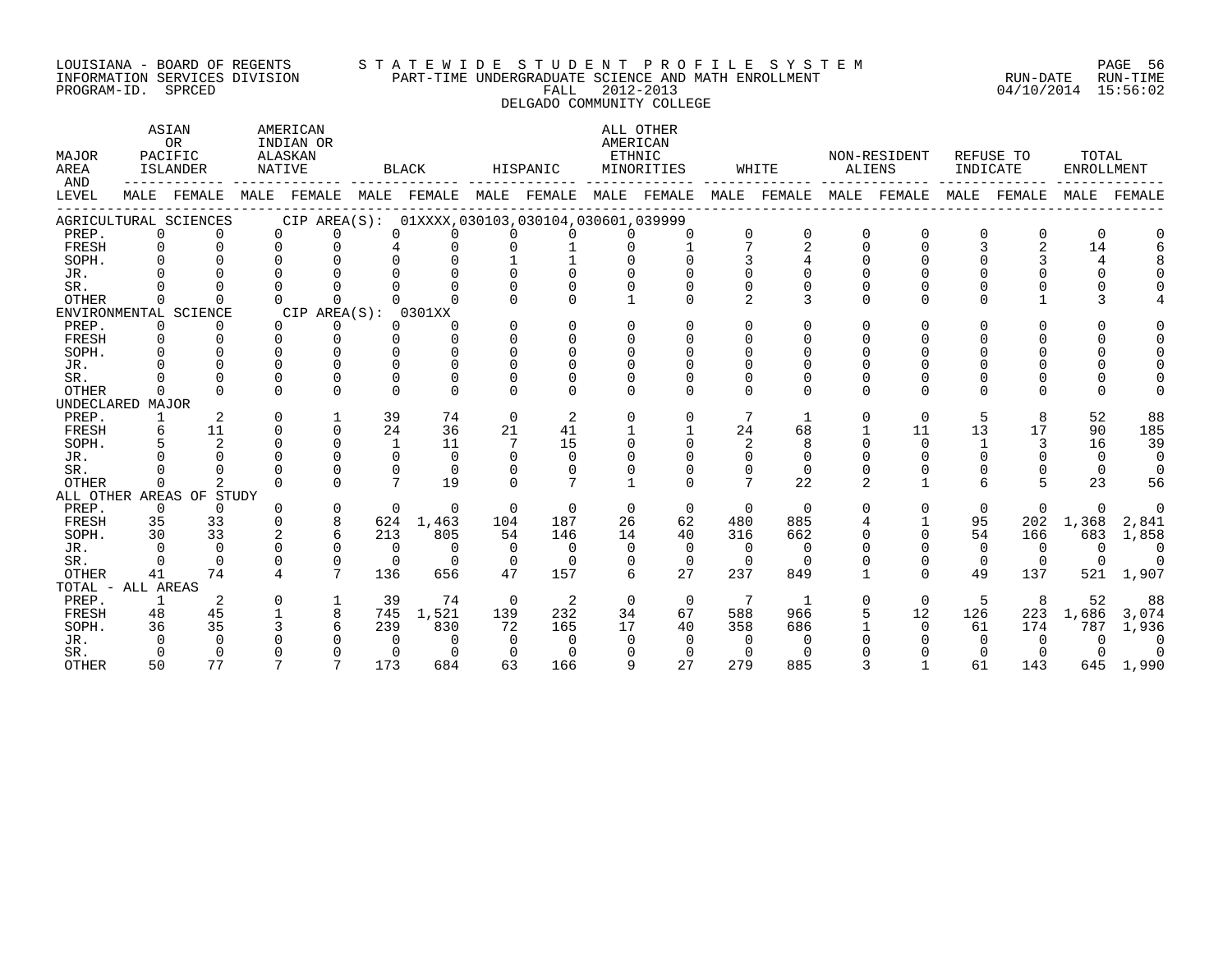# LOUISIANA - BOARD OF REGENTS S T A T E W I D E S T U D E N T P R O F I L E S Y S T E M PAGE 56 INFORMATION SERVICES DIVISION PART-TIME UNDERGRADUATE SCIENCE AND MATH ENROLLMENT RUN-DATE RUN-TIME LOUISIANA - BOARD OF REGENTS STATEWIDE STUDENT PROFILE SYSTEM PAGE 56<br>INFORMATION SERVICES DIVISION PART-TIME UNDERGRADUATE SCIENCE AND MATH ENROLLMENT (RUN-DATE RUN-TIME<br>PROGRAM-ID. SPRCED 15:56:02 DELGADO COMMUNITY COLLEGE

| MALE FEMALE MALE FEMALE MALE FEMALE MALE FEMALE<br>MALE FEMALE<br>MALE FEMALE<br>MALE FEMALE MALE FEMALE<br>FEMALE<br>MALE<br>CIP AREA(S): 01XXXX,030103,030104,030601,039999<br>AGRICULTURAL SCIENCES<br>PREP.<br>$\Omega$<br>0<br>U<br>$\Omega$<br>$\Omega$<br>$\Omega$<br><sup>o</sup><br>$\Omega$<br>$\Omega$<br>$\Omega$<br>2<br>14<br>FRESH<br>U<br>U<br>SOPH.<br>4<br>JR.<br>SR.<br>3<br><b>OTHER</b><br>$\mathfrak{D}$<br>∩<br>$\Omega$<br><sup>n</sup><br>CIP AREA(S): 0301XX<br>ENVIRONMENTAL SCIENCE<br>PREP.<br>$\Omega$<br>0<br>$\Omega$<br>0<br>0<br>$\Omega$<br>$\Omega$<br>0<br>∩<br>U<br>U<br><sup>o</sup><br><sup>n</sup><br>FRESH<br>$\Omega$<br>$\Omega$<br>$\Omega$<br>0<br>SOPH.<br>U<br>JR.<br>∩<br>$\Omega$<br>SR.<br>$\Omega$<br><b>OTHER</b><br>$\Omega$<br>0<br>$\Omega$<br><sup>n</sup><br>$\Omega$<br>$\Omega$<br>$\Omega$<br>UNDECLARED MAJOR<br>39<br>52<br>88<br>PREP.<br>2<br>74<br>$\Omega$<br>2<br>7<br>0<br>5<br>8<br>$\Omega$<br>$\Omega$<br>1<br>0<br>24<br>24<br>13<br>17<br>185<br>FRESH<br>6<br>11<br>0<br>$\Omega$<br>36<br>21<br>41<br>68<br>11<br>90<br>SOPH.<br>2<br>$\Omega$<br>15<br>39<br>11<br>7<br>2<br>8<br>16<br>1<br>$\Omega$<br>3<br>JR.<br>$\Omega$<br>$\Omega$<br>$\Omega$<br>$\Omega$<br>$\Omega$<br>$\Omega$<br>SR.<br>$\cap$<br>$\Omega$<br>$\mathbf 0$<br>$\Omega$<br>$\Omega$<br>0<br>7<br>7<br>19<br>22<br>23<br>OTHER<br>$\Omega$<br>$\Omega$<br>$\Omega$<br>6<br>56<br>0<br>ALL OTHER AREAS OF STUDY<br>PREP.<br>$\Omega$<br>$\Omega$<br>$\Omega$<br>$\Omega$<br>$\Omega$<br>$\Omega$<br>$\Omega$<br>$\Omega$<br>$\Omega$<br>$\Omega$<br>$\Omega$<br>$\Omega$<br>$\Omega$<br>$\Omega$<br>U<br>0<br>$\Omega$<br>$\Omega$<br>8<br>FRESH<br>35<br>33<br>624<br>1,463<br>187<br>26<br>62<br>480<br>885<br>95<br>202<br>1,368<br>$\Omega$<br>104<br>2,841<br>33<br>54<br>SOPH.<br>30<br>2<br>6<br>213<br>40<br>316<br>662<br>1,858<br>805<br>54<br>146<br>14<br>$\Omega$<br>166<br>683<br>$\Omega$<br>$\Omega$<br>$\Omega$<br>$\Omega$<br>$\Omega$<br>JR.<br>$\Omega$<br>$\Omega$<br>$\Omega$<br>$\Omega$<br>$\Omega$<br>$\Omega$<br>$\Omega$<br>$\Omega$<br>$\Omega$<br>$\Omega$<br>$\bigcap$<br>0<br>$\Omega$<br>$\mathbf 0$<br>SR.<br>$\Omega$<br>$\Omega$<br>0<br>$\Omega$<br>0<br>0<br>0<br>$\Omega$<br>0<br>$\Omega$<br>$\Omega$<br>$7\phantom{.0}$<br>27<br><b>OTHER</b><br>74<br>136<br>656<br>47<br>157<br>6<br>237<br>849<br>$\Omega$<br>49<br>137<br>521<br>1,907<br>41<br>4<br>TOTAL - ALL AREAS<br>PREP.<br>2<br>$\mathbf 1$<br>39<br>74<br>$\Omega$<br>2<br>5<br>8<br>52<br>88<br>$\Omega$<br>$\Omega$<br>$\Omega$<br>7<br>1<br>$\Omega$<br>U<br>45<br>8<br>232<br>588<br>966<br>12<br>FRESH<br>48<br>1,521<br>139<br>34<br>67<br>126<br>223<br>3,074<br>745<br>1,686<br>35<br>6<br>36<br>239<br>165<br>17<br>40<br>358<br>686<br>SOPH.<br>830<br>72<br>$\Omega$<br>61<br>174<br>787<br>1,936<br>JR.<br>$\cap$<br>$\Omega$<br>$\Omega$<br>$\Omega$<br>$\Omega$<br>$\Omega$<br>$\Omega$<br>$\Omega$<br>$\Omega$<br>$\Omega$<br>$\Omega$<br>SR.<br>$\Omega$<br>$\Omega$<br>$\Omega$<br>∩<br>$\Omega$<br>$\Omega$<br>$\Omega$<br>$\Omega$<br>$\Omega$<br>$\Omega$ | MAJOR<br>AREA<br>AND | ASIAN<br>OR<br>PACIFIC<br>ISLANDER | <b>NATIVE</b> | AMERICAN<br>INDIAN OR<br>ALASKAN |     | <b>BLACK</b> |    | HISPANIC | ALL OTHER<br>AMERICAN<br>ETHNIC<br>MINORITIES |     | WHITE | NON-RESIDENT<br>ALIENS | INDICATE | REFUSE TO | TOTAL<br><b>ENROLLMENT</b> |  |
|-----------------------------------------------------------------------------------------------------------------------------------------------------------------------------------------------------------------------------------------------------------------------------------------------------------------------------------------------------------------------------------------------------------------------------------------------------------------------------------------------------------------------------------------------------------------------------------------------------------------------------------------------------------------------------------------------------------------------------------------------------------------------------------------------------------------------------------------------------------------------------------------------------------------------------------------------------------------------------------------------------------------------------------------------------------------------------------------------------------------------------------------------------------------------------------------------------------------------------------------------------------------------------------------------------------------------------------------------------------------------------------------------------------------------------------------------------------------------------------------------------------------------------------------------------------------------------------------------------------------------------------------------------------------------------------------------------------------------------------------------------------------------------------------------------------------------------------------------------------------------------------------------------------------------------------------------------------------------------------------------------------------------------------------------------------------------------------------------------------------------------------------------------------------------------------------------------------------------------------------------------------------------------------------------------------------------------------------------------------------------------------------------------------------------------------------------------------------------------------------------------------------------------------------------------------------------------------------------------------------------------------------------------------------------------------------------------------------------------------------------------------------------------------------------------------------------------------------------------------------------------------------------------------------------------------------------------------------------------------------------------------------------------------------------------------------------------------------------------------------------------------------|----------------------|------------------------------------|---------------|----------------------------------|-----|--------------|----|----------|-----------------------------------------------|-----|-------|------------------------|----------|-----------|----------------------------|--|
|                                                                                                                                                                                                                                                                                                                                                                                                                                                                                                                                                                                                                                                                                                                                                                                                                                                                                                                                                                                                                                                                                                                                                                                                                                                                                                                                                                                                                                                                                                                                                                                                                                                                                                                                                                                                                                                                                                                                                                                                                                                                                                                                                                                                                                                                                                                                                                                                                                                                                                                                                                                                                                                                                                                                                                                                                                                                                                                                                                                                                                                                                                                                         | LEVEL                |                                    |               |                                  |     |              |    |          |                                               |     |       |                        |          |           |                            |  |
|                                                                                                                                                                                                                                                                                                                                                                                                                                                                                                                                                                                                                                                                                                                                                                                                                                                                                                                                                                                                                                                                                                                                                                                                                                                                                                                                                                                                                                                                                                                                                                                                                                                                                                                                                                                                                                                                                                                                                                                                                                                                                                                                                                                                                                                                                                                                                                                                                                                                                                                                                                                                                                                                                                                                                                                                                                                                                                                                                                                                                                                                                                                                         |                      |                                    |               |                                  |     |              |    |          |                                               |     |       |                        |          |           |                            |  |
|                                                                                                                                                                                                                                                                                                                                                                                                                                                                                                                                                                                                                                                                                                                                                                                                                                                                                                                                                                                                                                                                                                                                                                                                                                                                                                                                                                                                                                                                                                                                                                                                                                                                                                                                                                                                                                                                                                                                                                                                                                                                                                                                                                                                                                                                                                                                                                                                                                                                                                                                                                                                                                                                                                                                                                                                                                                                                                                                                                                                                                                                                                                                         |                      |                                    |               |                                  |     |              |    |          |                                               |     |       |                        |          |           |                            |  |
|                                                                                                                                                                                                                                                                                                                                                                                                                                                                                                                                                                                                                                                                                                                                                                                                                                                                                                                                                                                                                                                                                                                                                                                                                                                                                                                                                                                                                                                                                                                                                                                                                                                                                                                                                                                                                                                                                                                                                                                                                                                                                                                                                                                                                                                                                                                                                                                                                                                                                                                                                                                                                                                                                                                                                                                                                                                                                                                                                                                                                                                                                                                                         |                      |                                    |               |                                  |     |              |    |          |                                               |     |       |                        |          |           |                            |  |
|                                                                                                                                                                                                                                                                                                                                                                                                                                                                                                                                                                                                                                                                                                                                                                                                                                                                                                                                                                                                                                                                                                                                                                                                                                                                                                                                                                                                                                                                                                                                                                                                                                                                                                                                                                                                                                                                                                                                                                                                                                                                                                                                                                                                                                                                                                                                                                                                                                                                                                                                                                                                                                                                                                                                                                                                                                                                                                                                                                                                                                                                                                                                         |                      |                                    |               |                                  |     |              |    |          |                                               |     |       |                        |          |           |                            |  |
|                                                                                                                                                                                                                                                                                                                                                                                                                                                                                                                                                                                                                                                                                                                                                                                                                                                                                                                                                                                                                                                                                                                                                                                                                                                                                                                                                                                                                                                                                                                                                                                                                                                                                                                                                                                                                                                                                                                                                                                                                                                                                                                                                                                                                                                                                                                                                                                                                                                                                                                                                                                                                                                                                                                                                                                                                                                                                                                                                                                                                                                                                                                                         |                      |                                    |               |                                  |     |              |    |          |                                               |     |       |                        |          |           |                            |  |
|                                                                                                                                                                                                                                                                                                                                                                                                                                                                                                                                                                                                                                                                                                                                                                                                                                                                                                                                                                                                                                                                                                                                                                                                                                                                                                                                                                                                                                                                                                                                                                                                                                                                                                                                                                                                                                                                                                                                                                                                                                                                                                                                                                                                                                                                                                                                                                                                                                                                                                                                                                                                                                                                                                                                                                                                                                                                                                                                                                                                                                                                                                                                         |                      |                                    |               |                                  |     |              |    |          |                                               |     |       |                        |          |           |                            |  |
|                                                                                                                                                                                                                                                                                                                                                                                                                                                                                                                                                                                                                                                                                                                                                                                                                                                                                                                                                                                                                                                                                                                                                                                                                                                                                                                                                                                                                                                                                                                                                                                                                                                                                                                                                                                                                                                                                                                                                                                                                                                                                                                                                                                                                                                                                                                                                                                                                                                                                                                                                                                                                                                                                                                                                                                                                                                                                                                                                                                                                                                                                                                                         |                      |                                    |               |                                  |     |              |    |          |                                               |     |       |                        |          |           |                            |  |
|                                                                                                                                                                                                                                                                                                                                                                                                                                                                                                                                                                                                                                                                                                                                                                                                                                                                                                                                                                                                                                                                                                                                                                                                                                                                                                                                                                                                                                                                                                                                                                                                                                                                                                                                                                                                                                                                                                                                                                                                                                                                                                                                                                                                                                                                                                                                                                                                                                                                                                                                                                                                                                                                                                                                                                                                                                                                                                                                                                                                                                                                                                                                         |                      |                                    |               |                                  |     |              |    |          |                                               |     |       |                        |          |           |                            |  |
|                                                                                                                                                                                                                                                                                                                                                                                                                                                                                                                                                                                                                                                                                                                                                                                                                                                                                                                                                                                                                                                                                                                                                                                                                                                                                                                                                                                                                                                                                                                                                                                                                                                                                                                                                                                                                                                                                                                                                                                                                                                                                                                                                                                                                                                                                                                                                                                                                                                                                                                                                                                                                                                                                                                                                                                                                                                                                                                                                                                                                                                                                                                                         |                      |                                    |               |                                  |     |              |    |          |                                               |     |       |                        |          |           |                            |  |
|                                                                                                                                                                                                                                                                                                                                                                                                                                                                                                                                                                                                                                                                                                                                                                                                                                                                                                                                                                                                                                                                                                                                                                                                                                                                                                                                                                                                                                                                                                                                                                                                                                                                                                                                                                                                                                                                                                                                                                                                                                                                                                                                                                                                                                                                                                                                                                                                                                                                                                                                                                                                                                                                                                                                                                                                                                                                                                                                                                                                                                                                                                                                         |                      |                                    |               |                                  |     |              |    |          |                                               |     |       |                        |          |           |                            |  |
|                                                                                                                                                                                                                                                                                                                                                                                                                                                                                                                                                                                                                                                                                                                                                                                                                                                                                                                                                                                                                                                                                                                                                                                                                                                                                                                                                                                                                                                                                                                                                                                                                                                                                                                                                                                                                                                                                                                                                                                                                                                                                                                                                                                                                                                                                                                                                                                                                                                                                                                                                                                                                                                                                                                                                                                                                                                                                                                                                                                                                                                                                                                                         |                      |                                    |               |                                  |     |              |    |          |                                               |     |       |                        |          |           |                            |  |
|                                                                                                                                                                                                                                                                                                                                                                                                                                                                                                                                                                                                                                                                                                                                                                                                                                                                                                                                                                                                                                                                                                                                                                                                                                                                                                                                                                                                                                                                                                                                                                                                                                                                                                                                                                                                                                                                                                                                                                                                                                                                                                                                                                                                                                                                                                                                                                                                                                                                                                                                                                                                                                                                                                                                                                                                                                                                                                                                                                                                                                                                                                                                         |                      |                                    |               |                                  |     |              |    |          |                                               |     |       |                        |          |           |                            |  |
|                                                                                                                                                                                                                                                                                                                                                                                                                                                                                                                                                                                                                                                                                                                                                                                                                                                                                                                                                                                                                                                                                                                                                                                                                                                                                                                                                                                                                                                                                                                                                                                                                                                                                                                                                                                                                                                                                                                                                                                                                                                                                                                                                                                                                                                                                                                                                                                                                                                                                                                                                                                                                                                                                                                                                                                                                                                                                                                                                                                                                                                                                                                                         |                      |                                    |               |                                  |     |              |    |          |                                               |     |       |                        |          |           |                            |  |
|                                                                                                                                                                                                                                                                                                                                                                                                                                                                                                                                                                                                                                                                                                                                                                                                                                                                                                                                                                                                                                                                                                                                                                                                                                                                                                                                                                                                                                                                                                                                                                                                                                                                                                                                                                                                                                                                                                                                                                                                                                                                                                                                                                                                                                                                                                                                                                                                                                                                                                                                                                                                                                                                                                                                                                                                                                                                                                                                                                                                                                                                                                                                         |                      |                                    |               |                                  |     |              |    |          |                                               |     |       |                        |          |           |                            |  |
|                                                                                                                                                                                                                                                                                                                                                                                                                                                                                                                                                                                                                                                                                                                                                                                                                                                                                                                                                                                                                                                                                                                                                                                                                                                                                                                                                                                                                                                                                                                                                                                                                                                                                                                                                                                                                                                                                                                                                                                                                                                                                                                                                                                                                                                                                                                                                                                                                                                                                                                                                                                                                                                                                                                                                                                                                                                                                                                                                                                                                                                                                                                                         |                      |                                    |               |                                  |     |              |    |          |                                               |     |       |                        |          |           |                            |  |
|                                                                                                                                                                                                                                                                                                                                                                                                                                                                                                                                                                                                                                                                                                                                                                                                                                                                                                                                                                                                                                                                                                                                                                                                                                                                                                                                                                                                                                                                                                                                                                                                                                                                                                                                                                                                                                                                                                                                                                                                                                                                                                                                                                                                                                                                                                                                                                                                                                                                                                                                                                                                                                                                                                                                                                                                                                                                                                                                                                                                                                                                                                                                         |                      |                                    |               |                                  |     |              |    |          |                                               |     |       |                        |          |           |                            |  |
|                                                                                                                                                                                                                                                                                                                                                                                                                                                                                                                                                                                                                                                                                                                                                                                                                                                                                                                                                                                                                                                                                                                                                                                                                                                                                                                                                                                                                                                                                                                                                                                                                                                                                                                                                                                                                                                                                                                                                                                                                                                                                                                                                                                                                                                                                                                                                                                                                                                                                                                                                                                                                                                                                                                                                                                                                                                                                                                                                                                                                                                                                                                                         |                      |                                    |               |                                  |     |              |    |          |                                               |     |       |                        |          |           |                            |  |
|                                                                                                                                                                                                                                                                                                                                                                                                                                                                                                                                                                                                                                                                                                                                                                                                                                                                                                                                                                                                                                                                                                                                                                                                                                                                                                                                                                                                                                                                                                                                                                                                                                                                                                                                                                                                                                                                                                                                                                                                                                                                                                                                                                                                                                                                                                                                                                                                                                                                                                                                                                                                                                                                                                                                                                                                                                                                                                                                                                                                                                                                                                                                         |                      |                                    |               |                                  |     |              |    |          |                                               |     |       |                        |          |           |                            |  |
|                                                                                                                                                                                                                                                                                                                                                                                                                                                                                                                                                                                                                                                                                                                                                                                                                                                                                                                                                                                                                                                                                                                                                                                                                                                                                                                                                                                                                                                                                                                                                                                                                                                                                                                                                                                                                                                                                                                                                                                                                                                                                                                                                                                                                                                                                                                                                                                                                                                                                                                                                                                                                                                                                                                                                                                                                                                                                                                                                                                                                                                                                                                                         |                      |                                    |               |                                  |     |              |    |          |                                               |     |       |                        |          |           |                            |  |
|                                                                                                                                                                                                                                                                                                                                                                                                                                                                                                                                                                                                                                                                                                                                                                                                                                                                                                                                                                                                                                                                                                                                                                                                                                                                                                                                                                                                                                                                                                                                                                                                                                                                                                                                                                                                                                                                                                                                                                                                                                                                                                                                                                                                                                                                                                                                                                                                                                                                                                                                                                                                                                                                                                                                                                                                                                                                                                                                                                                                                                                                                                                                         |                      |                                    |               |                                  |     |              |    |          |                                               |     |       |                        |          |           |                            |  |
|                                                                                                                                                                                                                                                                                                                                                                                                                                                                                                                                                                                                                                                                                                                                                                                                                                                                                                                                                                                                                                                                                                                                                                                                                                                                                                                                                                                                                                                                                                                                                                                                                                                                                                                                                                                                                                                                                                                                                                                                                                                                                                                                                                                                                                                                                                                                                                                                                                                                                                                                                                                                                                                                                                                                                                                                                                                                                                                                                                                                                                                                                                                                         |                      |                                    |               |                                  |     |              |    |          |                                               |     |       |                        |          |           |                            |  |
|                                                                                                                                                                                                                                                                                                                                                                                                                                                                                                                                                                                                                                                                                                                                                                                                                                                                                                                                                                                                                                                                                                                                                                                                                                                                                                                                                                                                                                                                                                                                                                                                                                                                                                                                                                                                                                                                                                                                                                                                                                                                                                                                                                                                                                                                                                                                                                                                                                                                                                                                                                                                                                                                                                                                                                                                                                                                                                                                                                                                                                                                                                                                         |                      |                                    |               |                                  |     |              |    |          |                                               |     |       |                        |          |           |                            |  |
|                                                                                                                                                                                                                                                                                                                                                                                                                                                                                                                                                                                                                                                                                                                                                                                                                                                                                                                                                                                                                                                                                                                                                                                                                                                                                                                                                                                                                                                                                                                                                                                                                                                                                                                                                                                                                                                                                                                                                                                                                                                                                                                                                                                                                                                                                                                                                                                                                                                                                                                                                                                                                                                                                                                                                                                                                                                                                                                                                                                                                                                                                                                                         |                      |                                    |               |                                  |     |              |    |          |                                               |     |       |                        |          |           |                            |  |
|                                                                                                                                                                                                                                                                                                                                                                                                                                                                                                                                                                                                                                                                                                                                                                                                                                                                                                                                                                                                                                                                                                                                                                                                                                                                                                                                                                                                                                                                                                                                                                                                                                                                                                                                                                                                                                                                                                                                                                                                                                                                                                                                                                                                                                                                                                                                                                                                                                                                                                                                                                                                                                                                                                                                                                                                                                                                                                                                                                                                                                                                                                                                         |                      |                                    |               |                                  |     |              |    |          |                                               |     |       |                        |          |           |                            |  |
|                                                                                                                                                                                                                                                                                                                                                                                                                                                                                                                                                                                                                                                                                                                                                                                                                                                                                                                                                                                                                                                                                                                                                                                                                                                                                                                                                                                                                                                                                                                                                                                                                                                                                                                                                                                                                                                                                                                                                                                                                                                                                                                                                                                                                                                                                                                                                                                                                                                                                                                                                                                                                                                                                                                                                                                                                                                                                                                                                                                                                                                                                                                                         |                      |                                    |               |                                  |     |              |    |          |                                               |     |       |                        |          |           |                            |  |
|                                                                                                                                                                                                                                                                                                                                                                                                                                                                                                                                                                                                                                                                                                                                                                                                                                                                                                                                                                                                                                                                                                                                                                                                                                                                                                                                                                                                                                                                                                                                                                                                                                                                                                                                                                                                                                                                                                                                                                                                                                                                                                                                                                                                                                                                                                                                                                                                                                                                                                                                                                                                                                                                                                                                                                                                                                                                                                                                                                                                                                                                                                                                         |                      |                                    |               |                                  |     |              |    |          |                                               |     |       |                        |          |           |                            |  |
|                                                                                                                                                                                                                                                                                                                                                                                                                                                                                                                                                                                                                                                                                                                                                                                                                                                                                                                                                                                                                                                                                                                                                                                                                                                                                                                                                                                                                                                                                                                                                                                                                                                                                                                                                                                                                                                                                                                                                                                                                                                                                                                                                                                                                                                                                                                                                                                                                                                                                                                                                                                                                                                                                                                                                                                                                                                                                                                                                                                                                                                                                                                                         |                      |                                    |               |                                  |     |              |    |          |                                               |     |       |                        |          |           |                            |  |
|                                                                                                                                                                                                                                                                                                                                                                                                                                                                                                                                                                                                                                                                                                                                                                                                                                                                                                                                                                                                                                                                                                                                                                                                                                                                                                                                                                                                                                                                                                                                                                                                                                                                                                                                                                                                                                                                                                                                                                                                                                                                                                                                                                                                                                                                                                                                                                                                                                                                                                                                                                                                                                                                                                                                                                                                                                                                                                                                                                                                                                                                                                                                         |                      |                                    |               |                                  |     |              |    |          |                                               |     |       |                        |          |           |                            |  |
|                                                                                                                                                                                                                                                                                                                                                                                                                                                                                                                                                                                                                                                                                                                                                                                                                                                                                                                                                                                                                                                                                                                                                                                                                                                                                                                                                                                                                                                                                                                                                                                                                                                                                                                                                                                                                                                                                                                                                                                                                                                                                                                                                                                                                                                                                                                                                                                                                                                                                                                                                                                                                                                                                                                                                                                                                                                                                                                                                                                                                                                                                                                                         |                      |                                    |               |                                  |     |              |    |          |                                               |     |       |                        |          |           |                            |  |
|                                                                                                                                                                                                                                                                                                                                                                                                                                                                                                                                                                                                                                                                                                                                                                                                                                                                                                                                                                                                                                                                                                                                                                                                                                                                                                                                                                                                                                                                                                                                                                                                                                                                                                                                                                                                                                                                                                                                                                                                                                                                                                                                                                                                                                                                                                                                                                                                                                                                                                                                                                                                                                                                                                                                                                                                                                                                                                                                                                                                                                                                                                                                         |                      |                                    |               |                                  |     |              |    |          |                                               |     |       |                        |          |           |                            |  |
|                                                                                                                                                                                                                                                                                                                                                                                                                                                                                                                                                                                                                                                                                                                                                                                                                                                                                                                                                                                                                                                                                                                                                                                                                                                                                                                                                                                                                                                                                                                                                                                                                                                                                                                                                                                                                                                                                                                                                                                                                                                                                                                                                                                                                                                                                                                                                                                                                                                                                                                                                                                                                                                                                                                                                                                                                                                                                                                                                                                                                                                                                                                                         |                      |                                    |               |                                  |     |              |    |          |                                               |     |       |                        |          |           |                            |  |
|                                                                                                                                                                                                                                                                                                                                                                                                                                                                                                                                                                                                                                                                                                                                                                                                                                                                                                                                                                                                                                                                                                                                                                                                                                                                                                                                                                                                                                                                                                                                                                                                                                                                                                                                                                                                                                                                                                                                                                                                                                                                                                                                                                                                                                                                                                                                                                                                                                                                                                                                                                                                                                                                                                                                                                                                                                                                                                                                                                                                                                                                                                                                         |                      |                                    |               |                                  |     |              |    |          |                                               |     |       |                        |          |           |                            |  |
|                                                                                                                                                                                                                                                                                                                                                                                                                                                                                                                                                                                                                                                                                                                                                                                                                                                                                                                                                                                                                                                                                                                                                                                                                                                                                                                                                                                                                                                                                                                                                                                                                                                                                                                                                                                                                                                                                                                                                                                                                                                                                                                                                                                                                                                                                                                                                                                                                                                                                                                                                                                                                                                                                                                                                                                                                                                                                                                                                                                                                                                                                                                                         |                      |                                    |               |                                  |     |              |    |          |                                               |     |       |                        |          |           |                            |  |
| 50<br>9<br>645 1,990                                                                                                                                                                                                                                                                                                                                                                                                                                                                                                                                                                                                                                                                                                                                                                                                                                                                                                                                                                                                                                                                                                                                                                                                                                                                                                                                                                                                                                                                                                                                                                                                                                                                                                                                                                                                                                                                                                                                                                                                                                                                                                                                                                                                                                                                                                                                                                                                                                                                                                                                                                                                                                                                                                                                                                                                                                                                                                                                                                                                                                                                                                                    | <b>OTHER</b>         | 77                                 | 7             | $7\phantom{.0}$                  | 173 | 684          | 63 | 166      | 27                                            | 279 | 885   |                        | 61       | 143       |                            |  |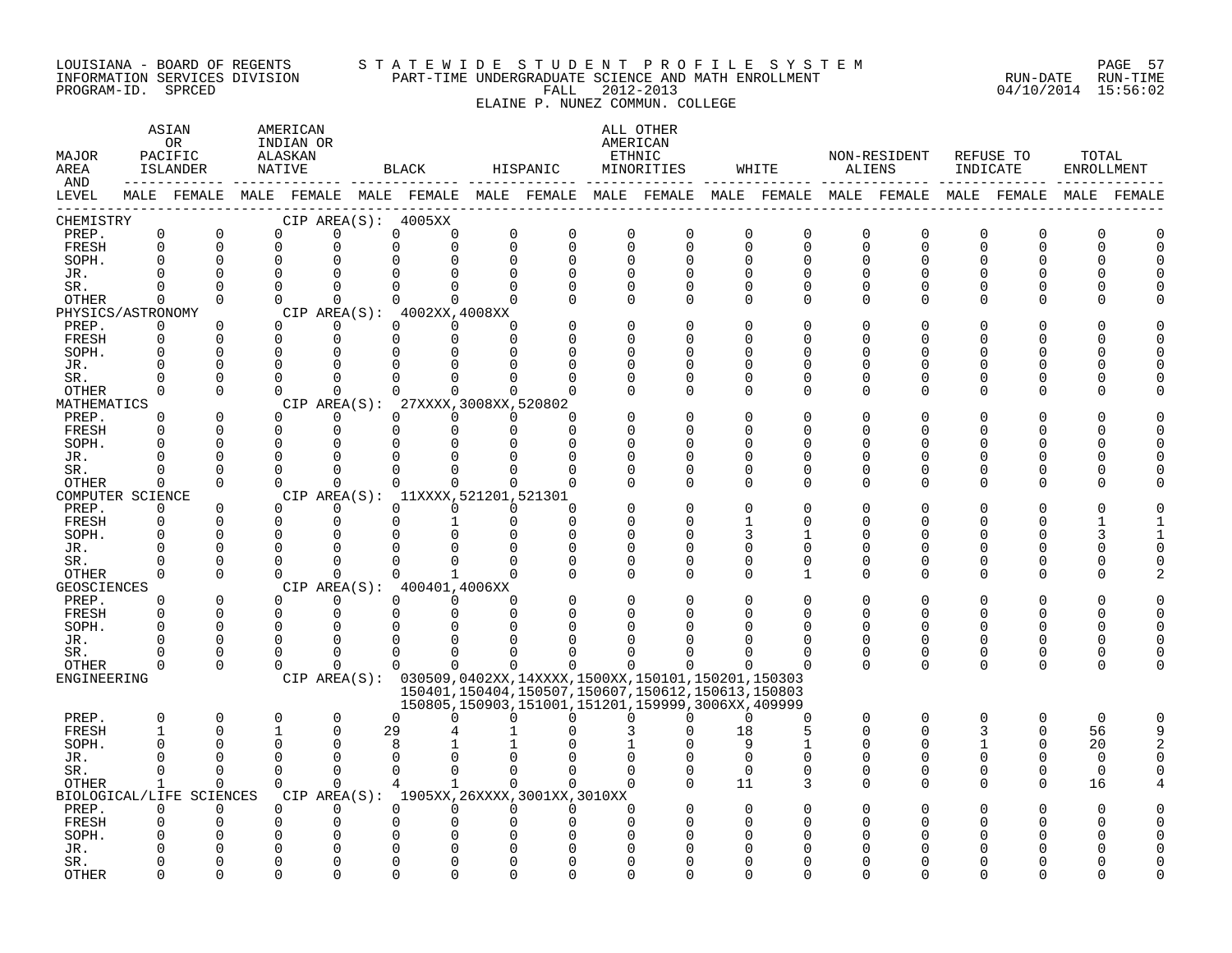#### LOUISIANA - BOARD OF REGENTS S T A T E W I D E S T U D E N T P R O F I L E S Y S T E M PAGE 57 INFORMATION SERVICES DIVISION PART-TIME UNDERGRADUATE SCIENCE AND MATH ENROLLMENT RUN-DATE RUN-TIME PROGRAM-ID. SPRCED FALL 2012-2013 04/10/2014 15:56:02

ELAINE P. NUNEZ COMMUN. COLLEGE

ASTAN AMERICAN ANG ANG ANG ASTANG ASTANG ALL OTHER OR INDIAN OR **AMERICAN** MAJOR PACIFIC ALASKAN ETHNIC NON-RESIDENT REFUSE TO TOTAL AREA ISLANDER NATIVE BLACK HISPANIC MINORITIES WHITE ALIENS INDICATE ENROLLMENT AND ------------ ------------- ------------- ------------- ------------- ------------- ------------- ------------- ------------- LEVEL MALE FEMALE MALE FEMALE MALE FEMALE MALE FEMALE MALE FEMALE MALE FEMALE MALE FEMALE MALE FEMALE MALE FEMALE ------------------------------------------------------------------------------------------------------------------------------------ CHEMISTRY CIP AREA(S): 4005XX PREP. 0 0 0 0 0 0 0 0 0 0 0 0 0 0 0 0 0 0 FRESH 0 0 0 0 0 0 0 0 0 0 0 0 0 0 0 0 0 0 SOPH. 0 0 0 0 0 0 0 0 0 0 0 0 0 0 0 0 0 0 JR. 0 0 0 0 0 0 0 0 0 0 0 0 0 0 0 0 0 0 SR. 0 0 0 0 0 0 0 0 0 0 0 0 0 0 0 0 0 0 OTHER 0 0 0 0 0 0 0 0 0 0 0 0 0 0 0 0 0 0 PHYSICS/ASTRONOMY CIP AREA(S): 4002XX,4008XX<br>
PREP. 0 0 0 0 0 0 0 PREP. 0 0 0 0 0 0 0 0 0 0 0 0 0 0 0 0 0 0 FRESH 0 0 0 0 0 0 0 0 0 0 0 0 0 0 0 0 0 0 SOPH. 0 0 0 0 0 0 0 0 0 0 0 0 0 0 0 0 0 0 JR. 0 0 0 0 0 0 0 0 0 0 0 0 0 0 0 0 0 0 SR. 0 0 0 0 0 0 0 0 0 0 0 0 0 0 0 0 0 0 OTHER 0 0 0 0 0 0 0 0 0 0 0 0 0 0 0 0 0 0 MATHEMATICS CIP AREA(S): 27XXXX,3008XX,520802<br>
PREP. 0 0 0 0 0 0 0 PREP. 0 0 0 0 0 0 0 0 0 0 0 0 0 0 0 0 0 0 FRESH 0 0 0 0 0 0 0 0 0 0 0 0 0 0 0 0 0 0 SOPH. 0 0 0 0 0 0 0 0 0 0 0 0 0 0 0 0 0 0 JR. 0 0 0 0 0 0 0 0 0 0 0 0 0 0 0 0 0 0 SR. 0 0 0 0 0 0 0 0 0 0 0 0 0 0 0 0 0 0 OTHER 0 0 0 0 0 0 0 0 0 0 0 0 0 0 0 0 0 0 COMPUTER SCIENCE CIP AREA(S): 11XXXX,521201,521301<br>
PREP. 0 0 0 0 0 0 0 PREP. 0 0 0 0 0 0 0 0 0 0 0 0 0 0 0 0 0 0 FRESH 0 0 0 0 0 1 0 0 0 0 1 0 0 0 0 0 1 1 SOPH. 0 0 0 0 0 0 0 0 0 0 3 1 0 0 0 0 3 1 JR. 0 0 0 0 0 0 0 0 0 0 0 0 0 0 0 0 0 0 SR. 0 0 0 0 0 0 0 0 0 0 0 0 0 0 0 0 0 0 OTHER 0 0 0 0 0 1 0 0 0 0 0 1 0 0 0 0 0 2 GEOSCIENCES CIPAREA(S): 400401,4006XX<br>
PREP. 0 0 0 0 0 0 PREP. 0 0 0 0 0 0 0 0 0 0 0 0 0 0 0 0 0 0 FRESH 0 0 0 0 0 0 0 0 0 0 0 0 0 0 0 0 0 0 SOPH. 0 0 0 0 0 0 0 0 0 0 0 0 0 0 0 0 0 0 JR. 0 0 0 0 0 0 0 0 0 0 0 0 0 0 0 0 0 0 SR. 0 0 0 0 0 0 0 0 0 0 0 0 0 0 0 0 0 0 OTHER 0 0 0 0 0 0 0 0 0 0 0 0 0 0 0 0 0 0 ENGINEERING CIP AREA(S): 030509,0402XX,14XXXX,1500XX,150101,150201,150303 150401,150404,150507,150607,150612,150613,150803 150805,150903,151001,151201,159999,3006XX,409999 PREP. 0 0 0 0 0 0 0 0 0 0 0 0 0 0 0 0 0 0 FRESH 1 0 1 0 29 4 1 0 3 0 18 5 0 0 3 0 56 9 SOPH. 0 0 0 0 8 1 1 0 1 0 9 1 0 0 1 0 20 2 JR. 0 0 0 0 0 0 0 0 0 0 0 0 0 0 0 0 0 0 SR. 0 0 0 0 0 0 0 0 0 0 0 0 0 0 0 0 0 0 OTHER 1 0 0 0 4 1 0 0 0 0 11 3 0 0 0 0 16 4 BIOLOGICAL/LIFE SCIENCES CIP AREA(S): 1905XX,26XXXX,3001XX,3010XX PREP. 0 0 0 0 0 0 0 0 0 0 0 0 0 0 0 0 0 0 FRESH 0 0 0 0 0 0 0 0 0 0 0 0 0 0 0 0 0 0 SOPH. 0 0 0 0 0 0 0 0 0 0 0 0 0 0 0 0 0 0 JR. 0 0 0 0 0 0 0 0 0 0 0 0 0 0 0 0 0 0 SR. 0 0 0 0 0 0 0 0 0 0 0 0 0 0 0 0 0 0

OTHER 0 0 0 0 0 0 0 0 0 0 0 0 0 0 0 0 0 0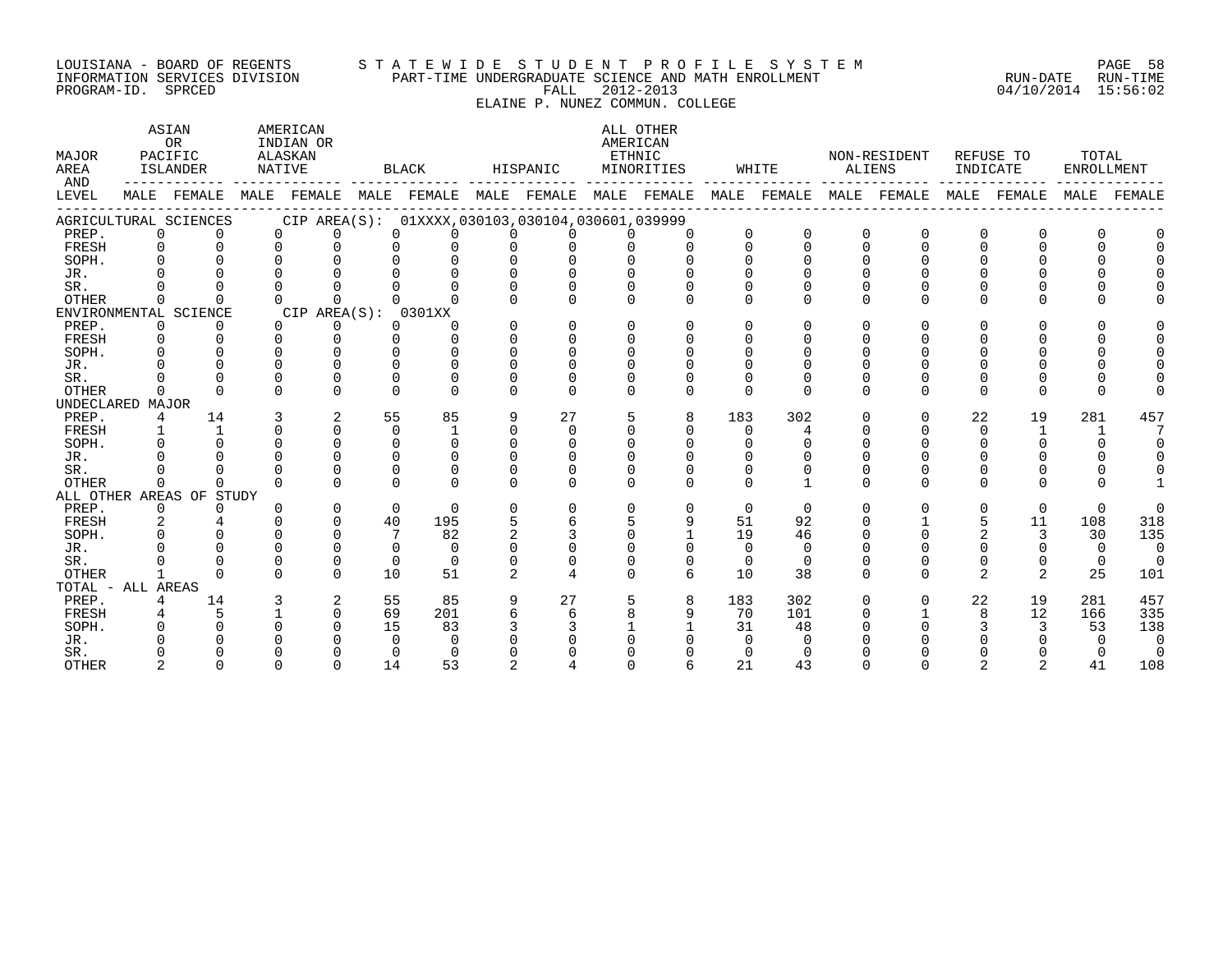#### LOUISIANA - BOARD OF REGENTS S T A T E W I D E S T U D E N T P R O F I L E S Y S T E M PAGE 58 INFORMATION SERVICES DIVISION PART-TIME UNDERGRADUATE SCIENCE AND MATH ENROLLMENT RUN-DATE RUN-TIME PROGRAM-ID. SPRCED FALL 2012-2013 04/10/2014 15:56:02

ELAINE P. NUNEZ COMMUN. COLLEGE

ASTAN AMERICAN AMERICAN ASTAN ALL OTHER OR INDIAN OR **AMERICAN** MAJOR PACIFIC ALASKAN ETHNIC NON-RESIDENT REFUSE TO TOTAL AREA ISLANDER NATIVE BLACK HISPANIC MINORITIES WHITE ALIENS INDICATE ENROLLMENT AND ------------ ------------- ------------- ------------- ------------- ------------- ------------- ------------- ------------- LEVEL MALE FEMALE MALE FEMALE MALE FEMALE MALE FEMALE MALE FEMALE MALE FEMALE MALE FEMALE MALE FEMALE MALE FEMALE ------------------------------------------------------------------------------------------------------------------------------------ AGRICULTURAL SCIENCES CIP AREA(S): 01XXXX,030103,030104,030601,039999 PREP. 0 0 0 0 0 0 0 0 0 0 0 0 0 0 0 0 0 0 FRESH 0 0 0 0 0 0 0 0 0 0 0 0 0 0 0 0 0 0 SOPH. 0 0 0 0 0 0 0 0 0 0 0 0 0 0 0 0 0 0 JR. 0 0 0 0 0 0 0 0 0 0 0 0 0 0 0 0 0 0 SR. 0 0 0 0 0 0 0 0 0 0 0 0 0 0 0 0 0 0 OTHER 0 0 0 0 0 0 0 0 0 0 0 0 0 0 0 0 0 0 ENVIRONMENTAL SCIENCE CIP AREA(S): 0301XX<br>
PREP. 0 0 0 0 0 0 PREP. 0 0 0 0 0 0 0 0 0 0 0 0 0 0 0 0 0 0 FRESH 0 0 0 0 0 0 0 0 0 0 0 0 0 0 0 0 0 0 SOPH. 0 0 0 0 0 0 0 0 0 0 0 0 0 0 0 0 0 0 JR. 0 0 0 0 0 0 0 0 0 0 0 0 0 0 0 0 0 0 SR. 0 0 0 0 0 0 0 0 0 0 0 0 0 0 0 0 0 0 OTHER 0 0 0 0 0 0 0 0 0 0 0 0 0 0 0 0 0 0 UNDECLARED MAJOR PREP. 4 14 3 2 55 85 9 27 5 8 183 302 0 0 22 19 281 457 FRESH 1 1 0 0 0 1 0 0 0 0 0 4 0 0 0 1 1 7 SOPH. 0 0 0 0 0 0 0 0 0 0 0 0 0 0 0 0 0 0 JR. 0 0 0 0 0 0 0 0 0 0 0 0 0 0 0 0 0 0 SR. 0 0 0 0 0 0 0 0 0 0 0 0 0 0 0 0 0 0 OTHER 0 0 0 0 0 0 0 0 0 0 0 1 0 0 0 0 0 1 ALL OTHER AREAS OF STUDY PREP. 0 0 0 0 0 0 0 0 0 0 0 0 0 0 0 0 0 0 FRESH 2 4 0 0 40 195 5 6 5 9 51 92 0 1 5 11 108 318 SOPH. 0 0 0 0 7 82 2 3 0 1 19 46 0 0 2 3 30 135 JR. 0 0 0 0 0 0 0 0 0 0 0 0 0 0 0 0 0 0 SR. 0 0 0 0 0 0 0 0 0 0 0 0 0 0 0 0 0 0 OTHER 1 0 0 0 10 51 2 4 0 6 10 38 0 0 2 2 25 101 TOTAL - ALL AREAS PREP. 4 14 3 2 55 85 9 27 5 8 183 302 0 0 22 19 281 457 FRESH 4 5 1 0 69 201 6 6 8 9 70 101 0 1 8 12 166 335 SOPH. 0 0 0 0 15 83 3 3 1 1 31 48 0 0 3 3 53 138 JR. 0 0 0 0 0 0 0 0 0 0 0 0 0 0 0 0 0 0 SR. 0 0 0 0 0 0 0 0 0 0 0 0 0 0 0 0 0 0 OTHER 2 0 0 0 14 53 2 4 0 6 21 43 0 0 2 2 41 108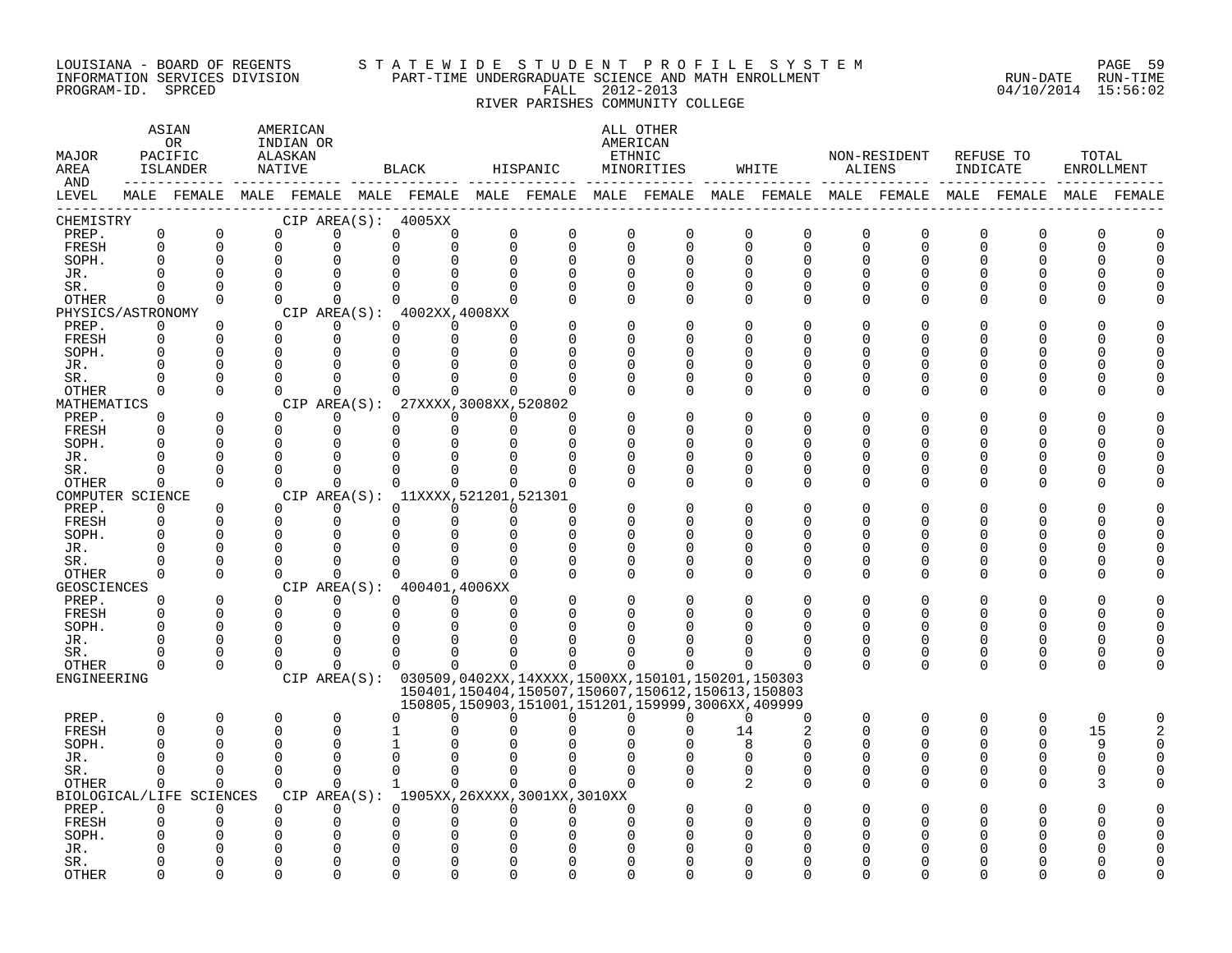#### LOUISIANA - BOARD OF REGENTS S T A T E W I D E S T U D E N T P R O F I L E S Y S T E M PAGE 59 INFORMATION SERVICES DIVISION PART-TIME UNDERGRADUATE SCIENCE AND MATH ENROLLMENT RUN-DATE RUN-TIME PROGRAM-ID. SPRCED FALL 2012-2013 04/10/2014 15:56:02

RIVER PARISHES COMMUNITY COLLEGE

| MAJOR<br>AREA<br>AND |                      | ASIAN<br>OR<br>PACIFIC<br>ISLANDER<br>-------------------- |          | AMERICAN<br>INDIAN OR<br>ALASKAN<br>NATIVE |                                                                                                             | BLACK                      |                      | HISPANIC     |               | ALL OTHER<br>AMERICAN<br>ETHNIC<br>MINORITIES          |    | WHITE                   | ALIENS       | NON-RESIDENT | INDICATE | REFUSE TO    | TOTAL<br>ENROLLMENT |  |
|----------------------|----------------------|------------------------------------------------------------|----------|--------------------------------------------|-------------------------------------------------------------------------------------------------------------|----------------------------|----------------------|--------------|---------------|--------------------------------------------------------|----|-------------------------|--------------|--------------|----------|--------------|---------------------|--|
| LEVEL                |                      |                                                            |          |                                            | MALE FEMALE MALE FEMALE MALE FEMALE MALE FEMALE MALE FEMALE MALE FEMALE MALE FEMALE MALE FEMALE MALE FEMALE |                            |                      |              |               |                                                        |    |                         |              |              |          |              |                     |  |
| CHEMISTRY            |                      |                                                            |          |                                            | CIP AREA(S): 4005XX                                                                                         |                            |                      |              |               |                                                        |    |                         |              |              |          |              |                     |  |
| PREP.                | $\mathbf 0$          | 0                                                          | $\Omega$ |                                            | $\Omega$                                                                                                    | 0<br>$\Omega$              | 0                    | 0            | 0             | 0                                                      |    | 0<br>0                  | 0            | 0            | 0        | O            | O                   |  |
| FRESH                | $\mathbf 0$          | $\Omega$                                                   | $\Omega$ |                                            | $\Omega$                                                                                                    | $\Omega$<br>$\Omega$       | $\mathbf 0$          | $\Omega$     | $\Omega$      | 0                                                      |    | $\Omega$<br>$\mathbf 0$ | 0            | $\Omega$     | $\Omega$ | $\Omega$     | U                   |  |
| SOPH.                | $\Omega$             | $\Omega$                                                   | $\Omega$ |                                            | $\Omega$                                                                                                    | $\Omega$<br>∩              | $\mathbf 0$          | $\Omega$     | $\Omega$      | $\Omega$                                               |    | O<br>$\Omega$           | $\Omega$     | $\Omega$     | $\Omega$ | $\Omega$     |                     |  |
| JR.                  |                      | $\Omega$                                                   |          |                                            |                                                                                                             |                            |                      |              | $\Omega$      | $\Omega$                                               |    | O                       | U            |              |          |              |                     |  |
| SR.                  |                      | $\Omega$                                                   | $\Omega$ |                                            | $\Omega$                                                                                                    | $\Omega$                   | $\Omega$             |              | $\Omega$      | 0                                                      |    | O<br>0                  | 0            |              | O        |              |                     |  |
| OTHER                | $\Omega$             | $\Omega$                                                   | $\Omega$ |                                            | $\Omega$                                                                                                    | $\Omega$<br>$\Omega$       | $\Omega$             |              | $\Omega$      | $\Omega$                                               |    | O<br>O                  | $\Omega$     | ∩            |          |              |                     |  |
| PHYSICS/ASTRONOMY    | $\Omega$             |                                                            | $\Omega$ |                                            | CIP AREA $(S):$ 4002XX, 4008XX<br>$\Omega$                                                                  | $\Omega$<br>$\Omega$       | $\Omega$             |              | ∩             | $\Omega$                                               |    | U<br>O                  | O            |              |          |              |                     |  |
| PREP.<br>FRESH       | $\Omega$             | $\Omega$<br>$\Omega$                                       | $\Omega$ |                                            | $\Omega$                                                                                                    | $\Omega$<br>$\Omega$       | $\Omega$             |              | $\Omega$      | $\Omega$                                               |    | ∩<br>O                  | U            |              | ∩        |              |                     |  |
| SOPH.                | 0                    | 0                                                          | 0        |                                            | <sup>0</sup>                                                                                                | O<br>O                     |                      |              | <sup>0</sup>  | 0                                                      |    | O<br>0                  | U            |              | O        |              |                     |  |
| JR.                  |                      |                                                            |          |                                            |                                                                                                             |                            |                      |              | ∩             | 0                                                      |    | 0                       | U            |              |          |              |                     |  |
| SR.                  |                      | $\Omega$                                                   |          |                                            |                                                                                                             |                            |                      |              |               | $\Omega$                                               |    | O                       | U            |              |          |              |                     |  |
| OTHER                | 0                    | $\Omega$                                                   | $\Omega$ |                                            | $\Omega$                                                                                                    | $\Omega$<br>$\Omega$       | $\Omega$             |              | $\Omega$      | $\Omega$                                               |    | $\Omega$<br>$\Omega$    | $\Omega$     | $\Omega$     | $\Omega$ | $\Omega$     |                     |  |
| MATHEMATICS          |                      |                                                            |          |                                            | CIP AREA(S): 27XXXX, 3008XX, 520802                                                                         |                            |                      |              |               |                                                        |    |                         |              |              |          |              |                     |  |
| PREP.                | $\Omega$             | 0                                                          | $\Omega$ |                                            | 0                                                                                                           | $\Omega$<br>$\Omega$       | $\Omega$             | <sup>0</sup> |               | 0                                                      |    | 0<br>0                  | 0            | <sup>0</sup> | O        | n            |                     |  |
| FRESH                | $\Omega$             | $\Omega$                                                   | $\Omega$ |                                            | $\mathbf 0$                                                                                                 | $\mathbf 0$<br>$\mathbf 0$ | $\mathbf 0$          | $\Omega$     | $\Omega$      | $\Omega$                                               |    | U<br>$\Omega$           | U            | ∩            | ∩        | ∩            |                     |  |
| SOPH.                | $\Omega$             | $\Omega$                                                   | $\Omega$ |                                            | $\Omega$                                                                                                    | $\Omega$<br>∩              |                      |              | O             | $\Omega$                                               |    | O                       | U            |              | O        |              |                     |  |
| JR.                  |                      |                                                            |          |                                            |                                                                                                             |                            |                      |              | O             | O                                                      |    | 0                       | U            |              | O        |              |                     |  |
| SR.                  |                      |                                                            | ∩        |                                            | $\Omega$                                                                                                    |                            |                      |              |               | O                                                      |    | O                       | U            |              | O        |              |                     |  |
| OTHER                | $\Omega$             | $\Omega$                                                   | $\Omega$ |                                            | $\Omega$                                                                                                    | $\Omega$<br>$\Omega$       | $\Omega$             |              | O             | $\Omega$                                               |    | 0<br>$\Omega$           | U            |              |          |              |                     |  |
| COMPUTER SCIENCE     |                      |                                                            |          |                                            | CIP AREA(S): 11XXXX, 521201, 521301                                                                         |                            |                      |              |               |                                                        |    |                         |              |              |          |              |                     |  |
| PREP.                | $\Omega$             | $\Omega$                                                   | $\Omega$ |                                            |                                                                                                             | ∩<br>0                     | $\Omega$             | ∩            |               | $\Omega$                                               |    | O<br>O                  | O            |              |          |              |                     |  |
| FRESH                | $\Omega$             | $\Omega$                                                   | ∩        |                                            | $\Omega$                                                                                                    | $\Omega$<br>$\Omega$       | 0                    | ∩            | ∩             | $\Omega$                                               |    | U<br>O                  | U            |              | ∩        |              |                     |  |
| SOPH.                | $\Omega$             | $\Omega$                                                   | O        |                                            |                                                                                                             |                            | $\Omega$             |              | O             | 0                                                      |    | 0                       | U            |              |          |              |                     |  |
| JR.                  |                      |                                                            |          |                                            |                                                                                                             |                            |                      |              | $\Omega$      | 0                                                      |    | U<br>0                  | U            |              |          |              |                     |  |
| SR.                  |                      | $\Omega$                                                   |          |                                            |                                                                                                             |                            |                      |              | ∩             | O                                                      |    | O                       | U            |              |          |              |                     |  |
| OTHER                | 0                    | $\Omega$                                                   | $\Omega$ |                                            | $\Omega$                                                                                                    | $\Omega$<br>$\Omega$       | $\Omega$             |              | $\Omega$      | $\Omega$                                               |    | U<br>$\Omega$           | <sup>n</sup> |              | ∩        |              |                     |  |
| GEOSCIENCES          |                      |                                                            |          |                                            | CIP AREA(S): 400401,4006XX                                                                                  |                            |                      |              |               |                                                        |    |                         |              |              |          |              |                     |  |
| PREP.                | $\Omega$<br>$\Omega$ | 0<br>$\mathbf 0$                                           | $\Omega$ | $\Omega$                                   | 0<br>0                                                                                                      | $\Omega$<br>0<br>$\Omega$  | $\Omega$<br>$\Omega$ |              | O<br>$\Omega$ | 0<br>O                                                 |    | 0<br>U                  | 0<br>U       | U            | O        |              |                     |  |
| FRESH<br>SOPH.       | $\Omega$             | $\Omega$                                                   | ∩        |                                            | $\Omega$                                                                                                    | 0                          |                      |              |               |                                                        |    |                         | U            |              | 0<br>∩   |              |                     |  |
| JR.                  |                      | $\Omega$                                                   |          |                                            |                                                                                                             |                            |                      |              |               | ∩                                                      |    | O                       | U            | U            | 0        |              |                     |  |
| SR.                  |                      | $\Omega$                                                   | ∩        |                                            | $\Omega$                                                                                                    | U<br><sup>0</sup>          |                      |              |               | ∩                                                      |    | O                       | O            | O            | 0        | O            |                     |  |
| OTHER                | O                    | $\Omega$                                                   | $\Omega$ |                                            | $\Omega$                                                                                                    | $\Omega$<br>$\Omega$       | $\Omega$             | $\Omega$     | 0             | $\Omega$                                               |    | 0                       | $\Omega$     | $\Omega$     | 0        | $\Omega$     | O                   |  |
| ENGINEERING          |                      |                                                            |          |                                            | CIP AREA(S): 030509,0402XX,14XXXX,1500XX,150101,150201,150303                                               |                            |                      |              |               |                                                        |    |                         |              |              |          |              |                     |  |
|                      |                      |                                                            |          |                                            |                                                                                                             |                            |                      |              |               | 150401, 150404, 150507, 150607, 150612, 150613, 150803 |    |                         |              |              |          |              |                     |  |
|                      |                      |                                                            |          |                                            |                                                                                                             |                            |                      |              |               | 150805,150903,151001,151201,159999,3006XX,409999       |    |                         |              |              |          |              |                     |  |
| PREP.                | 0                    | $\Omega$                                                   | 0        |                                            | $\Omega$                                                                                                    | $\Omega$<br>U              | $\Omega$             | $\Omega$     | $\Omega$      | 0                                                      |    | $\Omega$<br>$\Omega$    | $\Omega$     | $\Omega$     | $\Omega$ | $\Omega$     | 0                   |  |
| FRESH                | $\Omega$             | $\Omega$                                                   |          |                                            |                                                                                                             |                            |                      |              |               | U                                                      | 14 | 2                       | $\Omega$     | ∩            | $\Omega$ | <sup>0</sup> | 15                  |  |
| SOPH.                |                      | $\Omega$                                                   |          |                                            |                                                                                                             |                            |                      |              |               |                                                        |    | я<br>O                  |              |              | ∩        |              | 9                   |  |
| JR.                  |                      | ∩                                                          | $\Omega$ |                                            | U                                                                                                           | ∩                          |                      |              |               |                                                        |    | O<br>O                  | U            |              | 0        | <sup>0</sup> | O                   |  |
| SR.                  |                      | $\Omega$                                                   | ∩        |                                            | $\Omega$                                                                                                    | $\Omega$<br>$\Omega$       | $\Omega$             |              | $\Omega$      | $\Omega$                                               |    | O<br>0                  | 0            | O            | 0        | <sup>0</sup> |                     |  |
| OTHER                | O                    | $\Omega$                                                   | 0        |                                            | $\Omega$                                                                                                    | $\Omega$<br>$\mathbf{1}$   | $\Omega$             |              | $\Omega$      |                                                        |    | 2<br>0                  | U            | U            | O        | <sup>0</sup> |                     |  |
|                      |                      | BIOLOGICAL/LIFE SCIENCES                                   |          |                                            | CIP AREA(S): 1905XX, 26XXXX, 3001XX, 3010XX                                                                 |                            |                      |              |               |                                                        |    |                         |              |              |          |              |                     |  |
| PREP.                | $\Omega$             | $\Omega$                                                   | $\Omega$ |                                            | $\Omega$                                                                                                    | $\Omega$<br>$\Omega$       | $\Omega$             |              | ∩             |                                                        |    |                         |              |              |          |              |                     |  |
| FRESH                | U                    | $\Omega$                                                   |          |                                            | $\Omega$                                                                                                    | ∩                          |                      |              | ∩             | U                                                      |    | O                       |              |              |          |              |                     |  |
| SOPH.                |                      |                                                            |          |                                            |                                                                                                             |                            |                      |              |               |                                                        |    | ∩                       |              |              |          |              |                     |  |
| JR.                  |                      |                                                            |          |                                            |                                                                                                             |                            |                      |              |               |                                                        |    |                         |              |              |          |              |                     |  |
| SR.                  |                      | $\Omega$                                                   |          |                                            |                                                                                                             |                            |                      |              |               | O                                                      |    | N                       |              |              |          |              |                     |  |
| <b>OTHER</b>         | ∩                    | $\Omega$                                                   |          |                                            | $\cap$                                                                                                      | ∩<br>∩                     |                      |              | ∩             | $\cap$                                                 |    | U                       | U            |              |          |              |                     |  |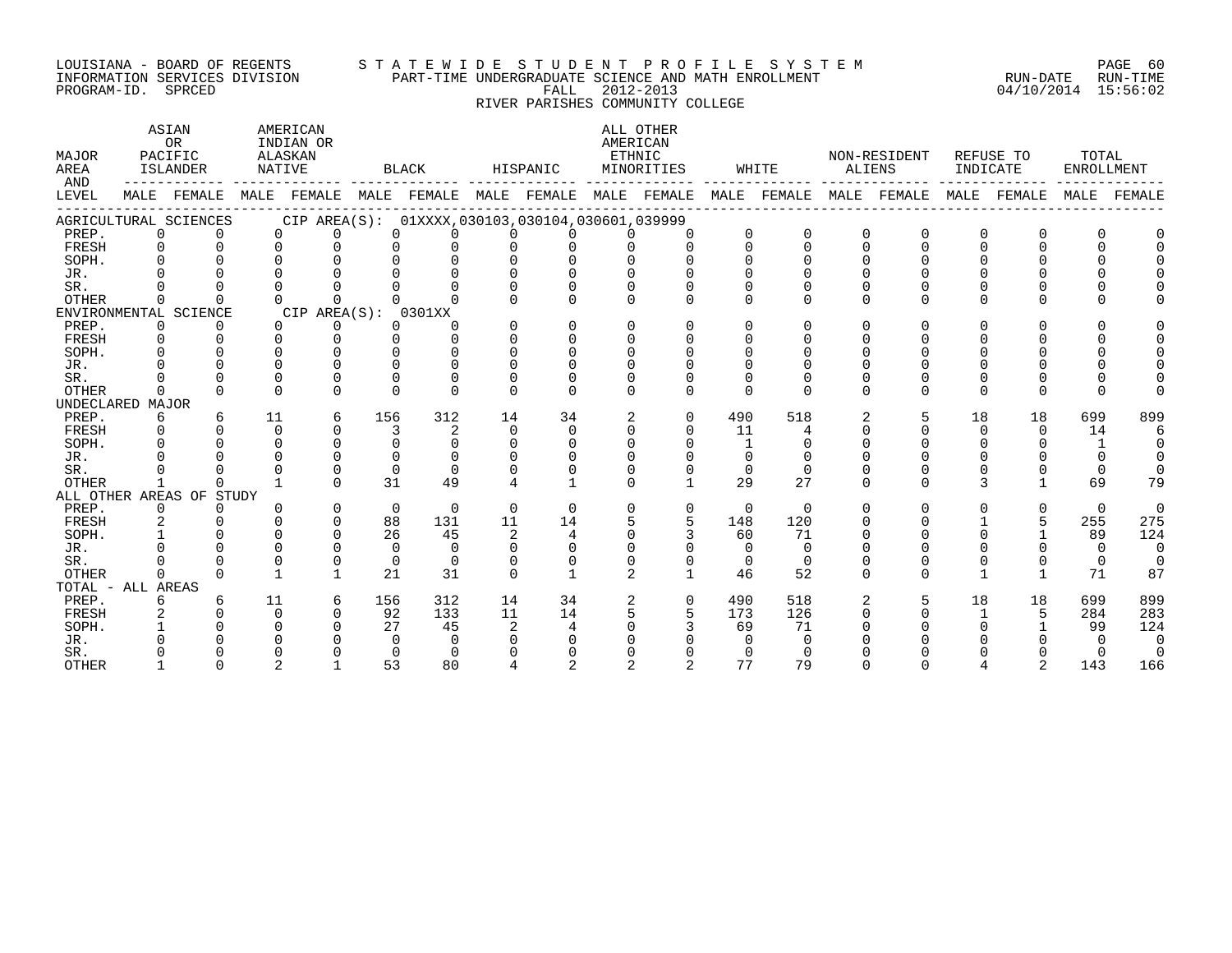#### LOUISIANA - BOARD OF REGENTS S T A T E W I D E S T U D E N T P R O F I L E S Y S T E M PAGE 60 INFORMATION SERVICES DIVISION PART-TIME UNDERGRADUATE SCIENCE AND MATH ENROLLMENT RUN-DATE RUN-TIME PROGRAM-ID. SPRCED FALL 2012-2013 04/10/2014 15:56:02

# RIVER PARISHES COMMUNITY COLLEGE

| MAJOR<br>AREA       |          | ASIAN<br><b>OR</b><br>PACIFIC<br>ISLANDER | NATIVE   | AMERICAN<br>INDIAN OR<br>ALASKAN |          | BLACK                                               |                | HISPANIC           | AMERICAN<br><b>ETHNIC</b> | ALL OTHER<br>MINORITIES |                | WHITE       | ALIENS       | NON-RESIDENT | INDICATE     | REFUSE TO    | TOTAL<br>ENROLLMENT |             |
|---------------------|----------|-------------------------------------------|----------|----------------------------------|----------|-----------------------------------------------------|----------------|--------------------|---------------------------|-------------------------|----------------|-------------|--------------|--------------|--------------|--------------|---------------------|-------------|
| AND<br><b>LEVEL</b> |          | MALE FEMALE                               | MALE     |                                  |          | FEMALE MALE FEMALE MALE                             |                | FEMALE MALE FEMALE |                           |                         |                | MALE FEMALE | MALE         | FEMALE       | MALE         | FEMALE       | MALE                | FEMALF      |
|                     |          | AGRICULTURAL SCIENCES                     |          |                                  |          | CIP AREA(S): 01XXXX, 030103, 030104, 030601, 039999 |                |                    |                           |                         |                |             |              |              |              |              |                     |             |
| PREP.               | 0        |                                           | $\Omega$ | $\Omega$                         | $\Omega$ | 0                                                   | $\Omega$       | $\Omega$           | $\cap$                    | $\Omega$                | $\Omega$       | $\mathbf 0$ | $\Omega$     | $\mathbf 0$  | 0            | 0            | 0                   |             |
| FRESH               | $\Omega$ | $\Omega$                                  | $\Omega$ | $\Omega$                         | $\Omega$ | $\Omega$                                            | $\Omega$       | $\Omega$           |                           | $\Omega$                | $\Omega$       | $\Omega$    | $\Omega$     | $\Omega$     | 0            | $\Omega$     | $\Omega$            | $\Omega$    |
| SOPH.               |          |                                           | $\cap$   | $\cap$                           | $\cap$   | $\cap$                                              | $\Omega$       | $\cap$             |                           | $\cap$                  |                | $\Omega$    |              | U            |              | <sup>n</sup> |                     |             |
| JR.                 |          |                                           |          |                                  |          |                                                     | U              | U                  |                           |                         |                |             |              |              |              |              |                     |             |
| SR.                 |          |                                           |          |                                  |          |                                                     | U              | $\cap$             |                           | O                       |                | $\Omega$    |              | $\Omega$     |              |              |                     |             |
| <b>OTHER</b>        | $\Omega$ | $\Omega$                                  | $\cap$   | $\Omega$                         |          | ∩                                                   | $\cap$         | $\Omega$           |                           | $\Omega$                | ∩              | $\Omega$    | $\Omega$     | $\Omega$     | $\Omega$     | $\Omega$     | $\Omega$            |             |
|                     |          | ENVIRONMENTAL SCIENCE                     |          | CIP AREA(S):                     |          | 0301XX                                              |                |                    |                           |                         |                |             |              |              |              |              |                     |             |
| PREP.               | 0        | 0                                         | $\Omega$ | 0                                | $\Omega$ | $\Omega$                                            | $\Omega$       | $\Omega$           | $\Omega$                  | $\Omega$                | 0              | $\Omega$    | $\Omega$     | <sup>0</sup> | 0            | $\Omega$     | $\Omega$            |             |
| FRESH               | $\Omega$ | $\Omega$                                  | $\Omega$ | $\Omega$                         | $\cap$   | $\Omega$                                            | $\Omega$       | $\Omega$           | $\Omega$                  | $\Omega$                | 0              | $\Omega$    |              | <sup>0</sup> | 0            | 0            |                     | $\Omega$    |
| SOPH.               |          |                                           | $\Omega$ | $\cap$                           | $\cap$   | $\Omega$                                            | $\Omega$       | $\Omega$           | $\Omega$                  | $\Omega$                | O              | $\Omega$    |              | <sup>0</sup> | U            | 0            |                     | $\cap$      |
| JR.                 |          |                                           |          | $\cap$                           |          | $\cap$                                              |                | $\Omega$           |                           |                         |                |             |              |              |              |              |                     |             |
| SR.                 |          |                                           | $\Omega$ | $\Omega$                         | $\cap$   | $\cap$                                              | $\Omega$       | $\Omega$           |                           |                         |                | ∩           |              |              | <sup>0</sup> | U            |                     |             |
| OTHER               | 0        | $\Omega$                                  | $\Omega$ | $\Omega$                         | $\cap$   | $\Omega$                                            | $\Omega$       | $\cap$             | $\Omega$                  | $\Omega$                | $\Omega$       | $\Omega$    | $\Omega$     | $\Omega$     | $\Omega$     | $\Omega$     | $\Omega$            |             |
| UNDECLARED MAJOR    |          |                                           |          |                                  |          |                                                     |                |                    |                           |                         |                |             |              |              |              |              |                     |             |
| PREP.               | 6        | 6                                         | 11       | 6                                | 156      | 312                                                 | 14             | 34                 | 2                         | $\mathbf 0$             | 490            | 518         | 2            | 5            | 18           | 18           | 699                 | 899         |
| FRESH               |          |                                           | $\Omega$ | $\cap$                           | 3        | $\overline{2}$                                      | $\Omega$       | $\cap$             |                           | $\Omega$                | 11             | 4           |              | $\cap$       | $\Omega$     | $\Omega$     | 14                  | 6           |
| SOPH.               |          |                                           | $\Omega$ | $\Omega$                         | $\Omega$ | $\Omega$                                            | $\Omega$       | $\Omega$           | $\Omega$                  | $\Omega$                | $\overline{1}$ | $\Omega$    |              |              | 0            | $\Omega$     |                     | $\mathbf 0$ |
| JR.                 |          |                                           |          | $\Omega$                         | $\cap$   | $\Omega$                                            | $\Omega$       | $\Omega$           |                           |                         | $\Omega$       | $\Omega$    |              |              |              |              | 0                   | $\Omega$    |
| SR.                 |          |                                           |          | $\Omega$                         | $\Omega$ | $\Omega$                                            | $\Omega$       | $\Omega$           |                           | $\Omega$                | $\Omega$       | $\Omega$    |              | $\Omega$     | 0            | 0            | $\Omega$            | $\Omega$    |
| <b>OTHER</b>        |          | ∩                                         |          | $\cap$                           | 31       | 49                                                  | 4              |                    |                           | $\mathbf{1}$            | 29             | 27          | $\cap$       | $\cap$       | 3            | $\mathbf{1}$ | 69                  | 79          |
|                     |          | ALL OTHER AREAS OF STUDY                  |          |                                  |          |                                                     |                |                    |                           |                         |                |             |              |              |              |              |                     |             |
| PREP.               | $\Omega$ | $\Omega$                                  | $\Omega$ | $\Omega$                         | $\Omega$ | $\Omega$                                            | $\Omega$       | $\Omega$           | 0                         | $\Omega$                | $\Omega$       | $\Omega$    | $\Omega$     | $\Omega$     | 0            | $\Omega$     | $\Omega$            | $\Omega$    |
| FRESH               | 2        |                                           | $\Omega$ | $\Omega$                         | 88       | 131                                                 | 11             | 14                 |                           | 5                       | 148            | 120         | <sup>n</sup> | 0            |              | 5            | 255                 | 275         |
| SOPH.               |          |                                           | $\cap$   | $\cap$                           | 26       | 45                                                  | 2              | 4                  |                           |                         | 60             | 71          |              | U            |              |              | 89                  | 124         |
| JR.                 |          |                                           | $\Omega$ | $\cap$                           | $\Omega$ | $\cap$                                              | $\Omega$       | $\Omega$           |                           |                         | $\Omega$       | $\cap$      |              |              |              | $\Omega$     | $\Omega$            | $\Omega$    |
| SR.                 |          |                                           | $\Omega$ | $\mathbf 0$                      | $\Omega$ | $\Omega$                                            | $\Omega$       | $\Omega$           |                           | $\Omega$                | $\Omega$       | $\Omega$    |              |              | 0            | 0            | $\mathbf 0$         | $\Omega$    |
| <b>OTHER</b>        | $\cap$   |                                           |          | $\mathbf{1}$                     | 21       | 31                                                  | $\Omega$       | $\mathbf{1}$       | 2                         | $\mathbf{1}$            | 46             | 52          | $\Omega$     | $\Omega$     |              | $\mathbf{1}$ | 71                  | 87          |
| TOTAL - ALL AREAS   |          |                                           |          |                                  |          |                                                     |                |                    |                           |                         |                |             |              |              |              |              |                     |             |
| PREP.               | 6        | 6                                         | 11       | 6                                | 156      | 312                                                 | 14             | 34                 |                           | $\Omega$                | 490            | 518         |              | 5            | 18           | 18           | 699                 | 899         |
| FRESH               | 2        |                                           | $\Omega$ | $\Omega$                         | 92       | 133                                                 | 11             | 14                 |                           | 5                       | 173            | 126         |              |              |              | 5            | 284                 | 283         |
| SOPH.               |          |                                           |          | $\cap$                           | 27       | 45                                                  | $\overline{a}$ | 4                  |                           |                         | 69             | 71          |              |              |              |              | 99                  | 124         |
| JR.                 |          |                                           |          |                                  | $\cap$   | $\cap$                                              |                |                    |                           |                         |                | $\Omega$    |              |              |              |              |                     | $\Omega$    |
| SR.                 |          |                                           |          |                                  | $\cap$   | $\Omega$                                            |                |                    |                           |                         |                | $\Omega$    |              |              |              |              |                     | $\Omega$    |
| <b>OTHER</b>        |          |                                           |          |                                  | 53       | 80                                                  |                |                    |                           |                         | 77             | 79          |              |              |              |              | 143                 | 166         |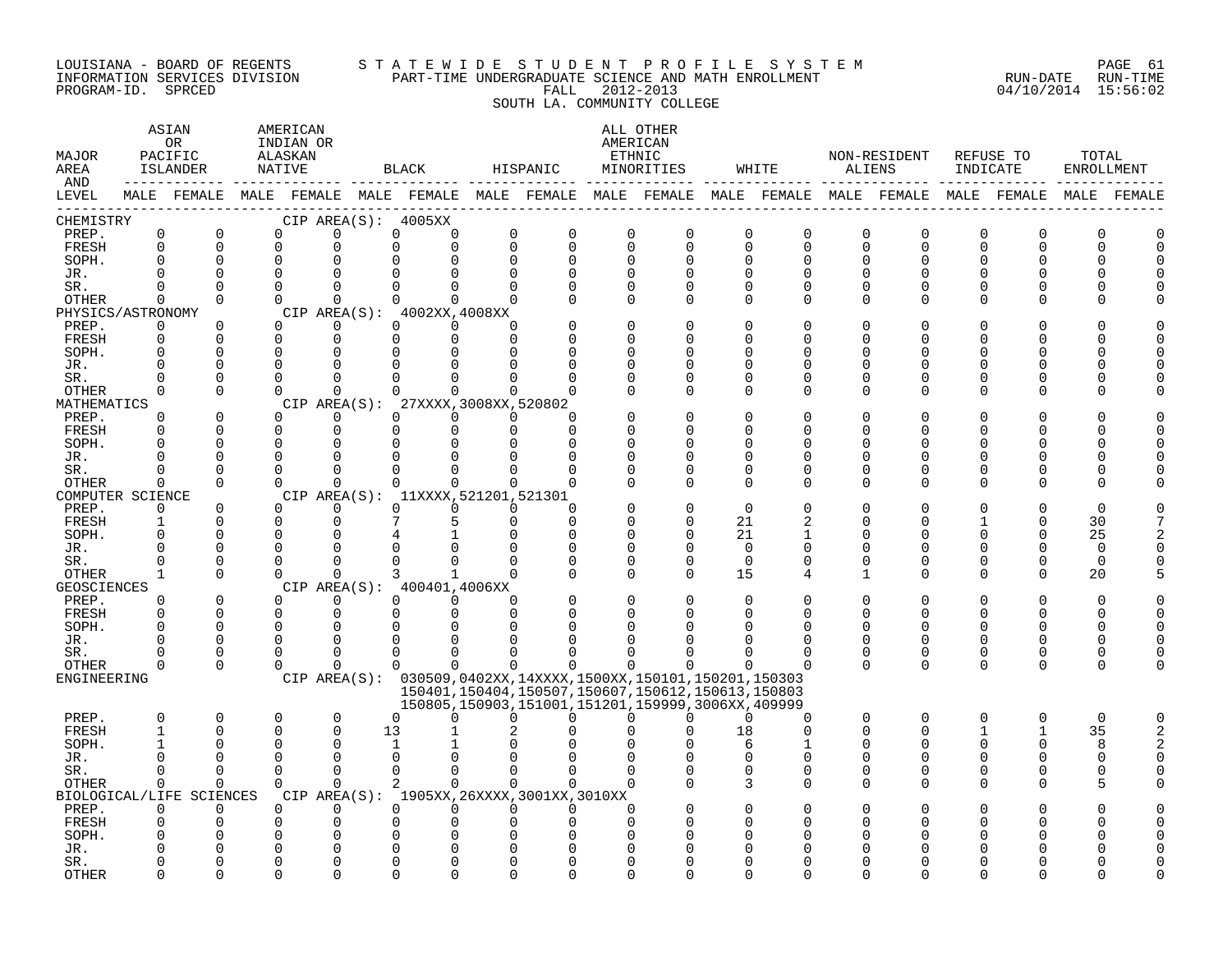#### LOUISIANA – BOARD OF REGENTS STA TE WID E STUDE N TPROFILE SYSTEM PAGE 61 INFORMATION SERVICES DIVISION PART-TIME UNDERGRADUATE SCIENCE AND MATH ENROLLMENT RUN-DATE RUN-TIME PROGRAM-ID. SPRCED FALL 2012-2013 04/10/2014 15:56:02 SOUTH LA. COMMUNITY COLLEGE

### ASTAN AMERICAN ANG ANG ANG ASTANG ANG ASTANG ALL OTHER OR INDIAN OR **INDIAN OR** AMERICAN MAJOR PACIFIC ALASKAN ETHNIC NON-RESIDENT REFUSE TO TOTAL AREA ISLANDER NATIVE BLACK HISPANIC MINORITIES WHITE ALIENS INDICATE ENROLLMENT AND ------------ ------------- ------------- ------------- ------------- ------------- ------------- ------------- ------------- LEVEL MALE FEMALE MALE FEMALE MALE FEMALE MALE FEMALE MALE FEMALE MALE FEMALE MALE FEMALE MALE FEMALE MALE FEMALE ------------------------------------------------------------------------------------------------------------------------------------ CHEMISTRY CIP AREA(S): 4005XX PREP. 0 0 0 0 0 0 0 0 0 0 0 0 0 0 0 0 0 0 FRESH 0 0 0 0 0 0 0 0 0 0 0 0 0 0 0 0 0 0 SOPH. 0 0 0 0 0 0 0 0 0 0 0 0 0 0 0 0 0 0 JR. 0 0 0 0 0 0 0 0 0 0 0 0 0 0 0 0 0 0 SR. 0 0 0 0 0 0 0 0 0 0 0 0 0 0 0 0 0 0 OTHER 0 0 0 0 0 0 0 0 0 0 0 0 0 0 0 0 0 0 PHYSICS/ASTRONOMY CIP AREA(S): 4002XX,4008XX<br>
PREP. 0 0 0 0 0 0 0 PREP. 0 0 0 0 0 0 0 0 0 0 0 0 0 0 0 0 0 0 FRESH 0 0 0 0 0 0 0 0 0 0 0 0 0 0 0 0 0 0 SOPH. 0 0 0 0 0 0 0 0 0 0 0 0 0 0 0 0 0 0 JR. 0 0 0 0 0 0 0 0 0 0 0 0 0 0 0 0 0 0 SR. 0 0 0 0 0 0 0 0 0 0 0 0 0 0 0 0 0 0 OTHER 0 0 0 0 0 0 0 0 0 0 0 0 0 0 0 0 0 0 MATHEMATICS CIP AREA(S): 27XXXX,3008XX,520802<br>
PREP. 0 0 0 0 0 0 0 PREP. 0 0 0 0 0 0 0 0 0 0 0 0 0 0 0 0 0 0 FRESH 0 0 0 0 0 0 0 0 0 0 0 0 0 0 0 0 0 0 SOPH. 0 0 0 0 0 0 0 0 0 0 0 0 0 0 0 0 0 0 JR. 0 0 0 0 0 0 0 0 0 0 0 0 0 0 0 0 0 0 SR. 0 0 0 0 0 0 0 0 0 0 0 0 0 0 0 0 0 0 OTHER 0 0 0 0 0 0 0 0 0 0 0 0 0 0 0 0 0 0 COMPUTER SCIENCE CIP AREA(S): 11XXXX,521201,521301<br>
PREP. 0 0 0 0 0 0 0 PREP. 0 0 0 0 0 0 0 0 0 0 0 0 0 0 0 0 0 0 FRESH 1 0 0 0 7 5 0 0 0 0 21 2 0 0 1 0 30 7 SOPH. 0 0 0 0 4 1 0 0 0 0 21 1 0 0 0 0 25 2 JR. 0 0 0 0 0 0 0 0 0 0 0 0 0 0 0 0 0 0 SR. 0 0 0 0 0 0 0 0 0 0 0 0 0 0 0 0 0 0 OTHER 1 0 0 0 3 1 0 0 0 0 15 4 1 0 0 0 20 5 GEOSCIENCES CIPAREA(S): 400401,4006XX<br>
PREP. 0 0 0 0 0 0 PREP. 0 0 0 0 0 0 0 0 0 0 0 0 0 0 0 0 0 0 FRESH 0 0 0 0 0 0 0 0 0 0 0 0 0 0 0 0 0 0 SOPH. 0 0 0 0 0 0 0 0 0 0 0 0 0 0 0 0 0 0 JR. 0 0 0 0 0 0 0 0 0 0 0 0 0 0 0 0 0 0 SR. 0 0 0 0 0 0 0 0 0 0 0 0 0 0 0 0 0 0 OTHER 0 0 0 0 0 0 0 0 0 0 0 0 0 0 0 0 0 0 ENGINEERING CIP AREA(S): 030509,0402XX,14XXXX,1500XX,150101,150201,150303 150401,150404,150507,150607,150612,150613,150803 150805,150903,151001,151201,159999,3006XX,409999 PREP. 0 0 0 0 0 0 0 0 0 0 0 0 0 0 0 0 0 0 FRESH 1 0 0 0 13 1 2 0 0 0 18 0 0 0 1 1 35 2 SOPH. 1 0 0 0 1 1 0 0 0 0 6 1 0 0 0 0 8 2 JR. 0 0 0 0 0 0 0 0 0 0 0 0 0 0 0 0 0 0 SR. 0 0 0 0 0 0 0 0 0 0 0 0 0 0 0 0 0 0 OTHER 0 0 0 0 2 0 0 0 0 0 3 0 0 0 0 0 5 0 BIOLOGICAL/LIFE SCIENCES CIP AREA(S): 1905XX,26XXXX,3001XX,3010XX PREP. 0 0 0 0 0 0 0 0 0 0 0 0 0 0 0 0 0 0 FRESH 0 0 0 0 0 0 0 0 0 0 0 0 0 0 0 0 0 0 SOPH. 0 0 0 0 0 0 0 0 0 0 0 0 0 0 0 0 0 0 JR. 0 0 0 0 0 0 0 0 0 0 0 0 0 0 0 0 0 0 SR. 0 0 0 0 0 0 0 0 0 0 0 0 0 0 0 0 0 0

OTHER 0 0 0 0 0 0 0 0 0 0 0 0 0 0 0 0 0 0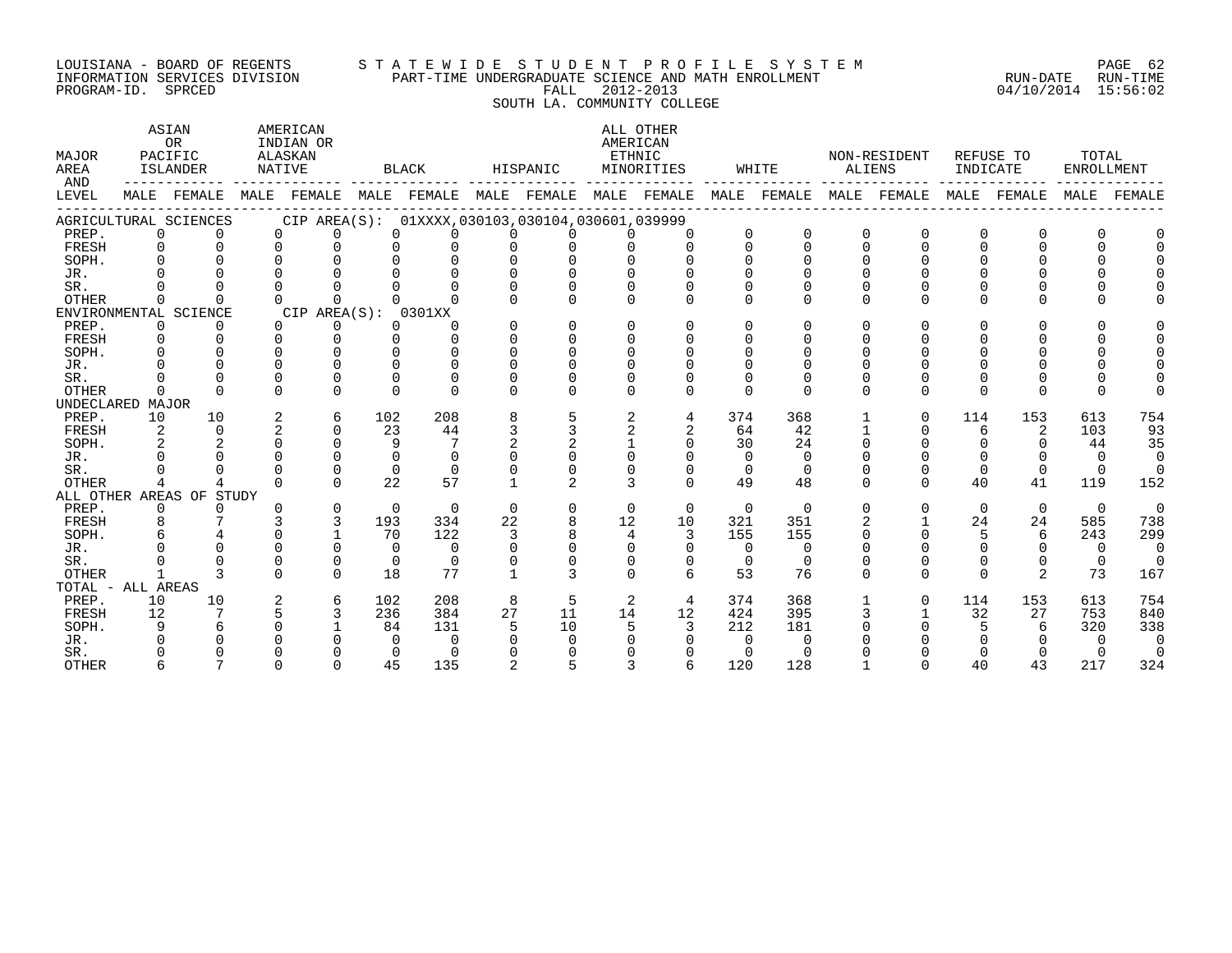### LOUISIANA - BOARD OF REGENTS S T A T E W I D E S T U D E N T P R O F I L E S Y S T E M PAGE 62 INFORMATION SERVICES DIVISION PART-TIME UNDERGRADUATE SCIENCE AND MATH ENROLLMENT RUN-DATE RUN-TIME PROGRAM-ID. SPRCED FALL 2012-2013 04/10/2014 15:56:02

SOUTH LA. COMMUNITY COLLEGE

ASTAN AMERICAN AMERICAN ALL OTHER OR INDIAN OR **INDIAN OR** AMERICAN MAJOR PACIFIC ALASKAN ETHNIC NON-RESIDENT REFUSE TO TOTAL AREA ISLANDER NATIVE BLACK HISPANIC MINORITIES WHITE ALIENS INDICATE ENROLLMENT AND ------------ ------------- ------------- ------------- ------------- ------------- ------------- ------------- ------------- LEVEL MALE FEMALE MALE FEMALE MALE FEMALE MALE FEMALE MALE FEMALE MALE FEMALE MALE FEMALE MALE FEMALE MALE FEMALE ------------------------------------------------------------------------------------------------------------------------------------ AGRICULTURAL SCIENCES CIP AREA(S): 01XXXX,030103,030104,030601,039999 PREP. 0 0 0 0 0 0 0 0 0 0 0 0 0 0 0 0 0 0 FRESH 0 0 0 0 0 0 0 0 0 0 0 0 0 0 0 0 0 0 SOPH. 0 0 0 0 0 0 0 0 0 0 0 0 0 0 0 0 0 0 JR. 0 0 0 0 0 0 0 0 0 0 0 0 0 0 0 0 0 0 SR. 0 0 0 0 0 0 0 0 0 0 0 0 0 0 0 0 0 0 OTHER 0 0 0 0 0 0 0 0 0 0 0 0 0 0 0 0 0 0 ENVIRONMENTAL SCIENCE CIP AREA(S): 0301XX<br>
PREP. 0 0 0 0 0 0 PREP. 0 0 0 0 0 0 0 0 0 0 0 0 0 0 0 0 0 0 FRESH 0 0 0 0 0 0 0 0 0 0 0 0 0 0 0 0 0 0 SOPH. 0 0 0 0 0 0 0 0 0 0 0 0 0 0 0 0 0 0 JR. 0 0 0 0 0 0 0 0 0 0 0 0 0 0 0 0 0 0 SR. 0 0 0 0 0 0 0 0 0 0 0 0 0 0 0 0 0 0 OTHER 0 0 0 0 0 0 0 0 0 0 0 0 0 0 0 0 0 0 UNDECLARED MAJOR PREP. 10 10 2 6 102 208 8 5 2 4 374 368 1 0 114 153 613 754 FRESH 2 0 2 0 23 44 3 3 2 2 64 42 1 0 6 2 103 93 SOPH. 2 2 0 0 9 7 2 2 1 0 30 24 0 0 0 0 44 35 JR. 0 0 0 0 0 0 0 0 0 0 0 0 0 0 0 0 0 0 SR. 0 0 0 0 0 0 0 0 0 0 0 0 0 0 0 0 0 0 OTHER 4 4 0 0 22 57 1 2 3 0 49 48 0 0 40 41 119 152 ALL OTHER AREAS OF STUDY PREP. 0 0 0 0 0 0 0 0 0 0 0 0 0 0 0 0 0 0 FRESH 8 7 3 3 193 334 22 8 12 10 321 351 2 1 24 24 585 738 SOPH. 6 4 0 1 70 122 3 8 4 3 155 155 0 0 5 6 243 299 JR. 0 0 0 0 0 0 0 0 0 0 0 0 0 0 0 0 0 0 SR. 0 0 0 0 0 0 0 0 0 0 0 0 0 0 0 0 0 0 OTHER 1 3 0 0 18 77 1 3 0 6 53 76 0 0 0 2 73 167 TOTAL - ALL AREAS PREP. 10 10 2 6 102 208 8 5 2 4 374 368 1 0 114 153 613 754 FRESH 12 7 5 3 236 384 27 11 14 12 424 395 3 1 32 27 753 840 SOPH. 9 6 0 1 84 131 5 10 5 3 212 181 0 0 5 6 320 338 JR. 0 0 0 0 0 0 0 0 0 0 0 0 0 0 0 0 0 0 SR. 0 0 0 0 0 0 0 0 0 0 0 0 0 0 0 0 0 0 OTHER 6 7 0 0 45 135 2 5 3 6 120 128 1 0 40 43 217 324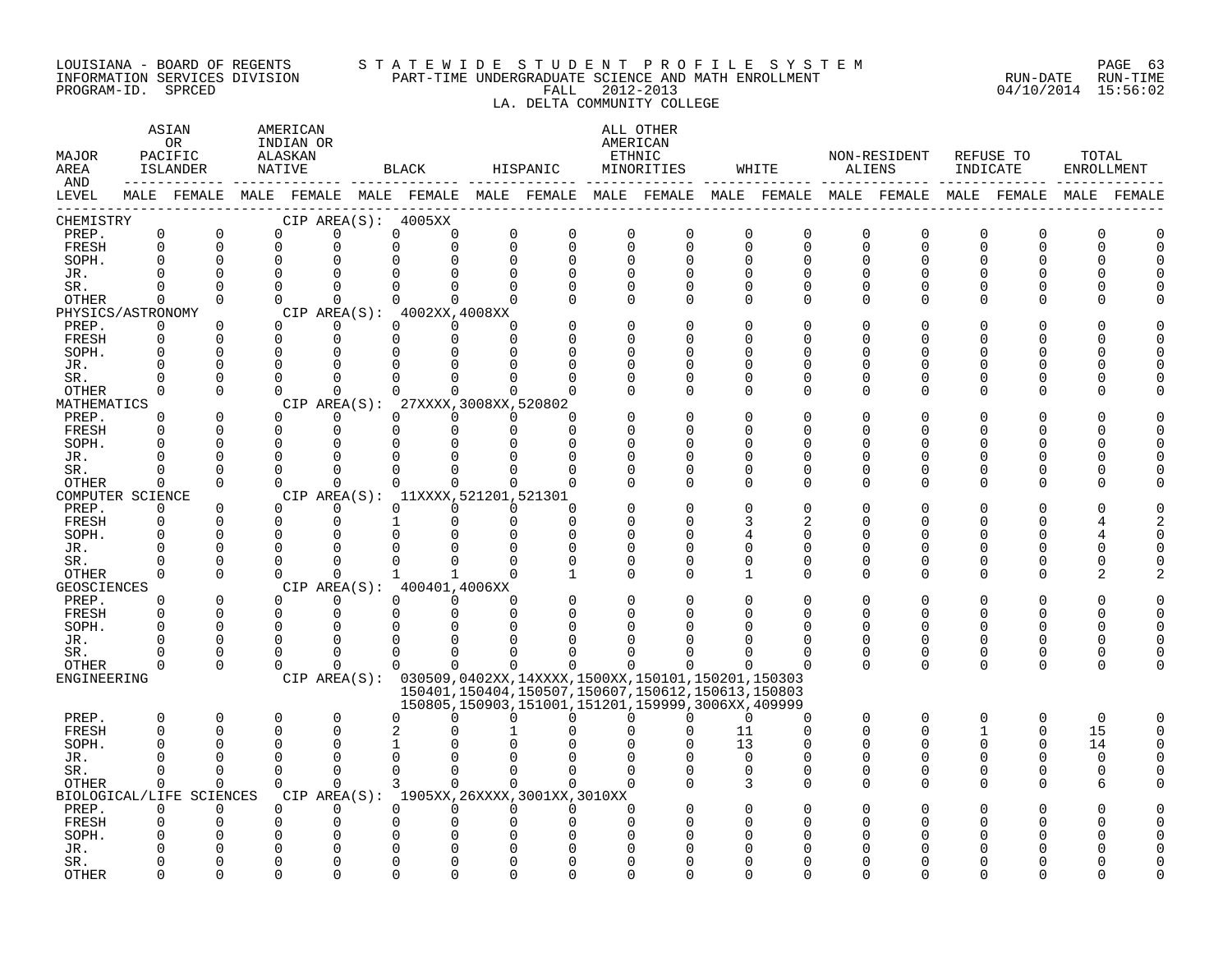#### LOUISIANA - BOARD OF REGENTS S T A T E W I D E S T U D E N T P R O F I L E S Y S T E M PAGE 63 INFORMATION SERVICES DIVISION PART-TIME UNDERGRADUATE SCIENCE AND MATH ENROLLMENT RUN-DATE RUN-TIME PROGRAM-ID. SPRCED FALL 2012-2013 04/10/2014 15:56:02

# LA. DELTA COMMUNITY COLLEGE

| MAJOR<br>AREA<br>AND        |                         | ASIAN<br>0 <sub>R</sub><br>PACIFIC<br><b>ISLANDER</b><br>------------- | AMERICAN<br>INDIAN OR<br>ALASKAN<br>NATIVE |                      |               | BLACK                                    |                            | HISPANIC                                    |                         | ALL OTHER<br>AMERICAN<br>ETHNIC<br>MINORITIES                             |                         | WHITE                |               | NON-RESIDENT<br>ALIENS                                                                                      | REFUSE TO<br>INDICATE |                          | TOTAL<br><b>ENROLLMENT</b> |             |
|-----------------------------|-------------------------|------------------------------------------------------------------------|--------------------------------------------|----------------------|---------------|------------------------------------------|----------------------------|---------------------------------------------|-------------------------|---------------------------------------------------------------------------|-------------------------|----------------------|---------------|-------------------------------------------------------------------------------------------------------------|-----------------------|--------------------------|----------------------------|-------------|
| LEVEL                       |                         |                                                                        |                                            |                      |               |                                          |                            |                                             |                         |                                                                           |                         |                      |               | MALE FEMALE MALE FEMALE MALE FEMALE MALE FEMALE MALE FEMALE MALE FEMALE MALE FEMALE MALE FEMALE MALE FEMALE |                       |                          |                            |             |
| CHEMISTRY                   |                         |                                                                        |                                            |                      |               | CIP AREA(S): 4005XX                      |                            |                                             |                         |                                                                           |                         |                      |               |                                                                                                             |                       |                          |                            |             |
| PREP.<br>FRESH              | $\mathbf 0$<br>$\Omega$ | $\mathbf 0$<br>$\Omega$                                                | 0<br>$\Omega$                              | 0<br>0               | $\mathbf 0$   | 0<br>$\Omega$<br>$\Omega$                | $\mathbf 0$                | $\mathbf 0$<br>$\Omega$<br>$\Omega$         | $\mathbf 0$<br>$\Omega$ | 0<br>$\mathbf 0$                                                          | $\mathbf 0$<br>$\Omega$ | 0<br>$\Omega$        | 0<br>$\Omega$ | $\mathbf 0$<br>$\Omega$                                                                                     | 0<br>$\cap$           | $\Omega$<br>$\Omega$     | O                          | C<br>$\cap$ |
| SOPH.                       | $\Omega$                | $\Omega$                                                               | $\mathbf 0$                                | O                    | $\Omega$      | 0                                        | $\Omega$                   | $\Omega$                                    | 0                       | $\Omega$                                                                  | O                       | $\Omega$             | O             | 0                                                                                                           | Ω                     |                          |                            |             |
| JR.                         | ∩                       | $\Omega$                                                               | $\Omega$                                   | $\cap$               |               | $\Omega$<br>$\Omega$                     | $\Omega$                   | $\Omega$                                    |                         | $\Omega$                                                                  |                         | $\Omega$             |               | ∩                                                                                                           |                       |                          |                            |             |
| SR.                         | $\Omega$                | $\Omega$                                                               | $\Omega$                                   | $\Omega$             | $\Omega$      | $\Omega$                                 | $\Omega$                   | $\Omega$                                    | $\Omega$                | $\Omega$                                                                  | $\Omega$                | $\Omega$             | U             | $\Omega$                                                                                                    |                       | <sup>0</sup>             |                            |             |
| <b>OTHER</b>                | $\Omega$                | $\Omega$                                                               | $\Omega$                                   | $\Omega$             | $\Omega$      | $\Omega$                                 | $\Omega$                   |                                             | $\Omega$                | $\Omega$                                                                  | $\Omega$                | $\Omega$             | $\Omega$      | $\Omega$                                                                                                    |                       | <sup>0</sup>             |                            |             |
| PHYSICS/ASTRONOMY           |                         |                                                                        |                                            |                      |               | CIP AREA(S): 4002XX,4008XX               |                            |                                             |                         |                                                                           |                         |                      |               |                                                                                                             |                       |                          |                            |             |
| PREP.                       | $\Omega$                | $\Omega$                                                               | $\Omega$                                   | $\Omega$             |               | $\Omega$<br>$\Omega$                     | $\Omega$                   |                                             | $\Omega$                | $\Omega$                                                                  |                         | $\Omega$             | O             | O                                                                                                           |                       |                          |                            |             |
| FRESH                       | $\Omega$                | $\Omega$                                                               | $\mathbf 0$                                | $\Omega$             |               | 0<br>$\Omega$                            | $\Omega$                   |                                             | $\Omega$                | $\Omega$                                                                  |                         | $\Omega$             | U             | O                                                                                                           |                       |                          |                            |             |
| SOPH.                       |                         | $\Omega$                                                               | $\Omega$                                   | $\Omega$             |               | $\Omega$<br>$\Omega$                     | $\Omega$                   | O                                           |                         | $\Omega$                                                                  |                         | <sup>n</sup>         |               | U                                                                                                           |                       |                          |                            |             |
| JR.                         |                         | $\Omega$                                                               | $\Omega$                                   | $\Omega$             | $\Omega$      | $\Omega$                                 |                            |                                             |                         | $\Omega$                                                                  |                         | <sup>n</sup>         |               | U                                                                                                           |                       |                          |                            |             |
| SR.<br><b>OTHER</b>         | O<br>$\Omega$           | $\Omega$<br>$\Omega$                                                   | $\Omega$<br>$\cap$                         | $\Omega$<br>$\Omega$ |               | $\Omega$<br>$\Omega$<br>$\cap$<br>$\cap$ | $\Omega$                   | $\Omega$<br>$\cap$                          | O                       | 0<br>$\Omega$                                                             | U<br>$\Omega$           | $\Omega$<br>$\Omega$ | U<br>U        | 0<br>$\Omega$                                                                                               |                       | <sup>0</sup><br>$\Omega$ |                            |             |
| MATHEMATICS                 |                         |                                                                        |                                            |                      |               | CIP AREA(S): 27XXXX.3008XX.520802        |                            |                                             |                         |                                                                           |                         |                      |               |                                                                                                             |                       |                          |                            |             |
| PREP.                       | $\mathbf 0$             | $\Omega$                                                               | $\Omega$                                   | 0                    |               | $\mathbf 0$<br>$\mathbf 0$               |                            | $\Omega$<br>$\Omega$                        |                         | $\Omega$                                                                  |                         | $\Omega$             |               | O                                                                                                           |                       |                          |                            |             |
| FRESH                       |                         | $\Omega$                                                               | $\Omega$                                   | $\Omega$             |               | $\Omega$<br>$\Omega$                     | $\Omega$                   | $\Omega$                                    |                         | $\Omega$                                                                  |                         | <sup>n</sup>         | ∩             | U                                                                                                           |                       |                          |                            |             |
| SOPH.                       | ∩                       | ∩                                                                      | $\Omega$                                   | $\Omega$             |               | $\Omega$<br>$\Omega$                     | $\Omega$                   | $\Omega$                                    | U                       | $\Omega$                                                                  |                         | <sup>n</sup>         |               | U                                                                                                           |                       |                          |                            |             |
| JR.                         | Ω                       | 0                                                                      | 0                                          | 0                    | 0             | 0                                        | $\Omega$                   | $\Omega$                                    | 0                       | $\Omega$                                                                  | U                       | 0                    | U             | U                                                                                                           |                       | <sup>0</sup>             |                            |             |
| SR.                         | ∩                       | $\Omega$                                                               | $\Omega$                                   | $\Omega$             |               | $\Omega$<br>$\Omega$                     | $\Omega$                   | $\Omega$                                    |                         | $\Omega$                                                                  | $\Omega$                | $\Omega$             | U             | $\Omega$                                                                                                    |                       | $\Omega$                 |                            |             |
| <b>OTHER</b>                | $\Omega$                | $\Omega$                                                               | $\Omega$                                   | $\Omega$             |               | $\Omega$<br>$\Omega$                     |                            | $\Omega$<br>$\Omega$                        |                         | $\Omega$                                                                  | $\Omega$                | $\Omega$             | 0             | $\Omega$                                                                                                    | U                     | $\Omega$                 |                            |             |
| COMPUTER SCIENCE            |                         |                                                                        |                                            |                      |               | CIP AREA(S): 11XXXX, 521201, 521301      |                            |                                             |                         |                                                                           |                         |                      |               |                                                                                                             |                       |                          |                            |             |
| PREP.                       | $\Omega$                | $\Omega$                                                               | $\Omega$                                   | $\Omega$             |               | $\Omega$<br>$\Omega$                     |                            | $\Omega$<br>$\Omega$                        |                         | $\Omega$                                                                  |                         | n                    |               |                                                                                                             |                       |                          |                            |             |
| FRESH                       | 0<br>O                  | $\mathbf 0$<br>$\Omega$                                                | 0<br>$\Omega$                              | $\mathbf 0$<br>U     | 1<br>$\Omega$ | $\mathbf 0$<br>0                         | $\mathbf 0$<br>$\mathbf 0$ | $\Omega$<br>$\Omega$                        | O<br>$\Omega$           | $\Omega$<br>$\mathbf 0$                                                   | 3                       | 2<br>$\Omega$        | U<br>∩        | O<br>U                                                                                                      |                       |                          |                            |             |
| SOPH.<br>JR.                | $\Omega$                | $\Omega$                                                               | $\Omega$                                   | $\Omega$             | $\Omega$      | $\Omega$                                 | $\Omega$                   | $\Omega$                                    | $\Omega$                | 0                                                                         | O                       | 0                    | U             | 0                                                                                                           |                       |                          |                            |             |
| SR.                         |                         | $\Omega$                                                               | $\Omega$                                   | $\Omega$             |               | 0<br>$\Omega$                            |                            | $\Omega$                                    | $\Omega$                | $\Omega$                                                                  |                         | $\Omega$             | U             | 0                                                                                                           |                       |                          |                            |             |
| <b>OTHER</b>                | $\Omega$                | $\Omega$                                                               | $\Omega$                                   | $\Omega$             | $\mathbf{1}$  | $\mathbf{1}$                             | $\Omega$                   | $\mathbf{1}$                                | $\Omega$                | $\Omega$                                                                  |                         | $\Omega$             | U             | $\Omega$                                                                                                    | ∩                     | ∩                        |                            |             |
| GEOSCIENCES                 |                         |                                                                        |                                            |                      |               | CIP AREA(S): 400401,4006XX               |                            |                                             |                         |                                                                           |                         |                      |               |                                                                                                             |                       |                          |                            |             |
| PREP.                       | 0                       | $\mathbf 0$                                                            | $\Omega$                                   | 0                    |               | $\mathbf 0$<br>$\mathbf{0}$              | $\Omega$                   |                                             | $\Omega$                | $\Omega$                                                                  |                         | $\Omega$             |               | O                                                                                                           |                       |                          |                            |             |
| FRESH                       | $\Omega$                | $\Omega$                                                               | $\Omega$                                   | $\Omega$             | $\Omega$      | $\Omega$                                 | $\Omega$                   | $\Omega$                                    | U                       | ∩                                                                         |                         | $\Omega$             | U             | 0                                                                                                           | U                     | $\Omega$                 |                            |             |
| SOPH.                       | $\Omega$                | $\Omega$                                                               | $\Omega$                                   | $\Omega$             |               | $\Omega$<br>$\Omega$                     | $\Omega$                   |                                             |                         |                                                                           |                         | <sup>n</sup>         |               | U                                                                                                           |                       |                          |                            |             |
| JR.                         | ∩                       | $\Omega$                                                               | $\Omega$                                   | $\Omega$             |               | $\Omega$<br>$\Omega$                     | $\Omega$                   |                                             |                         |                                                                           |                         | U                    | U             | U                                                                                                           |                       | ∩                        |                            |             |
| SR.                         |                         | $\Omega$                                                               | $\Omega$                                   | $\Omega$             |               | $\Omega$<br>$\Omega$                     | $\Omega$                   |                                             |                         |                                                                           |                         | $\Omega$             | $\Omega$      | 0                                                                                                           | $\Omega$              | $\Omega$                 |                            |             |
| <b>OTHER</b><br>ENGINEERING | $\Omega$                | $\Omega$                                                               | $\Omega$                                   | $\Omega$             |               | $\Omega$<br>$\Omega$                     | $\Omega$                   | $\Omega$                                    | 0                       | $\Omega$<br>CIP AREA(S): 030509,0402XX,14XXXX,1500XX,150101,150201,150303 |                         | <sup>n</sup>         | $\Omega$      | $\Omega$                                                                                                    | $\Omega$              | $\Omega$                 | U                          |             |
|                             |                         |                                                                        |                                            |                      |               |                                          |                            |                                             |                         | 150401, 150404, 150507, 150607, 150612, 150613, 150803                    |                         |                      |               |                                                                                                             |                       |                          |                            |             |
|                             |                         |                                                                        |                                            |                      |               |                                          |                            |                                             |                         | 150805, 150903, 151001, 151201, 159999, 3006XX, 409999                    |                         |                      |               |                                                                                                             |                       |                          |                            |             |
| PREP.                       | $\Omega$                | $\Omega$                                                               | $\Omega$                                   | $\Omega$             |               | 0<br>0                                   |                            | $\Omega$                                    | <sup>n</sup>            | $\Omega$                                                                  | $\Omega$                | $\Omega$             | $\Omega$      | $\Omega$                                                                                                    | $\Omega$              | $\Omega$                 | $\Omega$                   | U           |
| FRESH                       | $\Omega$                | $\Omega$<br>n                                                          | $\Omega$<br>$\Omega$                       | $\Omega$<br>O        |               | 2                                        |                            |                                             |                         | $\Omega$                                                                  | 11<br>13                | $\Omega$<br>$\Omega$ | U<br>U        | $\Omega$<br>0                                                                                               | U                     | $\Omega$<br>$\Omega$     | 15                         | $\Omega$    |
| SOPH.<br>JR.                | O                       |                                                                        | $\Omega$                                   | $\Omega$             | 1             | $\Omega$<br>$\Omega$                     |                            |                                             |                         |                                                                           | $\Omega$                | $\Omega$             | O             | $\Omega$                                                                                                    |                       |                          | 14<br>$\Omega$             |             |
| SR.                         | $\Omega$                | $\Omega$                                                               | $\Omega$                                   | $\Omega$             | $\Omega$      | $\Omega$                                 | $\Omega$                   | $\Omega$                                    | $\Omega$                | $\Omega$                                                                  | $\Omega$                | $\Omega$             | O             | $\Omega$                                                                                                    | U                     | O                        | ∩                          |             |
| OTHER                       | 0                       | $\Omega$                                                               | $\Omega$                                   | $\Omega$             |               | 3<br>$\Omega$                            |                            | $\Omega$<br>$\Omega$                        | $\Omega$                |                                                                           | 3                       | $\Omega$             | $\Omega$      | $\Omega$                                                                                                    |                       | ∩                        |                            |             |
| BIOLOGICAL/LIFE             |                         | SCIENCES                                                               |                                            |                      |               |                                          |                            | CIP AREA(S): 1905XX, 26XXXX, 3001XX, 3010XX |                         |                                                                           |                         |                      |               |                                                                                                             |                       |                          |                            |             |
| PREP.                       | 0                       | 0                                                                      | $\Omega$                                   | $\Omega$             |               | 0<br>0                                   | $\Omega$                   | $\Omega$                                    | $\Omega$                |                                                                           |                         | $\Omega$             |               | O                                                                                                           |                       |                          |                            |             |
| FRESH                       | O                       | ∩                                                                      | $\Omega$                                   | $\Omega$             |               | 0<br>0                                   | $\Omega$                   |                                             | $\Omega$                |                                                                           |                         | O                    |               | O                                                                                                           |                       |                          |                            |             |
| SOPH.                       |                         |                                                                        |                                            | 0                    | $\Omega$      | O                                        |                            |                                             |                         |                                                                           |                         |                      |               |                                                                                                             |                       |                          |                            |             |
| JR.                         |                         |                                                                        |                                            | $\Omega$             | $\Omega$      | $\Omega$                                 |                            |                                             |                         |                                                                           |                         |                      |               |                                                                                                             |                       |                          |                            |             |
| SR.                         |                         |                                                                        | $\cap$                                     | U                    | $\Omega$      | $\Omega$                                 | ∩                          |                                             | n                       | ∩                                                                         |                         |                      |               |                                                                                                             |                       |                          |                            |             |
| <b>OTHER</b>                |                         | $\Omega$                                                               | $\cap$                                     | U                    | $\cap$        | $\cap$                                   | $\Omega$                   |                                             | U                       | $\cap$                                                                    |                         |                      |               |                                                                                                             |                       |                          |                            |             |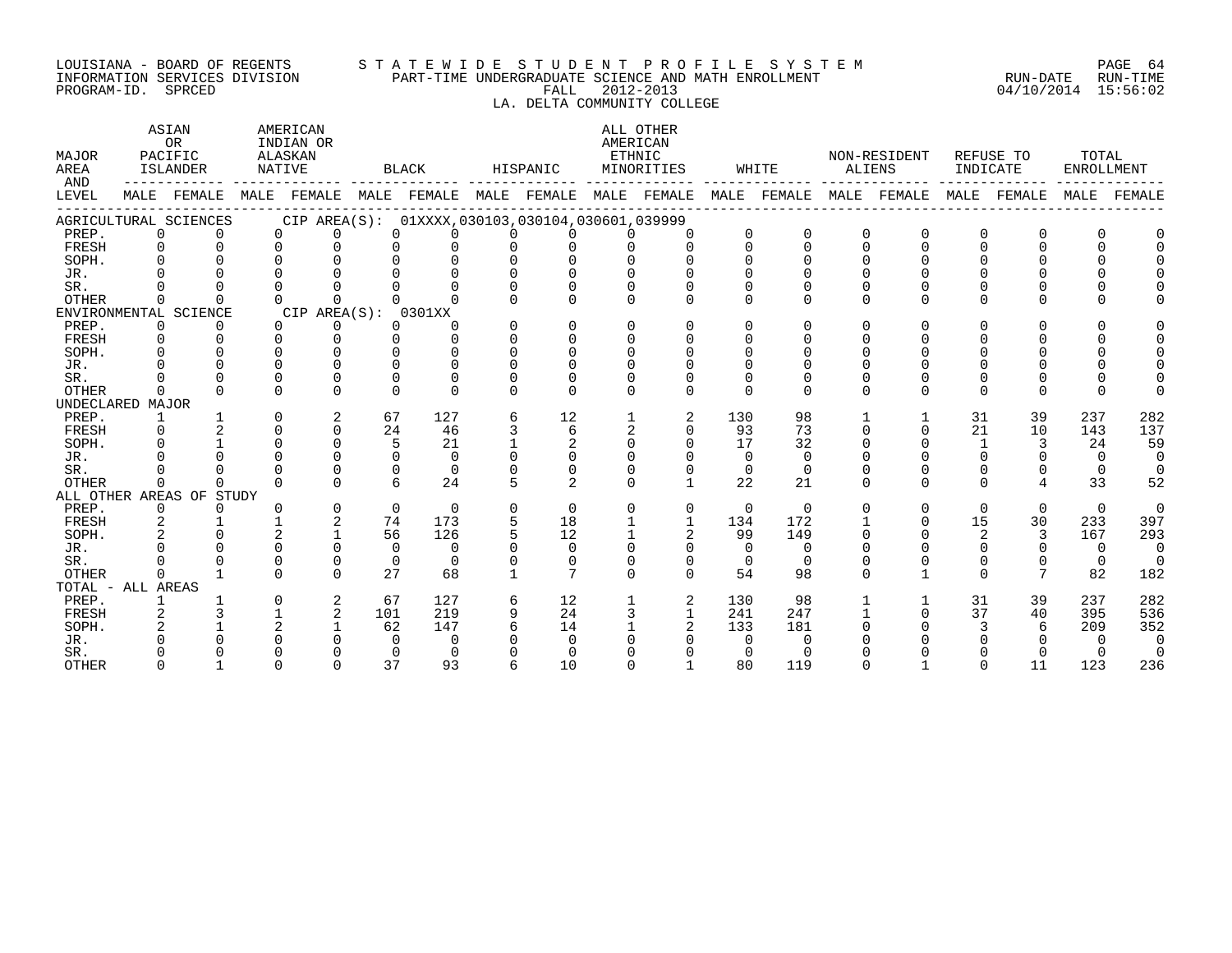## LOUISIANA - BOARD OF REGENTS S T A T E W I D E S T U D E N T P R O F I L E S Y S T E M PAGE 64 INFORMATION SERVICES DIVISION PART-TIME UNDERGRADUATE SCIENCE AND MATH ENROLLMENT RUN-DATE RUN-TIME LOUISIANA - BOARD OF REGENTS STATEWIDE STUDENT PROFILE SISIEM (NEW YORK POND RUN-DATE RUN-TIME<br>INFORMATION SERVICES DIVISION PART-TIME UNDERGRADUATE SCIENCE AND MATH ENROLLMENT (RUN-ATE RUN-DATE RUN-TIME<br>PROGRAM-ID. SPRCED

LA. DELTA COMMUNITY COLLEGE

| MAJOR<br>AREA<br>AND |                | ASIAN<br><b>OR</b><br>PACIFIC<br>ISLANDER | AMERICAN<br>INDIAN OR<br>ALASKAN<br>NATIVE      |             | BLACK    |          | HISPANIC          |                | ALL OTHER<br>AMERICAN<br>ETHNIC<br>MINORITIES |                | WHITE    | ALIENS   | NON-RESIDENT            | INDICATE     | REFUSE TO      | TOTAL<br>ENROLLMENT |          |
|----------------------|----------------|-------------------------------------------|-------------------------------------------------|-------------|----------|----------|-------------------|----------------|-----------------------------------------------|----------------|----------|----------|-------------------------|--------------|----------------|---------------------|----------|
| LEVEL                |                | MALE FEMALE                               | MALE FEMALE MALE FEMALE MALE FEMALE MALE FEMALE |             |          |          |                   |                |                                               |                |          |          | MALE FEMALE MALE FEMALE |              | MALE FEMALE    | MALE                | FEMALE   |
|                      |                | AGRICULTURAL SCIENCES                     | CIP AREA(S): 01XXXX,030103,030104,030601,039999 |             |          |          |                   |                |                                               |                |          |          |                         |              |                |                     |          |
| PREP.                | $\Omega$       | $\Omega$                                  | $\Omega$<br>$\Omega$                            | $\Omega$    | $\Omega$ | $\Omega$ | $\Omega$          | 0              | $\Omega$                                      | $\Omega$       |          | $\Omega$ | $\Omega$                | 0            | $\Omega$       |                     |          |
| FRESH                | $\Omega$       | $\Omega$                                  | $\Omega$<br>$\Omega$                            | $\Omega$    | $\Omega$ | $\Omega$ | $\Omega$          | $\cap$         | $\Omega$                                      | $\Omega$       | $\Omega$ | $\Omega$ | $\Omega$                | $\Omega$     | $\Omega$       |                     |          |
| SOPH.                | $\Omega$       |                                           | $\Omega$                                        | $\Omega$    |          |          | $\Omega$          |                |                                               | $\Omega$       |          |          |                         |              |                |                     |          |
| JR.                  |                |                                           |                                                 |             |          |          |                   |                |                                               |                |          |          |                         |              |                |                     |          |
| SR.                  |                |                                           |                                                 |             |          |          |                   |                |                                               | 0              |          |          |                         |              |                |                     |          |
| <b>OTHER</b>         | $\Omega$       |                                           | $\Omega$<br><sup>n</sup>                        |             |          |          |                   |                | $\cap$                                        | <sup>n</sup>   | $\Omega$ | $\Omega$ | U                       | <sup>n</sup> | $\cap$         |                     |          |
|                      |                | ENVIRONMENTAL SCIENCE                     | CIP AREA(S): 0301XX                             |             |          |          |                   |                |                                               |                |          |          |                         |              |                |                     |          |
| PREP.                | $\Omega$       | $\Omega$                                  | $\overline{0}$<br>$\Omega$                      | $\Omega$    | $\Omega$ | $\Omega$ | $\Omega$          | $\Omega$       | $\Omega$                                      | $\Omega$       | $\Omega$ | $\Omega$ | U                       | 0            | $\Omega$       |                     |          |
| FRESH                | $\Omega$       | $\Omega$                                  | $\Omega$<br>$\Omega$                            | $\cap$      | $\cap$   | $\Omega$ | $\Omega$          | $\Omega$       | $\Omega$                                      | $\Omega$       |          | ∩        |                         |              |                |                     |          |
| SOPH.                | $\cap$         | $\cap$                                    | $\cap$<br>$\cap$                                | $\cap$      | $\Omega$ |          | $\cap$            | <sup>n</sup>   | $\Omega$                                      | <sup>n</sup>   |          |          |                         |              |                |                     |          |
| JR.                  |                |                                           | $\cap$                                          | $\cap$      | $\cap$   |          |                   |                |                                               |                |          |          |                         |              |                |                     |          |
| SR.                  |                |                                           | $\cap$<br>$\Omega$                              | $\Omega$    | $\Omega$ |          |                   |                |                                               | $\Omega$       |          |          |                         |              |                |                     |          |
| <b>OTHER</b>         |                | $\Omega$                                  | $\Omega$<br>$\Omega$                            | $\cap$      | $\cap$   |          | $\cap$            | <sup>n</sup>   | $\Omega$                                      | $\Omega$       | $\Omega$ | $\Omega$ | U                       | $\Omega$     | $\cap$         |                     |          |
| UNDECLARED MAJOR     |                |                                           |                                                 |             |          |          |                   |                |                                               |                |          |          |                         |              |                |                     |          |
| PREP.                | $\mathbf{1}$   |                                           | 2<br>$\Omega$                                   | 67          | 127      | 6        | $12 \overline{ }$ |                | 2                                             | 130            | 98       |          |                         | 31           | 39             | 237                 | 282      |
| FRESH                | $\Omega$       | $\mathfrak{D}$                            | $\Omega$<br>$\Omega$                            | 24          | 46       | 3        | $6\overline{6}$   | $\overline{2}$ | $\Omega$                                      | 93             | 73       | $\Omega$ | $\Omega$                | 21           | 10             | 143                 | 137      |
| SOPH.                |                |                                           | $\Omega$<br>$\Omega$                            | 5           | 21       |          | 2                 | $\Omega$       | $\Omega$                                      | 17             | 32       | $\Omega$ |                         |              | 3              | 24                  | 59       |
| JR.                  |                |                                           | $\cap$<br>$\Omega$                              | $\Omega$    | $\Omega$ |          | $\Omega$          |                |                                               | $\Omega$       | $\Omega$ |          |                         |              |                | $\Omega$            | $\Omega$ |
| SR.                  |                |                                           | $\Omega$                                        | $\mathbf 0$ | $\Omega$ |          | $\Omega$          |                | $\Omega$                                      | $\overline{0}$ | $\Omega$ |          |                         | 0            | 0              | $\Omega$            | $\Omega$ |
| <b>OTHER</b>         | $\cap$         | $\Omega$                                  | $\cap$<br>$\Omega$                              | 6           | 24       |          | $\mathfrak{D}$    | $\cap$         | $\mathbf{1}$                                  | 22             | 21       | $\cap$   | $\Omega$                | $\cap$       | $\overline{4}$ | 33                  | 52       |
|                      |                | ALL OTHER AREAS OF STUDY                  |                                                 |             |          |          |                   |                |                                               |                |          |          |                         |              |                |                     |          |
| PREP.                | $\overline{0}$ | $\Omega$                                  | $\mathbf 0$<br>$\Omega$                         | $\Omega$    | $\Omega$ | $\Omega$ | $\Omega$          | $\Omega$       | $\mathbf 0$                                   | $\mathbf{0}$   | $\Omega$ | $\Omega$ | $\Omega$                | $\Omega$     | $\mathbf 0$    | $\Omega$            | $\Omega$ |
| FRESH                | 2              |                                           | 2                                               | 74          | 173      | 5        | 18                |                | $\mathbf{1}$                                  | 134            | 172      |          | $\cap$                  | 15           | 30             | 233                 | 397      |
| SOPH.                |                | $\cap$                                    |                                                 | 56          | 126      |          | 12                |                | 2                                             | 99             | 149      | ∩        |                         | 2            | 3              | 167                 | 293      |
| JR.                  |                | $\Omega$                                  | $\Omega$<br>0                                   | $\Omega$    | $\Omega$ |          | $\Omega$          | 0              | $\Omega$                                      | $\Omega$       | $\Omega$ |          |                         | $\Omega$     | $\Omega$       | $\Omega$            | $\Omega$ |
| SR.                  |                |                                           | $\Omega$<br>$\Omega$                            | $\Omega$    | $\Omega$ |          | $\Omega$          |                | $\Omega$                                      | $\Omega$       | $\Omega$ |          |                         | 0            | 0              | $\Omega$            | $\Omega$ |
| <b>OTHER</b>         | $\cap$         |                                           | $\Omega$<br>$\Omega$                            | 27          | 68       |          | 7                 | $\Omega$       | $\Omega$                                      | 54             | 98       | $\Omega$ |                         | $\Omega$     | $\overline{7}$ | 82                  | 182      |
| TOTAL - ALL AREAS    |                |                                           |                                                 |             |          |          |                   |                |                                               |                |          |          |                         |              |                |                     |          |
| PREP.                |                |                                           | 2<br>$\Omega$                                   | 67          | 127      | 6        | 12                |                | 2                                             | 130            | 98       |          |                         | 31           | 39             | 237                 | 282      |
| FRESH                | $\overline{2}$ | 3                                         | $\overline{2}$                                  | 101         | 219      | 9        | 24                |                | $\mathbf{1}$                                  | 241            | 247      |          | $\Omega$                | 37           | 40             | 395                 | 536      |
| SOPH.                |                |                                           | $\mathfrak{D}$                                  | 62          | 147      |          | 14                |                |                                               | 133            | 181      |          |                         |              | 6              | 209                 | 352      |
| JR.                  |                |                                           |                                                 | $\Omega$    | $\Omega$ |          | <sup>n</sup>      |                |                                               | $\Omega$       | $\Omega$ |          |                         |              |                | $\Omega$            | $\Omega$ |
| SR.                  |                |                                           |                                                 | $\Omega$    | $\Omega$ |          |                   |                |                                               | $\Omega$       | $\cap$   |          |                         |              |                | $\Omega$            | $\Omega$ |
| <b>OTHER</b>         | $\cap$         |                                           |                                                 | 37          | 93       |          | 10                |                |                                               | 80             | 119      | $\cap$   |                         | $\cap$       | 11             | 123                 | 236      |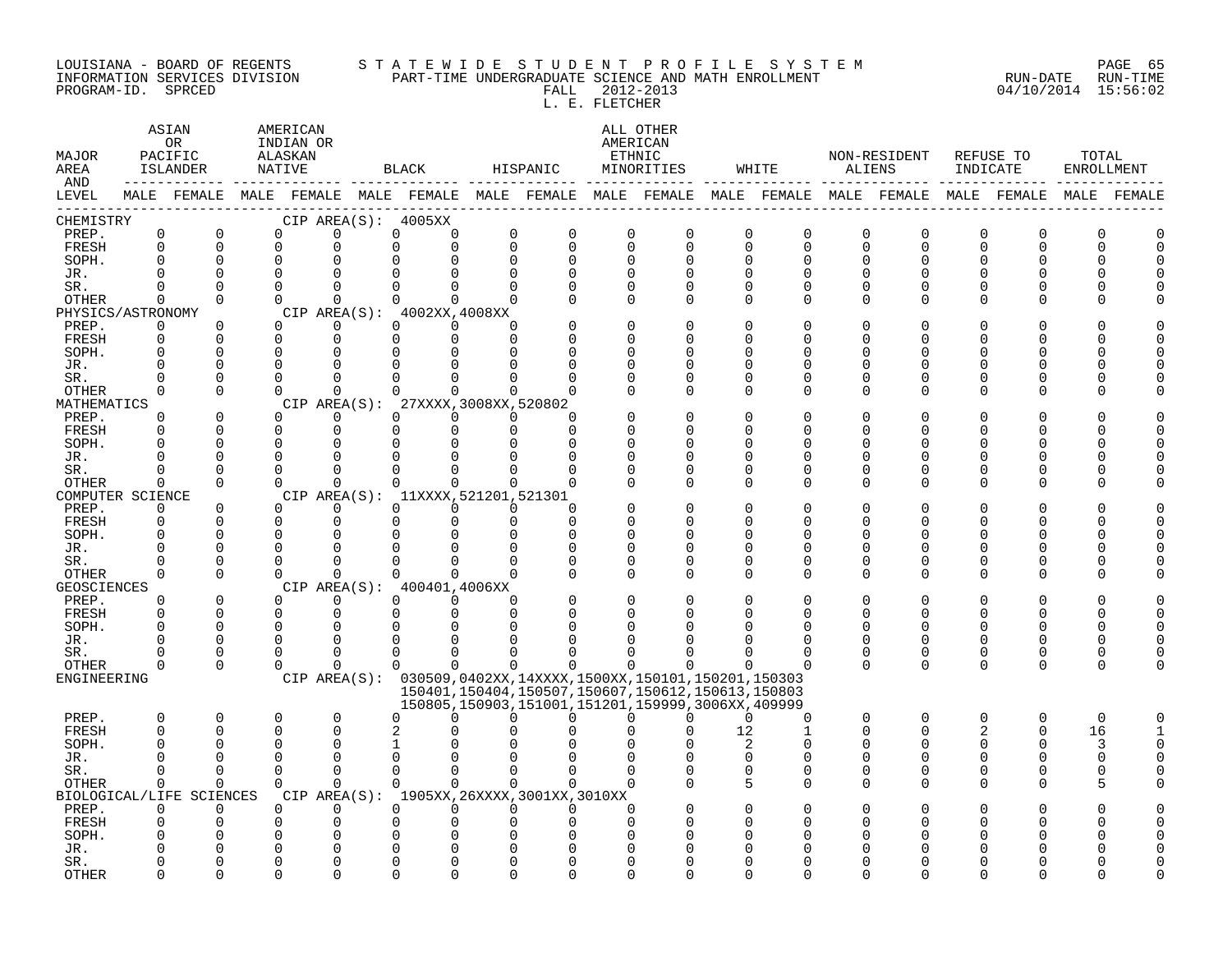#### LOUISIANA - BOARD OF REGENTS S T A T E W I D E S T U D E N T P R O F I L E S Y S T E M PAGE 65 INFORMATION SERVICES DIVISION PART-TIME UNDERGRADUATE SCIENCE AND MATH ENROLLMENT RUN-DATE RUN-TIME PROGRAM-ID. SPRCED FALL 2012-2013 04/10/2014 15:56:02

L. E. FLETCHER

| MAJOR<br>AREA               |             | ASIAN<br>OR.<br>PACIFIC<br>ISLANDER | AMERICAN<br>INDIAN OR<br>ALASKAN<br>NATIVE |                   |             | BLACK                                 |              | HISPANIC                                    |              | ALL OTHER<br>AMERICAN<br>ETHNIC<br>MINORITIES                                                                           |             | WHITE         |               | NON-RESIDENT<br>ALIENS                                                                          | INDICATE    | REFUSE TO   | TOTAL<br>ENROLLMENT |             |
|-----------------------------|-------------|-------------------------------------|--------------------------------------------|-------------------|-------------|---------------------------------------|--------------|---------------------------------------------|--------------|-------------------------------------------------------------------------------------------------------------------------|-------------|---------------|---------------|-------------------------------------------------------------------------------------------------|-------------|-------------|---------------------|-------------|
| AND<br>LEVEL                |             |                                     |                                            |                   |             |                                       |              |                                             |              |                                                                                                                         |             |               |               | MALE FEMALE MALE FEMALE MALE FEMALE MALE FEMALE MALE FEMALE MALE FEMALE MALE FEMALE MALE FEMALE |             |             |                     | MALE FEMALE |
| CHEMISTRY                   |             |                                     |                                            |                   |             | CIP AREA(S): 4005XX                   |              |                                             |              |                                                                                                                         |             |               |               |                                                                                                 |             |             |                     |             |
| PREP.                       | $\mathbf 0$ | $\Omega$                            | $\Omega$                                   | $\Omega$          | $\mathbf 0$ | $\Omega$                              |              | $\Omega$<br>$\Omega$                        | 0            | $\mathbf 0$                                                                                                             | $\mathbf 0$ | $\mathbf 0$   | $\Omega$      | 0                                                                                               | 0           | $\Omega$    | O                   |             |
| FRESH                       | $\Omega$    | $\Omega$                            | $\Omega$                                   | $\Omega$          | $\Omega$    | $\Omega$                              |              | $\Omega$<br>$\Omega$                        | $\Omega$     | $\mathsf 0$                                                                                                             | $\Omega$    | $\Omega$      | $\Omega$      | $\Omega$                                                                                        | $\Omega$    | $\Omega$    | $\Omega$            | $\cap$      |
| SOPH.                       | $\Omega$    | $\Omega$                            | $\Omega$                                   | $\Omega$          | $\Omega$    | $\Omega$                              |              | $\Omega$<br>$\Omega$                        | $\Omega$     | $\Omega$                                                                                                                | $\Omega$    | $\Omega$      | $\Omega$      | 0                                                                                               | ∩           |             |                     |             |
| JR.                         | ∩           | $\cap$                              | $\Omega$                                   | 0                 | 0           | $\Omega$                              | $\Omega$     | O                                           | O            | $\Omega$                                                                                                                | ∩           | $\Omega$      | O             | 0                                                                                               |             |             |                     |             |
| SR.                         | $\Omega$    | $\Omega$                            | $\Omega$                                   | 0                 | 0           | $\Omega$                              |              | $\Omega$<br>$\Omega$                        | $\Omega$     | 0                                                                                                                       | $\cap$      | $\Omega$      | <sup>0</sup>  | O                                                                                               | O           | ∩           |                     |             |
| OTHER                       | 0           | $\Omega$                            | $\Omega$                                   | $\Omega$          | $\Omega$    | $\mathbf 0$                           |              | $\Omega$<br>$\Omega$                        | $\Omega$     | $\Omega$                                                                                                                | $\Omega$    | $\Omega$      | $\Omega$      | O                                                                                               | O           | ∩           |                     |             |
| PHYSICS/ASTRONOMY           |             |                                     |                                            |                   |             | CIP AREA(S): $4002XX, 4008XX$         |              |                                             |              |                                                                                                                         |             |               |               |                                                                                                 |             |             |                     |             |
| PREP.                       | 0           | $\mathbf 0$                         | $\Omega$                                   | 0                 | $\Omega$    | $\Omega$                              | ∩            | $\Omega$                                    | <sup>n</sup> | $\Omega$                                                                                                                |             | $\Omega$      | $\Omega$      | 0                                                                                               | $\Omega$    |             |                     |             |
| FRESH                       | 0           | $\Omega$                            | $\Omega$                                   | $\Omega$          | $\Omega$    | $\Omega$                              | $\Omega$     | $\Omega$                                    | $\Omega$     | $\Omega$                                                                                                                | $\cap$      | $\Omega$      | $\Omega$      | O                                                                                               | U           |             |                     |             |
| SOPH.                       | $\Omega$    | $\cap$                              | $\Omega$                                   | $\Omega$          | $\Omega$    | ∩                                     | $\Omega$     | $\Omega$                                    | U            | $\Omega$                                                                                                                | $\cap$      | ∩             | U             | O                                                                                               | ∩           |             |                     |             |
| JR.                         |             | $\Omega$                            | $\Omega$<br>$\Omega$                       | 0                 | 0           |                                       |              | O                                           | O            | $\Omega$                                                                                                                | $\cap$      | $\Omega$      | <sup>0</sup>  | O                                                                                               | O           |             |                     |             |
| SR.                         | ∩           | $\Omega$<br>$\Omega$                | $\Omega$                                   | U                 | U           | $\Omega$                              | $\Omega$     |                                             | O            | $\Omega$                                                                                                                | ∩           | $\Omega$      | <sup>0</sup>  | 0                                                                                               | O           |             |                     |             |
| OTHER<br>MATHEMATICS        | 0           |                                     |                                            | 0                 | 0           | $\mathbf 0$                           |              | 0<br>$\Omega$                               | O            | 0                                                                                                                       | $\Omega$    | $\Omega$      | 0             | 0                                                                                               | 0           | $\Omega$    |                     |             |
| PREP.                       | $\mathbf 0$ | $\mathbf 0$                         | $\Omega$                                   | CIP AREA(S):<br>0 | 0           | 27XXXX, 3008XX, 520802<br>$\mathbf 0$ |              | 0<br>$\Omega$                               |              | $\mathbf 0$                                                                                                             | $\cap$      | $\Omega$      | $\Omega$      | $\Omega$                                                                                        | $\Omega$    |             |                     |             |
| FRESH                       | $\Omega$    | $\Omega$                            | $\Omega$                                   | $\Omega$          | $\Omega$    | $\Omega$                              |              | $\Omega$<br>$\Omega$                        | <sup>n</sup> | $\Omega$                                                                                                                | $\cap$      | $\Omega$      | $\Omega$      | 0                                                                                               | ∩           | U           |                     |             |
| SOPH.                       | $\Omega$    | $\cap$                              | $\Omega$                                   | $\Omega$          | $\Omega$    | $\Omega$                              | $\Omega$     | $\Omega$                                    | U            | $\Omega$                                                                                                                | ∩           | ∩             | U             | O                                                                                               | U           |             |                     |             |
| JR.                         |             | <sup>0</sup>                        | $\Omega$                                   | $\Omega$          | O           | $\Omega$                              | <sup>0</sup> |                                             | O            | $\Omega$                                                                                                                | ∩           | O             | <sup>0</sup>  | 0                                                                                               | O           | O           |                     |             |
| SR.                         | $\Omega$    | $\cap$                              | $\Omega$                                   | $\Omega$          | 0           | $\Omega$                              |              | $\Omega$<br>$\Omega$                        | $\Omega$     | 0                                                                                                                       | $\cap$      | $\Omega$      | <sup>0</sup>  | 0                                                                                               | O           | O           |                     |             |
| OTHER                       | 0           | $\Omega$                            | $\Omega$                                   | 0                 | 0           | $\mathbf 0$                           |              | 0<br>$\Omega$                               | O            | $\Omega$                                                                                                                | $\Omega$    | $\Omega$      | 0             | 0                                                                                               | O           | ∩           |                     |             |
| COMPUTER SCIENCE            |             |                                     |                                            |                   |             | CIP AREA(S): 11XXXX, 521201, 521301   |              |                                             |              |                                                                                                                         |             |               |               |                                                                                                 |             |             |                     |             |
| PREP.                       | $\Omega$    | $\Omega$                            | $\Omega$                                   | 0                 | $\Omega$    | $\Omega$                              |              | $\Omega$<br>$\Omega$                        |              | $\Omega$                                                                                                                | $\cap$      | $\Omega$      | $\Omega$      | 0                                                                                               | $\Omega$    |             |                     |             |
| FRESH                       | $\mathbf 0$ | $\Omega$                            | $\Omega$                                   | $\Omega$          | $\Omega$    | $\Omega$                              |              | $\Omega$<br>$\Omega$                        | $\Omega$     | $\Omega$                                                                                                                | $\Omega$    | $\Omega$      | $\Omega$      | 0                                                                                               | $\Omega$    | U           |                     |             |
| SOPH.                       | $\Omega$    | $\cap$                              | $\Omega$                                   | $\Omega$          | U           | $\Omega$                              | $\Omega$     | $\Omega$                                    | $\Omega$     | $\Omega$                                                                                                                | $\cap$      | ∩             | U             | O                                                                                               | ∩           | ∩           |                     |             |
| JR.                         |             | $\Omega$                            | $\Omega$                                   | 0                 | 0           |                                       | <sup>0</sup> | O                                           | O            | $\Omega$                                                                                                                | ∩           | $\Omega$      | <sup>0</sup>  | 0                                                                                               | $\Omega$    | O           |                     |             |
| SR.                         | $\Omega$    | $\Omega$                            | $\Omega$                                   | $\Omega$          | $\Omega$    | $\Omega$                              | $\Omega$     | $\Omega$                                    | $\Omega$     | 0                                                                                                                       | $\cap$      | $\Omega$      | <sup>0</sup>  | 0                                                                                               | O           | O           |                     |             |
| <b>OTHER</b>                | $\mathbf 0$ | $\Omega$                            | $\Omega$                                   | 0                 | 0           | $\mathbf 0$                           |              | $\mathbf 0$<br>$\Omega$                     | $\Omega$     | $\Omega$                                                                                                                | $\Omega$    | $\Omega$      | 0             | 0                                                                                               | 0           | $\Omega$    |                     |             |
| <b>GEOSCIENCES</b>          |             |                                     |                                            |                   |             | CIP AREA(S): 400401,4006XX            |              |                                             |              |                                                                                                                         |             |               |               |                                                                                                 |             |             |                     |             |
| PREP.                       | $\Omega$    | $\Omega$                            | $\Omega$                                   | $\Omega$          | $\Omega$    | $\Omega$                              | $\Omega$     | $\Omega$                                    | $\Omega$     | $\Omega$                                                                                                                |             | $\Omega$      | $\Omega$      | 0                                                                                               | $\Omega$    | $\Omega$    |                     |             |
| FRESH                       | $\Omega$    | $\Omega$                            | $\Omega$                                   | $\Omega$          | $\Omega$    | $\Omega$                              | $\Omega$     | $\Omega$                                    |              | $\Omega$                                                                                                                |             | $\Omega$      | $\Omega$      | 0                                                                                               | $\Omega$    | O           | U                   |             |
| SOPH.                       | $\Omega$    | $\cap$                              | $\Omega$                                   | $\Omega$          | U           | $\Omega$                              | $\Omega$     | U                                           | ∩            | ∩                                                                                                                       |             | ∩             | U             | O                                                                                               | ∩           |             |                     |             |
| JR.                         | O           | $\Omega$                            | $\Omega$                                   | 0                 | 0           | $\Omega$                              | <sup>0</sup> |                                             |              | $\Omega$                                                                                                                |             | O             | <sup>0</sup>  | 0                                                                                               | 0           | $\Omega$    | U                   |             |
| SR.                         | $\Omega$    | $\Omega$<br>$\Omega$                | $\Omega$                                   | $\Omega$          | $\Omega$    | $\Omega$<br>$\Omega$                  | <sup>0</sup> | U                                           | O            | $\Omega$                                                                                                                |             | O<br>$\Omega$ | 0<br>$\Omega$ | 0                                                                                               | 0           | 0           | O<br>$\Omega$       |             |
| <b>OTHER</b><br>ENGINEERING | $\mathbf 0$ |                                     | $\mathbf 0$                                | 0                 | 0           |                                       |              | $\mathbf 0$<br>0                            | 0            | $\Omega$                                                                                                                | $\Omega$    |               |               | 0                                                                                               | $\mathbf 0$ | $\mathbf 0$ |                     |             |
|                             |             |                                     |                                            |                   |             |                                       |              |                                             |              | CIP AREA(S): 030509,0402XX,14XXXX,1500XX,150101,150201,150303<br>150401, 150404, 150507, 150607, 150612, 150613, 150803 |             |               |               |                                                                                                 |             |             |                     |             |
|                             |             |                                     |                                            |                   |             |                                       |              |                                             |              | 150805,150903,151001,151201,159999,3006XX,409999                                                                        |             |               |               |                                                                                                 |             |             |                     |             |
| PREP.                       | 0           | $\Omega$                            | $\Omega$                                   | $\Omega$          | $\Omega$    | $\Omega$                              |              | $\Omega$<br>$\Omega$                        | 0            | $\Omega$                                                                                                                | $\Omega$    | $\Omega$      | $\Omega$      | $\Omega$                                                                                        | $\Omega$    | $\Omega$    | $\Omega$            |             |
| FRESH                       | $\Omega$    | $\cap$                              | $\Omega$                                   | $\Omega$          | 2           |                                       |              |                                             |              | $\Omega$                                                                                                                | 12          | 1             | $\Omega$      | 0                                                                                               | 2           | $\Omega$    | 16                  |             |
| SOPH.                       | $\Omega$    | ∩                                   | $\Omega$                                   | $\Omega$          | 1           | O                                     | n            |                                             | 0            | $\Omega$                                                                                                                | 2           | $\Omega$      | <sup>0</sup>  | O                                                                                               | 0           | $\Omega$    | 3                   | U           |
| JR.                         | ∩           | $\Omega$                            | $\Omega$                                   | 0                 | 0           | $\mathbf 0$                           | ∩            | $\Omega$                                    | U            | $\Omega$                                                                                                                | $\mathbf 0$ | $\Omega$      | 0             | 0                                                                                               | 0           | 0           | 0                   |             |
| SR.                         | $\Omega$    | $\Omega$                            | $\Omega$                                   | $\Omega$          | $\Omega$    | $\Omega$                              |              | $\Omega$<br>$\Omega$                        | $\Omega$     | $\Omega$                                                                                                                | $\Omega$    | $\Omega$      | $\Omega$      | 0                                                                                               | 0           | $\Omega$    | U                   |             |
| <b>OTHER</b>                | $\Omega$    | $\Omega$                            | $\Omega$                                   | $\Omega$          | $\Omega$    | $\Omega$                              |              | $\Omega$<br>$\Omega$                        | $\Omega$     | $\Omega$                                                                                                                | 5           | $\Omega$      | $\Omega$      | 0                                                                                               | $\Omega$    | $\Omega$    |                     |             |
| BIOLOGICAL/LIFE             |             | SCIENCES                            |                                            |                   |             |                                       |              | CIP AREA(S): 1905XX, 26XXXX, 3001XX, 3010XX |              |                                                                                                                         |             |               |               |                                                                                                 |             |             |                     |             |
| PREP.                       | $\Omega$    | $\Omega$                            | ∩                                          | $\Omega$          | $\Omega$    | $\Omega$                              |              | $\Omega$<br>$\Omega$                        | $\Omega$     |                                                                                                                         |             | n             |               | Ω                                                                                               |             |             |                     |             |
| FRESH                       | $\Omega$    | <sup>0</sup>                        | $\Omega$                                   | 0                 | 0           | $\Omega$                              | <sup>0</sup> | U                                           | O            | $\Omega$                                                                                                                |             | ∩             | O             | 0                                                                                               | O           |             |                     |             |
| SOPH.                       |             |                                     | $\Omega$                                   | $\Omega$          | 0           | $\Omega$                              | ∩            |                                             | n            | $\Omega$                                                                                                                |             | ∩             |               | O                                                                                               |             |             |                     |             |
| JR.                         |             |                                     | $\Omega$                                   | $\Omega$          | 0           | $\Omega$                              | $\Omega$     |                                             |              | C                                                                                                                       |             |               |               |                                                                                                 |             |             |                     |             |
| SR.                         |             | $\cap$                              | $\Omega$                                   | U                 | 0           | $\Omega$                              |              | $\Omega$<br>U                               | <sup>n</sup> | $\Omega$                                                                                                                |             | ∩             |               | N                                                                                               |             |             |                     |             |
| <b>OTHER</b>                | ∩           | $\cap$                              | $\cap$                                     | $\Omega$          | $\Omega$    | $\cap$                                |              | $\Omega$<br>$\cap$                          | <sup>n</sup> | $\cap$                                                                                                                  |             | ∩             | ∩             | U                                                                                               |             |             |                     |             |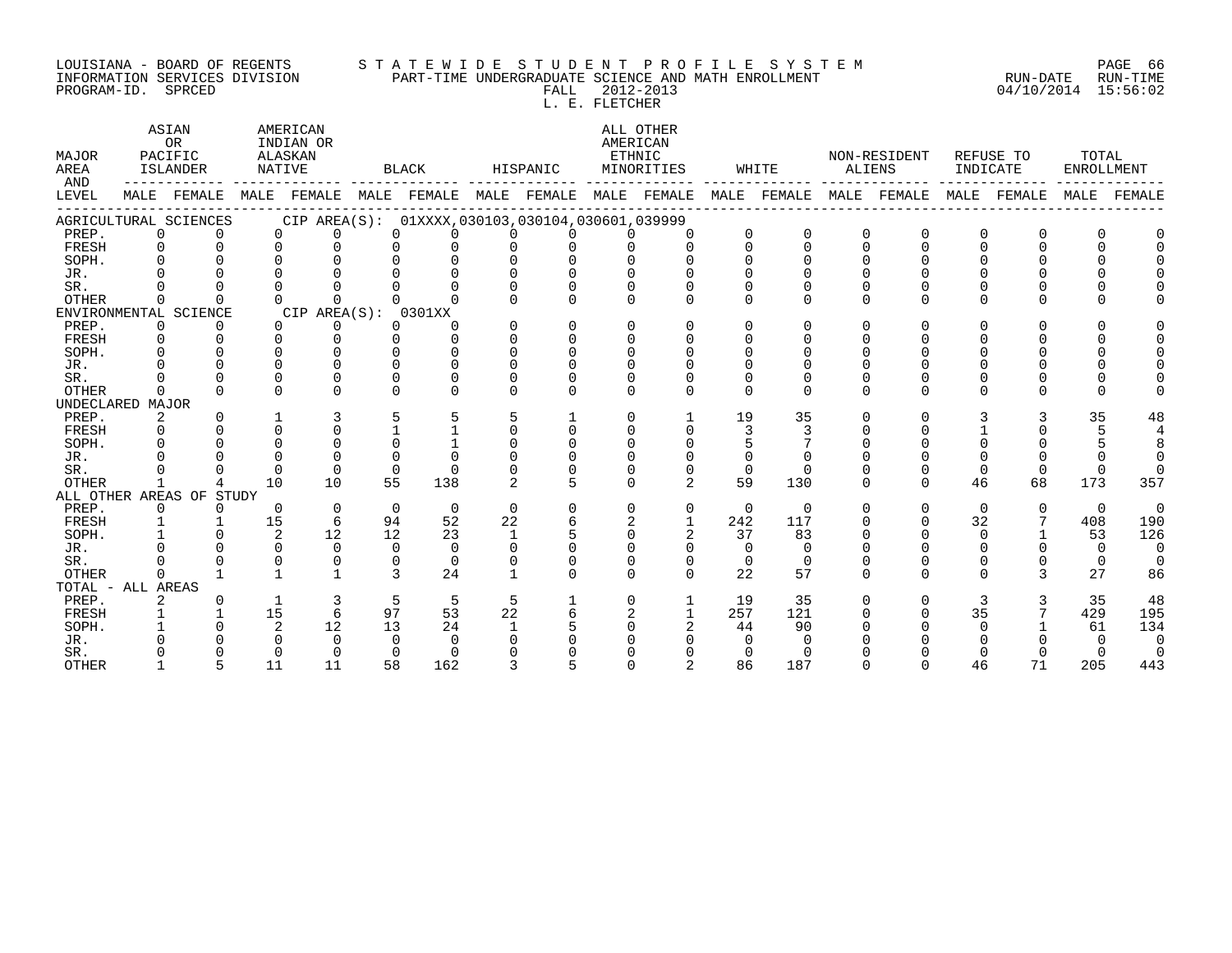#### LOUISIANA - BOARD OF REGENTS S T A T E W I D E S T U D E N T P R O F I L E S Y S T E M PAGE 66 INFORMATION SERVICES DIVISION PART-TIME UNDERGRADUATE SCIENCE AND MATH ENROLLMENT RUN-DATE RUN-TIME PROGRAM-ID. SPRCED FALL 2012-2013 04/10/2014 15:56:02

L. E. FLETCHER

| MAJOR<br>AREA<br>AND | ASIAN<br>OR<br>PACIFIC<br>ISLANDER |                                                                                     | AMERICAN<br>INDIAN OR<br>ALASKAN<br>NATIVE |                      | BLACK         |                                                     | HISPANIC     |              | ALL OTHER<br>AMERICAN<br>ETHNIC<br>MINORITIES |                | WHITE    |          | NON-RESIDENT<br>ALIENS |          | REFUSE TO<br>INDICATE |               | TOTAL<br>ENROLLMENT |                |
|----------------------|------------------------------------|-------------------------------------------------------------------------------------|--------------------------------------------|----------------------|---------------|-----------------------------------------------------|--------------|--------------|-----------------------------------------------|----------------|----------|----------|------------------------|----------|-----------------------|---------------|---------------------|----------------|
| LEVEL                |                                    | MALE FEMALE MALE FEMALE MALE FEMALE MALE FEMALE MALE FEMALE MALE FEMALE MALE FEMALE |                                            |                      |               |                                                     |              |              |                                               |                |          |          |                        |          |                       | MALE FEMALE   | MALE                | FEMALE         |
|                      |                                    | AGRICULTURAL SCIENCES                                                               |                                            |                      |               | CIP AREA(S): 01XXXX, 030103, 030104, 030601, 039999 |              |              |                                               |                |          |          |                        |          |                       |               |                     |                |
| PREP.                | 0                                  | $\Omega$                                                                            |                                            | $\cap$<br>0          | $\Omega$      | $\Omega$                                            | $\Omega$     |              |                                               |                | $\Omega$ | $\Omega$ | $\Omega$               |          | $\Omega$              | 0             | <sup>0</sup>        |                |
| FRESH                | $\Omega$                           | $\Omega$                                                                            | $\Omega$                                   | $\Omega$             | $\Omega$      | $\Omega$                                            | $\Omega$     | $\Omega$     | $\Omega$                                      | $\Omega$       | $\Omega$ | $\Omega$ | $\Omega$               | $\Omega$ | $\Omega$              | $\Omega$      | $\Omega$            | $\Omega$       |
| SOPH.                | $\Omega$                           |                                                                                     |                                            | $\cap$               |               |                                                     |              |              |                                               |                |          |          |                        |          |                       |               | $\Omega$            |                |
| JR.                  |                                    |                                                                                     |                                            |                      |               |                                                     |              |              |                                               |                |          |          |                        |          |                       |               | $\Omega$            |                |
| SR.                  |                                    |                                                                                     |                                            |                      |               |                                                     |              |              |                                               |                |          |          |                        |          |                       | ∩             | $\Omega$            |                |
| <b>OTHER</b>         | $\Omega$                           | $\cap$                                                                              | $\cap$                                     | $\cap$               |               |                                                     |              | $\cap$       | $\cap$                                        | ∩              | 0        | U        | $\Omega$               |          | $\Omega$              | 0             | $\Omega$            |                |
|                      |                                    | ENVIRONMENTAL SCIENCE                                                               |                                            | CIP AREA(S): 0301XX  |               |                                                     |              |              |                                               |                |          |          |                        |          |                       |               |                     |                |
| PREP.                | $\Omega$                           | $\Omega$                                                                            |                                            | $\Omega$<br>$\Omega$ | $\Omega$      | $\Omega$                                            | $\Omega$     | $\Omega$     | $\Omega$                                      | $\cap$         | $\Omega$ | U        | $\Omega$               |          | $\Omega$              | $\cap$        | $\Omega$            |                |
| FRESH                | $\Omega$                           | $\cap$                                                                              | $\Omega$                                   | $\Omega$             | $\Omega$      | $\Omega$                                            | $\Omega$     | $\Omega$     | U                                             |                |          |          |                        |          | $\cap$                | $\Omega$      | $\mathbf 0$         |                |
| SOPH.                | $\cap$                             | $\cap$                                                                              | $\cap$                                     | $\cap$               | $\Omega$      | $\cap$                                              | $\Omega$     | $\Omega$     | $\cap$                                        |                |          |          |                        |          |                       | ∩             | $\Omega$            |                |
| JR.                  |                                    |                                                                                     |                                            | $\Omega$             | $\cap$        | $\Omega$                                            |              |              |                                               |                |          |          |                        |          |                       |               | $\Omega$            |                |
| SR.                  |                                    |                                                                                     |                                            | $\cap$               |               | $\Omega$                                            |              |              |                                               |                |          |          |                        |          |                       |               | $\mathbf 0$         |                |
| OTHER                | $\Omega$                           |                                                                                     |                                            | $\cap$               |               | $\Omega$                                            |              | $\Omega$     | $\Omega$                                      | $\Omega$       | $\Omega$ | $\Omega$ | $\Omega$               |          | $\Omega$              | 0             | $\Omega$            |                |
| UNDECLARED MAJOR     |                                    |                                                                                     |                                            |                      |               |                                                     |              |              |                                               |                |          |          |                        |          |                       |               |                     |                |
| PREP.                | $\overline{2}$                     | $\Omega$                                                                            |                                            | 3                    | 5             | 5                                                   | 5            | 1            | $\Omega$                                      | $\mathbf{1}$   | 19       | 35       | O                      | $\Omega$ | 3                     | 3             | 35                  | 48             |
| FRESH                | $\Omega$                           | $\cap$                                                                              | $\Omega$                                   | $\Omega$             |               | $\mathbf{1}$                                        | $\Omega$     | $\Omega$     | $\Omega$                                      | $\Omega$       | 3        |          |                        |          |                       |               | 5                   | $\overline{4}$ |
| SOPH.                | $\Omega$                           | $\cap$                                                                              | $\Omega$                                   | $\Omega$             | $\Omega$      |                                                     | $\Omega$     | $\Omega$     | U                                             |                |          |          |                        |          | $\Omega$              |               |                     | 8              |
| JR.                  |                                    | $\cap$                                                                              | $\cap$                                     | $\Omega$             | $\cap$        | $\cap$                                              |              |              |                                               |                | $\Omega$ |          |                        |          | ∩                     |               | $\Omega$            | $\Omega$       |
| SR.                  |                                    | $\Omega$                                                                            | $\Omega$                                   | $\cap$               | $\Omega$      | $\Omega$                                            |              |              |                                               |                | $\Omega$ | $\Omega$ |                        |          | $\Omega$              | $\Omega$      | $\Omega$            | $\Omega$       |
| <b>OTHER</b>         | $\mathbf{1}$                       | 4                                                                                   | 10                                         | 10                   | 55            | 138                                                 | 2            | 5            | $\Omega$                                      | $\overline{a}$ | 59       | 130      | $\Omega$               | $\Omega$ | 46                    | 68            | 173                 | 357            |
|                      |                                    | ALL OTHER AREAS OF STUDY                                                            |                                            |                      |               |                                                     |              |              |                                               |                |          |          |                        |          |                       |               |                     |                |
| PREP.                | $\Omega$                           | $\Omega$                                                                            | $\Omega$                                   | $\Omega$             | $\Omega$      | $\Omega$                                            | $\Omega$     | $\Omega$     | $\Omega$                                      | 0              | $\Omega$ | $\Omega$ | $\Omega$               |          | $\Omega$              | $\Omega$      | $\Omega$            | $\overline{0}$ |
| FRESH                | $\mathbf{1}$                       | $\mathbf{1}$                                                                        | 15                                         | 6                    | 94            | 52                                                  | 22           |              | 2                                             | $\mathbf{1}$   | 242      | 117      |                        |          | 32                    | 7             | 408                 | 190            |
| SOPH.                |                                    | $\Omega$                                                                            | 2                                          | 12                   | 12            | 23                                                  | $\mathbf{1}$ |              | $\Omega$                                      | $\overline{2}$ | 37       | 83       |                        |          | $\Omega$              |               | 53                  | 126            |
| JR.                  |                                    |                                                                                     | $\Omega$                                   | $\Omega$             | $\Omega$      | $\Omega$                                            |              |              |                                               | $\Omega$       | $\Omega$ | $\Omega$ |                        |          |                       |               | $\Omega$            | $\overline{0}$ |
| SR.                  |                                    |                                                                                     |                                            | $\Omega$             | $\Omega$      | $\Omega$                                            |              | $\Omega$     | $\Omega$                                      | $\Omega$       | $\Omega$ | $\Omega$ | U                      |          | $\Omega$              |               | $\Omega$            | $\Omega$       |
| OTHER                | 0                                  |                                                                                     |                                            | $\mathbf{1}$         | $\mathcal{L}$ | 24                                                  |              | $\cap$       | $\cap$                                        | $\cap$         | 22       | 57       | $\Omega$               |          | $\cap$                | $\mathcal{L}$ | 27                  | 86             |
| TOTAL - ALL AREAS    |                                    |                                                                                     |                                            |                      |               |                                                     |              |              |                                               |                |          |          |                        |          |                       |               |                     |                |
| PREP.                |                                    | $\Omega$                                                                            | $\mathbf{1}$                               | $\overline{3}$       | 5             | 5                                                   | 5            | $\mathbf{1}$ | $\mathbf 0$                                   | $\mathbf{1}$   | 19       | 35       | $\Omega$               | 0        | 3                     | 3             | 35                  | 48             |
| FRESH                |                                    | $\mathbf{1}$                                                                        | 15                                         | 6                    | 97            | 53                                                  | 22           | б.           | 2                                             | $\mathbf{1}$   | 257      | 121      | 0                      |          | 35                    |               | 429                 | 195            |
| SOPH.                |                                    | $\Omega$                                                                            | 2                                          | 12                   | 13            | 24                                                  |              |              | $\Omega$                                      |                | 44       | 90       |                        |          | $\Omega$              |               | 61                  | 134            |
| JR.                  |                                    |                                                                                     |                                            | $\Omega$             | $\Omega$      | $\cap$                                              |              |              |                                               |                | $\Omega$ | $\Omega$ |                        |          |                       |               | $\Omega$            | $\Omega$       |
| SR.                  |                                    |                                                                                     |                                            | $\Omega$             | $\Omega$      | $\Omega$                                            |              |              |                                               |                | 0        | $\Omega$ |                        |          |                       |               | $\Omega$            | $\Omega$       |
| <b>OTHER</b>         |                                    | 5                                                                                   | 11                                         | 11                   | 58            | 162                                                 | 3            |              | $\Omega$                                      | $\overline{2}$ | 86       | 187      | U                      |          | 46                    | 71            | 205                 | 443            |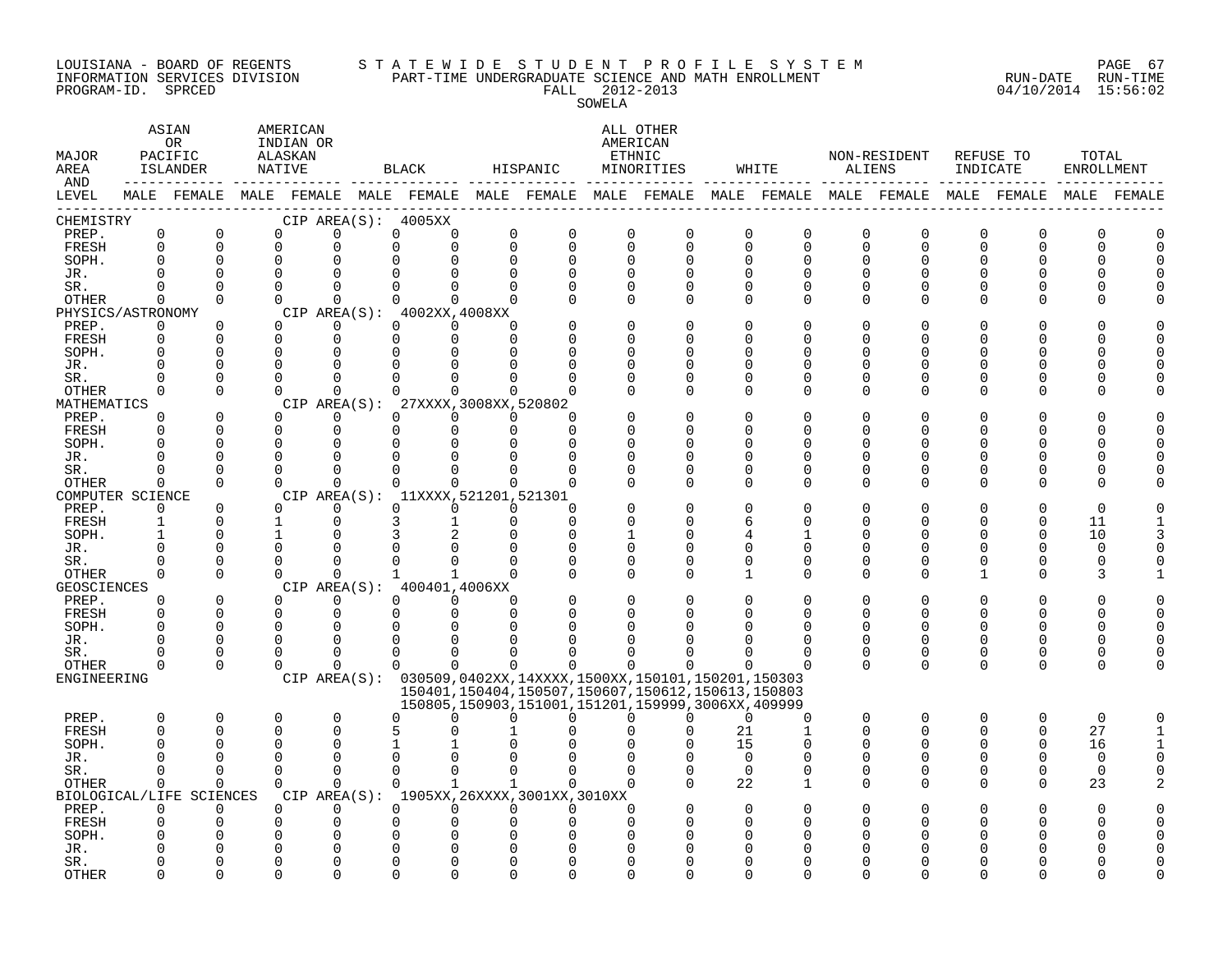#### LOUISIANA - BOARD OF REGENTS S T A T E W I D E S T U D E N T P R O F I L E S Y S T E M PAGE 67 INFORMATION SERVICES DIVISION PART-TIME UNDERGRADUATE SCIENCE AND MATH ENROLLMENT RUN-DATE RUN-TIME PROGRAM-ID. SPRCED FALL 2012-2013 04/10/2014 15:56:02

| FALL. | $2012 - 2013$ |  |
|-------|---------------|--|
|       | SOWELA        |  |

| MAJOR<br>AREA<br>AND | ASIAN<br><b>OR</b><br>PACIFIC<br>ISLANDER<br>-------- ---- |                          | AMERICAN<br>INDIAN OR<br>ALASKAN<br>NATIVE |                      | BLACK         |                                     | HISPANIC    |                                                                                                             | ALL OTHER<br>AMERICAN<br>ETHNIC<br>MINORITIES |                      |                            | WHITE                  |                         | NON-RESIDENT<br>ALIENS |                      | REFUSE TO<br>INDICATE |          | TOTAL<br><b>ENROLLMENT</b> |
|----------------------|------------------------------------------------------------|--------------------------|--------------------------------------------|----------------------|---------------|-------------------------------------|-------------|-------------------------------------------------------------------------------------------------------------|-----------------------------------------------|----------------------|----------------------------|------------------------|-------------------------|------------------------|----------------------|-----------------------|----------|----------------------------|
| LEVEL                |                                                            |                          |                                            |                      |               |                                     |             | MALE FEMALE MALE FEMALE MALE FEMALE MALE FEMALE MALE FEMALE MALE FEMALE MALE FEMALE MALE FEMALE MALE FEMALE |                                               |                      |                            |                        |                         |                        |                      |                       |          |                            |
| CHEMISTRY            |                                                            |                          |                                            |                      |               | CIP AREA(S): 4005XX                 |             |                                                                                                             | 0                                             |                      |                            |                        |                         |                        |                      |                       |          |                            |
| PREP.<br>FRESH       | $\mathbf 0$<br>$\Omega$                                    | $\mathbf 0$<br>$\Omega$  | 0<br>$\Omega$                              | 0<br>$\Omega$        | $\Omega$      | 0<br>0<br>$\Omega$                  | $\mathbf 0$ | 0<br>$\Omega$<br>$\Omega$                                                                                   | $\Omega$                                      | 0<br>$\Omega$        | $\mathbf 0$<br>$\mathbf 0$ | 0<br>$\Omega$          | $\mathbf 0$<br>$\Omega$ | 0<br>$\Omega$          | 0<br>0               | 0<br>$\Omega$         | ∩        |                            |
| SOPH.                | ∩                                                          | $\Omega$                 | $\mathbf 0$                                | O                    | 0             |                                     |             | $\Omega$<br>$\Omega$                                                                                        | $\Omega$                                      | $\Omega$             | 0                          | $\Omega$               | $\Omega$                | O                      | 0                    | ი                     |          |                            |
| JR.                  |                                                            | $\Omega$                 | $\Omega$                                   |                      | $\Omega$      |                                     | $\Omega$    | $\Omega$                                                                                                    | $\cap$                                        | $\Omega$             | $\Omega$                   |                        | $\Omega$                | ∩                      | <sup>0</sup>         |                       |          |                            |
| SR.                  | $\Omega$                                                   | $\Omega$                 | $\Omega$                                   | $\Omega$             |               | $\Omega$<br>$\Omega$                | $\Omega$    | $\Omega$                                                                                                    | $\Omega$                                      | $\Omega$             | $\mathbf 0$                | $\Omega$               | $\Omega$                | 0                      | $\Omega$             | $\Omega$              |          |                            |
| OTHER                | $\Omega$                                                   | $\Omega$                 | $\Omega$                                   | $\Omega$             |               | $\Omega$<br>$\Omega$                |             | $\Omega$<br>$\Omega$                                                                                        | $\Omega$                                      | $\Omega$             | $\Omega$                   | $\Omega$               | $\Omega$                | $\Omega$               | $\Omega$             | $\Omega$              |          |                            |
| PHYSICS/ASTRONOMY    |                                                            |                          |                                            |                      |               | CIP AREA(S): 4002XX,4008XX          |             |                                                                                                             |                                               |                      |                            |                        |                         |                        |                      |                       |          |                            |
| PREP.                | $\Omega$                                                   | $\Omega$                 | $\Omega$                                   | $\Omega$             |               | $\Omega$<br>$\Omega$                |             | $\Omega$                                                                                                    | $\Omega$                                      | $\Omega$             | $\mathbf 0$                | $\cap$                 | $\Omega$                | 0                      | <sup>0</sup>         | O                     |          |                            |
| FRESH                | $\Omega$                                                   | $\Omega$                 | $\Omega$                                   | $\Omega$             |               | $\Omega$<br>$\Omega$                |             | $\Omega$                                                                                                    |                                               | $\Omega$             | $\Omega$                   |                        | $\Omega$                | U                      | <sup>0</sup>         | ი                     |          |                            |
| SOPH.                |                                                            | $\Omega$                 | $\Omega$                                   | $\Omega$             | $\Omega$      | $\Omega$                            |             |                                                                                                             |                                               | ∩                    | $\Omega$                   |                        | ∩                       | U                      | O                    | U                     |          |                            |
| JR.                  |                                                            | $\Omega$                 | $\Omega$                                   | O                    | $\Omega$      |                                     |             |                                                                                                             |                                               | $\Omega$             | $\Omega$                   | $\cap$                 | ∩                       |                        | O                    | U                     |          |                            |
| SR.                  | ∩<br>$\Omega$                                              | $\Omega$<br>$\Omega$     | $\Omega$<br>$\cap$                         | $\Omega$<br>$\Omega$ | $\Omega$      | $\Omega$<br>$\cap$<br>$\cap$        |             | $\cap$                                                                                                      |                                               | 0<br>$\Omega$        | 0<br>$\Omega$              | <sup>0</sup><br>$\cap$ | $\Omega$<br>$\Omega$    | O<br>0                 | 0<br>$\Omega$        | O<br>$\Omega$         |          |                            |
| OTHER<br>MATHEMATICS |                                                            |                          |                                            |                      |               | CIP AREA(S): 27XXXX, 3008XX, 520802 |             |                                                                                                             |                                               |                      |                            |                        |                         |                        |                      |                       |          |                            |
| PREP.                | $\mathbf 0$                                                | $\Omega$                 | $\Omega$                                   | $\Omega$             |               | $\Omega$<br>$\Omega$                |             | $\Omega$<br>n                                                                                               |                                               | $\Omega$             | 0                          |                        | $\Omega$                | 0                      | O                    |                       |          |                            |
| FRESH                |                                                            | $\Omega$                 | $\Omega$                                   | $\Omega$             |               | $\Omega$<br>$\Omega$                |             | $\Omega$<br>$\cap$                                                                                          |                                               | $\Omega$             | ∩                          | U                      | ∩                       | U                      | U                    | U                     |          |                            |
| SOPH.                |                                                            | $\Omega$                 | $\Omega$                                   | $\Omega$             |               | $\Omega$<br>$\Omega$                |             | <sup>n</sup><br>$\Omega$                                                                                    |                                               | ∩                    | $\Omega$                   |                        | ∩                       | U                      | O                    | N                     |          |                            |
| JR.                  | ∩                                                          | $\Omega$                 | $\mathbf 0$                                | 0                    | 0             | $\Omega$                            |             | $\Omega$<br>0                                                                                               |                                               | 0                    | 0                          | ∩                      | 0                       | U                      | 0                    | ∩                     |          |                            |
| SR.                  | ∩                                                          | $\Omega$                 | $\Omega$                                   | $\Omega$             |               | $\Omega$<br>$\Omega$                |             | $\Omega$<br><sup>n</sup>                                                                                    |                                               | $\Omega$             | $\mathbf 0$                | $\Omega$               | $\Omega$                | 0                      | 0                    | $\Omega$              |          |                            |
| OTHER                | $\Omega$                                                   | $\Omega$                 | $\Omega$                                   | $\Omega$             |               | $\Omega$<br>$\Omega$                |             | $\Omega$<br>$\Omega$                                                                                        | ∩                                             | $\Omega$             | $\Omega$                   | $\Omega$               | $\Omega$                | $\Omega$               | $\Omega$             | $\Omega$              |          |                            |
| COMPUTER SCIENCE     |                                                            |                          |                                            |                      |               | CIP AREA(S): 11XXXX, 521201, 521301 |             |                                                                                                             |                                               |                      |                            |                        |                         |                        |                      |                       |          |                            |
| PREP.                | $\Omega$                                                   | $\Omega$                 | $\cap$                                     | $\Omega$             |               | $\Omega$<br>$\Omega$                |             | $\Omega$<br>$\Omega$                                                                                        |                                               | ∩                    | $\Omega$                   |                        | $\cap$                  |                        | U                    |                       |          |                            |
| FRESH                | $\mathbf{1}$                                               | $\mathbf 0$              | 1                                          | 0                    | 3             | 1                                   |             | 0<br>$\Omega$                                                                                               |                                               | O                    | 6                          | ∩                      | O                       | O                      | 0                    | 0                     | 11       |                            |
| SOPH.                | $\mathbf{1}$                                               | $\Omega$                 | 1                                          | O                    | 3             |                                     |             | $\mathbf 0$<br>$\Omega$                                                                                     |                                               | $\Omega$             | 4                          |                        | $\Omega$                | U                      | $\Omega$             | 0                     | 10       |                            |
| JR.                  | ∩                                                          | $\Omega$<br>$\Omega$     | $\Omega$<br>$\Omega$                       | O<br>$\Omega$        | 0<br>$\Omega$ | $\Omega$                            |             | $\Omega$<br>$\Omega$                                                                                        | $\Omega$<br>$\Omega$                          | $\Omega$             | 0                          | $\Omega$<br>$\Omega$   | $\Omega$<br>$\Omega$    | O<br>O                 | <sup>0</sup>         | $\Omega$<br>$\Omega$  | $\cap$   |                            |
| SR.<br>OTHER         | $\Omega$                                                   | $\Omega$                 | $\Omega$                                   | $\Omega$             | $\mathbf{1}$  | $\mathbf{1}$                        |             | $\Omega$<br>$\Omega$                                                                                        | $\Omega$                                      | $\Omega$<br>$\Omega$ | 0<br>$\mathbf{1}$          | $\Omega$               | $\Omega$                | $\Omega$               | 0<br>1               | $\Omega$              |          |                            |
| <b>GEOSCIENCES</b>   |                                                            |                          |                                            |                      |               | CIP AREA(S): 400401,4006XX          |             |                                                                                                             |                                               |                      |                            |                        |                         |                        |                      |                       |          |                            |
| PREP.                | 0                                                          | $\mathbf 0$              | $\Omega$                                   | 0                    |               | $\Omega$<br>$\Omega$                |             | $\Omega$                                                                                                    | $\Omega$                                      | $\Omega$             | $\Omega$                   |                        | $\Omega$                | 0                      | 0                    | O                     |          |                            |
| FRESH                | $\Omega$                                                   | $\Omega$                 | $\Omega$                                   | $\Omega$             |               | $\Omega$<br>$\Omega$                |             | $\Omega$<br>$\Omega$                                                                                        |                                               | $\Omega$             | ∩                          | O                      | $\Omega$                | U                      | $\Omega$             | $\Omega$              |          |                            |
| SOPH.                | $\Omega$                                                   | $\Omega$                 | $\Omega$                                   | $\Omega$             | $\Omega$      | $\Omega$                            |             |                                                                                                             |                                               |                      |                            |                        | $\Omega$                | U                      | $\Omega$             | O                     |          |                            |
| JR.                  | ∩                                                          | $\Omega$                 | $\Omega$                                   | $\Omega$             |               | $\Omega$<br>$\Omega$                |             | $\Omega$                                                                                                    |                                               |                      |                            |                        | ∩                       | U                      | 0                    | U                     |          |                            |
| SR.                  |                                                            | $\Omega$                 | $\Omega$                                   | $\Omega$             |               | $\Omega$<br>$\Omega$                |             | $\Omega$                                                                                                    |                                               |                      |                            | ∩                      | $\Omega$                | 0                      | 0                    | $\mathbf 0$           |          |                            |
| OTHER                | $\Omega$                                                   | $\Omega$                 | $\Omega$                                   | $\Omega$             |               | $\Omega$<br>$\Omega$                |             | $\Omega$<br><sup>n</sup>                                                                                    | 0                                             | ∩                    |                            |                        | $\Omega$                | $\Omega$               | $\Omega$             | $\Omega$              |          |                            |
| ENGINEERING          |                                                            |                          |                                            |                      |               |                                     |             | CIP AREA(S): 030509,0402XX,14XXXX,1500XX,150101,150201,150303                                               |                                               |                      |                            |                        |                         |                        |                      |                       |          |                            |
|                      |                                                            |                          |                                            |                      |               |                                     |             | 150401, 150404, 150507, 150607, 150612, 150613, 150803                                                      |                                               |                      |                            |                        |                         |                        |                      |                       |          |                            |
|                      |                                                            |                          |                                            |                      |               |                                     |             | 150805, 150903, 151001, 151201, 159999, 3006XX, 409999                                                      |                                               |                      |                            |                        |                         |                        |                      |                       |          |                            |
| PREP.                | $\Omega$                                                   | $\Omega$<br>$\Omega$     | $\Omega$<br>$\Omega$                       | $\Omega$<br>$\Omega$ |               | $\Omega$<br>$\cap$                  |             | $\Omega$<br>$\Omega$                                                                                        | <sup>n</sup>                                  | 0<br>∩               | $\Omega$                   | $\Omega$<br>-1         | $\Omega$<br>$\Omega$    | $\Omega$<br>U          | $\Omega$<br>$\Omega$ | $\Omega$              | $\Omega$ |                            |
| FRESH<br>SOPH.       | $\Omega$                                                   | <sup>0</sup>             | 0                                          | $\Omega$             | 5<br>1        |                                     |             |                                                                                                             |                                               |                      | 21<br>15                   | $\Omega$               | O                       | 0                      | 0                    | $\mathbf 0$<br>0      | 27<br>16 |                            |
| JR.                  |                                                            | $\Omega$                 | $\Omega$                                   | $\Omega$             |               | $\Omega$                            |             |                                                                                                             |                                               |                      | $\Omega$                   | $\Omega$               | $\Omega$                | $\Omega$               | $\Omega$             | $\Omega$              | $\Omega$ |                            |
| SR.                  | $\Omega$                                                   | $\Omega$                 | $\Omega$                                   | $\Omega$             | $\Omega$      | $\Omega$                            |             | $\Omega$<br>$\Omega$                                                                                        | $\Omega$                                      | $\Omega$             | $\Omega$                   | $\Omega$               | $\Omega$                | $\Omega$               | 0                    | $\mathbf 0$           | $\Omega$ |                            |
| OTHER                | $\Omega$                                                   | $\Omega$                 | $\Omega$                                   | $\Omega$             |               | $\Omega$<br>$\mathbf{1}$            |             | $\mathbf{1}$                                                                                                | $\Omega$                                      | $\Omega$             | 22                         | -1                     | $\Omega$                | $\Omega$               | $\Omega$             | $\mathbf 0$           | 23       |                            |
|                      |                                                            | BIOLOGICAL/LIFE SCIENCES |                                            |                      |               |                                     |             | CIP AREA(S): 1905XX, 26XXXX, 3001XX, 3010XX                                                                 |                                               |                      |                            |                        |                         |                        |                      |                       |          |                            |
| PREP.                | 0                                                          | 0                        | $\Omega$                                   | $\Omega$             |               | 0<br>$\Omega$                       |             | $\Omega$<br>$\Omega$                                                                                        | 0                                             | $\Omega$             | $\Omega$                   |                        | $\Omega$                |                        | O                    |                       |          |                            |
| FRESH                |                                                            | $\Omega$                 | $\Omega$                                   | 0                    | 0             | 0                                   |             |                                                                                                             | ∩                                             |                      | $\Omega$                   |                        |                         |                        | O                    | ი                     |          |                            |
| SOPH.                |                                                            |                          |                                            | O                    | 0             |                                     |             |                                                                                                             |                                               |                      |                            |                        |                         |                        |                      |                       |          |                            |
| JR.                  |                                                            |                          |                                            | O                    | 0             |                                     |             |                                                                                                             |                                               |                      |                            |                        |                         |                        |                      |                       |          |                            |
| SR.                  |                                                            | ∩                        | $\cap$                                     | U                    | U             | $\Omega$                            |             |                                                                                                             |                                               | ∩                    | ∩                          |                        |                         |                        |                      |                       |          |                            |
| <b>OTHER</b>         |                                                            | $\Omega$                 | U                                          | U                    | U             | <sup>n</sup>                        |             | $\Omega$                                                                                                    |                                               | ∩                    | ∩                          |                        |                         |                        | ∩                    |                       |          |                            |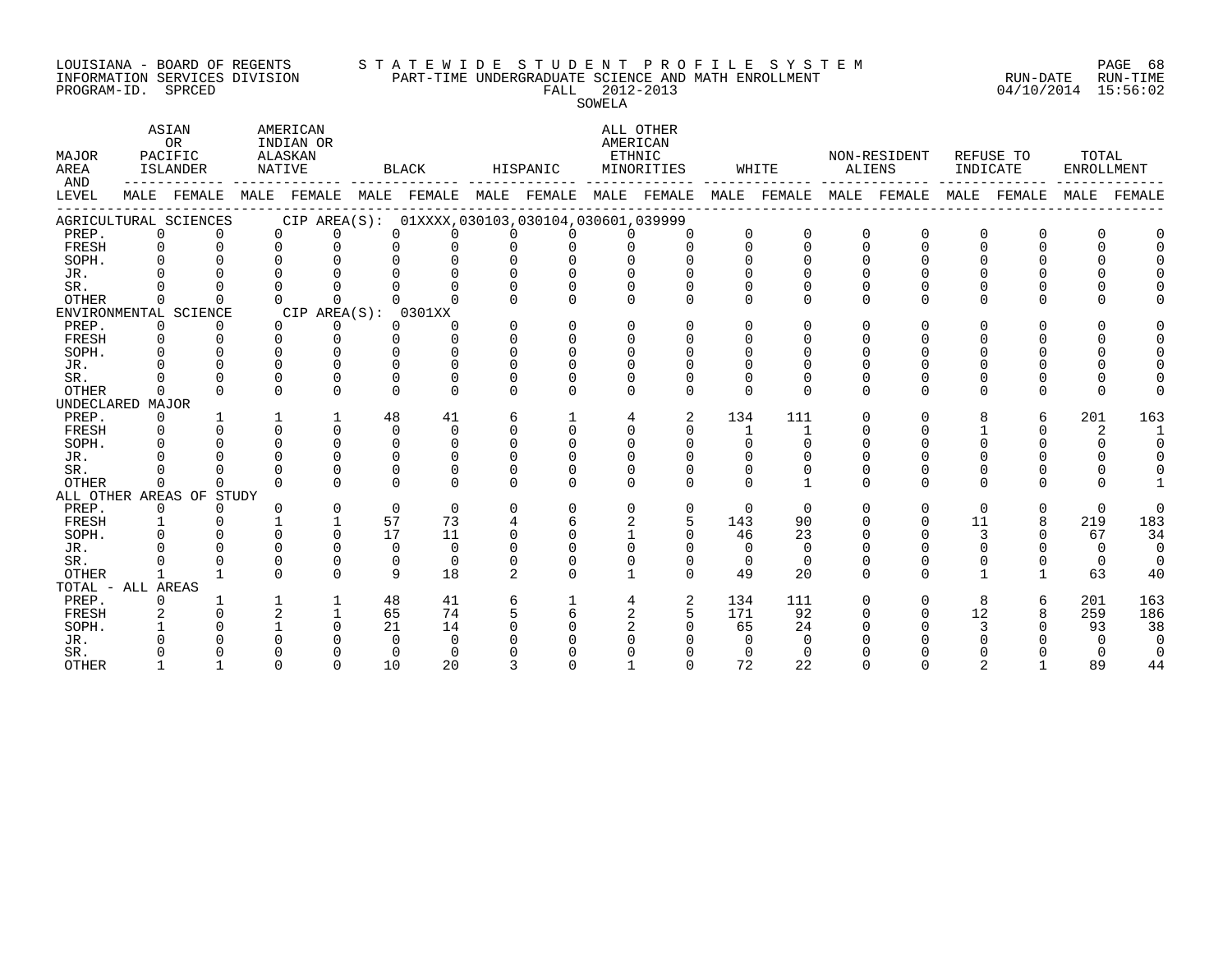#### LOUISIANA - BOARD OF REGENTS S T A T E W I D E S T U D E N T P R O F I L E S Y S T E M PAGE 68 INFORMATION SERVICES DIVISION PART-TIME UNDERGRADUATE SCIENCE AND MATH ENROLLMENT RUN-DATE RUN-TIME PROGRAM-ID. SPRCED FALL 2012-2013 04/10/2014 15:56:02

SOWELA

| MAJOR<br>AREA     | ASIAN<br><b>OR</b><br>PACIFIC<br>ISLANDER |                          | AMERICAN<br>INDIAN OR<br>ALASKAN<br>NATIVE |              | BLACK    |                                                     | HISPANIC       |          | ALL OTHER<br>AMERICAN<br>ETHNIC<br>MINORITIES |          | WHITE        |              | NON-RESIDENT<br>ALIENS |          | REFUSE TO<br>INDICATE |              | TOTAL<br>ENROLLMENT |          |
|-------------------|-------------------------------------------|--------------------------|--------------------------------------------|--------------|----------|-----------------------------------------------------|----------------|----------|-----------------------------------------------|----------|--------------|--------------|------------------------|----------|-----------------------|--------------|---------------------|----------|
| AND<br>LEVEL      | MALE                                      | FEMALE                   | MALE                                       |              |          | FEMALE MALE FEMALE MALE FEMALE                      |                |          | MALE                                          | FEMALE   | MALE         | FEMALE       | MALE                   | FEMALE   | MALE                  | FEMALE       | MALE                | FEMALE   |
|                   |                                           | AGRICULTURAL SCIENCES    |                                            |              |          | CIP AREA(S): 01XXXX, 030103, 030104, 030601, 039999 |                |          |                                               |          |              |              |                        |          |                       |              |                     |          |
| PREP.             | $\Omega$                                  |                          | $\Omega$                                   | $\Omega$     | $\Omega$ | $\Omega$                                            | $\Omega$       | $\Omega$ | $\Omega$                                      | $\Omega$ | 0            | $\mathbf 0$  | $\mathbf 0$            | $\Omega$ | 0                     | $\Omega$     | 0                   |          |
| FRESH             | $\overline{0}$                            | $\Omega$                 | $\Omega$                                   | $\Omega$     | $\Omega$ | $\Omega$                                            | $\Omega$       | 0        | $\Omega$                                      | $\Omega$ | $\Omega$     | $\Omega$     | $\Omega$               | $\Omega$ | $\Omega$              | 0            | $\Omega$            |          |
| SOPH.             |                                           |                          | $\cap$                                     | ∩            | $\cap$   | $\Omega$                                            | $\Omega$       | $\Omega$ |                                               | $\cap$   |              | $\Omega$     |                        |          |                       |              |                     |          |
| JR.               |                                           |                          |                                            |              |          |                                                     | $\Omega$       | $\Omega$ |                                               |          |              |              |                        |          |                       |              |                     |          |
| SR.               |                                           |                          |                                            |              |          |                                                     | $\Omega$       | $\Omega$ |                                               |          |              |              |                        |          |                       |              |                     |          |
| OTHER             | $\Omega$                                  | $\Omega$                 | $\Omega$                                   | $\cap$       | $\cap$   |                                                     | $\cap$         | $\Omega$ | $\Omega$                                      | $\Omega$ | <sup>n</sup> | $\Omega$     | $\Omega$               | $\Omega$ | U                     | 0            |                     |          |
|                   |                                           | ENVIRONMENTAL SCIENCE    |                                            | CIP AREA(S): |          | 0301XX                                              |                |          |                                               |          |              |              |                        |          |                       |              |                     |          |
| PREP.             | 0                                         | 0                        | $\Omega$                                   | 0            | $\Omega$ | O                                                   | $\Omega$       | 0        | $\Omega$                                      | $\Omega$ | 0            | $\Omega$     | O                      | O        | O                     | <sup>0</sup> |                     |          |
| FRESH             | 0                                         | $\Omega$                 | $\Omega$                                   | $\Omega$     | $\Omega$ | $\Omega$                                            | $\Omega$       | $\Omega$ | $\Omega$                                      | $\Omega$ | 0            | $\Omega$     | $\Omega$               | $\Omega$ |                       |              |                     |          |
| SOPH.             | $\Omega$                                  |                          | $\Omega$                                   |              | $\cap$   | O                                                   | $\Omega$       | $\Omega$ | $\Omega$                                      | $\Omega$ |              |              |                        |          |                       |              |                     |          |
| JR.               |                                           |                          | $\cap$                                     | $\cap$       | $\cap$   | O                                                   | $\Omega$       | $\Omega$ |                                               |          |              |              |                        |          |                       |              |                     |          |
| SR.               |                                           | $\Omega$                 | $\Omega$                                   | $\Omega$     | $\Omega$ | U                                                   | <sup>0</sup>   | U        | $\Omega$                                      |          |              |              |                        |          |                       | ∩            |                     |          |
| <b>OTHER</b>      | $\Omega$                                  | $\cap$                   | $\Omega$                                   | $\Omega$     | $\Omega$ | $\Omega$                                            | 0              | $\Omega$ | $\Omega$                                      | $\Omega$ | 0            | $\Omega$     | $\Omega$               | $\Omega$ | $\Omega$              | <sup>0</sup> | $\Omega$            |          |
| UNDECLARED MAJOR  |                                           |                          |                                            |              |          |                                                     |                |          |                                               |          |              |              |                        |          |                       |              |                     |          |
| PREP.             | 0                                         |                          |                                            |              | 48       | 41                                                  | 6              |          | 4                                             | 2        | 134          | 111          | $\Omega$               | $\Omega$ | 8                     | 6            | 201                 | 163      |
| FRESH             | $\Omega$                                  |                          | $\Omega$                                   | $\cap$       | $\Omega$ | $\Omega$                                            | $\Omega$       | $\Omega$ | $\Omega$                                      | $\Omega$ | $\mathbf{1}$ | 1            |                        | $\Omega$ |                       | 0            | 2                   |          |
| SOPH.             | $\Omega$                                  |                          | $\Omega$                                   | $\Omega$     | $\Omega$ | $\Omega$                                            | $\Omega$       | $\Omega$ | $\Omega$                                      | $\Omega$ | $\Omega$     | $\Omega$     |                        |          | O                     |              | 0                   |          |
| JR.               |                                           |                          |                                            |              | $\Omega$ | $\Omega$                                            | $\Omega$       | $\Omega$ |                                               |          |              |              |                        |          |                       |              |                     |          |
| SR.               |                                           |                          | $\cap$                                     |              | $\Omega$ | O                                                   | 0              | $\Omega$ |                                               | $\Omega$ |              | 0            |                        |          |                       |              |                     |          |
| <b>OTHER</b>      | $\Omega$                                  | $\Omega$                 | $\Omega$                                   | $\cap$       | $\cap$   | $\Omega$                                            | <sup>n</sup>   | $\Omega$ | $\cap$                                        | $\cap$   | $\Omega$     | $\mathbf{1}$ | $\Omega$               | $\Omega$ | $\Omega$              | U            | U                   |          |
|                   |                                           | ALL OTHER AREAS OF STUDY |                                            |              |          |                                                     |                |          |                                               |          |              |              |                        |          |                       |              |                     |          |
| PREP.             | 0                                         | $\Omega$                 | $\Omega$                                   | $\Omega$     | $\Omega$ | $\Omega$                                            | $\Omega$       | $\Omega$ | $\Omega$                                      | 0        | $\Omega$     | $\Omega$     | $\Omega$               | $\Omega$ | $\Omega$              | $\Omega$     | $\Omega$            | $\Omega$ |
| FRESH             | $\mathbf{1}$                              |                          |                                            |              | 57       | 73                                                  | 4              | б        | 2                                             | 5        | 143          | 90           |                        | $\Omega$ | 11                    | 8            | 219                 | 183      |
| SOPH.             |                                           |                          | $\cap$                                     | $\cap$       | 17       | 11                                                  | 0              | $\Omega$ |                                               | $\cap$   | 46           | 23           |                        |          | 3                     | 0            | 67                  | 34       |
| JR.               |                                           |                          | $\Omega$                                   |              | $\Omega$ | $\Omega$                                            | $\Omega$       | $\Omega$ |                                               | 0        | $\Omega$     | $\Omega$     |                        |          |                       |              | $\Omega$            | $\Omega$ |
| SR.               |                                           |                          | $\Omega$                                   | $\Omega$     | $\Omega$ | $\Omega$                                            | $\Omega$       | $\Omega$ |                                               | $\Omega$ | $\Omega$     | $\Omega$     | $\Omega$               |          | 0                     | <sup>0</sup> | 0                   | $\Omega$ |
| <b>OTHER</b>      |                                           |                          |                                            |              | 9        | 18                                                  | $\overline{2}$ |          |                                               | $\Omega$ | 49           | 20           | ∩                      | $\cap$   |                       |              | 63                  | 40       |
| TOTAL - ALL AREAS |                                           |                          |                                            |              |          |                                                     |                |          |                                               |          |              |              |                        |          |                       |              |                     |          |
| PREP.             | 0                                         |                          |                                            |              | 48       | 41                                                  | 6              |          | 4                                             | 2        | 134          | 111          | $\Omega$               | $\Omega$ | 8                     | 6            | 201                 | 163      |
| FRESH             |                                           |                          | $\overline{2}$                             |              | 65       | 74                                                  | 5              | 6        | $\overline{a}$                                | 5        | 171          | 92           | $\Omega$               | $\Omega$ | 12                    | 8            | 259                 | 186      |
| SOPH.             |                                           |                          |                                            |              | 21       | 14                                                  | $\Omega$       | O        |                                               | $\Omega$ | 65           | 24           |                        |          |                       |              | 93                  | 38       |
| JR.               |                                           |                          |                                            |              | $\Omega$ | 0                                                   |                |          |                                               |          | <sup>n</sup> | $\Omega$     |                        |          |                       |              |                     | $\Omega$ |
| SR.               |                                           |                          |                                            |              | $\Omega$ | $\Omega$                                            |                |          |                                               |          |              | $\Omega$     |                        |          |                       |              |                     |          |
| <b>OTHER</b>      | -1                                        |                          | $\Omega$                                   | $\Omega$     | 10       | 20                                                  | 3              |          |                                               | $\Omega$ | 72           | 22           | $\cap$                 | $\Omega$ |                       |              | 89                  | 44       |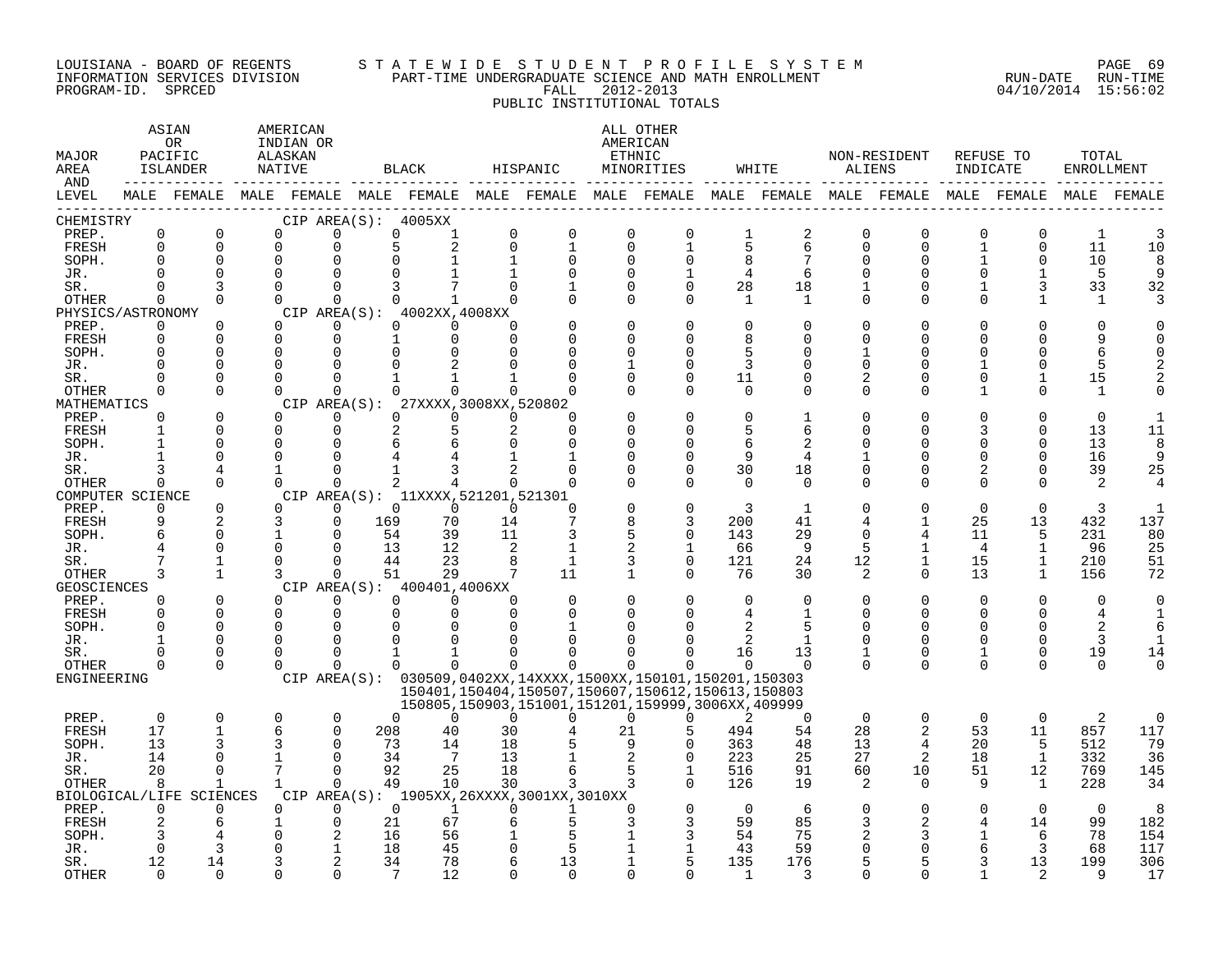#### LOUISIANA - BOARD OF REGENTS S T A T E W I D E S T U D E N T P R O F I L E S Y S T E M PAGE 69 INFORMATION SERVICES DIVISION PART-TIME UNDERGRADUATE SCIENCE AND MATH ENROLLMENT RUN-DATE RUN-TIME PROGRAM-ID. SPRCED FALL 2012-2013 04/10/2014 15:56:02 PUBLIC INSTITUTIONAL TOTALS

### ASIAN AMERICAN ALL OTHER OR INDIAN OR **INDIAN OR** AMERICAN MAJOR PACIFIC ALASKAN ETHNIC NON-RESIDENT REFUSE TO TOTAL AREA ISLANDER NATIVE BLACK HISPANIC MINORITIES WHITE ALIENS INDICATE ENROLLMENT AND ------------ ------------- ------------- ------------- ------------- ------------- ------------- ------------- ------------- LEVEL MALE FEMALE MALE FEMALE MALE FEMALE MALE FEMALE MALE FEMALE MALE FEMALE MALE FEMALE MALE FEMALE MALE FEMALE ------------------------------------------------------------------------------------------------------------------------------------ CHEMISTRY CIP AREA(S): 4005XX PREP. 0 0 0 0 0 1 0 0 0 0 1 2 0 0 0 0 1 3 FRESH 0 0 0 0 5 2 0 1 0 1 5 6 0 0 1 0 11 10 SOPH. 0 0 0 0 0 1 1 0 0 0 8 7 0 0 1 0 10 8 JR. 0 0 0 0 0 1 1 0 0 1 4 6 0 0 0 1 5 9 SR. 0 3 0 0 3 7 0 1 0 0 28 18 1 0 1 3 33 32 OTHER 0 0 0 0 0 1 0 0 0 0 1 1 0 0 0 1 1 3 PHYSICS/ASTRONOMY CIP AREA(S): 4002XX,4008XX<br>
PREP. 0 0 0 0 0 0 PREP. 0 0 0 0 0 0 0 0 0 0 0 0 0 0 0 0 0 0 FRESH 0 0 0 0 1 0 0 0 0 0 8 0 0 0 0 0 9 0 SOPH. 0 0 0 0 0 0 0 0 0 0 5 0 1 0 0 0 6 0 JR. 0 0 0 0 0 2 0 0 1 0 3 0 0 0 1 0 5 2 SR. 0 0 0 0 1 1 1 0 0 0 11 0 2 0 0 1 15 2 OTHER 0 0 0 0 0 0 0 0 0 0 0 0 0 0 1 0 1 0 MATHEMATICS CIP AREA(S): 27XXXX,3008XX,520802<br>
PREP. 0 0 0 0 0 0 0 0 PREP. 0 0 0 0 0 0 0 0 0 0 0 1 0 0 0 0 0 1 FRESH 1 0 0 0 2 5 2 0 0 0 5 6 0 0 3 0 13 11 SOPH. 1 0 0 0 6 6 0 0 0 0 6 2 0 0 0 0 13 8 JR. 1 0 0 0 4 4 1 1 0 0 9 4 1 0 0 0 16 9 SR. 3 4 1 0 1 3 2 0 0 0 30 18 0 0 2 0 39 25 OTHER 0 0 0 0 2 4 0 0 0 0 0 0 0 0 0 0 2 4 COMPUTER SCIENCE CIP AREA(S): 11XXXX,521201,521301<br>
PREP. 0 0 0 0 0 0 0 PREP. 0 0 0 0 0 0 0 0 0 0 3 1 0 0 0 0 3 1 FRESH 9 2 3 0 169 70 14 7 8 3 200 41 4 1 25 13 432 137 SOPH. 6 0 1 0 54 39 11 3 5 0 143 29 0 4 11 5 231 80 JR. 4 0 0 0 13 12 2 1 2 1 66 9 5 1 4 1 96 25 SR. 7 1 0 0 44 23 8 1 3 0 121 24 12 1 15 1 210 51 OTHER 3 1 3 0 51 29 7 11 1 0 76 30 2 0 13 1 156 72 GEOSCIENCES CIPAREA(S): 400401,4006XX<br>
PREP. 0 0 0 0 0 0 PREP. 0 0 0 0 0 0 0 0 0 0 0 0 0 0 0 0 0 0 FRESH 0 0 0 0 0 0 0 0 0 0 4 1 0 0 0 0 4 1 SOPH. 0 0 0 0 0 0 0 1 0 0 2 5 0 0 0 0 2 6 JR. 1 0 0 0 0 0 0 0 0 0 2 1 0 0 0 0 3 1 SR. 0 0 0 0 1 1 0 0 0 0 16 13 1 0 1 0 19 14 OTHER 0 0 0 0 0 0 0 0 0 0 0 0 0 0 0 0 0 0 ENGINEERING CIP AREA(S): 030509,0402XX,14XXXX,1500XX,150101,150201,150303 150401,150404,150507,150607,150612,150613,150803 150805,150903,151001,151201,159999,3006XX,409999 PREP. 0 0 0 0 0 0 0 0 0 0 2 0 0 0 0 0 2 0 FRESH 17 1 6 0 208 40 30 4 21 5 494 54 28 2 53 11 857 117 SOPH. 13 3 3 0 73 14 18 5 9 0 363 48 13 4 20 5 512 79 JR. 14 0 1 0 34 7 13 1 2 0 223 25 27 2 18 1 332 36 SR. 20 0 7 0 92 25 18 6 5 1 516 91 60 10 51 12 769 145 OTHER 8 1 1 0 49 10 30 3 3 0 126 19 2 0 9 1 228 34 BIOLOGICAL/LIFE SCIENCES CIP AREA(S): 1905XX,26XXXX,3001XX,3010XX PREP. 0 0 0 0 0 1 0 1 0 0 0 6 0 0 0 0 0 8 FRESH 2 6 1 0 21 67 6 5 3 3 59 85 3 2 4 14 99 182 SOPH. 3 4 0 2 16 56 1 5 1 3 54 75 2 3 1 6 78 154 JR. 0 3 0 1 18 45 0 5 1 1 43 59 0 0 6 3 68 117 SR. 12 14 3 2 34 78 6 13 1 5 135 176 5 5 3 13 199 306

OTHER 0 0 0 0 7 12 0 0 0 0 1 3 0 0 1 2 9 17